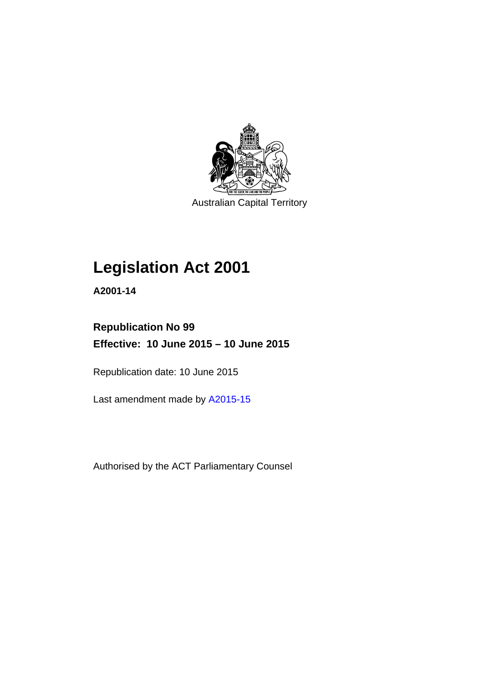

Australian Capital Territory

## **Legislation Act 2001**

**A2001-14** 

## **Republication No 99 Effective: 10 June 2015 – 10 June 2015**

Republication date: 10 June 2015

Last amendment made by [A2015-15](http://www.legislation.act.gov.au/a/2015-15)

Authorised by the ACT Parliamentary Counsel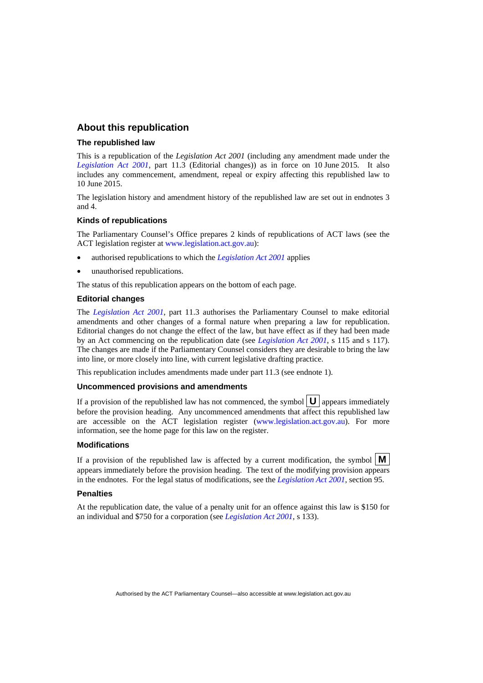## **About this republication**

#### **The republished law**

This is a republication of the *Legislation Act 2001* (including any amendment made under the *[Legislation Act 2001](http://www.legislation.act.gov.au/a/2001-14)*, part 11.3 (Editorial changes)) as in force on 10 June 2015*.* It also includes any commencement, amendment, repeal or expiry affecting this republished law to 10 June 2015.

The legislation history and amendment history of the republished law are set out in endnotes 3 and 4.

#### **Kinds of republications**

The Parliamentary Counsel's Office prepares 2 kinds of republications of ACT laws (see the ACT legislation register at [www.legislation.act.gov.au](http://www.legislation.act.gov.au/)):

- authorised republications to which the *[Legislation Act 2001](http://www.legislation.act.gov.au/a/2001-14)* applies
- unauthorised republications.

The status of this republication appears on the bottom of each page.

#### **Editorial changes**

The *[Legislation Act 2001](http://www.legislation.act.gov.au/a/2001-14)*, part 11.3 authorises the Parliamentary Counsel to make editorial amendments and other changes of a formal nature when preparing a law for republication. Editorial changes do not change the effect of the law, but have effect as if they had been made by an Act commencing on the republication date (see *[Legislation Act 2001](http://www.legislation.act.gov.au/a/2001-14)*, s 115 and s 117). The changes are made if the Parliamentary Counsel considers they are desirable to bring the law into line, or more closely into line, with current legislative drafting practice.

This republication includes amendments made under part 11.3 (see endnote 1).

#### **Uncommenced provisions and amendments**

If a provision of the republished law has not commenced, the symbol  $\mathbf{U}$  appears immediately before the provision heading. Any uncommenced amendments that affect this republished law are accessible on the ACT legislation register [\(www.legislation.act.gov.au](http://www.legislation.act.gov.au/)). For more information, see the home page for this law on the register.

#### **Modifications**

If a provision of the republished law is affected by a current modification, the symbol  $\mathbf{M}$ appears immediately before the provision heading. The text of the modifying provision appears in the endnotes. For the legal status of modifications, see the *[Legislation Act 2001](http://www.legislation.act.gov.au/a/2001-14)*, section 95.

#### **Penalties**

At the republication date, the value of a penalty unit for an offence against this law is \$150 for an individual and \$750 for a corporation (see *[Legislation Act 2001](http://www.legislation.act.gov.au/a/2001-14)*, s 133).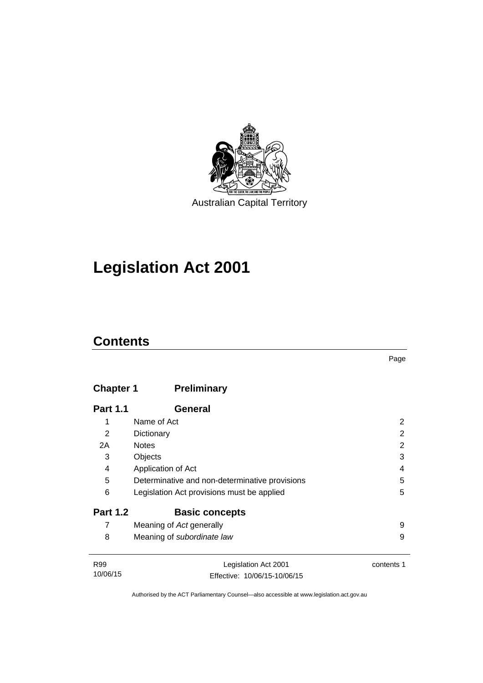

## **Legislation Act 2001**

## **Contents**

| × |
|---|

## **Chapter 1 [Preliminary](#page-17-0)**

| <b>Part 1.1</b> | General                                        |   |
|-----------------|------------------------------------------------|---|
| 1               | Name of Act                                    | 2 |
| 2               | Dictionary                                     | 2 |
| 2A              | <b>Notes</b>                                   | 2 |
| 3               | Objects                                        | 3 |
| 4               | Application of Act                             | 4 |
| 5               | Determinative and non-determinative provisions | 5 |
| 6               | Legislation Act provisions must be applied     | 5 |
| <b>Part 1.2</b> | <b>Basic concepts</b>                          |   |
| 7               | Meaning of Act generally                       | 9 |
| 8               | Meaning of subordinate law                     | 9 |
|                 |                                                |   |
|                 |                                                |   |

| R99      | Legislation Act 2001         | contents 1 |
|----------|------------------------------|------------|
| 10/06/15 | Effective: 10/06/15-10/06/15 |            |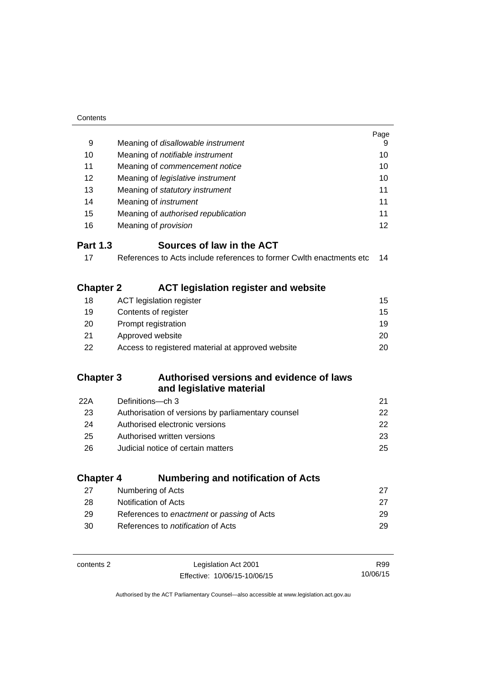| Contents                     |                                                                      |          |
|------------------------------|----------------------------------------------------------------------|----------|
|                              |                                                                      | Page     |
| 9                            | Meaning of disallowable instrument                                   |          |
| 10                           | Meaning of notifiable instrument                                     |          |
| 11                           | Meaning of commencement notice                                       | 10       |
| 12                           | Meaning of legislative instrument                                    | 10       |
| 13                           | Meaning of statutory instrument                                      | 11       |
| 14                           | Meaning of <i>instrument</i>                                         | 11       |
| 15                           | Meaning of authorised republication                                  | 11       |
| 16                           | Meaning of <i>provision</i>                                          | 12       |
| <b>Part 1.3</b>              | Sources of law in the ACT                                            |          |
| 17                           | References to Acts include references to former Cwith enactments etc | 14       |
|                              |                                                                      |          |
| <b>Chapter 2</b>             | <b>ACT legislation register and website</b>                          |          |
| 18                           | <b>ACT legislation register</b>                                      | 15       |
| 19                           | Contents of register                                                 | 15       |
| 20                           | Prompt registration                                                  | 19       |
| 21                           | Approved website                                                     | 20       |
| 22                           | Access to registered material at approved website                    | 20       |
|                              |                                                                      |          |
| <b>Chapter 3</b>             | Authorised versions and evidence of laws                             |          |
|                              | and legislative material                                             |          |
| 22A                          | Definitions-ch 3                                                     | 21       |
| 23                           | Authorisation of versions by parliamentary counsel                   | 22       |
| 24                           | Authorised electronic versions                                       | 22       |
| 25                           | Authorised written versions                                          | 23       |
| 26                           | Judicial notice of certain matters                                   | 25       |
|                              |                                                                      |          |
| <b>Chapter 4</b>             | <b>Numbering and notification of Acts</b>                            |          |
| 27                           | Numbering of Acts                                                    | 27       |
| 28                           | Notification of Acts                                                 | 27       |
| 29                           | References to enactment or passing of Acts                           | 29       |
| 30                           | References to notification of Acts                                   | 29       |
|                              |                                                                      |          |
| contents 2                   | Legislation Act 2001                                                 | R99      |
| Effective: 10/06/15-10/06/15 |                                                                      | 10/06/15 |

Authorised by the ACT Parliamentary Counsel—also accessible at www.legislation.act.gov.au

Effective: 10/06/15-10/06/15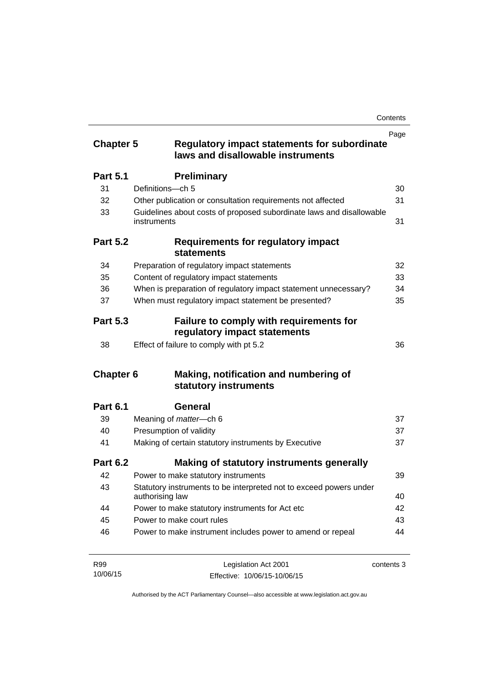| <b>Chapter 5</b> | <b>Regulatory impact statements for subordinate</b>                                   | Page       |
|------------------|---------------------------------------------------------------------------------------|------------|
|                  | laws and disallowable instruments                                                     |            |
| <b>Part 5.1</b>  | <b>Preliminary</b>                                                                    |            |
| 31               | Definitions-ch 5                                                                      | 30         |
| 32               | Other publication or consultation requirements not affected                           | 31         |
| 33               | Guidelines about costs of proposed subordinate laws and disallowable<br>instruments   | 31         |
| <b>Part 5.2</b>  | <b>Requirements for regulatory impact</b><br><b>statements</b>                        |            |
| 34               | Preparation of regulatory impact statements                                           | 32         |
| 35               | Content of regulatory impact statements                                               | 33         |
| 36               | When is preparation of regulatory impact statement unnecessary?                       | 34         |
| 37               | When must regulatory impact statement be presented?                                   | 35         |
| <b>Part 5.3</b>  | <b>Failure to comply with requirements for</b><br>regulatory impact statements        |            |
| 38               | Effect of failure to comply with pt 5.2                                               | 36         |
| <b>Chapter 6</b> | Making, notification and numbering of<br>statutory instruments                        |            |
| <b>Part 6.1</b>  | General                                                                               |            |
| 39               | Meaning of <i>matter</i> -ch 6                                                        | 37         |
| 40               | Presumption of validity                                                               | 37         |
| 41               | Making of certain statutory instruments by Executive                                  | 37         |
| <b>Part 6.2</b>  | Making of statutory instruments generally                                             |            |
| 42               | Power to make statutory instruments                                                   | 39         |
| 43               | Statutory instruments to be interpreted not to exceed powers under<br>authorising law | 40         |
| 44               | Power to make statutory instruments for Act etc                                       | 42         |
| 45               | Power to make court rules                                                             | 43         |
| 46               | Power to make instrument includes power to amend or repeal                            | 44         |
| R99              | Legislation Act 2001                                                                  | contents 3 |

10/06/15 Effective: 10/06/15-10/06/15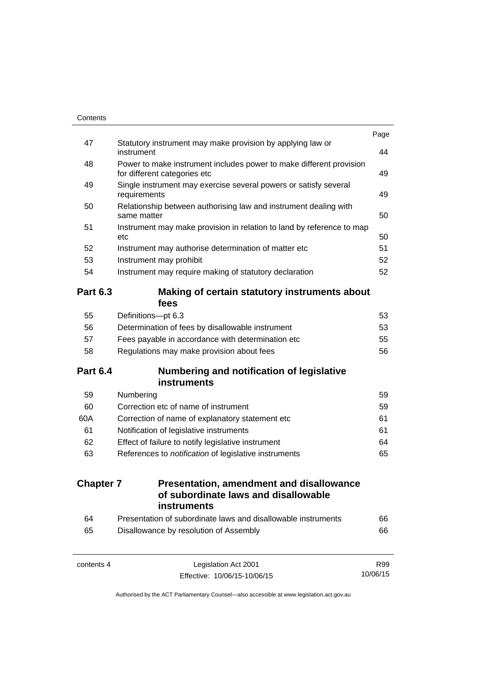| Contents         |                                                                                                     |      |
|------------------|-----------------------------------------------------------------------------------------------------|------|
| 47               | Statutory instrument may make provision by applying law or                                          | Page |
|                  | instrument                                                                                          | 44   |
| 48               | Power to make instrument includes power to make different provision<br>for different categories etc | 49   |
| 49               | Single instrument may exercise several powers or satisfy several<br>requirements                    | 49   |
| 50               | Relationship between authorising law and instrument dealing with<br>same matter                     | 50   |
| 51               | Instrument may make provision in relation to land by reference to map<br>etc                        | 50   |
| 52               | Instrument may authorise determination of matter etc                                                | 51   |
| 53               | Instrument may prohibit                                                                             | 52   |
| 54               | Instrument may require making of statutory declaration                                              | 52   |
| <b>Part 6.3</b>  | Making of certain statutory instruments about<br>fees                                               |      |
| 55               | Definitions-pt 6.3                                                                                  | 53   |
| 56               | Determination of fees by disallowable instrument                                                    | 53   |
| 57               | Fees payable in accordance with determination etc                                                   | 55   |
| 58               | Regulations may make provision about fees                                                           | 56   |
| <b>Part 6.4</b>  | <b>Numbering and notification of legislative</b><br><b>instruments</b>                              |      |
| 59               | Numbering                                                                                           | 59   |
| 60               | Correction etc of name of instrument                                                                | 59   |
| 60A              | Correction of name of explanatory statement etc                                                     | 61   |
| 61               | Notification of legislative instruments                                                             | 61   |
| 62               | Effect of failure to notify legislative instrument                                                  | 64   |
| 63               | References to notification of legislative instruments                                               | 65   |
| <b>Chapter 7</b> | <b>Presentation, amendment and disallowance</b><br>of subordinate laws and disallowable             |      |
|                  | instruments                                                                                         |      |
| 64               | Presentation of subordinate laws and disallowable instruments                                       | 66   |
| 65               | Disallowance by resolution of Assembly                                                              | 66   |
| contents 4       | Legislation Act 2001                                                                                | R99  |

Authorised by the ACT Parliamentary Counsel—also accessible at www.legislation.act.gov.au

10/06/15

Effective: 10/06/15-10/06/15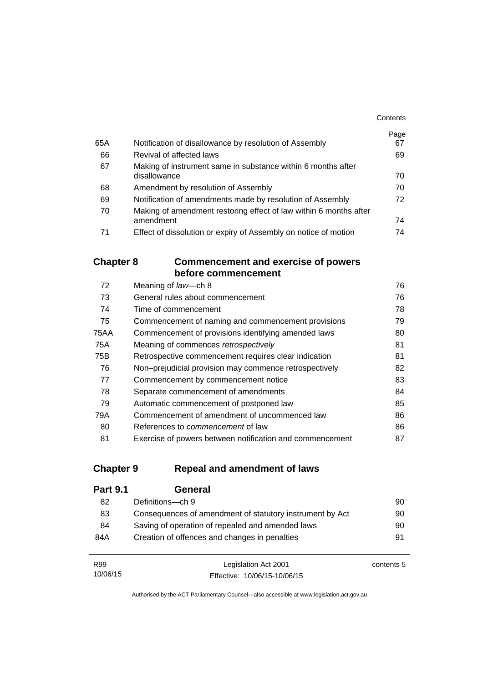|     |                                                                                | Contents   |
|-----|--------------------------------------------------------------------------------|------------|
| 65A | Notification of disallowance by resolution of Assembly                         | Page<br>67 |
| 66  | Revival of affected laws                                                       | 69         |
| 67  | Making of instrument same in substance within 6 months after<br>disallowance   | 70         |
| 68  | Amendment by resolution of Assembly                                            | 70         |
| 69  | Notification of amendments made by resolution of Assembly                      | 72         |
| 70  | Making of amendment restoring effect of law within 6 months after<br>amendment | 74         |
| 71  | Effect of dissolution or expiry of Assembly on notice of motion                | 74         |

## **Chapter 8 [Commencement and exercise of powers](#page-91-0)  [before commencement](#page-91-0)**

| 72   | Meaning of law-ch 8                                      | 76 |
|------|----------------------------------------------------------|----|
| 73   | General rules about commencement                         | 76 |
| 74   | Time of commencement                                     | 78 |
| 75   | Commencement of naming and commencement provisions       | 79 |
| 75AA | Commencement of provisions identifying amended laws      | 80 |
| 75A  | Meaning of commences retrospectively                     | 81 |
| 75B  | Retrospective commencement requires clear indication     | 81 |
| 76   | Non-prejudicial provision may commence retrospectively   | 82 |
| 77   | Commencement by commencement notice                      | 83 |
| 78   | Separate commencement of amendments                      | 84 |
| 79   | Automatic commencement of postponed law                  | 85 |
| 79A  | Commencement of amendment of uncommenced law             | 86 |
| 80   | References to <i>commencement</i> of law                 | 86 |
| 81   | Exercise of powers between notification and commencement | 87 |

## **Chapter 9 [Repeal and amendment of laws](#page-105-0)**

| <b>Part 9.1</b> | General                                                  |    |
|-----------------|----------------------------------------------------------|----|
| 82              | Definitions—ch 9                                         | 90 |
| 83              | Consequences of amendment of statutory instrument by Act | 90 |
| 84              | Saving of operation of repealed and amended laws         | 90 |
| 84A             | Creation of offences and changes in penalties            | 91 |
|                 |                                                          |    |

| R99      | Legislation Act 2001         | contents 5 |
|----------|------------------------------|------------|
| 10/06/15 | Effective: 10/06/15-10/06/15 |            |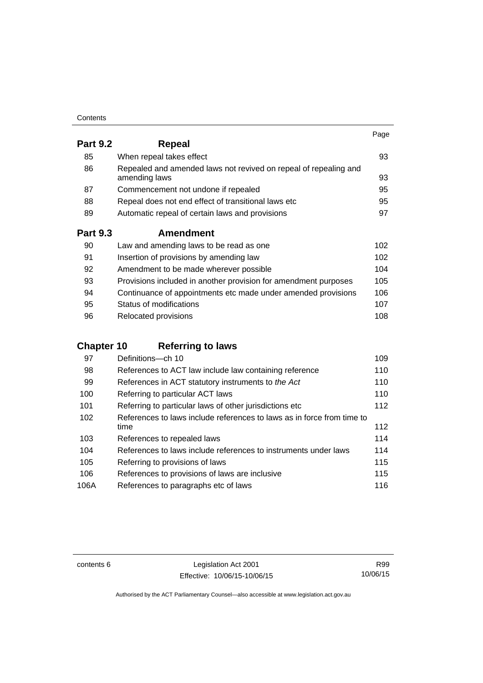| Contents |
|----------|
|----------|

|                 |                                                                                   | Page |
|-----------------|-----------------------------------------------------------------------------------|------|
| <b>Part 9.2</b> | Repeal                                                                            |      |
| 85              | When repeal takes effect                                                          | 93   |
| 86              | Repealed and amended laws not revived on repeal of repealing and<br>amending laws | 93   |
| 87              | Commencement not undone if repealed                                               | 95   |
| 88              | Repeal does not end effect of transitional laws etc                               | 95   |
| 89              | Automatic repeal of certain laws and provisions                                   | 97   |
| <b>Part 9.3</b> | <b>Amendment</b>                                                                  |      |
| 90              | Law and amending laws to be read as one                                           | 102  |
| 91              | Insertion of provisions by amending law                                           | 102  |
| 92              | Amendment to be made wherever possible                                            | 104  |
| 93              | Provisions included in another provision for amendment purposes                   | 105  |
| 94              | Continuance of appointments etc made under amended provisions                     | 106  |
| 95              | Status of modifications                                                           | 107  |

| -96 | Relocated provisions | 108 |
|-----|----------------------|-----|

## **Chapter 10 [Referring to laws](#page-124-0)**

| 97   | Definitions-ch 10                                                      | 109 |
|------|------------------------------------------------------------------------|-----|
| 98   | References to ACT law include law containing reference                 | 110 |
| 99   | References in ACT statutory instruments to the Act                     | 110 |
| 100  | Referring to particular ACT laws                                       | 110 |
| 101  | Referring to particular laws of other jurisdictions etc                | 112 |
| 102  | References to laws include references to laws as in force from time to |     |
|      | time                                                                   | 112 |
| 103  | References to repealed laws                                            | 114 |
| 104  | References to laws include references to instruments under laws        | 114 |
| 105  | Referring to provisions of laws                                        | 115 |
| 106  | References to provisions of laws are inclusive                         | 115 |
| 106A | References to paragraphs etc of laws                                   | 116 |

contents 6 Legislation Act 2001 Effective: 10/06/15-10/06/15

R99 10/06/15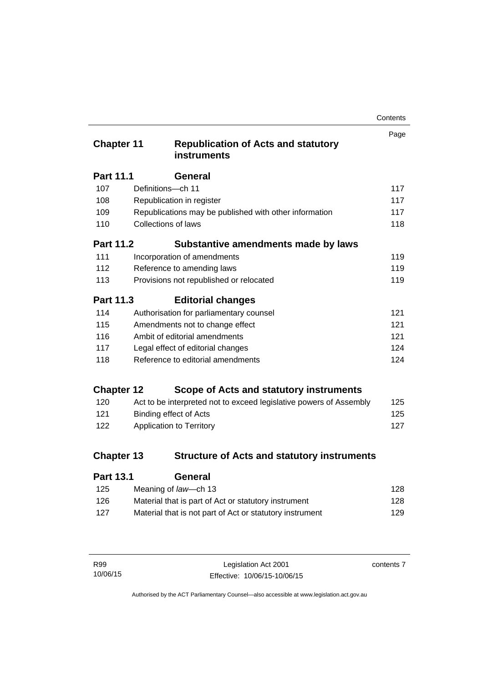| Contents |
|----------|
|----------|

| <b>Chapter 11</b> | <b>Republication of Acts and statutory</b><br><b>instruments</b>   | Page |
|-------------------|--------------------------------------------------------------------|------|
| <b>Part 11.1</b>  | General                                                            |      |
| 107               | Definitions-ch 11                                                  | 117  |
| 108               | Republication in register                                          | 117  |
| 109               | Republications may be published with other information             | 117  |
| 110               | Collections of laws                                                | 118  |
| <b>Part 11.2</b>  | Substantive amendments made by laws                                |      |
| 111               | Incorporation of amendments                                        | 119  |
| 112               | Reference to amending laws                                         | 119  |
| 113               | Provisions not republished or relocated                            | 119  |
| Part 11.3         | <b>Editorial changes</b>                                           |      |
| 114               | Authorisation for parliamentary counsel                            | 121  |
| 115               | Amendments not to change effect                                    | 121  |
| 116               | Ambit of editorial amendments                                      | 121  |
| 117               | Legal effect of editorial changes                                  | 124  |
| 118               | Reference to editorial amendments                                  | 124  |
| <b>Chapter 12</b> | Scope of Acts and statutory instruments                            |      |
| 120               | Act to be interpreted not to exceed legislative powers of Assembly | 125  |
| 121               | <b>Binding effect of Acts</b>                                      | 125  |
| 122               | <b>Application to Territory</b>                                    | 127  |
| <b>Chapter 13</b> | <b>Structure of Acts and statutory instruments</b>                 |      |
| Dart 12 1         | Conoral                                                            |      |

| Part 13.1 | General                                                  |     |
|-----------|----------------------------------------------------------|-----|
| 125       | Meaning of law—ch 13                                     | 128 |
| 126.      | Material that is part of Act or statutory instrument     | 128 |
| 127       | Material that is not part of Act or statutory instrument | 129 |

| R99      | Legislation Act 2001         | contents 7 |
|----------|------------------------------|------------|
| 10/06/15 | Effective: 10/06/15-10/06/15 |            |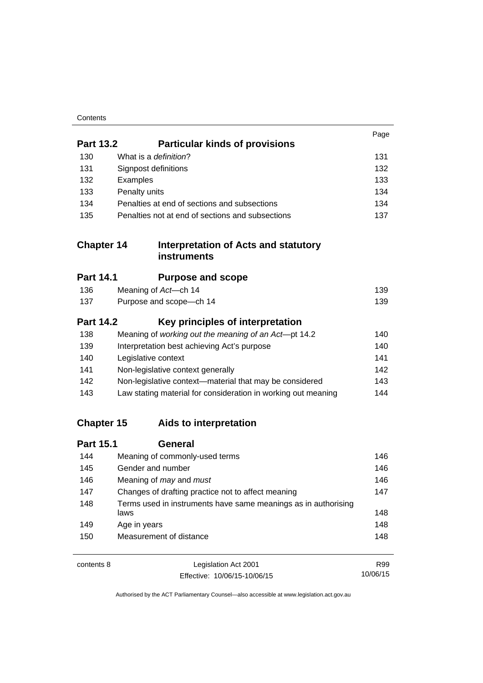| Contents |
|----------|
|----------|

|                   |                                                                        | Page |
|-------------------|------------------------------------------------------------------------|------|
| <b>Part 13.2</b>  | <b>Particular kinds of provisions</b>                                  |      |
| 130               | What is a definition?                                                  | 131  |
| 131               | Signpost definitions                                                   | 132  |
| 132               | Examples                                                               | 133  |
| 133               | Penalty units                                                          | 134  |
| 134               | Penalties at end of sections and subsections                           | 134  |
| 135               | Penalties not at end of sections and subsections                       | 137  |
| <b>Chapter 14</b> | <b>Interpretation of Acts and statutory</b><br><b>instruments</b>      |      |
| <b>Part 14.1</b>  | <b>Purpose and scope</b>                                               |      |
| 136               | Meaning of Act-ch 14                                                   | 139  |
| 137               | Purpose and scope-ch 14                                                | 139  |
| <b>Part 14.2</b>  | Key principles of interpretation                                       |      |
| 138               | Meaning of working out the meaning of an Act-pt 14.2                   | 140  |
| 139               | Interpretation best achieving Act's purpose                            | 140  |
| 140               | Legislative context                                                    | 141  |
| 141               | Non-legislative context generally                                      | 142  |
| 142               | Non-legislative context-material that may be considered                | 143  |
| 143               | Law stating material for consideration in working out meaning          | 144  |
| <b>Chapter 15</b> | Aids to interpretation                                                 |      |
| <b>Part 15.1</b>  | <b>General</b>                                                         |      |
| 144               | Meaning of commonly-used terms                                         | 146  |
| 145               | Gender and number                                                      | 146  |
| 146               | Meaning of may and must                                                | 146  |
| 147               | Changes of drafting practice not to affect meaning                     | 147  |
| 148               | Terms used in instruments have same meanings as in authorising<br>laws | 148  |
| 149               | Age in years                                                           | 148  |
| 150               | Measurement of distance                                                | 148  |
| contents 8        | Legislation Act 2001                                                   | R99  |

Effective: 10/06/15-10/06/15

Authorised by the ACT Parliamentary Counsel—also accessible at www.legislation.act.gov.au

10/06/15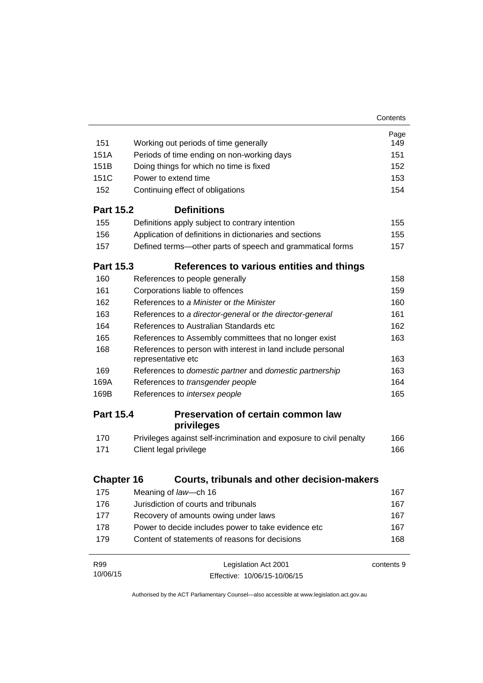|                   |                                                                                   | Contents   |
|-------------------|-----------------------------------------------------------------------------------|------------|
|                   |                                                                                   | Page       |
| 151               | Working out periods of time generally                                             | 149        |
| 151A              | Periods of time ending on non-working days                                        | 151        |
| 151B              | Doing things for which no time is fixed                                           | 152        |
| 151C              | Power to extend time                                                              | 153        |
| 152               | Continuing effect of obligations                                                  | 154        |
| <b>Part 15.2</b>  | <b>Definitions</b>                                                                |            |
| 155               | Definitions apply subject to contrary intention                                   | 155        |
| 156               | Application of definitions in dictionaries and sections                           | 155        |
| 157               | Defined terms-other parts of speech and grammatical forms                         | 157        |
| <b>Part 15.3</b>  | References to various entities and things                                         |            |
| 160               | References to people generally                                                    | 158        |
| 161               | Corporations liable to offences                                                   | 159        |
| 162               | References to a Minister or the Minister                                          | 160        |
| 163               | References to a director-general or the director-general                          | 161        |
| 164               | References to Australian Standards etc                                            | 162        |
| 165               | References to Assembly committees that no longer exist                            | 163        |
| 168               | References to person with interest in land include personal<br>representative etc | 163        |
| 169               | References to domestic partner and domestic partnership                           | 163        |
| 169A              | References to transgender people                                                  | 164        |
| 169B              | References to intersex people                                                     | 165        |
| <b>Part 15.4</b>  | <b>Preservation of certain common law</b><br>privileges                           |            |
| 170               | Privileges against self-incrimination and exposure to civil penalty               | 166        |
| 171               | Client legal privilege                                                            | 166        |
| <b>Chapter 16</b> | Courts, tribunals and other decision-makers                                       |            |
|                   |                                                                                   |            |
| 175<br>176        | Meaning of law-ch 16<br>Jurisdiction of courts and tribunals                      | 167        |
|                   |                                                                                   | 167        |
| 177               | Recovery of amounts owing under laws                                              | 167        |
| 178               | Power to decide includes power to take evidence etc                               | 167        |
| 179               | Content of statements of reasons for decisions                                    | 168        |
| R99               | Legislation Act 2001                                                              | contents 9 |
| 10/06/15          | Effective: 10/06/15-10/06/15                                                      |            |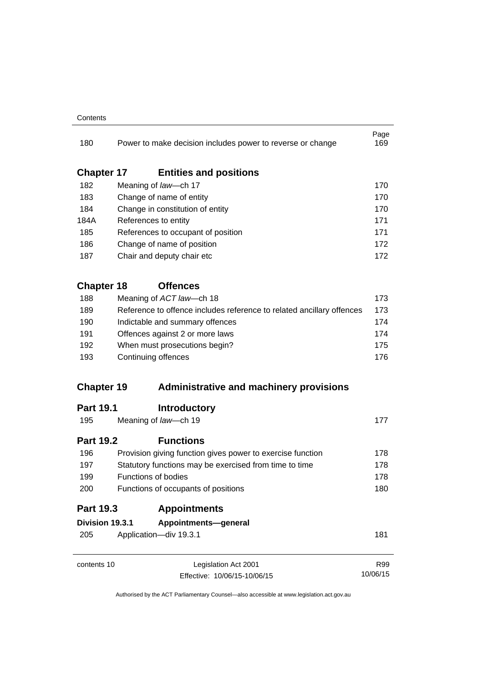#### **Contents**

| 180               |                                                                                                     | Power to make decision includes power to reverse or change                    | Page<br>169 |
|-------------------|-----------------------------------------------------------------------------------------------------|-------------------------------------------------------------------------------|-------------|
| <b>Chapter 17</b> |                                                                                                     | <b>Entities and positions</b>                                                 |             |
| 182               |                                                                                                     | Meaning of law-ch 17                                                          | 170         |
| 183               |                                                                                                     | Change of name of entity                                                      | 170         |
| 184               |                                                                                                     | Change in constitution of entity                                              | 170         |
| 184A              |                                                                                                     | References to entity                                                          | 171         |
| 185               |                                                                                                     | References to occupant of position                                            | 171         |
| 186               |                                                                                                     | Change of name of position                                                    | 172         |
| 187               |                                                                                                     | Chair and deputy chair etc                                                    | 172         |
| <b>Chapter 18</b> |                                                                                                     | <b>Offences</b>                                                               |             |
| 188               |                                                                                                     | Meaning of ACT law-ch 18                                                      | 173         |
| 189               |                                                                                                     | Reference to offence includes reference to related ancillary offences         | 173         |
| 190               | Indictable and summary offences<br>Offences against 2 or more laws<br>When must prosecutions begin? |                                                                               |             |
| 191<br>192        |                                                                                                     |                                                                               |             |
|                   |                                                                                                     |                                                                               |             |
| <b>Chapter 19</b> |                                                                                                     | <b>Administrative and machinery provisions</b>                                |             |
| <b>Part 19.1</b>  |                                                                                                     | <b>Introductory</b>                                                           |             |
| 195               |                                                                                                     | Meaning of law-ch 19                                                          | 177         |
| <b>Part 19.2</b>  |                                                                                                     | <b>Functions</b>                                                              |             |
| 196               |                                                                                                     | Provision giving function gives power to exercise function                    | 178         |
| 197               |                                                                                                     | Statutory functions may be exercised from time to time<br>Functions of bodies | 178         |
| 199               |                                                                                                     |                                                                               | 178         |
| 200               |                                                                                                     | Functions of occupants of positions                                           | 180         |
| <b>Part 19.3</b>  |                                                                                                     | <b>Appointments</b>                                                           |             |
|                   | Division 19.3.1                                                                                     | Appointments-general                                                          |             |
| 205               |                                                                                                     | Application-div 19.3.1                                                        | 181         |
| contents 10       |                                                                                                     | Legislation Act 2001                                                          | R99         |
|                   |                                                                                                     | Effective: 10/06/15-10/06/15                                                  | 10/06/15    |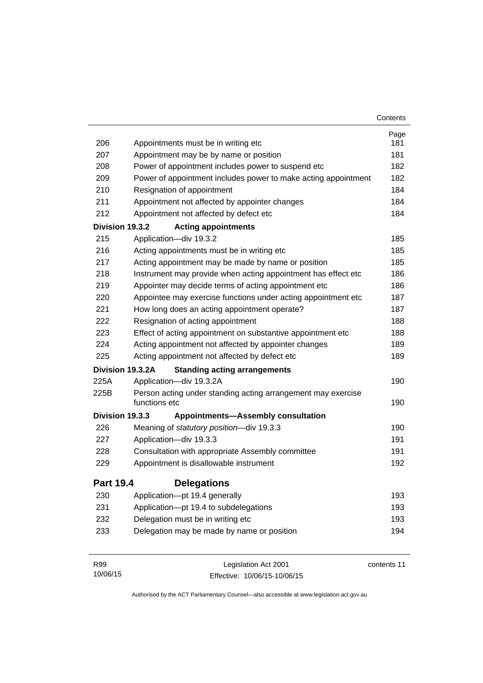|                  |                                                                               | Contents    |
|------------------|-------------------------------------------------------------------------------|-------------|
|                  |                                                                               | Page        |
| 206              | Appointments must be in writing etc                                           | 181         |
| 207              | Appointment may be by name or position                                        | 181         |
| 208              | Power of appointment includes power to suspend etc                            | 182         |
| 209              | Power of appointment includes power to make acting appointment                | 182         |
| 210              | Resignation of appointment                                                    | 184         |
| 211              | Appointment not affected by appointer changes                                 | 184         |
| 212              | Appointment not affected by defect etc                                        | 184         |
| Division 19.3.2  | <b>Acting appointments</b>                                                    |             |
| 215              | Application-div 19.3.2                                                        | 185         |
| 216              | Acting appointments must be in writing etc                                    | 185         |
| 217              | Acting appointment may be made by name or position                            | 185         |
| 218              | Instrument may provide when acting appointment has effect etc                 | 186         |
| 219              | Appointer may decide terms of acting appointment etc                          | 186         |
| 220              | Appointee may exercise functions under acting appointment etc                 | 187         |
| 221              | How long does an acting appointment operate?                                  | 187         |
| 222              | Resignation of acting appointment                                             | 188         |
| 223              | Effect of acting appointment on substantive appointment etc                   | 188         |
| 224              | Acting appointment not affected by appointer changes                          | 189         |
| 225              | Acting appointment not affected by defect etc                                 | 189         |
|                  | Division 19.3.2A<br><b>Standing acting arrangements</b>                       |             |
| 225A             | Application-div 19.3.2A                                                       | 190         |
| 225B             | Person acting under standing acting arrangement may exercise<br>functions etc | 190         |
| Division 19.3.3  | <b>Appointments-Assembly consultation</b>                                     |             |
| 226              | Meaning of statutory position-div 19.3.3                                      | 190         |
| 227              | Application-div 19.3.3                                                        | 191         |
| 228              | Consultation with appropriate Assembly committee                              | 191         |
| 229              | Appointment is disallowable instrument                                        | 192         |
| <b>Part 19.4</b> | <b>Delegations</b>                                                            |             |
| 230              | Application-pt 19.4 generally                                                 | 193         |
| 231              | Application-pt 19.4 to subdelegations                                         | 193         |
| 232              | Delegation must be in writing etc                                             | 193         |
| 233              | Delegation may be made by name or position                                    | 194         |
| R99              | Legislation Act 2001                                                          | contents 11 |

Authorised by the ACT Parliamentary Counsel—also accessible at www.legislation.act.gov.au

Effective: 10/06/15-10/06/15

10/06/15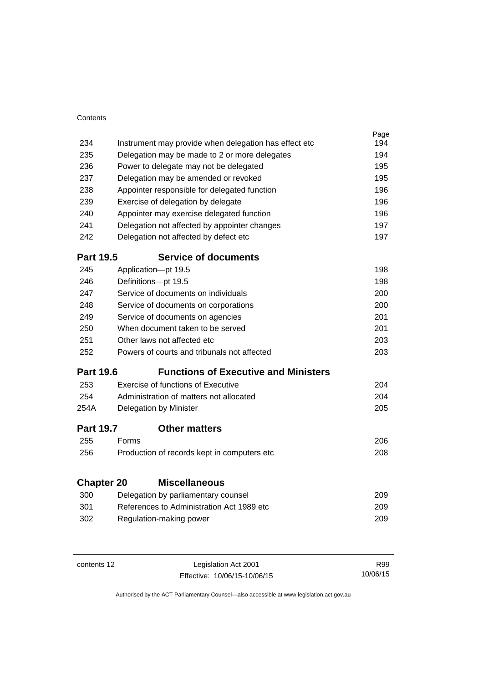| Contents          |                                                       |                                                                                  |            |
|-------------------|-------------------------------------------------------|----------------------------------------------------------------------------------|------------|
|                   |                                                       |                                                                                  | Page       |
| 234               | Instrument may provide when delegation has effect etc |                                                                                  | 194        |
| 235               | Delegation may be made to 2 or more delegates         |                                                                                  | 194        |
| 236               | Power to delegate may not be delegated                |                                                                                  | 195        |
| 237               | Delegation may be amended or revoked                  |                                                                                  | 195        |
| 238               |                                                       | Appointer responsible for delegated function                                     | 196        |
| 239               | Exercise of delegation by delegate                    |                                                                                  | 196        |
| 240               | Appointer may exercise delegated function             |                                                                                  | 196        |
| 241               |                                                       | Delegation not affected by appointer changes                                     | 197        |
| 242               | Delegation not affected by defect etc                 |                                                                                  |            |
| <b>Part 19.5</b>  |                                                       | <b>Service of documents</b>                                                      |            |
| 245               |                                                       | Application-pt 19.5                                                              | 198        |
| 246               |                                                       | Definitions-pt 19.5                                                              | 198        |
| 247               |                                                       | Service of documents on individuals                                              | 200        |
| 248               | Service of documents on corporations                  |                                                                                  |            |
| 249               | Service of documents on agencies                      |                                                                                  | 201        |
| 250               | When document taken to be served                      |                                                                                  |            |
| 251               | Other laws not affected etc                           |                                                                                  |            |
| 252               |                                                       | Powers of courts and tribunals not affected                                      | 203        |
| <b>Part 19.6</b>  |                                                       | <b>Functions of Executive and Ministers</b>                                      |            |
| 253               |                                                       | Exercise of functions of Executive                                               | 204        |
| 254               |                                                       | Administration of matters not allocated                                          | 204        |
| 254A              |                                                       | Delegation by Minister                                                           | 205        |
| <b>Part 19.7</b>  |                                                       | <b>Other matters</b>                                                             |            |
| 255               | Forms                                                 |                                                                                  | 206        |
| 256               |                                                       | Production of records kept in computers etc                                      | 208        |
| <b>Chapter 20</b> |                                                       | <b>Miscellaneous</b>                                                             |            |
| 300               |                                                       |                                                                                  | 209        |
| 301               |                                                       | Delegation by parliamentary counsel<br>References to Administration Act 1989 etc |            |
| 302               |                                                       |                                                                                  | 209<br>209 |
|                   |                                                       | Regulation-making power                                                          |            |
|                   |                                                       |                                                                                  |            |

contents 12 Legislation Act 2001 Effective: 10/06/15-10/06/15

R99 10/06/15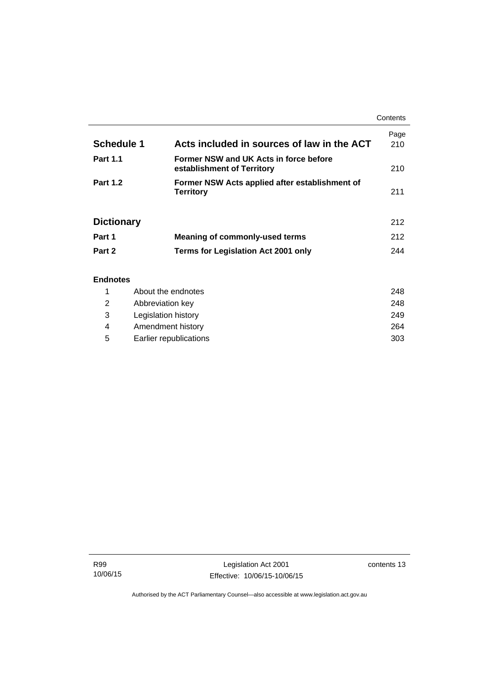|                   |                                                                      | Contents    |
|-------------------|----------------------------------------------------------------------|-------------|
| <b>Schedule 1</b> | Acts included in sources of law in the ACT                           | Page<br>210 |
| <b>Part 1.1</b>   | Former NSW and UK Acts in force before<br>establishment of Territory | 210         |
| <b>Part 1.2</b>   | Former NSW Acts applied after establishment of<br><b>Territory</b>   | 211         |
| <b>Dictionary</b> |                                                                      | 212         |
| Part 1            | <b>Meaning of commonly-used terms</b>                                | 212         |
| Part 2            | <b>Terms for Legislation Act 2001 only</b>                           | 244         |
| <b>Endnotes</b>   |                                                                      |             |

## 1 [About the endnotes 248](#page-263-1) 2 [Abbreviation key 248](#page-263-2) 3 [Legislation history 249](#page-264-0) 4 [Amendment history 264](#page-279-0) 5 [Earlier republications 303](#page-318-0)

j.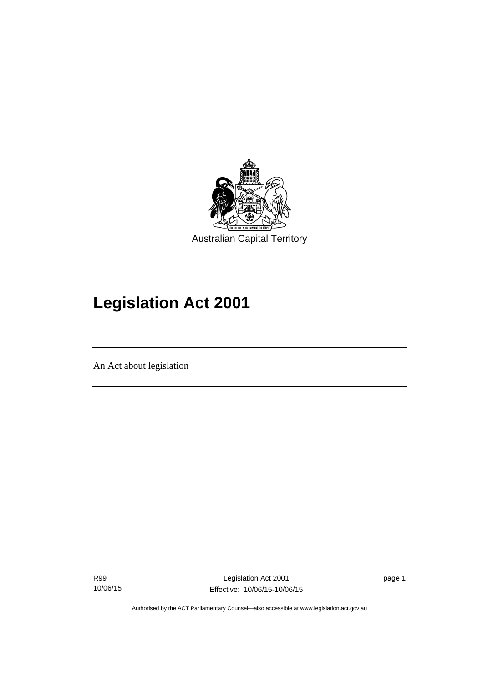

# **Legislation Act 2001**

An Act about legislation

Ī

R99 10/06/15

Legislation Act 2001 Effective: 10/06/15-10/06/15 page 1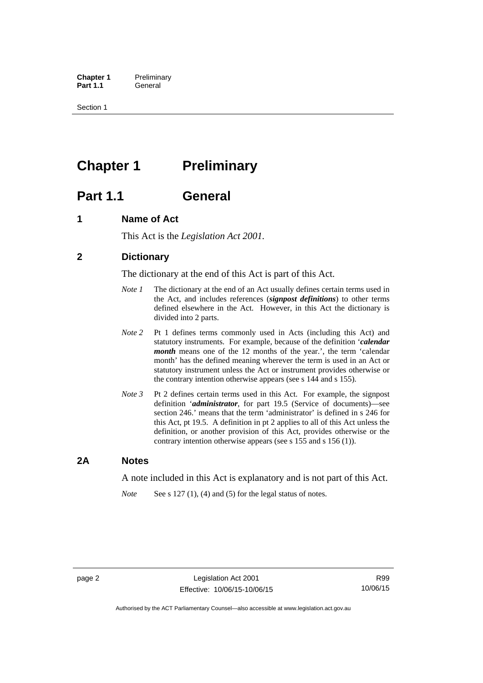**Chapter 1** Preliminary<br>**Part 1.1** General General

Section 1

## <span id="page-17-0"></span>**Chapter 1** Preliminary

## <span id="page-17-1"></span>**Part 1.1 General**

## <span id="page-17-2"></span>**1 Name of Act**

This Act is the *Legislation Act 2001.* 

## <span id="page-17-3"></span>**2 Dictionary**

The dictionary at the end of this Act is part of this Act.

- *Note 1* The dictionary at the end of an Act usually defines certain terms used in the Act, and includes references (*signpost definitions*) to other terms defined elsewhere in the Act. However, in this Act the dictionary is divided into 2 parts.
- *Note 2* Pt 1 defines terms commonly used in Acts (including this Act) and statutory instruments. For example, because of the definition '*calendar month* means one of the 12 months of the year.', the term 'calendar month' has the defined meaning wherever the term is used in an Act or statutory instrument unless the Act or instrument provides otherwise or the contrary intention otherwise appears (see s 144 and s 155).
- *Note 3* Pt 2 defines certain terms used in this Act. For example, the signpost definition '*administrator*, for part 19.5 (Service of documents)—see section 246.' means that the term 'administrator' is defined in s 246 for this Act, pt 19.5. A definition in pt 2 applies to all of this Act unless the definition, or another provision of this Act, provides otherwise or the contrary intention otherwise appears (see s 155 and s 156 (1)).

### <span id="page-17-4"></span>**2A Notes**

A note included in this Act is explanatory and is not part of this Act.

*Note* See s 127 (1), (4) and (5) for the legal status of notes.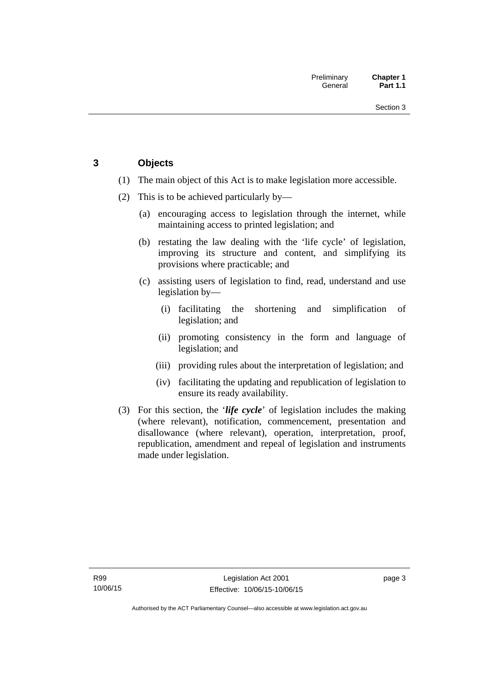## <span id="page-18-0"></span>**3 Objects**

- (1) The main object of this Act is to make legislation more accessible.
- (2) This is to be achieved particularly by—
	- (a) encouraging access to legislation through the internet, while maintaining access to printed legislation; and
	- (b) restating the law dealing with the 'life cycle' of legislation, improving its structure and content, and simplifying its provisions where practicable; and
	- (c) assisting users of legislation to find, read, understand and use legislation by—
		- (i) facilitating the shortening and simplification of legislation; and
		- (ii) promoting consistency in the form and language of legislation; and
		- (iii) providing rules about the interpretation of legislation; and
		- (iv) facilitating the updating and republication of legislation to ensure its ready availability.
- (3) For this section, the '*life cycle*' of legislation includes the making (where relevant), notification, commencement, presentation and disallowance (where relevant), operation, interpretation, proof, republication, amendment and repeal of legislation and instruments made under legislation.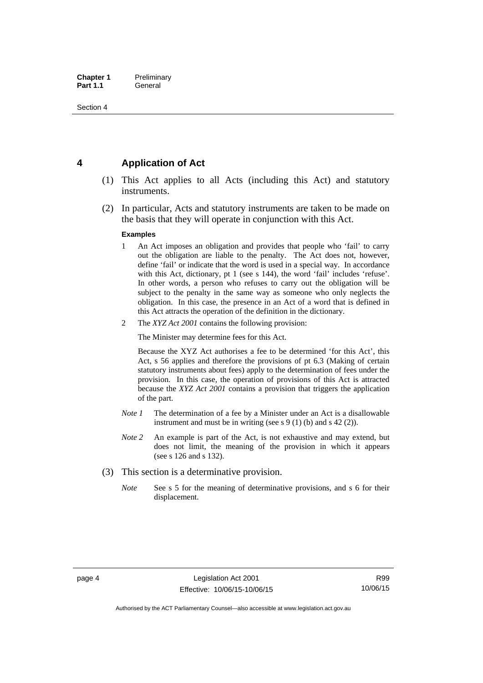## <span id="page-19-0"></span>**4 Application of Act**

- (1) This Act applies to all Acts (including this Act) and statutory instruments.
- (2) In particular, Acts and statutory instruments are taken to be made on the basis that they will operate in conjunction with this Act.

#### **Examples**

- 1 An Act imposes an obligation and provides that people who 'fail' to carry out the obligation are liable to the penalty. The Act does not, however, define 'fail' or indicate that the word is used in a special way. In accordance with this Act, dictionary, pt 1 (see s 144), the word 'fail' includes 'refuse'. In other words, a person who refuses to carry out the obligation will be subject to the penalty in the same way as someone who only neglects the obligation. In this case, the presence in an Act of a word that is defined in this Act attracts the operation of the definition in the dictionary.
- 2 The *XYZ Act 2001* contains the following provision:

The Minister may determine fees for this Act.

Because the XYZ Act authorises a fee to be determined 'for this Act', this Act, s 56 applies and therefore the provisions of pt 6.3 (Making of certain statutory instruments about fees) apply to the determination of fees under the provision. In this case, the operation of provisions of this Act is attracted because the *XYZ Act 2001* contains a provision that triggers the application of the part.

- *Note 1* The determination of a fee by a Minister under an Act is a disallowable instrument and must be in writing (see s 9 (1) (b) and s 42 (2)).
- *Note 2* An example is part of the Act, is not exhaustive and may extend, but does not limit, the meaning of the provision in which it appears (see s 126 and s 132).
- (3) This section is a determinative provision.
	- *Note* See s 5 for the meaning of determinative provisions, and s 6 for their displacement.

Authorised by the ACT Parliamentary Counsel—also accessible at www.legislation.act.gov.au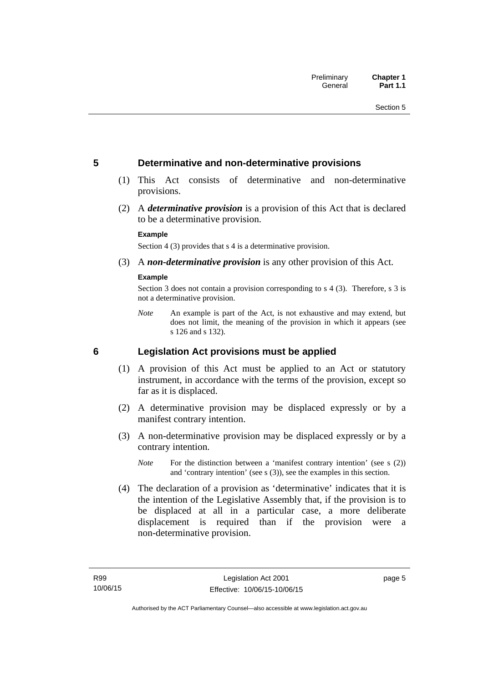### <span id="page-20-0"></span>**5 Determinative and non-determinative provisions**

- (1) This Act consists of determinative and non-determinative provisions.
- (2) A *determinative provision* is a provision of this Act that is declared to be a determinative provision.

#### **Example**

Section 4 (3) provides that s 4 is a determinative provision.

(3) A *non-determinative provision* is any other provision of this Act.

#### **Example**

Section 3 does not contain a provision corresponding to s 4 (3). Therefore, s 3 is not a determinative provision.

*Note* An example is part of the Act, is not exhaustive and may extend, but does not limit, the meaning of the provision in which it appears (see s 126 and s 132).

### <span id="page-20-1"></span>**6 Legislation Act provisions must be applied**

- (1) A provision of this Act must be applied to an Act or statutory instrument, in accordance with the terms of the provision, except so far as it is displaced.
- (2) A determinative provision may be displaced expressly or by a manifest contrary intention.
- (3) A non-determinative provision may be displaced expressly or by a contrary intention.
	- *Note* For the distinction between a 'manifest contrary intention' (see s (2)) and 'contrary intention' (see s (3)), see the examples in this section.
- (4) The declaration of a provision as 'determinative' indicates that it is the intention of the Legislative Assembly that, if the provision is to be displaced at all in a particular case, a more deliberate displacement is required than if the provision were a non-determinative provision.

page 5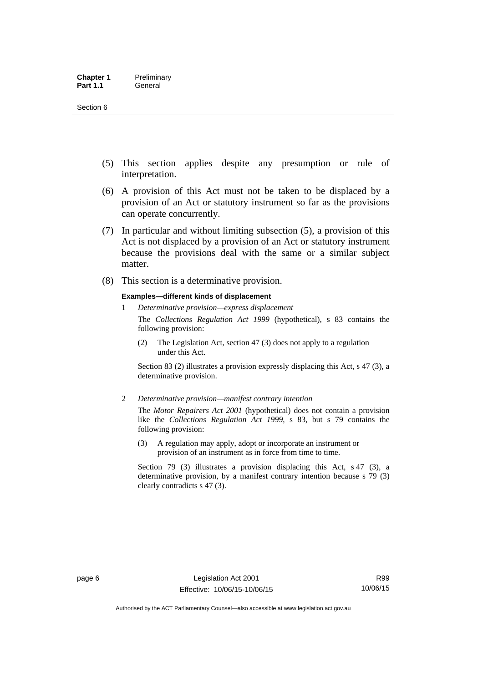- (5) This section applies despite any presumption or rule of interpretation.
- (6) A provision of this Act must not be taken to be displaced by a provision of an Act or statutory instrument so far as the provisions can operate concurrently.
- (7) In particular and without limiting subsection (5), a provision of this Act is not displaced by a provision of an Act or statutory instrument because the provisions deal with the same or a similar subject matter.
- (8) This section is a determinative provision.

#### **Examples—different kinds of displacement**

1 *Determinative provision—express displacement*

The *Collections Regulation Act 1999* (hypothetical), s 83 contains the following provision:

(2) The Legislation Act, section 47 (3) does not apply to a regulation under this Act.

Section 83 (2) illustrates a provision expressly displacing this Act, s 47 (3), a determinative provision.

2 *Determinative provision—manifest contrary intention*

The *Motor Repairers Act 2001* (hypothetical) does not contain a provision like the *Collections Regulation Act 1999*, s 83, but s 79 contains the following provision:

(3) A regulation may apply, adopt or incorporate an instrument or provision of an instrument as in force from time to time.

Section 79 (3) illustrates a provision displacing this Act, s 47 (3), a determinative provision, by a manifest contrary intention because s 79 (3) clearly contradicts s 47 (3).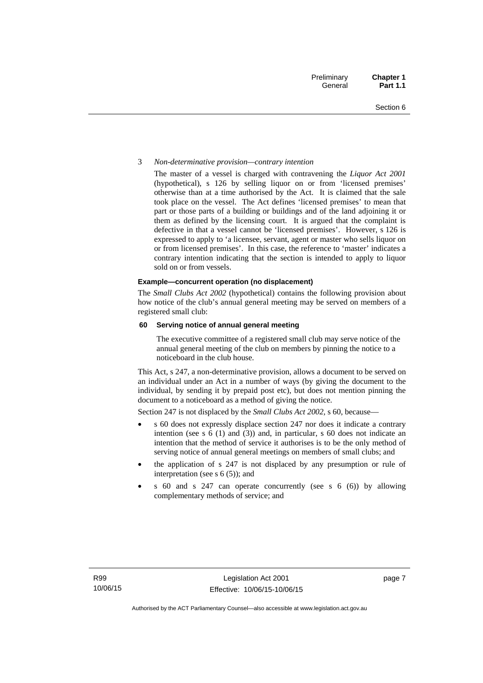#### 3 *Non-determinative provision—contrary intention*

The master of a vessel is charged with contravening the *Liquor Act 2001* (hypothetical), s 126 by selling liquor on or from 'licensed premises' otherwise than at a time authorised by the Act. It is claimed that the sale took place on the vessel. The Act defines 'licensed premises' to mean that part or those parts of a building or buildings and of the land adjoining it or them as defined by the licensing court. It is argued that the complaint is defective in that a vessel cannot be 'licensed premises'. However, s 126 is expressed to apply to 'a licensee, servant, agent or master who sells liquor on or from licensed premises'. In this case, the reference to 'master' indicates a contrary intention indicating that the section is intended to apply to liquor sold on or from vessels.

#### **Example—concurrent operation (no displacement)**

The *Small Clubs Act 2002* (hypothetical) contains the following provision about how notice of the club's annual general meeting may be served on members of a registered small club:

#### **60 Serving notice of annual general meeting**

The executive committee of a registered small club may serve notice of the annual general meeting of the club on members by pinning the notice to a noticeboard in the club house.

This Act, s 247, a non-determinative provision, allows a document to be served on an individual under an Act in a number of ways (by giving the document to the individual, by sending it by prepaid post etc), but does not mention pinning the document to a noticeboard as a method of giving the notice.

Section 247 is not displaced by the *Small Clubs Act 2002*, s 60, because—

- s 60 does not expressly displace section 247 nor does it indicate a contrary intention (see s 6 (1) and (3)) and, in particular, s 60 does not indicate an intention that the method of service it authorises is to be the only method of serving notice of annual general meetings on members of small clubs; and
- the application of s 247 is not displaced by any presumption or rule of interpretation (see s 6 (5)); and
- s 60 and s 247 can operate concurrently (see s 6 (6)) by allowing complementary methods of service; and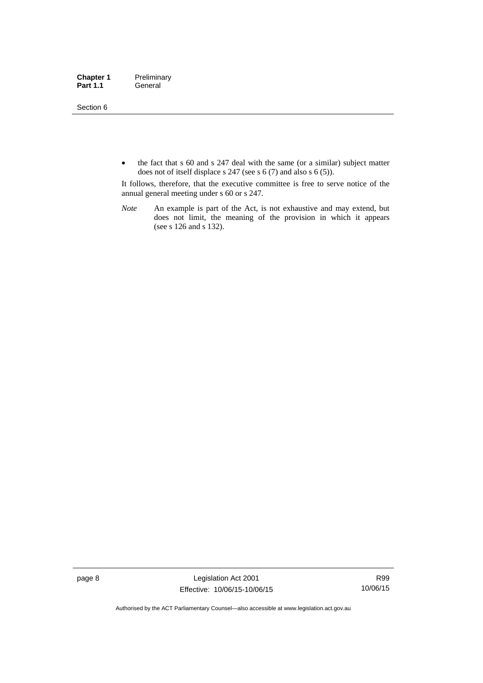Section 6

• the fact that s 60 and s 247 deal with the same (or a similar) subject matter does not of itself displace s 247 (see s 6 (7) and also s 6 (5)).

It follows, therefore, that the executive committee is free to serve notice of the annual general meeting under s 60 or s 247.

*Note* An example is part of the Act, is not exhaustive and may extend, but does not limit, the meaning of the provision in which it appears (see s 126 and s 132).

page 8 Legislation Act 2001 Effective: 10/06/15-10/06/15

R99 10/06/15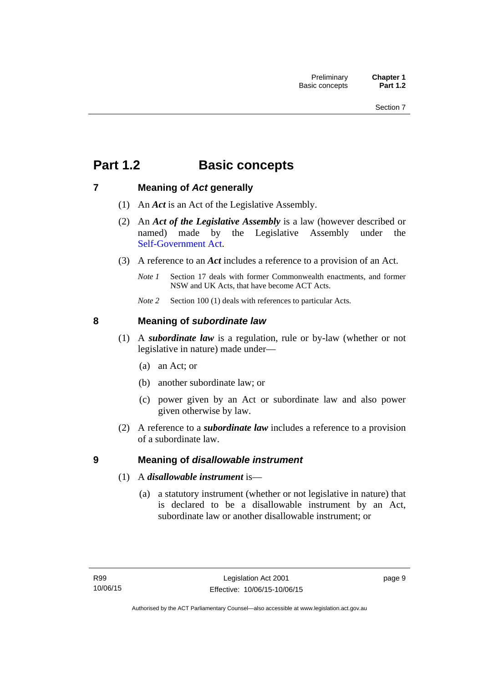## <span id="page-24-0"></span>**Part 1.2 Basic concepts**

## <span id="page-24-1"></span>**7 Meaning of** *Act* **generally**

- (1) An *Act* is an Act of the Legislative Assembly.
- (2) An *Act of the Legislative Assembly* is a law (however described or named) made by the Legislative Assembly under the [Self-Government Act.](http://www.comlaw.gov.au/Series/C2004A03699)
- (3) A reference to an *Act* includes a reference to a provision of an Act.
	- *Note 1* Section 17 deals with former Commonwealth enactments, and former NSW and UK Acts, that have become ACT Acts.
	- *Note 2* Section 100 (1) deals with references to particular Acts.

## <span id="page-24-2"></span>**8 Meaning of** *subordinate law*

- (1) A *subordinate law* is a regulation, rule or by-law (whether or not legislative in nature) made under—
	- (a) an Act; or
	- (b) another subordinate law; or
	- (c) power given by an Act or subordinate law and also power given otherwise by law.
- (2) A reference to a *subordinate law* includes a reference to a provision of a subordinate law.

## <span id="page-24-3"></span>**9 Meaning of** *disallowable instrument*

- (1) A *disallowable instrument* is—
	- (a) a statutory instrument (whether or not legislative in nature) that is declared to be a disallowable instrument by an Act, subordinate law or another disallowable instrument; or

page 9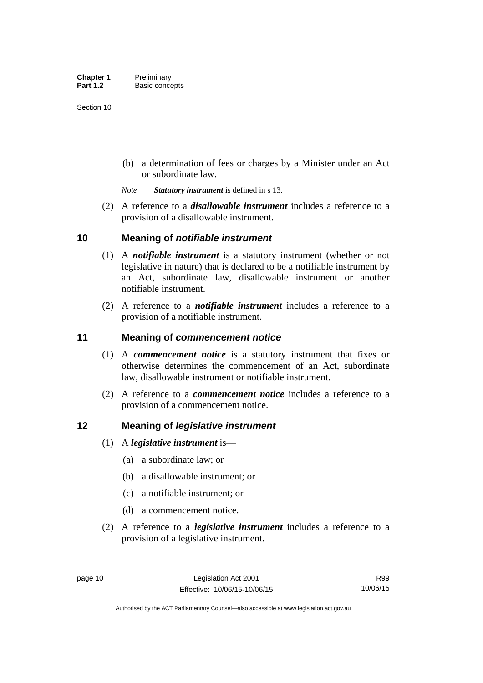(b) a determination of fees or charges by a Minister under an Act or subordinate law.

*Note Statutory instrument* is defined in s 13.

 (2) A reference to a *disallowable instrument* includes a reference to a provision of a disallowable instrument.

### <span id="page-25-0"></span>**10 Meaning of** *notifiable instrument*

- (1) A *notifiable instrument* is a statutory instrument (whether or not legislative in nature) that is declared to be a notifiable instrument by an Act, subordinate law, disallowable instrument or another notifiable instrument.
- (2) A reference to a *notifiable instrument* includes a reference to a provision of a notifiable instrument.

### <span id="page-25-1"></span>**11 Meaning of** *commencement notice*

- (1) A *commencement notice* is a statutory instrument that fixes or otherwise determines the commencement of an Act, subordinate law, disallowable instrument or notifiable instrument.
- (2) A reference to a *commencement notice* includes a reference to a provision of a commencement notice.

### <span id="page-25-2"></span>**12 Meaning of** *legislative instrument*

- (1) A *legislative instrument* is—
	- (a) a subordinate law; or
	- (b) a disallowable instrument; or
	- (c) a notifiable instrument; or
	- (d) a commencement notice.
- (2) A reference to a *legislative instrument* includes a reference to a provision of a legislative instrument.

R99 10/06/15

Authorised by the ACT Parliamentary Counsel—also accessible at www.legislation.act.gov.au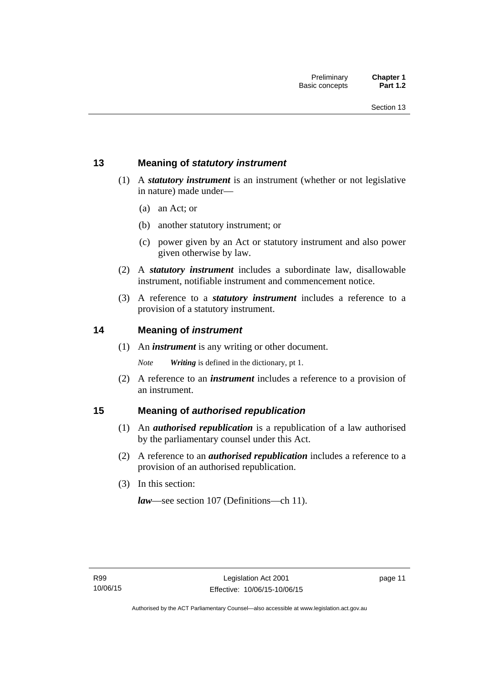## <span id="page-26-0"></span>**13 Meaning of** *statutory instrument*

- (1) A *statutory instrument* is an instrument (whether or not legislative in nature) made under—
	- (a) an Act; or
	- (b) another statutory instrument; or
	- (c) power given by an Act or statutory instrument and also power given otherwise by law.
- (2) A *statutory instrument* includes a subordinate law, disallowable instrument, notifiable instrument and commencement notice.
- (3) A reference to a *statutory instrument* includes a reference to a provision of a statutory instrument.

### <span id="page-26-1"></span>**14 Meaning of** *instrument*

(1) An *instrument* is any writing or other document.

*Note Writing* is defined in the dictionary, pt 1.

 (2) A reference to an *instrument* includes a reference to a provision of an instrument.

### <span id="page-26-2"></span>**15 Meaning of** *authorised republication*

- (1) An *authorised republication* is a republication of a law authorised by the parliamentary counsel under this Act.
- (2) A reference to an *authorised republication* includes a reference to a provision of an authorised republication.
- (3) In this section:

*law*—see section 107 (Definitions—ch 11).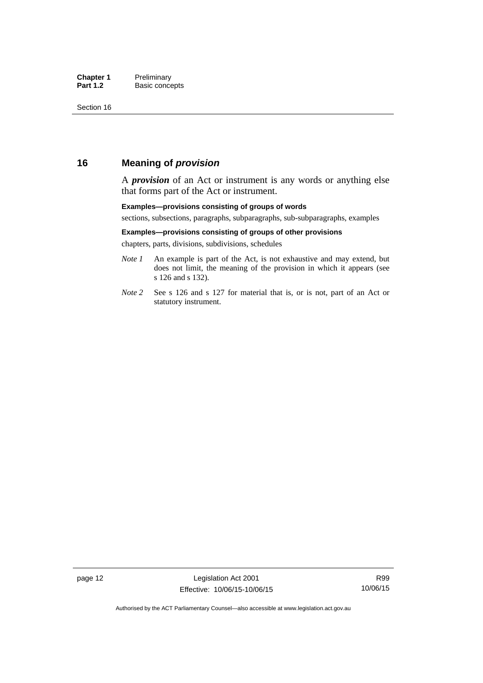## <span id="page-27-0"></span>**16 Meaning of** *provision*

A *provision* of an Act or instrument is any words or anything else that forms part of the Act or instrument.

#### **Examples—provisions consisting of groups of words**

sections, subsections, paragraphs, subparagraphs, sub-subparagraphs, examples

#### **Examples—provisions consisting of groups of other provisions**

chapters, parts, divisions, subdivisions, schedules

- *Note 1* An example is part of the Act, is not exhaustive and may extend, but does not limit, the meaning of the provision in which it appears (see s 126 and s 132).
- *Note 2* See s 126 and s 127 for material that is, or is not, part of an Act or statutory instrument.

R99 10/06/15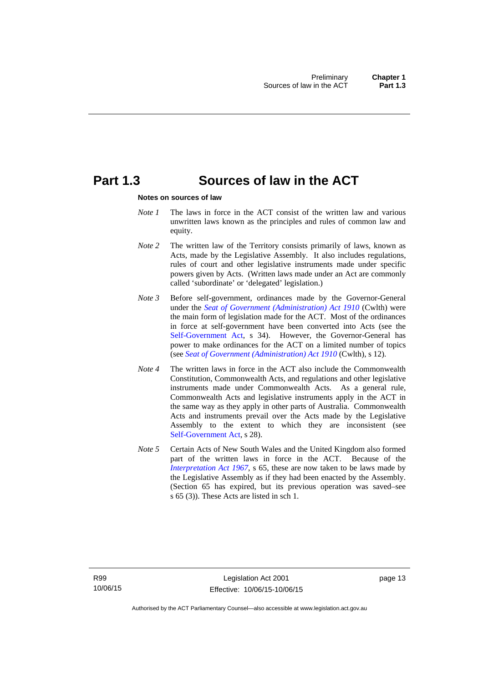## <span id="page-28-0"></span>**Part 1.3 Sources of law in the ACT**

#### **Notes on sources of law**

- *Note 1* The laws in force in the ACT consist of the written law and various unwritten laws known as the principles and rules of common law and equity.
- *Note* 2 The written law of the Territory consists primarily of laws, known as Acts, made by the Legislative Assembly. It also includes regulations, rules of court and other legislative instruments made under specific powers given by Acts. (Written laws made under an Act are commonly called 'subordinate' or 'delegated' legislation.)
- *Note 3* Before self-government, ordinances made by the Governor-General under the *[Seat of Government \(Administration\) Act 1910](http://www.comlaw.gov.au/Series/C2004A07446)* (Cwlth) were the main form of legislation made for the ACT. Most of the ordinances in force at self-government have been converted into Acts (see the [Self-Government Act,](http://www.comlaw.gov.au/Series/C2004A03699) s 34). However, the Governor-General has power to make ordinances for the ACT on a limited number of topics (see *[Seat of Government \(Administration\) Act 1910](http://www.comlaw.gov.au/Series/C2004A07446)* (Cwlth), s 12).
- *Note 4* The written laws in force in the ACT also include the Commonwealth Constitution, Commonwealth Acts, and regulations and other legislative instruments made under Commonwealth Acts. As a general rule, Commonwealth Acts and legislative instruments apply in the ACT in the same way as they apply in other parts of Australia. Commonwealth Acts and instruments prevail over the Acts made by the Legislative Assembly to the extent to which they are inconsistent (see [Self-Government Act](http://www.comlaw.gov.au/Series/C2004A03699), s 28).
- *Note 5* Certain Acts of New South Wales and the United Kingdom also formed part of the written laws in force in the ACT. Because of the *[Interpretation Act 1967](http://www.legislation.act.gov.au/a/1967-48)*, s 65, these are now taken to be laws made by the Legislative Assembly as if they had been enacted by the Assembly. (Section 65 has expired, but its previous operation was saved–see s 65 (3)). These Acts are listed in sch 1.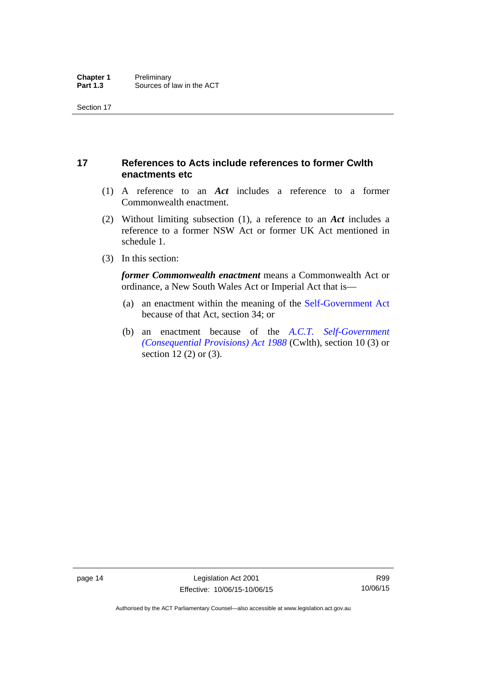## <span id="page-29-0"></span>**17 References to Acts include references to former Cwlth enactments etc**

- (1) A reference to an *Act* includes a reference to a former Commonwealth enactment.
- (2) Without limiting subsection (1), a reference to an *Act* includes a reference to a former NSW Act or former UK Act mentioned in schedule 1.
- (3) In this section:

*former Commonwealth enactment* means a Commonwealth Act or ordinance, a New South Wales Act or Imperial Act that is—

- (a) an enactment within the meaning of the [Self-Government Act](http://www.comlaw.gov.au/Series/C2004A03699) because of that Act, section 34; or
- (b) an enactment because of the *[A.C.T. Self-Government](http://www.comlaw.gov.au/Series/C2004A03702)  [\(Consequential Provisions\) Act 1988](http://www.comlaw.gov.au/Series/C2004A03702)* (Cwlth), section 10 (3) or section 12 (2) or (3).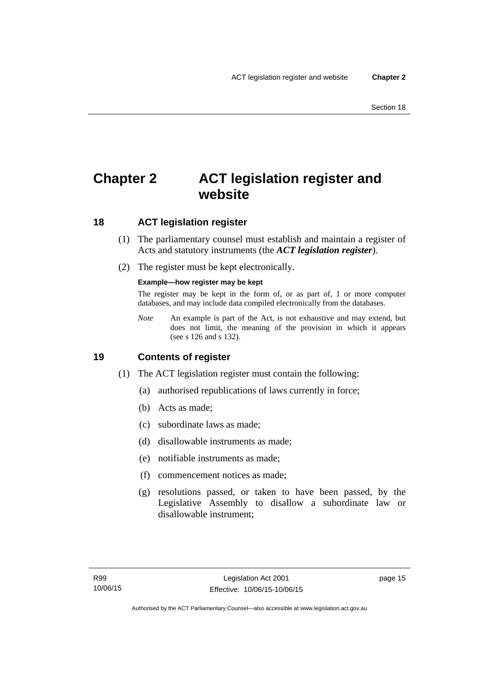## <span id="page-30-0"></span>**Chapter 2 ACT legislation register and website**

## <span id="page-30-1"></span>**18 ACT legislation register**

- (1) The parliamentary counsel must establish and maintain a register of Acts and statutory instruments (the *ACT legislation register*).
- (2) The register must be kept electronically.

### **Example—how register may be kept**

The register may be kept in the form of, or as part of, 1 or more computer databases, and may include data compiled electronically from the databases.

*Note* An example is part of the Act, is not exhaustive and may extend, but does not limit, the meaning of the provision in which it appears (see s 126 and s 132).

### <span id="page-30-2"></span>**19 Contents of register**

- (1) The ACT legislation register must contain the following:
	- (a) authorised republications of laws currently in force;
	- (b) Acts as made;
	- (c) subordinate laws as made;
	- (d) disallowable instruments as made;
	- (e) notifiable instruments as made;
	- (f) commencement notices as made;
	- (g) resolutions passed, or taken to have been passed, by the Legislative Assembly to disallow a subordinate law or disallowable instrument;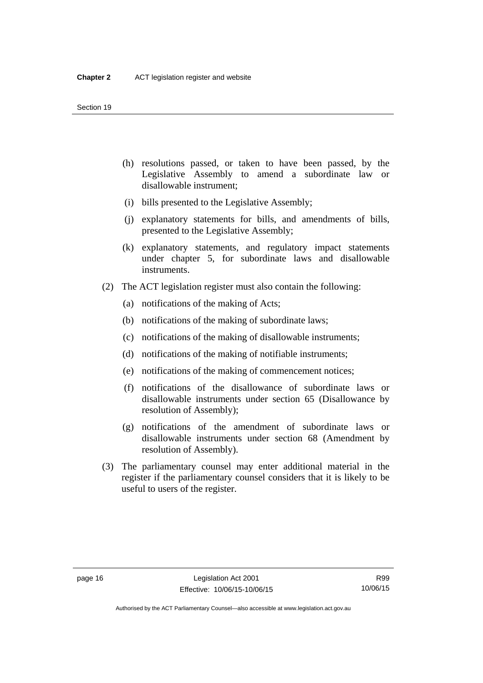- (h) resolutions passed, or taken to have been passed, by the Legislative Assembly to amend a subordinate law or disallowable instrument;
- (i) bills presented to the Legislative Assembly;
- (j) explanatory statements for bills, and amendments of bills, presented to the Legislative Assembly;
- (k) explanatory statements, and regulatory impact statements under chapter 5, for subordinate laws and disallowable instruments.
- (2) The ACT legislation register must also contain the following:
	- (a) notifications of the making of Acts;
	- (b) notifications of the making of subordinate laws;
	- (c) notifications of the making of disallowable instruments;
	- (d) notifications of the making of notifiable instruments;
	- (e) notifications of the making of commencement notices;
	- (f) notifications of the disallowance of subordinate laws or disallowable instruments under section 65 (Disallowance by resolution of Assembly);
	- (g) notifications of the amendment of subordinate laws or disallowable instruments under section 68 (Amendment by resolution of Assembly).
- (3) The parliamentary counsel may enter additional material in the register if the parliamentary counsel considers that it is likely to be useful to users of the register.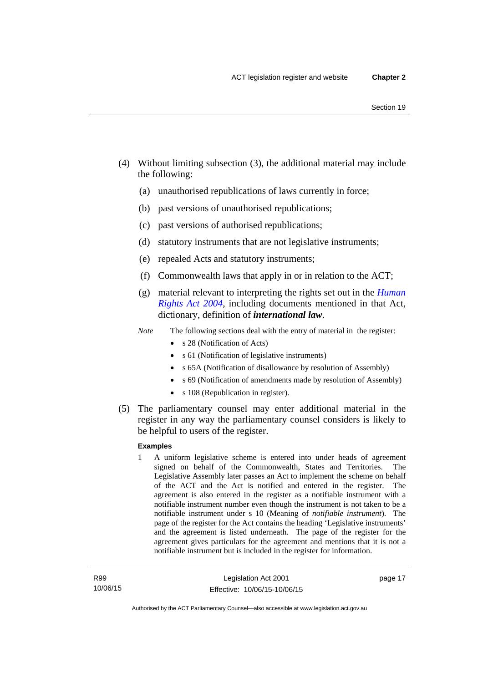- (4) Without limiting subsection (3), the additional material may include the following:
	- (a) unauthorised republications of laws currently in force;
	- (b) past versions of unauthorised republications;
	- (c) past versions of authorised republications;
	- (d) statutory instruments that are not legislative instruments;
	- (e) repealed Acts and statutory instruments;
	- (f) Commonwealth laws that apply in or in relation to the ACT;
	- (g) material relevant to interpreting the rights set out in the *[Human](http://www.legislation.act.gov.au/a/2004-5)  [Rights Act 2004](http://www.legislation.act.gov.au/a/2004-5)*, including documents mentioned in that Act, dictionary, definition of *international law*.
	- *Note* The following sections deal with the entry of material in the register:
		- s 28 (Notification of Acts)
		- s 61 (Notification of legislative instruments)
		- s 65A (Notification of disallowance by resolution of Assembly)
		- s 69 (Notification of amendments made by resolution of Assembly)
		- s 108 (Republication in register).
- (5) The parliamentary counsel may enter additional material in the register in any way the parliamentary counsel considers is likely to be helpful to users of the register.

#### **Examples**

1 A uniform legislative scheme is entered into under heads of agreement signed on behalf of the Commonwealth, States and Territories. The Legislative Assembly later passes an Act to implement the scheme on behalf of the ACT and the Act is notified and entered in the register. The agreement is also entered in the register as a notifiable instrument with a notifiable instrument number even though the instrument is not taken to be a notifiable instrument under s 10 (Meaning of *notifiable instrument*). The page of the register for the Act contains the heading 'Legislative instruments' and the agreement is listed underneath. The page of the register for the agreement gives particulars for the agreement and mentions that it is not a notifiable instrument but is included in the register for information.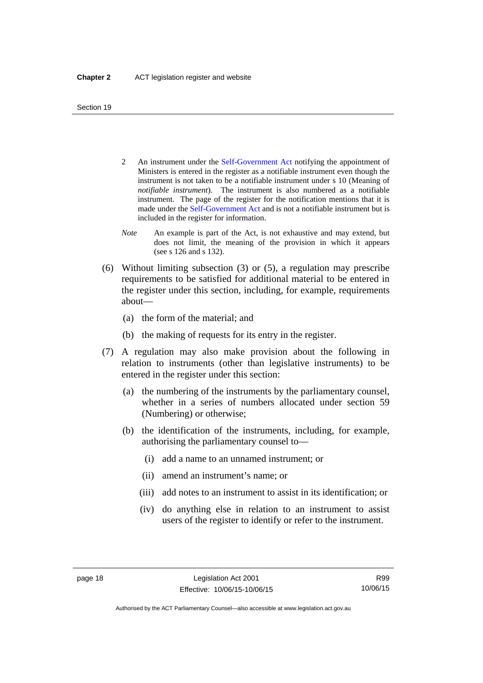- 2 An instrument under the [Self-Government Act](http://www.comlaw.gov.au/Series/C2004A03699) notifying the appointment of Ministers is entered in the register as a notifiable instrument even though the instrument is not taken to be a notifiable instrument under s 10 (Meaning of *notifiable instrument*). The instrument is also numbered as a notifiable instrument. The page of the register for the notification mentions that it is made under the [Self-Government Act](http://www.comlaw.gov.au/Series/C2004A03699) and is not a notifiable instrument but is included in the register for information.
- *Note* An example is part of the Act, is not exhaustive and may extend, but does not limit, the meaning of the provision in which it appears (see s 126 and s 132).
- (6) Without limiting subsection (3) or (5), a regulation may prescribe requirements to be satisfied for additional material to be entered in the register under this section, including, for example, requirements about—
	- (a) the form of the material; and
	- (b) the making of requests for its entry in the register.
- (7) A regulation may also make provision about the following in relation to instruments (other than legislative instruments) to be entered in the register under this section:
	- (a) the numbering of the instruments by the parliamentary counsel, whether in a series of numbers allocated under section 59 (Numbering) or otherwise;
	- (b) the identification of the instruments, including, for example, authorising the parliamentary counsel to—
		- (i) add a name to an unnamed instrument; or
		- (ii) amend an instrument's name; or
		- (iii) add notes to an instrument to assist in its identification; or
		- (iv) do anything else in relation to an instrument to assist users of the register to identify or refer to the instrument.

Authorised by the ACT Parliamentary Counsel—also accessible at www.legislation.act.gov.au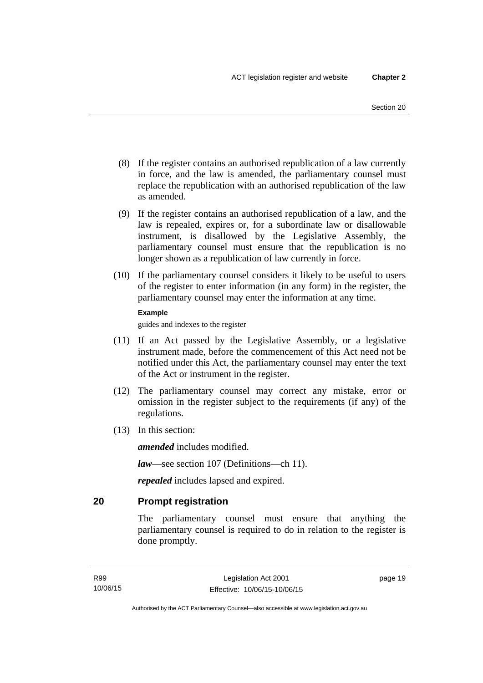- (8) If the register contains an authorised republication of a law currently in force, and the law is amended, the parliamentary counsel must replace the republication with an authorised republication of the law as amended.
- (9) If the register contains an authorised republication of a law, and the law is repealed, expires or, for a subordinate law or disallowable instrument, is disallowed by the Legislative Assembly, the parliamentary counsel must ensure that the republication is no longer shown as a republication of law currently in force.
- (10) If the parliamentary counsel considers it likely to be useful to users of the register to enter information (in any form) in the register, the parliamentary counsel may enter the information at any time.

#### **Example**

guides and indexes to the register

- (11) If an Act passed by the Legislative Assembly, or a legislative instrument made, before the commencement of this Act need not be notified under this Act, the parliamentary counsel may enter the text of the Act or instrument in the register.
- (12) The parliamentary counsel may correct any mistake, error or omission in the register subject to the requirements (if any) of the regulations.
- (13) In this section:

*amended* includes modified.

*law*—see section 107 (Definitions—ch 11).

*repealed* includes lapsed and expired.

## <span id="page-34-0"></span>**20 Prompt registration**

The parliamentary counsel must ensure that anything the parliamentary counsel is required to do in relation to the register is done promptly.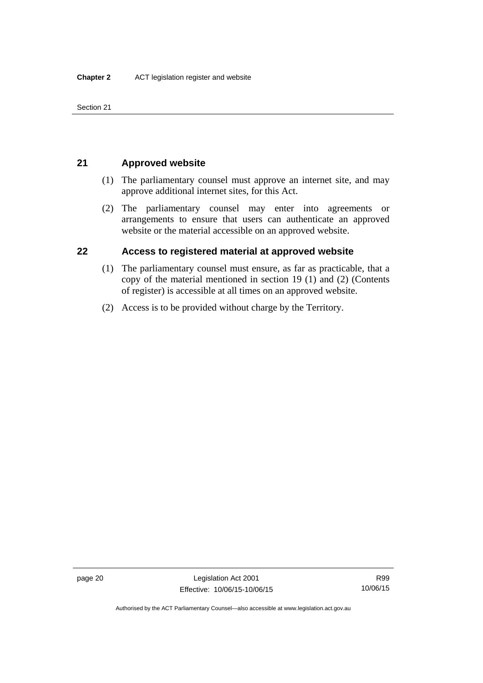Section 21

## <span id="page-35-0"></span>**21 Approved website**

- (1) The parliamentary counsel must approve an internet site, and may approve additional internet sites, for this Act.
- (2) The parliamentary counsel may enter into agreements or arrangements to ensure that users can authenticate an approved website or the material accessible on an approved website.

## <span id="page-35-1"></span>**22 Access to registered material at approved website**

- (1) The parliamentary counsel must ensure, as far as practicable, that a copy of the material mentioned in section 19 (1) and (2) (Contents of register) is accessible at all times on an approved website.
- (2) Access is to be provided without charge by the Territory.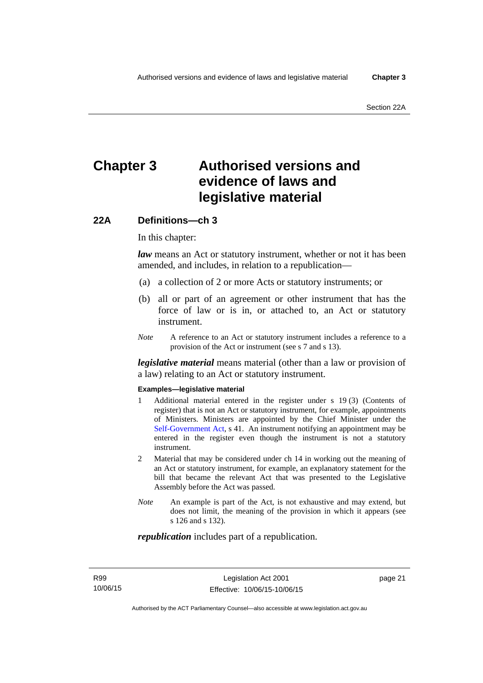# **Chapter 3 Authorised versions and evidence of laws and legislative material**

## **22A Definitions—ch 3**

In this chapter:

*law* means an Act or statutory instrument, whether or not it has been amended, and includes, in relation to a republication—

- (a) a collection of 2 or more Acts or statutory instruments; or
- (b) all or part of an agreement or other instrument that has the force of law or is in, or attached to, an Act or statutory instrument.
- *Note* A reference to an Act or statutory instrument includes a reference to a provision of the Act or instrument (see s 7 and s 13).

*legislative material* means material (other than a law or provision of a law) relating to an Act or statutory instrument.

#### **Examples—legislative material**

- 1 Additional material entered in the register under s 19 (3) (Contents of register) that is not an Act or statutory instrument, for example, appointments of Ministers. Ministers are appointed by the Chief Minister under the [Self-Government Act,](http://www.comlaw.gov.au/Series/C2004A03699) s 41. An instrument notifying an appointment may be entered in the register even though the instrument is not a statutory instrument.
- 2 Material that may be considered under ch 14 in working out the meaning of an Act or statutory instrument, for example, an explanatory statement for the bill that became the relevant Act that was presented to the Legislative Assembly before the Act was passed.
- *Note* An example is part of the Act, is not exhaustive and may extend, but does not limit, the meaning of the provision in which it appears (see s 126 and s 132).

#### *republication* includes part of a republication.

page 21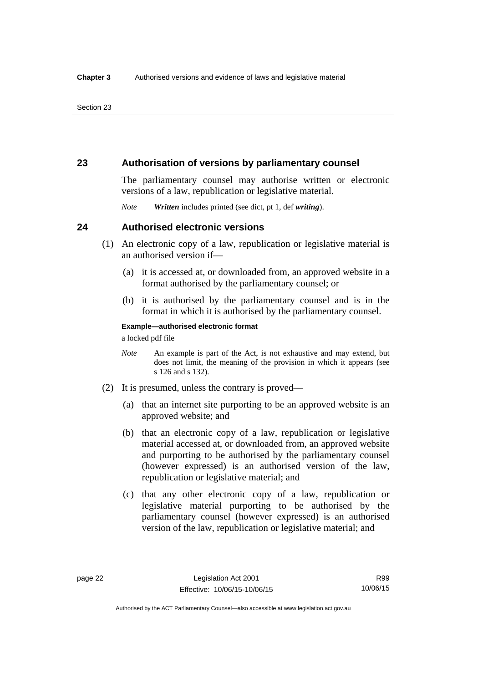### **23 Authorisation of versions by parliamentary counsel**

The parliamentary counsel may authorise written or electronic versions of a law, republication or legislative material.

*Note Written* includes printed (see dict, pt 1, def *writing*).

### **24 Authorised electronic versions**

- (1) An electronic copy of a law, republication or legislative material is an authorised version if—
	- (a) it is accessed at, or downloaded from, an approved website in a format authorised by the parliamentary counsel; or
	- (b) it is authorised by the parliamentary counsel and is in the format in which it is authorised by the parliamentary counsel.

**Example—authorised electronic format**  a locked pdf file

*Note* An example is part of the Act, is not exhaustive and may extend, but does not limit, the meaning of the provision in which it appears (see s 126 and s 132).

- (2) It is presumed, unless the contrary is proved—
	- (a) that an internet site purporting to be an approved website is an approved website; and
	- (b) that an electronic copy of a law, republication or legislative material accessed at, or downloaded from, an approved website and purporting to be authorised by the parliamentary counsel (however expressed) is an authorised version of the law, republication or legislative material; and
	- (c) that any other electronic copy of a law, republication or legislative material purporting to be authorised by the parliamentary counsel (however expressed) is an authorised version of the law, republication or legislative material; and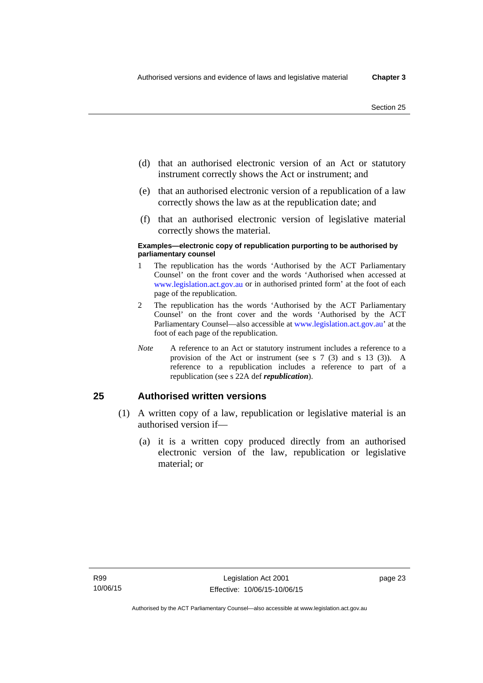- (d) that an authorised electronic version of an Act or statutory instrument correctly shows the Act or instrument; and
- (e) that an authorised electronic version of a republication of a law correctly shows the law as at the republication date; and
- (f) that an authorised electronic version of legislative material correctly shows the material.

#### **Examples—electronic copy of republication purporting to be authorised by parliamentary counsel**

- 1 The republication has the words 'Authorised by the ACT Parliamentary Counsel' on the front cover and the words 'Authorised when accessed at [www.legislation.act.gov.au](http://www.legislation.act.gov.au/) or in authorised printed form' at the foot of each page of the republication.
- 2 The republication has the words 'Authorised by the ACT Parliamentary Counsel' on the front cover and the words 'Authorised by the ACT Parliamentary Counsel—also accessible at [www.legislation.act.gov.au](http://www.legislation.act.gov.au/)' at the foot of each page of the republication.
- *Note* A reference to an Act or statutory instrument includes a reference to a provision of the Act or instrument (see s 7 (3) and s 13 (3)). A reference to a republication includes a reference to part of a republication (see s 22A def *republication*).

### **25 Authorised written versions**

- (1) A written copy of a law, republication or legislative material is an authorised version if—
	- (a) it is a written copy produced directly from an authorised electronic version of the law, republication or legislative material; or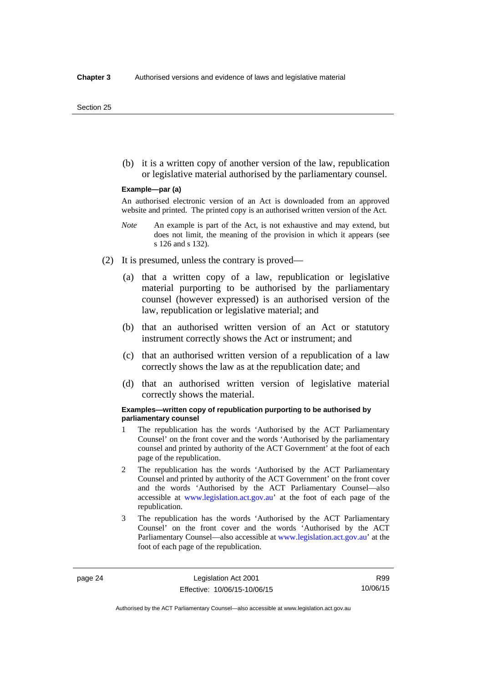(b) it is a written copy of another version of the law, republication or legislative material authorised by the parliamentary counsel.

#### **Example—par (a)**

An authorised electronic version of an Act is downloaded from an approved website and printed. The printed copy is an authorised written version of the Act.

- *Note* An example is part of the Act, is not exhaustive and may extend, but does not limit, the meaning of the provision in which it appears (see s 126 and s 132).
- (2) It is presumed, unless the contrary is proved—
	- (a) that a written copy of a law, republication or legislative material purporting to be authorised by the parliamentary counsel (however expressed) is an authorised version of the law, republication or legislative material; and
	- (b) that an authorised written version of an Act or statutory instrument correctly shows the Act or instrument; and
	- (c) that an authorised written version of a republication of a law correctly shows the law as at the republication date; and
	- (d) that an authorised written version of legislative material correctly shows the material.

#### **Examples—written copy of republication purporting to be authorised by parliamentary counsel**

- 1 The republication has the words 'Authorised by the ACT Parliamentary Counsel' on the front cover and the words 'Authorised by the parliamentary counsel and printed by authority of the ACT Government' at the foot of each page of the republication.
- 2 The republication has the words 'Authorised by the ACT Parliamentary Counsel and printed by authority of the ACT Government' on the front cover and the words 'Authorised by the ACT Parliamentary Counsel—also accessible at [www.legislation.act.gov.au'](http://www.legislation.act.gov.au/) at the foot of each page of the republication.
- 3 The republication has the words 'Authorised by the ACT Parliamentary Counsel' on the front cover and the words 'Authorised by the ACT Parliamentary Counsel—also accessible at [www.legislation.act.gov.au](http://www.legislation.act.gov.au/)' at the foot of each page of the republication.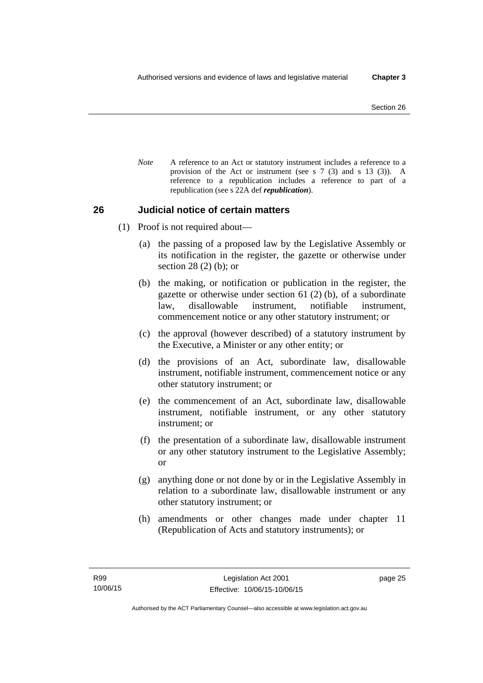*Note* A reference to an Act or statutory instrument includes a reference to a provision of the Act or instrument (see s 7 (3) and s 13 (3)). A reference to a republication includes a reference to part of a republication (see s 22A def *republication*).

### **26 Judicial notice of certain matters**

- (1) Proof is not required about—
	- (a) the passing of a proposed law by the Legislative Assembly or its notification in the register, the gazette or otherwise under section 28 (2) (b); or
	- (b) the making, or notification or publication in the register, the gazette or otherwise under section 61 (2) (b), of a subordinate law, disallowable instrument, notifiable instrument, commencement notice or any other statutory instrument; or
	- (c) the approval (however described) of a statutory instrument by the Executive, a Minister or any other entity; or
	- (d) the provisions of an Act, subordinate law, disallowable instrument, notifiable instrument, commencement notice or any other statutory instrument; or
	- (e) the commencement of an Act, subordinate law, disallowable instrument, notifiable instrument, or any other statutory instrument; or
	- (f) the presentation of a subordinate law, disallowable instrument or any other statutory instrument to the Legislative Assembly; or
	- (g) anything done or not done by or in the Legislative Assembly in relation to a subordinate law, disallowable instrument or any other statutory instrument; or
	- (h) amendments or other changes made under chapter 11 (Republication of Acts and statutory instruments); or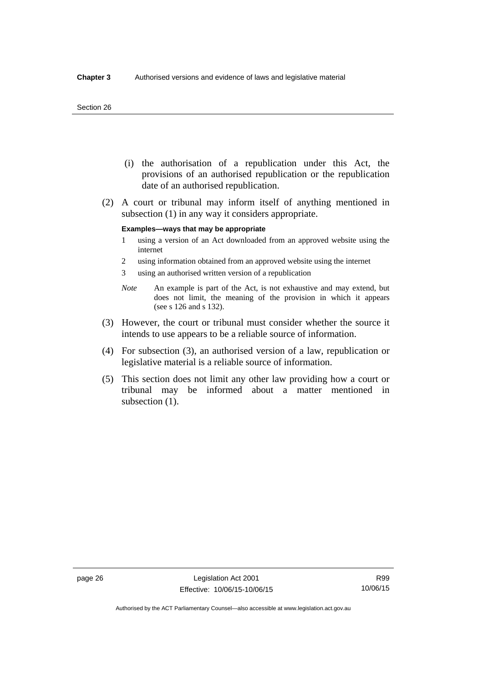#### Section 26

- (i) the authorisation of a republication under this Act, the provisions of an authorised republication or the republication date of an authorised republication.
- (2) A court or tribunal may inform itself of anything mentioned in subsection (1) in any way it considers appropriate.

#### **Examples—ways that may be appropriate**

- 1 using a version of an Act downloaded from an approved website using the internet
- 2 using information obtained from an approved website using the internet
- 3 using an authorised written version of a republication
- *Note* An example is part of the Act, is not exhaustive and may extend, but does not limit, the meaning of the provision in which it appears (see s 126 and s 132).
- (3) However, the court or tribunal must consider whether the source it intends to use appears to be a reliable source of information.
- (4) For subsection (3), an authorised version of a law, republication or legislative material is a reliable source of information.
- (5) This section does not limit any other law providing how a court or tribunal may be informed about a matter mentioned in subsection  $(1)$ .

R99 10/06/15

Authorised by the ACT Parliamentary Counsel—also accessible at www.legislation.act.gov.au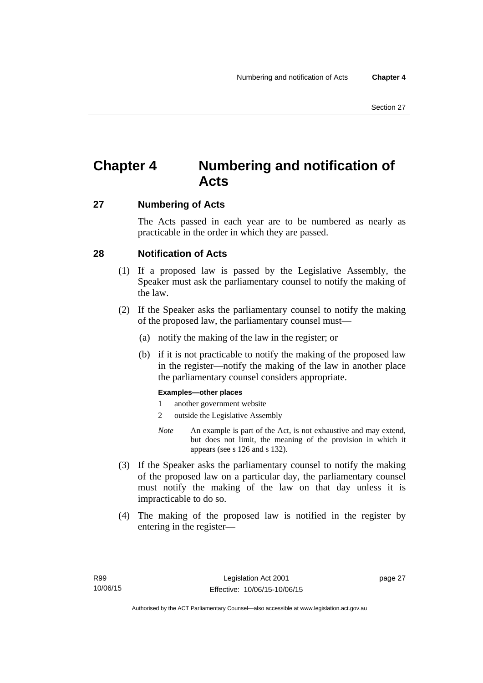# **Chapter 4 Numbering and notification of Acts**

### **27 Numbering of Acts**

The Acts passed in each year are to be numbered as nearly as practicable in the order in which they are passed.

### **28 Notification of Acts**

- (1) If a proposed law is passed by the Legislative Assembly, the Speaker must ask the parliamentary counsel to notify the making of the law.
- (2) If the Speaker asks the parliamentary counsel to notify the making of the proposed law, the parliamentary counsel must—
	- (a) notify the making of the law in the register; or
	- (b) if it is not practicable to notify the making of the proposed law in the register—notify the making of the law in another place the parliamentary counsel considers appropriate.

### **Examples—other places**

- 1 another government website
- 2 outside the Legislative Assembly
- *Note* An example is part of the Act, is not exhaustive and may extend, but does not limit, the meaning of the provision in which it appears (see s 126 and s 132).
- (3) If the Speaker asks the parliamentary counsel to notify the making of the proposed law on a particular day, the parliamentary counsel must notify the making of the law on that day unless it is impracticable to do so.
- (4) The making of the proposed law is notified in the register by entering in the register—

page 27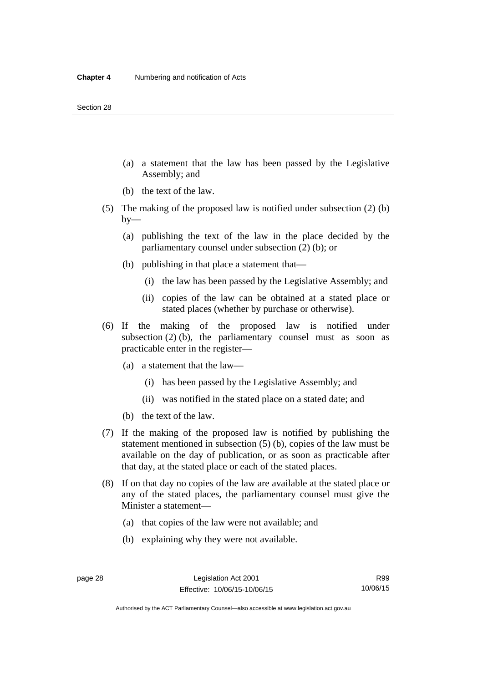- (a) a statement that the law has been passed by the Legislative Assembly; and
- (b) the text of the law.
- (5) The making of the proposed law is notified under subsection (2) (b)  $by-$ 
	- (a) publishing the text of the law in the place decided by the parliamentary counsel under subsection (2) (b); or
	- (b) publishing in that place a statement that—
		- (i) the law has been passed by the Legislative Assembly; and
		- (ii) copies of the law can be obtained at a stated place or stated places (whether by purchase or otherwise).
- (6) If the making of the proposed law is notified under subsection  $(2)$  (b), the parliamentary counsel must as soon as practicable enter in the register—
	- (a) a statement that the law—
		- (i) has been passed by the Legislative Assembly; and
		- (ii) was notified in the stated place on a stated date; and
	- (b) the text of the law.
- (7) If the making of the proposed law is notified by publishing the statement mentioned in subsection (5) (b), copies of the law must be available on the day of publication, or as soon as practicable after that day, at the stated place or each of the stated places.
- (8) If on that day no copies of the law are available at the stated place or any of the stated places, the parliamentary counsel must give the Minister a statement—
	- (a) that copies of the law were not available; and
	- (b) explaining why they were not available.

Authorised by the ACT Parliamentary Counsel—also accessible at www.legislation.act.gov.au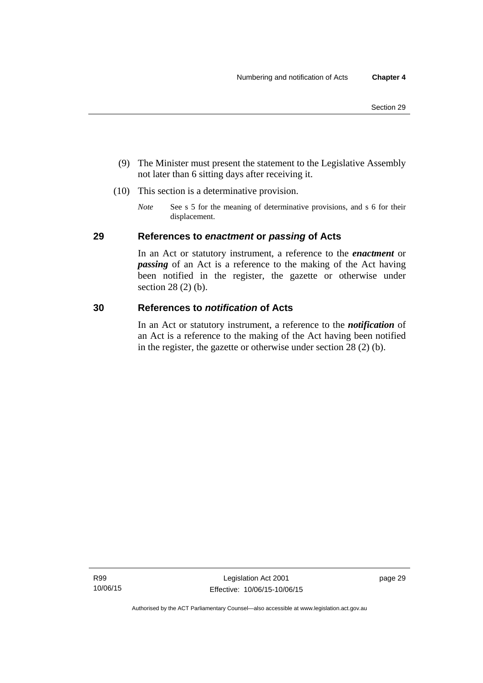- (9) The Minister must present the statement to the Legislative Assembly not later than 6 sitting days after receiving it.
- (10) This section is a determinative provision.
	- *Note* See s 5 for the meaning of determinative provisions, and s 6 for their displacement.

### **29 References to** *enactment* **or** *passing* **of Acts**

In an Act or statutory instrument, a reference to the *enactment* or *passing* of an Act is a reference to the making of the Act having been notified in the register, the gazette or otherwise under section 28 (2) (b).

### **30 References to** *notification* **of Acts**

In an Act or statutory instrument, a reference to the *notification* of an Act is a reference to the making of the Act having been notified in the register, the gazette or otherwise under section 28 (2) (b).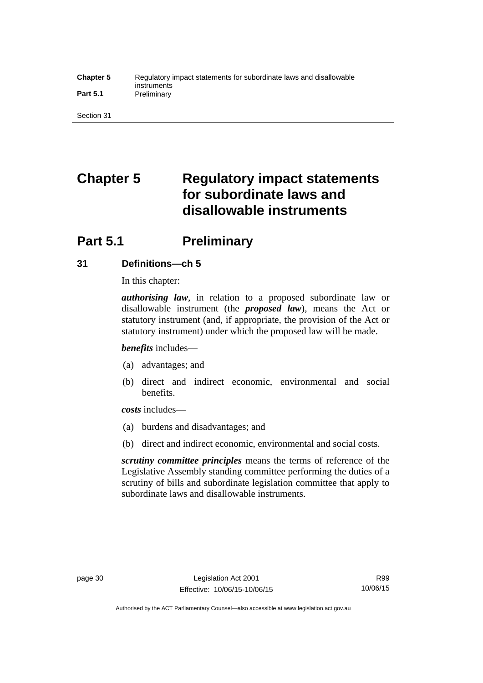#### **Chapter 5** Regulatory impact statements for subordinate laws and disallowable instruments Part 5.1 **Preliminary**

Section 31

# **Chapter 5 Regulatory impact statements for subordinate laws and disallowable instruments**

# **Part 5.1** Preliminary

### **31 Definitions—ch 5**

In this chapter:

*authorising law*, in relation to a proposed subordinate law or disallowable instrument (the *proposed law*), means the Act or statutory instrument (and, if appropriate, the provision of the Act or statutory instrument) under which the proposed law will be made.

*benefits* includes—

- (a) advantages; and
- (b) direct and indirect economic, environmental and social benefits.

*costs* includes—

- (a) burdens and disadvantages; and
- (b) direct and indirect economic, environmental and social costs.

*scrutiny committee principles* means the terms of reference of the Legislative Assembly standing committee performing the duties of a scrutiny of bills and subordinate legislation committee that apply to subordinate laws and disallowable instruments.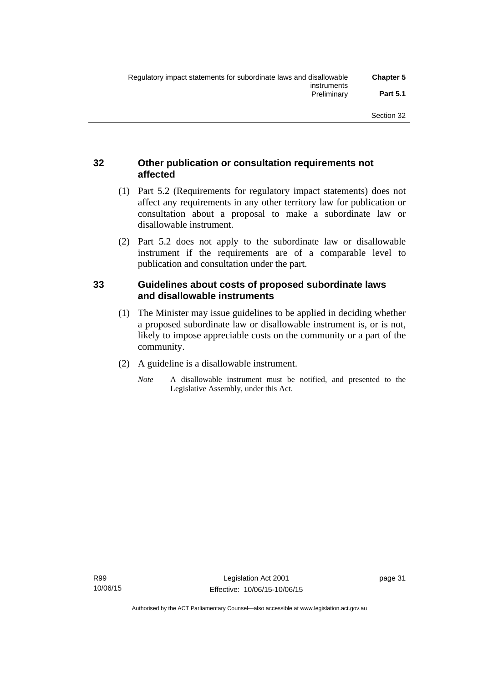### **32 Other publication or consultation requirements not affected**

- (1) Part 5.2 (Requirements for regulatory impact statements) does not affect any requirements in any other territory law for publication or consultation about a proposal to make a subordinate law or disallowable instrument.
- (2) Part 5.2 does not apply to the subordinate law or disallowable instrument if the requirements are of a comparable level to publication and consultation under the part.

### **33 Guidelines about costs of proposed subordinate laws and disallowable instruments**

- (1) The Minister may issue guidelines to be applied in deciding whether a proposed subordinate law or disallowable instrument is, or is not, likely to impose appreciable costs on the community or a part of the community.
- (2) A guideline is a disallowable instrument.
	- *Note* A disallowable instrument must be notified, and presented to the Legislative Assembly, under this Act.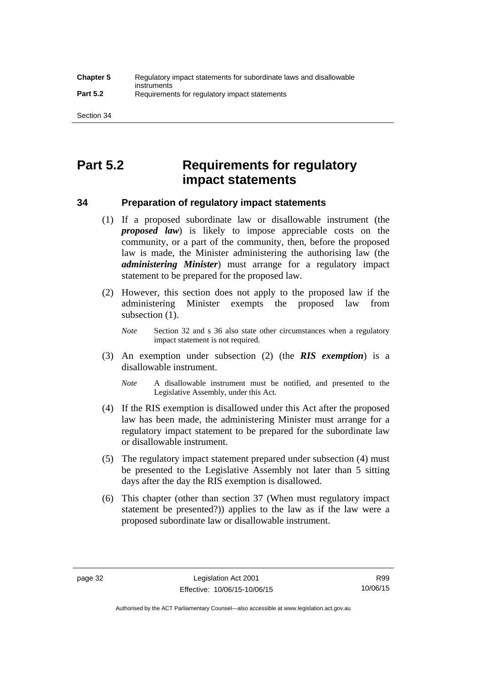# **Part 5.2 Requirements for regulatory impact statements**

### **34 Preparation of regulatory impact statements**

- (1) If a proposed subordinate law or disallowable instrument (the *proposed law*) is likely to impose appreciable costs on the community, or a part of the community, then, before the proposed law is made, the Minister administering the authorising law (the *administering Minister*) must arrange for a regulatory impact statement to be prepared for the proposed law.
- (2) However, this section does not apply to the proposed law if the administering Minister exempts the proposed law from subsection  $(1)$ .

*Note* Section 32 and s 36 also state other circumstances when a regulatory impact statement is not required.

- (3) An exemption under subsection (2) (the *RIS exemption*) is a disallowable instrument.
	- *Note* A disallowable instrument must be notified, and presented to the Legislative Assembly, under this Act.
- (4) If the RIS exemption is disallowed under this Act after the proposed law has been made, the administering Minister must arrange for a regulatory impact statement to be prepared for the subordinate law or disallowable instrument.
- (5) The regulatory impact statement prepared under subsection (4) must be presented to the Legislative Assembly not later than 5 sitting days after the day the RIS exemption is disallowed.
- (6) This chapter (other than section 37 (When must regulatory impact statement be presented?)) applies to the law as if the law were a proposed subordinate law or disallowable instrument.

Authorised by the ACT Parliamentary Counsel—also accessible at www.legislation.act.gov.au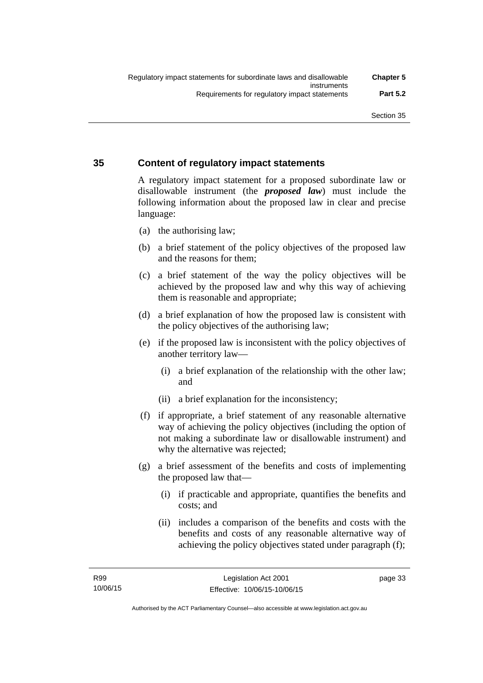### **35 Content of regulatory impact statements**

A regulatory impact statement for a proposed subordinate law or disallowable instrument (the *proposed law*) must include the following information about the proposed law in clear and precise language:

- (a) the authorising law;
- (b) a brief statement of the policy objectives of the proposed law and the reasons for them;
- (c) a brief statement of the way the policy objectives will be achieved by the proposed law and why this way of achieving them is reasonable and appropriate;
- (d) a brief explanation of how the proposed law is consistent with the policy objectives of the authorising law;
- (e) if the proposed law is inconsistent with the policy objectives of another territory law—
	- (i) a brief explanation of the relationship with the other law; and
	- (ii) a brief explanation for the inconsistency;
- (f) if appropriate, a brief statement of any reasonable alternative way of achieving the policy objectives (including the option of not making a subordinate law or disallowable instrument) and why the alternative was rejected;
- (g) a brief assessment of the benefits and costs of implementing the proposed law that—
	- (i) if practicable and appropriate, quantifies the benefits and costs; and
	- (ii) includes a comparison of the benefits and costs with the benefits and costs of any reasonable alternative way of achieving the policy objectives stated under paragraph (f);

page 33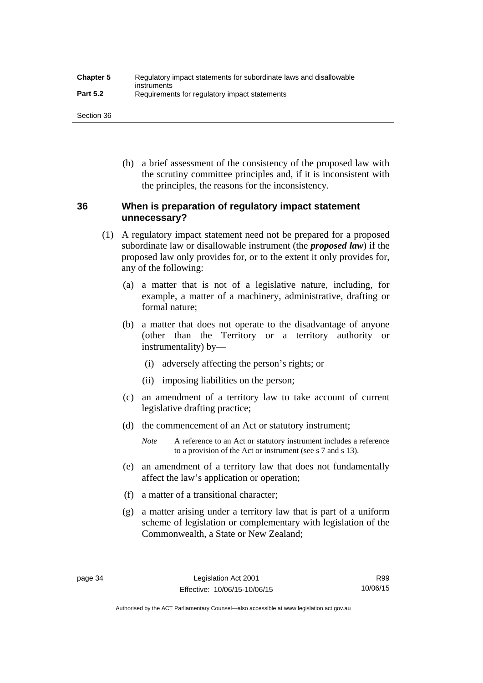| <b>Chapter 5</b> | Regulatory impact statements for subordinate laws and disallowable |
|------------------|--------------------------------------------------------------------|
| <b>Part 5.2</b>  | instruments<br>Requirements for regulatory impact statements       |

Section 36

 (h) a brief assessment of the consistency of the proposed law with the scrutiny committee principles and, if it is inconsistent with the principles, the reasons for the inconsistency.

### **36 When is preparation of regulatory impact statement unnecessary?**

- (1) A regulatory impact statement need not be prepared for a proposed subordinate law or disallowable instrument (the *proposed law*) if the proposed law only provides for, or to the extent it only provides for, any of the following:
	- (a) a matter that is not of a legislative nature, including, for example, a matter of a machinery, administrative, drafting or formal nature;
	- (b) a matter that does not operate to the disadvantage of anyone (other than the Territory or a territory authority or instrumentality) by—
		- (i) adversely affecting the person's rights; or
		- (ii) imposing liabilities on the person;
	- (c) an amendment of a territory law to take account of current legislative drafting practice;
	- (d) the commencement of an Act or statutory instrument;
		- *Note* A reference to an Act or statutory instrument includes a reference to a provision of the Act or instrument (see s 7 and s 13).
	- (e) an amendment of a territory law that does not fundamentally affect the law's application or operation;
	- (f) a matter of a transitional character;
	- (g) a matter arising under a territory law that is part of a uniform scheme of legislation or complementary with legislation of the Commonwealth, a State or New Zealand;

Authorised by the ACT Parliamentary Counsel—also accessible at www.legislation.act.gov.au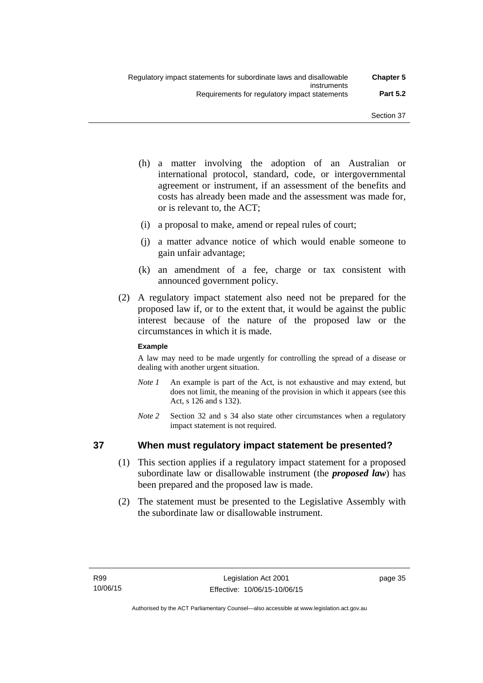- (h) a matter involving the adoption of an Australian or international protocol, standard, code, or intergovernmental agreement or instrument, if an assessment of the benefits and costs has already been made and the assessment was made for, or is relevant to, the ACT;
- (i) a proposal to make, amend or repeal rules of court;
- (j) a matter advance notice of which would enable someone to gain unfair advantage;
- (k) an amendment of a fee, charge or tax consistent with announced government policy.
- (2) A regulatory impact statement also need not be prepared for the proposed law if, or to the extent that, it would be against the public interest because of the nature of the proposed law or the circumstances in which it is made.

### **Example**

A law may need to be made urgently for controlling the spread of a disease or dealing with another urgent situation.

- *Note 1* An example is part of the Act, is not exhaustive and may extend, but does not limit, the meaning of the provision in which it appears (see this Act, s 126 and s 132).
- *Note* 2 Section 32 and s 34 also state other circumstances when a regulatory impact statement is not required.

### **37 When must regulatory impact statement be presented?**

- (1) This section applies if a regulatory impact statement for a proposed subordinate law or disallowable instrument (the *proposed law*) has been prepared and the proposed law is made.
- (2) The statement must be presented to the Legislative Assembly with the subordinate law or disallowable instrument.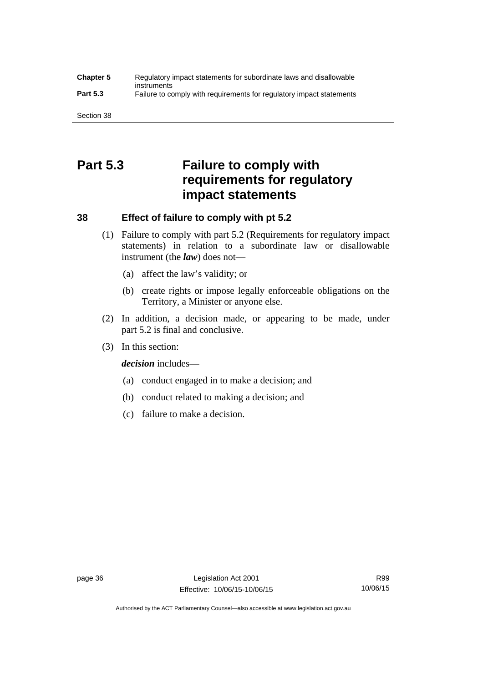### **Chapter 5** Regulatory impact statements for subordinate laws and disallowable instruments **Part 5.3** Failure to comply with requirements for regulatory impact statements

Section 38

# **Part 5.3 Failure to comply with requirements for regulatory impact statements**

## **38 Effect of failure to comply with pt 5.2**

- (1) Failure to comply with part 5.2 (Requirements for regulatory impact statements) in relation to a subordinate law or disallowable instrument (the *law*) does not—
	- (a) affect the law's validity; or
	- (b) create rights or impose legally enforceable obligations on the Territory, a Minister or anyone else.
- (2) In addition, a decision made, or appearing to be made, under part 5.2 is final and conclusive.
- (3) In this section:

*decision* includes—

- (a) conduct engaged in to make a decision; and
- (b) conduct related to making a decision; and
- (c) failure to make a decision.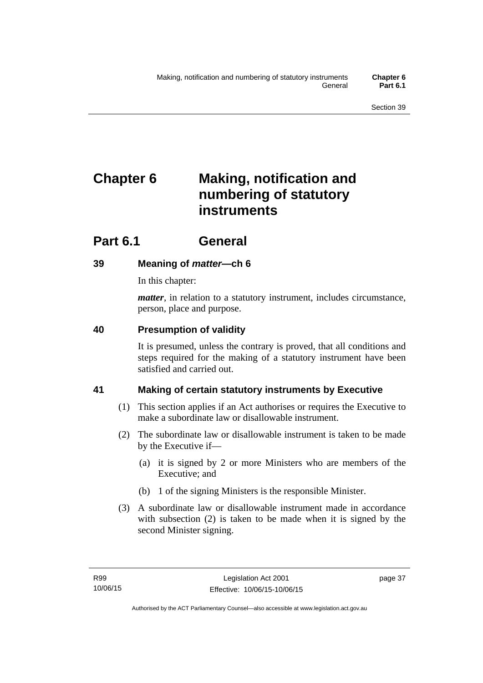# **Chapter 6 Making, notification and numbering of statutory instruments**

# **Part 6.1 General**

## **39 Meaning of** *matter***—ch 6**

In this chapter:

*matter*, in relation to a statutory instrument, includes circumstance, person, place and purpose.

## **40 Presumption of validity**

It is presumed, unless the contrary is proved, that all conditions and steps required for the making of a statutory instrument have been satisfied and carried out.

## **41 Making of certain statutory instruments by Executive**

- (1) This section applies if an Act authorises or requires the Executive to make a subordinate law or disallowable instrument.
- (2) The subordinate law or disallowable instrument is taken to be made by the Executive if—
	- (a) it is signed by 2 or more Ministers who are members of the Executive; and
	- (b) 1 of the signing Ministers is the responsible Minister.
- (3) A subordinate law or disallowable instrument made in accordance with subsection (2) is taken to be made when it is signed by the second Minister signing.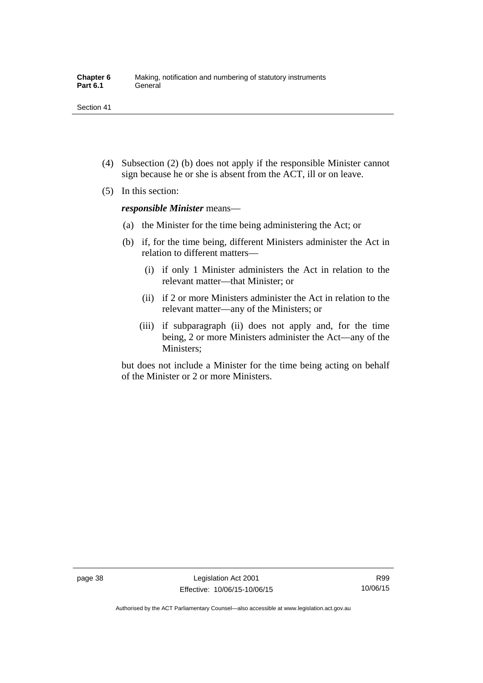- (4) Subsection (2) (b) does not apply if the responsible Minister cannot sign because he or she is absent from the ACT, ill or on leave.
- (5) In this section:

*responsible Minister* means—

- (a) the Minister for the time being administering the Act; or
- (b) if, for the time being, different Ministers administer the Act in relation to different matters—
	- (i) if only 1 Minister administers the Act in relation to the relevant matter—that Minister; or
	- (ii) if 2 or more Ministers administer the Act in relation to the relevant matter—any of the Ministers; or
	- (iii) if subparagraph (ii) does not apply and, for the time being, 2 or more Ministers administer the Act—any of the Ministers;

but does not include a Minister for the time being acting on behalf of the Minister or 2 or more Ministers.

R99 10/06/15

Authorised by the ACT Parliamentary Counsel—also accessible at www.legislation.act.gov.au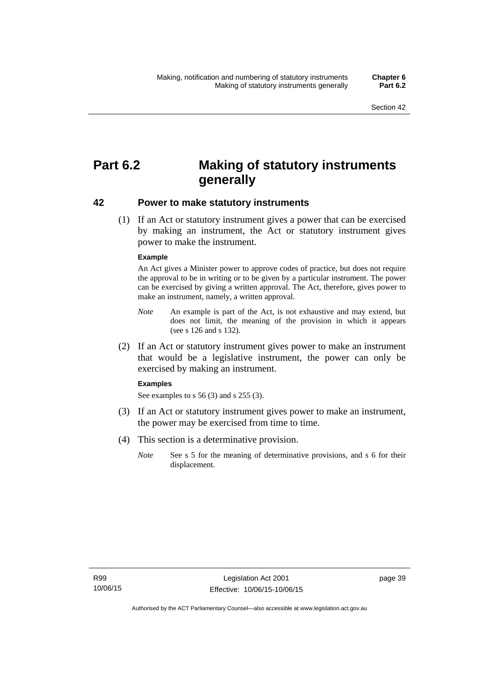# **Part 6.2 Making of statutory instruments generally**

### **42 Power to make statutory instruments**

 (1) If an Act or statutory instrument gives a power that can be exercised by making an instrument, the Act or statutory instrument gives power to make the instrument.

#### **Example**

An Act gives a Minister power to approve codes of practice, but does not require the approval to be in writing or to be given by a particular instrument. The power can be exercised by giving a written approval. The Act, therefore, gives power to make an instrument, namely, a written approval.

- *Note* An example is part of the Act, is not exhaustive and may extend, but does not limit, the meaning of the provision in which it appears (see s 126 and s 132).
- (2) If an Act or statutory instrument gives power to make an instrument that would be a legislative instrument, the power can only be exercised by making an instrument.

#### **Examples**

See examples to s 56 (3) and s 255 (3).

- (3) If an Act or statutory instrument gives power to make an instrument, the power may be exercised from time to time.
- (4) This section is a determinative provision.
	- *Note* See s 5 for the meaning of determinative provisions, and s 6 for their displacement.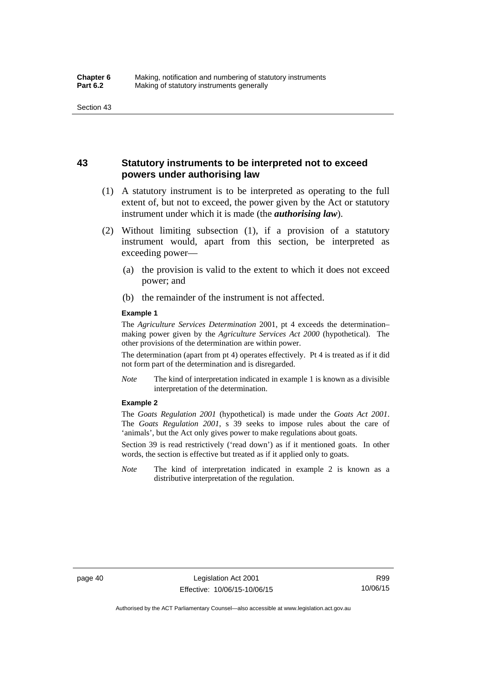### **43 Statutory instruments to be interpreted not to exceed powers under authorising law**

- (1) A statutory instrument is to be interpreted as operating to the full extent of, but not to exceed, the power given by the Act or statutory instrument under which it is made (the *authorising law*).
- (2) Without limiting subsection (1), if a provision of a statutory instrument would, apart from this section, be interpreted as exceeding power—
	- (a) the provision is valid to the extent to which it does not exceed power; and
	- (b) the remainder of the instrument is not affected.

#### **Example 1**

The *Agriculture Services Determination* 2001, pt 4 exceeds the determination– making power given by the *Agriculture Services Act 2000* (hypothetical). The other provisions of the determination are within power.

The determination (apart from pt 4) operates effectively. Pt 4 is treated as if it did not form part of the determination and is disregarded.

*Note* The kind of interpretation indicated in example 1 is known as a divisible interpretation of the determination.

#### **Example 2**

The *Goats Regulation 2001* (hypothetical) is made under the *Goats Act 2001*. The *Goats Regulation 2001*, s 39 seeks to impose rules about the care of 'animals', but the Act only gives power to make regulations about goats.

Section 39 is read restrictively ('read down') as if it mentioned goats. In other words, the section is effective but treated as if it applied only to goats.

*Note* The kind of interpretation indicated in example 2 is known as a distributive interpretation of the regulation.

R99 10/06/15

Authorised by the ACT Parliamentary Counsel—also accessible at www.legislation.act.gov.au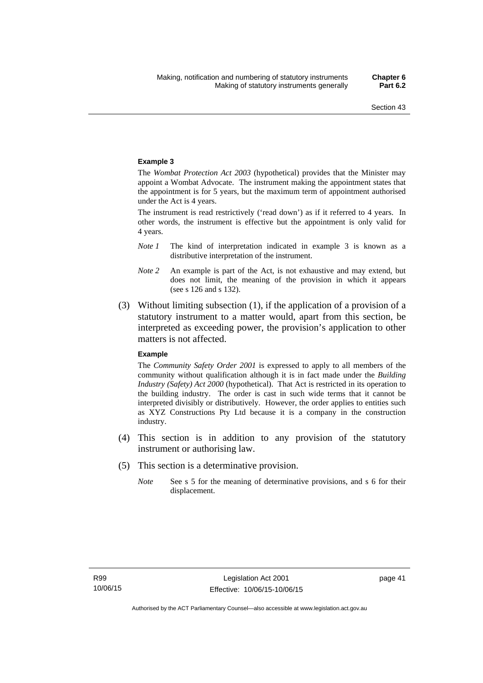#### **Example 3**

The *Wombat Protection Act 2003* (hypothetical) provides that the Minister may appoint a Wombat Advocate. The instrument making the appointment states that the appointment is for 5 years, but the maximum term of appointment authorised under the Act is 4 years.

The instrument is read restrictively ('read down') as if it referred to 4 years. In other words, the instrument is effective but the appointment is only valid for 4 years.

- *Note 1* The kind of interpretation indicated in example 3 is known as a distributive interpretation of the instrument.
- *Note 2* An example is part of the Act, is not exhaustive and may extend, but does not limit, the meaning of the provision in which it appears (see s 126 and s 132).
- (3) Without limiting subsection (1), if the application of a provision of a statutory instrument to a matter would, apart from this section, be interpreted as exceeding power, the provision's application to other matters is not affected.

#### **Example**

The *Community Safety Order 2001* is expressed to apply to all members of the community without qualification although it is in fact made under the *Building Industry (Safety) Act 2000* (hypothetical). That Act is restricted in its operation to the building industry. The order is cast in such wide terms that it cannot be interpreted divisibly or distributively. However, the order applies to entities such as XYZ Constructions Pty Ltd because it is a company in the construction industry.

- (4) This section is in addition to any provision of the statutory instrument or authorising law.
- (5) This section is a determinative provision.
	- *Note* See s 5 for the meaning of determinative provisions, and s 6 for their displacement.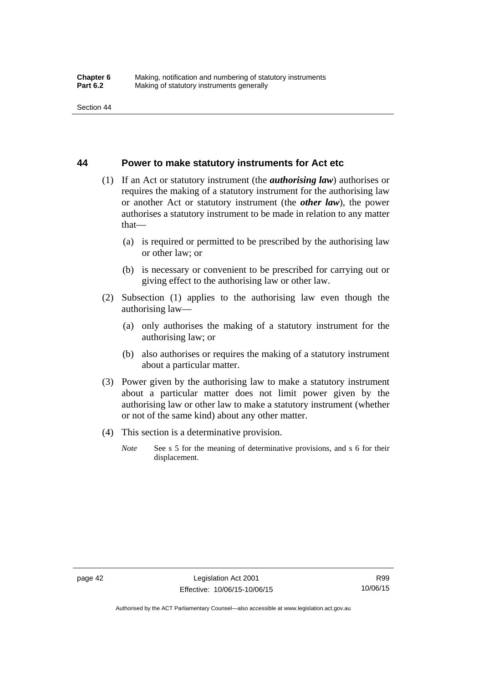### **44 Power to make statutory instruments for Act etc**

- (1) If an Act or statutory instrument (the *authorising law*) authorises or requires the making of a statutory instrument for the authorising law or another Act or statutory instrument (the *other law*), the power authorises a statutory instrument to be made in relation to any matter that—
	- (a) is required or permitted to be prescribed by the authorising law or other law; or
	- (b) is necessary or convenient to be prescribed for carrying out or giving effect to the authorising law or other law.
- (2) Subsection (1) applies to the authorising law even though the authorising law—
	- (a) only authorises the making of a statutory instrument for the authorising law; or
	- (b) also authorises or requires the making of a statutory instrument about a particular matter.
- (3) Power given by the authorising law to make a statutory instrument about a particular matter does not limit power given by the authorising law or other law to make a statutory instrument (whether or not of the same kind) about any other matter.
- (4) This section is a determinative provision.
	- *Note* See s 5 for the meaning of determinative provisions, and s 6 for their displacement.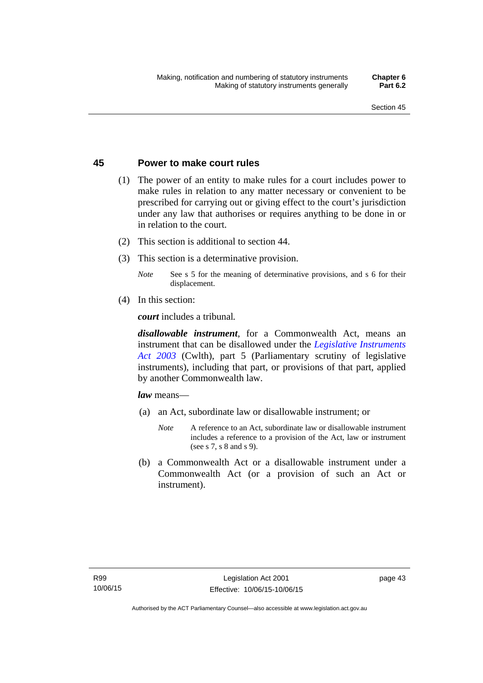### **45 Power to make court rules**

- (1) The power of an entity to make rules for a court includes power to make rules in relation to any matter necessary or convenient to be prescribed for carrying out or giving effect to the court's jurisdiction under any law that authorises or requires anything to be done in or in relation to the court.
- (2) This section is additional to section 44.
- (3) This section is a determinative provision.
	- *Note* See s 5 for the meaning of determinative provisions, and s 6 for their displacement.
- (4) In this section:

*court* includes a tribunal*.*

*disallowable instrument*, for a Commonwealth Act, means an instrument that can be disallowed under the *[Legislative Instruments](http://www.comlaw.gov.au/Series/C2004A01224)  [Act 2003](http://www.comlaw.gov.au/Series/C2004A01224)* (Cwlth), part 5 (Parliamentary scrutiny of legislative instruments), including that part, or provisions of that part, applied by another Commonwealth law.

*law* means—

- (a) an Act, subordinate law or disallowable instrument; or
	- *Note* A reference to an Act, subordinate law or disallowable instrument includes a reference to a provision of the Act, law or instrument (see s 7, s 8 and s 9).
- (b) a Commonwealth Act or a disallowable instrument under a Commonwealth Act (or a provision of such an Act or instrument).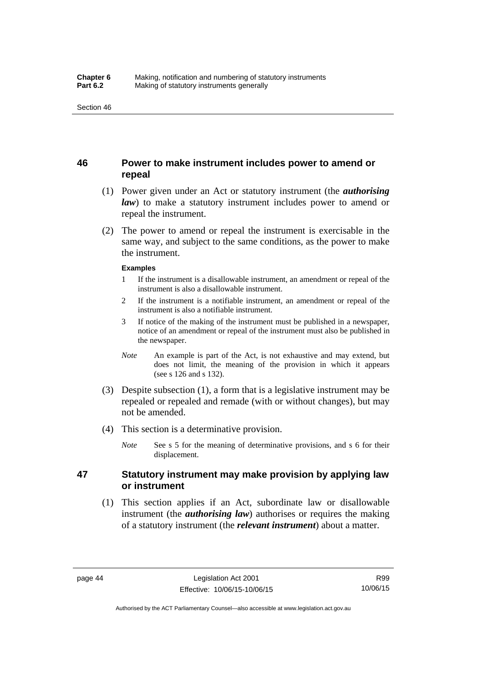### **46 Power to make instrument includes power to amend or repeal**

- (1) Power given under an Act or statutory instrument (the *authorising law*) to make a statutory instrument includes power to amend or repeal the instrument.
- (2) The power to amend or repeal the instrument is exercisable in the same way, and subject to the same conditions, as the power to make the instrument.

#### **Examples**

- 1 If the instrument is a disallowable instrument, an amendment or repeal of the instrument is also a disallowable instrument.
- 2 If the instrument is a notifiable instrument, an amendment or repeal of the instrument is also a notifiable instrument.
- 3 If notice of the making of the instrument must be published in a newspaper, notice of an amendment or repeal of the instrument must also be published in the newspaper.
- *Note* An example is part of the Act, is not exhaustive and may extend, but does not limit, the meaning of the provision in which it appears (see s 126 and s 132).
- (3) Despite subsection (1), a form that is a legislative instrument may be repealed or repealed and remade (with or without changes), but may not be amended.
- (4) This section is a determinative provision.
	- *Note* See s 5 for the meaning of determinative provisions, and s 6 for their displacement.

### **47 Statutory instrument may make provision by applying law or instrument**

 (1) This section applies if an Act, subordinate law or disallowable instrument (the *authorising law*) authorises or requires the making of a statutory instrument (the *relevant instrument*) about a matter.

Authorised by the ACT Parliamentary Counsel—also accessible at www.legislation.act.gov.au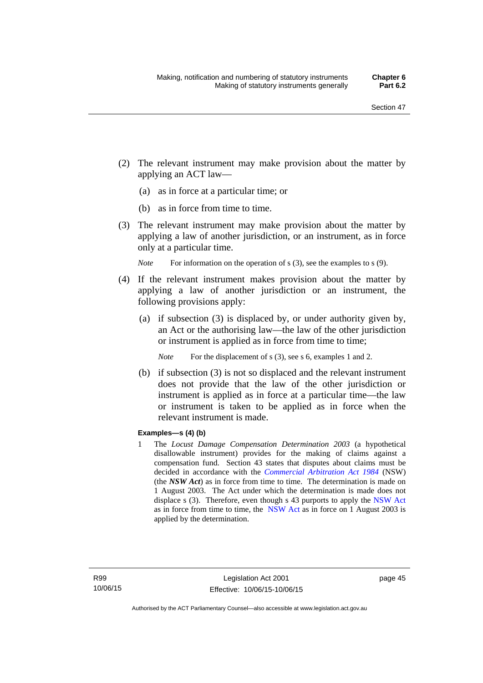- (2) The relevant instrument may make provision about the matter by applying an ACT law—
	- (a) as in force at a particular time; or
	- (b) as in force from time to time.
- (3) The relevant instrument may make provision about the matter by applying a law of another jurisdiction, or an instrument, as in force only at a particular time.

*Note* For information on the operation of s (3), see the examples to s (9).

- (4) If the relevant instrument makes provision about the matter by applying a law of another jurisdiction or an instrument, the following provisions apply:
	- (a) if subsection (3) is displaced by, or under authority given by, an Act or the authorising law—the law of the other jurisdiction or instrument is applied as in force from time to time;
		- *Note* For the displacement of s (3), see s 6, examples 1 and 2.
	- (b) if subsection (3) is not so displaced and the relevant instrument does not provide that the law of the other jurisdiction or instrument is applied as in force at a particular time—the law or instrument is taken to be applied as in force when the relevant instrument is made.

### **Examples—s (4) (b)**

1 The *Locust Damage Compensation Determination 2003* (a hypothetical disallowable instrument) provides for the making of claims against a compensation fund. Section 43 states that disputes about claims must be decided in accordance with the *[Commercial Arbitration Act 1984](http://www.legislation.nsw.gov.au/maintop/view/repealed/act+160+1984+cd+0+Y)* (NSW) (the *NSW Act*) as in force from time to time. The determination is made on 1 August 2003. The Act under which the determination is made does not displace s (3). Therefore, even though s 43 purports to apply the [NSW Act](http://www.legislation.nsw.gov.au/maintop/view/repealed/act+160+1984+cd+0+Y) as in force from time to time, the [NSW Act](http://www.legislation.nsw.gov.au/maintop/view/repealed/act+160+1984+cd+0+Y) as in force on 1 August 2003 is applied by the determination.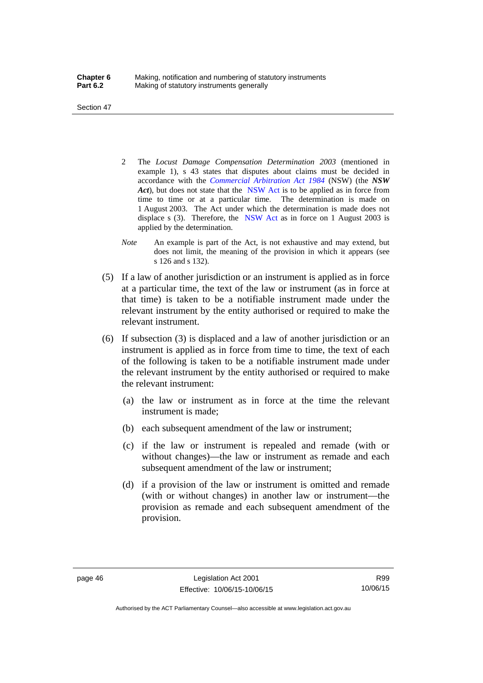Section 47

- 2 The *Locust Damage Compensation Determination 2003* (mentioned in example 1), s 43 states that disputes about claims must be decided in accordance with the *[Commercial Arbitration Act 1984](http://www.legislation.nsw.gov.au/maintop/view/repealed/act+160+1984+cd+0+Y)* (NSW) (the *NSW Act*), but does not state that the [NSW Act](http://www.legislation.nsw.gov.au/maintop/view/repealed/act+160+1984+cd+0+Y) is to be applied as in force from time to time or at a particular time. The determination is made on 1 August 2003. The Act under which the determination is made does not displace s (3). Therefore, the [NSW Act](http://www.legislation.nsw.gov.au/maintop/view/repealed/act+160+1984+cd+0+Y) as in force on 1 August 2003 is applied by the determination.
- *Note* An example is part of the Act, is not exhaustive and may extend, but does not limit, the meaning of the provision in which it appears (see s 126 and s 132).
- (5) If a law of another jurisdiction or an instrument is applied as in force at a particular time, the text of the law or instrument (as in force at that time) is taken to be a notifiable instrument made under the relevant instrument by the entity authorised or required to make the relevant instrument.
- (6) If subsection (3) is displaced and a law of another jurisdiction or an instrument is applied as in force from time to time, the text of each of the following is taken to be a notifiable instrument made under the relevant instrument by the entity authorised or required to make the relevant instrument:
	- (a) the law or instrument as in force at the time the relevant instrument is made;
	- (b) each subsequent amendment of the law or instrument;
	- (c) if the law or instrument is repealed and remade (with or without changes)—the law or instrument as remade and each subsequent amendment of the law or instrument;
	- (d) if a provision of the law or instrument is omitted and remade (with or without changes) in another law or instrument—the provision as remade and each subsequent amendment of the provision.

R99 10/06/15

Authorised by the ACT Parliamentary Counsel—also accessible at www.legislation.act.gov.au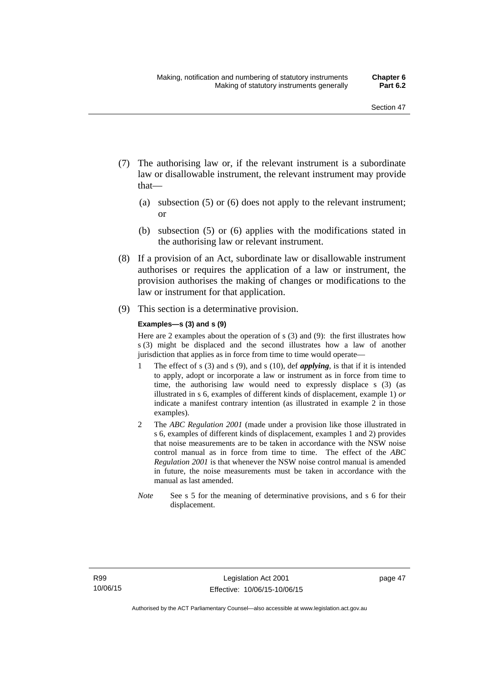- (7) The authorising law or, if the relevant instrument is a subordinate law or disallowable instrument, the relevant instrument may provide that—
	- (a) subsection (5) or (6) does not apply to the relevant instrument; or
	- (b) subsection (5) or (6) applies with the modifications stated in the authorising law or relevant instrument.
- (8) If a provision of an Act, subordinate law or disallowable instrument authorises or requires the application of a law or instrument, the provision authorises the making of changes or modifications to the law or instrument for that application.
- (9) This section is a determinative provision.

#### **Examples—s (3) and s (9)**

Here are 2 examples about the operation of s (3) and (9): the first illustrates how s (3) might be displaced and the second illustrates how a law of another jurisdiction that applies as in force from time to time would operate—

- 1 The effect of s (3) and s (9), and s (10), def *applying*, is that if it is intended to apply, adopt or incorporate a law or instrument as in force from time to time, the authorising law would need to expressly displace s (3) (as illustrated in s 6, examples of different kinds of displacement, example 1) *or* indicate a manifest contrary intention (as illustrated in example 2 in those examples).
- 2 The *ABC Regulation 2001* (made under a provision like those illustrated in s 6, examples of different kinds of displacement, examples 1 and 2) provides that noise measurements are to be taken in accordance with the NSW noise control manual as in force from time to time. The effect of the *ABC Regulation 2001* is that whenever the NSW noise control manual is amended in future, the noise measurements must be taken in accordance with the manual as last amended.
- *Note* See s 5 for the meaning of determinative provisions, and s 6 for their displacement.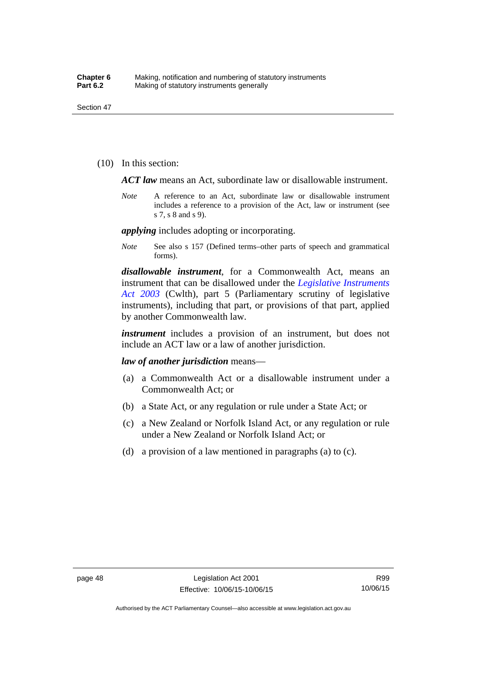(10) In this section:

*ACT law* means an Act, subordinate law or disallowable instrument.

*Note* A reference to an Act, subordinate law or disallowable instrument includes a reference to a provision of the Act, law or instrument (see s 7, s 8 and s 9).

*applying* includes adopting or incorporating.

*Note* See also s 157 (Defined terms–other parts of speech and grammatical forms).

*disallowable instrument*, for a Commonwealth Act, means an instrument that can be disallowed under the *[Legislative Instruments](http://www.comlaw.gov.au/Series/C2004A01224)  [Act 2003](http://www.comlaw.gov.au/Series/C2004A01224)* (Cwlth), part 5 (Parliamentary scrutiny of legislative instruments), including that part, or provisions of that part, applied by another Commonwealth law.

*instrument* includes a provision of an instrument, but does not include an ACT law or a law of another jurisdiction.

*law of another jurisdiction* means—

- (a) a Commonwealth Act or a disallowable instrument under a Commonwealth Act; or
- (b) a State Act, or any regulation or rule under a State Act; or
- (c) a New Zealand or Norfolk Island Act, or any regulation or rule under a New Zealand or Norfolk Island Act; or
- (d) a provision of a law mentioned in paragraphs (a) to (c).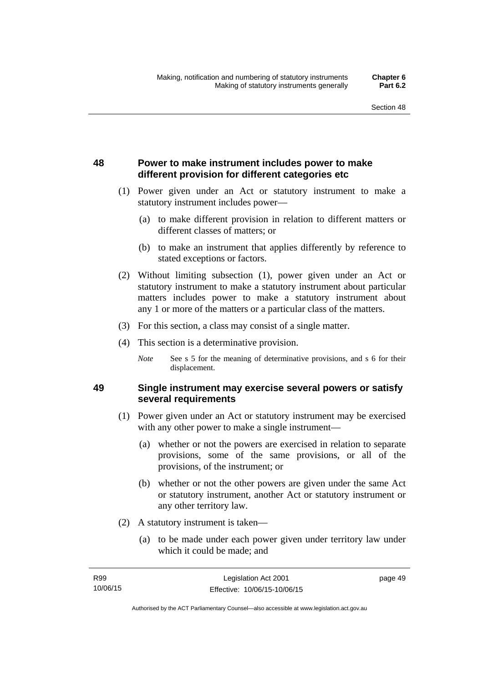## **48 Power to make instrument includes power to make different provision for different categories etc**

- (1) Power given under an Act or statutory instrument to make a statutory instrument includes power—
	- (a) to make different provision in relation to different matters or different classes of matters; or
	- (b) to make an instrument that applies differently by reference to stated exceptions or factors.
- (2) Without limiting subsection (1), power given under an Act or statutory instrument to make a statutory instrument about particular matters includes power to make a statutory instrument about any 1 or more of the matters or a particular class of the matters.
- (3) For this section, a class may consist of a single matter.
- (4) This section is a determinative provision.
	- *Note* See s 5 for the meaning of determinative provisions, and s 6 for their displacement.

### **49 Single instrument may exercise several powers or satisfy several requirements**

- (1) Power given under an Act or statutory instrument may be exercised with any other power to make a single instrument—
	- (a) whether or not the powers are exercised in relation to separate provisions, some of the same provisions, or all of the provisions, of the instrument; or
	- (b) whether or not the other powers are given under the same Act or statutory instrument, another Act or statutory instrument or any other territory law.
- (2) A statutory instrument is taken—
	- (a) to be made under each power given under territory law under which it could be made; and

page 49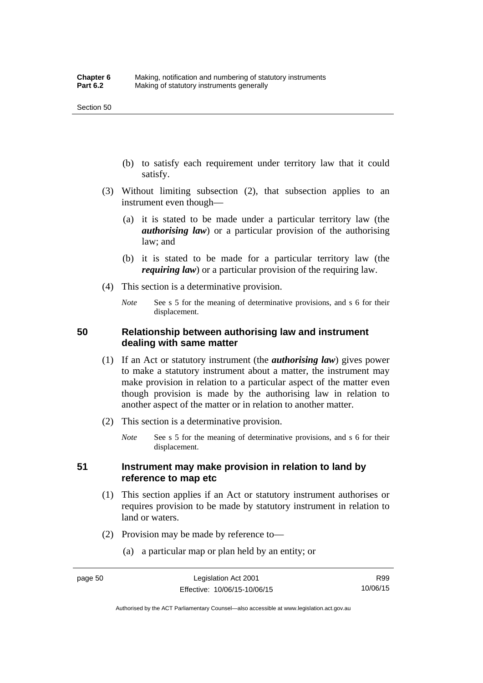- (b) to satisfy each requirement under territory law that it could satisfy.
- (3) Without limiting subsection (2), that subsection applies to an instrument even though—
	- (a) it is stated to be made under a particular territory law (the *authorising law*) or a particular provision of the authorising law; and
	- (b) it is stated to be made for a particular territory law (the *requiring law*) or a particular provision of the requiring law.
- (4) This section is a determinative provision.
	- *Note* See s 5 for the meaning of determinative provisions, and s 6 for their displacement.

### **50 Relationship between authorising law and instrument dealing with same matter**

- (1) If an Act or statutory instrument (the *authorising law*) gives power to make a statutory instrument about a matter, the instrument may make provision in relation to a particular aspect of the matter even though provision is made by the authorising law in relation to another aspect of the matter or in relation to another matter.
- (2) This section is a determinative provision.
	- *Note* See s 5 for the meaning of determinative provisions, and s 6 for their displacement.

### **51 Instrument may make provision in relation to land by reference to map etc**

- (1) This section applies if an Act or statutory instrument authorises or requires provision to be made by statutory instrument in relation to land or waters.
- (2) Provision may be made by reference to—
	- (a) a particular map or plan held by an entity; or

R99 10/06/15

Authorised by the ACT Parliamentary Counsel—also accessible at www.legislation.act.gov.au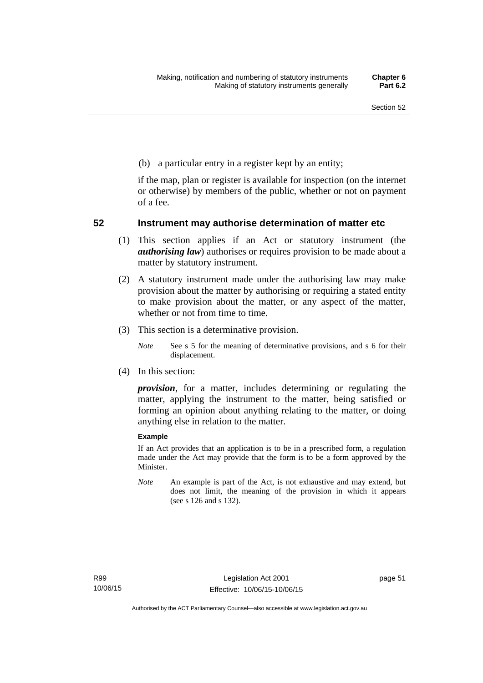(b) a particular entry in a register kept by an entity;

if the map, plan or register is available for inspection (on the internet or otherwise) by members of the public, whether or not on payment of a fee.

### **52 Instrument may authorise determination of matter etc**

- (1) This section applies if an Act or statutory instrument (the *authorising law*) authorises or requires provision to be made about a matter by statutory instrument.
- (2) A statutory instrument made under the authorising law may make provision about the matter by authorising or requiring a stated entity to make provision about the matter, or any aspect of the matter, whether or not from time to time.
- (3) This section is a determinative provision.
	- *Note* See s 5 for the meaning of determinative provisions, and s 6 for their displacement.
- (4) In this section:

*provision*, for a matter, includes determining or regulating the matter, applying the instrument to the matter, being satisfied or forming an opinion about anything relating to the matter, or doing anything else in relation to the matter.

#### **Example**

If an Act provides that an application is to be in a prescribed form, a regulation made under the Act may provide that the form is to be a form approved by the Minister.

*Note* An example is part of the Act, is not exhaustive and may extend, but does not limit, the meaning of the provision in which it appears (see s 126 and s 132).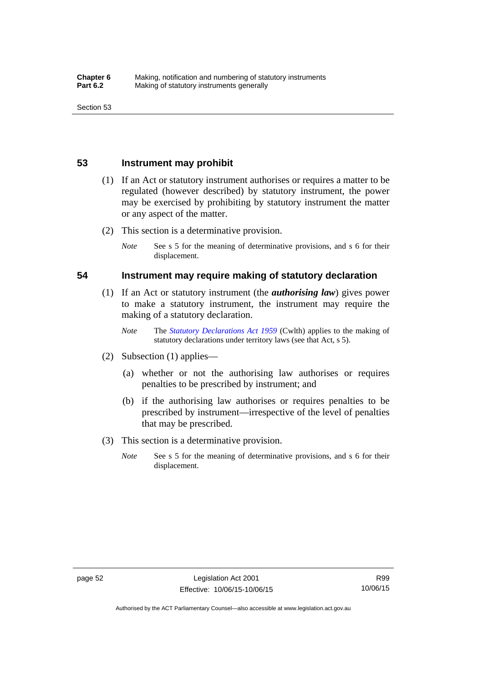### **53 Instrument may prohibit**

- (1) If an Act or statutory instrument authorises or requires a matter to be regulated (however described) by statutory instrument, the power may be exercised by prohibiting by statutory instrument the matter or any aspect of the matter.
- (2) This section is a determinative provision.
	- *Note* See s 5 for the meaning of determinative provisions, and s 6 for their displacement.

### **54 Instrument may require making of statutory declaration**

- (1) If an Act or statutory instrument (the *authorising law*) gives power to make a statutory instrument, the instrument may require the making of a statutory declaration.
	- *Note* The *[Statutory Declarations Act 1959](http://www.comlaw.gov.au/Series/C2004A07365)* (Cwlth) applies to the making of statutory declarations under territory laws (see that Act, s 5).
- (2) Subsection (1) applies—
	- (a) whether or not the authorising law authorises or requires penalties to be prescribed by instrument; and
	- (b) if the authorising law authorises or requires penalties to be prescribed by instrument—irrespective of the level of penalties that may be prescribed.
- (3) This section is a determinative provision.
	- *Note* See s 5 for the meaning of determinative provisions, and s 6 for their displacement.

R99 10/06/15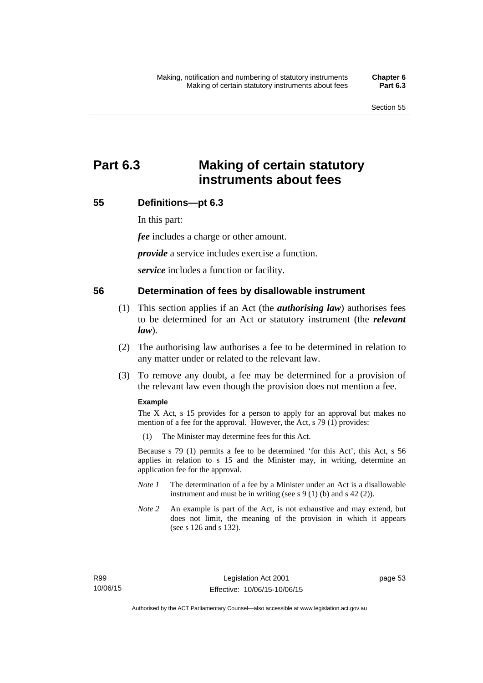# **Part 6.3 Making of certain statutory instruments about fees**

### **55 Definitions—pt 6.3**

In this part:

*fee* includes a charge or other amount.

*provide* a service includes exercise a function.

*service* includes a function or facility.

### **56 Determination of fees by disallowable instrument**

- (1) This section applies if an Act (the *authorising law*) authorises fees to be determined for an Act or statutory instrument (the *relevant law*).
- (2) The authorising law authorises a fee to be determined in relation to any matter under or related to the relevant law.
- (3) To remove any doubt, a fee may be determined for a provision of the relevant law even though the provision does not mention a fee.

#### **Example**

The X Act, s 15 provides for a person to apply for an approval but makes no mention of a fee for the approval. However, the Act, s 79 (1) provides:

(1) The Minister may determine fees for this Act.

Because s 79 (1) permits a fee to be determined 'for this Act', this Act, s 56 applies in relation to s 15 and the Minister may, in writing, determine an application fee for the approval.

- *Note 1* The determination of a fee by a Minister under an Act is a disallowable instrument and must be in writing (see s 9 (1) (b) and s 42 (2)).
- *Note 2* An example is part of the Act, is not exhaustive and may extend, but does not limit, the meaning of the provision in which it appears (see s 126 and s 132).

page 53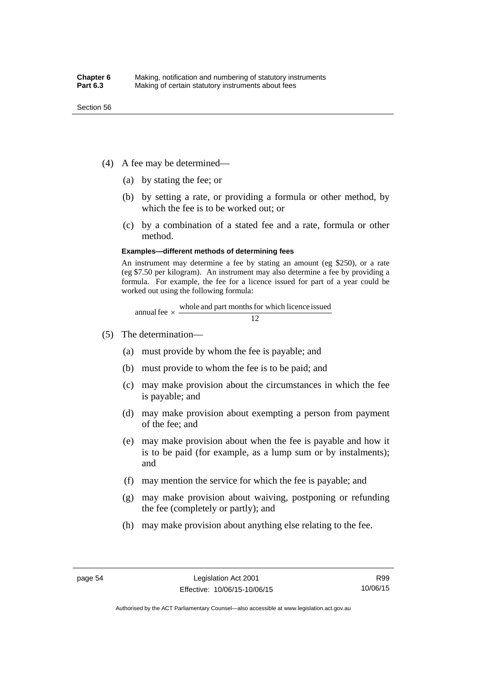- (4) A fee may be determined—
	- (a) by stating the fee; or
	- (b) by setting a rate, or providing a formula or other method, by which the fee is to be worked out; or
	- (c) by a combination of a stated fee and a rate, formula or other method.

#### **Examples—different methods of determining fees**

An instrument may determine a fee by stating an amount (eg \$250), or a rate (eg \$7.50 per kilogram). An instrument may also determine a fee by providing a formula. For example, the fee for a licence issued for part of a year could be worked out using the following formula:

annual fee  $\times$  whole and part months for which licence issued  $\frac{12}{\sqrt{12}}$ 

- (5) The determination—
	- (a) must provide by whom the fee is payable; and
	- (b) must provide to whom the fee is to be paid; and
	- (c) may make provision about the circumstances in which the fee is payable; and
	- (d) may make provision about exempting a person from payment of the fee; and
	- (e) may make provision about when the fee is payable and how it is to be paid (for example, as a lump sum or by instalments); and
	- (f) may mention the service for which the fee is payable; and
	- (g) may make provision about waiving, postponing or refunding the fee (completely or partly); and
	- (h) may make provision about anything else relating to the fee.

Authorised by the ACT Parliamentary Counsel—also accessible at www.legislation.act.gov.au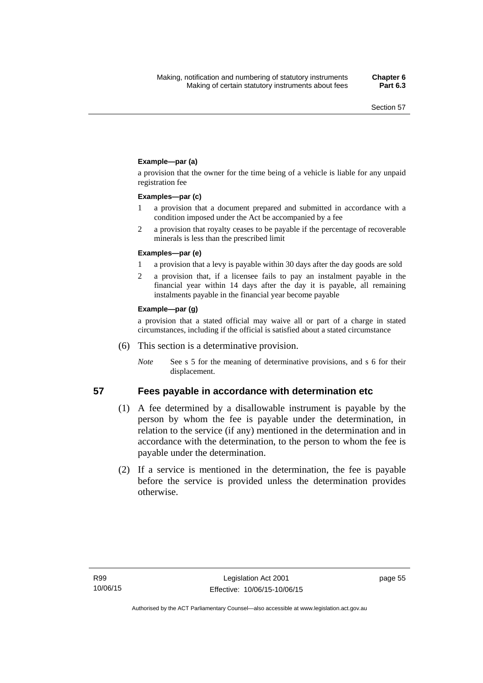### **Example—par (a)**

a provision that the owner for the time being of a vehicle is liable for any unpaid registration fee

#### **Examples—par (c)**

- 1 a provision that a document prepared and submitted in accordance with a condition imposed under the Act be accompanied by a fee
- 2 a provision that royalty ceases to be payable if the percentage of recoverable minerals is less than the prescribed limit

#### **Examples—par (e)**

- 1 a provision that a levy is payable within 30 days after the day goods are sold
- 2 a provision that, if a licensee fails to pay an instalment payable in the financial year within 14 days after the day it is payable, all remaining instalments payable in the financial year become payable

#### **Example—par (g)**

a provision that a stated official may waive all or part of a charge in stated circumstances, including if the official is satisfied about a stated circumstance

- (6) This section is a determinative provision.
	- *Note* See s 5 for the meaning of determinative provisions, and s 6 for their displacement.

- **57 Fees payable in accordance with determination etc**  (1) A fee determined by a disallowable instrument is payable by the
	- person by whom the fee is payable under the determination, in relation to the service (if any) mentioned in the determination and in accordance with the determination, to the person to whom the fee is payable under the determination.
	- (2) If a service is mentioned in the determination, the fee is payable before the service is provided unless the determination provides otherwise.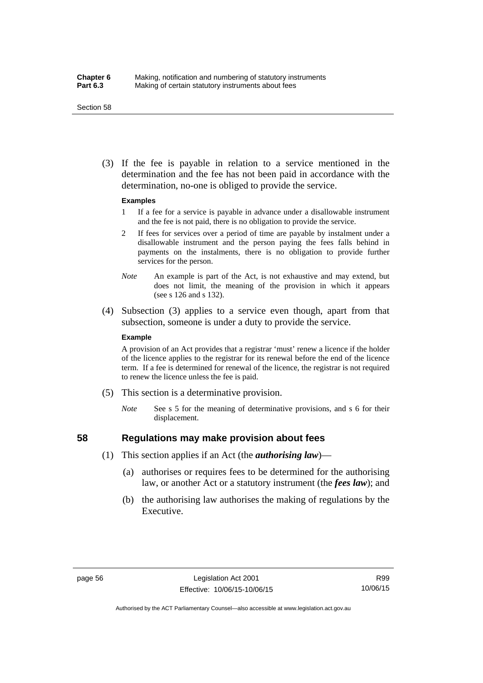#### Section 58

 (3) If the fee is payable in relation to a service mentioned in the determination and the fee has not been paid in accordance with the determination, no-one is obliged to provide the service.

#### **Examples**

- 1 If a fee for a service is payable in advance under a disallowable instrument and the fee is not paid, there is no obligation to provide the service.
- 2 If fees for services over a period of time are payable by instalment under a disallowable instrument and the person paying the fees falls behind in payments on the instalments, there is no obligation to provide further services for the person.
- *Note* An example is part of the Act, is not exhaustive and may extend, but does not limit, the meaning of the provision in which it appears (see s 126 and s 132).
- (4) Subsection (3) applies to a service even though, apart from that subsection, someone is under a duty to provide the service.

#### **Example**

A provision of an Act provides that a registrar 'must' renew a licence if the holder of the licence applies to the registrar for its renewal before the end of the licence term. If a fee is determined for renewal of the licence, the registrar is not required to renew the licence unless the fee is paid.

- (5) This section is a determinative provision.
	- *Note* See s 5 for the meaning of determinative provisions, and s 6 for their displacement.

## **58 Regulations may make provision about fees**

- (1) This section applies if an Act (the *authorising law*)—
	- (a) authorises or requires fees to be determined for the authorising law, or another Act or a statutory instrument (the *fees law*); and
	- (b) the authorising law authorises the making of regulations by the Executive.

Authorised by the ACT Parliamentary Counsel—also accessible at www.legislation.act.gov.au

R99 10/06/15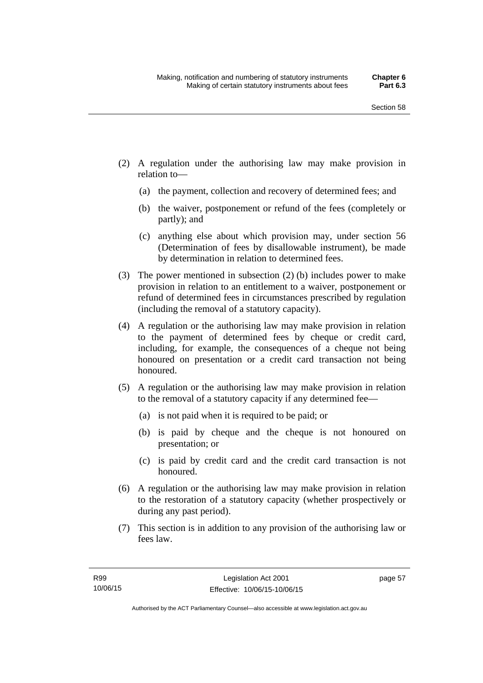- (2) A regulation under the authorising law may make provision in relation to—
	- (a) the payment, collection and recovery of determined fees; and
	- (b) the waiver, postponement or refund of the fees (completely or partly); and
	- (c) anything else about which provision may, under section 56 (Determination of fees by disallowable instrument), be made by determination in relation to determined fees.
- (3) The power mentioned in subsection (2) (b) includes power to make provision in relation to an entitlement to a waiver, postponement or refund of determined fees in circumstances prescribed by regulation (including the removal of a statutory capacity).
- (4) A regulation or the authorising law may make provision in relation to the payment of determined fees by cheque or credit card, including, for example, the consequences of a cheque not being honoured on presentation or a credit card transaction not being honoured.
- (5) A regulation or the authorising law may make provision in relation to the removal of a statutory capacity if any determined fee—
	- (a) is not paid when it is required to be paid; or
	- (b) is paid by cheque and the cheque is not honoured on presentation; or
	- (c) is paid by credit card and the credit card transaction is not honoured.
- (6) A regulation or the authorising law may make provision in relation to the restoration of a statutory capacity (whether prospectively or during any past period).
- (7) This section is in addition to any provision of the authorising law or fees law.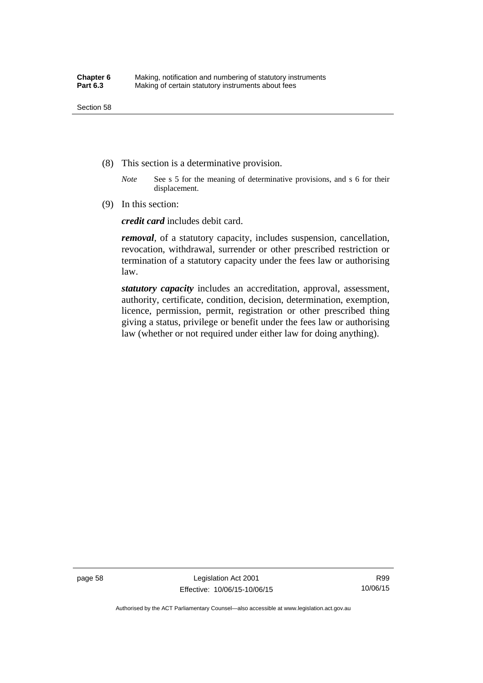- (8) This section is a determinative provision.
	- *Note* See s 5 for the meaning of determinative provisions, and s 6 for their displacement.
- (9) In this section:

*credit card* includes debit card.

*removal*, of a statutory capacity, includes suspension, cancellation, revocation, withdrawal, surrender or other prescribed restriction or termination of a statutory capacity under the fees law or authorising law.

*statutory capacity* includes an accreditation, approval, assessment, authority, certificate, condition, decision, determination, exemption, licence, permission, permit, registration or other prescribed thing giving a status, privilege or benefit under the fees law or authorising law (whether or not required under either law for doing anything).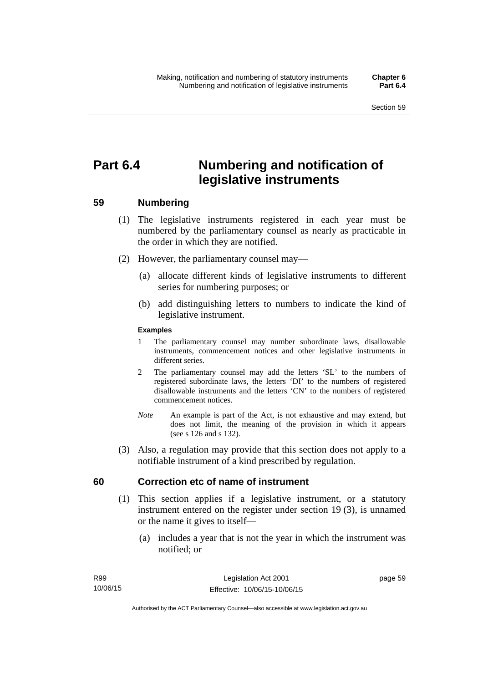# **Part 6.4 Numbering and notification of legislative instruments**

## **59 Numbering**

- (1) The legislative instruments registered in each year must be numbered by the parliamentary counsel as nearly as practicable in the order in which they are notified.
- (2) However, the parliamentary counsel may—
	- (a) allocate different kinds of legislative instruments to different series for numbering purposes; or
	- (b) add distinguishing letters to numbers to indicate the kind of legislative instrument.

## **Examples**

- 1 The parliamentary counsel may number subordinate laws, disallowable instruments, commencement notices and other legislative instruments in different series.
- 2 The parliamentary counsel may add the letters 'SL' to the numbers of registered subordinate laws, the letters 'DI' to the numbers of registered disallowable instruments and the letters 'CN' to the numbers of registered commencement notices.
- *Note* An example is part of the Act, is not exhaustive and may extend, but does not limit, the meaning of the provision in which it appears (see s 126 and s 132).
- (3) Also, a regulation may provide that this section does not apply to a notifiable instrument of a kind prescribed by regulation.

## **60 Correction etc of name of instrument**

- (1) This section applies if a legislative instrument, or a statutory instrument entered on the register under section 19 (3), is unnamed or the name it gives to itself—
	- (a) includes a year that is not the year in which the instrument was notified; or

page 59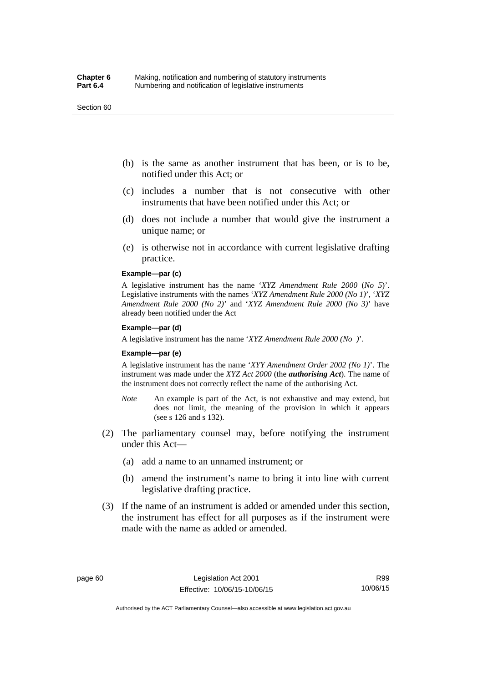#### Section 60

- (b) is the same as another instrument that has been, or is to be, notified under this Act; or
- (c) includes a number that is not consecutive with other instruments that have been notified under this Act; or
- (d) does not include a number that would give the instrument a unique name; or
- (e) is otherwise not in accordance with current legislative drafting practice.

## **Example—par (c)**

A legislative instrument has the name '*XYZ Amendment Rule 2000* (*No 5*)'. Legislative instruments with the names '*XYZ Amendment Rule 2000 (No 1)*', '*XYZ Amendment Rule 2000 (No 2)*' and '*XYZ Amendment Rule 2000 (No 3)*' have already been notified under the Act

#### **Example—par (d)**

A legislative instrument has the name '*XYZ Amendment Rule 2000 (No )*'.

#### **Example—par (e)**

A legislative instrument has the name '*XYY Amendment Order 2002 (No 1)*'. The instrument was made under the *XYZ Act 2000* (the *authorising Act*). The name of the instrument does not correctly reflect the name of the authorising Act.

- *Note* An example is part of the Act, is not exhaustive and may extend, but does not limit, the meaning of the provision in which it appears (see s 126 and s 132).
- (2) The parliamentary counsel may, before notifying the instrument under this Act—
	- (a) add a name to an unnamed instrument; or
	- (b) amend the instrument's name to bring it into line with current legislative drafting practice.
- (3) If the name of an instrument is added or amended under this section, the instrument has effect for all purposes as if the instrument were made with the name as added or amended.

Authorised by the ACT Parliamentary Counsel—also accessible at www.legislation.act.gov.au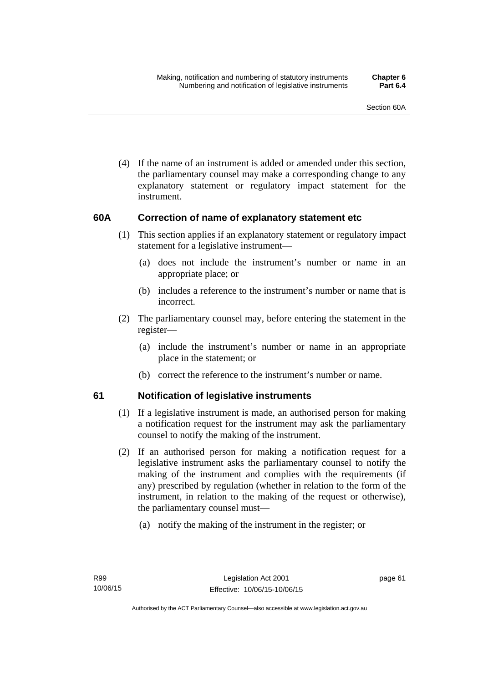(4) If the name of an instrument is added or amended under this section, the parliamentary counsel may make a corresponding change to any explanatory statement or regulatory impact statement for the instrument.

## **60A Correction of name of explanatory statement etc**

- (1) This section applies if an explanatory statement or regulatory impact statement for a legislative instrument—
	- (a) does not include the instrument's number or name in an appropriate place; or
	- (b) includes a reference to the instrument's number or name that is incorrect.
- (2) The parliamentary counsel may, before entering the statement in the register—
	- (a) include the instrument's number or name in an appropriate place in the statement; or
	- (b) correct the reference to the instrument's number or name.

## **61 Notification of legislative instruments**

- (1) If a legislative instrument is made, an authorised person for making a notification request for the instrument may ask the parliamentary counsel to notify the making of the instrument.
- (2) If an authorised person for making a notification request for a legislative instrument asks the parliamentary counsel to notify the making of the instrument and complies with the requirements (if any) prescribed by regulation (whether in relation to the form of the instrument, in relation to the making of the request or otherwise), the parliamentary counsel must—
	- (a) notify the making of the instrument in the register; or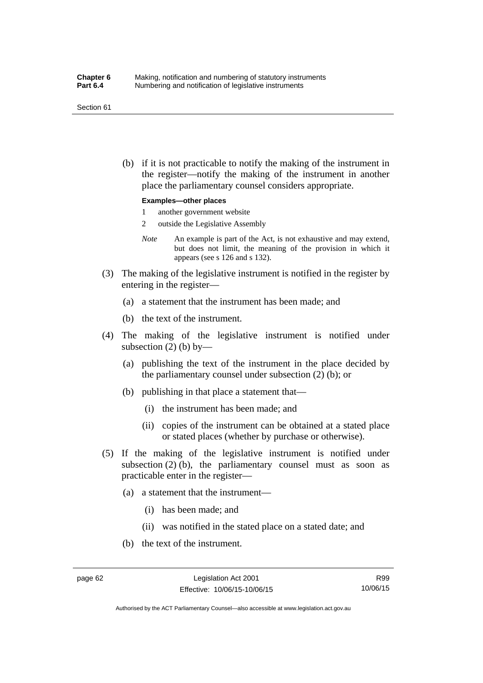#### Section 61

 (b) if it is not practicable to notify the making of the instrument in the register—notify the making of the instrument in another place the parliamentary counsel considers appropriate.

#### **Examples—other places**

- 1 another government website
- 2 outside the Legislative Assembly
- *Note* An example is part of the Act, is not exhaustive and may extend, but does not limit, the meaning of the provision in which it appears (see s 126 and s 132).
- (3) The making of the legislative instrument is notified in the register by entering in the register—
	- (a) a statement that the instrument has been made; and
	- (b) the text of the instrument.
- (4) The making of the legislative instrument is notified under subsection  $(2)$  (b) by—
	- (a) publishing the text of the instrument in the place decided by the parliamentary counsel under subsection (2) (b); or
	- (b) publishing in that place a statement that—
		- (i) the instrument has been made; and
		- (ii) copies of the instrument can be obtained at a stated place or stated places (whether by purchase or otherwise).
- (5) If the making of the legislative instrument is notified under subsection  $(2)$  (b), the parliamentary counsel must as soon as practicable enter in the register—
	- (a) a statement that the instrument—
		- (i) has been made; and
		- (ii) was notified in the stated place on a stated date; and
	- (b) the text of the instrument.

Authorised by the ACT Parliamentary Counsel—also accessible at www.legislation.act.gov.au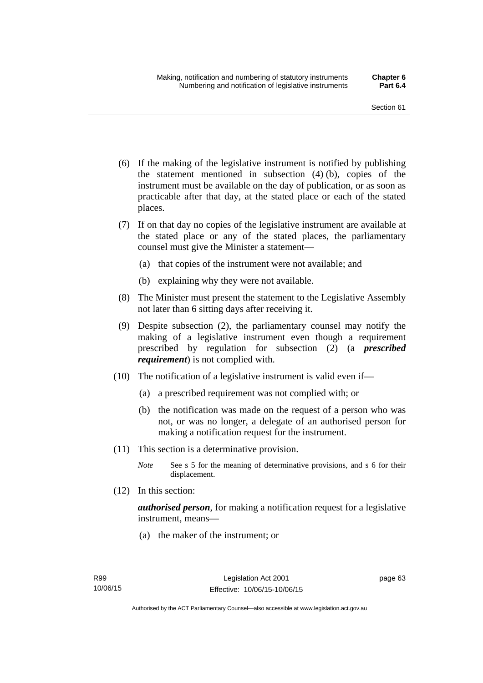- (6) If the making of the legislative instrument is notified by publishing the statement mentioned in subsection (4) (b), copies of the instrument must be available on the day of publication, or as soon as practicable after that day, at the stated place or each of the stated places.
- (7) If on that day no copies of the legislative instrument are available at the stated place or any of the stated places, the parliamentary counsel must give the Minister a statement—
	- (a) that copies of the instrument were not available; and
	- (b) explaining why they were not available.
- (8) The Minister must present the statement to the Legislative Assembly not later than 6 sitting days after receiving it.
- (9) Despite subsection (2), the parliamentary counsel may notify the making of a legislative instrument even though a requirement prescribed by regulation for subsection (2) (a *prescribed requirement*) is not complied with.
- (10) The notification of a legislative instrument is valid even if—
	- (a) a prescribed requirement was not complied with; or
	- (b) the notification was made on the request of a person who was not, or was no longer, a delegate of an authorised person for making a notification request for the instrument.
- (11) This section is a determinative provision.
	- *Note* See s 5 for the meaning of determinative provisions, and s 6 for their displacement.
- (12) In this section:

*authorised person*, for making a notification request for a legislative instrument, means—

(a) the maker of the instrument; or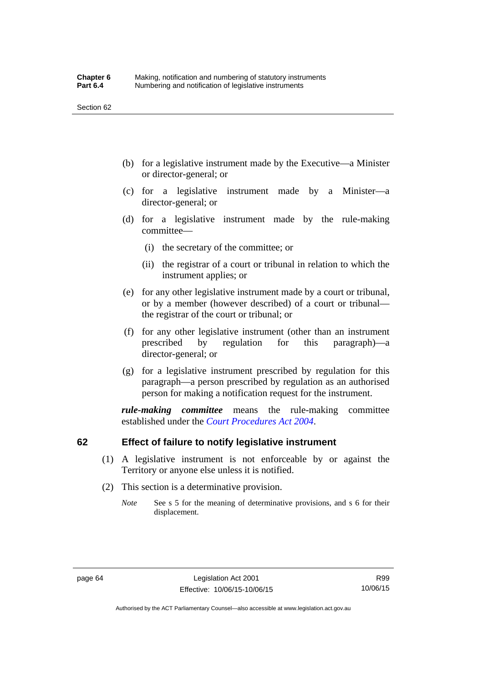- (b) for a legislative instrument made by the Executive—a Minister or director-general; or
- (c) for a legislative instrument made by a Minister—a director-general; or
- (d) for a legislative instrument made by the rule-making committee—
	- (i) the secretary of the committee; or
	- (ii) the registrar of a court or tribunal in relation to which the instrument applies; or
- (e) for any other legislative instrument made by a court or tribunal, or by a member (however described) of a court or tribunal the registrar of the court or tribunal; or
- (f) for any other legislative instrument (other than an instrument prescribed by regulation for this paragraph)—a director-general; or
- (g) for a legislative instrument prescribed by regulation for this paragraph—a person prescribed by regulation as an authorised person for making a notification request for the instrument.

*rule-making committee* means the rule-making committee established under the *[Court Procedures Act 2004](http://www.legislation.act.gov.au/a/2004-59)*.

## **62 Effect of failure to notify legislative instrument**

- (1) A legislative instrument is not enforceable by or against the Territory or anyone else unless it is notified.
- (2) This section is a determinative provision.
	- *Note* See s 5 for the meaning of determinative provisions, and s 6 for their displacement.

R99 10/06/15

Authorised by the ACT Parliamentary Counsel—also accessible at www.legislation.act.gov.au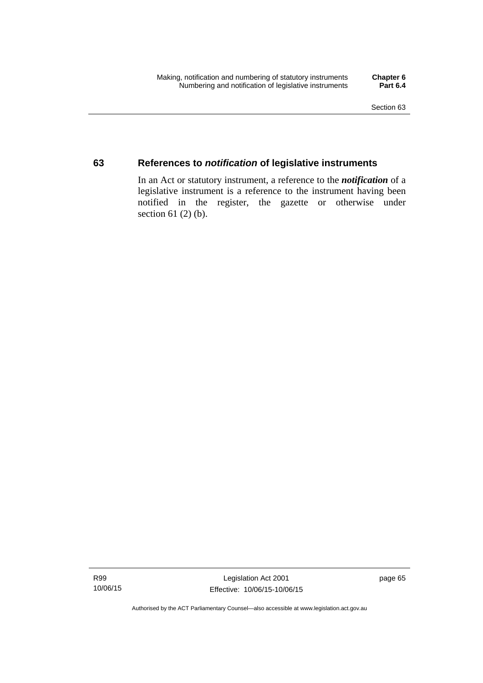## **63 References to** *notification* **of legislative instruments**

In an Act or statutory instrument, a reference to the *notification* of a legislative instrument is a reference to the instrument having been notified in the register, the gazette or otherwise under section  $61$  (2) (b).

Authorised by the ACT Parliamentary Counsel—also accessible at www.legislation.act.gov.au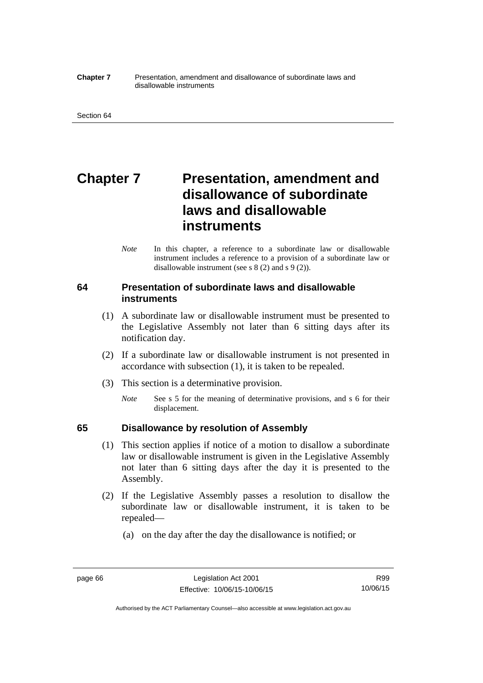#### **Chapter 7** Presentation, amendment and disallowance of subordinate laws and disallowable instruments

# **Chapter 7** Presentation, amendment and **disallowance of subordinate laws and disallowable instruments**

*Note* In this chapter, a reference to a subordinate law or disallowable instrument includes a reference to a provision of a subordinate law or disallowable instrument (see s 8 (2) and s 9 (2)).

## **64 Presentation of subordinate laws and disallowable instruments**

- (1) A subordinate law or disallowable instrument must be presented to the Legislative Assembly not later than 6 sitting days after its notification day.
- (2) If a subordinate law or disallowable instrument is not presented in accordance with subsection (1), it is taken to be repealed.
- (3) This section is a determinative provision.
	- *Note* See s 5 for the meaning of determinative provisions, and s 6 for their displacement.

## **65 Disallowance by resolution of Assembly**

- (1) This section applies if notice of a motion to disallow a subordinate law or disallowable instrument is given in the Legislative Assembly not later than 6 sitting days after the day it is presented to the Assembly.
- (2) If the Legislative Assembly passes a resolution to disallow the subordinate law or disallowable instrument, it is taken to be repealed—
	- (a) on the day after the day the disallowance is notified; or

Authorised by the ACT Parliamentary Counsel—also accessible at www.legislation.act.gov.au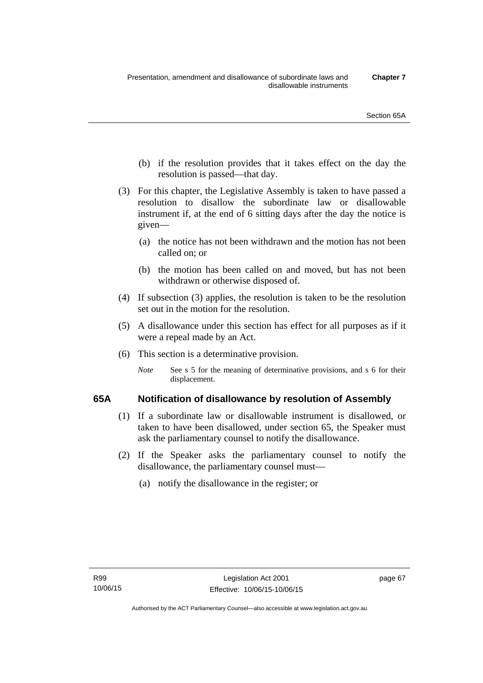- (b) if the resolution provides that it takes effect on the day the resolution is passed—that day.
- (3) For this chapter, the Legislative Assembly is taken to have passed a resolution to disallow the subordinate law or disallowable instrument if, at the end of 6 sitting days after the day the notice is given—
	- (a) the notice has not been withdrawn and the motion has not been called on; or
	- (b) the motion has been called on and moved, but has not been withdrawn or otherwise disposed of.
- (4) If subsection (3) applies, the resolution is taken to be the resolution set out in the motion for the resolution.
- (5) A disallowance under this section has effect for all purposes as if it were a repeal made by an Act.
- (6) This section is a determinative provision.
	- *Note* See s 5 for the meaning of determinative provisions, and s 6 for their displacement.

## **65A Notification of disallowance by resolution of Assembly**

- (1) If a subordinate law or disallowable instrument is disallowed, or taken to have been disallowed, under section 65, the Speaker must ask the parliamentary counsel to notify the disallowance.
- (2) If the Speaker asks the parliamentary counsel to notify the disallowance, the parliamentary counsel must—
	- (a) notify the disallowance in the register; or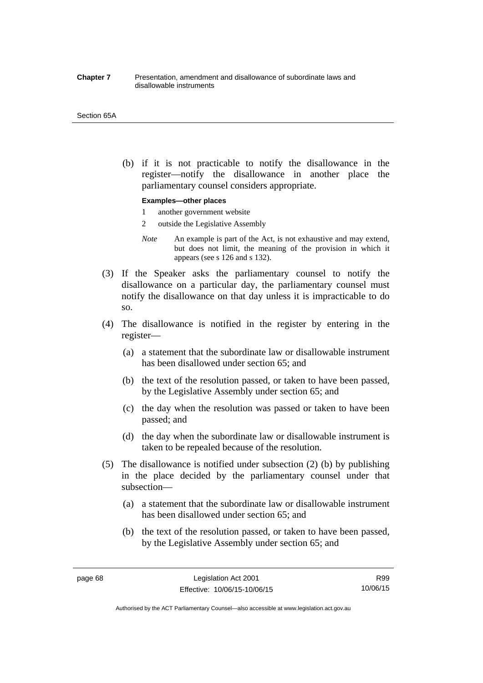#### **Chapter 7** Presentation, amendment and disallowance of subordinate laws and disallowable instruments

#### Section 65A

 (b) if it is not practicable to notify the disallowance in the register—notify the disallowance in another place the parliamentary counsel considers appropriate.

#### **Examples—other places**

- 1 another government website
- 2 outside the Legislative Assembly
- *Note* An example is part of the Act, is not exhaustive and may extend, but does not limit, the meaning of the provision in which it appears (see s 126 and s 132).
- (3) If the Speaker asks the parliamentary counsel to notify the disallowance on a particular day, the parliamentary counsel must notify the disallowance on that day unless it is impracticable to do so.
- (4) The disallowance is notified in the register by entering in the register—
	- (a) a statement that the subordinate law or disallowable instrument has been disallowed under section 65; and
	- (b) the text of the resolution passed, or taken to have been passed, by the Legislative Assembly under section 65; and
	- (c) the day when the resolution was passed or taken to have been passed; and
	- (d) the day when the subordinate law or disallowable instrument is taken to be repealed because of the resolution.
- (5) The disallowance is notified under subsection (2) (b) by publishing in the place decided by the parliamentary counsel under that subsection—
	- (a) a statement that the subordinate law or disallowable instrument has been disallowed under section 65; and
	- (b) the text of the resolution passed, or taken to have been passed, by the Legislative Assembly under section 65; and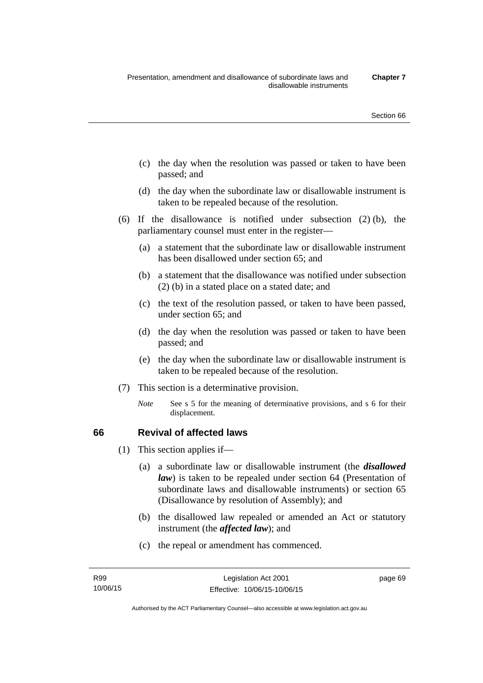- (c) the day when the resolution was passed or taken to have been passed; and
- (d) the day when the subordinate law or disallowable instrument is taken to be repealed because of the resolution.
- (6) If the disallowance is notified under subsection (2) (b), the parliamentary counsel must enter in the register—
	- (a) a statement that the subordinate law or disallowable instrument has been disallowed under section 65; and
	- (b) a statement that the disallowance was notified under subsection (2) (b) in a stated place on a stated date; and
	- (c) the text of the resolution passed, or taken to have been passed, under section 65; and
	- (d) the day when the resolution was passed or taken to have been passed; and
	- (e) the day when the subordinate law or disallowable instrument is taken to be repealed because of the resolution.
- (7) This section is a determinative provision.
	- *Note* See s 5 for the meaning of determinative provisions, and s 6 for their displacement.

## **66 Revival of affected laws**

- (1) This section applies if—
	- (a) a subordinate law or disallowable instrument (the *disallowed law*) is taken to be repealed under section 64 (Presentation of subordinate laws and disallowable instruments) or section 65 (Disallowance by resolution of Assembly); and
	- (b) the disallowed law repealed or amended an Act or statutory instrument (the *affected law*); and
	- (c) the repeal or amendment has commenced.

page 69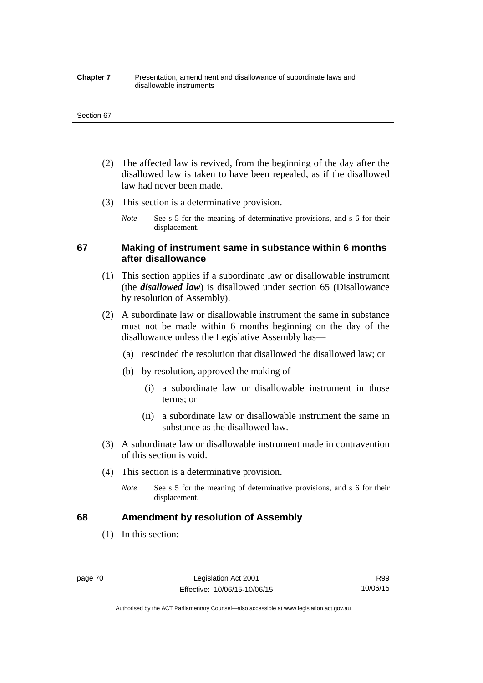#### **Chapter 7** Presentation, amendment and disallowance of subordinate laws and disallowable instruments

#### Section 67

- (2) The affected law is revived, from the beginning of the day after the disallowed law is taken to have been repealed, as if the disallowed law had never been made.
- (3) This section is a determinative provision.
	- *Note* See s 5 for the meaning of determinative provisions, and s 6 for their displacement.

## **67 Making of instrument same in substance within 6 months after disallowance**

- (1) This section applies if a subordinate law or disallowable instrument (the *disallowed law*) is disallowed under section 65 (Disallowance by resolution of Assembly).
- (2) A subordinate law or disallowable instrument the same in substance must not be made within 6 months beginning on the day of the disallowance unless the Legislative Assembly has—
	- (a) rescinded the resolution that disallowed the disallowed law; or
	- (b) by resolution, approved the making of—
		- (i) a subordinate law or disallowable instrument in those terms; or
		- (ii) a subordinate law or disallowable instrument the same in substance as the disallowed law.
- (3) A subordinate law or disallowable instrument made in contravention of this section is void.
- (4) This section is a determinative provision.
	- *Note* See s 5 for the meaning of determinative provisions, and s 6 for their displacement.

## **68 Amendment by resolution of Assembly**

(1) In this section:

R99 10/06/15

Authorised by the ACT Parliamentary Counsel—also accessible at www.legislation.act.gov.au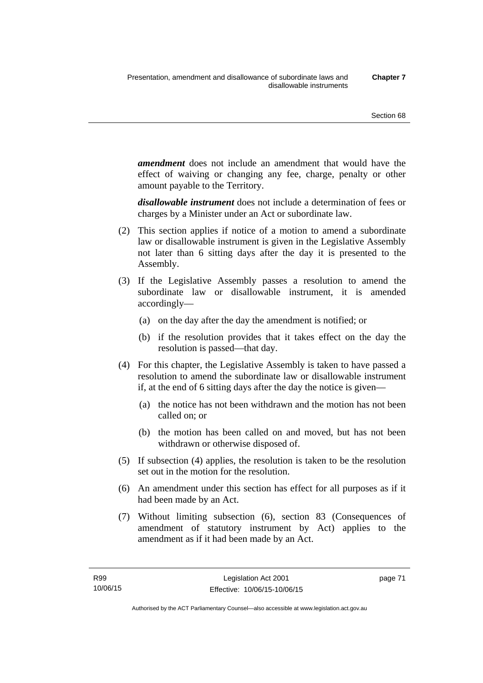*amendment* does not include an amendment that would have the effect of waiving or changing any fee, charge, penalty or other amount payable to the Territory.

*disallowable instrument* does not include a determination of fees or charges by a Minister under an Act or subordinate law.

- (2) This section applies if notice of a motion to amend a subordinate law or disallowable instrument is given in the Legislative Assembly not later than 6 sitting days after the day it is presented to the Assembly.
- (3) If the Legislative Assembly passes a resolution to amend the subordinate law or disallowable instrument, it is amended accordingly—
	- (a) on the day after the day the amendment is notified; or
	- (b) if the resolution provides that it takes effect on the day the resolution is passed—that day.
- (4) For this chapter, the Legislative Assembly is taken to have passed a resolution to amend the subordinate law or disallowable instrument if, at the end of 6 sitting days after the day the notice is given—
	- (a) the notice has not been withdrawn and the motion has not been called on; or
	- (b) the motion has been called on and moved, but has not been withdrawn or otherwise disposed of.
- (5) If subsection (4) applies, the resolution is taken to be the resolution set out in the motion for the resolution.
- (6) An amendment under this section has effect for all purposes as if it had been made by an Act.
- (7) Without limiting subsection (6), section 83 (Consequences of amendment of statutory instrument by Act) applies to the amendment as if it had been made by an Act.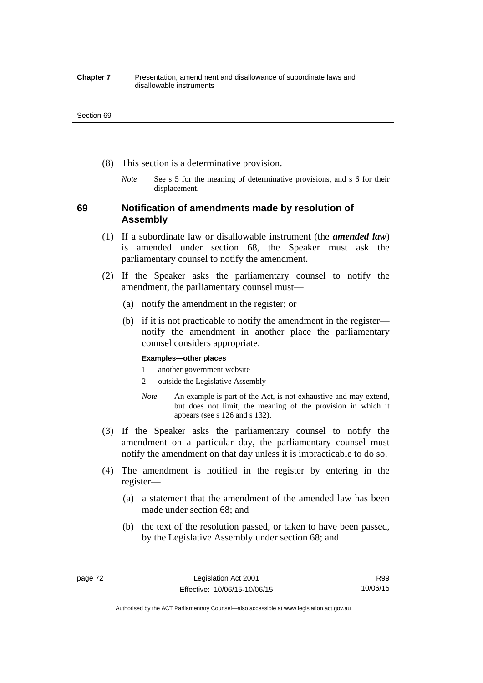#### **Chapter 7** Presentation, amendment and disallowance of subordinate laws and disallowable instruments

#### Section 69

- (8) This section is a determinative provision.
	- *Note* See s 5 for the meaning of determinative provisions, and s 6 for their displacement.

## **69 Notification of amendments made by resolution of Assembly**

- (1) If a subordinate law or disallowable instrument (the *amended law*) is amended under section 68, the Speaker must ask the parliamentary counsel to notify the amendment.
- (2) If the Speaker asks the parliamentary counsel to notify the amendment, the parliamentary counsel must—
	- (a) notify the amendment in the register; or
	- (b) if it is not practicable to notify the amendment in the register notify the amendment in another place the parliamentary counsel considers appropriate.

### **Examples—other places**

- 1 another government website
- 2 outside the Legislative Assembly
- *Note* An example is part of the Act, is not exhaustive and may extend, but does not limit, the meaning of the provision in which it appears (see s 126 and s 132).
- (3) If the Speaker asks the parliamentary counsel to notify the amendment on a particular day, the parliamentary counsel must notify the amendment on that day unless it is impracticable to do so.
- (4) The amendment is notified in the register by entering in the register—
	- (a) a statement that the amendment of the amended law has been made under section 68; and
	- (b) the text of the resolution passed, or taken to have been passed, by the Legislative Assembly under section 68; and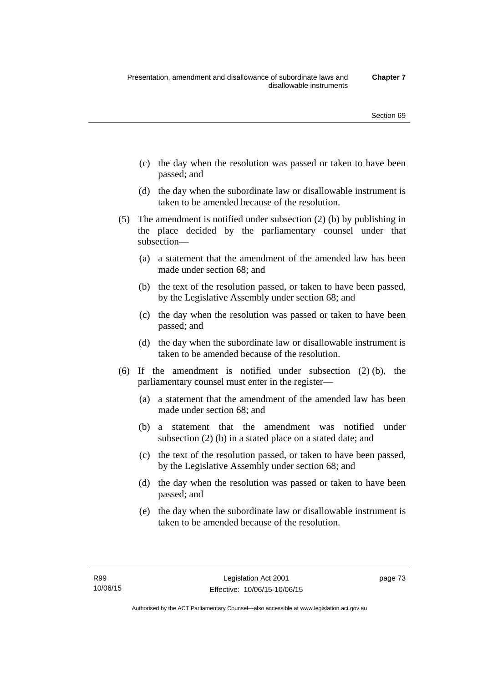- (c) the day when the resolution was passed or taken to have been passed; and
- (d) the day when the subordinate law or disallowable instrument is taken to be amended because of the resolution.
- (5) The amendment is notified under subsection (2) (b) by publishing in the place decided by the parliamentary counsel under that subsection—
	- (a) a statement that the amendment of the amended law has been made under section 68; and
	- (b) the text of the resolution passed, or taken to have been passed, by the Legislative Assembly under section 68; and
	- (c) the day when the resolution was passed or taken to have been passed; and
	- (d) the day when the subordinate law or disallowable instrument is taken to be amended because of the resolution.
- (6) If the amendment is notified under subsection (2) (b), the parliamentary counsel must enter in the register—
	- (a) a statement that the amendment of the amended law has been made under section 68; and
	- (b) a statement that the amendment was notified under subsection (2) (b) in a stated place on a stated date; and
	- (c) the text of the resolution passed, or taken to have been passed, by the Legislative Assembly under section 68; and
	- (d) the day when the resolution was passed or taken to have been passed; and
	- (e) the day when the subordinate law or disallowable instrument is taken to be amended because of the resolution.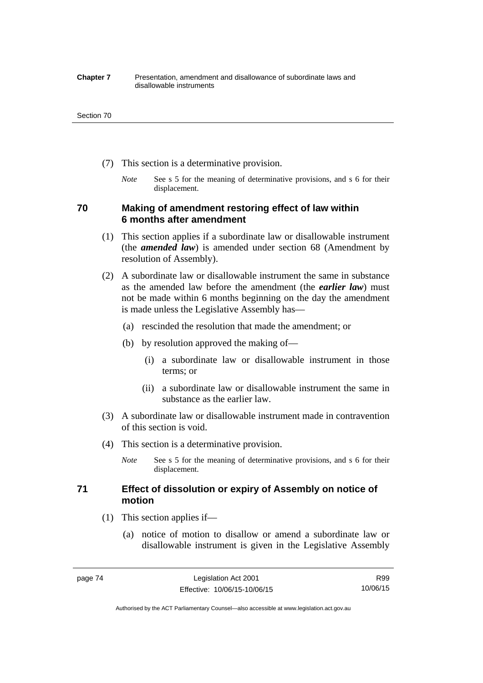#### **Chapter 7** Presentation, amendment and disallowance of subordinate laws and disallowable instruments

#### Section 70

- (7) This section is a determinative provision.
	- *Note* See s 5 for the meaning of determinative provisions, and s 6 for their displacement.

## **70 Making of amendment restoring effect of law within 6 months after amendment**

- (1) This section applies if a subordinate law or disallowable instrument (the *amended law*) is amended under section 68 (Amendment by resolution of Assembly).
- (2) A subordinate law or disallowable instrument the same in substance as the amended law before the amendment (the *earlier law*) must not be made within 6 months beginning on the day the amendment is made unless the Legislative Assembly has—
	- (a) rescinded the resolution that made the amendment; or
	- (b) by resolution approved the making of—
		- (i) a subordinate law or disallowable instrument in those terms; or
		- (ii) a subordinate law or disallowable instrument the same in substance as the earlier law.
- (3) A subordinate law or disallowable instrument made in contravention of this section is void.
- (4) This section is a determinative provision.
	- *Note* See s 5 for the meaning of determinative provisions, and s 6 for their displacement.

## **71 Effect of dissolution or expiry of Assembly on notice of motion**

- (1) This section applies if—
	- (a) notice of motion to disallow or amend a subordinate law or disallowable instrument is given in the Legislative Assembly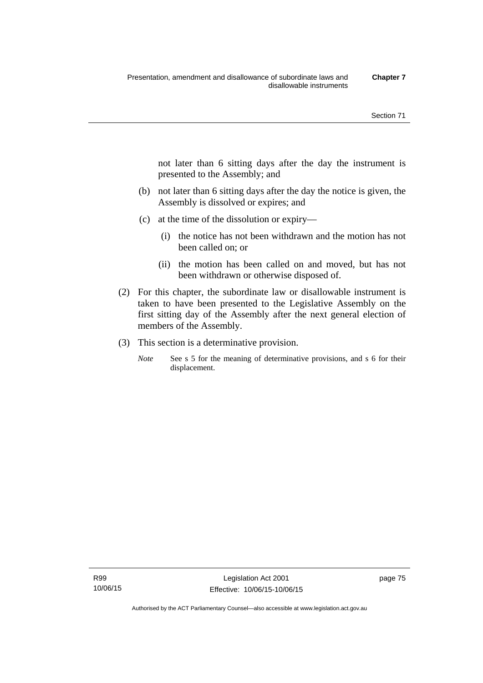not later than 6 sitting days after the day the instrument is presented to the Assembly; and

- (b) not later than 6 sitting days after the day the notice is given, the Assembly is dissolved or expires; and
- (c) at the time of the dissolution or expiry—
	- (i) the notice has not been withdrawn and the motion has not been called on; or
	- (ii) the motion has been called on and moved, but has not been withdrawn or otherwise disposed of.
- (2) For this chapter, the subordinate law or disallowable instrument is taken to have been presented to the Legislative Assembly on the first sitting day of the Assembly after the next general election of members of the Assembly.
- (3) This section is a determinative provision.
	- *Note* See s 5 for the meaning of determinative provisions, and s 6 for their displacement.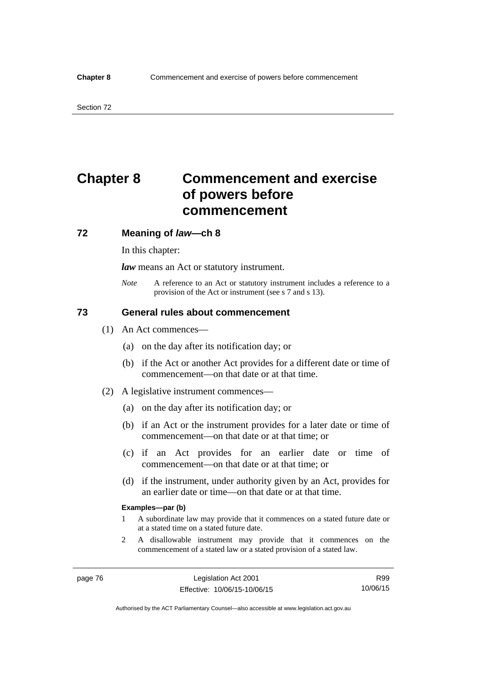# **Chapter 8 Commencement and exercise of powers before commencement**

### **72 Meaning of** *law***—ch 8**

In this chapter:

*law* means an Act or statutory instrument.

*Note* A reference to an Act or statutory instrument includes a reference to a provision of the Act or instrument (see s 7 and s 13).

## **73 General rules about commencement**

- (1) An Act commences—
	- (a) on the day after its notification day; or
	- (b) if the Act or another Act provides for a different date or time of commencement—on that date or at that time.
- (2) A legislative instrument commences—
	- (a) on the day after its notification day; or
	- (b) if an Act or the instrument provides for a later date or time of commencement—on that date or at that time; or
	- (c) if an Act provides for an earlier date or time of commencement—on that date or at that time; or
	- (d) if the instrument, under authority given by an Act, provides for an earlier date or time—on that date or at that time.

#### **Examples—par (b)**

- 1 A subordinate law may provide that it commences on a stated future date or at a stated time on a stated future date.
- 2 A disallowable instrument may provide that it commences on the commencement of a stated law or a stated provision of a stated law.

R99 10/06/15

Authorised by the ACT Parliamentary Counsel—also accessible at www.legislation.act.gov.au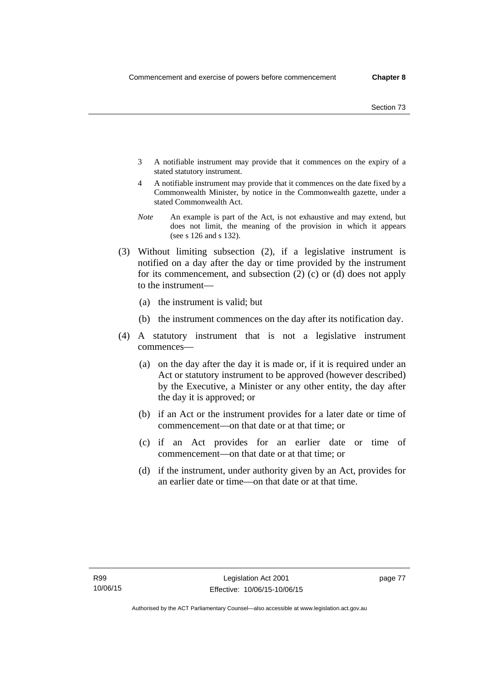- 3 A notifiable instrument may provide that it commences on the expiry of a stated statutory instrument.
- 4 A notifiable instrument may provide that it commences on the date fixed by a Commonwealth Minister, by notice in the Commonwealth gazette, under a stated Commonwealth Act.
- *Note* An example is part of the Act, is not exhaustive and may extend, but does not limit, the meaning of the provision in which it appears (see s 126 and s 132).
- (3) Without limiting subsection (2), if a legislative instrument is notified on a day after the day or time provided by the instrument for its commencement, and subsection (2) (c) or (d) does not apply to the instrument—
	- (a) the instrument is valid; but
	- (b) the instrument commences on the day after its notification day.
- (4) A statutory instrument that is not a legislative instrument commences—
	- (a) on the day after the day it is made or, if it is required under an Act or statutory instrument to be approved (however described) by the Executive, a Minister or any other entity, the day after the day it is approved; or
	- (b) if an Act or the instrument provides for a later date or time of commencement—on that date or at that time; or
	- (c) if an Act provides for an earlier date or time of commencement—on that date or at that time; or
	- (d) if the instrument, under authority given by an Act, provides for an earlier date or time—on that date or at that time.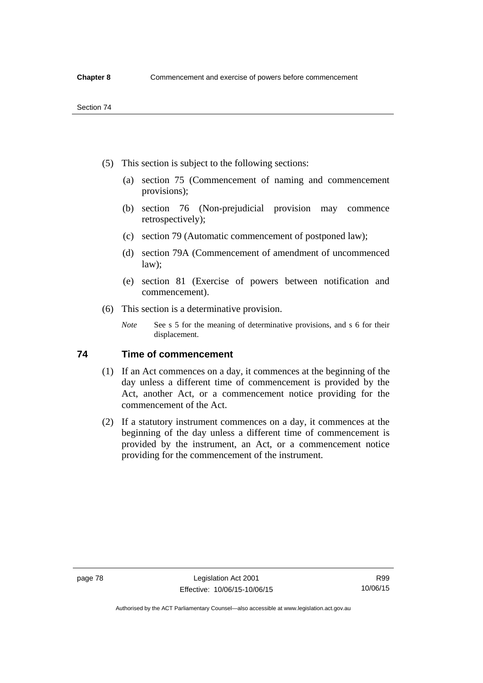- (5) This section is subject to the following sections:
	- (a) section 75 (Commencement of naming and commencement provisions);
	- (b) section 76 (Non-prejudicial provision may commence retrospectively);
	- (c) section 79 (Automatic commencement of postponed law);
	- (d) section 79A (Commencement of amendment of uncommenced law);
	- (e) section 81 (Exercise of powers between notification and commencement).
- (6) This section is a determinative provision.
	- *Note* See s 5 for the meaning of determinative provisions, and s 6 for their displacement.

## **74 Time of commencement**

- (1) If an Act commences on a day, it commences at the beginning of the day unless a different time of commencement is provided by the Act, another Act, or a commencement notice providing for the commencement of the Act.
- (2) If a statutory instrument commences on a day, it commences at the beginning of the day unless a different time of commencement is provided by the instrument, an Act, or a commencement notice providing for the commencement of the instrument.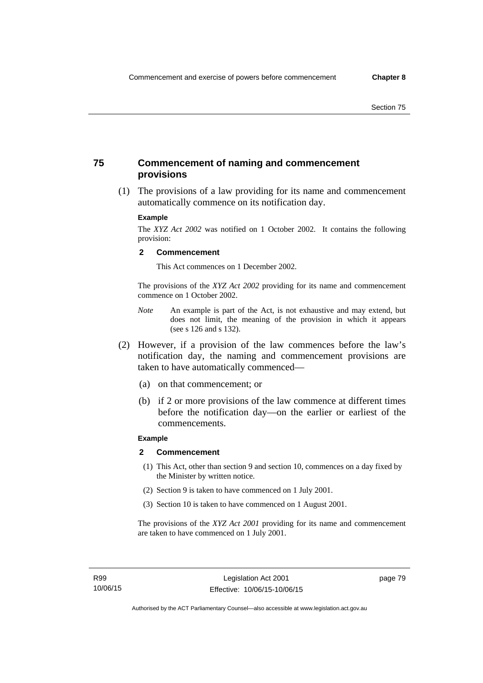## **75 Commencement of naming and commencement provisions**

 (1) The provisions of a law providing for its name and commencement automatically commence on its notification day.

### **Example**

The *XYZ Act 2002* was notified on 1 October 2002. It contains the following provision:

#### **2 Commencement**

This Act commences on 1 December 2002.

The provisions of the *XYZ Act 2002* providing for its name and commencement commence on 1 October 2002.

- *Note* An example is part of the Act, is not exhaustive and may extend, but does not limit, the meaning of the provision in which it appears (see s 126 and s 132).
- (2) However, if a provision of the law commences before the law's notification day, the naming and commencement provisions are taken to have automatically commenced—
	- (a) on that commencement; or
	- (b) if 2 or more provisions of the law commence at different times before the notification day—on the earlier or earliest of the commencements.

## **Example**

#### **2 Commencement**

- (1) This Act, other than section 9 and section 10, commences on a day fixed by the Minister by written notice.
- (2) Section 9 is taken to have commenced on 1 July 2001.
- (3) Section 10 is taken to have commenced on 1 August 2001.

The provisions of the *XYZ Act 2001* providing for its name and commencement are taken to have commenced on 1 July 2001.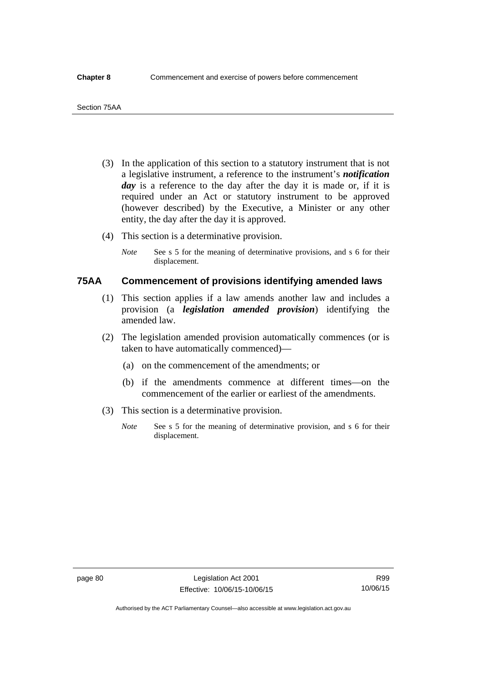- (3) In the application of this section to a statutory instrument that is not a legislative instrument, a reference to the instrument's *notification*  day is a reference to the day after the day it is made or, if it is required under an Act or statutory instrument to be approved (however described) by the Executive, a Minister or any other entity, the day after the day it is approved.
- (4) This section is a determinative provision.
	- *Note* See s 5 for the meaning of determinative provisions, and s 6 for their displacement.

## **75AA Commencement of provisions identifying amended laws**

- (1) This section applies if a law amends another law and includes a provision (a *legislation amended provision*) identifying the amended law.
- (2) The legislation amended provision automatically commences (or is taken to have automatically commenced)—
	- (a) on the commencement of the amendments; or
	- (b) if the amendments commence at different times—on the commencement of the earlier or earliest of the amendments.
- (3) This section is a determinative provision.
	- *Note* See s 5 for the meaning of determinative provision, and s 6 for their displacement.

R99 10/06/15

Authorised by the ACT Parliamentary Counsel—also accessible at www.legislation.act.gov.au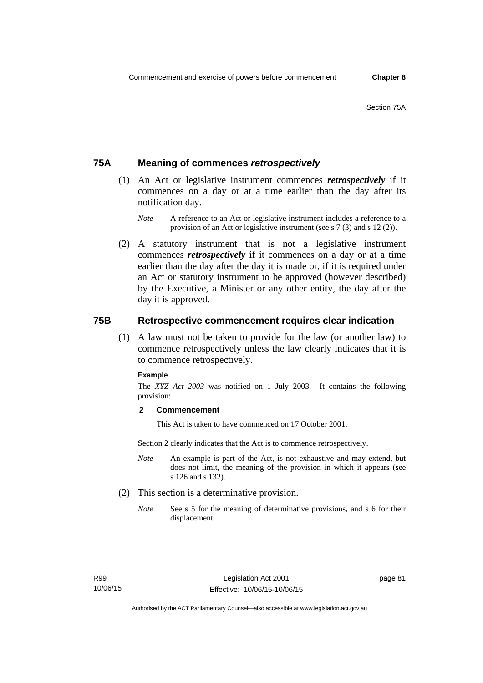## **75A Meaning of commences** *retrospectively*

- (1) An Act or legislative instrument commences *retrospectively* if it commences on a day or at a time earlier than the day after its notification day.
	- *Note* A reference to an Act or legislative instrument includes a reference to a provision of an Act or legislative instrument (see s 7 (3) and s 12 (2)).
- (2) A statutory instrument that is not a legislative instrument commences *retrospectively* if it commences on a day or at a time earlier than the day after the day it is made or, if it is required under an Act or statutory instrument to be approved (however described) by the Executive, a Minister or any other entity, the day after the day it is approved.

## **75B Retrospective commencement requires clear indication**

(1) A law must not be taken to provide for the law (or another law) to commence retrospectively unless the law clearly indicates that it is to commence retrospectively.

### **Example**

The *XYZ Act 2003* was notified on 1 July 2003. It contains the following provision:

## **2 Commencement**

This Act is taken to have commenced on 17 October 2001.

Section 2 clearly indicates that the Act is to commence retrospectively.

- *Note* An example is part of the Act, is not exhaustive and may extend, but does not limit, the meaning of the provision in which it appears (see s 126 and s 132).
- (2) This section is a determinative provision.
	- *Note* See s 5 for the meaning of determinative provisions, and s 6 for their displacement.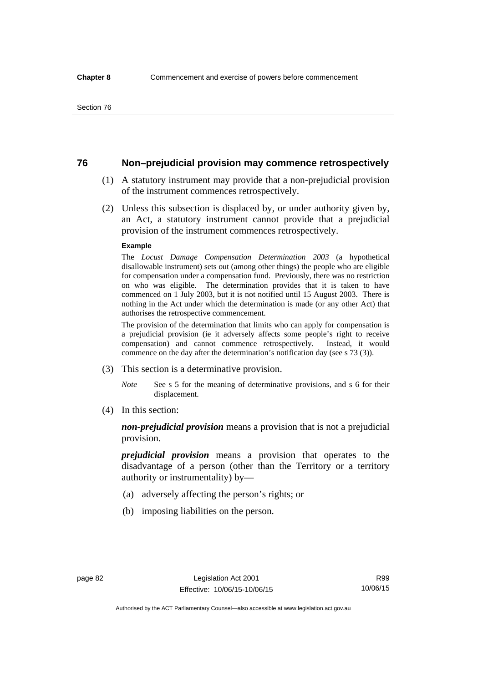## **76 Non–prejudicial provision may commence retrospectively**

- (1) A statutory instrument may provide that a non-prejudicial provision of the instrument commences retrospectively.
- (2) Unless this subsection is displaced by, or under authority given by, an Act, a statutory instrument cannot provide that a prejudicial provision of the instrument commences retrospectively.

#### **Example**

The *Locust Damage Compensation Determination 2003* (a hypothetical disallowable instrument) sets out (among other things) the people who are eligible for compensation under a compensation fund. Previously, there was no restriction on who was eligible. The determination provides that it is taken to have commenced on 1 July 2003, but it is not notified until 15 August 2003. There is nothing in the Act under which the determination is made (or any other Act) that authorises the retrospective commencement.

The provision of the determination that limits who can apply for compensation is a prejudicial provision (ie it adversely affects some people's right to receive compensation) and cannot commence retrospectively. Instead, it would commence on the day after the determination's notification day (see s 73 (3)).

- (3) This section is a determinative provision.
	- *Note* See s 5 for the meaning of determinative provisions, and s 6 for their displacement.
- (4) In this section:

*non-prejudicial provision* means a provision that is not a prejudicial provision.

*prejudicial provision* means a provision that operates to the disadvantage of a person (other than the Territory or a territory authority or instrumentality) by—

- (a) adversely affecting the person's rights; or
- (b) imposing liabilities on the person.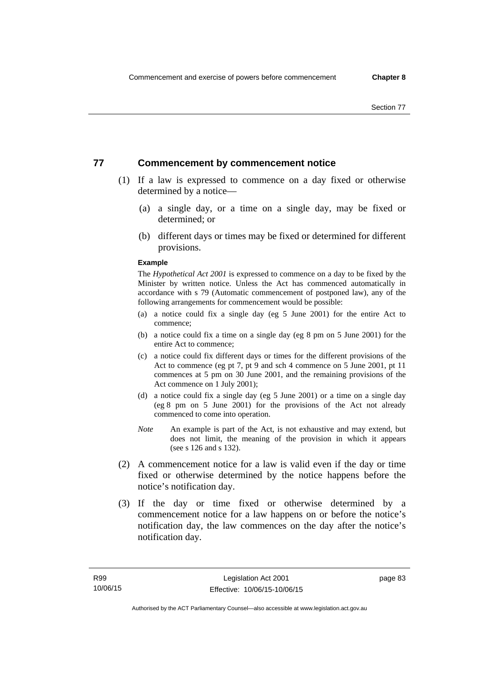## **77 Commencement by commencement notice**

- (1) If a law is expressed to commence on a day fixed or otherwise determined by a notice—
	- (a) a single day, or a time on a single day, may be fixed or determined; or
	- (b) different days or times may be fixed or determined for different provisions.

#### **Example**

The *Hypothetical Act 2001* is expressed to commence on a day to be fixed by the Minister by written notice. Unless the Act has commenced automatically in accordance with s 79 (Automatic commencement of postponed law), any of the following arrangements for commencement would be possible:

- (a) a notice could fix a single day (eg 5 June 2001) for the entire Act to commence;
- (b) a notice could fix a time on a single day (eg 8 pm on 5 June 2001) for the entire Act to commence;
- (c) a notice could fix different days or times for the different provisions of the Act to commence (eg pt 7, pt 9 and sch 4 commence on 5 June 2001, pt 11 commences at 5 pm on 30 June 2001, and the remaining provisions of the Act commence on 1 July 2001);
- (d) a notice could fix a single day (eg 5 June 2001) or a time on a single day (eg 8 pm on 5 June 2001) for the provisions of the Act not already commenced to come into operation.
- *Note* An example is part of the Act, is not exhaustive and may extend, but does not limit, the meaning of the provision in which it appears (see s 126 and s 132).
- (2) A commencement notice for a law is valid even if the day or time fixed or otherwise determined by the notice happens before the notice's notification day.
- (3) If the day or time fixed or otherwise determined by a commencement notice for a law happens on or before the notice's notification day, the law commences on the day after the notice's notification day.

page 83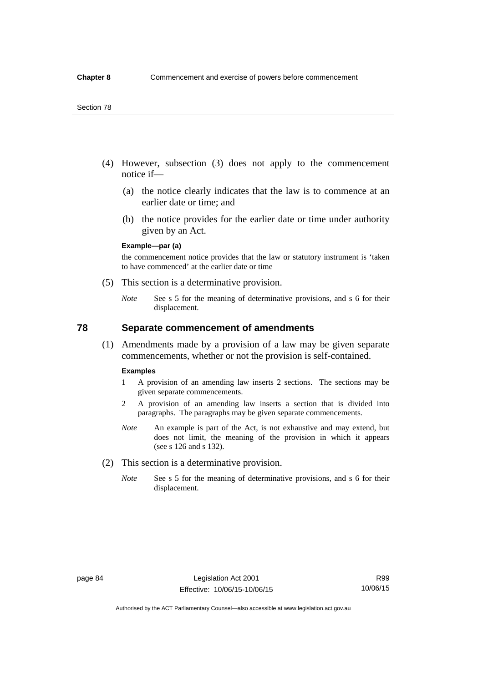- (4) However, subsection (3) does not apply to the commencement notice if—
	- (a) the notice clearly indicates that the law is to commence at an earlier date or time; and
	- (b) the notice provides for the earlier date or time under authority given by an Act.

### **Example—par (a)**

the commencement notice provides that the law or statutory instrument is 'taken to have commenced' at the earlier date or time

- (5) This section is a determinative provision.
	- *Note* See s 5 for the meaning of determinative provisions, and s 6 for their displacement.

## **78 Separate commencement of amendments**

 (1) Amendments made by a provision of a law may be given separate commencements, whether or not the provision is self-contained.

#### **Examples**

- 1 A provision of an amending law inserts 2 sections. The sections may be given separate commencements.
- 2 A provision of an amending law inserts a section that is divided into paragraphs. The paragraphs may be given separate commencements.
- *Note* An example is part of the Act, is not exhaustive and may extend, but does not limit, the meaning of the provision in which it appears (see s 126 and s 132).
- (2) This section is a determinative provision.
	- *Note* See s 5 for the meaning of determinative provisions, and s 6 for their displacement.

R99 10/06/15

Authorised by the ACT Parliamentary Counsel—also accessible at www.legislation.act.gov.au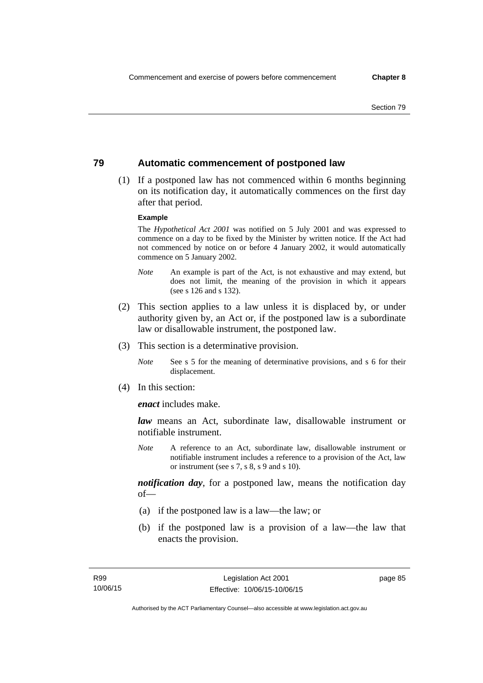## **79 Automatic commencement of postponed law**

 (1) If a postponed law has not commenced within 6 months beginning on its notification day, it automatically commences on the first day after that period.

#### **Example**

The *Hypothetical Act 2001* was notified on 5 July 2001 and was expressed to commence on a day to be fixed by the Minister by written notice. If the Act had not commenced by notice on or before 4 January 2002, it would automatically commence on 5 January 2002.

- *Note* An example is part of the Act, is not exhaustive and may extend, but does not limit, the meaning of the provision in which it appears (see s 126 and s 132).
- (2) This section applies to a law unless it is displaced by, or under authority given by, an Act or, if the postponed law is a subordinate law or disallowable instrument, the postponed law.
- (3) This section is a determinative provision.
	- *Note* See s 5 for the meaning of determinative provisions, and s 6 for their displacement.
- (4) In this section:

*enact* includes make.

*law* means an Act, subordinate law, disallowable instrument or notifiable instrument.

*Note* A reference to an Act, subordinate law, disallowable instrument or notifiable instrument includes a reference to a provision of the Act, law or instrument (see s 7, s 8, s 9 and s 10).

*notification day*, for a postponed law, means the notification day  $of$ 

- (a) if the postponed law is a law—the law; or
- (b) if the postponed law is a provision of a law—the law that enacts the provision.

page 85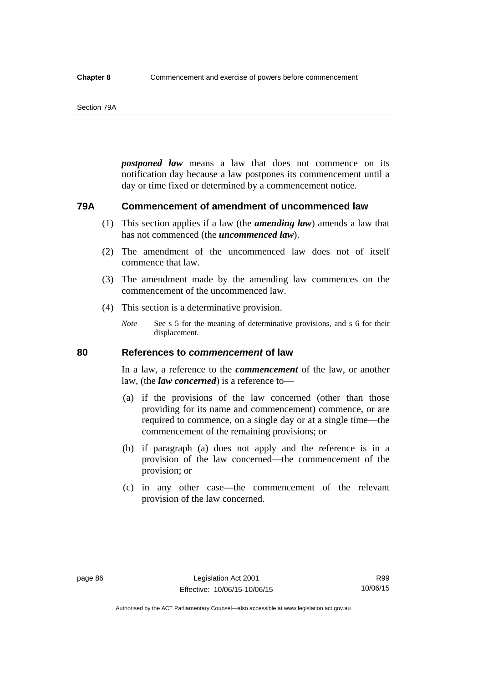#### Section 79A

*postponed law* means a law that does not commence on its notification day because a law postpones its commencement until a day or time fixed or determined by a commencement notice.

## **79A Commencement of amendment of uncommenced law**

- (1) This section applies if a law (the *amending law*) amends a law that has not commenced (the *uncommenced law*).
- (2) The amendment of the uncommenced law does not of itself commence that law.
- (3) The amendment made by the amending law commences on the commencement of the uncommenced law.
- (4) This section is a determinative provision.
	- *Note* See s 5 for the meaning of determinative provisions, and s 6 for their displacement.

## **80 References to** *commencement* **of law**

In a law, a reference to the *commencement* of the law, or another law, (the *law concerned*) is a reference to—

- (a) if the provisions of the law concerned (other than those providing for its name and commencement) commence, or are required to commence, on a single day or at a single time—the commencement of the remaining provisions; or
- (b) if paragraph (a) does not apply and the reference is in a provision of the law concerned—the commencement of the provision; or
- (c) in any other case—the commencement of the relevant provision of the law concerned.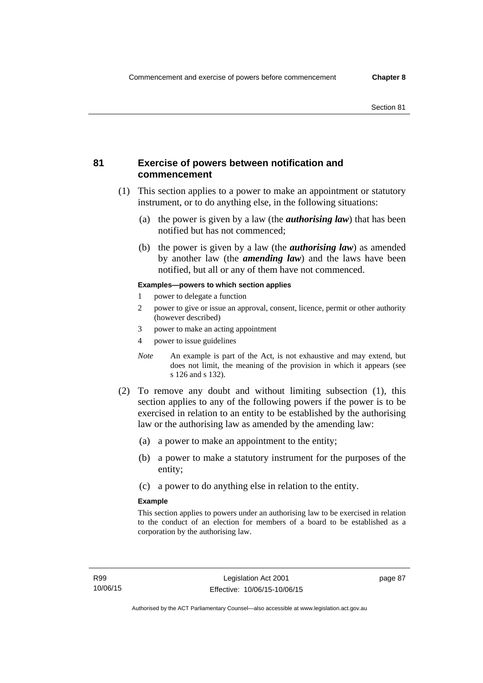## **81 Exercise of powers between notification and commencement**

- (1) This section applies to a power to make an appointment or statutory instrument, or to do anything else, in the following situations:
	- (a) the power is given by a law (the *authorising law*) that has been notified but has not commenced;
	- (b) the power is given by a law (the *authorising law*) as amended by another law (the *amending law*) and the laws have been notified, but all or any of them have not commenced.

### **Examples—powers to which section applies**

- 1 power to delegate a function
- 2 power to give or issue an approval, consent, licence, permit or other authority (however described)
- 3 power to make an acting appointment
- 4 power to issue guidelines
- *Note* An example is part of the Act, is not exhaustive and may extend, but does not limit, the meaning of the provision in which it appears (see s 126 and s 132).
- (2) To remove any doubt and without limiting subsection (1), this section applies to any of the following powers if the power is to be exercised in relation to an entity to be established by the authorising law or the authorising law as amended by the amending law:
	- (a) a power to make an appointment to the entity;
	- (b) a power to make a statutory instrument for the purposes of the entity;
	- (c) a power to do anything else in relation to the entity.

#### **Example**

This section applies to powers under an authorising law to be exercised in relation to the conduct of an election for members of a board to be established as a corporation by the authorising law.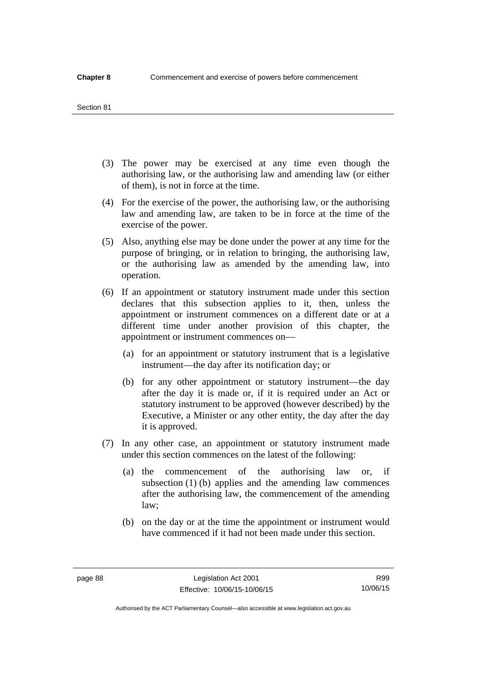#### Section 81

- (3) The power may be exercised at any time even though the authorising law, or the authorising law and amending law (or either of them), is not in force at the time.
- (4) For the exercise of the power, the authorising law, or the authorising law and amending law, are taken to be in force at the time of the exercise of the power.
- (5) Also, anything else may be done under the power at any time for the purpose of bringing, or in relation to bringing, the authorising law, or the authorising law as amended by the amending law, into operation.
- (6) If an appointment or statutory instrument made under this section declares that this subsection applies to it, then, unless the appointment or instrument commences on a different date or at a different time under another provision of this chapter, the appointment or instrument commences on—
	- (a) for an appointment or statutory instrument that is a legislative instrument—the day after its notification day; or
	- (b) for any other appointment or statutory instrument—the day after the day it is made or, if it is required under an Act or statutory instrument to be approved (however described) by the Executive, a Minister or any other entity, the day after the day it is approved.
- (7) In any other case, an appointment or statutory instrument made under this section commences on the latest of the following:
	- (a) the commencement of the authorising law or, if subsection (1) (b) applies and the amending law commences after the authorising law, the commencement of the amending law;
	- (b) on the day or at the time the appointment or instrument would have commenced if it had not been made under this section.

Authorised by the ACT Parliamentary Counsel—also accessible at www.legislation.act.gov.au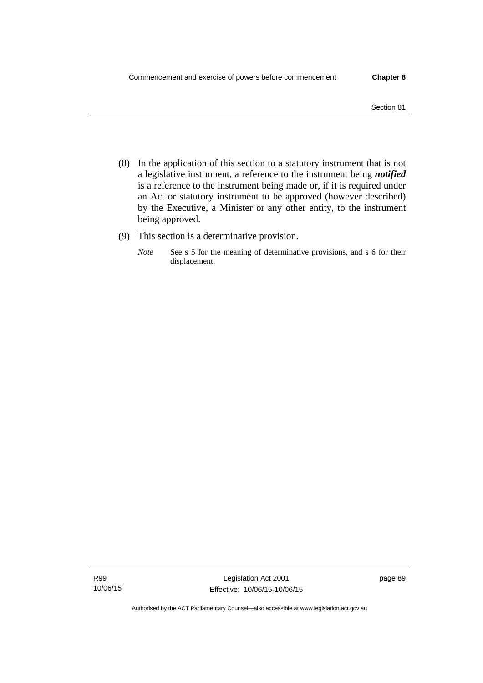- (8) In the application of this section to a statutory instrument that is not a legislative instrument, a reference to the instrument being *notified*  is a reference to the instrument being made or, if it is required under an Act or statutory instrument to be approved (however described) by the Executive, a Minister or any other entity, to the instrument being approved.
- (9) This section is a determinative provision.
	- *Note* See s 5 for the meaning of determinative provisions, and s 6 for their displacement.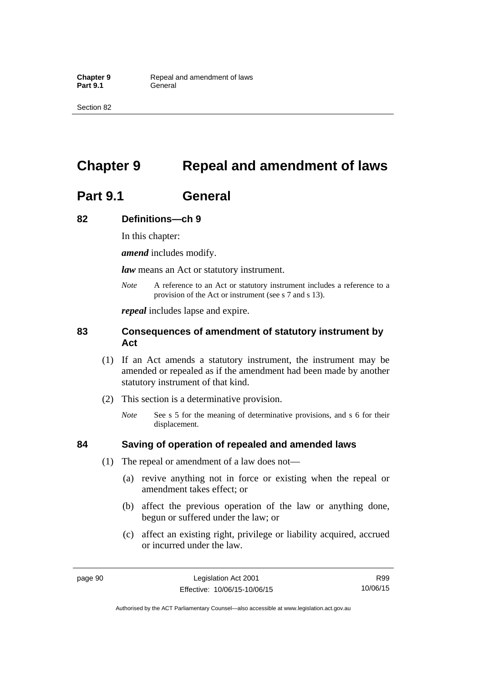Section 82

# **Chapter 9 Repeal and amendment of laws**

# **Part 9.1 General**

## **82 Definitions—ch 9**

In this chapter:

*amend* includes modify.

*law* means an Act or statutory instrument.

*Note* A reference to an Act or statutory instrument includes a reference to a provision of the Act or instrument (see s 7 and s 13).

*repeal* includes lapse and expire.

## **83 Consequences of amendment of statutory instrument by Act**

- (1) If an Act amends a statutory instrument, the instrument may be amended or repealed as if the amendment had been made by another statutory instrument of that kind.
- (2) This section is a determinative provision.
	- *Note* See s 5 for the meaning of determinative provisions, and s 6 for their displacement.

## **84 Saving of operation of repealed and amended laws**

- (1) The repeal or amendment of a law does not—
	- (a) revive anything not in force or existing when the repeal or amendment takes effect; or
	- (b) affect the previous operation of the law or anything done, begun or suffered under the law; or
	- (c) affect an existing right, privilege or liability acquired, accrued or incurred under the law.

R99 10/06/15

Authorised by the ACT Parliamentary Counsel—also accessible at www.legislation.act.gov.au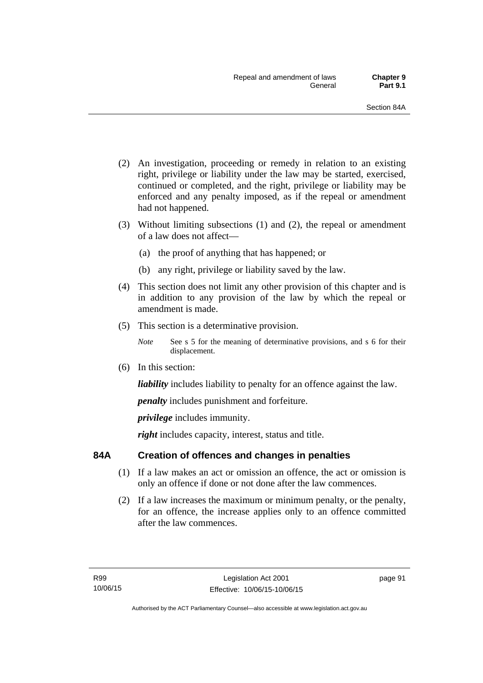- (2) An investigation, proceeding or remedy in relation to an existing right, privilege or liability under the law may be started, exercised, continued or completed, and the right, privilege or liability may be enforced and any penalty imposed, as if the repeal or amendment had not happened.
- (3) Without limiting subsections (1) and (2), the repeal or amendment of a law does not affect—
	- (a) the proof of anything that has happened; or
	- (b) any right, privilege or liability saved by the law.
- (4) This section does not limit any other provision of this chapter and is in addition to any provision of the law by which the repeal or amendment is made.
- (5) This section is a determinative provision.
	- *Note* See s 5 for the meaning of determinative provisions, and s 6 for their displacement.
- (6) In this section:

*liability* includes liability to penalty for an offence against the law.

*penalty* includes punishment and forfeiture.

*privilege* includes immunity.

right includes capacity, interest, status and title.

## **84A Creation of offences and changes in penalties**

- (1) If a law makes an act or omission an offence, the act or omission is only an offence if done or not done after the law commences.
- (2) If a law increases the maximum or minimum penalty, or the penalty, for an offence, the increase applies only to an offence committed after the law commences.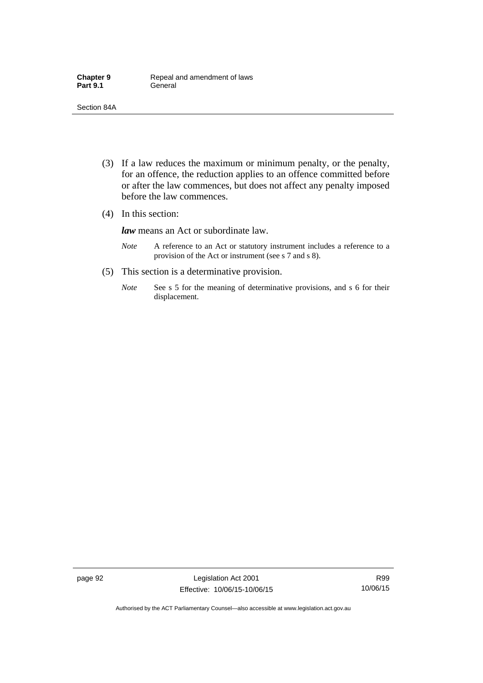- (3) If a law reduces the maximum or minimum penalty, or the penalty, for an offence, the reduction applies to an offence committed before or after the law commences, but does not affect any penalty imposed before the law commences.
- (4) In this section:

*law* means an Act or subordinate law.

- *Note* A reference to an Act or statutory instrument includes a reference to a provision of the Act or instrument (see s 7 and s 8).
- (5) This section is a determinative provision.
	- *Note* See s 5 for the meaning of determinative provisions, and s 6 for their displacement.

R99 10/06/15

Authorised by the ACT Parliamentary Counsel—also accessible at www.legislation.act.gov.au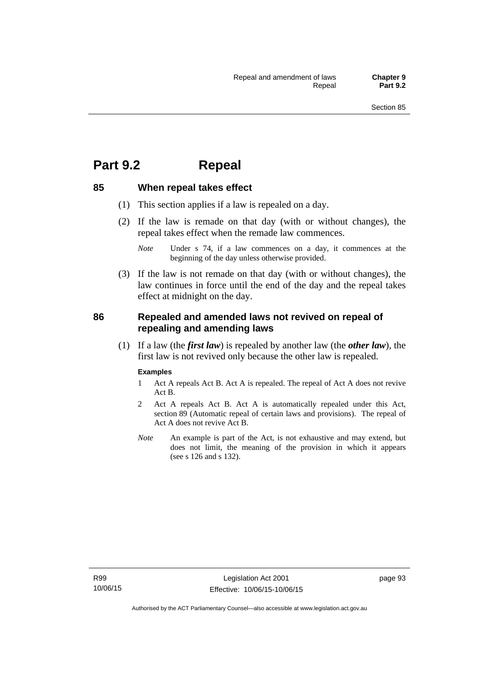## **Part 9.2 Repeal**

## **85 When repeal takes effect**

- (1) This section applies if a law is repealed on a day.
- (2) If the law is remade on that day (with or without changes), the repeal takes effect when the remade law commences.

 (3) If the law is not remade on that day (with or without changes), the law continues in force until the end of the day and the repeal takes effect at midnight on the day.

## **86 Repealed and amended laws not revived on repeal of repealing and amending laws**

 (1) If a law (the *first law*) is repealed by another law (the *other law*), the first law is not revived only because the other law is repealed.

#### **Examples**

- 1 Act A repeals Act B. Act A is repealed. The repeal of Act A does not revive Act B.
- 2 Act A repeals Act B. Act A is automatically repealed under this Act, section 89 (Automatic repeal of certain laws and provisions). The repeal of Act A does not revive Act B.
- *Note* An example is part of the Act, is not exhaustive and may extend, but does not limit, the meaning of the provision in which it appears (see s 126 and s 132).

*Note* Under s 74, if a law commences on a day, it commences at the beginning of the day unless otherwise provided.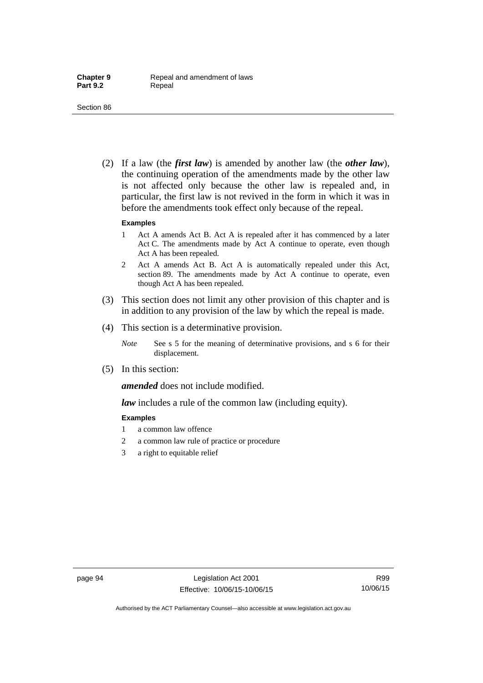(2) If a law (the *first law*) is amended by another law (the *other law*), the continuing operation of the amendments made by the other law is not affected only because the other law is repealed and, in particular, the first law is not revived in the form in which it was in before the amendments took effect only because of the repeal.

#### **Examples**

- 1 Act A amends Act B. Act A is repealed after it has commenced by a later Act C. The amendments made by Act A continue to operate, even though Act A has been repealed.
- 2 Act A amends Act B. Act A is automatically repealed under this Act, section 89. The amendments made by Act A continue to operate, even though Act A has been repealed.
- (3) This section does not limit any other provision of this chapter and is in addition to any provision of the law by which the repeal is made.
- (4) This section is a determinative provision.
	- *Note* See s 5 for the meaning of determinative provisions, and s 6 for their displacement.
- (5) In this section:

*amended* does not include modified.

*law* includes a rule of the common law (including equity).

#### **Examples**

- 1 a common law offence
- 2 a common law rule of practice or procedure
- 3 a right to equitable relief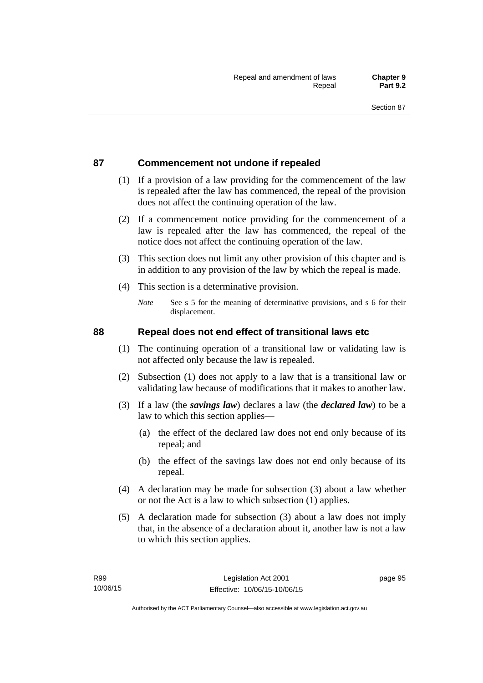## **87 Commencement not undone if repealed**

- (1) If a provision of a law providing for the commencement of the law is repealed after the law has commenced, the repeal of the provision does not affect the continuing operation of the law.
- (2) If a commencement notice providing for the commencement of a law is repealed after the law has commenced, the repeal of the notice does not affect the continuing operation of the law.
- (3) This section does not limit any other provision of this chapter and is in addition to any provision of the law by which the repeal is made.
- (4) This section is a determinative provision.
	- *Note* See s 5 for the meaning of determinative provisions, and s 6 for their displacement.

## **88 Repeal does not end effect of transitional laws etc**

- (1) The continuing operation of a transitional law or validating law is not affected only because the law is repealed.
- (2) Subsection (1) does not apply to a law that is a transitional law or validating law because of modifications that it makes to another law.
- (3) If a law (the *savings law*) declares a law (the *declared law*) to be a law to which this section applies—
	- (a) the effect of the declared law does not end only because of its repeal; and
	- (b) the effect of the savings law does not end only because of its repeal.
- (4) A declaration may be made for subsection (3) about a law whether or not the Act is a law to which subsection (1) applies.
- (5) A declaration made for subsection (3) about a law does not imply that, in the absence of a declaration about it, another law is not a law to which this section applies.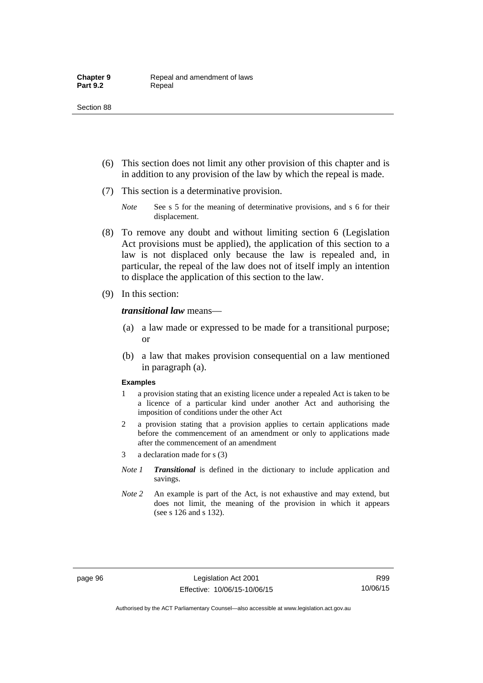- (6) This section does not limit any other provision of this chapter and is in addition to any provision of the law by which the repeal is made.
- (7) This section is a determinative provision.
	- *Note* See s 5 for the meaning of determinative provisions, and s 6 for their displacement.
- (8) To remove any doubt and without limiting section 6 (Legislation Act provisions must be applied), the application of this section to a law is not displaced only because the law is repealed and, in particular, the repeal of the law does not of itself imply an intention to displace the application of this section to the law.
- (9) In this section:

#### *transitional law* means—

- (a) a law made or expressed to be made for a transitional purpose; or
- (b) a law that makes provision consequential on a law mentioned in paragraph (a).

#### **Examples**

- 1 a provision stating that an existing licence under a repealed Act is taken to be a licence of a particular kind under another Act and authorising the imposition of conditions under the other Act
- 2 a provision stating that a provision applies to certain applications made before the commencement of an amendment or only to applications made after the commencement of an amendment
- 3 a declaration made for s (3)
- *Note 1 Transitional* is defined in the dictionary to include application and savings.
- *Note 2* An example is part of the Act, is not exhaustive and may extend, but does not limit, the meaning of the provision in which it appears (see s 126 and s 132).

Authorised by the ACT Parliamentary Counsel—also accessible at www.legislation.act.gov.au

R99 10/06/15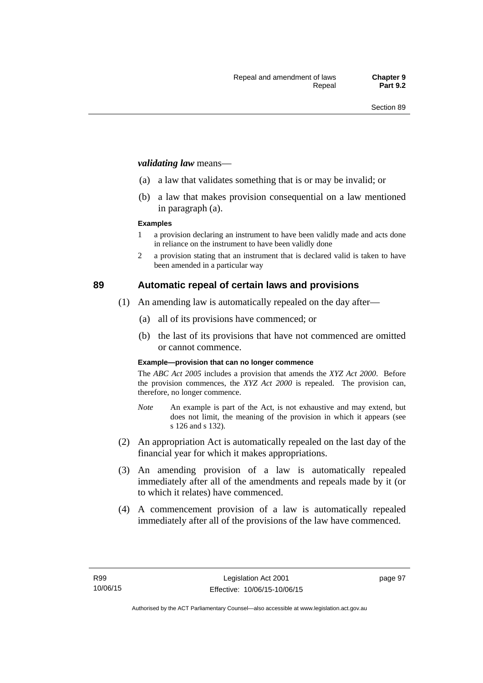#### *validating law* means—

- (a) a law that validates something that is or may be invalid; or
- (b) a law that makes provision consequential on a law mentioned in paragraph (a).

#### **Examples**

- 1 a provision declaring an instrument to have been validly made and acts done in reliance on the instrument to have been validly done
- 2 a provision stating that an instrument that is declared valid is taken to have been amended in a particular way

## **89 Automatic repeal of certain laws and provisions**

- (1) An amending law is automatically repealed on the day after—
	- (a) all of its provisions have commenced; or
	- (b) the last of its provisions that have not commenced are omitted or cannot commence.

#### **Example—provision that can no longer commence**

The *ABC Act 2005* includes a provision that amends the *XYZ Act 2000*. Before the provision commences, the *XYZ Act 2000* is repealed. The provision can, therefore, no longer commence.

- *Note* An example is part of the Act, is not exhaustive and may extend, but does not limit, the meaning of the provision in which it appears (see s 126 and s 132).
- (2) An appropriation Act is automatically repealed on the last day of the financial year for which it makes appropriations.
- (3) An amending provision of a law is automatically repealed immediately after all of the amendments and repeals made by it (or to which it relates) have commenced.
- (4) A commencement provision of a law is automatically repealed immediately after all of the provisions of the law have commenced.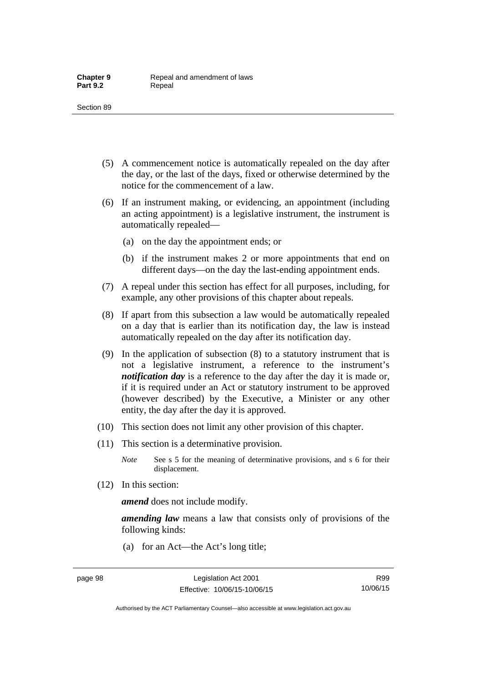- (5) A commencement notice is automatically repealed on the day after the day, or the last of the days, fixed or otherwise determined by the notice for the commencement of a law.
- (6) If an instrument making, or evidencing, an appointment (including an acting appointment) is a legislative instrument, the instrument is automatically repealed—
	- (a) on the day the appointment ends; or
	- (b) if the instrument makes 2 or more appointments that end on different days—on the day the last-ending appointment ends.
- (7) A repeal under this section has effect for all purposes, including, for example, any other provisions of this chapter about repeals.
- (8) If apart from this subsection a law would be automatically repealed on a day that is earlier than its notification day, the law is instead automatically repealed on the day after its notification day.
- (9) In the application of subsection (8) to a statutory instrument that is not a legislative instrument, a reference to the instrument's *notification day* is a reference to the day after the day it is made or, if it is required under an Act or statutory instrument to be approved (however described) by the Executive, a Minister or any other entity, the day after the day it is approved.
- (10) This section does not limit any other provision of this chapter.
- (11) This section is a determinative provision.
	- *Note* See s 5 for the meaning of determinative provisions, and s 6 for their displacement.
- (12) In this section:

*amend* does not include modify.

*amending law* means a law that consists only of provisions of the following kinds:

(a) for an Act—the Act's long title;

Authorised by the ACT Parliamentary Counsel—also accessible at www.legislation.act.gov.au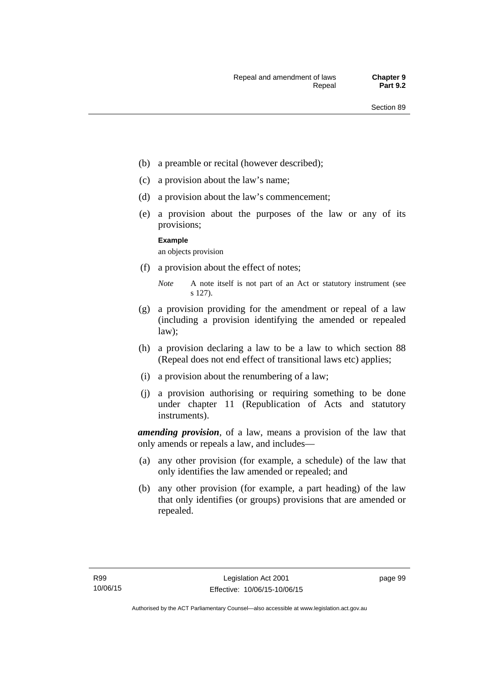- (b) a preamble or recital (however described);
- (c) a provision about the law's name;
- (d) a provision about the law's commencement;
- (e) a provision about the purposes of the law or any of its provisions;

#### **Example**

an objects provision

(f) a provision about the effect of notes;

- (g) a provision providing for the amendment or repeal of a law (including a provision identifying the amended or repealed law);
- (h) a provision declaring a law to be a law to which section 88 (Repeal does not end effect of transitional laws etc) applies;
- (i) a provision about the renumbering of a law;
- (j) a provision authorising or requiring something to be done under chapter 11 (Republication of Acts and statutory instruments).

*amending provision*, of a law, means a provision of the law that only amends or repeals a law, and includes—

- (a) any other provision (for example, a schedule) of the law that only identifies the law amended or repealed; and
- (b) any other provision (for example, a part heading) of the law that only identifies (or groups) provisions that are amended or repealed.

*Note* A note itself is not part of an Act or statutory instrument (see s 127).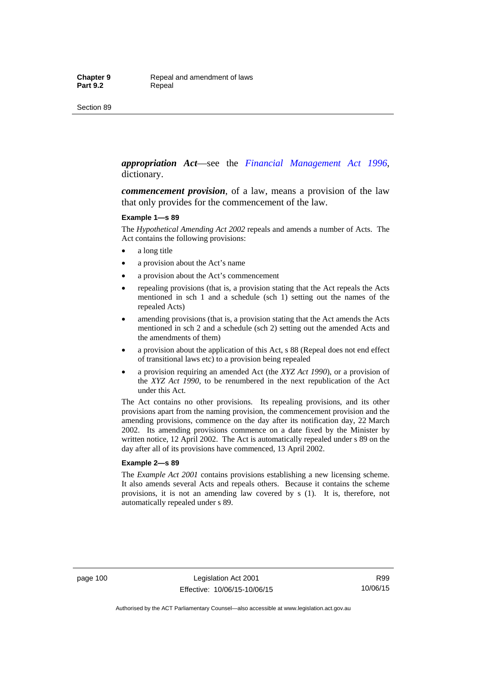#### *appropriation Act*—see the *[Financial Management Act 1996](http://www.legislation.act.gov.au/a/1996-22)*, dictionary.

*commencement provision*, of a law, means a provision of the law that only provides for the commencement of the law.

#### **Example 1—s 89**

The *Hypothetical Amending Act 2002* repeals and amends a number of Acts. The Act contains the following provisions:

- a long title
- a provision about the Act's name
- a provision about the Act's commencement
- repealing provisions (that is, a provision stating that the Act repeals the Acts mentioned in sch 1 and a schedule (sch 1) setting out the names of the repealed Acts)
- amending provisions (that is, a provision stating that the Act amends the Acts mentioned in sch 2 and a schedule (sch 2) setting out the amended Acts and the amendments of them)
- a provision about the application of this Act, s 88 (Repeal does not end effect of transitional laws etc) to a provision being repealed
- a provision requiring an amended Act (the *XYZ Act 1990*), or a provision of the *XYZ Act 1990*, to be renumbered in the next republication of the Act under this Act.

The Act contains no other provisions. Its repealing provisions, and its other provisions apart from the naming provision, the commencement provision and the amending provisions, commence on the day after its notification day, 22 March 2002. Its amending provisions commence on a date fixed by the Minister by written notice, 12 April 2002. The Act is automatically repealed under s 89 on the day after all of its provisions have commenced, 13 April 2002.

#### **Example 2—s 89**

The *Example Act 2001* contains provisions establishing a new licensing scheme. It also amends several Acts and repeals others. Because it contains the scheme provisions, it is not an amending law covered by s (1). It is, therefore, not automatically repealed under s 89.

page 100 Legislation Act 2001 Effective: 10/06/15-10/06/15

R99 10/06/15

Authorised by the ACT Parliamentary Counsel—also accessible at www.legislation.act.gov.au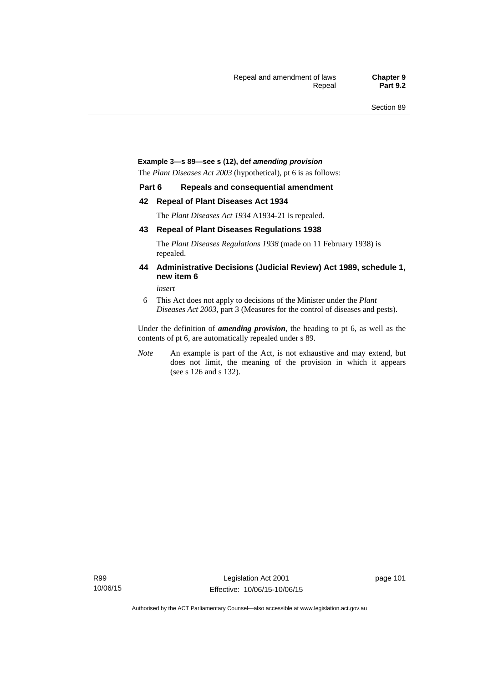#### **Example 3—s 89—see s (12), def** *amending provision*

The *Plant Diseases Act 2003* (hypothetical), pt 6 is as follows:

#### **Part 6 Repeals and consequential amendment**

#### **42 Repeal of Plant Diseases Act 1934**

The *Plant Diseases Act 1934* A1934-21 is repealed.

#### **43 Repeal of Plant Diseases Regulations 1938**

The *Plant Diseases Regulations 1938* (made on 11 February 1938) is repealed.

#### **44 Administrative Decisions (Judicial Review) Act 1989, schedule 1, new item 6**

*insert* 

6 This Act does not apply to decisions of the Minister under the *Plant Diseases Act 2003*, part 3 (Measures for the control of diseases and pests).

Under the definition of *amending provision*, the heading to pt 6, as well as the contents of pt 6, are automatically repealed under s 89.

*Note* An example is part of the Act, is not exhaustive and may extend, but does not limit, the meaning of the provision in which it appears (see s 126 and s 132).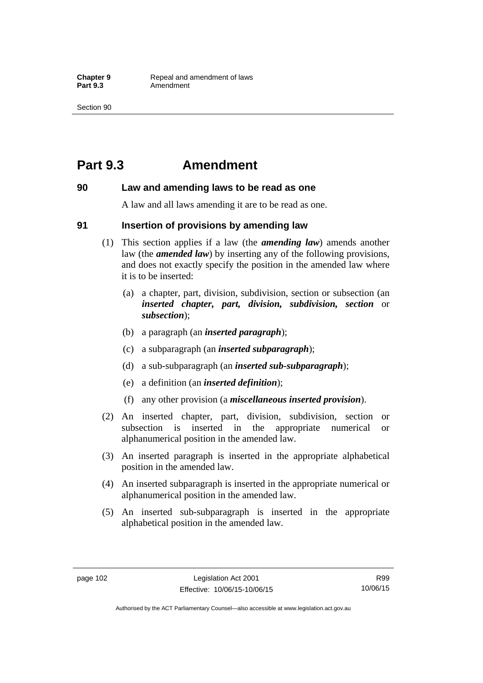## **Part 9.3 Amendment**

### **90 Law and amending laws to be read as one**

A law and all laws amending it are to be read as one.

### **91 Insertion of provisions by amending law**

- (1) This section applies if a law (the *amending law*) amends another law (the *amended law*) by inserting any of the following provisions, and does not exactly specify the position in the amended law where it is to be inserted:
	- (a) a chapter, part, division, subdivision, section or subsection (an *inserted chapter, part, division, subdivision, section* or *subsection*);
	- (b) a paragraph (an *inserted paragraph*);
	- (c) a subparagraph (an *inserted subparagraph*);
	- (d) a sub-subparagraph (an *inserted sub-subparagraph*);
	- (e) a definition (an *inserted definition*);
	- (f) any other provision (a *miscellaneous inserted provision*).
- (2) An inserted chapter, part, division, subdivision, section or subsection is inserted in the appropriate numerical or alphanumerical position in the amended law.
- (3) An inserted paragraph is inserted in the appropriate alphabetical position in the amended law.
- (4) An inserted subparagraph is inserted in the appropriate numerical or alphanumerical position in the amended law.
- (5) An inserted sub-subparagraph is inserted in the appropriate alphabetical position in the amended law.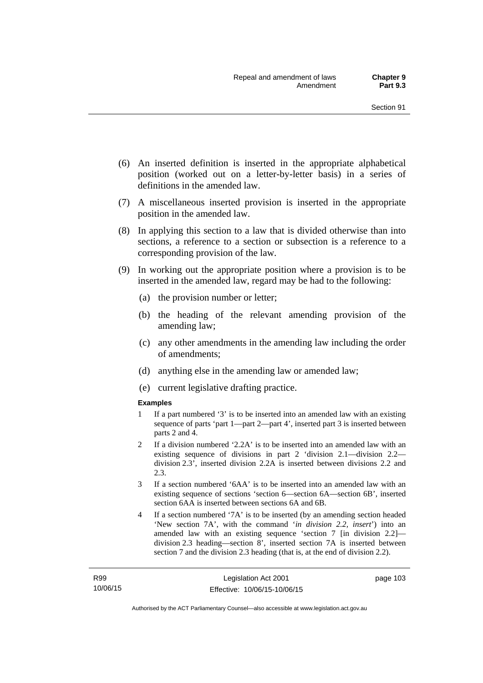- (6) An inserted definition is inserted in the appropriate alphabetical position (worked out on a letter-by-letter basis) in a series of definitions in the amended law.
- (7) A miscellaneous inserted provision is inserted in the appropriate position in the amended law.
- (8) In applying this section to a law that is divided otherwise than into sections, a reference to a section or subsection is a reference to a corresponding provision of the law.
- (9) In working out the appropriate position where a provision is to be inserted in the amended law, regard may be had to the following:
	- (a) the provision number or letter;
	- (b) the heading of the relevant amending provision of the amending law;
	- (c) any other amendments in the amending law including the order of amendments;
	- (d) anything else in the amending law or amended law;
	- (e) current legislative drafting practice.

#### **Examples**

- 1 If a part numbered '3' is to be inserted into an amended law with an existing sequence of parts 'part 1—part 2—part 4', inserted part 3 is inserted between parts 2 and 4.
- 2 If a division numbered '2.2A' is to be inserted into an amended law with an existing sequence of divisions in part 2 'division 2.1—division 2.2 division 2.3', inserted division 2.2A is inserted between divisions 2.2 and 2.3.
- 3 If a section numbered '6AA' is to be inserted into an amended law with an existing sequence of sections 'section 6—section 6A—section 6B', inserted section 6AA is inserted between sections 6A and 6B.
- 4 If a section numbered '7A' is to be inserted (by an amending section headed 'New section 7A', with the command '*in division 2.2, insert*') into an amended law with an existing sequence 'section 7 [in division 2.2] division 2.3 heading—section 8', inserted section 7A is inserted between section 7 and the division 2.3 heading (that is, at the end of division 2.2).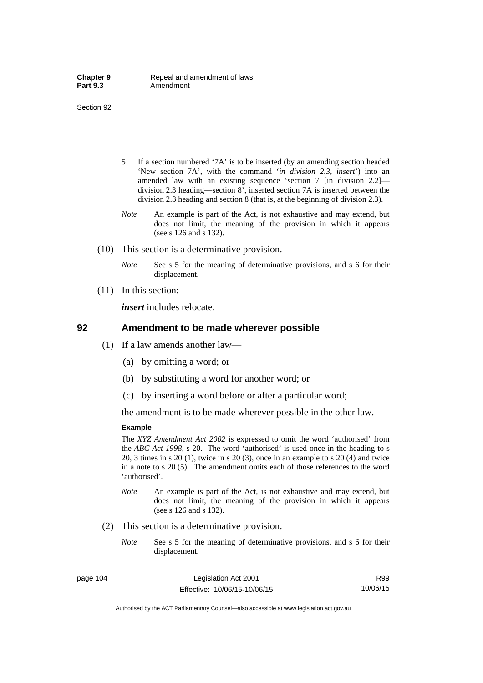- 5 If a section numbered '7A' is to be inserted (by an amending section headed 'New section 7A', with the command '*in division 2.3, insert*') into an amended law with an existing sequence 'section 7 [in division 2.2] division 2.3 heading—section 8', inserted section 7A is inserted between the division 2.3 heading and section 8 (that is, at the beginning of division 2.3).
- *Note* An example is part of the Act, is not exhaustive and may extend, but does not limit, the meaning of the provision in which it appears (see s 126 and s 132).
- (10) This section is a determinative provision.
	- *Note* See s 5 for the meaning of determinative provisions, and s 6 for their displacement.
- (11) In this section:

*insert* includes relocate.

#### **92 Amendment to be made wherever possible**

- (1) If a law amends another law—
	- (a) by omitting a word; or
	- (b) by substituting a word for another word; or
	- (c) by inserting a word before or after a particular word;

the amendment is to be made wherever possible in the other law.

#### **Example**

The *XYZ Amendment Act 2002* is expressed to omit the word 'authorised' from the *ABC Act 1998*, s 20. The word 'authorised' is used once in the heading to s 20, 3 times in s 20 (1), twice in s 20 (3), once in an example to s 20 (4) and twice in a note to s 20 (5). The amendment omits each of those references to the word 'authorised'.

- *Note* An example is part of the Act, is not exhaustive and may extend, but does not limit, the meaning of the provision in which it appears (see s 126 and s 132).
- (2) This section is a determinative provision.
	- *Note* See s 5 for the meaning of determinative provisions, and s 6 for their displacement.

R99 10/06/15

Authorised by the ACT Parliamentary Counsel—also accessible at www.legislation.act.gov.au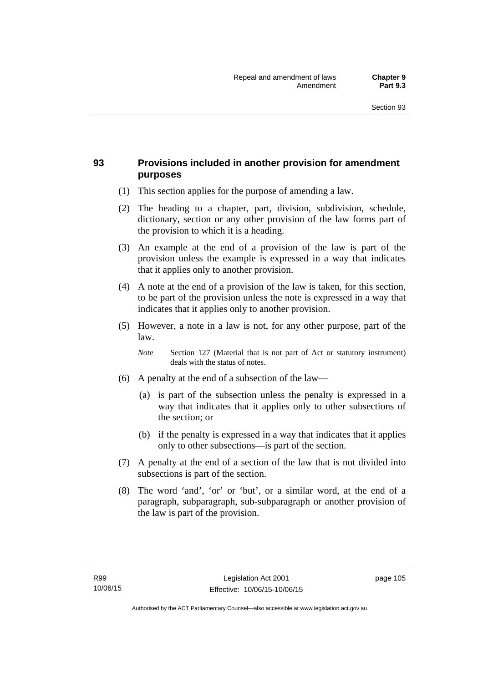## **93 Provisions included in another provision for amendment purposes**

- (1) This section applies for the purpose of amending a law.
- (2) The heading to a chapter, part, division, subdivision, schedule, dictionary, section or any other provision of the law forms part of the provision to which it is a heading.
- (3) An example at the end of a provision of the law is part of the provision unless the example is expressed in a way that indicates that it applies only to another provision.
- (4) A note at the end of a provision of the law is taken, for this section, to be part of the provision unless the note is expressed in a way that indicates that it applies only to another provision.
- (5) However, a note in a law is not, for any other purpose, part of the law.

*Note* Section 127 (Material that is not part of Act or statutory instrument) deals with the status of notes.

- (6) A penalty at the end of a subsection of the law—
	- (a) is part of the subsection unless the penalty is expressed in a way that indicates that it applies only to other subsections of the section; or
	- (b) if the penalty is expressed in a way that indicates that it applies only to other subsections—is part of the section.
- (7) A penalty at the end of a section of the law that is not divided into subsections is part of the section.
- (8) The word 'and', 'or' or 'but', or a similar word, at the end of a paragraph, subparagraph, sub-subparagraph or another provision of the law is part of the provision.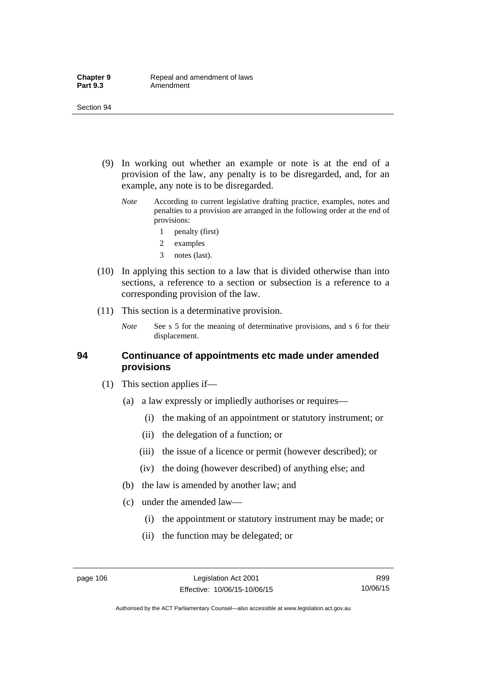- (9) In working out whether an example or note is at the end of a provision of the law, any penalty is to be disregarded, and, for an example, any note is to be disregarded.
	- *Note* According to current legislative drafting practice, examples, notes and penalties to a provision are arranged in the following order at the end of provisions:
		- 1 penalty (first)
		- 2 examples
		- 3 notes (last).
- (10) In applying this section to a law that is divided otherwise than into sections, a reference to a section or subsection is a reference to a corresponding provision of the law.
- (11) This section is a determinative provision.
	- *Note* See s 5 for the meaning of determinative provisions, and s 6 for their displacement.

### **94 Continuance of appointments etc made under amended provisions**

- (1) This section applies if—
	- (a) a law expressly or impliedly authorises or requires—
		- (i) the making of an appointment or statutory instrument; or
		- (ii) the delegation of a function; or
		- (iii) the issue of a licence or permit (however described); or
		- (iv) the doing (however described) of anything else; and
	- (b) the law is amended by another law; and
	- (c) under the amended law—
		- (i) the appointment or statutory instrument may be made; or
		- (ii) the function may be delegated; or

Authorised by the ACT Parliamentary Counsel—also accessible at www.legislation.act.gov.au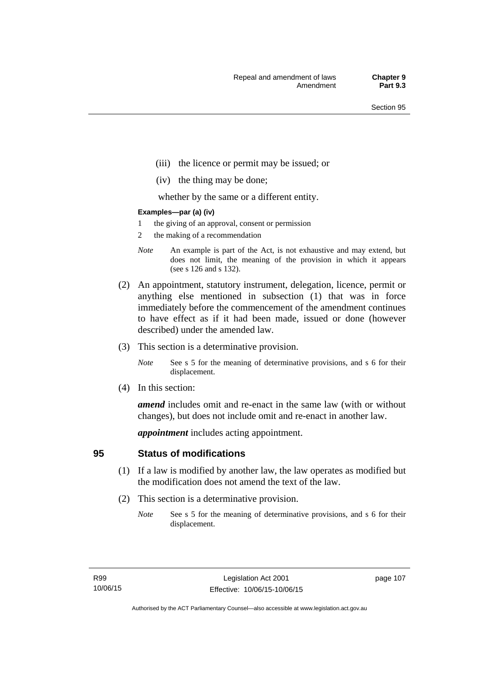- (iii) the licence or permit may be issued; or
- (iv) the thing may be done;

whether by the same or a different entity.

#### **Examples—par (a) (iv)**

- 1 the giving of an approval, consent or permission
- 2 the making of a recommendation
- *Note* An example is part of the Act, is not exhaustive and may extend, but does not limit, the meaning of the provision in which it appears (see s 126 and s 132).
- (2) An appointment, statutory instrument, delegation, licence, permit or anything else mentioned in subsection (1) that was in force immediately before the commencement of the amendment continues to have effect as if it had been made, issued or done (however described) under the amended law.
- (3) This section is a determinative provision.
	- *Note* See s 5 for the meaning of determinative provisions, and s 6 for their displacement.
- (4) In this section:

*amend* includes omit and re-enact in the same law (with or without changes), but does not include omit and re-enact in another law.

*appointment* includes acting appointment.

## **95 Status of modifications**

- (1) If a law is modified by another law, the law operates as modified but the modification does not amend the text of the law.
- (2) This section is a determinative provision.
	- *Note* See s 5 for the meaning of determinative provisions, and s 6 for their displacement.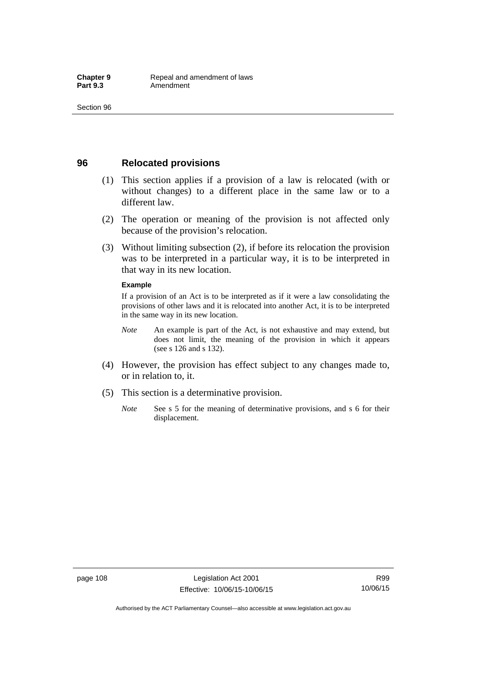## **96 Relocated provisions**

- (1) This section applies if a provision of a law is relocated (with or without changes) to a different place in the same law or to a different law.
- (2) The operation or meaning of the provision is not affected only because of the provision's relocation.
- (3) Without limiting subsection (2), if before its relocation the provision was to be interpreted in a particular way, it is to be interpreted in that way in its new location.

#### **Example**

If a provision of an Act is to be interpreted as if it were a law consolidating the provisions of other laws and it is relocated into another Act, it is to be interpreted in the same way in its new location.

- *Note* An example is part of the Act, is not exhaustive and may extend, but does not limit, the meaning of the provision in which it appears (see s 126 and s 132).
- (4) However, the provision has effect subject to any changes made to, or in relation to, it.
- (5) This section is a determinative provision.
	- *Note* See s 5 for the meaning of determinative provisions, and s 6 for their displacement.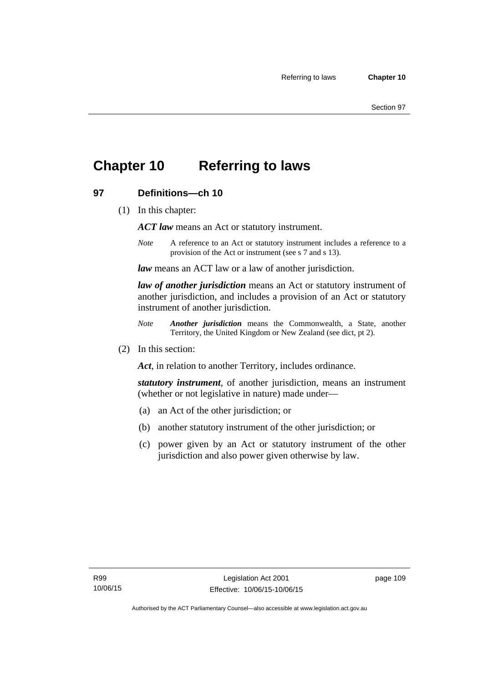## **Chapter 10 Referring to laws**

## **97 Definitions—ch 10**

(1) In this chapter:

*ACT law* means an Act or statutory instrument.

*Note* A reference to an Act or statutory instrument includes a reference to a provision of the Act or instrument (see s 7 and s 13).

*law* means an ACT law or a law of another jurisdiction.

*law of another jurisdiction* means an Act or statutory instrument of another jurisdiction, and includes a provision of an Act or statutory instrument of another jurisdiction.

- *Note Another jurisdiction* means the Commonwealth, a State, another Territory, the United Kingdom or New Zealand (see dict, pt 2).
- (2) In this section:

*Act*, in relation to another Territory, includes ordinance.

*statutory instrument*, of another jurisdiction, means an instrument (whether or not legislative in nature) made under—

- (a) an Act of the other jurisdiction; or
- (b) another statutory instrument of the other jurisdiction; or
- (c) power given by an Act or statutory instrument of the other jurisdiction and also power given otherwise by law.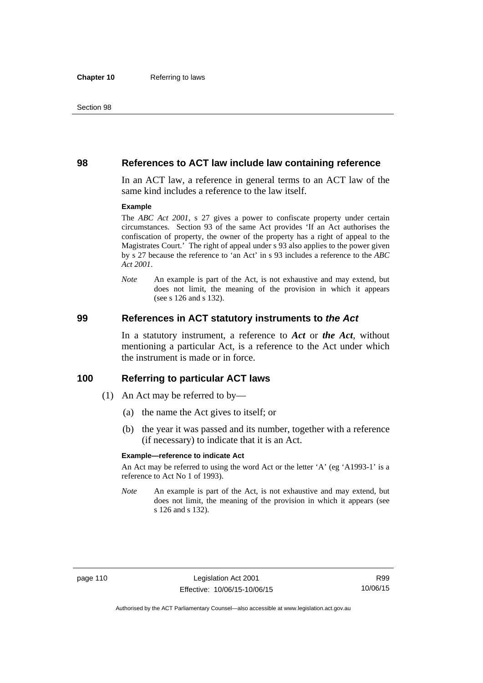### **98 References to ACT law include law containing reference**

In an ACT law, a reference in general terms to an ACT law of the same kind includes a reference to the law itself.

#### **Example**

The *ABC Act 2001*, s 27 gives a power to confiscate property under certain circumstances. Section 93 of the same Act provides 'If an Act authorises the confiscation of property, the owner of the property has a right of appeal to the Magistrates Court.' The right of appeal under s 93 also applies to the power given by s 27 because the reference to 'an Act' in s 93 includes a reference to the *ABC Act 2001*.

*Note* An example is part of the Act, is not exhaustive and may extend, but does not limit, the meaning of the provision in which it appears (see s 126 and s 132).

### **99 References in ACT statutory instruments to** *the Act*

In a statutory instrument, a reference to *Act* or *the Act*, without mentioning a particular Act, is a reference to the Act under which the instrument is made or in force.

### **100 Referring to particular ACT laws**

- (1) An Act may be referred to by—
	- (a) the name the Act gives to itself; or
	- (b) the year it was passed and its number, together with a reference (if necessary) to indicate that it is an Act.

#### **Example—reference to indicate Act**

An Act may be referred to using the word Act or the letter 'A' (eg 'A1993-1' is a reference to Act No 1 of 1993).

*Note* An example is part of the Act, is not exhaustive and may extend, but does not limit, the meaning of the provision in which it appears (see s 126 and s 132).

R99 10/06/15

Authorised by the ACT Parliamentary Counsel—also accessible at www.legislation.act.gov.au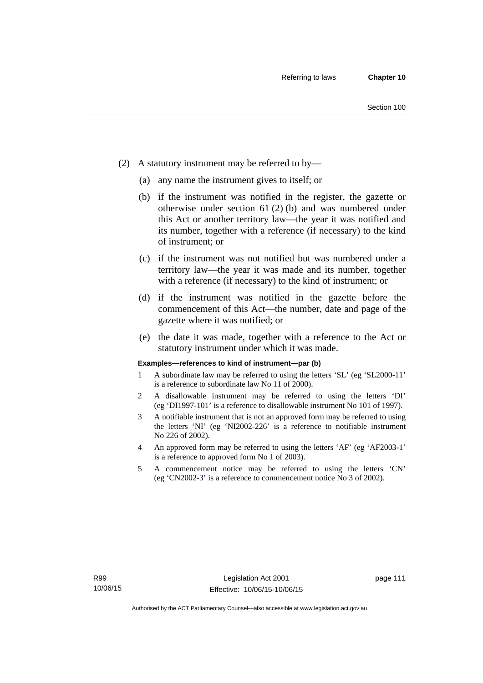- (2) A statutory instrument may be referred to by—
	- (a) any name the instrument gives to itself; or
	- (b) if the instrument was notified in the register, the gazette or otherwise under section 61 (2) (b) and was numbered under this Act or another territory law—the year it was notified and its number, together with a reference (if necessary) to the kind of instrument; or
	- (c) if the instrument was not notified but was numbered under a territory law—the year it was made and its number, together with a reference (if necessary) to the kind of instrument; or
	- (d) if the instrument was notified in the gazette before the commencement of this Act—the number, date and page of the gazette where it was notified; or
	- (e) the date it was made, together with a reference to the Act or statutory instrument under which it was made.

#### **Examples—references to kind of instrument—par (b)**

- 1 A subordinate law may be referred to using the letters 'SL' (eg 'SL2000-11' is a reference to subordinate law No 11 of 2000).
- 2 A disallowable instrument may be referred to using the letters 'DI' (eg 'DI1997-101' is a reference to disallowable instrument No 101 of 1997).
- 3 A notifiable instrument that is not an approved form may be referred to using the letters 'NI' (eg 'NI2002-226' is a reference to notifiable instrument No 226 of 2002).
- 4 An approved form may be referred to using the letters 'AF' (eg 'AF2003-1' is a reference to approved form No 1 of 2003).
- 5 A commencement notice may be referred to using the letters 'CN' (eg 'CN2002-3' is a reference to commencement notice No 3 of 2002).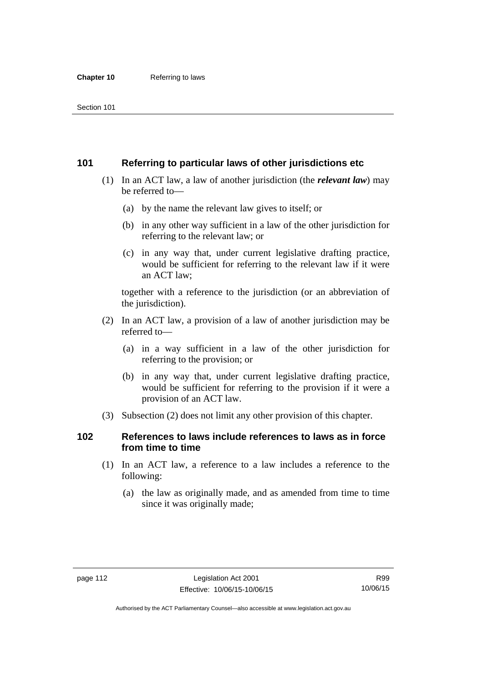## **101 Referring to particular laws of other jurisdictions etc**

- (1) In an ACT law, a law of another jurisdiction (the *relevant law*) may be referred to—
	- (a) by the name the relevant law gives to itself; or
	- (b) in any other way sufficient in a law of the other jurisdiction for referring to the relevant law; or
	- (c) in any way that, under current legislative drafting practice, would be sufficient for referring to the relevant law if it were an ACT law;

together with a reference to the jurisdiction (or an abbreviation of the jurisdiction).

- (2) In an ACT law, a provision of a law of another jurisdiction may be referred to—
	- (a) in a way sufficient in a law of the other jurisdiction for referring to the provision; or
	- (b) in any way that, under current legislative drafting practice, would be sufficient for referring to the provision if it were a provision of an ACT law.
- (3) Subsection (2) does not limit any other provision of this chapter.

## **102 References to laws include references to laws as in force from time to time**

- (1) In an ACT law, a reference to a law includes a reference to the following:
	- (a) the law as originally made, and as amended from time to time since it was originally made;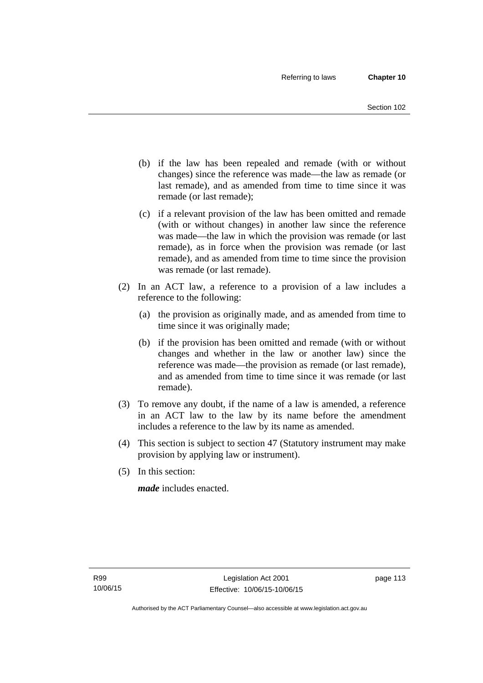- (b) if the law has been repealed and remade (with or without changes) since the reference was made—the law as remade (or last remade), and as amended from time to time since it was remade (or last remade);
- (c) if a relevant provision of the law has been omitted and remade (with or without changes) in another law since the reference was made—the law in which the provision was remade (or last remade), as in force when the provision was remade (or last remade), and as amended from time to time since the provision was remade (or last remade).
- (2) In an ACT law, a reference to a provision of a law includes a reference to the following:
	- (a) the provision as originally made, and as amended from time to time since it was originally made;
	- (b) if the provision has been omitted and remade (with or without changes and whether in the law or another law) since the reference was made—the provision as remade (or last remade), and as amended from time to time since it was remade (or last remade).
- (3) To remove any doubt, if the name of a law is amended, a reference in an ACT law to the law by its name before the amendment includes a reference to the law by its name as amended.
- (4) This section is subject to section 47 (Statutory instrument may make provision by applying law or instrument).
- (5) In this section:

*made* includes enacted.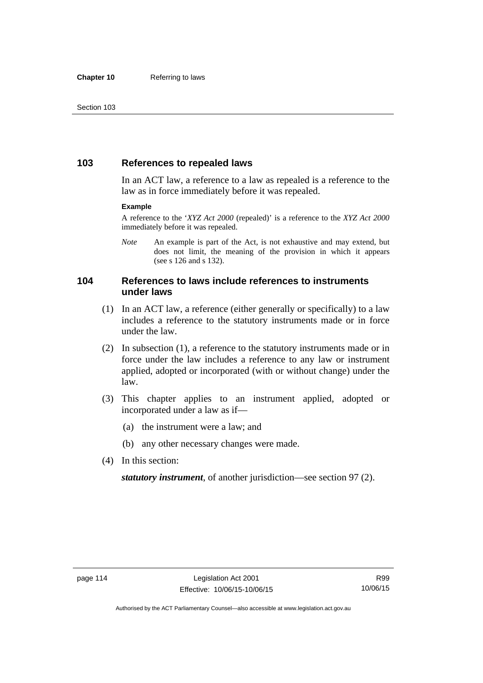## **103 References to repealed laws**

In an ACT law, a reference to a law as repealed is a reference to the law as in force immediately before it was repealed.

#### **Example**

A reference to the '*XYZ Act 2000* (repealed)' is a reference to the *XYZ Act 2000* immediately before it was repealed.

*Note* An example is part of the Act, is not exhaustive and may extend, but does not limit, the meaning of the provision in which it appears (see s 126 and s 132).

## **104 References to laws include references to instruments under laws**

- (1) In an ACT law, a reference (either generally or specifically) to a law includes a reference to the statutory instruments made or in force under the law.
- (2) In subsection (1), a reference to the statutory instruments made or in force under the law includes a reference to any law or instrument applied, adopted or incorporated (with or without change) under the law.
- (3) This chapter applies to an instrument applied, adopted or incorporated under a law as if—
	- (a) the instrument were a law; and
	- (b) any other necessary changes were made.
- (4) In this section:

*statutory instrument*, of another jurisdiction—see section 97 (2).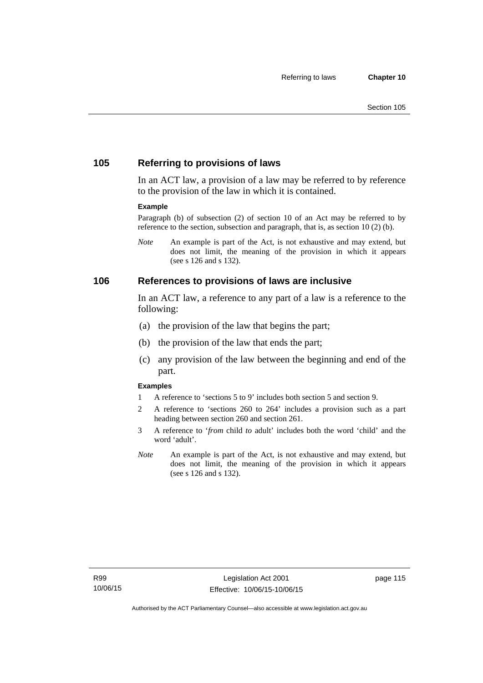## **105 Referring to provisions of laws**

In an ACT law, a provision of a law may be referred to by reference to the provision of the law in which it is contained.

#### **Example**

Paragraph (b) of subsection (2) of section 10 of an Act may be referred to by reference to the section, subsection and paragraph, that is, as section 10 (2) (b).

*Note* An example is part of the Act, is not exhaustive and may extend, but does not limit, the meaning of the provision in which it appears (see s 126 and s 132).

### **106 References to provisions of laws are inclusive**

In an ACT law, a reference to any part of a law is a reference to the following:

- (a) the provision of the law that begins the part;
- (b) the provision of the law that ends the part;
- (c) any provision of the law between the beginning and end of the part.

#### **Examples**

- 1 A reference to 'sections 5 to 9' includes both section 5 and section 9.
- 2 A reference to 'sections 260 to 264' includes a provision such as a part heading between section 260 and section 261.
- 3 A reference to '*from* child *to* adult' includes both the word 'child' and the word 'adult'.
- *Note* An example is part of the Act, is not exhaustive and may extend, but does not limit, the meaning of the provision in which it appears (see s 126 and s 132).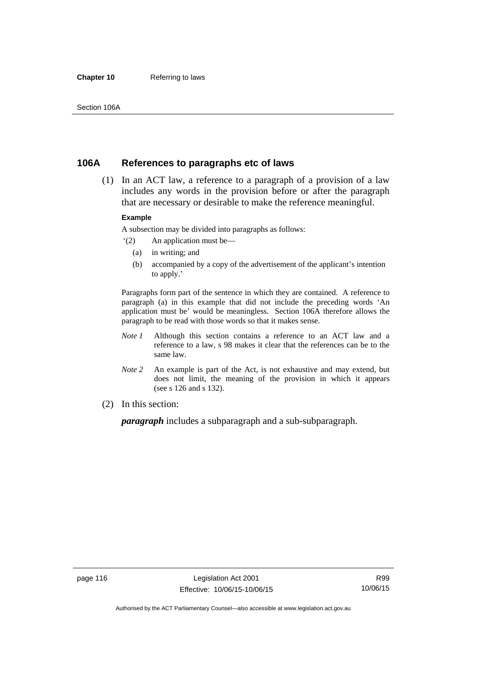#### **Chapter 10** Referring to laws

## **106A References to paragraphs etc of laws**

 (1) In an ACT law, a reference to a paragraph of a provision of a law includes any words in the provision before or after the paragraph that are necessary or desirable to make the reference meaningful.

#### **Example**

A subsection may be divided into paragraphs as follows:

- '(2) An application must be—
	- (a) in writing; and
	- (b) accompanied by a copy of the advertisement of the applicant's intention to apply.'

Paragraphs form part of the sentence in which they are contained. A reference to paragraph (a) in this example that did not include the preceding words 'An application must be' would be meaningless. Section 106A therefore allows the paragraph to be read with those words so that it makes sense.

- *Note 1* Although this section contains a reference to an ACT law and a reference to a law, s 98 makes it clear that the references can be to the same law.
- *Note 2* An example is part of the Act, is not exhaustive and may extend, but does not limit, the meaning of the provision in which it appears (see s 126 and s 132).
- (2) In this section:

*paragraph* includes a subparagraph and a sub-subparagraph.

R99 10/06/15

Authorised by the ACT Parliamentary Counsel—also accessible at www.legislation.act.gov.au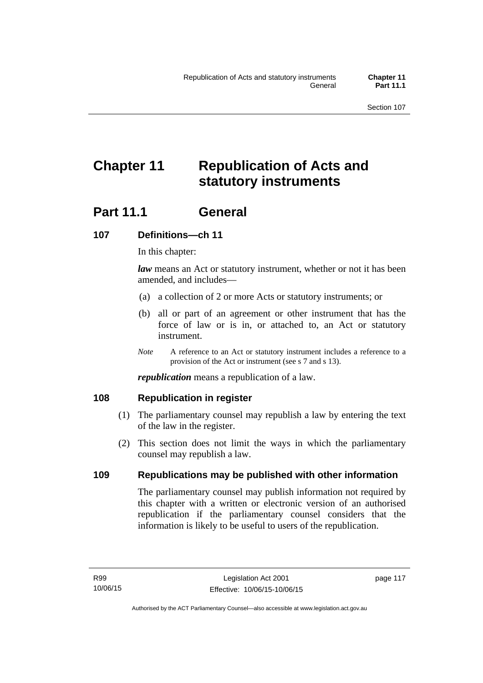# **Chapter 11 Republication of Acts and statutory instruments**

## Part 11.1 General

## **107 Definitions—ch 11**

In this chapter:

*law* means an Act or statutory instrument, whether or not it has been amended, and includes—

- (a) a collection of 2 or more Acts or statutory instruments; or
- (b) all or part of an agreement or other instrument that has the force of law or is in, or attached to, an Act or statutory instrument.
- *Note* A reference to an Act or statutory instrument includes a reference to a provision of the Act or instrument (see s 7 and s 13).

*republication* means a republication of a law.

## **108 Republication in register**

- (1) The parliamentary counsel may republish a law by entering the text of the law in the register.
- (2) This section does not limit the ways in which the parliamentary counsel may republish a law.

## **109 Republications may be published with other information**

The parliamentary counsel may publish information not required by this chapter with a written or electronic version of an authorised republication if the parliamentary counsel considers that the information is likely to be useful to users of the republication.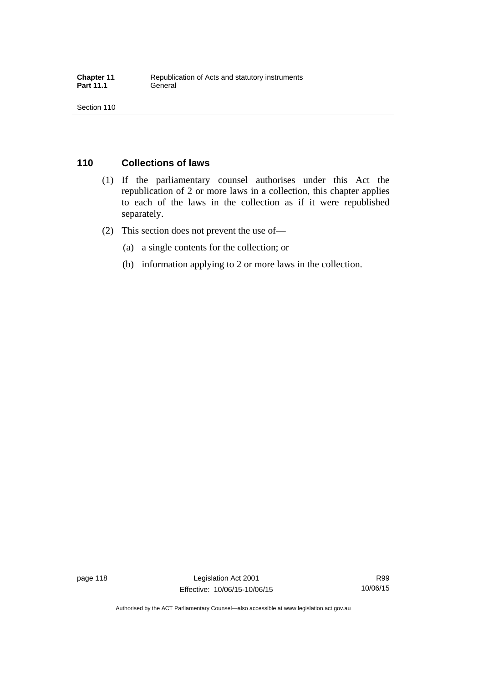## **110 Collections of laws**

- (1) If the parliamentary counsel authorises under this Act the republication of 2 or more laws in a collection, this chapter applies to each of the laws in the collection as if it were republished separately.
- (2) This section does not prevent the use of—
	- (a) a single contents for the collection; or
	- (b) information applying to 2 or more laws in the collection.

page 118 Legislation Act 2001 Effective: 10/06/15-10/06/15

R99 10/06/15

Authorised by the ACT Parliamentary Counsel—also accessible at www.legislation.act.gov.au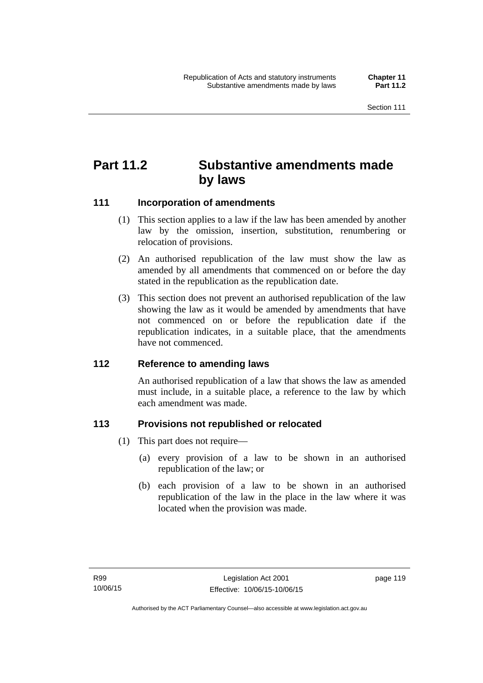## **Part 11.2 Substantive amendments made by laws**

## **111 Incorporation of amendments**

- (1) This section applies to a law if the law has been amended by another law by the omission, insertion, substitution, renumbering or relocation of provisions.
- (2) An authorised republication of the law must show the law as amended by all amendments that commenced on or before the day stated in the republication as the republication date.
- (3) This section does not prevent an authorised republication of the law showing the law as it would be amended by amendments that have not commenced on or before the republication date if the republication indicates, in a suitable place, that the amendments have not commenced.

## **112 Reference to amending laws**

An authorised republication of a law that shows the law as amended must include, in a suitable place, a reference to the law by which each amendment was made.

## **113 Provisions not republished or relocated**

- (1) This part does not require—
	- (a) every provision of a law to be shown in an authorised republication of the law; or
	- (b) each provision of a law to be shown in an authorised republication of the law in the place in the law where it was located when the provision was made.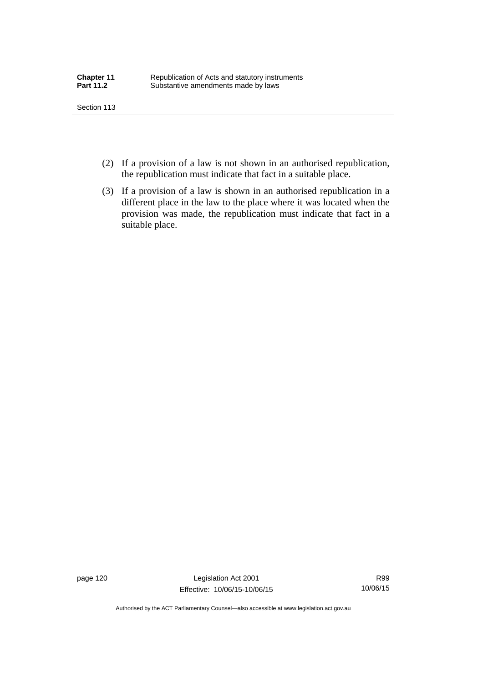- (2) If a provision of a law is not shown in an authorised republication, the republication must indicate that fact in a suitable place.
- (3) If a provision of a law is shown in an authorised republication in a different place in the law to the place where it was located when the provision was made, the republication must indicate that fact in a suitable place.

page 120 Legislation Act 2001 Effective: 10/06/15-10/06/15

R99 10/06/15

Authorised by the ACT Parliamentary Counsel—also accessible at www.legislation.act.gov.au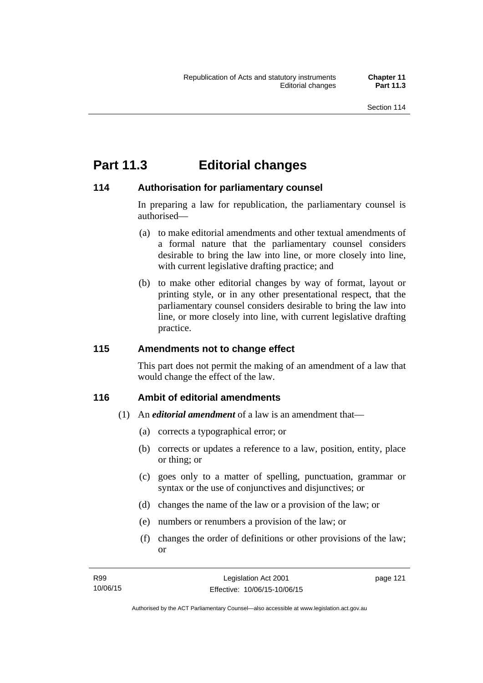## **Part 11.3 Editorial changes**

## **114 Authorisation for parliamentary counsel**

In preparing a law for republication, the parliamentary counsel is authorised—

- (a) to make editorial amendments and other textual amendments of a formal nature that the parliamentary counsel considers desirable to bring the law into line, or more closely into line, with current legislative drafting practice; and
- (b) to make other editorial changes by way of format, layout or printing style, or in any other presentational respect, that the parliamentary counsel considers desirable to bring the law into line, or more closely into line, with current legislative drafting practice.

## **115 Amendments not to change effect**

This part does not permit the making of an amendment of a law that would change the effect of the law.

## **116 Ambit of editorial amendments**

- (1) An *editorial amendment* of a law is an amendment that—
	- (a) corrects a typographical error; or
	- (b) corrects or updates a reference to a law, position, entity, place or thing; or
	- (c) goes only to a matter of spelling, punctuation, grammar or syntax or the use of conjunctives and disjunctives; or
	- (d) changes the name of the law or a provision of the law; or
	- (e) numbers or renumbers a provision of the law; or
	- (f) changes the order of definitions or other provisions of the law; or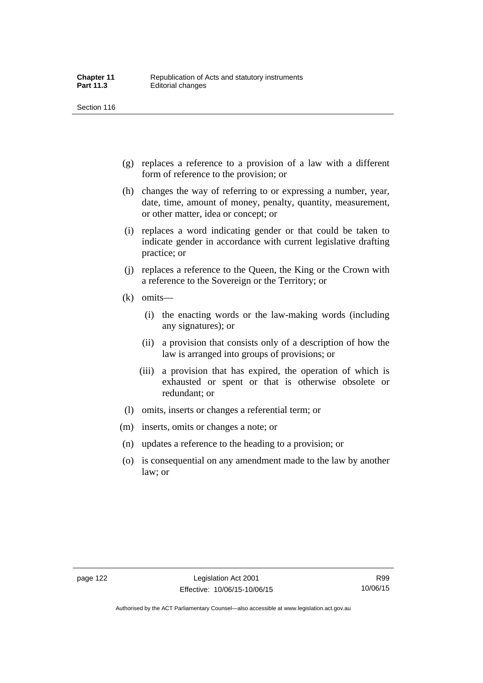- (g) replaces a reference to a provision of a law with a different form of reference to the provision; or
- (h) changes the way of referring to or expressing a number, year, date, time, amount of money, penalty, quantity, measurement, or other matter, idea or concept; or
- (i) replaces a word indicating gender or that could be taken to indicate gender in accordance with current legislative drafting practice; or
- (j) replaces a reference to the Queen, the King or the Crown with a reference to the Sovereign or the Territory; or
- (k) omits—
	- (i) the enacting words or the law-making words (including any signatures); or
	- (ii) a provision that consists only of a description of how the law is arranged into groups of provisions; or
	- (iii) a provision that has expired, the operation of which is exhausted or spent or that is otherwise obsolete or redundant; or
- (l) omits, inserts or changes a referential term; or
- (m) inserts, omits or changes a note; or
- (n) updates a reference to the heading to a provision; or
- (o) is consequential on any amendment made to the law by another law; or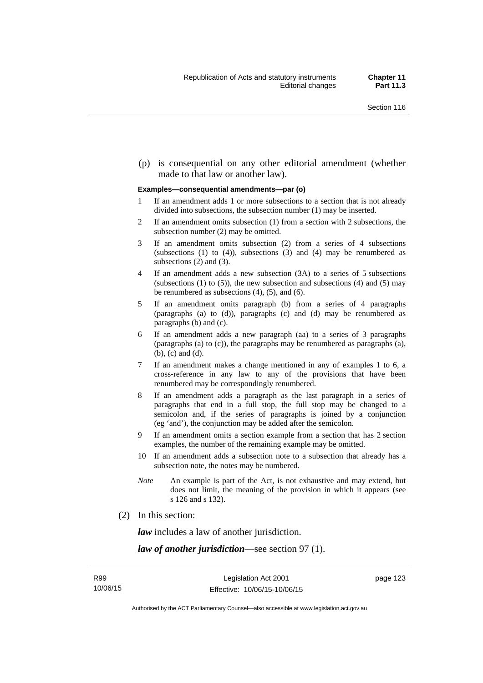(p) is consequential on any other editorial amendment (whether made to that law or another law).

#### **Examples—consequential amendments—par (o)**

- 1 If an amendment adds 1 or more subsections to a section that is not already divided into subsections, the subsection number (1) may be inserted.
- 2 If an amendment omits subsection (1) from a section with 2 subsections, the subsection number (2) may be omitted.
- 3 If an amendment omits subsection (2) from a series of 4 subsections (subsections  $(1)$  to  $(4)$ ), subsections  $(3)$  and  $(4)$  may be renumbered as subsections (2) and (3).
- 4 If an amendment adds a new subsection (3A) to a series of 5 subsections (subsections  $(1)$  to  $(5)$ ), the new subsection and subsections  $(4)$  and  $(5)$  may be renumbered as subsections (4), (5), and (6).
- 5 If an amendment omits paragraph (b) from a series of 4 paragraphs (paragraphs (a) to (d)), paragraphs (c) and (d) may be renumbered as paragraphs (b) and (c).
- 6 If an amendment adds a new paragraph (aa) to a series of 3 paragraphs (paragraphs (a) to (c)), the paragraphs may be renumbered as paragraphs (a), (b), (c) and (d).
- 7 If an amendment makes a change mentioned in any of examples 1 to 6, a cross-reference in any law to any of the provisions that have been renumbered may be correspondingly renumbered.
- 8 If an amendment adds a paragraph as the last paragraph in a series of paragraphs that end in a full stop, the full stop may be changed to a semicolon and, if the series of paragraphs is joined by a conjunction (eg 'and'), the conjunction may be added after the semicolon.
- 9 If an amendment omits a section example from a section that has 2 section examples, the number of the remaining example may be omitted.
- 10 If an amendment adds a subsection note to a subsection that already has a subsection note, the notes may be numbered.
- *Note* An example is part of the Act, is not exhaustive and may extend, but does not limit, the meaning of the provision in which it appears (see s 126 and s 132).
- (2) In this section:

*law* includes a law of another jurisdiction.

*law of another jurisdiction*—see section 97 (1).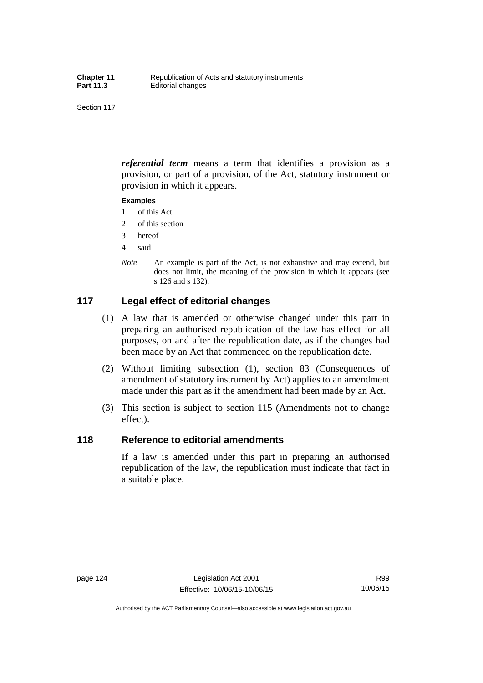*referential term* means a term that identifies a provision as a provision, or part of a provision, of the Act, statutory instrument or provision in which it appears.

#### **Examples**

- 1 of this Act
- 2 of this section
- 3 hereof
- 4 said
- *Note* An example is part of the Act, is not exhaustive and may extend, but does not limit, the meaning of the provision in which it appears (see s 126 and s 132).

## **117 Legal effect of editorial changes**

- (1) A law that is amended or otherwise changed under this part in preparing an authorised republication of the law has effect for all purposes, on and after the republication date, as if the changes had been made by an Act that commenced on the republication date.
- (2) Without limiting subsection (1), section 83 (Consequences of amendment of statutory instrument by Act) applies to an amendment made under this part as if the amendment had been made by an Act.
- (3) This section is subject to section 115 (Amendments not to change effect).

## **118 Reference to editorial amendments**

If a law is amended under this part in preparing an authorised republication of the law, the republication must indicate that fact in a suitable place.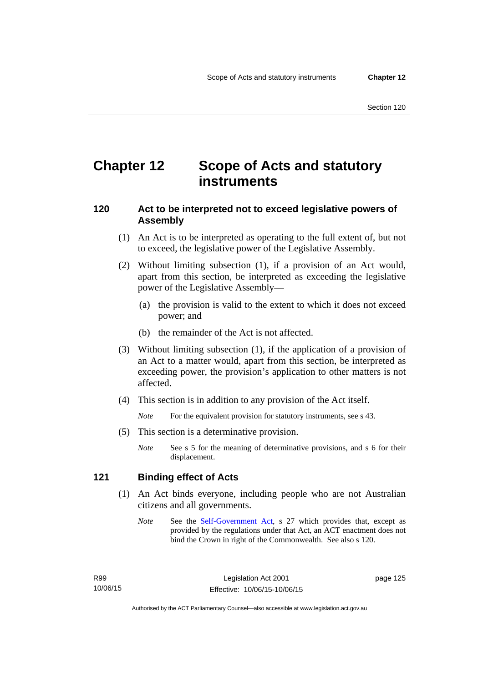## **Chapter 12 Scope of Acts and statutory instruments**

## **120 Act to be interpreted not to exceed legislative powers of Assembly**

- (1) An Act is to be interpreted as operating to the full extent of, but not to exceed, the legislative power of the Legislative Assembly.
- (2) Without limiting subsection (1), if a provision of an Act would, apart from this section, be interpreted as exceeding the legislative power of the Legislative Assembly—
	- (a) the provision is valid to the extent to which it does not exceed power; and
	- (b) the remainder of the Act is not affected.
- (3) Without limiting subsection (1), if the application of a provision of an Act to a matter would, apart from this section, be interpreted as exceeding power, the provision's application to other matters is not affected.
- (4) This section is in addition to any provision of the Act itself.

*Note* For the equivalent provision for statutory instruments, see s 43.

- (5) This section is a determinative provision.
	- *Note* See s 5 for the meaning of determinative provisions, and s 6 for their displacement.

## **121 Binding effect of Acts**

- (1) An Act binds everyone, including people who are not Australian citizens and all governments.
	- *Note* See the [Self-Government Act](http://www.comlaw.gov.au/Series/C2004A03699), s 27 which provides that, except as provided by the regulations under that Act, an ACT enactment does not bind the Crown in right of the Commonwealth. See also s 120.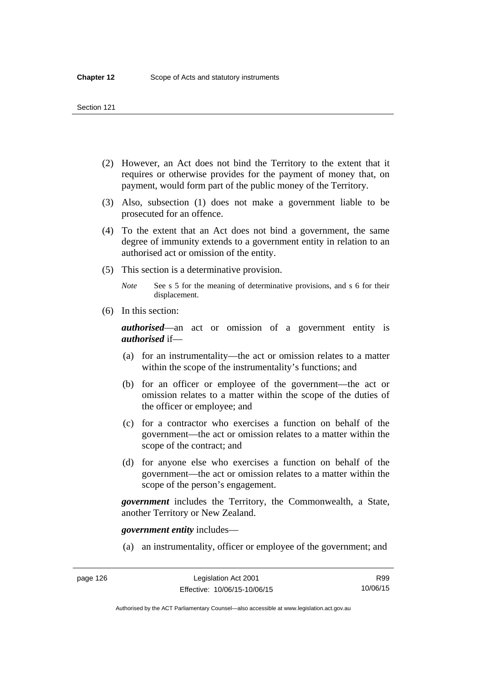- (2) However, an Act does not bind the Territory to the extent that it requires or otherwise provides for the payment of money that, on payment, would form part of the public money of the Territory.
- (3) Also, subsection (1) does not make a government liable to be prosecuted for an offence.
- (4) To the extent that an Act does not bind a government, the same degree of immunity extends to a government entity in relation to an authorised act or omission of the entity.
- (5) This section is a determinative provision.

*Note* See s 5 for the meaning of determinative provisions, and s 6 for their displacement.

(6) In this section:

*authorised*—an act or omission of a government entity is *authorised* if—

- (a) for an instrumentality—the act or omission relates to a matter within the scope of the instrumentality's functions; and
- (b) for an officer or employee of the government—the act or omission relates to a matter within the scope of the duties of the officer or employee; and
- (c) for a contractor who exercises a function on behalf of the government—the act or omission relates to a matter within the scope of the contract; and
- (d) for anyone else who exercises a function on behalf of the government—the act or omission relates to a matter within the scope of the person's engagement.

*government* includes the Territory, the Commonwealth, a State, another Territory or New Zealand.

*government entity* includes—

(a) an instrumentality, officer or employee of the government; and

Authorised by the ACT Parliamentary Counsel—also accessible at www.legislation.act.gov.au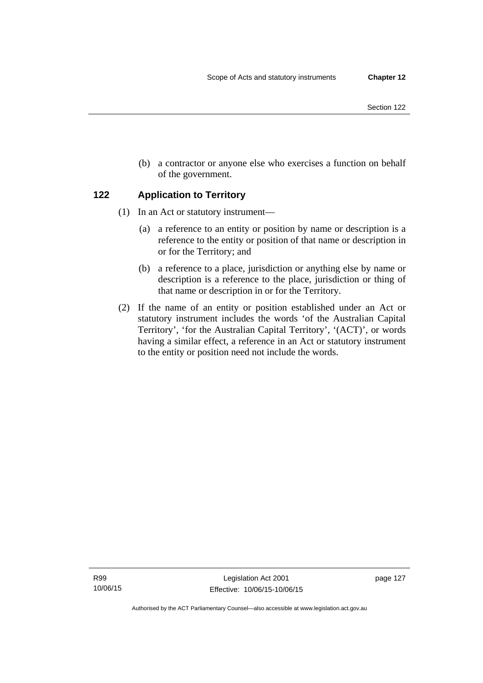- Section 122
- (b) a contractor or anyone else who exercises a function on behalf of the government.

## **122 Application to Territory**

- (1) In an Act or statutory instrument—
	- (a) a reference to an entity or position by name or description is a reference to the entity or position of that name or description in or for the Territory; and
	- (b) a reference to a place, jurisdiction or anything else by name or description is a reference to the place, jurisdiction or thing of that name or description in or for the Territory.
- (2) If the name of an entity or position established under an Act or statutory instrument includes the words 'of the Australian Capital Territory', 'for the Australian Capital Territory', '(ACT)', or words having a similar effect, a reference in an Act or statutory instrument to the entity or position need not include the words.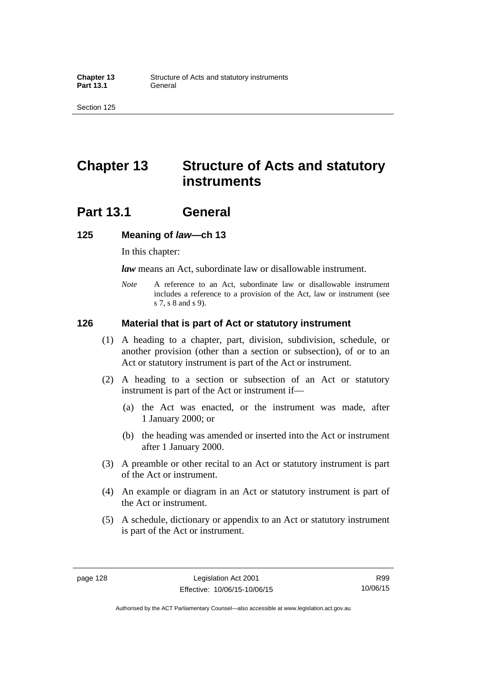## **Chapter 13 Structure of Acts and statutory instruments**

## **Part 13.1 General**

### **125 Meaning of** *law***—ch 13**

In this chapter:

*law* means an Act, subordinate law or disallowable instrument.

*Note* A reference to an Act, subordinate law or disallowable instrument includes a reference to a provision of the Act, law or instrument (see s 7, s 8 and s 9).

### **126 Material that is part of Act or statutory instrument**

- (1) A heading to a chapter, part, division, subdivision, schedule, or another provision (other than a section or subsection), of or to an Act or statutory instrument is part of the Act or instrument.
- (2) A heading to a section or subsection of an Act or statutory instrument is part of the Act or instrument if—
	- (a) the Act was enacted, or the instrument was made, after 1 January 2000; or
	- (b) the heading was amended or inserted into the Act or instrument after 1 January 2000.
- (3) A preamble or other recital to an Act or statutory instrument is part of the Act or instrument.
- (4) An example or diagram in an Act or statutory instrument is part of the Act or instrument.
- (5) A schedule, dictionary or appendix to an Act or statutory instrument is part of the Act or instrument.

R99 10/06/15

Authorised by the ACT Parliamentary Counsel—also accessible at www.legislation.act.gov.au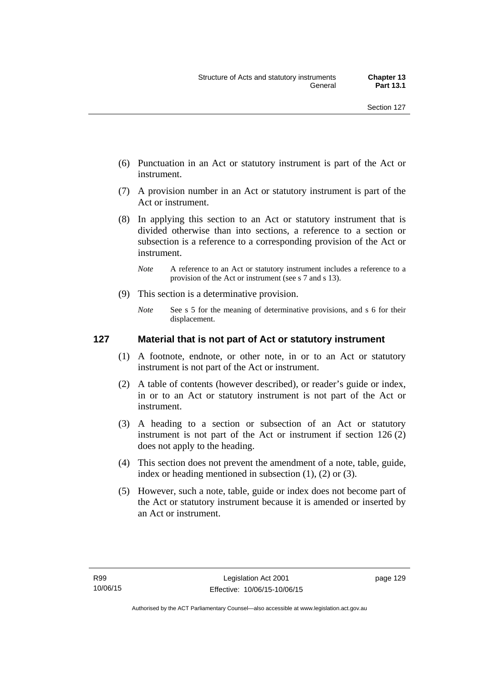- (6) Punctuation in an Act or statutory instrument is part of the Act or instrument.
- (7) A provision number in an Act or statutory instrument is part of the Act or instrument.
- (8) In applying this section to an Act or statutory instrument that is divided otherwise than into sections, a reference to a section or subsection is a reference to a corresponding provision of the Act or instrument.
	- *Note* A reference to an Act or statutory instrument includes a reference to a provision of the Act or instrument (see s 7 and s 13).
- (9) This section is a determinative provision.
	- *Note* See s 5 for the meaning of determinative provisions, and s 6 for their displacement.

### **127 Material that is not part of Act or statutory instrument**

- (1) A footnote, endnote, or other note, in or to an Act or statutory instrument is not part of the Act or instrument.
- (2) A table of contents (however described), or reader's guide or index, in or to an Act or statutory instrument is not part of the Act or instrument.
- (3) A heading to a section or subsection of an Act or statutory instrument is not part of the Act or instrument if section 126 (2) does not apply to the heading.
- (4) This section does not prevent the amendment of a note, table, guide, index or heading mentioned in subsection (1), (2) or (3).
- (5) However, such a note, table, guide or index does not become part of the Act or statutory instrument because it is amended or inserted by an Act or instrument.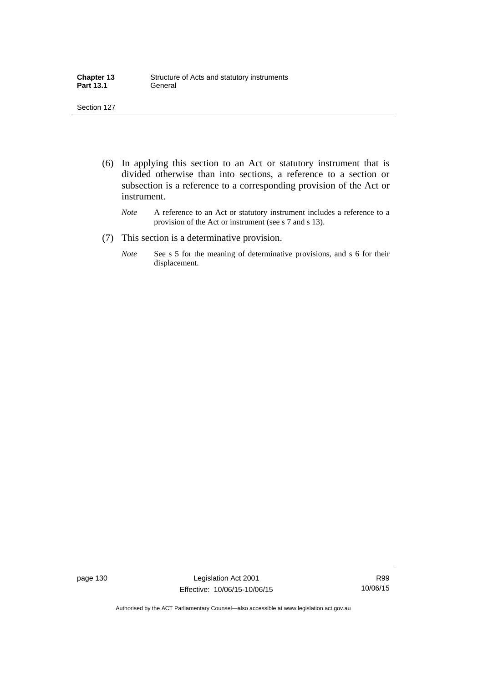| <b>Chapter 13</b> | Structure of Acts and statutory instruments |
|-------------------|---------------------------------------------|
| <b>Part 13.1</b>  | General                                     |

- (6) In applying this section to an Act or statutory instrument that is divided otherwise than into sections, a reference to a section or subsection is a reference to a corresponding provision of the Act or instrument.
	- *Note* A reference to an Act or statutory instrument includes a reference to a provision of the Act or instrument (see s 7 and s 13).
- (7) This section is a determinative provision.
	- *Note* See s 5 for the meaning of determinative provisions, and s 6 for their displacement.

page 130 Legislation Act 2001 Effective: 10/06/15-10/06/15

R99 10/06/15

Authorised by the ACT Parliamentary Counsel—also accessible at www.legislation.act.gov.au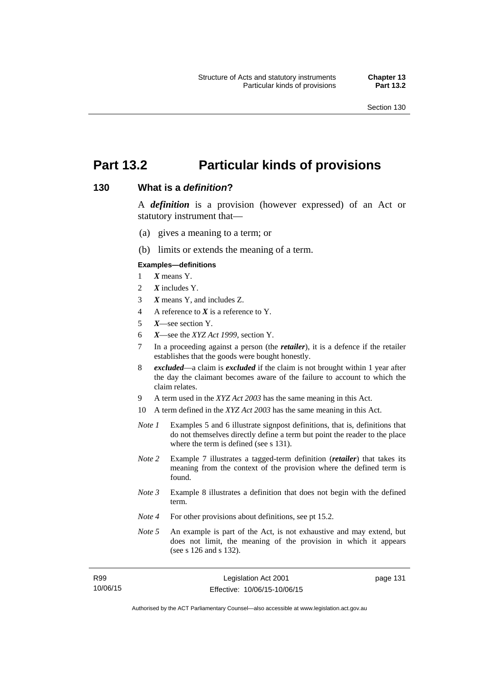# **Part 13.2 Particular kinds of provisions**

### **130 What is a** *definition***?**

A *definition* is a provision (however expressed) of an Act or statutory instrument that—

- (a) gives a meaning to a term; or
- (b) limits or extends the meaning of a term.

#### **Examples—definitions**

- 1 *X* means Y.
- 2 *X* includes Y.
- 3 *X* means Y, and includes Z.
- 4 A reference to *X* is a reference to Y.
- 5 *X*—see section Y.
- 6 *X*—see the *XYZ Act 1999*, section Y.
- 7 In a proceeding against a person (the *retailer*), it is a defence if the retailer establishes that the goods were bought honestly.
- 8 *excluded*—a claim is *excluded* if the claim is not brought within 1 year after the day the claimant becomes aware of the failure to account to which the claim relates.
- 9 A term used in the *XYZ Act 2003* has the same meaning in this Act.
- 10 A term defined in the *XYZ Act 2003* has the same meaning in this Act.
- *Note 1* Examples 5 and 6 illustrate signpost definitions, that is, definitions that do not themselves directly define a term but point the reader to the place where the term is defined (see s 131).
- *Note 2* Example 7 illustrates a tagged-term definition (*retailer*) that takes its meaning from the context of the provision where the defined term is found.
- *Note 3* Example 8 illustrates a definition that does not begin with the defined term.
- *Note 4* For other provisions about definitions, see pt 15.2.
- *Note 5* An example is part of the Act, is not exhaustive and may extend, but does not limit, the meaning of the provision in which it appears (see s 126 and s 132).

| R99      | Legislation Act 2001         |
|----------|------------------------------|
| 10/06/15 | Effective: 10/06/15-10/06/15 |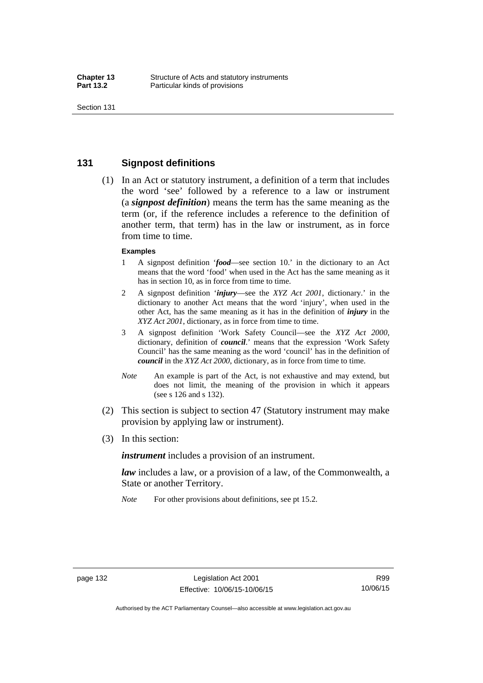### **131 Signpost definitions**

 (1) In an Act or statutory instrument, a definition of a term that includes the word 'see' followed by a reference to a law or instrument (a *signpost definition*) means the term has the same meaning as the term (or, if the reference includes a reference to the definition of another term, that term) has in the law or instrument, as in force from time to time.

#### **Examples**

- 1 A signpost definition '*food*—see section 10.' in the dictionary to an Act means that the word 'food' when used in the Act has the same meaning as it has in section 10, as in force from time to time.
- 2 A signpost definition '*injury*—see the *XYZ Act 2001*, dictionary.' in the dictionary to another Act means that the word 'injury', when used in the other Act, has the same meaning as it has in the definition of *injury* in the *XYZ Act 2001*, dictionary, as in force from time to time.
- 3 A signpost definition 'Work Safety Council—see the *XYZ Act 2000*, dictionary, definition of *council*.' means that the expression 'Work Safety Council' has the same meaning as the word 'council' has in the definition of *council* in the *XYZ Act 2000*, dictionary, as in force from time to time.
- *Note* An example is part of the Act, is not exhaustive and may extend, but does not limit, the meaning of the provision in which it appears (see s 126 and s 132).
- (2) This section is subject to section 47 (Statutory instrument may make provision by applying law or instrument).
- (3) In this section:

*instrument* includes a provision of an instrument.

*law* includes a law, or a provision of a law, of the Commonwealth, a State or another Territory.

*Note* For other provisions about definitions, see pt 15.2.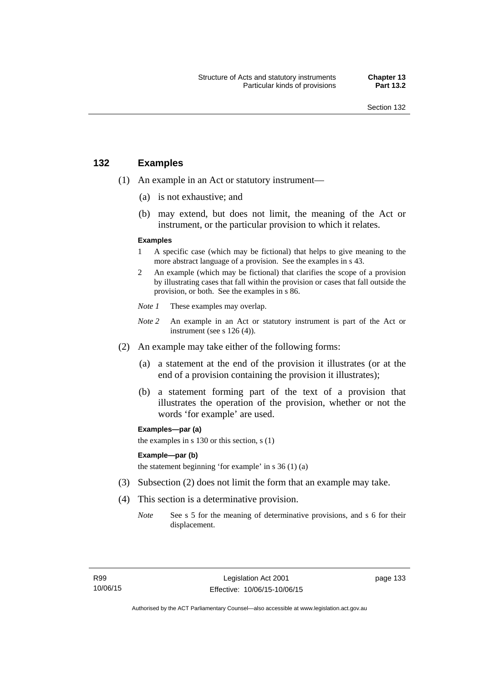### **132 Examples**

- (1) An example in an Act or statutory instrument—
	- (a) is not exhaustive; and
	- (b) may extend, but does not limit, the meaning of the Act or instrument, or the particular provision to which it relates.

#### **Examples**

- 1 A specific case (which may be fictional) that helps to give meaning to the more abstract language of a provision. See the examples in s 43.
- 2 An example (which may be fictional) that clarifies the scope of a provision by illustrating cases that fall within the provision or cases that fall outside the provision, or both. See the examples in s 86.
- *Note 1* These examples may overlap.
- *Note* 2 An example in an Act or statutory instrument is part of the Act or instrument (see s 126 (4)).
- (2) An example may take either of the following forms:
	- (a) a statement at the end of the provision it illustrates (or at the end of a provision containing the provision it illustrates);
	- (b) a statement forming part of the text of a provision that illustrates the operation of the provision, whether or not the words 'for example' are used.

**Examples—par (a)** 

the examples in s 130 or this section, s (1)

#### **Example—par (b)**

the statement beginning 'for example' in s 36 (1) (a)

- (3) Subsection (2) does not limit the form that an example may take.
- (4) This section is a determinative provision.
	- *Note* See s 5 for the meaning of determinative provisions, and s 6 for their displacement.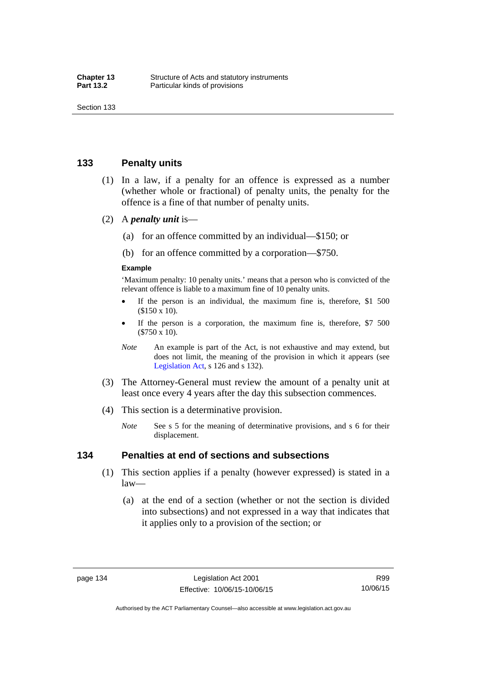### **133 Penalty units**

- (1) In a law, if a penalty for an offence is expressed as a number (whether whole or fractional) of penalty units, the penalty for the offence is a fine of that number of penalty units.
- (2) A *penalty unit* is—
	- (a) for an offence committed by an individual—\$150; or
	- (b) for an offence committed by a corporation—\$750.

#### **Example**

'Maximum penalty: 10 penalty units.' means that a person who is convicted of the relevant offence is liable to a maximum fine of 10 penalty units.

- If the person is an individual, the maximum fine is, therefore, \$1 500 (\$150 x 10).
- If the person is a corporation, the maximum fine is, therefore, \$7 500 (\$750 x 10).
- *Note* An example is part of the Act, is not exhaustive and may extend, but does not limit, the meaning of the provision in which it appears (see [Legislation Act,](http://www.legislation.act.gov.au/a/2001-14) s 126 and s 132).
- (3) The Attorney-General must review the amount of a penalty unit at least once every 4 years after the day this subsection commences.
- (4) This section is a determinative provision.
	- *Note* See s 5 for the meaning of determinative provisions, and s 6 for their displacement.

### **134 Penalties at end of sections and subsections**

- (1) This section applies if a penalty (however expressed) is stated in a law—
	- (a) at the end of a section (whether or not the section is divided into subsections) and not expressed in a way that indicates that it applies only to a provision of the section; or

Authorised by the ACT Parliamentary Counsel—also accessible at www.legislation.act.gov.au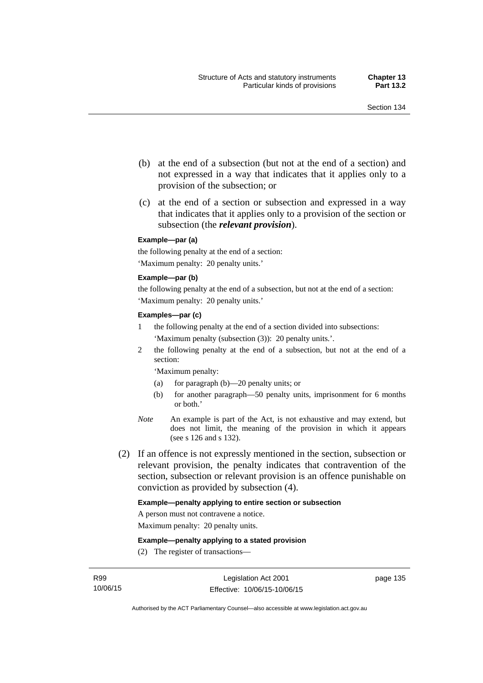- (b) at the end of a subsection (but not at the end of a section) and not expressed in a way that indicates that it applies only to a provision of the subsection; or
- (c) at the end of a section or subsection and expressed in a way that indicates that it applies only to a provision of the section or subsection (the *relevant provision*).

#### **Example—par (a)**

the following penalty at the end of a section: 'Maximum penalty: 20 penalty units.'

#### **Example—par (b)**

the following penalty at the end of a subsection, but not at the end of a section: 'Maximum penalty: 20 penalty units.'

#### **Examples—par (c)**

- 1 the following penalty at the end of a section divided into subsections: 'Maximum penalty (subsection (3)): 20 penalty units.'.
- 2 the following penalty at the end of a subsection, but not at the end of a section:

'Maximum penalty:

- (a) for paragraph (b)—20 penalty units; or
- (b) for another paragraph—50 penalty units, imprisonment for 6 months or both.'
- *Note* An example is part of the Act, is not exhaustive and may extend, but does not limit, the meaning of the provision in which it appears (see s 126 and s 132).
- (2) If an offence is not expressly mentioned in the section, subsection or relevant provision, the penalty indicates that contravention of the section, subsection or relevant provision is an offence punishable on conviction as provided by subsection (4).

#### **Example—penalty applying to entire section or subsection**

A person must not contravene a notice.

Maximum penalty: 20 penalty units.

**Example—penalty applying to a stated provision** 

(2) The register of transactions—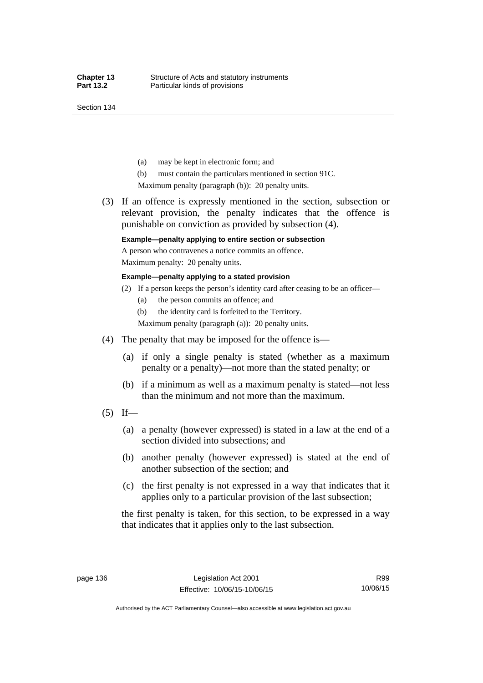Section 134

- (a) may be kept in electronic form; and
- (b) must contain the particulars mentioned in section 91C.

Maximum penalty (paragraph (b)): 20 penalty units.

 (3) If an offence is expressly mentioned in the section, subsection or relevant provision, the penalty indicates that the offence is punishable on conviction as provided by subsection (4).

### **Example—penalty applying to entire section or subsection**

A person who contravenes a notice commits an offence. Maximum penalty: 20 penalty units.

#### **Example—penalty applying to a stated provision**

- (2) If a person keeps the person's identity card after ceasing to be an officer—
	- (a) the person commits an offence; and
	- (b) the identity card is forfeited to the Territory.

Maximum penalty (paragraph (a)): 20 penalty units.

- (4) The penalty that may be imposed for the offence is—
	- (a) if only a single penalty is stated (whether as a maximum penalty or a penalty)—not more than the stated penalty; or
	- (b) if a minimum as well as a maximum penalty is stated—not less than the minimum and not more than the maximum.
- $(5)$  If—
	- (a) a penalty (however expressed) is stated in a law at the end of a section divided into subsections; and
	- (b) another penalty (however expressed) is stated at the end of another subsection of the section; and
	- (c) the first penalty is not expressed in a way that indicates that it applies only to a particular provision of the last subsection;

the first penalty is taken, for this section, to be expressed in a way that indicates that it applies only to the last subsection.

Authorised by the ACT Parliamentary Counsel—also accessible at www.legislation.act.gov.au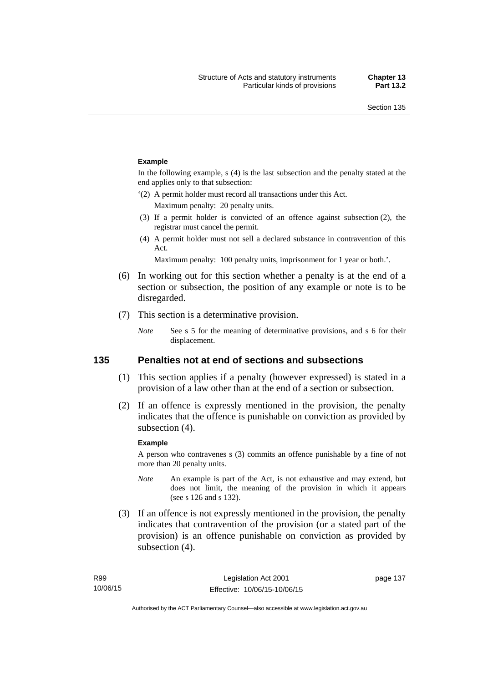#### **Example**

In the following example, s (4) is the last subsection and the penalty stated at the end applies only to that subsection:

'(2) A permit holder must record all transactions under this Act.

Maximum penalty: 20 penalty units.

- (3) If a permit holder is convicted of an offence against subsection (2), the registrar must cancel the permit.
- (4) A permit holder must not sell a declared substance in contravention of this Act.

Maximum penalty: 100 penalty units, imprisonment for 1 year or both.'.

- (6) In working out for this section whether a penalty is at the end of a section or subsection, the position of any example or note is to be disregarded.
- (7) This section is a determinative provision.
	- *Note* See s 5 for the meaning of determinative provisions, and s 6 for their displacement.

### **135 Penalties not at end of sections and subsections**

- (1) This section applies if a penalty (however expressed) is stated in a provision of a law other than at the end of a section or subsection.
- (2) If an offence is expressly mentioned in the provision, the penalty indicates that the offence is punishable on conviction as provided by subsection (4).

#### **Example**

A person who contravenes s (3) commits an offence punishable by a fine of not more than 20 penalty units.

- *Note* An example is part of the Act, is not exhaustive and may extend, but does not limit, the meaning of the provision in which it appears (see s 126 and s 132).
- (3) If an offence is not expressly mentioned in the provision, the penalty indicates that contravention of the provision (or a stated part of the provision) is an offence punishable on conviction as provided by subsection (4).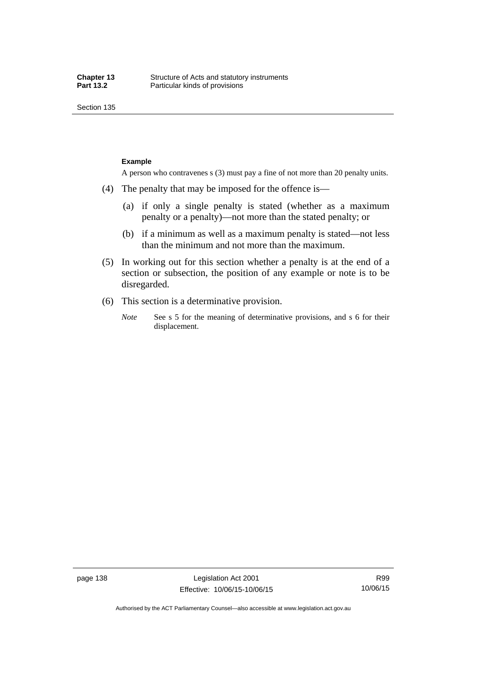Section 135

#### **Example**

A person who contravenes s (3) must pay a fine of not more than 20 penalty units.

- (4) The penalty that may be imposed for the offence is—
	- (a) if only a single penalty is stated (whether as a maximum penalty or a penalty)—not more than the stated penalty; or
	- (b) if a minimum as well as a maximum penalty is stated—not less than the minimum and not more than the maximum.
- (5) In working out for this section whether a penalty is at the end of a section or subsection, the position of any example or note is to be disregarded.
- (6) This section is a determinative provision.
	- *Note* See s 5 for the meaning of determinative provisions, and s 6 for their displacement.

R99 10/06/15

Authorised by the ACT Parliamentary Counsel—also accessible at www.legislation.act.gov.au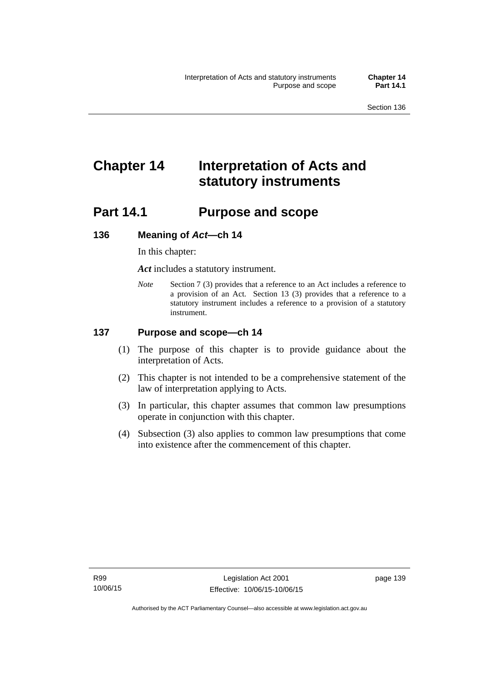# **Chapter 14 Interpretation of Acts and statutory instruments**

# **Part 14.1 Purpose and scope**

### **136 Meaning of** *Act***—ch 14**

In this chapter:

*Act* includes a statutory instrument.

*Note* Section 7 (3) provides that a reference to an Act includes a reference to a provision of an Act. Section 13 (3) provides that a reference to a statutory instrument includes a reference to a provision of a statutory instrument.

### **137 Purpose and scope—ch 14**

- (1) The purpose of this chapter is to provide guidance about the interpretation of Acts.
- (2) This chapter is not intended to be a comprehensive statement of the law of interpretation applying to Acts.
- (3) In particular, this chapter assumes that common law presumptions operate in conjunction with this chapter.
- (4) Subsection (3) also applies to common law presumptions that come into existence after the commencement of this chapter.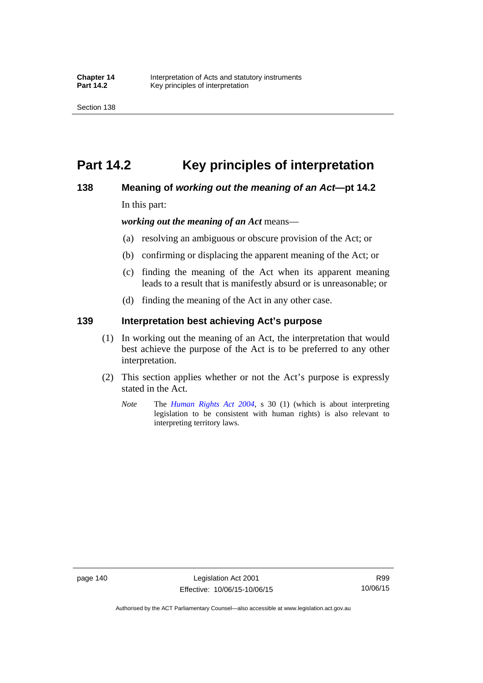# **Part 14.2 Key principles of interpretation**

### **138 Meaning of** *working out the meaning of an Act***—pt 14.2**

In this part:

*working out the meaning of an Act* means—

- (a) resolving an ambiguous or obscure provision of the Act; or
- (b) confirming or displacing the apparent meaning of the Act; or
- (c) finding the meaning of the Act when its apparent meaning leads to a result that is manifestly absurd or is unreasonable; or
- (d) finding the meaning of the Act in any other case.

### **139 Interpretation best achieving Act's purpose**

- (1) In working out the meaning of an Act, the interpretation that would best achieve the purpose of the Act is to be preferred to any other interpretation.
- (2) This section applies whether or not the Act's purpose is expressly stated in the Act.
	- *Note* The *[Human Rights Act 2004](http://www.legislation.act.gov.au/a/2004-5)*, s 30 (1) (which is about interpreting legislation to be consistent with human rights) is also relevant to interpreting territory laws.

R99 10/06/15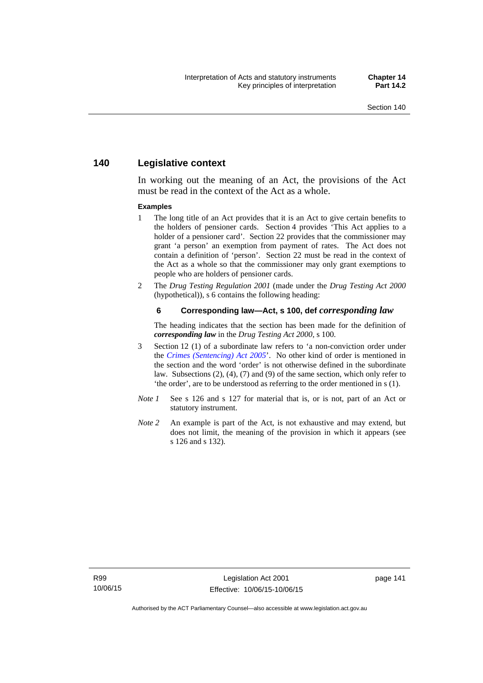### **140 Legislative context**

In working out the meaning of an Act, the provisions of the Act must be read in the context of the Act as a whole.

#### **Examples**

- 1 The long title of an Act provides that it is an Act to give certain benefits to the holders of pensioner cards. Section 4 provides 'This Act applies to a holder of a pensioner card'. Section 22 provides that the commissioner may grant 'a person' an exemption from payment of rates. The Act does not contain a definition of 'person'. Section 22 must be read in the context of the Act as a whole so that the commissioner may only grant exemptions to people who are holders of pensioner cards.
- 2 The *Drug Testing Regulation 2001* (made under the *Drug Testing Act 2000* (hypothetical)), s 6 contains the following heading:

#### **6 Corresponding law—Act, s 100, def** *corresponding law*

The heading indicates that the section has been made for the definition of *corresponding law* in the *Drug Testing Act 2000*, s 100.

- 3 Section 12 (1) of a subordinate law refers to 'a non-conviction order under the *[Crimes \(Sentencing\) Act 2005](http://www.legislation.act.gov.au/a/2005-58)*'. No other kind of order is mentioned in the section and the word 'order' is not otherwise defined in the subordinate law. Subsections (2), (4), (7) and (9) of the same section, which only refer to 'the order', are to be understood as referring to the order mentioned in s (1).
- *Note 1* See s 126 and s 127 for material that is, or is not, part of an Act or statutory instrument.
- *Note 2* An example is part of the Act, is not exhaustive and may extend, but does not limit, the meaning of the provision in which it appears (see s 126 and s 132).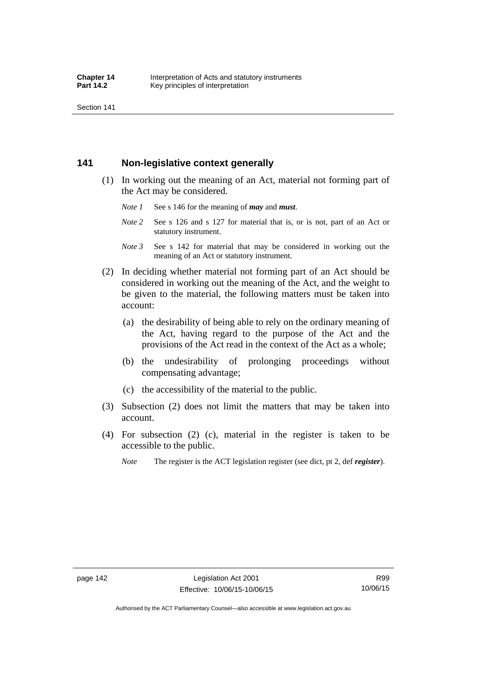Section 141

### **141 Non-legislative context generally**

- (1) In working out the meaning of an Act, material not forming part of the Act may be considered.
	- *Note 1* See s 146 for the meaning of *may* and *must*.
	- *Note* 2 See s 126 and s 127 for material that is, or is not, part of an Act or statutory instrument.
	- *Note 3* See s 142 for material that may be considered in working out the meaning of an Act or statutory instrument.
- (2) In deciding whether material not forming part of an Act should be considered in working out the meaning of the Act, and the weight to be given to the material, the following matters must be taken into account:
	- (a) the desirability of being able to rely on the ordinary meaning of the Act, having regard to the purpose of the Act and the provisions of the Act read in the context of the Act as a whole;
	- (b) the undesirability of prolonging proceedings without compensating advantage;
	- (c) the accessibility of the material to the public.
- (3) Subsection (2) does not limit the matters that may be taken into account.
- (4) For subsection (2) (c), material in the register is taken to be accessible to the public.
	- *Note* The register is the ACT legislation register (see dict, pt 2, def *register*).

R99 10/06/15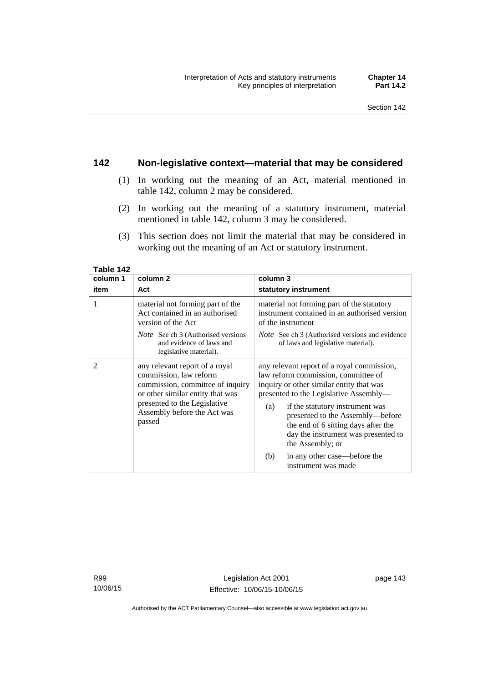### **142 Non-legislative context—material that may be considered**

- (1) In working out the meaning of an Act, material mentioned in table 142, column 2 may be considered.
- (2) In working out the meaning of a statutory instrument, material mentioned in table 142, column 3 may be considered.
- (3) This section does not limit the material that may be considered in working out the meaning of an Act or statutory instrument.

| column 1 | column 2                                                                                                                                                                                                  | column 3                                                                                                                                                                                                                                                                                                                                                |
|----------|-----------------------------------------------------------------------------------------------------------------------------------------------------------------------------------------------------------|---------------------------------------------------------------------------------------------------------------------------------------------------------------------------------------------------------------------------------------------------------------------------------------------------------------------------------------------------------|
| item     | Act                                                                                                                                                                                                       | statutory instrument                                                                                                                                                                                                                                                                                                                                    |
| 1        | material not forming part of the<br>Act contained in an authorised<br>version of the Act                                                                                                                  | material not forming part of the statutory<br>instrument contained in an authorised version<br>of the instrument                                                                                                                                                                                                                                        |
|          | <i>Note</i> See ch 3 (Authorised versions<br>and evidence of laws and<br>legislative material).                                                                                                           | <i>Note</i> See ch 3 (Authorised versions and evidence<br>of laws and legislative material).                                                                                                                                                                                                                                                            |
| 2        | any relevant report of a royal<br>commission, law reform<br>commission, committee of inquiry<br>or other similar entity that was<br>presented to the Legislative<br>Assembly before the Act was<br>passed | any relevant report of a royal commission,<br>law reform commission, committee of<br>inquiry or other similar entity that was<br>presented to the Legislative Assembly—<br>if the statutory instrument was<br>(a)<br>presented to the Assembly-before<br>the end of 6 sitting days after the<br>day the instrument was presented to<br>the Assembly; or |
|          |                                                                                                                                                                                                           | in any other case—before the<br>(b)<br>instrument was made                                                                                                                                                                                                                                                                                              |

**Table 142** 

R99 10/06/15

Authorised by the ACT Parliamentary Counsel—also accessible at www.legislation.act.gov.au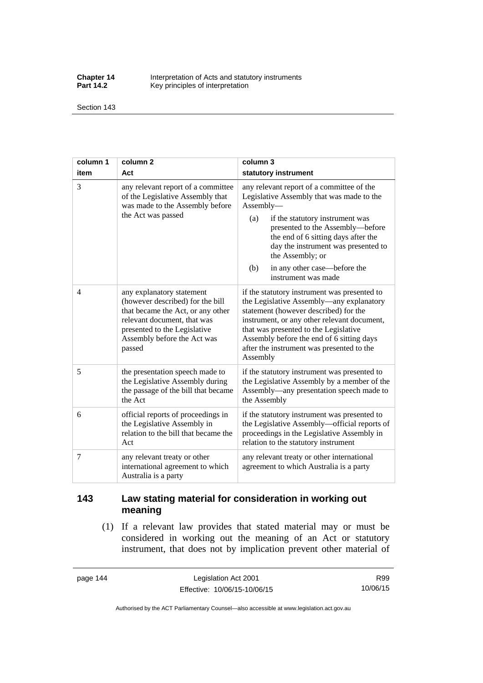**Chapter 14** Interpretation of Acts and statutory instruments<br>**Part 14.2** Key principles of interpretation Key principles of interpretation

Section 143

| column 1 | column <sub>2</sub>                                                                                                                                                                                        | column 3                                                                                                                                                                                                                                                                                                                                          |  |
|----------|------------------------------------------------------------------------------------------------------------------------------------------------------------------------------------------------------------|---------------------------------------------------------------------------------------------------------------------------------------------------------------------------------------------------------------------------------------------------------------------------------------------------------------------------------------------------|--|
| item     | Act                                                                                                                                                                                                        | statutory instrument                                                                                                                                                                                                                                                                                                                              |  |
| 3        | any relevant report of a committee<br>of the Legislative Assembly that<br>was made to the Assembly before<br>the Act was passed                                                                            | any relevant report of a committee of the<br>Legislative Assembly that was made to the<br>Assembly-<br>(a)<br>if the statutory instrument was<br>presented to the Assembly-before<br>the end of 6 sitting days after the<br>day the instrument was presented to<br>the Assembly; or<br>in any other case—before the<br>(b)<br>instrument was made |  |
| 4        | any explanatory statement<br>(however described) for the bill<br>that became the Act, or any other<br>relevant document, that was<br>presented to the Legislative<br>Assembly before the Act was<br>passed | if the statutory instrument was presented to<br>the Legislative Assembly-any explanatory<br>statement (however described) for the<br>instrument, or any other relevant document,<br>that was presented to the Legislative<br>Assembly before the end of 6 sitting days<br>after the instrument was presented to the<br>Assembly                   |  |
| 5        | the presentation speech made to<br>the Legislative Assembly during<br>the passage of the bill that became<br>the Act                                                                                       | if the statutory instrument was presented to<br>the Legislative Assembly by a member of the<br>Assembly—any presentation speech made to<br>the Assembly                                                                                                                                                                                           |  |
| 6        | official reports of proceedings in<br>the Legislative Assembly in<br>relation to the bill that became the<br>Act                                                                                           | if the statutory instrument was presented to<br>the Legislative Assembly—official reports of<br>proceedings in the Legislative Assembly in<br>relation to the statutory instrument                                                                                                                                                                |  |
| 7        | any relevant treaty or other<br>international agreement to which<br>Australia is a party                                                                                                                   | any relevant treaty or other international<br>agreement to which Australia is a party                                                                                                                                                                                                                                                             |  |

## **143 Law stating material for consideration in working out meaning**

 (1) If a relevant law provides that stated material may or must be considered in working out the meaning of an Act or statutory instrument, that does not by implication prevent other material of

page 144 Legislation Act 2001 Effective: 10/06/15-10/06/15

R99 10/06/15

Authorised by the ACT Parliamentary Counsel—also accessible at www.legislation.act.gov.au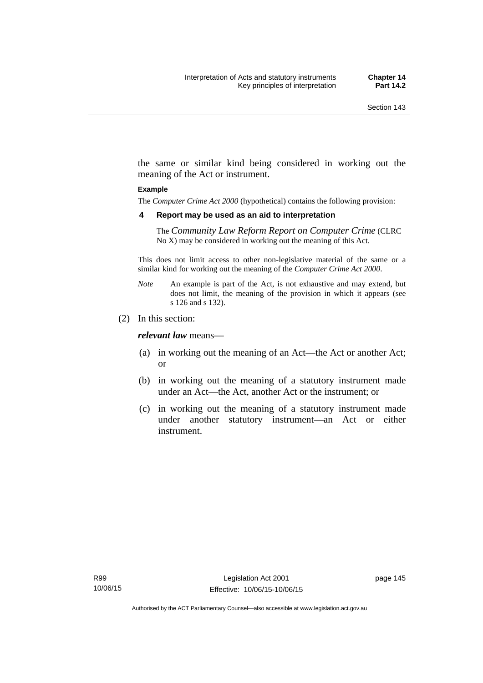the same or similar kind being considered in working out the meaning of the Act or instrument.

#### **Example**

The *Computer Crime Act 2000* (hypothetical) contains the following provision:

#### **4 Report may be used as an aid to interpretation**

The *Community Law Reform Report on Computer Crime* (CLRC No X) may be considered in working out the meaning of this Act.

This does not limit access to other non-legislative material of the same or a similar kind for working out the meaning of the *Computer Crime Act 2000*.

- *Note* An example is part of the Act, is not exhaustive and may extend, but does not limit, the meaning of the provision in which it appears (see s 126 and s 132).
- (2) In this section:

*relevant law* means—

- (a) in working out the meaning of an Act—the Act or another Act; or
- (b) in working out the meaning of a statutory instrument made under an Act—the Act, another Act or the instrument; or
- (c) in working out the meaning of a statutory instrument made under another statutory instrument—an Act or either instrument.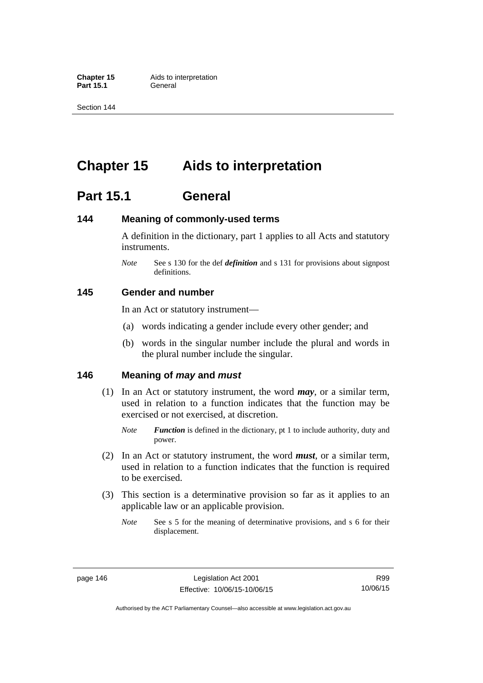**Part 15.1** 

Section 144

# **Chapter 15 Aids to interpretation**

# **Part 15.1 General**

### **144 Meaning of commonly-used terms**

A definition in the dictionary, part 1 applies to all Acts and statutory instruments.

*Note* See s 130 for the def *definition* and s 131 for provisions about signpost definitions.

### **145 Gender and number**

In an Act or statutory instrument—

- (a) words indicating a gender include every other gender; and
- (b) words in the singular number include the plural and words in the plural number include the singular.

### **146 Meaning of** *may* **and** *must*

- (1) In an Act or statutory instrument, the word *may*, or a similar term, used in relation to a function indicates that the function may be exercised or not exercised, at discretion.
	- *Note Function* is defined in the dictionary, pt 1 to include authority, duty and power.
- (2) In an Act or statutory instrument, the word *must*, or a similar term, used in relation to a function indicates that the function is required to be exercised.
- (3) This section is a determinative provision so far as it applies to an applicable law or an applicable provision.
	- *Note* See s 5 for the meaning of determinative provisions, and s 6 for their displacement.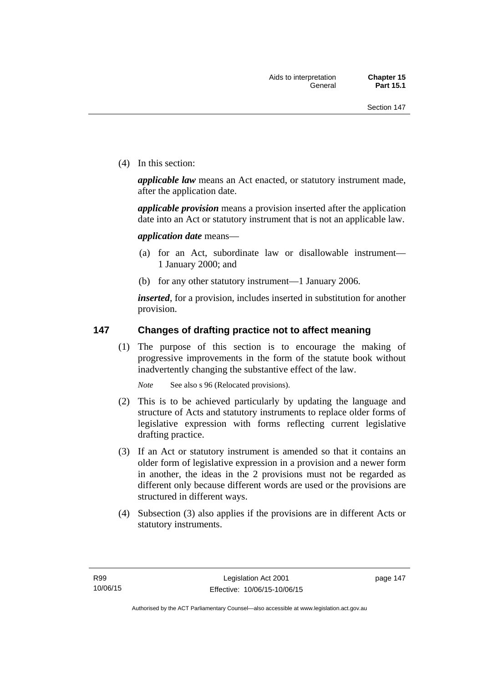(4) In this section:

*applicable law* means an Act enacted, or statutory instrument made, after the application date.

*applicable provision* means a provision inserted after the application date into an Act or statutory instrument that is not an applicable law.

*application date* means—

- (a) for an Act, subordinate law or disallowable instrument— 1 January 2000; and
- (b) for any other statutory instrument—1 January 2006.

*inserted*, for a provision, includes inserted in substitution for another provision.

### **147 Changes of drafting practice not to affect meaning**

(1) The purpose of this section is to encourage the making of progressive improvements in the form of the statute book without inadvertently changing the substantive effect of the law.

*Note* See also s 96 (Relocated provisions).

- (2) This is to be achieved particularly by updating the language and structure of Acts and statutory instruments to replace older forms of legislative expression with forms reflecting current legislative drafting practice.
- (3) If an Act or statutory instrument is amended so that it contains an older form of legislative expression in a provision and a newer form in another, the ideas in the 2 provisions must not be regarded as different only because different words are used or the provisions are structured in different ways.
- (4) Subsection (3) also applies if the provisions are in different Acts or statutory instruments.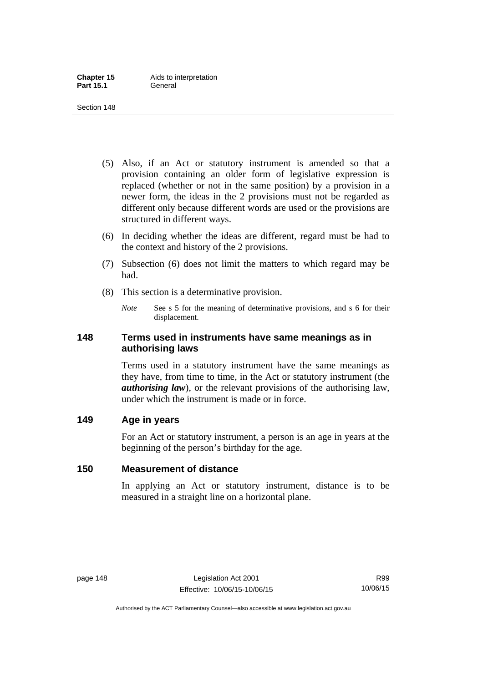- (5) Also, if an Act or statutory instrument is amended so that a provision containing an older form of legislative expression is replaced (whether or not in the same position) by a provision in a newer form, the ideas in the 2 provisions must not be regarded as different only because different words are used or the provisions are structured in different ways.
- (6) In deciding whether the ideas are different, regard must be had to the context and history of the 2 provisions.
- (7) Subsection (6) does not limit the matters to which regard may be had.
- (8) This section is a determinative provision.
	- *Note* See s 5 for the meaning of determinative provisions, and s 6 for their displacement.

### **148 Terms used in instruments have same meanings as in authorising laws**

Terms used in a statutory instrument have the same meanings as they have, from time to time, in the Act or statutory instrument (the *authorising law*), or the relevant provisions of the authorising law, under which the instrument is made or in force.

### **149 Age in years**

For an Act or statutory instrument, a person is an age in years at the beginning of the person's birthday for the age.

## **150 Measurement of distance**

In applying an Act or statutory instrument, distance is to be measured in a straight line on a horizontal plane.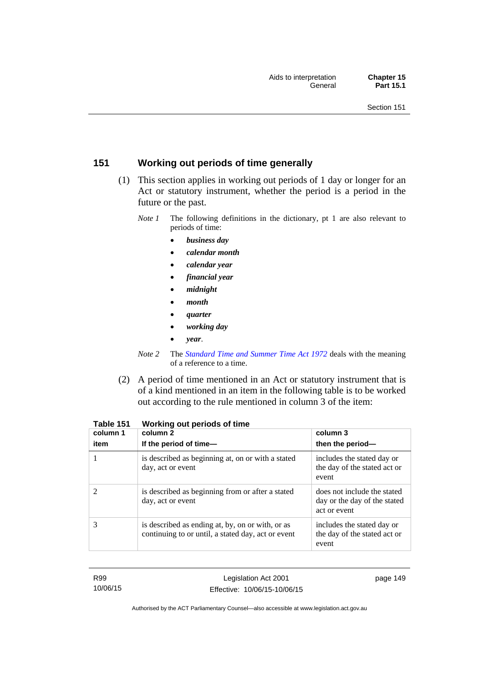## **151 Working out periods of time generally**

- (1) This section applies in working out periods of 1 day or longer for an Act or statutory instrument, whether the period is a period in the future or the past.
	- *Note 1* The following definitions in the dictionary, pt 1 are also relevant to periods of time:
		- *business day*
		- *calendar month*
		- *calendar year*
		- *financial year*
		- *midnight*
		- *month*
		- *quarter*
		- *working day*
		- *year*.
	- *Note 2* The *[Standard Time and Summer Time Act 1972](http://www.legislation.act.gov.au/a/1972-34)* deals with the meaning of a reference to a time.
- (2) A period of time mentioned in an Act or statutory instrument that is of a kind mentioned in an item in the following table is to be worked out according to the rule mentioned in column 3 of the item:

| column 1<br>item | column 2<br>If the period of time-                                                                     | column 3<br>then the period-                                                |
|------------------|--------------------------------------------------------------------------------------------------------|-----------------------------------------------------------------------------|
|                  | is described as beginning at, on or with a stated<br>day, act or event                                 | includes the stated day or<br>the day of the stated act or<br>event         |
|                  | is described as beginning from or after a stated<br>day, act or event                                  | does not include the stated<br>day or the day of the stated<br>act or event |
| 3                | is described as ending at, by, on or with, or as<br>continuing to or until, a stated day, act or event | includes the stated day or<br>the day of the stated act or<br>event         |

**Table 151 Working out periods of time** 

R99 10/06/15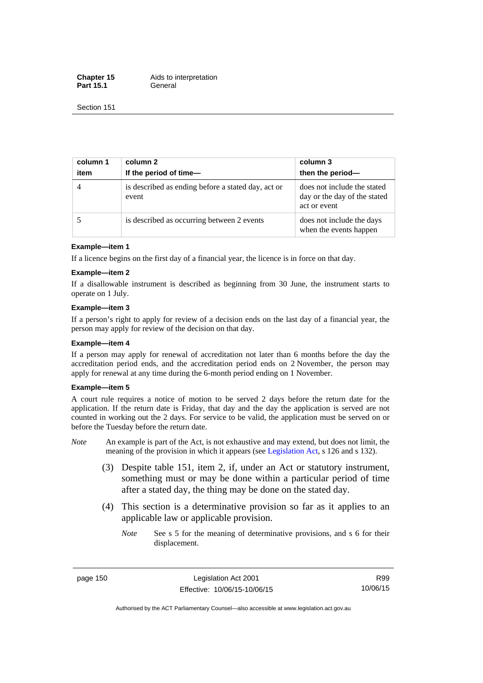**Chapter 15** Aids to interpretation Part 15.1 **General** 

Section 151

| column 1<br>item | column 2<br>If the period of time-                          | column 3<br>then the period-                                                |
|------------------|-------------------------------------------------------------|-----------------------------------------------------------------------------|
| $\overline{4}$   | is described as ending before a stated day, act or<br>event | does not include the stated<br>day or the day of the stated<br>act or event |
|                  | is described as occurring between 2 events                  | does not include the days<br>when the events happen                         |

#### **Example—item 1**

If a licence begins on the first day of a financial year, the licence is in force on that day.

#### **Example—item 2**

If a disallowable instrument is described as beginning from 30 June, the instrument starts to operate on 1 July.

#### **Example—item 3**

If a person's right to apply for review of a decision ends on the last day of a financial year, the person may apply for review of the decision on that day.

#### **Example—item 4**

If a person may apply for renewal of accreditation not later than 6 months before the day the accreditation period ends, and the accreditation period ends on 2 November, the person may apply for renewal at any time during the 6-month period ending on 1 November.

#### **Example—item 5**

A court rule requires a notice of motion to be served 2 days before the return date for the application. If the return date is Friday, that day and the day the application is served are not counted in working out the 2 days. For service to be valid, the application must be served on or before the Tuesday before the return date.

- *Note* An example is part of the Act, is not exhaustive and may extend, but does not limit, the meaning of the provision in which it appears (see [Legislation Act](http://www.legislation.act.gov.au/a/2001-14), s 126 and s 132).
	- (3) Despite table 151, item 2, if, under an Act or statutory instrument, something must or may be done within a particular period of time after a stated day, the thing may be done on the stated day.
	- (4) This section is a determinative provision so far as it applies to an applicable law or applicable provision.
		- *Note* See s 5 for the meaning of determinative provisions, and s 6 for their displacement.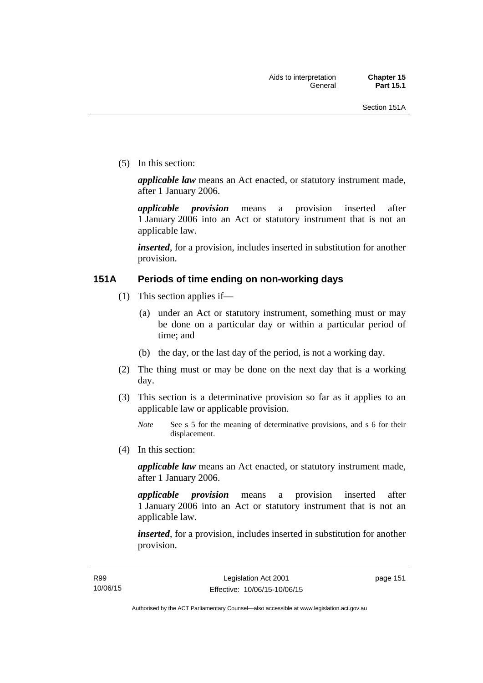(5) In this section:

*applicable law* means an Act enacted, or statutory instrument made, after 1 January 2006.

*applicable provision* means a provision inserted after 1 January 2006 into an Act or statutory instrument that is not an applicable law.

*inserted*, for a provision, includes inserted in substitution for another provision.

### **151A Periods of time ending on non-working days**

- (1) This section applies if—
	- (a) under an Act or statutory instrument, something must or may be done on a particular day or within a particular period of time; and
	- (b) the day, or the last day of the period, is not a working day.
- (2) The thing must or may be done on the next day that is a working day.
- (3) This section is a determinative provision so far as it applies to an applicable law or applicable provision.

(4) In this section:

*applicable law* means an Act enacted, or statutory instrument made, after 1 January 2006.

*applicable provision* means a provision inserted after 1 January 2006 into an Act or statutory instrument that is not an applicable law.

*inserted*, for a provision, includes inserted in substitution for another provision.

*Note* See s 5 for the meaning of determinative provisions, and s 6 for their displacement.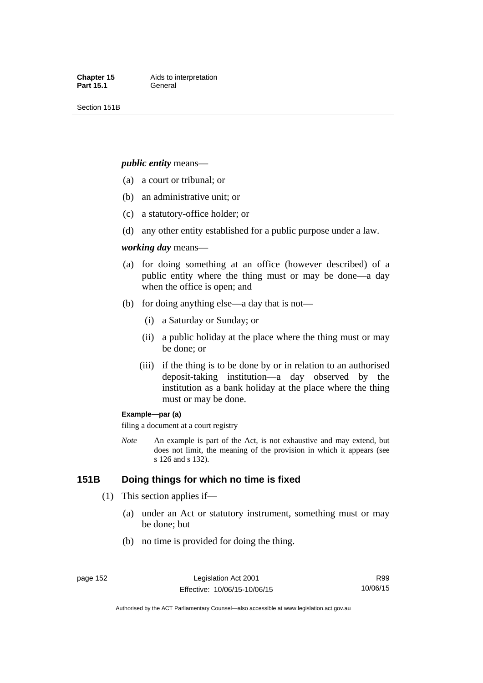Section 151B

#### *public entity* means—

- (a) a court or tribunal; or
- (b) an administrative unit; or
- (c) a statutory-office holder; or
- (d) any other entity established for a public purpose under a law.

#### *working day* means—

- (a) for doing something at an office (however described) of a public entity where the thing must or may be done—a day when the office is open; and
- (b) for doing anything else—a day that is not—
	- (i) a Saturday or Sunday; or
	- (ii) a public holiday at the place where the thing must or may be done; or
	- (iii) if the thing is to be done by or in relation to an authorised deposit-taking institution—a day observed by the institution as a bank holiday at the place where the thing must or may be done.

#### **Example—par (a)**

filing a document at a court registry

*Note* An example is part of the Act, is not exhaustive and may extend, but does not limit, the meaning of the provision in which it appears (see s 126 and s 132).

### **151B Doing things for which no time is fixed**

- (1) This section applies if—
	- (a) under an Act or statutory instrument, something must or may be done; but
	- (b) no time is provided for doing the thing.

R99 10/06/15

Authorised by the ACT Parliamentary Counsel—also accessible at www.legislation.act.gov.au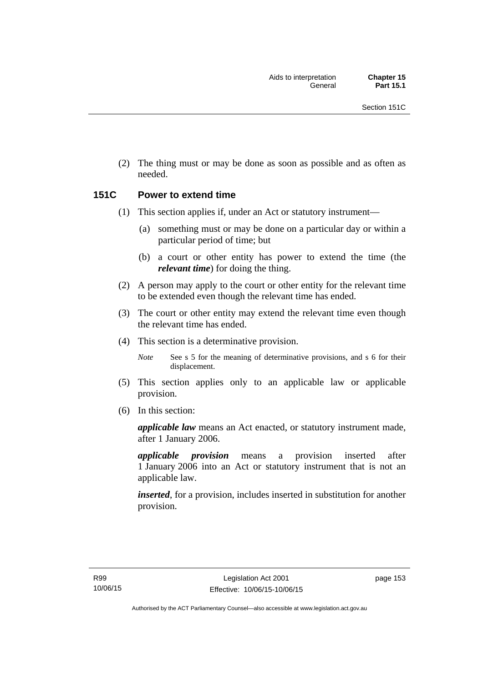(2) The thing must or may be done as soon as possible and as often as needed.

### **151C Power to extend time**

- (1) This section applies if, under an Act or statutory instrument—
	- (a) something must or may be done on a particular day or within a particular period of time; but
	- (b) a court or other entity has power to extend the time (the *relevant time*) for doing the thing.
- (2) A person may apply to the court or other entity for the relevant time to be extended even though the relevant time has ended.
- (3) The court or other entity may extend the relevant time even though the relevant time has ended.
- (4) This section is a determinative provision.

*Note* See s 5 for the meaning of determinative provisions, and s 6 for their displacement.

- (5) This section applies only to an applicable law or applicable provision.
- (6) In this section:

*applicable law* means an Act enacted, or statutory instrument made, after 1 January 2006.

*applicable provision* means a provision inserted after 1 January 2006 into an Act or statutory instrument that is not an applicable law.

*inserted*, for a provision, includes inserted in substitution for another provision.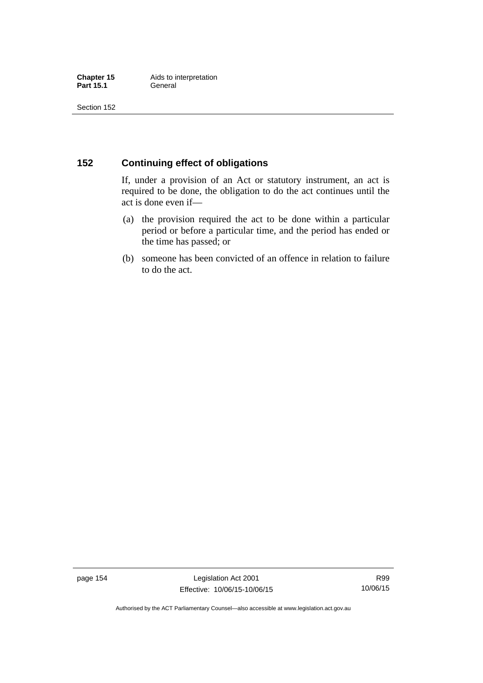### **152 Continuing effect of obligations**

If, under a provision of an Act or statutory instrument, an act is required to be done, the obligation to do the act continues until the act is done even if—

- (a) the provision required the act to be done within a particular period or before a particular time, and the period has ended or the time has passed; or
- (b) someone has been convicted of an offence in relation to failure to do the act.

page 154 Legislation Act 2001 Effective: 10/06/15-10/06/15

R99 10/06/15

Authorised by the ACT Parliamentary Counsel—also accessible at www.legislation.act.gov.au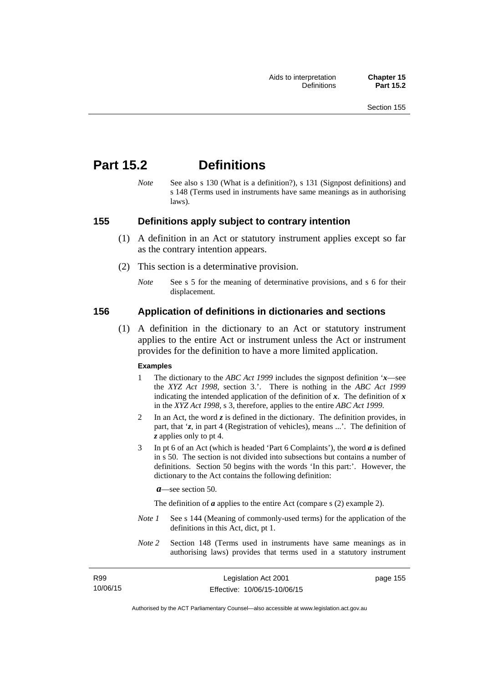# **Part 15.2 Definitions**

*Note* See also s 130 (What is a definition?), s 131 (Signpost definitions) and s 148 (Terms used in instruments have same meanings as in authorising laws).

### **155 Definitions apply subject to contrary intention**

- (1) A definition in an Act or statutory instrument applies except so far as the contrary intention appears.
- (2) This section is a determinative provision.
	- *Note* See s 5 for the meaning of determinative provisions, and s 6 for their displacement.

### **156 Application of definitions in dictionaries and sections**

 (1) A definition in the dictionary to an Act or statutory instrument applies to the entire Act or instrument unless the Act or instrument provides for the definition to have a more limited application.

#### **Examples**

- 1 The dictionary to the *ABC Act 1999* includes the signpost definition '*x*—see the *XYZ Act 1998*, section 3.'. There is nothing in the *ABC Act 1999* indicating the intended application of the definition of  $x$ . The definition of  $x$ in the *XYZ Act 1998*, s 3, therefore, applies to the entire *ABC Act 1999*.
- 2 In an Act, the word *z* is defined in the dictionary. The definition provides, in part, that '*z*, in part 4 (Registration of vehicles), means ...'. The definition of *z* applies only to pt 4.
- 3 In pt 6 of an Act (which is headed 'Part 6 Complaints'), the word *a* is defined in s 50. The section is not divided into subsections but contains a number of definitions. Section 50 begins with the words 'In this part:'. However, the dictionary to the Act contains the following definition:

*a*—see section 50.

The definition of *a* applies to the entire Act (compare s (2) example 2).

- *Note 1* See s 144 (Meaning of commonly-used terms) for the application of the definitions in this Act, dict, pt 1.
- *Note 2* Section 148 (Terms used in instruments have same meanings as in authorising laws) provides that terms used in a statutory instrument

| R99      |  |
|----------|--|
| 10/06/15 |  |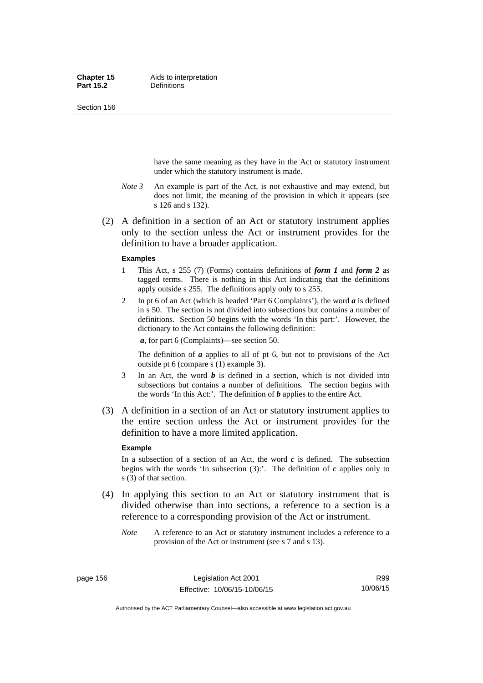Section 156

have the same meaning as they have in the Act or statutory instrument under which the statutory instrument is made.

- *Note 3* An example is part of the Act, is not exhaustive and may extend, but does not limit, the meaning of the provision in which it appears (see s 126 and s 132).
- (2) A definition in a section of an Act or statutory instrument applies only to the section unless the Act or instrument provides for the definition to have a broader application.

#### **Examples**

- 1 This Act, s 255 (7) (Forms) contains definitions of *form 1* and *form 2* as tagged terms. There is nothing in this Act indicating that the definitions apply outside s 255. The definitions apply only to s 255.
- 2 In pt 6 of an Act (which is headed 'Part 6 Complaints'), the word *a* is defined in s 50. The section is not divided into subsections but contains a number of definitions. Section 50 begins with the words 'In this part:'. However, the dictionary to the Act contains the following definition:

*a*, for part 6 (Complaints)—see section 50.

The definition of *a* applies to all of pt 6, but not to provisions of the Act outside pt 6 (compare s (1) example 3).

- 3 In an Act, the word *b* is defined in a section, which is not divided into subsections but contains a number of definitions. The section begins with the words 'In this Act:'. The definition of *b* applies to the entire Act.
- (3) A definition in a section of an Act or statutory instrument applies to the entire section unless the Act or instrument provides for the definition to have a more limited application.

#### **Example**

In a subsection of a section of an Act, the word  $c$  is defined. The subsection begins with the words 'In subsection  $(3)$ :'. The definition of  $c$  applies only to s (3) of that section.

- (4) In applying this section to an Act or statutory instrument that is divided otherwise than into sections, a reference to a section is a reference to a corresponding provision of the Act or instrument.
	- *Note* A reference to an Act or statutory instrument includes a reference to a provision of the Act or instrument (see s 7 and s 13).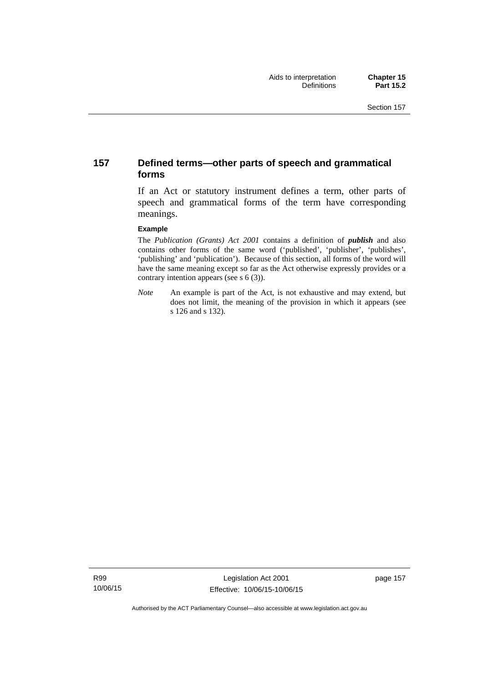### **157 Defined terms—other parts of speech and grammatical forms**

If an Act or statutory instrument defines a term, other parts of speech and grammatical forms of the term have corresponding meanings.

#### **Example**

The *Publication (Grants) Act 2001* contains a definition of *publish* and also contains other forms of the same word ('published', 'publisher', 'publishes', 'publishing' and 'publication'). Because of this section, all forms of the word will have the same meaning except so far as the Act otherwise expressly provides or a contrary intention appears (see s 6 (3)).

*Note* An example is part of the Act, is not exhaustive and may extend, but does not limit, the meaning of the provision in which it appears (see s 126 and s 132).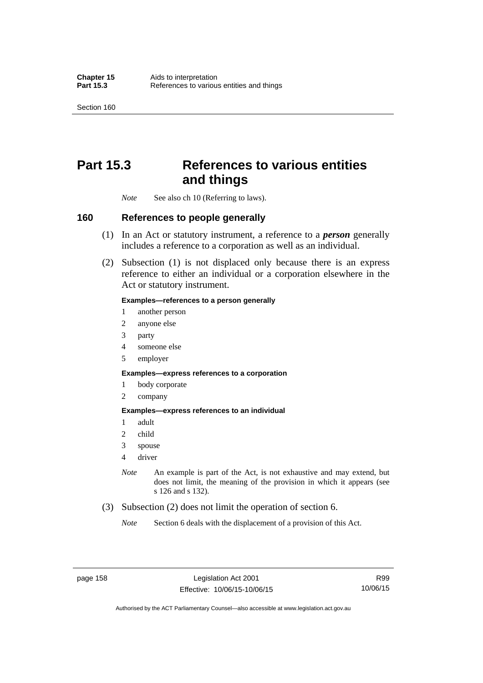Section 160

# **Part 15.3 References to various entities and things**

*Note* See also ch 10 (Referring to laws).

### **160 References to people generally**

- (1) In an Act or statutory instrument, a reference to a *person* generally includes a reference to a corporation as well as an individual.
- (2) Subsection (1) is not displaced only because there is an express reference to either an individual or a corporation elsewhere in the Act or statutory instrument.

#### **Examples—references to a person generally**

- 1 another person
- 2 anyone else
- 3 party
- 4 someone else
- 5 employer

#### **Examples—express references to a corporation**

- 1 body corporate
- 2 company

#### **Examples—express references to an individual**

- 1 adult
- 2 child
- 3 spouse
- 4 driver
- *Note* An example is part of the Act, is not exhaustive and may extend, but does not limit, the meaning of the provision in which it appears (see s 126 and s 132).
- (3) Subsection (2) does not limit the operation of section 6.
	- *Note* Section 6 deals with the displacement of a provision of this Act.

R99 10/06/15

Authorised by the ACT Parliamentary Counsel—also accessible at www.legislation.act.gov.au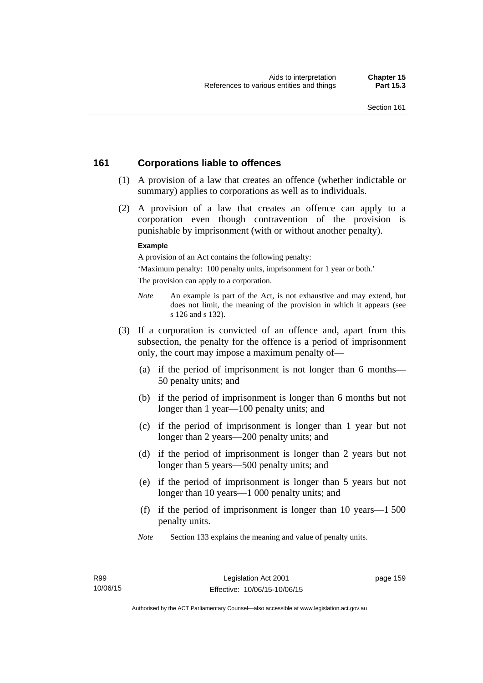### **161 Corporations liable to offences**

- (1) A provision of a law that creates an offence (whether indictable or summary) applies to corporations as well as to individuals.
- (2) A provision of a law that creates an offence can apply to a corporation even though contravention of the provision is punishable by imprisonment (with or without another penalty).

#### **Example**

A provision of an Act contains the following penalty:

'Maximum penalty: 100 penalty units, imprisonment for 1 year or both.' The provision can apply to a corporation.

- *Note* An example is part of the Act, is not exhaustive and may extend, but does not limit, the meaning of the provision in which it appears (see s 126 and s 132).
- (3) If a corporation is convicted of an offence and, apart from this subsection, the penalty for the offence is a period of imprisonment only, the court may impose a maximum penalty of—
	- (a) if the period of imprisonment is not longer than 6 months— 50 penalty units; and
	- (b) if the period of imprisonment is longer than 6 months but not longer than 1 year—100 penalty units; and
	- (c) if the period of imprisonment is longer than 1 year but not longer than 2 years—200 penalty units; and
	- (d) if the period of imprisonment is longer than 2 years but not longer than 5 years—500 penalty units; and
	- (e) if the period of imprisonment is longer than 5 years but not longer than 10 years—1 000 penalty units; and
	- (f) if the period of imprisonment is longer than 10 years—1 500 penalty units.
	- *Note* Section 133 explains the meaning and value of penalty units.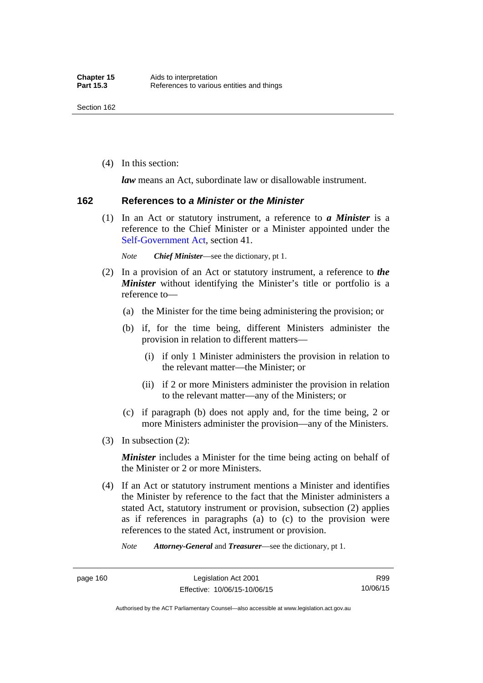(4) In this section:

*law* means an Act, subordinate law or disallowable instrument.

### **162 References to** *a Minister* **or** *the Minister*

 (1) In an Act or statutory instrument, a reference to *a Minister* is a reference to the Chief Minister or a Minister appointed under the [Self-Government Act,](http://www.comlaw.gov.au/Series/C2004A03699) section 41.

*Note Chief Minister*—see the dictionary, pt 1.

- (2) In a provision of an Act or statutory instrument, a reference to *the Minister* without identifying the Minister's title or portfolio is a reference to—
	- (a) the Minister for the time being administering the provision; or
	- (b) if, for the time being, different Ministers administer the provision in relation to different matters—
		- (i) if only 1 Minister administers the provision in relation to the relevant matter—the Minister; or
		- (ii) if 2 or more Ministers administer the provision in relation to the relevant matter—any of the Ministers; or
	- (c) if paragraph (b) does not apply and, for the time being, 2 or more Ministers administer the provision—any of the Ministers.
- (3) In subsection (2):

*Minister* includes a Minister for the time being acting on behalf of the Minister or 2 or more Ministers.

 (4) If an Act or statutory instrument mentions a Minister and identifies the Minister by reference to the fact that the Minister administers a stated Act, statutory instrument or provision, subsection (2) applies as if references in paragraphs (a) to (c) to the provision were references to the stated Act, instrument or provision.

*Note Attorney-General* and *Treasurer*—see the dictionary, pt 1.

Authorised by the ACT Parliamentary Counsel—also accessible at www.legislation.act.gov.au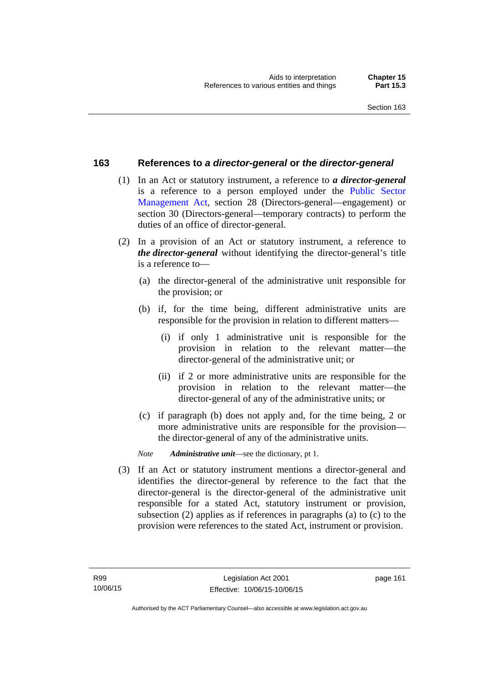### **163 References to** *a director-general* **or** *the director-general*

- (1) In an Act or statutory instrument, a reference to *a director-general* is a reference to a person employed under the [Public Sector](http://www.legislation.act.gov.au/a/1994-37)  [Management Act,](http://www.legislation.act.gov.au/a/1994-37) section 28 (Directors-general—engagement) or section 30 (Directors-general—temporary contracts) to perform the duties of an office of director-general.
- (2) In a provision of an Act or statutory instrument, a reference to *the director-general* without identifying the director-general's title is a reference to—
	- (a) the director-general of the administrative unit responsible for the provision; or
	- (b) if, for the time being, different administrative units are responsible for the provision in relation to different matters—
		- (i) if only 1 administrative unit is responsible for the provision in relation to the relevant matter—the director-general of the administrative unit; or
		- (ii) if 2 or more administrative units are responsible for the provision in relation to the relevant matter—the director-general of any of the administrative units; or
	- (c) if paragraph (b) does not apply and, for the time being, 2 or more administrative units are responsible for the provision the director-general of any of the administrative units.
	- *Note Administrative unit*—see the dictionary, pt 1.
- (3) If an Act or statutory instrument mentions a director-general and identifies the director-general by reference to the fact that the director-general is the director-general of the administrative unit responsible for a stated Act, statutory instrument or provision, subsection (2) applies as if references in paragraphs (a) to (c) to the provision were references to the stated Act, instrument or provision.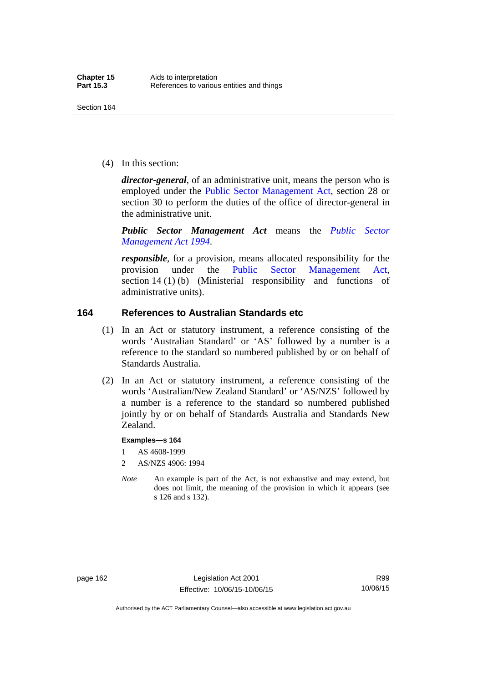(4) In this section:

*director-general*, of an administrative unit, means the person who is employed under the [Public Sector Management Act,](http://www.legislation.act.gov.au/a/1994-37) section 28 or section 30 to perform the duties of the office of director-general in the administrative unit.

*Public Sector Management Act* means the *[Public Sector](http://www.legislation.act.gov.au/a/1994-37)  [Management Act 1994](http://www.legislation.act.gov.au/a/1994-37)*.

*responsible*, for a provision, means allocated responsibility for the provision under the [Public Sector Management Act](http://www.legislation.act.gov.au/a/1994-37), section 14 (1) (b) (Ministerial responsibility and functions of administrative units).

### **164 References to Australian Standards etc**

- (1) In an Act or statutory instrument, a reference consisting of the words 'Australian Standard' or 'AS' followed by a number is a reference to the standard so numbered published by or on behalf of Standards Australia.
- (2) In an Act or statutory instrument, a reference consisting of the words 'Australian/New Zealand Standard' or 'AS/NZS' followed by a number is a reference to the standard so numbered published jointly by or on behalf of Standards Australia and Standards New Zealand.

#### **Examples—s 164**

- 1 AS 4608-1999
- 2 AS/NZS 4906: 1994
- *Note* An example is part of the Act, is not exhaustive and may extend, but does not limit, the meaning of the provision in which it appears (see s 126 and s 132).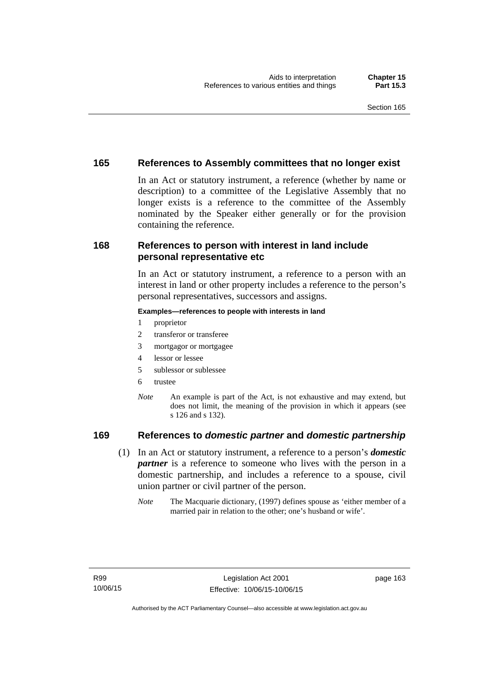### **165 References to Assembly committees that no longer exist**

In an Act or statutory instrument, a reference (whether by name or description) to a committee of the Legislative Assembly that no longer exists is a reference to the committee of the Assembly nominated by the Speaker either generally or for the provision containing the reference.

### **168 References to person with interest in land include personal representative etc**

In an Act or statutory instrument, a reference to a person with an interest in land or other property includes a reference to the person's personal representatives, successors and assigns.

#### **Examples—references to people with interests in land**

- 1 proprietor
- 2 transferor or transferee
- 3 mortgagor or mortgagee
- 4 lessor or lessee
- 5 sublessor or sublessee
- 6 trustee
- *Note* An example is part of the Act, is not exhaustive and may extend, but does not limit, the meaning of the provision in which it appears (see s 126 and s 132).

### **169 References to** *domestic partner* **and** *domestic partnership*

- (1) In an Act or statutory instrument, a reference to a person's *domestic partner* is a reference to someone who lives with the person in a domestic partnership, and includes a reference to a spouse, civil union partner or civil partner of the person.
	- *Note* The Macquarie dictionary, (1997) defines spouse as 'either member of a married pair in relation to the other; one's husband or wife'.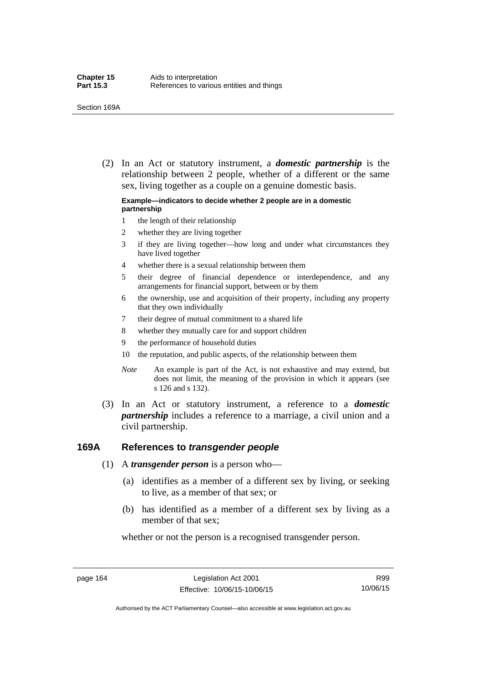(2) In an Act or statutory instrument, a *domestic partnership* is the relationship between 2 people, whether of a different or the same sex, living together as a couple on a genuine domestic basis.

#### **Example—indicators to decide whether 2 people are in a domestic partnership**

- 1 the length of their relationship
- 2 whether they are living together
- 3 if they are living together—how long and under what circumstances they have lived together
- 4 whether there is a sexual relationship between them
- 5 their degree of financial dependence or interdependence, and any arrangements for financial support, between or by them
- 6 the ownership, use and acquisition of their property, including any property that they own individually
- 7 their degree of mutual commitment to a shared life
- 8 whether they mutually care for and support children
- 9 the performance of household duties
- 10 the reputation, and public aspects, of the relationship between them
- *Note* An example is part of the Act, is not exhaustive and may extend, but does not limit, the meaning of the provision in which it appears (see s 126 and s 132).
- (3) In an Act or statutory instrument, a reference to a *domestic partnership* includes a reference to a marriage, a civil union and a civil partnership.

#### **169A References to** *transgender people*

- (1) A *transgender person* is a person who—
	- (a) identifies as a member of a different sex by living, or seeking to live, as a member of that sex; or
	- (b) has identified as a member of a different sex by living as a member of that sex;

whether or not the person is a recognised transgender person.

page 164 Legislation Act 2001 Effective: 10/06/15-10/06/15

R99 10/06/15

Authorised by the ACT Parliamentary Counsel—also accessible at www.legislation.act.gov.au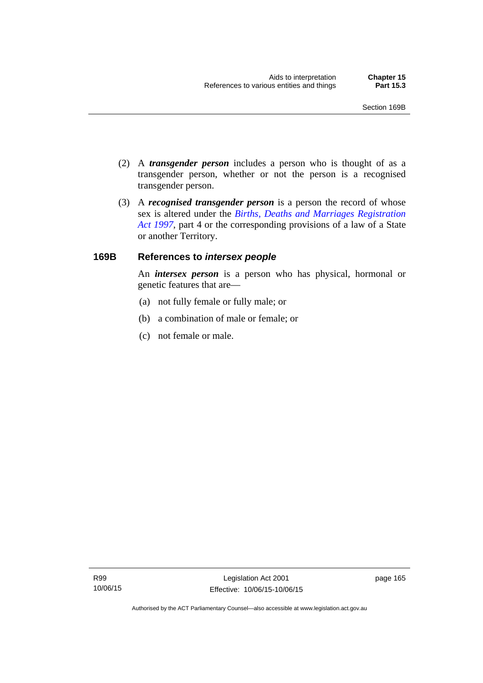- (2) A *transgender person* includes a person who is thought of as a transgender person, whether or not the person is a recognised transgender person.
- (3) A *recognised transgender person* is a person the record of whose sex is altered under the *[Births, Deaths and Marriages Registration](http://www.legislation.act.gov.au/a/1997-112)  [Act 1997](http://www.legislation.act.gov.au/a/1997-112)*, part 4 or the corresponding provisions of a law of a State or another Territory.

## **169B References to** *intersex people*

An *intersex person* is a person who has physical, hormonal or genetic features that are—

- (a) not fully female or fully male; or
- (b) a combination of male or female; or
- (c) not female or male.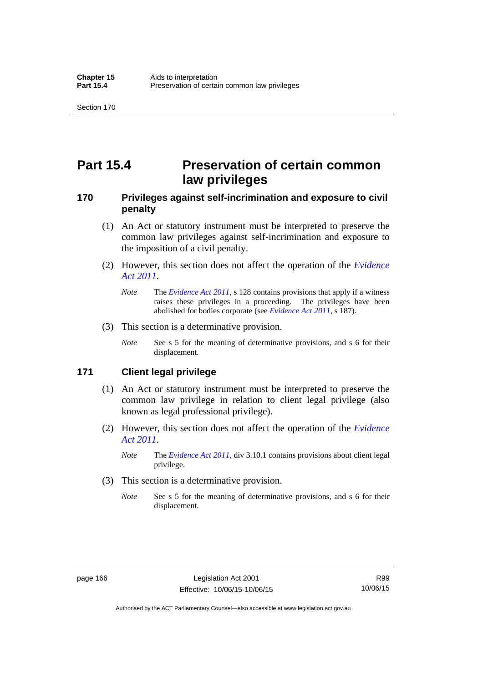# **Part 15.4 Preservation of certain common law privileges**

## **170 Privileges against self-incrimination and exposure to civil penalty**

- (1) An Act or statutory instrument must be interpreted to preserve the common law privileges against self-incrimination and exposure to the imposition of a civil penalty.
- (2) However, this section does not affect the operation of the *[Evidence](http://www.legislation.act.gov.au/a/2011-12)  [Act 2011](http://www.legislation.act.gov.au/a/2011-12)*.
	- *Note* The *[Evidence Act 2011](http://www.legislation.act.gov.au/a/2011-12)*, s 128 contains provisions that apply if a witness raises these privileges in a proceeding. The privileges have been abolished for bodies corporate (see *[Evidence Act 2011](http://www.legislation.act.gov.au/a/2011-12)*, s 187).
- (3) This section is a determinative provision.
	- *Note* See s 5 for the meaning of determinative provisions, and s 6 for their displacement.

## **171 Client legal privilege**

- (1) An Act or statutory instrument must be interpreted to preserve the common law privilege in relation to client legal privilege (also known as legal professional privilege).
- (2) However, this section does not affect the operation of the *[Evidence](http://www.legislation.act.gov.au/a/2011-12)  [Act 2011](http://www.legislation.act.gov.au/a/2011-12)*.
	- *Note* The *[Evidence Act 2011](http://www.legislation.act.gov.au/a/2011-12)*, div 3.10.1 contains provisions about client legal privilege.
- (3) This section is a determinative provision.
	- *Note* See s 5 for the meaning of determinative provisions, and s 6 for their displacement.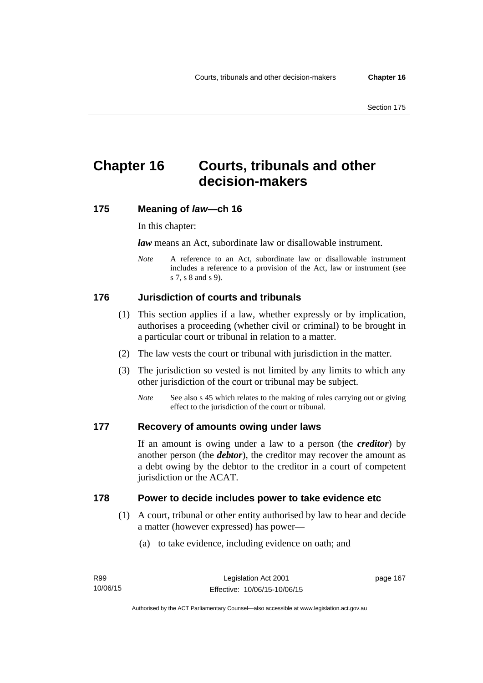# **Chapter 16 Courts, tribunals and other decision-makers**

## **175 Meaning of** *law***—ch 16**

In this chapter:

*law* means an Act, subordinate law or disallowable instrument.

*Note* A reference to an Act, subordinate law or disallowable instrument includes a reference to a provision of the Act, law or instrument (see s 7, s 8 and s 9).

# **176 Jurisdiction of courts and tribunals**

- (1) This section applies if a law, whether expressly or by implication, authorises a proceeding (whether civil or criminal) to be brought in a particular court or tribunal in relation to a matter.
- (2) The law vests the court or tribunal with jurisdiction in the matter.
- (3) The jurisdiction so vested is not limited by any limits to which any other jurisdiction of the court or tribunal may be subject.
	- *Note* See also s 45 which relates to the making of rules carrying out or giving effect to the jurisdiction of the court or tribunal.

## **177 Recovery of amounts owing under laws**

If an amount is owing under a law to a person (the *creditor*) by another person (the *debtor*), the creditor may recover the amount as a debt owing by the debtor to the creditor in a court of competent jurisdiction or the ACAT.

#### **178 Power to decide includes power to take evidence etc**

- (1) A court, tribunal or other entity authorised by law to hear and decide a matter (however expressed) has power—
	- (a) to take evidence, including evidence on oath; and

page 167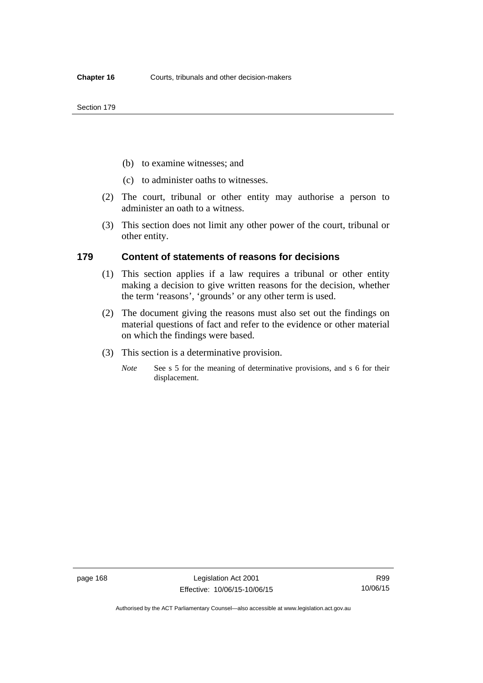- (b) to examine witnesses; and
- (c) to administer oaths to witnesses.
- (2) The court, tribunal or other entity may authorise a person to administer an oath to a witness.
- (3) This section does not limit any other power of the court, tribunal or other entity.

### **179 Content of statements of reasons for decisions**

- (1) This section applies if a law requires a tribunal or other entity making a decision to give written reasons for the decision, whether the term 'reasons', 'grounds' or any other term is used.
- (2) The document giving the reasons must also set out the findings on material questions of fact and refer to the evidence or other material on which the findings were based.
- (3) This section is a determinative provision.
	- *Note* See s 5 for the meaning of determinative provisions, and s 6 for their displacement.

R99 10/06/15

Authorised by the ACT Parliamentary Counsel—also accessible at www.legislation.act.gov.au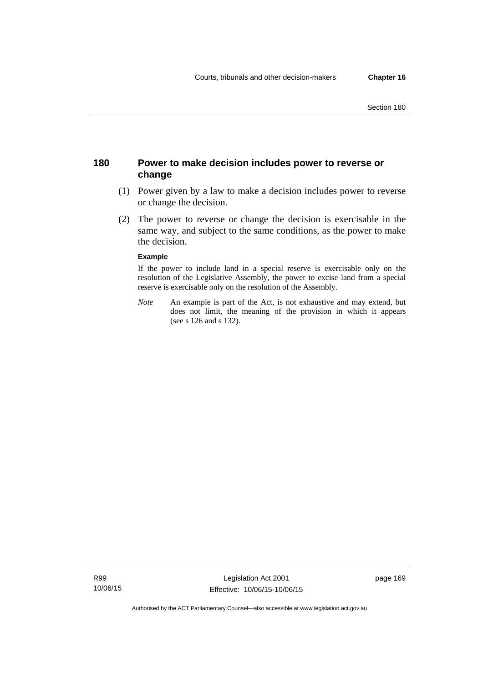## **180 Power to make decision includes power to reverse or change**

- (1) Power given by a law to make a decision includes power to reverse or change the decision.
- (2) The power to reverse or change the decision is exercisable in the same way, and subject to the same conditions, as the power to make the decision.

#### **Example**

If the power to include land in a special reserve is exercisable only on the resolution of the Legislative Assembly, the power to excise land from a special reserve is exercisable only on the resolution of the Assembly.

*Note* An example is part of the Act, is not exhaustive and may extend, but does not limit, the meaning of the provision in which it appears (see s 126 and s 132).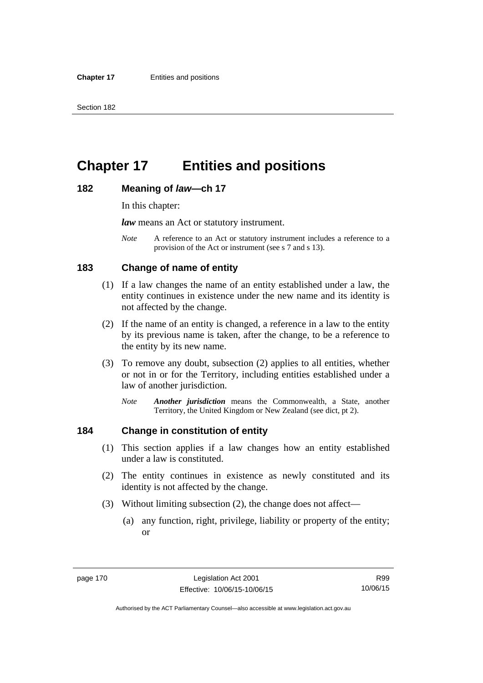# **Chapter 17 Entities and positions**

#### **182 Meaning of** *law***—ch 17**

In this chapter:

*law* means an Act or statutory instrument.

*Note* A reference to an Act or statutory instrument includes a reference to a provision of the Act or instrument (see s 7 and s 13).

## **183 Change of name of entity**

- (1) If a law changes the name of an entity established under a law, the entity continues in existence under the new name and its identity is not affected by the change.
- (2) If the name of an entity is changed, a reference in a law to the entity by its previous name is taken, after the change, to be a reference to the entity by its new name.
- (3) To remove any doubt, subsection (2) applies to all entities, whether or not in or for the Territory, including entities established under a law of another jurisdiction.
	- *Note Another jurisdiction* means the Commonwealth, a State, another Territory, the United Kingdom or New Zealand (see dict, pt 2).

## **184 Change in constitution of entity**

- (1) This section applies if a law changes how an entity established under a law is constituted.
- (2) The entity continues in existence as newly constituted and its identity is not affected by the change.
- (3) Without limiting subsection (2), the change does not affect—
	- (a) any function, right, privilege, liability or property of the entity; or

R99 10/06/15

Authorised by the ACT Parliamentary Counsel—also accessible at www.legislation.act.gov.au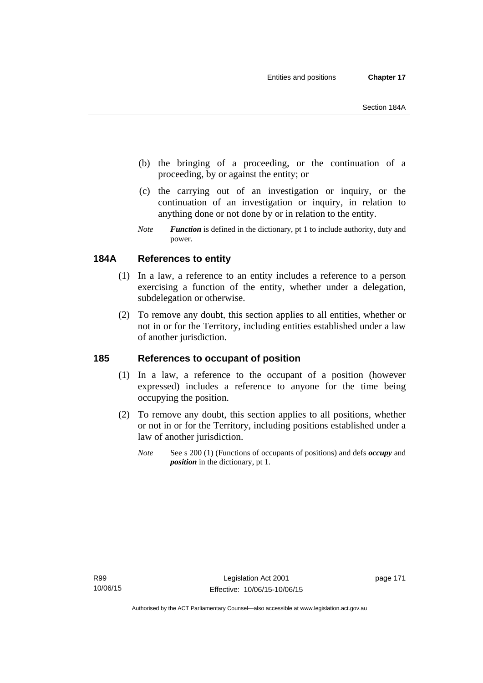- (b) the bringing of a proceeding, or the continuation of a proceeding, by or against the entity; or
- (c) the carrying out of an investigation or inquiry, or the continuation of an investigation or inquiry, in relation to anything done or not done by or in relation to the entity.
- *Note Function* is defined in the dictionary, pt 1 to include authority, duty and power.

# **184A References to entity**

- (1) In a law, a reference to an entity includes a reference to a person exercising a function of the entity, whether under a delegation, subdelegation or otherwise.
- (2) To remove any doubt, this section applies to all entities, whether or not in or for the Territory, including entities established under a law of another jurisdiction.

## **185 References to occupant of position**

- (1) In a law, a reference to the occupant of a position (however expressed) includes a reference to anyone for the time being occupying the position.
- (2) To remove any doubt, this section applies to all positions, whether or not in or for the Territory, including positions established under a law of another jurisdiction.
	- *Note* See s 200 (1) (Functions of occupants of positions) and defs *occupy* and *position* in the dictionary, pt 1.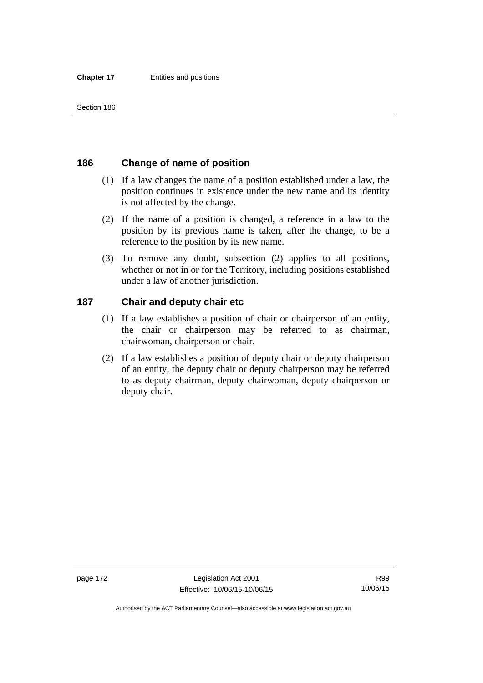## **186 Change of name of position**

- (1) If a law changes the name of a position established under a law, the position continues in existence under the new name and its identity is not affected by the change.
- (2) If the name of a position is changed, a reference in a law to the position by its previous name is taken, after the change, to be a reference to the position by its new name.
- (3) To remove any doubt, subsection (2) applies to all positions, whether or not in or for the Territory, including positions established under a law of another jurisdiction.

## **187 Chair and deputy chair etc**

- (1) If a law establishes a position of chair or chairperson of an entity, the chair or chairperson may be referred to as chairman, chairwoman, chairperson or chair.
- (2) If a law establishes a position of deputy chair or deputy chairperson of an entity, the deputy chair or deputy chairperson may be referred to as deputy chairman, deputy chairwoman, deputy chairperson or deputy chair.

Authorised by the ACT Parliamentary Counsel—also accessible at www.legislation.act.gov.au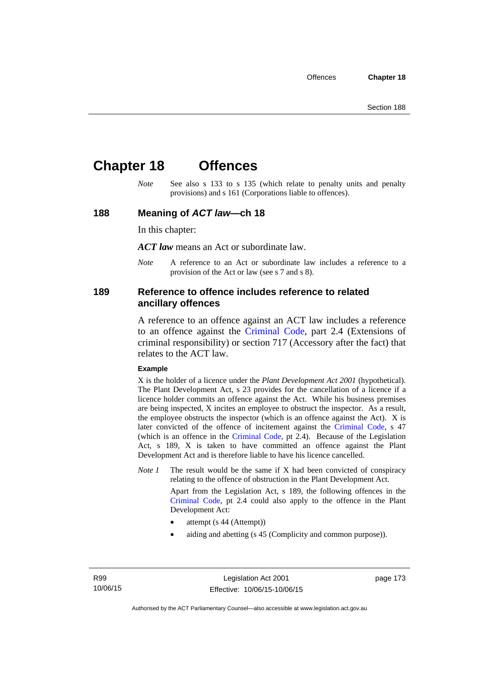# **Chapter 18 Offences**

*Note* See also s 133 to s 135 (which relate to penalty units and penalty provisions) and s 161 (Corporations liable to offences).

### **188 Meaning of** *ACT law***—ch 18**

In this chapter:

*ACT law* means an Act or subordinate law.

*Note* A reference to an Act or subordinate law includes a reference to a provision of the Act or law (see s 7 and s 8).

### **189 Reference to offence includes reference to related ancillary offences**

A reference to an offence against an ACT law includes a reference to an offence against the [Criminal Code,](http://www.legislation.act.gov.au/a/2002-51) part 2.4 (Extensions of criminal responsibility) or section 717 (Accessory after the fact) that relates to the ACT law.

#### **Example**

X is the holder of a licence under the *Plant Development Act 2001* (hypothetical). The Plant Development Act, s 23 provides for the cancellation of a licence if a licence holder commits an offence against the Act. While his business premises are being inspected, X incites an employee to obstruct the inspector. As a result, the employee obstructs the inspector (which is an offence against the Act). X is later convicted of the offence of incitement against the [Criminal Code](http://www.legislation.act.gov.au/a/2002-51), s 47 (which is an offence in the [Criminal Code,](http://www.legislation.act.gov.au/a/2002-51) pt 2.4). Because of the Legislation Act, s 189, X is taken to have committed an offence against the Plant Development Act and is therefore liable to have his licence cancelled.

*Note 1* The result would be the same if X had been convicted of conspiracy relating to the offence of obstruction in the Plant Development Act.

> Apart from the Legislation Act, s 189, the following offences in the [Criminal Code,](http://www.legislation.act.gov.au/a/2002-51) pt 2.4 could also apply to the offence in the Plant Development Act:

- attempt (s 44 (Attempt))
- aiding and abetting (s 45 (Complicity and common purpose)).

page 173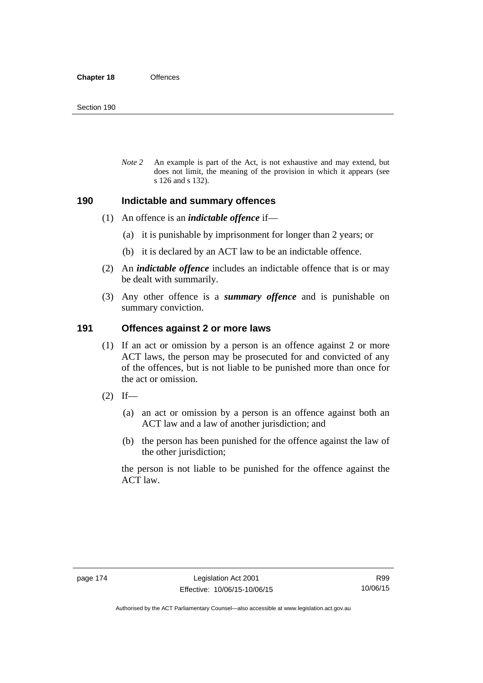*Note 2* An example is part of the Act, is not exhaustive and may extend, but does not limit, the meaning of the provision in which it appears (see s 126 and s 132).

### **190 Indictable and summary offences**

- (1) An offence is an *indictable offence* if—
	- (a) it is punishable by imprisonment for longer than 2 years; or
	- (b) it is declared by an ACT law to be an indictable offence.
- (2) An *indictable offence* includes an indictable offence that is or may be dealt with summarily.
- (3) Any other offence is a *summary offence* and is punishable on summary conviction.

### **191 Offences against 2 or more laws**

- (1) If an act or omission by a person is an offence against 2 or more ACT laws, the person may be prosecuted for and convicted of any of the offences, but is not liable to be punished more than once for the act or omission.
- $(2)$  If—
	- (a) an act or omission by a person is an offence against both an ACT law and a law of another jurisdiction; and
	- (b) the person has been punished for the offence against the law of the other jurisdiction;

the person is not liable to be punished for the offence against the ACT law.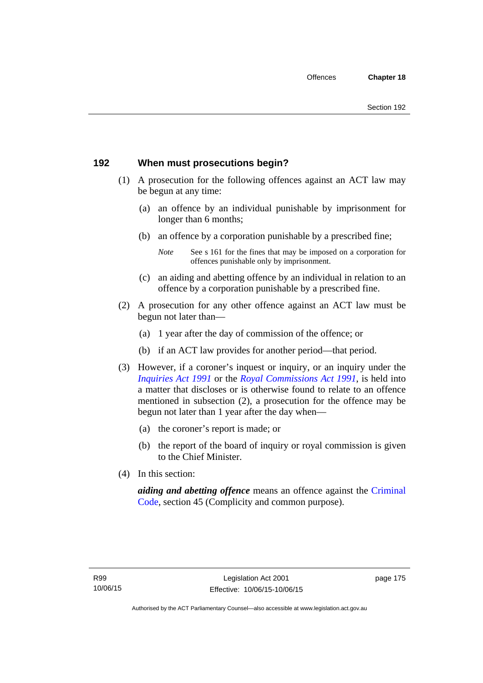## **192 When must prosecutions begin?**

- (1) A prosecution for the following offences against an ACT law may be begun at any time:
	- (a) an offence by an individual punishable by imprisonment for longer than 6 months;
	- (b) an offence by a corporation punishable by a prescribed fine;
		- *Note* See s 161 for the fines that may be imposed on a corporation for offences punishable only by imprisonment.
	- (c) an aiding and abetting offence by an individual in relation to an offence by a corporation punishable by a prescribed fine.
- (2) A prosecution for any other offence against an ACT law must be begun not later than—
	- (a) 1 year after the day of commission of the offence; or
	- (b) if an ACT law provides for another period—that period.
- (3) However, if a coroner's inquest or inquiry, or an inquiry under the *[Inquiries Act 1991](http://www.legislation.act.gov.au/a/1991-2)* or the *[Royal Commissions Act 1991](http://www.legislation.act.gov.au/a/1991-1)*, is held into a matter that discloses or is otherwise found to relate to an offence mentioned in subsection (2), a prosecution for the offence may be begun not later than 1 year after the day when—
	- (a) the coroner's report is made; or
	- (b) the report of the board of inquiry or royal commission is given to the Chief Minister.
- (4) In this section:

*aiding and abetting offence* means an offence against the [Criminal](http://www.legislation.act.gov.au/a/2002-51)  [Code](http://www.legislation.act.gov.au/a/2002-51), section 45 (Complicity and common purpose).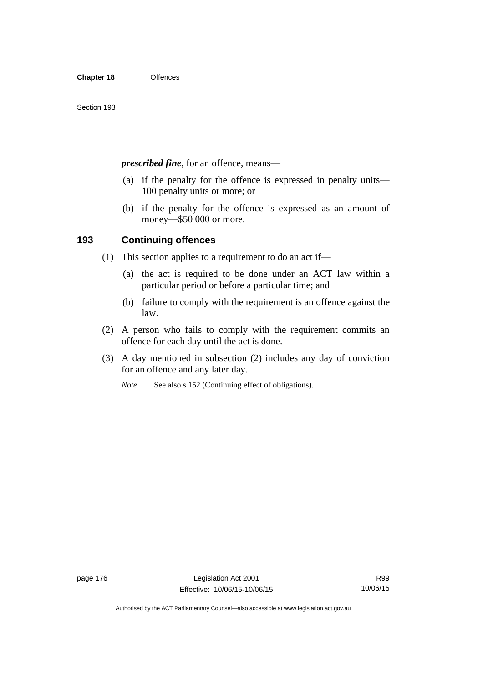*prescribed fine*, for an offence, means—

- (a) if the penalty for the offence is expressed in penalty units— 100 penalty units or more; or
- (b) if the penalty for the offence is expressed as an amount of money—\$50 000 or more.

## **193 Continuing offences**

- (1) This section applies to a requirement to do an act if—
	- (a) the act is required to be done under an ACT law within a particular period or before a particular time; and
	- (b) failure to comply with the requirement is an offence against the law.
- (2) A person who fails to comply with the requirement commits an offence for each day until the act is done.
- (3) A day mentioned in subsection (2) includes any day of conviction for an offence and any later day.

*Note* See also s 152 (Continuing effect of obligations).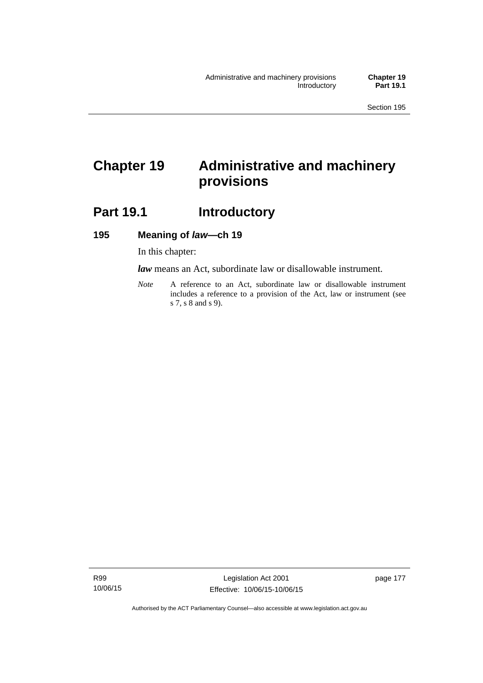# **Chapter 19 Administrative and machinery provisions**

# **Part 19.1 Introductory**

## **195 Meaning of** *law***—ch 19**

In this chapter:

*law* means an Act, subordinate law or disallowable instrument.

*Note* A reference to an Act, subordinate law or disallowable instrument includes a reference to a provision of the Act, law or instrument (see s 7, s 8 and s 9).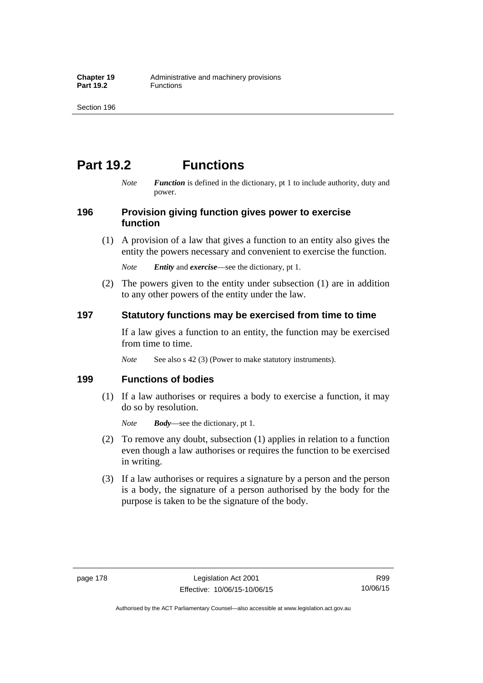# **Part 19.2 Functions**

*Note Function* is defined in the dictionary, pt 1 to include authority, duty and power.

## **196 Provision giving function gives power to exercise function**

 (1) A provision of a law that gives a function to an entity also gives the entity the powers necessary and convenient to exercise the function.

*Note Entity* and *exercise*—see the dictionary, pt 1.

 (2) The powers given to the entity under subsection (1) are in addition to any other powers of the entity under the law.

## **197 Statutory functions may be exercised from time to time**

If a law gives a function to an entity, the function may be exercised from time to time.

*Note* See also s 42 (3) (Power to make statutory instruments).

## **199 Functions of bodies**

 (1) If a law authorises or requires a body to exercise a function, it may do so by resolution.

*Note Body*—see the dictionary, pt 1.

- (2) To remove any doubt, subsection (1) applies in relation to a function even though a law authorises or requires the function to be exercised in writing.
- (3) If a law authorises or requires a signature by a person and the person is a body, the signature of a person authorised by the body for the purpose is taken to be the signature of the body.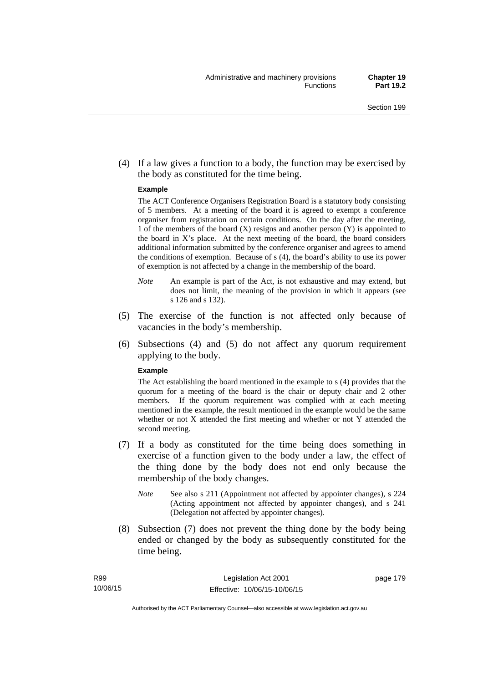(4) If a law gives a function to a body, the function may be exercised by the body as constituted for the time being.

#### **Example**

The ACT Conference Organisers Registration Board is a statutory body consisting of 5 members. At a meeting of the board it is agreed to exempt a conference organiser from registration on certain conditions. On the day after the meeting, 1 of the members of the board (X) resigns and another person (Y) is appointed to the board in  $X$ 's place. At the next meeting of the board, the board considers additional information submitted by the conference organiser and agrees to amend the conditions of exemption. Because of s (4), the board's ability to use its power of exemption is not affected by a change in the membership of the board.

- *Note* An example is part of the Act, is not exhaustive and may extend, but does not limit, the meaning of the provision in which it appears (see s 126 and s 132).
- (5) The exercise of the function is not affected only because of vacancies in the body's membership.
- (6) Subsections (4) and (5) do not affect any quorum requirement applying to the body.

#### **Example**

The Act establishing the board mentioned in the example to s (4) provides that the quorum for a meeting of the board is the chair or deputy chair and 2 other members. If the quorum requirement was complied with at each meeting mentioned in the example, the result mentioned in the example would be the same whether or not X attended the first meeting and whether or not Y attended the second meeting.

- (7) If a body as constituted for the time being does something in exercise of a function given to the body under a law, the effect of the thing done by the body does not end only because the membership of the body changes.
	- *Note* See also s 211 (Appointment not affected by appointer changes), s 224 (Acting appointment not affected by appointer changes), and s 241 (Delegation not affected by appointer changes).
- (8) Subsection (7) does not prevent the thing done by the body being ended or changed by the body as subsequently constituted for the time being.

page 179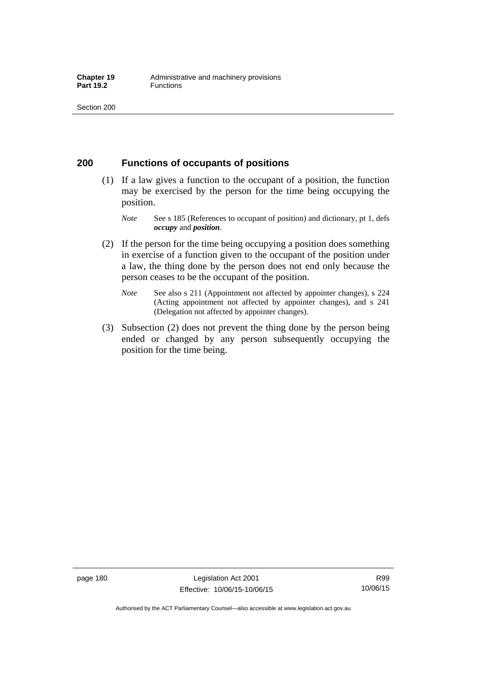## **200 Functions of occupants of positions**

- (1) If a law gives a function to the occupant of a position, the function may be exercised by the person for the time being occupying the position.
	- *Note* See s 185 (References to occupant of position) and dictionary, pt 1, defs *occupy* and *position*.
- (2) If the person for the time being occupying a position does something in exercise of a function given to the occupant of the position under a law, the thing done by the person does not end only because the person ceases to be the occupant of the position.
	- *Note* See also s 211 (Appointment not affected by appointer changes), s 224 (Acting appointment not affected by appointer changes), and s 241 (Delegation not affected by appointer changes).
- (3) Subsection (2) does not prevent the thing done by the person being ended or changed by any person subsequently occupying the position for the time being.

R99 10/06/15

Authorised by the ACT Parliamentary Counsel—also accessible at www.legislation.act.gov.au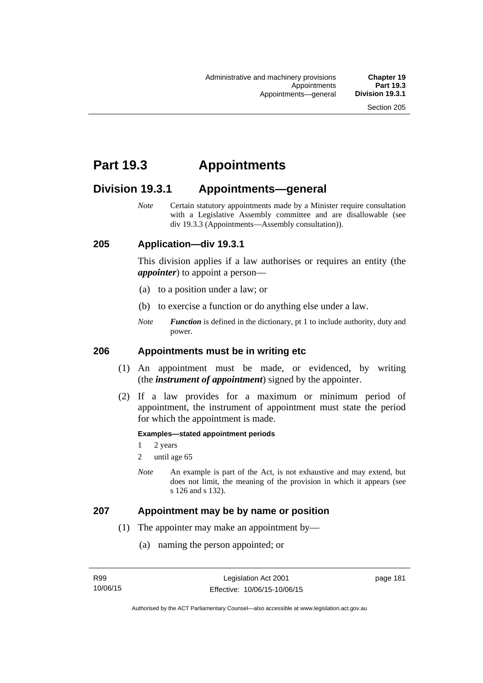# **Part 19.3 Appointments**

# **Division 19.3.1 Appointments—general**

*Note* Certain statutory appointments made by a Minister require consultation with a Legislative Assembly committee and are disallowable (see div 19.3.3 (Appointments—Assembly consultation)).

## **205 Application—div 19.3.1**

This division applies if a law authorises or requires an entity (the *appointer*) to appoint a person—

- (a) to a position under a law; or
- (b) to exercise a function or do anything else under a law.
- *Note Function* is defined in the dictionary, pt 1 to include authority, duty and power.

### **206 Appointments must be in writing etc**

- (1) An appointment must be made, or evidenced, by writing (the *instrument of appointment*) signed by the appointer.
- (2) If a law provides for a maximum or minimum period of appointment, the instrument of appointment must state the period for which the appointment is made.

#### **Examples—stated appointment periods**

- 1 2 years
- 2 until age 65
- *Note* An example is part of the Act, is not exhaustive and may extend, but does not limit, the meaning of the provision in which it appears (see s 126 and s 132).

### **207 Appointment may be by name or position**

- (1) The appointer may make an appointment by—
	- (a) naming the person appointed; or

page 181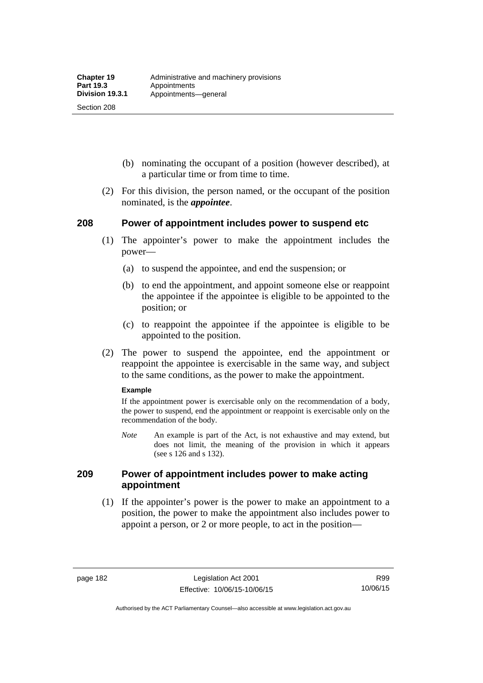Section 208

- (b) nominating the occupant of a position (however described), at a particular time or from time to time.
- (2) For this division, the person named, or the occupant of the position nominated, is the *appointee*.

## **208 Power of appointment includes power to suspend etc**

- (1) The appointer's power to make the appointment includes the power—
	- (a) to suspend the appointee, and end the suspension; or
	- (b) to end the appointment, and appoint someone else or reappoint the appointee if the appointee is eligible to be appointed to the position; or
	- (c) to reappoint the appointee if the appointee is eligible to be appointed to the position.
- (2) The power to suspend the appointee, end the appointment or reappoint the appointee is exercisable in the same way, and subject to the same conditions, as the power to make the appointment.

#### **Example**

If the appointment power is exercisable only on the recommendation of a body, the power to suspend, end the appointment or reappoint is exercisable only on the recommendation of the body.

*Note* An example is part of the Act, is not exhaustive and may extend, but does not limit, the meaning of the provision in which it appears (see s 126 and s 132).

## **209 Power of appointment includes power to make acting appointment**

 (1) If the appointer's power is the power to make an appointment to a position, the power to make the appointment also includes power to appoint a person, or 2 or more people, to act in the position—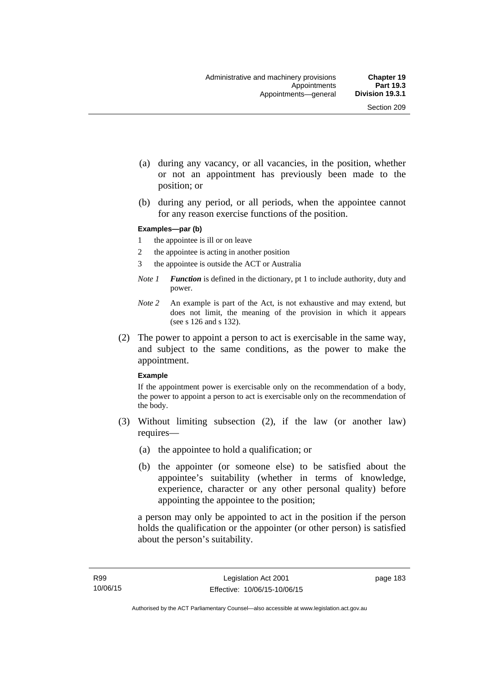- (a) during any vacancy, or all vacancies, in the position, whether or not an appointment has previously been made to the position; or
- (b) during any period, or all periods, when the appointee cannot for any reason exercise functions of the position.

#### **Examples—par (b)**

- 1 the appointee is ill or on leave
- 2 the appointee is acting in another position
- 3 the appointee is outside the ACT or Australia
- *Note 1 Function* is defined in the dictionary, pt 1 to include authority, duty and power.
- *Note 2* An example is part of the Act, is not exhaustive and may extend, but does not limit, the meaning of the provision in which it appears (see s 126 and s 132).
- (2) The power to appoint a person to act is exercisable in the same way, and subject to the same conditions, as the power to make the appointment.

#### **Example**

If the appointment power is exercisable only on the recommendation of a body, the power to appoint a person to act is exercisable only on the recommendation of the body.

- (3) Without limiting subsection (2), if the law (or another law) requires—
	- (a) the appointee to hold a qualification; or
	- (b) the appointer (or someone else) to be satisfied about the appointee's suitability (whether in terms of knowledge, experience, character or any other personal quality) before appointing the appointee to the position;

a person may only be appointed to act in the position if the person holds the qualification or the appointer (or other person) is satisfied about the person's suitability.

page 183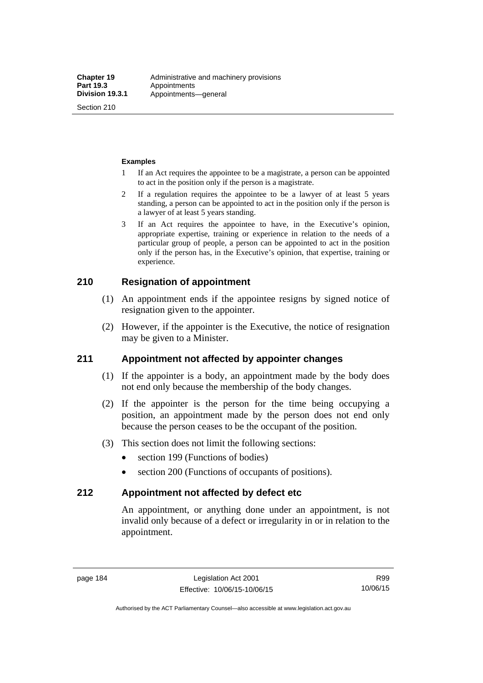Section 210

#### **Examples**

- 1 If an Act requires the appointee to be a magistrate, a person can be appointed to act in the position only if the person is a magistrate.
- 2 If a regulation requires the appointee to be a lawyer of at least 5 years standing, a person can be appointed to act in the position only if the person is a lawyer of at least 5 years standing.
- 3 If an Act requires the appointee to have, in the Executive's opinion, appropriate expertise, training or experience in relation to the needs of a particular group of people, a person can be appointed to act in the position only if the person has, in the Executive's opinion, that expertise, training or experience.

## **210 Resignation of appointment**

- (1) An appointment ends if the appointee resigns by signed notice of resignation given to the appointer.
- (2) However, if the appointer is the Executive, the notice of resignation may be given to a Minister.

## **211 Appointment not affected by appointer changes**

- (1) If the appointer is a body, an appointment made by the body does not end only because the membership of the body changes.
- (2) If the appointer is the person for the time being occupying a position, an appointment made by the person does not end only because the person ceases to be the occupant of the position.
- (3) This section does not limit the following sections:
	- section 199 (Functions of bodies)
	- section 200 (Functions of occupants of positions).

## **212 Appointment not affected by defect etc**

An appointment, or anything done under an appointment, is not invalid only because of a defect or irregularity in or in relation to the appointment.

Authorised by the ACT Parliamentary Counsel—also accessible at www.legislation.act.gov.au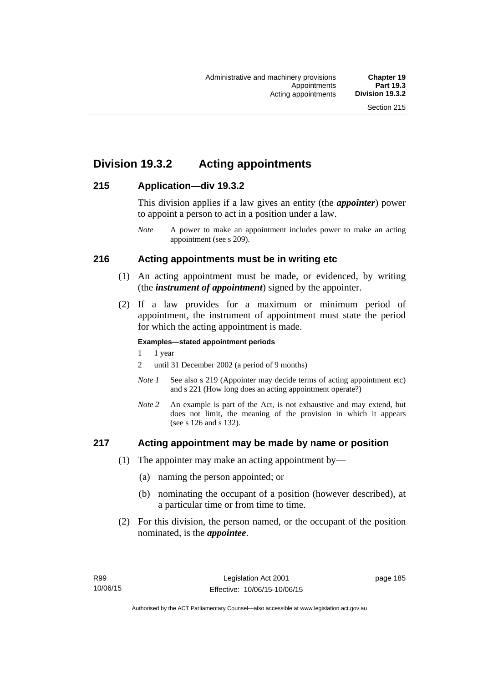# **Division 19.3.2 Acting appointments**

## **215 Application—div 19.3.2**

This division applies if a law gives an entity (the *appointer*) power to appoint a person to act in a position under a law.

## **216 Acting appointments must be in writing etc**

- (1) An acting appointment must be made, or evidenced, by writing (the *instrument of appointment*) signed by the appointer.
- (2) If a law provides for a maximum or minimum period of appointment, the instrument of appointment must state the period for which the acting appointment is made.

#### **Examples—stated appointment periods**

- 1 1 year
- 2 until 31 December 2002 (a period of 9 months)
- *Note 1* See also s 219 (Appointer may decide terms of acting appointment etc) and s 221 (How long does an acting appointment operate?)
- *Note 2* An example is part of the Act, is not exhaustive and may extend, but does not limit, the meaning of the provision in which it appears (see s 126 and s 132).

## **217 Acting appointment may be made by name or position**

- (1) The appointer may make an acting appointment by—
	- (a) naming the person appointed; or
	- (b) nominating the occupant of a position (however described), at a particular time or from time to time.
- (2) For this division, the person named, or the occupant of the position nominated, is the *appointee*.

*Note* A power to make an appointment includes power to make an acting appointment (see s 209).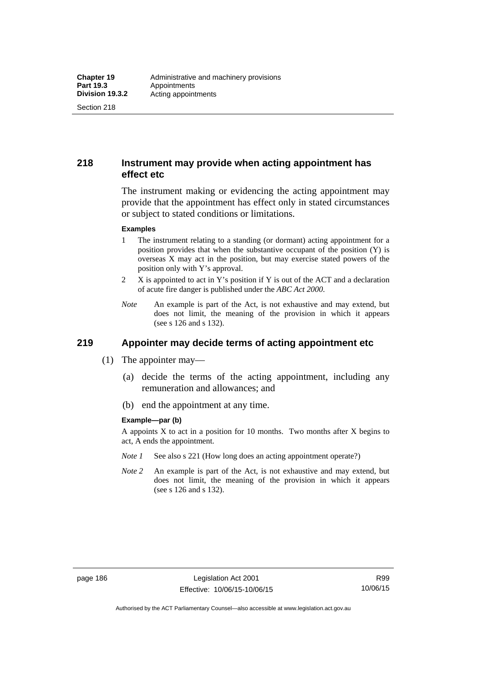Section 218

## **218 Instrument may provide when acting appointment has effect etc**

The instrument making or evidencing the acting appointment may provide that the appointment has effect only in stated circumstances or subject to stated conditions or limitations.

#### **Examples**

- 1 The instrument relating to a standing (or dormant) acting appointment for a position provides that when the substantive occupant of the position (Y) is overseas X may act in the position, but may exercise stated powers of the position only with Y's approval.
- 2 X is appointed to act in Y's position if Y is out of the ACT and a declaration of acute fire danger is published under the *ABC Act 2000*.
- *Note* An example is part of the Act, is not exhaustive and may extend, but does not limit, the meaning of the provision in which it appears (see s 126 and s 132).

# **219 Appointer may decide terms of acting appointment etc**

- (1) The appointer may—
	- (a) decide the terms of the acting appointment, including any remuneration and allowances; and
	- (b) end the appointment at any time.

#### **Example—par (b)**

A appoints X to act in a position for 10 months. Two months after X begins to act, A ends the appointment.

- *Note 1* See also s 221 (How long does an acting appointment operate?)
- *Note 2* An example is part of the Act, is not exhaustive and may extend, but does not limit, the meaning of the provision in which it appears (see s 126 and s 132).

R99 10/06/15

Authorised by the ACT Parliamentary Counsel—also accessible at www.legislation.act.gov.au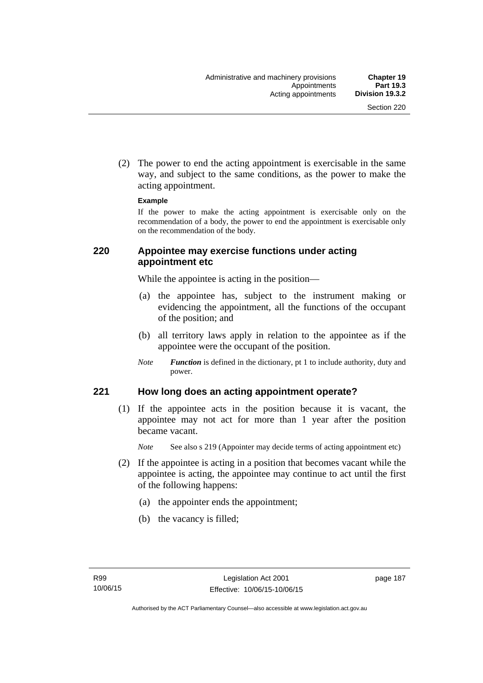(2) The power to end the acting appointment is exercisable in the same way, and subject to the same conditions, as the power to make the acting appointment.

#### **Example**

If the power to make the acting appointment is exercisable only on the recommendation of a body, the power to end the appointment is exercisable only on the recommendation of the body.

## **220 Appointee may exercise functions under acting appointment etc**

While the appointee is acting in the position—

- (a) the appointee has, subject to the instrument making or evidencing the appointment, all the functions of the occupant of the position; and
- (b) all territory laws apply in relation to the appointee as if the appointee were the occupant of the position.
- *Note Function* is defined in the dictionary, pt 1 to include authority, duty and power.

## **221 How long does an acting appointment operate?**

 (1) If the appointee acts in the position because it is vacant, the appointee may not act for more than 1 year after the position became vacant.

*Note* See also s 219 (Appointer may decide terms of acting appointment etc)

- (2) If the appointee is acting in a position that becomes vacant while the appointee is acting, the appointee may continue to act until the first of the following happens:
	- (a) the appointer ends the appointment;
	- (b) the vacancy is filled;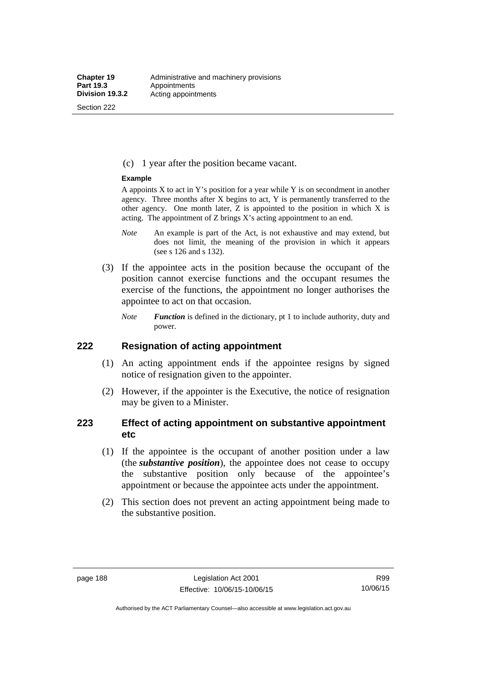Section 222

(c) 1 year after the position became vacant.

#### **Example**

A appoints  $X$  to act in Y's position for a year while Y is on secondment in another agency. Three months after X begins to act, Y is permanently transferred to the other agency. One month later,  $Z$  is appointed to the position in which  $X$  is acting. The appointment of Z brings X's acting appointment to an end.

- *Note* An example is part of the Act, is not exhaustive and may extend, but does not limit, the meaning of the provision in which it appears (see s 126 and s 132).
- (3) If the appointee acts in the position because the occupant of the position cannot exercise functions and the occupant resumes the exercise of the functions, the appointment no longer authorises the appointee to act on that occasion.
	- *Note Function* is defined in the dictionary, pt 1 to include authority, duty and power.

## **222 Resignation of acting appointment**

- (1) An acting appointment ends if the appointee resigns by signed notice of resignation given to the appointer.
- (2) However, if the appointer is the Executive, the notice of resignation may be given to a Minister.

## **223 Effect of acting appointment on substantive appointment etc**

- (1) If the appointee is the occupant of another position under a law (the *substantive position*), the appointee does not cease to occupy the substantive position only because of the appointee's appointment or because the appointee acts under the appointment.
- (2) This section does not prevent an acting appointment being made to the substantive position.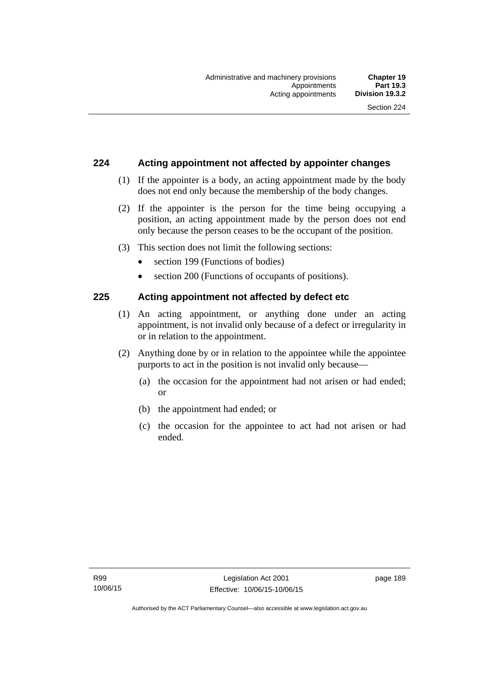## **224 Acting appointment not affected by appointer changes**

- (1) If the appointer is a body, an acting appointment made by the body does not end only because the membership of the body changes.
- (2) If the appointer is the person for the time being occupying a position, an acting appointment made by the person does not end only because the person ceases to be the occupant of the position.
- (3) This section does not limit the following sections:
	- section 199 (Functions of bodies)
	- section 200 (Functions of occupants of positions).

## **225 Acting appointment not affected by defect etc**

- (1) An acting appointment, or anything done under an acting appointment, is not invalid only because of a defect or irregularity in or in relation to the appointment.
- (2) Anything done by or in relation to the appointee while the appointee purports to act in the position is not invalid only because—
	- (a) the occasion for the appointment had not arisen or had ended; or
	- (b) the appointment had ended; or
	- (c) the occasion for the appointee to act had not arisen or had ended.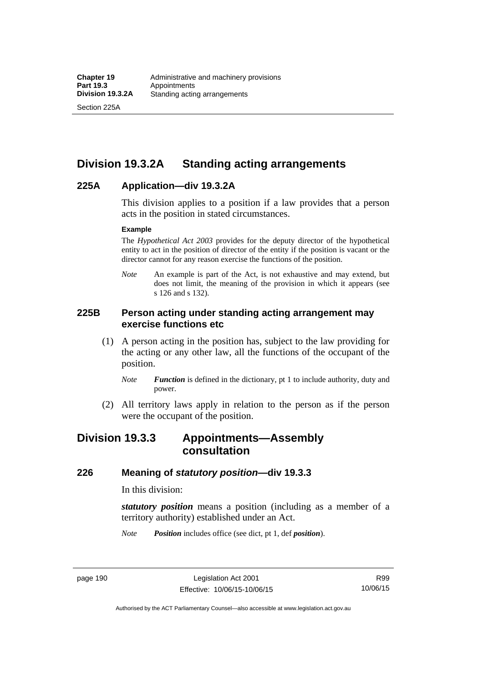Section 225A

# **Division 19.3.2A Standing acting arrangements**

## **225A Application—div 19.3.2A**

This division applies to a position if a law provides that a person acts in the position in stated circumstances.

#### **Example**

The *Hypothetical Act 2003* provides for the deputy director of the hypothetical entity to act in the position of director of the entity if the position is vacant or the director cannot for any reason exercise the functions of the position.

*Note* An example is part of the Act, is not exhaustive and may extend, but does not limit, the meaning of the provision in which it appears (see s 126 and s 132).

## **225B Person acting under standing acting arrangement may exercise functions etc**

- (1) A person acting in the position has, subject to the law providing for the acting or any other law, all the functions of the occupant of the position.
	- *Note Function* is defined in the dictionary, pt 1 to include authority, duty and power.
- (2) All territory laws apply in relation to the person as if the person were the occupant of the position.

# **Division 19.3.3 Appointments—Assembly consultation**

## **226 Meaning of** *statutory position***—div 19.3.3**

In this division:

*statutory position* means a position (including as a member of a territory authority) established under an Act.

*Note Position* includes office (see dict, pt 1, def *position*).

page 190 Legislation Act 2001 Effective: 10/06/15-10/06/15

R99 10/06/15

Authorised by the ACT Parliamentary Counsel—also accessible at www.legislation.act.gov.au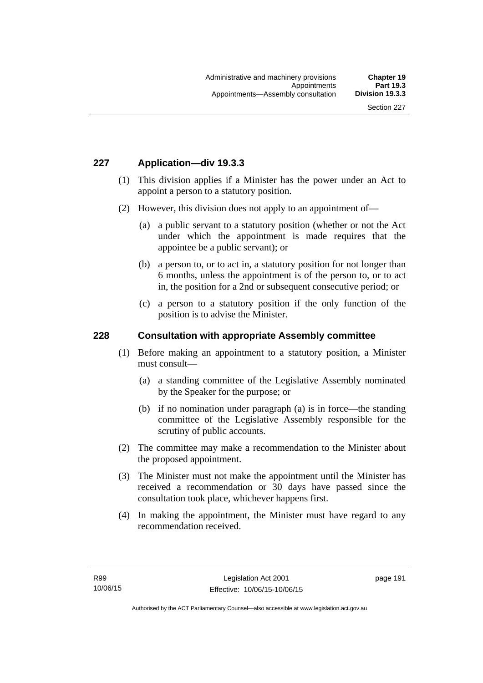## **227 Application—div 19.3.3**

- (1) This division applies if a Minister has the power under an Act to appoint a person to a statutory position.
- (2) However, this division does not apply to an appointment of—
	- (a) a public servant to a statutory position (whether or not the Act under which the appointment is made requires that the appointee be a public servant); or
	- (b) a person to, or to act in, a statutory position for not longer than 6 months, unless the appointment is of the person to, or to act in, the position for a 2nd or subsequent consecutive period; or
	- (c) a person to a statutory position if the only function of the position is to advise the Minister.

### **228 Consultation with appropriate Assembly committee**

- (1) Before making an appointment to a statutory position, a Minister must consult—
	- (a) a standing committee of the Legislative Assembly nominated by the Speaker for the purpose; or
	- (b) if no nomination under paragraph (a) is in force—the standing committee of the Legislative Assembly responsible for the scrutiny of public accounts.
- (2) The committee may make a recommendation to the Minister about the proposed appointment.
- (3) The Minister must not make the appointment until the Minister has received a recommendation or 30 days have passed since the consultation took place, whichever happens first.
- (4) In making the appointment, the Minister must have regard to any recommendation received.

page 191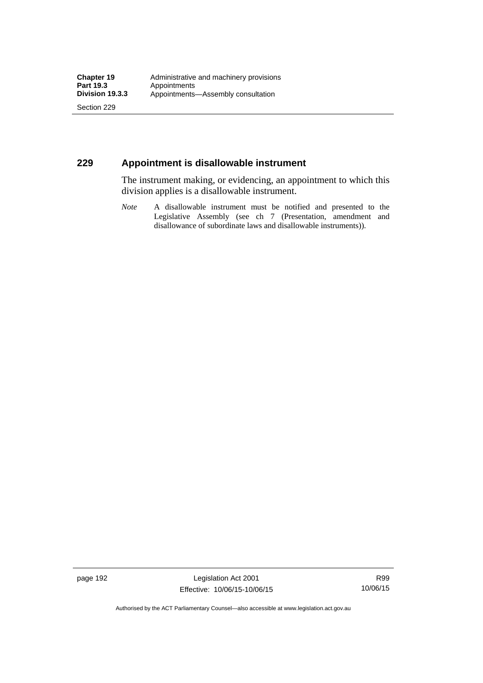Section 229

## **229 Appointment is disallowable instrument**

The instrument making, or evidencing, an appointment to which this division applies is a disallowable instrument.

*Note* A disallowable instrument must be notified and presented to the Legislative Assembly (see ch 7 (Presentation, amendment and disallowance of subordinate laws and disallowable instruments)).

page 192 Legislation Act 2001 Effective: 10/06/15-10/06/15

R99 10/06/15

Authorised by the ACT Parliamentary Counsel—also accessible at www.legislation.act.gov.au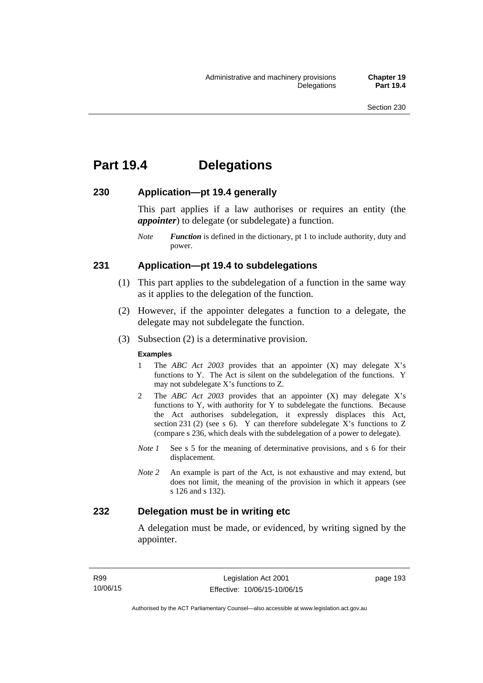# **Part 19.4 Delegations**

## **230 Application—pt 19.4 generally**

This part applies if a law authorises or requires an entity (the *appointer*) to delegate (or subdelegate) a function.

*Note Function* is defined in the dictionary, pt 1 to include authority, duty and power.

## **231 Application—pt 19.4 to subdelegations**

- (1) This part applies to the subdelegation of a function in the same way as it applies to the delegation of the function.
- (2) However, if the appointer delegates a function to a delegate, the delegate may not subdelegate the function.
- (3) Subsection (2) is a determinative provision.

#### **Examples**

- 1 The *ABC Act 2003* provides that an appointer (X) may delegate X's functions to Y. The Act is silent on the subdelegation of the functions. Y may not subdelegate X's functions to Z.
- 2 The *ABC Act 2003* provides that an appointer (X) may delegate X's functions to Y, with authority for Y to subdelegate the functions. Because the Act authorises subdelegation, it expressly displaces this Act, section 231 (2) (see s 6). Y can therefore subdelegate  $\overline{X}$ 's functions to Z (compare s 236, which deals with the subdelegation of a power to delegate)*.*
- *Note 1* See s 5 for the meaning of determinative provisions, and s 6 for their displacement.
- *Note 2* An example is part of the Act, is not exhaustive and may extend, but does not limit, the meaning of the provision in which it appears (see s 126 and s 132).

## **232 Delegation must be in writing etc**

A delegation must be made, or evidenced, by writing signed by the appointer.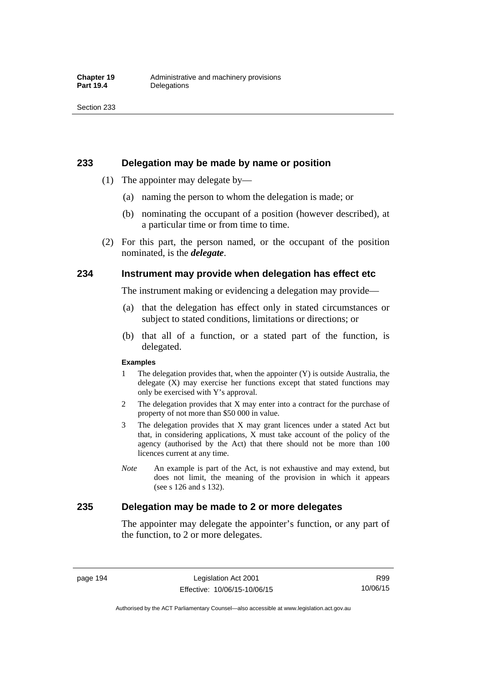### **233 Delegation may be made by name or position**

- (1) The appointer may delegate by—
	- (a) naming the person to whom the delegation is made; or
	- (b) nominating the occupant of a position (however described), at a particular time or from time to time.
- (2) For this part, the person named, or the occupant of the position nominated, is the *delegate*.

## **234 Instrument may provide when delegation has effect etc**

The instrument making or evidencing a delegation may provide—

- (a) that the delegation has effect only in stated circumstances or subject to stated conditions, limitations or directions; or
- (b) that all of a function, or a stated part of the function, is delegated.

#### **Examples**

- 1 The delegation provides that, when the appointer (Y) is outside Australia, the delegate (X) may exercise her functions except that stated functions may only be exercised with Y's approval.
- 2 The delegation provides that X may enter into a contract for the purchase of property of not more than \$50 000 in value.
- 3 The delegation provides that X may grant licences under a stated Act but that, in considering applications, X must take account of the policy of the agency (authorised by the Act) that there should not be more than 100 licences current at any time.
- *Note* An example is part of the Act, is not exhaustive and may extend, but does not limit, the meaning of the provision in which it appears (see s 126 and s 132).

## **235 Delegation may be made to 2 or more delegates**

The appointer may delegate the appointer's function, or any part of the function, to 2 or more delegates.

page 194 Legislation Act 2001 Effective: 10/06/15-10/06/15

Authorised by the ACT Parliamentary Counsel—also accessible at www.legislation.act.gov.au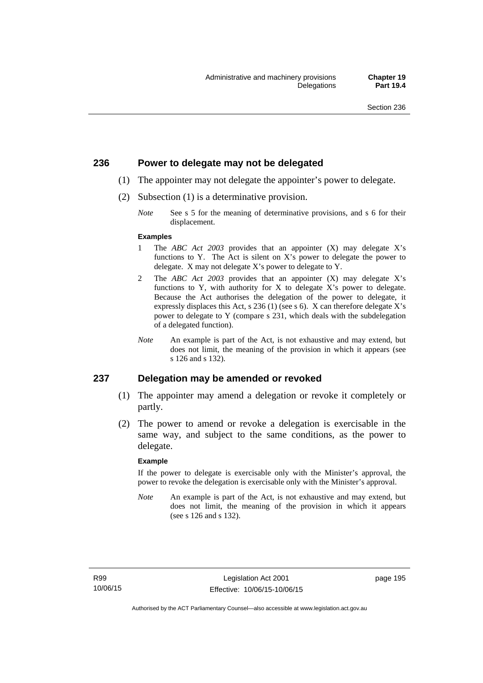## **236 Power to delegate may not be delegated**

- (1) The appointer may not delegate the appointer's power to delegate.
- (2) Subsection (1) is a determinative provision.
	- *Note* See s 5 for the meaning of determinative provisions, and s 6 for their displacement.

#### **Examples**

- 1 The *ABC Act 2003* provides that an appointer (X) may delegate X's functions to Y. The Act is silent on X's power to delegate the power to delegate. X may not delegate X's power to delegate to Y.
- 2 The *ABC Act 2003* provides that an appointer (X) may delegate X's functions to Y, with authority for X to delegate X's power to delegate. Because the Act authorises the delegation of the power to delegate, it expressly displaces this Act, s 236 (1) (see s 6). X can therefore delegate X's power to delegate to Y (compare s 231, which deals with the subdelegation of a delegated function).
- *Note* An example is part of the Act, is not exhaustive and may extend, but does not limit, the meaning of the provision in which it appears (see s 126 and s 132).

### **237 Delegation may be amended or revoked**

- (1) The appointer may amend a delegation or revoke it completely or partly.
- (2) The power to amend or revoke a delegation is exercisable in the same way, and subject to the same conditions, as the power to delegate.

#### **Example**

If the power to delegate is exercisable only with the Minister's approval, the power to revoke the delegation is exercisable only with the Minister's approval.

*Note* An example is part of the Act, is not exhaustive and may extend, but does not limit, the meaning of the provision in which it appears (see s 126 and s 132).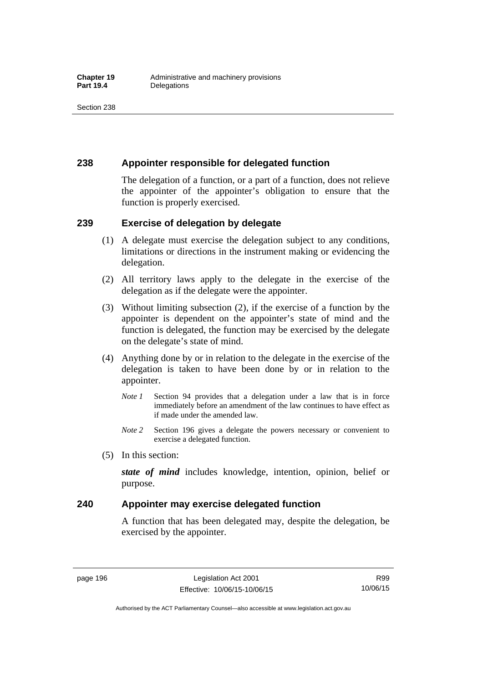## **238 Appointer responsible for delegated function**

The delegation of a function, or a part of a function, does not relieve the appointer of the appointer's obligation to ensure that the function is properly exercised.

## **239 Exercise of delegation by delegate**

- (1) A delegate must exercise the delegation subject to any conditions, limitations or directions in the instrument making or evidencing the delegation.
- (2) All territory laws apply to the delegate in the exercise of the delegation as if the delegate were the appointer.
- (3) Without limiting subsection (2), if the exercise of a function by the appointer is dependent on the appointer's state of mind and the function is delegated, the function may be exercised by the delegate on the delegate's state of mind.
- (4) Anything done by or in relation to the delegate in the exercise of the delegation is taken to have been done by or in relation to the appointer.
	- *Note 1* Section 94 provides that a delegation under a law that is in force immediately before an amendment of the law continues to have effect as if made under the amended law.
	- *Note 2* Section 196 gives a delegate the powers necessary or convenient to exercise a delegated function.
- (5) In this section:

*state of mind* includes knowledge, intention, opinion, belief or purpose.

## **240 Appointer may exercise delegated function**

A function that has been delegated may, despite the delegation, be exercised by the appointer.

page 196 Legislation Act 2001 Effective: 10/06/15-10/06/15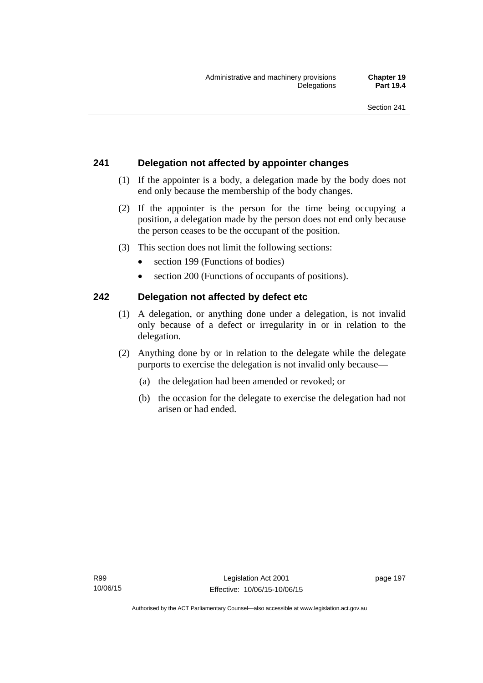## **241 Delegation not affected by appointer changes**

- (1) If the appointer is a body, a delegation made by the body does not end only because the membership of the body changes.
- (2) If the appointer is the person for the time being occupying a position, a delegation made by the person does not end only because the person ceases to be the occupant of the position.
- (3) This section does not limit the following sections:
	- section 199 (Functions of bodies)
	- section 200 (Functions of occupants of positions).

## **242 Delegation not affected by defect etc**

- (1) A delegation, or anything done under a delegation, is not invalid only because of a defect or irregularity in or in relation to the delegation.
- (2) Anything done by or in relation to the delegate while the delegate purports to exercise the delegation is not invalid only because—
	- (a) the delegation had been amended or revoked; or
	- (b) the occasion for the delegate to exercise the delegation had not arisen or had ended.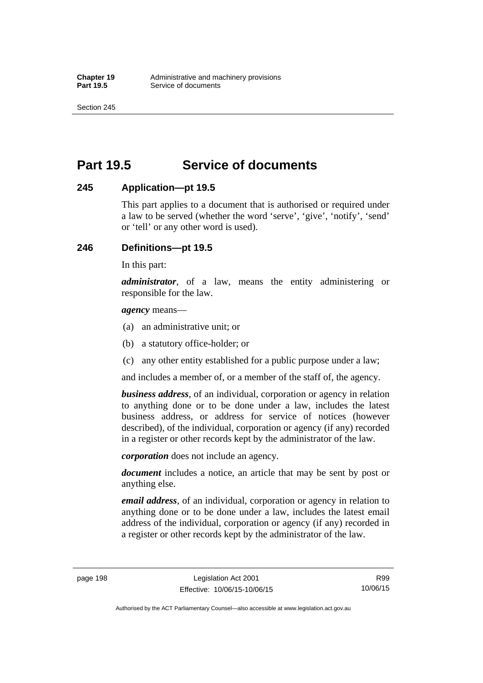Section 245

# **Part 19.5 Service of documents**

## **245 Application—pt 19.5**

This part applies to a document that is authorised or required under a law to be served (whether the word 'serve', 'give', 'notify', 'send' or 'tell' or any other word is used).

## **246 Definitions—pt 19.5**

In this part:

*administrator*, of a law, means the entity administering or responsible for the law.

*agency* means—

- (a) an administrative unit; or
- (b) a statutory office-holder; or
- (c) any other entity established for a public purpose under a law;

and includes a member of, or a member of the staff of, the agency.

*business address*, of an individual, corporation or agency in relation to anything done or to be done under a law, includes the latest business address, or address for service of notices (however described), of the individual, corporation or agency (if any) recorded in a register or other records kept by the administrator of the law.

*corporation* does not include an agency.

*document* includes a notice, an article that may be sent by post or anything else.

*email address*, of an individual, corporation or agency in relation to anything done or to be done under a law, includes the latest email address of the individual, corporation or agency (if any) recorded in a register or other records kept by the administrator of the law.

Authorised by the ACT Parliamentary Counsel—also accessible at www.legislation.act.gov.au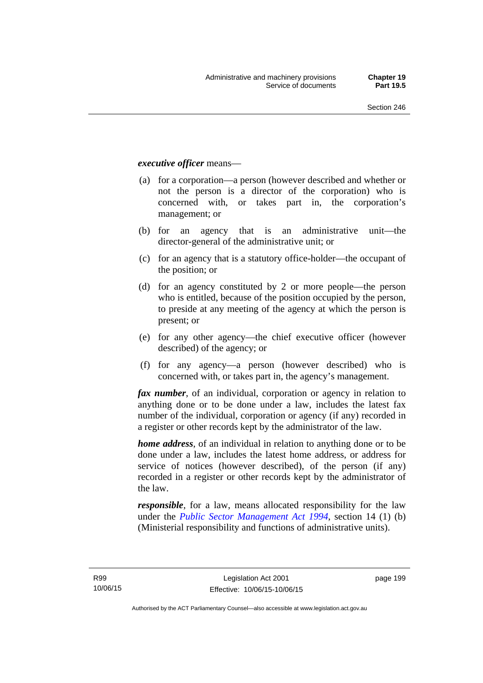### *executive officer* means—

- (a) for a corporation—a person (however described and whether or not the person is a director of the corporation) who is concerned with, or takes part in, the corporation's management; or
- (b) for an agency that is an administrative unit—the director-general of the administrative unit; or
- (c) for an agency that is a statutory office-holder—the occupant of the position; or
- (d) for an agency constituted by 2 or more people—the person who is entitled, because of the position occupied by the person, to preside at any meeting of the agency at which the person is present; or
- (e) for any other agency—the chief executive officer (however described) of the agency; or
- (f) for any agency—a person (however described) who is concerned with, or takes part in, the agency's management.

*fax number*, of an individual, corporation or agency in relation to anything done or to be done under a law, includes the latest fax number of the individual, corporation or agency (if any) recorded in a register or other records kept by the administrator of the law.

*home address*, of an individual in relation to anything done or to be done under a law, includes the latest home address, or address for service of notices (however described), of the person (if any) recorded in a register or other records kept by the administrator of the law.

*responsible*, for a law, means allocated responsibility for the law under the *[Public Sector Management Act 1994](http://www.legislation.act.gov.au/a/1994-37)*, section 14 (1) (b) (Ministerial responsibility and functions of administrative units).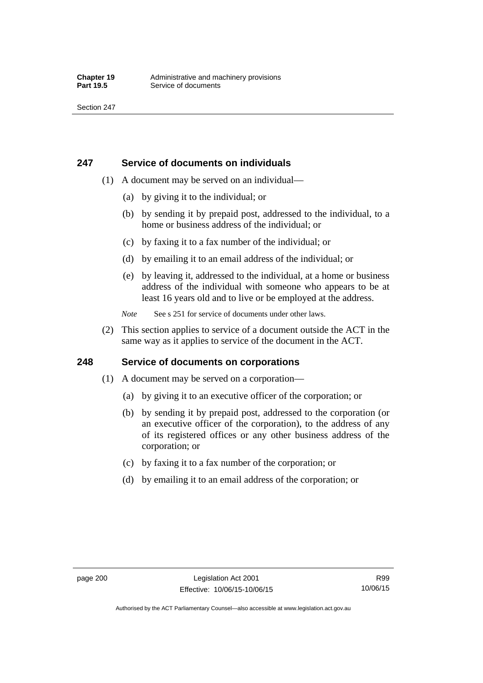## **247 Service of documents on individuals**

- (1) A document may be served on an individual—
	- (a) by giving it to the individual; or
	- (b) by sending it by prepaid post, addressed to the individual, to a home or business address of the individual; or
	- (c) by faxing it to a fax number of the individual; or
	- (d) by emailing it to an email address of the individual; or
	- (e) by leaving it, addressed to the individual, at a home or business address of the individual with someone who appears to be at least 16 years old and to live or be employed at the address.
	- *Note* See s 251 for service of documents under other laws.
- (2) This section applies to service of a document outside the ACT in the same way as it applies to service of the document in the ACT.

## **248 Service of documents on corporations**

- (1) A document may be served on a corporation—
	- (a) by giving it to an executive officer of the corporation; or
	- (b) by sending it by prepaid post, addressed to the corporation (or an executive officer of the corporation), to the address of any of its registered offices or any other business address of the corporation; or
	- (c) by faxing it to a fax number of the corporation; or
	- (d) by emailing it to an email address of the corporation; or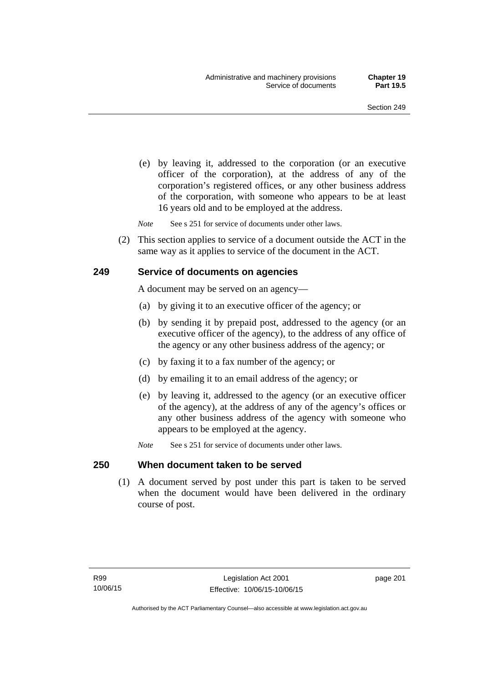(e) by leaving it, addressed to the corporation (or an executive officer of the corporation), at the address of any of the corporation's registered offices, or any other business address of the corporation, with someone who appears to be at least 16 years old and to be employed at the address.

*Note* See s 251 for service of documents under other laws.

 (2) This section applies to service of a document outside the ACT in the same way as it applies to service of the document in the ACT.

### **249 Service of documents on agencies**

A document may be served on an agency—

- (a) by giving it to an executive officer of the agency; or
- (b) by sending it by prepaid post, addressed to the agency (or an executive officer of the agency), to the address of any office of the agency or any other business address of the agency; or
- (c) by faxing it to a fax number of the agency; or
- (d) by emailing it to an email address of the agency; or
- (e) by leaving it, addressed to the agency (or an executive officer of the agency), at the address of any of the agency's offices or any other business address of the agency with someone who appears to be employed at the agency.
- *Note* See s 251 for service of documents under other laws.

#### **250 When document taken to be served**

 (1) A document served by post under this part is taken to be served when the document would have been delivered in the ordinary course of post.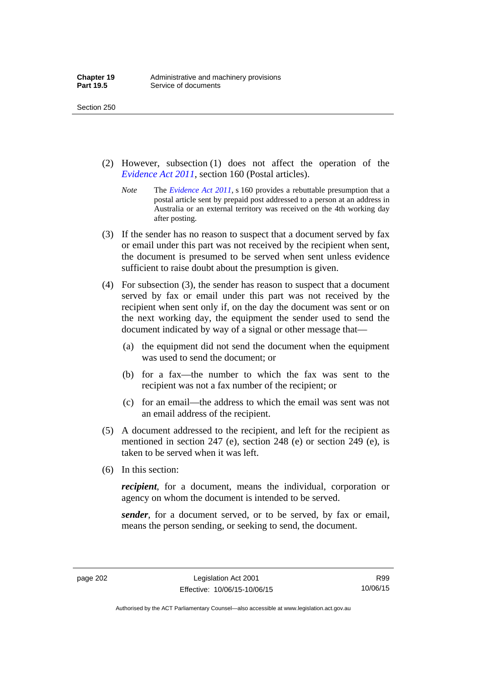- (2) However, subsection (1) does not affect the operation of the *[Evidence Act 2011](http://www.legislation.act.gov.au/a/2011-12)*, section 160 (Postal articles).
	- *Note* The *[Evidence Act 2011](http://www.legislation.act.gov.au/a/2011-12)*, s 160 provides a rebuttable presumption that a postal article sent by prepaid post addressed to a person at an address in Australia or an external territory was received on the 4th working day after posting.
- (3) If the sender has no reason to suspect that a document served by fax or email under this part was not received by the recipient when sent, the document is presumed to be served when sent unless evidence sufficient to raise doubt about the presumption is given.
- (4) For subsection (3), the sender has reason to suspect that a document served by fax or email under this part was not received by the recipient when sent only if, on the day the document was sent or on the next working day, the equipment the sender used to send the document indicated by way of a signal or other message that—
	- (a) the equipment did not send the document when the equipment was used to send the document; or
	- (b) for a fax—the number to which the fax was sent to the recipient was not a fax number of the recipient; or
	- (c) for an email—the address to which the email was sent was not an email address of the recipient.
- (5) A document addressed to the recipient, and left for the recipient as mentioned in section 247 (e), section 248 (e) or section 249 (e), is taken to be served when it was left.
- (6) In this section:

*recipient*, for a document, means the individual, corporation or agency on whom the document is intended to be served.

*sender*, for a document served, or to be served, by fax or email, means the person sending, or seeking to send, the document.

Authorised by the ACT Parliamentary Counsel—also accessible at www.legislation.act.gov.au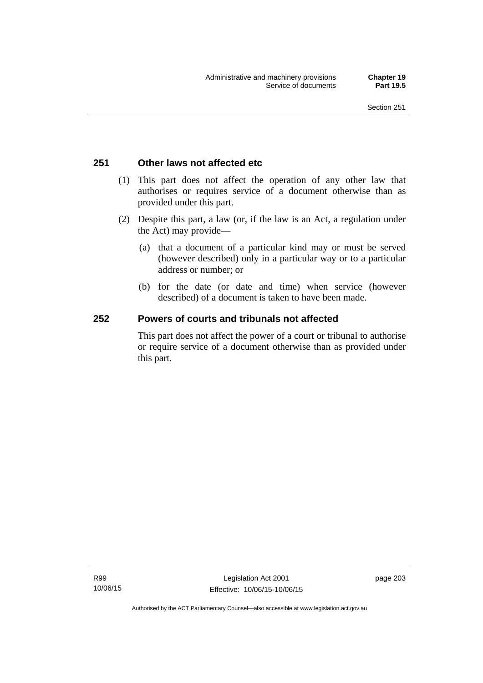# **251 Other laws not affected etc**

- (1) This part does not affect the operation of any other law that authorises or requires service of a document otherwise than as provided under this part.
- (2) Despite this part, a law (or, if the law is an Act, a regulation under the Act) may provide—
	- (a) that a document of a particular kind may or must be served (however described) only in a particular way or to a particular address or number; or
	- (b) for the date (or date and time) when service (however described) of a document is taken to have been made.

# **252 Powers of courts and tribunals not affected**

This part does not affect the power of a court or tribunal to authorise or require service of a document otherwise than as provided under this part.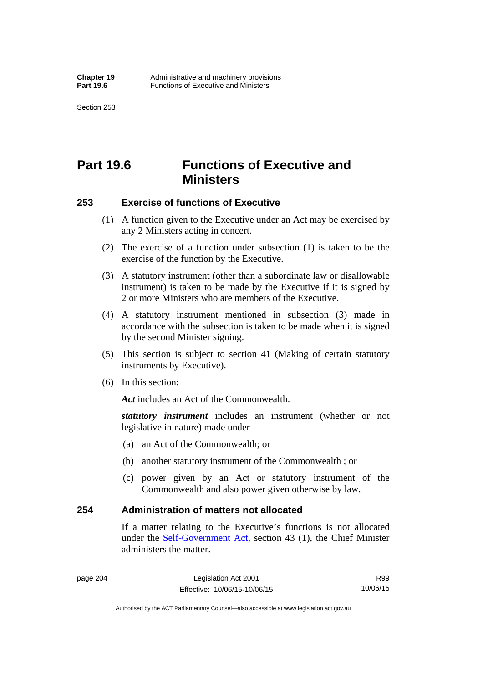Section 253

# **Part 19.6 Functions of Executive and Ministers**

## **253 Exercise of functions of Executive**

- (1) A function given to the Executive under an Act may be exercised by any 2 Ministers acting in concert.
- (2) The exercise of a function under subsection (1) is taken to be the exercise of the function by the Executive.
- (3) A statutory instrument (other than a subordinate law or disallowable instrument) is taken to be made by the Executive if it is signed by 2 or more Ministers who are members of the Executive.
- (4) A statutory instrument mentioned in subsection (3) made in accordance with the subsection is taken to be made when it is signed by the second Minister signing.
- (5) This section is subject to section 41 (Making of certain statutory instruments by Executive).
- (6) In this section:

Act includes an Act of the Commonwealth.

*statutory instrument* includes an instrument (whether or not legislative in nature) made under—

- (a) an Act of the Commonwealth; or
- (b) another statutory instrument of the Commonwealth ; or
- (c) power given by an Act or statutory instrument of the Commonwealth and also power given otherwise by law.

## **254 Administration of matters not allocated**

If a matter relating to the Executive's functions is not allocated under the [Self-Government Act,](http://www.comlaw.gov.au/Series/C2004A03699) section 43 (1), the Chief Minister administers the matter.

Authorised by the ACT Parliamentary Counsel—also accessible at www.legislation.act.gov.au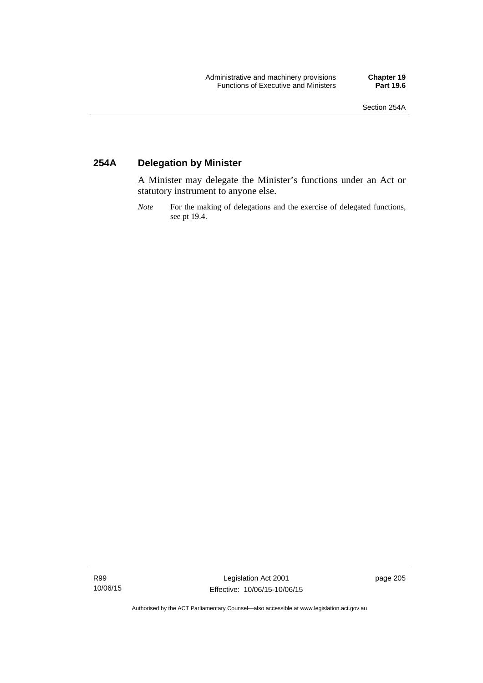# **254A Delegation by Minister**

A Minister may delegate the Minister's functions under an Act or statutory instrument to anyone else.

*Note* For the making of delegations and the exercise of delegated functions, see pt 19.4.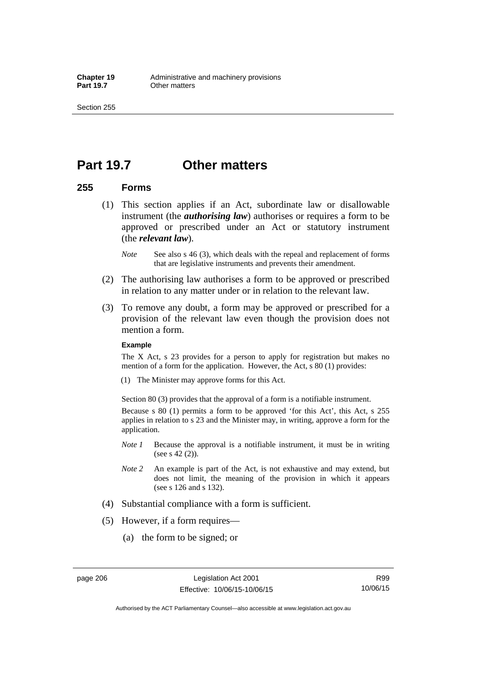# **Part 19.7 Other matters**

### **255 Forms**

- (1) This section applies if an Act, subordinate law or disallowable instrument (the *authorising law*) authorises or requires a form to be approved or prescribed under an Act or statutory instrument (the *relevant law*).
	- *Note* See also s 46 (3), which deals with the repeal and replacement of forms that are legislative instruments and prevents their amendment.
- (2) The authorising law authorises a form to be approved or prescribed in relation to any matter under or in relation to the relevant law.
- (3) To remove any doubt, a form may be approved or prescribed for a provision of the relevant law even though the provision does not mention a form.

#### **Example**

The X Act, s 23 provides for a person to apply for registration but makes no mention of a form for the application. However, the Act, s 80 (1) provides:

(1) The Minister may approve forms for this Act.

Section 80 (3) provides that the approval of a form is a notifiable instrument.

Because s 80 (1) permits a form to be approved 'for this Act', this Act, s 255 applies in relation to s 23 and the Minister may, in writing, approve a form for the application.

- *Note 1* Because the approval is a notifiable instrument, it must be in writing (see s 42 (2)).
- *Note 2* An example is part of the Act, is not exhaustive and may extend, but does not limit, the meaning of the provision in which it appears (see s 126 and s 132).
- (4) Substantial compliance with a form is sufficient.
- (5) However, if a form requires—
	- (a) the form to be signed; or

Authorised by the ACT Parliamentary Counsel—also accessible at www.legislation.act.gov.au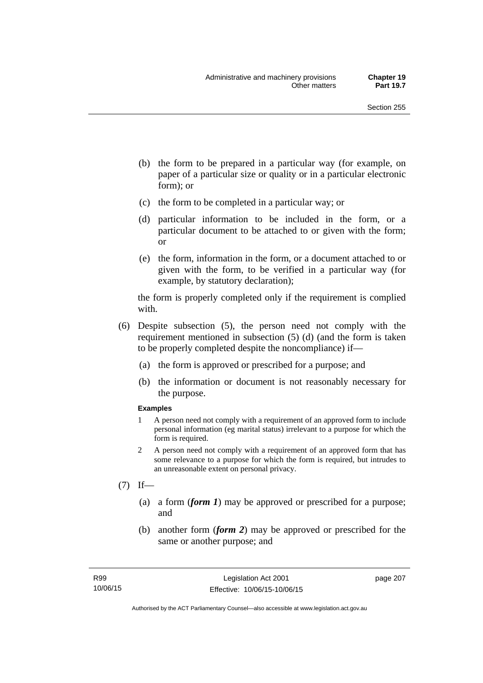- (b) the form to be prepared in a particular way (for example, on paper of a particular size or quality or in a particular electronic form); or
- (c) the form to be completed in a particular way; or
- (d) particular information to be included in the form, or a particular document to be attached to or given with the form; or
- (e) the form, information in the form, or a document attached to or given with the form, to be verified in a particular way (for example, by statutory declaration);

the form is properly completed only if the requirement is complied with.

- (6) Despite subsection (5), the person need not comply with the requirement mentioned in subsection (5) (d) (and the form is taken to be properly completed despite the noncompliance) if—
	- (a) the form is approved or prescribed for a purpose; and
	- (b) the information or document is not reasonably necessary for the purpose.

#### **Examples**

- 1 A person need not comply with a requirement of an approved form to include personal information (eg marital status) irrelevant to a purpose for which the form is required.
- 2 A person need not comply with a requirement of an approved form that has some relevance to a purpose for which the form is required, but intrudes to an unreasonable extent on personal privacy.
- $(7)$  If—
	- (a) a form (*form 1*) may be approved or prescribed for a purpose; and
	- (b) another form (*form 2*) may be approved or prescribed for the same or another purpose; and

page 207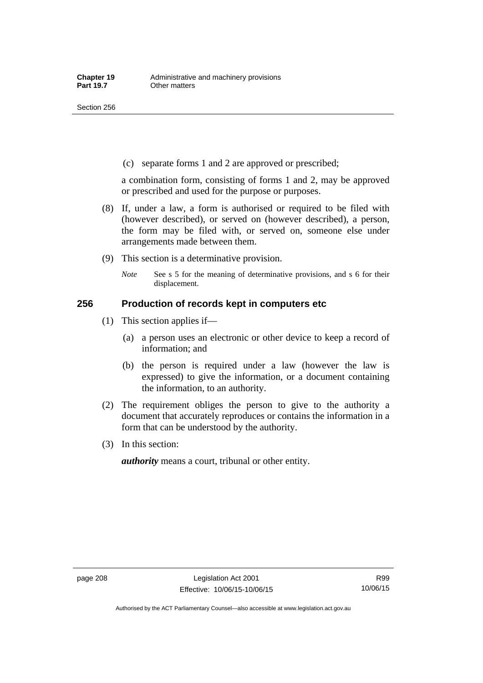(c) separate forms 1 and 2 are approved or prescribed;

a combination form, consisting of forms 1 and 2, may be approved or prescribed and used for the purpose or purposes.

- (8) If, under a law, a form is authorised or required to be filed with (however described), or served on (however described), a person, the form may be filed with, or served on, someone else under arrangements made between them.
- (9) This section is a determinative provision.
	- *Note* See s 5 for the meaning of determinative provisions, and s 6 for their displacement.

### **256 Production of records kept in computers etc**

- (1) This section applies if—
	- (a) a person uses an electronic or other device to keep a record of information; and
	- (b) the person is required under a law (however the law is expressed) to give the information, or a document containing the information, to an authority.
- (2) The requirement obliges the person to give to the authority a document that accurately reproduces or contains the information in a form that can be understood by the authority.
- (3) In this section:

*authority* means a court, tribunal or other entity.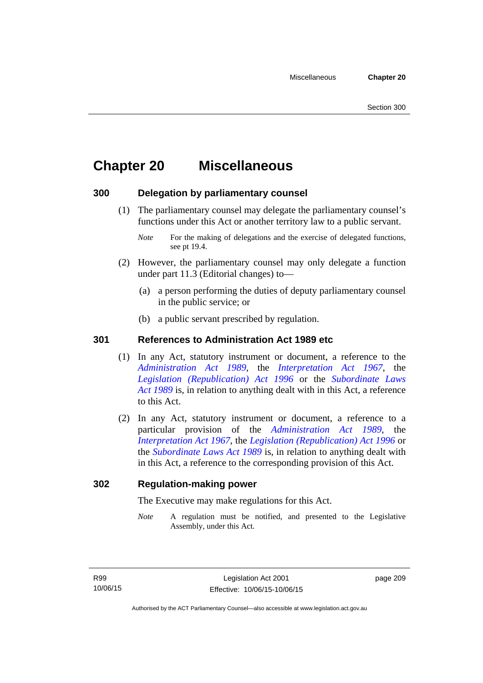# **Chapter 20 Miscellaneous**

# **300 Delegation by parliamentary counsel**

 (1) The parliamentary counsel may delegate the parliamentary counsel's functions under this Act or another territory law to a public servant.

- (2) However, the parliamentary counsel may only delegate a function under part 11.3 (Editorial changes) to—
	- (a) a person performing the duties of deputy parliamentary counsel in the public service; or
	- (b) a public servant prescribed by regulation.

# **301 References to Administration Act 1989 etc**

- (1) In any Act, statutory instrument or document, a reference to the *[Administration Act 1989](http://www.legislation.act.gov.au/a/alt_a1989-41co)*, the *[Interpretation Act 1967](http://www.legislation.act.gov.au/a/1967-48)*, the *[Legislation \(Republication\) Act 1996](http://www.legislation.act.gov.au/a/1996-51)* or the *[Subordinate Laws](http://www.legislation.act.gov.au/a/alt_a1989-24co)  [Act 1989](http://www.legislation.act.gov.au/a/alt_a1989-24co)* is, in relation to anything dealt with in this Act, a reference to this Act.
- (2) In any Act, statutory instrument or document, a reference to a particular provision of the *[Administration Act 1989](http://www.legislation.act.gov.au/a/alt_a1989-41co)*, the *[Interpretation Act 1967](http://www.legislation.act.gov.au/a/1967-48)*, the *[Legislation \(Republication\) Act 1996](http://www.legislation.act.gov.au/a/1996-51)* or the *[Subordinate Laws Act 1989](http://www.legislation.act.gov.au/a/alt_a1989-24co)* is, in relation to anything dealt with in this Act, a reference to the corresponding provision of this Act.

## **302 Regulation-making power**

The Executive may make regulations for this Act.

*Note* A regulation must be notified, and presented to the Legislative Assembly, under this Act.

page 209

*Note* For the making of delegations and the exercise of delegated functions, see pt 19.4.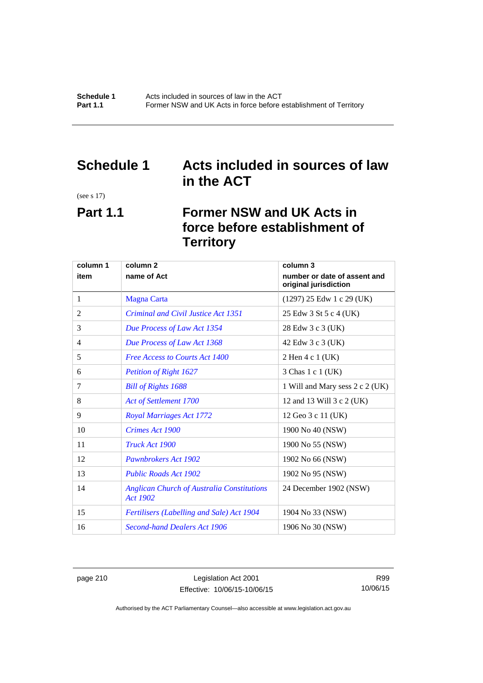# **Schedule 1 Acts included in sources of law in the ACT**

(see s 17)

# **Part 1.1 Former NSW and UK Acts in force before establishment of Territory**

| column 1 | column <sub>2</sub>                                                  | column 3                                              |
|----------|----------------------------------------------------------------------|-------------------------------------------------------|
| item     | name of Act                                                          | number or date of assent and<br>original jurisdiction |
| 1        | <b>Magna Carta</b>                                                   | $(1297)$ 25 Edw 1 c 29 (UK)                           |
| 2        | Criminal and Civil Justice Act 1351                                  | 25 Edw 3 St 5 c 4 (UK)                                |
| 3        | Due Process of Law Act 1354                                          | 28 Edw 3 c 3 (UK)                                     |
| 4        | Due Process of Law Act 1368                                          | 42 Edw 3 c 3 (UK)                                     |
| 5        | <b>Free Access to Courts Act 1400</b>                                | 2 Hen 4 c 1 (UK)                                      |
| 6        | <b>Petition of Right 1627</b>                                        | 3 Chas 1 c 1 (UK)                                     |
| 7        | <b>Bill of Rights 1688</b>                                           | 1 Will and Mary sess 2 c 2 (UK)                       |
| 8        | Act of Settlement 1700                                               | 12 and 13 Will 3 c 2 (UK)                             |
| 9        | <b>Royal Marriages Act 1772</b>                                      | 12 Geo 3 c 11 (UK)                                    |
| 10       | Crimes Act 1900                                                      | 1900 No 40 (NSW)                                      |
| 11       | Truck Act 1900                                                       | 1900 No 55 (NSW)                                      |
| 12       | Pawnbrokers Act 1902                                                 | 1902 No 66 (NSW)                                      |
| 13       | <b>Public Roads Act 1902</b>                                         | 1902 No 95 (NSW)                                      |
| 14       | <b>Anglican Church of Australia Constitutions</b><br><b>Act 1902</b> | 24 December 1902 (NSW)                                |
| 15       | Fertilisers (Labelling and Sale) Act 1904                            | 1904 No 33 (NSW)                                      |
| 16       | <b>Second-hand Dealers Act 1906</b>                                  | 1906 No 30 (NSW)                                      |

page 210 Legislation Act 2001 Effective: 10/06/15-10/06/15

R99 10/06/15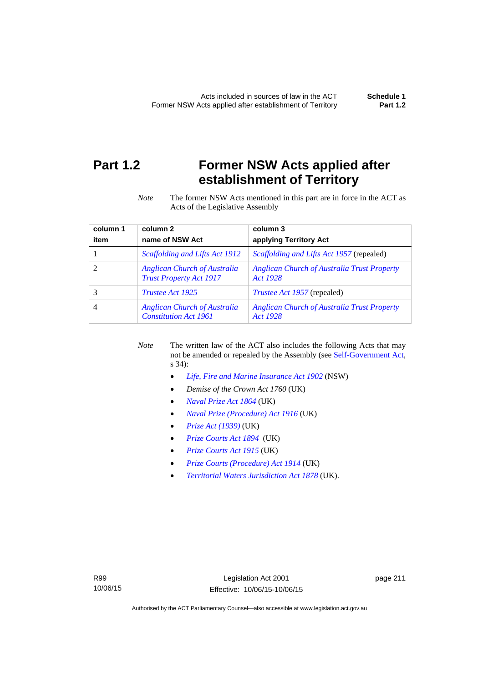# **Part 1.2 Former NSW Acts applied after establishment of Territory**

*Note* The former NSW Acts mentioned in this part are in force in the ACT as Acts of the Legislative Assembly

| column 1 | column <sub>2</sub>                                                   | column 3                                                       |
|----------|-----------------------------------------------------------------------|----------------------------------------------------------------|
| item     | name of NSW Act                                                       | applying Territory Act                                         |
|          | Scaffolding and Lifts Act 1912                                        | <i>Scaffolding and Lifts Act 1957</i> (repealed)               |
|          | <b>Anglican Church of Australia</b><br><b>Trust Property Act 1917</b> | <b>Anglican Church of Australia Trust Property</b><br>Act 1928 |
|          | <i>Trustee Act 1925</i>                                               | <i>Trustee Act 1957</i> (repealed)                             |
| 4        | <b>Anglican Church of Australia</b><br><b>Constitution Act 1961</b>   | <b>Anglican Church of Australia Trust Property</b><br>Act 1928 |

*Note* The written law of the ACT also includes the following Acts that may not be amended or repealed by the Assembly (see [Self-Government Act,](http://www.comlaw.gov.au/Series/C2004A03699) s 34):

- *[Life, Fire and Marine Insurance Act 1902](http://www.legislation.nsw.gov.au/maintop/scanact/sessional/NONE/0)* (NSW)
- *Demise of the Crown Act 1760* (UK)
- *[Naval Prize Act 1864](http://www.legislation.gov.uk/ukpga/Vict/27-28/25/contents)* (UK)
- *[Naval Prize \(Procedure\) Act 1916](http://www.legislation.gov.uk/ukpga/Geo5/6-7/2/contents)* (UK)
- *[Prize Act \(1939\)](http://www.legislation.gov.uk/ukpga/Geo6/2-3/65/contents)* (UK)
- *[Prize Courts Act 1894](http://www.legislation.gov.uk/ukpga/Vict/57-58/39/contents)* (UK)
- *[Prize Courts Act 1915](http://www.legislation.gov.uk/ukpga/Geo5/5-6/57/contents)* (UK)
- *[Prize Courts \(Procedure\) Act 1914](http://www.legislation.gov.uk/ukpga/Geo5/4-5/13/contents)* (UK)
- *[Territorial Waters Jurisdiction Act 1878](http://www.legislation.gov.uk/ukpga/Vict/41-42/73/contents)* (UK).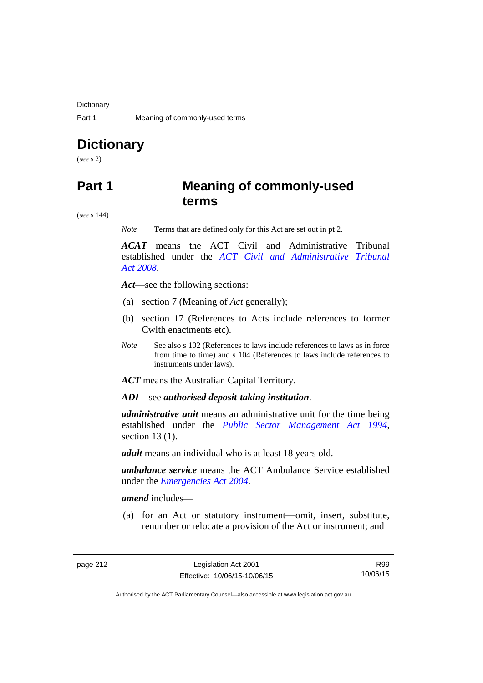**Dictionary** 

# **Dictionary**

(see s 2)

# **Part 1 Meaning of commonly-used terms**

(see s 144)

*Note* Terms that are defined only for this Act are set out in pt 2.

*ACAT* means the ACT Civil and Administrative Tribunal established under the *[ACT Civil and Administrative Tribunal](http://www.legislation.act.gov.au/a/2008-35)  [Act 2008](http://www.legislation.act.gov.au/a/2008-35)*.

*Act*—see the following sections:

- (a) section 7 (Meaning of *Act* generally);
- (b) section 17 (References to Acts include references to former Cwlth enactments etc).
- *Note* See also s 102 (References to laws include references to laws as in force from time to time) and s 104 (References to laws include references to instruments under laws).

*ACT* means the Australian Capital Territory.

*ADI*—see *authorised deposit-taking institution*.

*administrative unit* means an administrative unit for the time being established under the *[Public Sector Management Act 1994](http://www.legislation.act.gov.au/a/1994-37)*, section 13 (1).

*adult* means an individual who is at least 18 years old.

*ambulance service* means the ACT Ambulance Service established under the *[Emergencies Act 2004](http://www.legislation.act.gov.au/a/2004-28)*.

*amend* includes—

(a) for an Act or statutory instrument—omit, insert, substitute, renumber or relocate a provision of the Act or instrument; and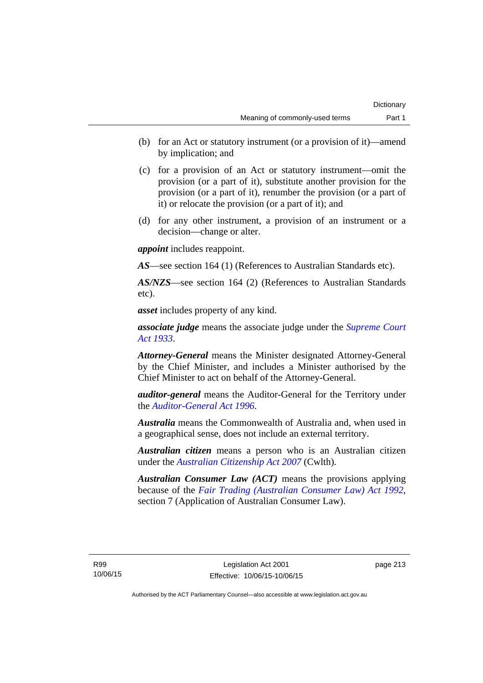- (b) for an Act or statutory instrument (or a provision of it)—amend by implication; and
- (c) for a provision of an Act or statutory instrument—omit the provision (or a part of it), substitute another provision for the provision (or a part of it), renumber the provision (or a part of it) or relocate the provision (or a part of it); and
- (d) for any other instrument, a provision of an instrument or a decision—change or alter.

*appoint* includes reappoint.

*AS*—see section 164 (1) (References to Australian Standards etc).

*AS/NZS*—see section 164 (2) (References to Australian Standards etc).

*asset* includes property of any kind.

*associate judge* means the associate judge under the *[Supreme Court](http://www.legislation.act.gov.au/a/1933-34)  [Act 1933](http://www.legislation.act.gov.au/a/1933-34)*.

*Attorney-General* means the Minister designated Attorney-General by the Chief Minister, and includes a Minister authorised by the Chief Minister to act on behalf of the Attorney-General.

*auditor-general* means the Auditor-General for the Territory under the *[Auditor-General Act 1996](http://www.legislation.act.gov.au/a/1996-23)*.

*Australia* means the Commonwealth of Australia and, when used in a geographical sense, does not include an external territory.

*Australian citizen* means a person who is an Australian citizen under the *[Australian Citizenship Act 2007](http://www.comlaw.gov.au/Series/C2007A00020)* (Cwlth).

*Australian Consumer Law (ACT)* means the provisions applying because of the *[Fair Trading \(Australian Consumer Law\) Act 1992](http://www.legislation.act.gov.au/a/1992-72)*, section 7 (Application of Australian Consumer Law).

R99 10/06/15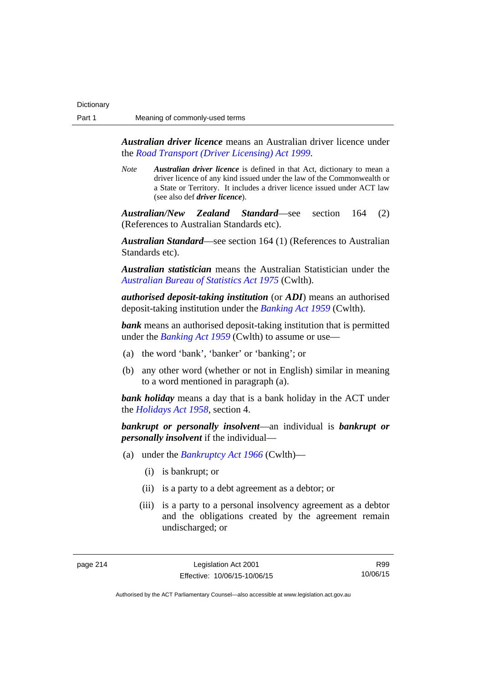*Australian driver licence* means an Australian driver licence under the *[Road Transport \(Driver Licensing\) Act 1999](http://www.legislation.act.gov.au/a/1999-78)*.

*Note Australian driver licence* is defined in that Act, dictionary to mean a driver licence of any kind issued under the law of the Commonwealth or a State or Territory. It includes a driver licence issued under ACT law (see also def *driver licence*).

*Australian/New Zealand Standard*—see section 164 (2) (References to Australian Standards etc).

*Australian Standard*—see section 164 (1) (References to Australian Standards etc).

*Australian statistician* means the Australian Statistician under the *[Australian Bureau of Statistics Act 1975](http://www.comlaw.gov.au/Series/C2004A00282)* (Cwlth).

*authorised deposit-taking institution* (or *ADI*) means an authorised deposit-taking institution under the *[Banking Act 1959](http://www.comlaw.gov.au/Series/C2004A07357)* (Cwlth).

**bank** means an authorised deposit-taking institution that is permitted under the *[Banking Act 1959](http://www.comlaw.gov.au/Series/C2004A07357)* (Cwlth) to assume or use—

- (a) the word 'bank', 'banker' or 'banking'; or
- (b) any other word (whether or not in English) similar in meaning to a word mentioned in paragraph (a).

*bank holiday* means a day that is a bank holiday in the ACT under the *[Holidays Act 1958](http://www.legislation.act.gov.au/a/1958-19)*, section 4.

*bankrupt or personally insolvent*—an individual is *bankrupt or personally insolvent* if the individual—

- (a) under the *[Bankruptcy Act 1966](http://www.comlaw.gov.au/Series/C2004A07422)* (Cwlth)—
	- (i) is bankrupt; or
	- (ii) is a party to a debt agreement as a debtor; or
	- (iii) is a party to a personal insolvency agreement as a debtor and the obligations created by the agreement remain undischarged; or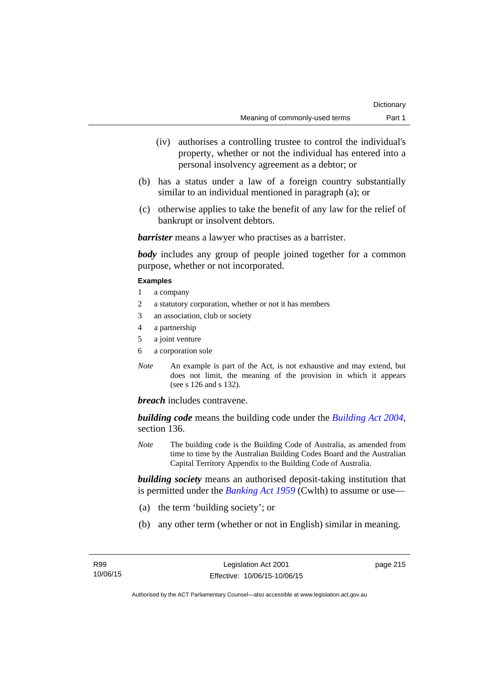- (iv) authorises a controlling trustee to control the individual's property, whether or not the individual has entered into a personal insolvency agreement as a debtor; or
- (b) has a status under a law of a foreign country substantially similar to an individual mentioned in paragraph (a); or
- (c) otherwise applies to take the benefit of any law for the relief of bankrupt or insolvent debtors.

*barrister* means a lawyer who practises as a barrister.

*body* includes any group of people joined together for a common purpose, whether or not incorporated.

#### **Examples**

- 1 a company
- 2 a statutory corporation, whether or not it has members
- 3 an association, club or society
- 4 a partnership
- 5 a joint venture
- 6 a corporation sole
- *Note* An example is part of the Act, is not exhaustive and may extend, but does not limit, the meaning of the provision in which it appears (see s 126 and s 132).

*breach* includes contravene.

*building code* means the building code under the *[Building Act 2004](http://www.legislation.act.gov.au/a/2004-11)*, section 136.

*Note* The building code is the Building Code of Australia, as amended from time to time by the Australian Building Codes Board and the Australian Capital Territory Appendix to the Building Code of Australia.

*building society* means an authorised deposit-taking institution that is permitted under the *[Banking Act 1959](http://www.comlaw.gov.au/Series/C2004A07357)* (Cwlth) to assume or use—

- (a) the term 'building society'; or
- (b) any other term (whether or not in English) similar in meaning.

page 215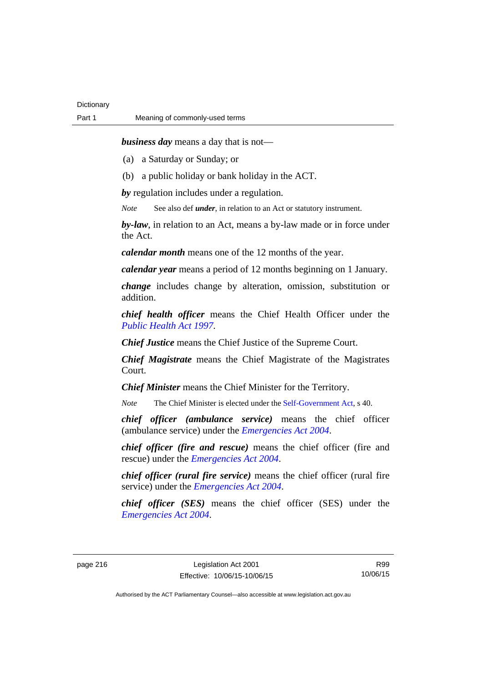*business day* means a day that is not—

(a) a Saturday or Sunday; or

(b) a public holiday or bank holiday in the ACT.

*by* regulation includes under a regulation.

*Note* See also def *under*, in relation to an Act or statutory instrument.

*by-law*, in relation to an Act, means a by-law made or in force under the Act.

*calendar month* means one of the 12 months of the year.

*calendar year* means a period of 12 months beginning on 1 January.

*change* includes change by alteration, omission, substitution or addition.

*chief health officer* means the Chief Health Officer under the *[Public Health Act 1997](http://www.legislation.act.gov.au/a/1997-69)*.

*Chief Justice* means the Chief Justice of the Supreme Court.

*Chief Magistrate* means the Chief Magistrate of the Magistrates Court.

*Chief Minister* means the Chief Minister for the Territory.

*Note* The Chief Minister is elected under the [Self-Government Act](http://www.comlaw.gov.au/Series/C2004A03699), s 40.

*chief officer (ambulance service)* means the chief officer (ambulance service) under the *[Emergencies Act 2004](http://www.legislation.act.gov.au/a/2004-28)*.

*chief officer (fire and rescue)* means the chief officer (fire and rescue) under the *[Emergencies Act 2004](http://www.legislation.act.gov.au/a/2004-28)*.

*chief officer (rural fire service)* means the chief officer (rural fire service) under the *[Emergencies Act 2004](http://www.legislation.act.gov.au/a/2004-28)*.

*chief officer (SES)* means the chief officer (SES) under the *[Emergencies Act 2004](http://www.legislation.act.gov.au/a/2004-28)*.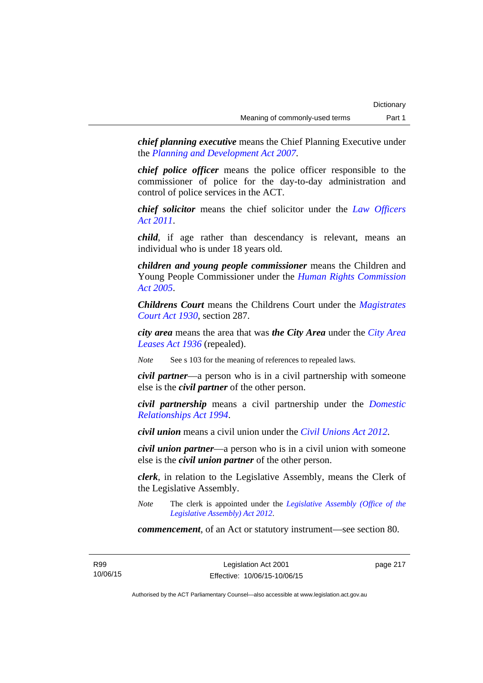*chief planning executive* means the Chief Planning Executive under the *[Planning and Development Act 2007](http://www.legislation.act.gov.au/a/2007-24)*.

*chief police officer* means the police officer responsible to the commissioner of police for the day-to-day administration and control of police services in the ACT.

*chief solicitor* means the chief solicitor under the *[Law Officers](http://www.legislation.act.gov.au/a/2011-30)  [Act 2011](http://www.legislation.act.gov.au/a/2011-30)*.

*child*, if age rather than descendancy is relevant, means an individual who is under 18 years old.

*children and young people commissioner* means the Children and Young People Commissioner under the *[Human Rights Commission](http://www.legislation.act.gov.au/a/2005-40)  [Act 2005](http://www.legislation.act.gov.au/a/2005-40)*.

*Childrens Court* means the Childrens Court under the *[Magistrates](http://www.legislation.act.gov.au/a/1930-21)  [Court Act 1930](http://www.legislation.act.gov.au/a/1930-21)*, section 287.

*city area* means the area that was *the City Area* under the *[City Area](http://www.legislation.act.gov.au/a/1936-31)  [Leases Act 1936](http://www.legislation.act.gov.au/a/1936-31)* (repealed).

*Note* See s 103 for the meaning of references to repealed laws.

*civil partner*—a person who is in a civil partnership with someone else is the *civil partner* of the other person.

*civil partnership* means a civil partnership under the *[Domestic](http://www.legislation.act.gov.au/a/1994-28)  [Relationships Act 1994](http://www.legislation.act.gov.au/a/1994-28)*.

*civil union* means a civil union under the *[Civil Unions Act 2012](http://www.legislation.act.gov.au/a/2012-40)*.

*civil union partner*—a person who is in a civil union with someone else is the *civil union partner* of the other person.

*clerk*, in relation to the Legislative Assembly, means the Clerk of the Legislative Assembly.

*Note* The clerk is appointed under the *[Legislative Assembly \(Office of the](http://www.legislation.act.gov.au/a/2012-26)  [Legislative Assembly\) Act 2012](http://www.legislation.act.gov.au/a/2012-26)*.

*commencement*, of an Act or statutory instrument—see section 80.

R99 10/06/15 page 217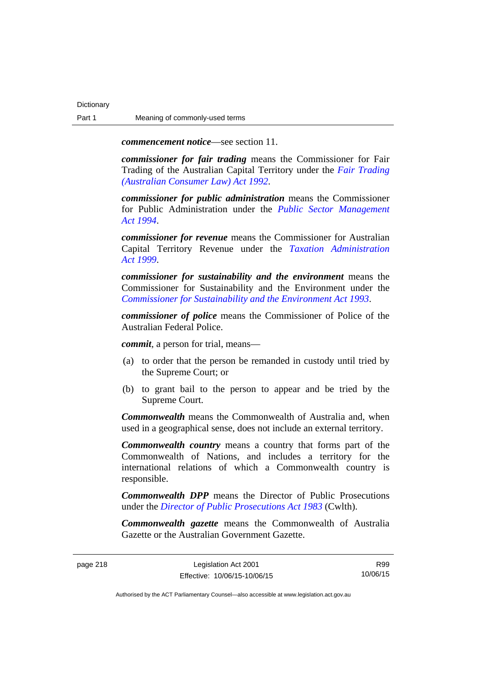*commencement notice*—see section 11.

*commissioner for fair trading* means the Commissioner for Fair Trading of the Australian Capital Territory under the *[Fair Trading](http://www.legislation.act.gov.au/a/1992-72)  [\(Australian Consumer Law\) Act 1992](http://www.legislation.act.gov.au/a/1992-72)*.

*commissioner for public administration* means the Commissioner for Public Administration under the *[Public Sector Management](http://www.legislation.act.gov.au/a/1994-37)  [Act 1994](http://www.legislation.act.gov.au/a/1994-37)*.

*commissioner for revenue* means the Commissioner for Australian Capital Territory Revenue under the *[Taxation Administration](http://www.legislation.act.gov.au/a/1999-4)  [Act 1999](http://www.legislation.act.gov.au/a/1999-4)*.

*commissioner for sustainability and the environment* means the Commissioner for Sustainability and the Environment under the *[Commissioner for Sustainability and the Environment Act 1993](http://www.legislation.act.gov.au/a/1993-37)*.

*commissioner of police* means the Commissioner of Police of the Australian Federal Police.

*commit*, a person for trial, means—

- (a) to order that the person be remanded in custody until tried by the Supreme Court; or
- (b) to grant bail to the person to appear and be tried by the Supreme Court.

*Commonwealth* means the Commonwealth of Australia and, when used in a geographical sense, does not include an external territory.

*Commonwealth country* means a country that forms part of the Commonwealth of Nations, and includes a territory for the international relations of which a Commonwealth country is responsible.

*Commonwealth DPP* means the Director of Public Prosecutions under the *[Director of Public Prosecutions Act 1983](http://www.comlaw.gov.au/Series/C2004A02830)* (Cwlth).

*Commonwealth gazette* means the Commonwealth of Australia Gazette or the Australian Government Gazette.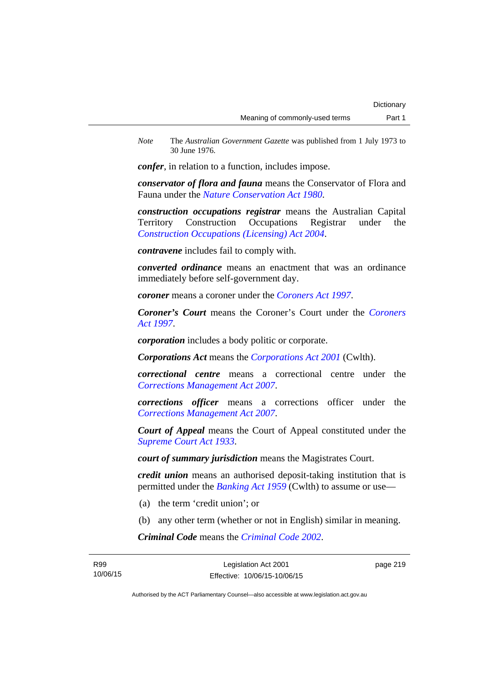*Note* The *Australian Government Gazette* was published from 1 July 1973 to 30 June 1976.

*confer*, in relation to a function, includes impose.

*conservator of flora and fauna* means the Conservator of Flora and Fauna under the *[Nature Conservation Act 1980](http://www.legislation.act.gov.au/a/1980-20)*.

*construction occupations registrar* means the Australian Capital Territory Construction Occupations Registrar under the *[Construction Occupations \(Licensing\) Act 2004](http://www.legislation.act.gov.au/a/2004-12)*.

*contravene* includes fail to comply with.

*converted ordinance* means an enactment that was an ordinance immediately before self-government day.

*coroner* means a coroner under the *[Coroners Act 1997](http://www.legislation.act.gov.au/a/1997-57)*.

*Coroner's Court* means the Coroner's Court under the *[Coroners](http://www.legislation.act.gov.au/a/1997-57)  [Act 1997](http://www.legislation.act.gov.au/a/1997-57)*.

*corporation* includes a body politic or corporate.

*Corporations Act* means the *[Corporations Act 2001](http://www.comlaw.gov.au/Series/C2004A00818)* (Cwlth).

*correctional centre* means a correctional centre under the *[Corrections Management Act 2007](http://www.legislation.act.gov.au/a/2007-15)*.

*corrections officer* means a corrections officer under the *[Corrections Management Act 2007](http://www.legislation.act.gov.au/a/2007-15)*.

*Court of Appeal* means the Court of Appeal constituted under the *[Supreme Court Act 1933](http://www.legislation.act.gov.au/a/1933-34)*.

*court of summary jurisdiction* means the Magistrates Court.

*credit union* means an authorised deposit-taking institution that is permitted under the *[Banking Act 1959](http://www.comlaw.gov.au/Series/C2004A07357)* (Cwlth) to assume or use—

- (a) the term 'credit union'; or
- (b) any other term (whether or not in English) similar in meaning.

*Criminal Code* means the *[Criminal Code 2002](http://www.legislation.act.gov.au/a/2002-51)*.

page 219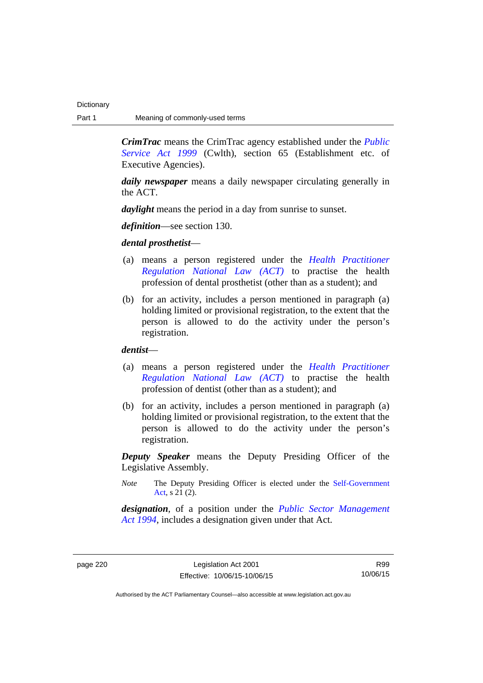*CrimTrac* means the CrimTrac agency established under the *[Public](http://www.comlaw.gov.au/Series/C2004A00538)  [Service Act 1999](http://www.comlaw.gov.au/Series/C2004A00538)* (Cwlth), section 65 (Establishment etc. of Executive Agencies).

*daily newspaper* means a daily newspaper circulating generally in the ACT.

*daylight* means the period in a day from sunrise to sunset.

*definition*—see section 130.

*dental prosthetist*—

- (a) means a person registered under the *[Health Practitioner](http://www.legislation.act.gov.au/a/db_39269/default.asp)  [Regulation National Law \(ACT\)](http://www.legislation.act.gov.au/a/db_39269/default.asp)* to practise the health profession of dental prosthetist (other than as a student); and
- (b) for an activity, includes a person mentioned in paragraph (a) holding limited or provisional registration, to the extent that the person is allowed to do the activity under the person's registration.

*dentist*—

- (a) means a person registered under the *[Health Practitioner](http://www.legislation.act.gov.au/a/db_39269/default.asp)  [Regulation National Law \(ACT\)](http://www.legislation.act.gov.au/a/db_39269/default.asp)* to practise the health profession of dentist (other than as a student); and
- (b) for an activity, includes a person mentioned in paragraph (a) holding limited or provisional registration, to the extent that the person is allowed to do the activity under the person's registration.

*Deputy Speaker* means the Deputy Presiding Officer of the Legislative Assembly.

*Note* The Deputy Presiding Officer is elected under the [Self-Government](http://www.comlaw.gov.au/Series/C2004A03699)  [Act](http://www.comlaw.gov.au/Series/C2004A03699). s 21 (2).

*designation*, of a position under the *[Public Sector Management](http://www.legislation.act.gov.au/a/1994-37)  [Act 1994](http://www.legislation.act.gov.au/a/1994-37)*, includes a designation given under that Act.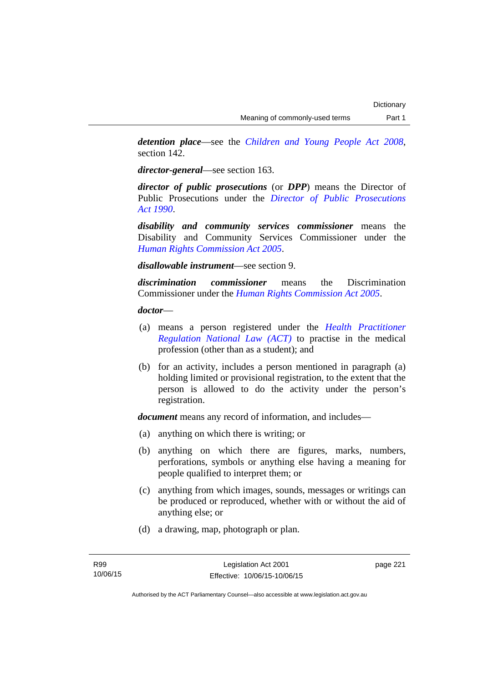*detention place*—see the *[Children and Young People Act 2008](http://www.legislation.act.gov.au/a/2008-19)*, section 142.

*director-general*—see section 163.

*director of public prosecutions* (or *DPP*) means the Director of Public Prosecutions under the *[Director of Public Prosecutions](http://www.legislation.act.gov.au/a/1990-22)  [Act 1990](http://www.legislation.act.gov.au/a/1990-22)*.

*disability and community services commissioner* means the Disability and Community Services Commissioner under the *[Human Rights Commission Act 2005](http://www.legislation.act.gov.au/a/2005-40)*.

*disallowable instrument*—see section 9.

*discrimination commissioner* means the Discrimination Commissioner under the *[Human Rights Commission Act 2005](http://www.legislation.act.gov.au/a/2005-40)*.

*doctor*—

- (a) means a person registered under the *[Health Practitioner](http://www.legislation.act.gov.au/a/db_39269/default.asp)  [Regulation National Law \(ACT\)](http://www.legislation.act.gov.au/a/db_39269/default.asp)* to practise in the medical profession (other than as a student); and
- (b) for an activity, includes a person mentioned in paragraph (a) holding limited or provisional registration, to the extent that the person is allowed to do the activity under the person's registration.

*document* means any record of information, and includes—

- (a) anything on which there is writing; or
- (b) anything on which there are figures, marks, numbers, perforations, symbols or anything else having a meaning for people qualified to interpret them; or
- (c) anything from which images, sounds, messages or writings can be produced or reproduced, whether with or without the aid of anything else; or
- (d) a drawing, map, photograph or plan.

page 221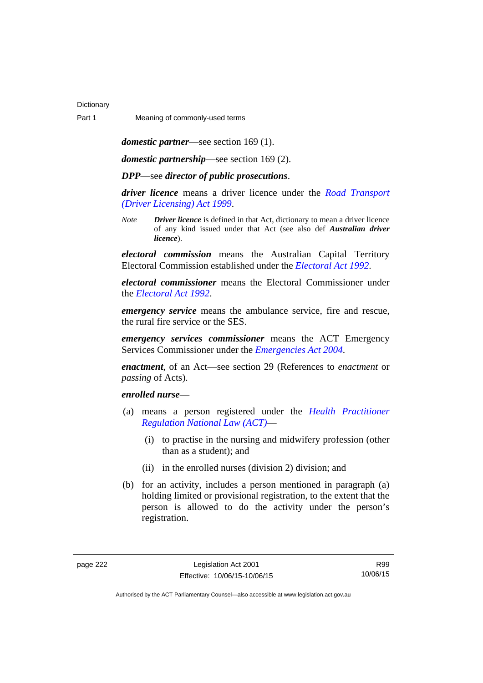*domestic partner*—see section 169 (1).

*domestic partnership*—see section 169 (2).

*DPP*—see *director of public prosecutions*.

*driver licence* means a driver licence under the *[Road Transport](http://www.legislation.act.gov.au/a/1999-78)  [\(Driver Licensing\) Act 1999](http://www.legislation.act.gov.au/a/1999-78)*.

*Note Driver licence* is defined in that Act, dictionary to mean a driver licence of any kind issued under that Act (see also def *Australian driver licence*).

*electoral commission* means the Australian Capital Territory Electoral Commission established under the *[Electoral Act 1992](http://www.legislation.act.gov.au/a/1992-71)*.

*electoral commissioner* means the Electoral Commissioner under the *[Electoral Act 1992](http://www.legislation.act.gov.au/a/1992-71)*.

*emergency service* means the ambulance service, fire and rescue, the rural fire service or the SES.

*emergency services commissioner* means the ACT Emergency Services Commissioner under the *[Emergencies Act 2004](http://www.legislation.act.gov.au/a/2004-28)*.

*enactment*, of an Act—see section 29 (References to *enactment* or *passing* of Acts).

### *enrolled nurse*—

- (a) means a person registered under the *[Health Practitioner](http://www.legislation.act.gov.au/a/db_39269/default.asp)  [Regulation National Law \(ACT\)](http://www.legislation.act.gov.au/a/db_39269/default.asp)*—
	- (i) to practise in the nursing and midwifery profession (other than as a student); and
	- (ii) in the enrolled nurses (division 2) division; and
- (b) for an activity, includes a person mentioned in paragraph (a) holding limited or provisional registration, to the extent that the person is allowed to do the activity under the person's registration.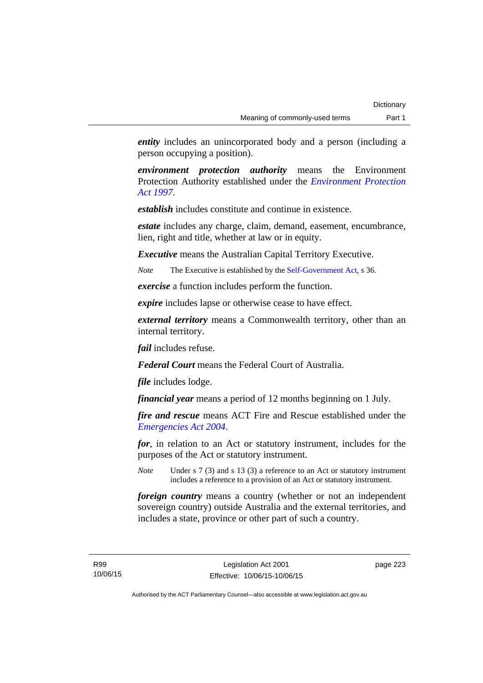*entity* includes an unincorporated body and a person (including a person occupying a position).

*environment protection authority* means the Environment Protection Authority established under the *[Environment Protection](http://www.legislation.act.gov.au/a/1997-92)  [Act 1997](http://www.legislation.act.gov.au/a/1997-92)*.

*establish* includes constitute and continue in existence.

*estate* includes any charge, claim, demand, easement, encumbrance, lien, right and title, whether at law or in equity.

*Executive* means the Australian Capital Territory Executive.

*Note* The Executive is established by the [Self-Government Act](http://www.comlaw.gov.au/Series/C2004A03699), s 36.

*exercise* a function includes perform the function.

*expire* includes lapse or otherwise cease to have effect.

*external territory* means a Commonwealth territory, other than an internal territory.

*fail* includes refuse.

*Federal Court* means the Federal Court of Australia.

*file* includes lodge.

*financial year* means a period of 12 months beginning on 1 July.

*fire and rescue* means ACT Fire and Rescue established under the *[Emergencies Act 2004](http://www.legislation.act.gov.au/a/2004-28)*.

*for*, in relation to an Act or statutory instrument, includes for the purposes of the Act or statutory instrument.

*Note* Under s 7 (3) and s 13 (3) a reference to an Act or statutory instrument includes a reference to a provision of an Act or statutory instrument.

*foreign country* means a country (whether or not an independent sovereign country) outside Australia and the external territories, and includes a state, province or other part of such a country.

R99 10/06/15 page 223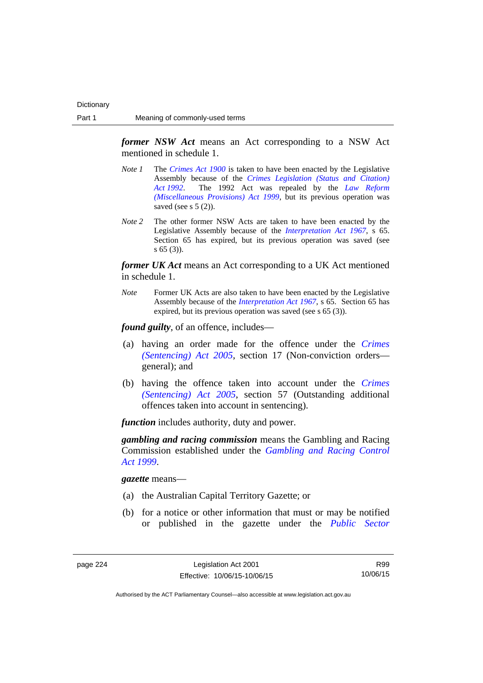*former NSW Act* means an Act corresponding to a NSW Act mentioned in schedule 1.

- *Note 1* The *[Crimes Act 1900](http://www.legislation.act.gov.au/a/1900-40)* is taken to have been enacted by the Legislative Assembly because of the *[Crimes Legislation \(Status and Citation\)](http://www.legislation.act.gov.au/a/1992-6)  [Act 1992](http://www.legislation.act.gov.au/a/1992-6)*. The 1992 Act was repealed by the *[Law Reform](http://www.legislation.act.gov.au/a/1999-66)  [\(Miscellaneous Provisions\) Act 1999](http://www.legislation.act.gov.au/a/1999-66)*, but its previous operation was saved (see s  $5(2)$ ).
- *Note 2* The other former NSW Acts are taken to have been enacted by the Legislative Assembly because of the *[Interpretation Act 1967](http://www.legislation.act.gov.au/a/1967-48)*, s 65. Section 65 has expired, but its previous operation was saved (see s 65 (3)).

*former UK Act* means an Act corresponding to a UK Act mentioned in schedule 1.

*Note* Former UK Acts are also taken to have been enacted by the Legislative Assembly because of the *[Interpretation Act 1967](http://www.legislation.act.gov.au/a/1967-48)*, s 65. Section 65 has expired, but its previous operation was saved (see s 65 (3)).

*found guilty*, of an offence, includes—

- (a) having an order made for the offence under the *[Crimes](http://www.legislation.act.gov.au/a/2005-58)  [\(Sentencing\) Act 2005](http://www.legislation.act.gov.au/a/2005-58)*, section 17 (Non-conviction orders general); and
- (b) having the offence taken into account under the *[Crimes](http://www.legislation.act.gov.au/a/2005-58)  [\(Sentencing\) Act 2005](http://www.legislation.act.gov.au/a/2005-58)*, section 57 (Outstanding additional offences taken into account in sentencing).

*function* includes authority, duty and power.

*gambling and racing commission* means the Gambling and Racing Commission established under the *[Gambling and Racing Control](http://www.legislation.act.gov.au/a/1999-46)  [Act 1999](http://www.legislation.act.gov.au/a/1999-46)*.

*gazette* means—

- (a) the Australian Capital Territory Gazette; or
- (b) for a notice or other information that must or may be notified or published in the gazette under the *[Public Sector](http://www.legislation.act.gov.au/a/1994-37)*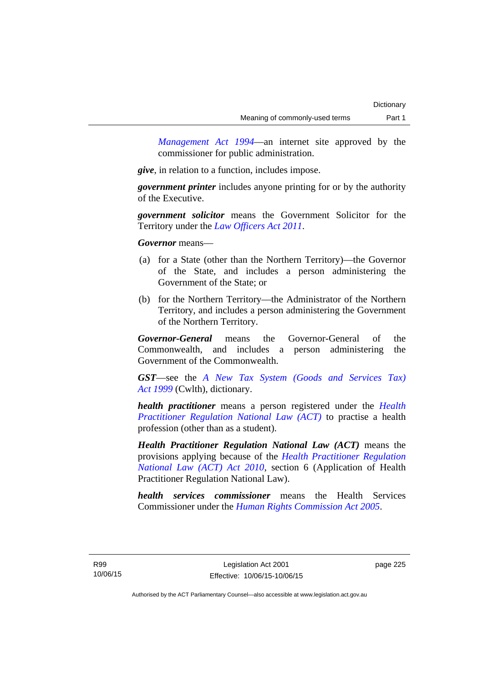*Management Act 1994*—an internet site approved by the commissioner for public administration.

*give*, in relation to a function, includes impose.

*government printer* includes anyone printing for or by the authority of the Executive.

*government solicitor* means the Government Solicitor for the Territory under the *[Law Officers Act 2011](http://www.legislation.act.gov.au/a/2011-30)*.

*Governor* means—

- (a) for a State (other than the Northern Territory)—the Governor of the State, and includes a person administering the Government of the State; or
- (b) for the Northern Territory—the Administrator of the Northern Territory, and includes a person administering the Government of the Northern Territory.

*Governor-General* means the Governor-General of the Commonwealth, and includes a person administering the Government of the Commonwealth.

*GST*—see the *[A New Tax System \(Goods and Services Tax\)](http://www.comlaw.gov.au/Series/C2004A00446)  [Act 1999](http://www.comlaw.gov.au/Series/C2004A00446)* (Cwlth), dictionary.

*health practitioner* means a person registered under the *[Health](http://www.legislation.act.gov.au/a/db_39269/default.asp)  [Practitioner Regulation National Law \(ACT\)](http://www.legislation.act.gov.au/a/db_39269/default.asp)* to practise a health profession (other than as a student).

*Health Practitioner Regulation National Law (ACT)* means the provisions applying because of the *[Health Practitioner Regulation](http://www.legislation.act.gov.au/a/2010-10)  [National Law \(ACT\) Act 2010](http://www.legislation.act.gov.au/a/2010-10)*, section 6 (Application of Health Practitioner Regulation National Law).

*health services commissioner* means the Health Services Commissioner under the *[Human Rights Commission Act 2005](http://www.legislation.act.gov.au/a/2005-40)*.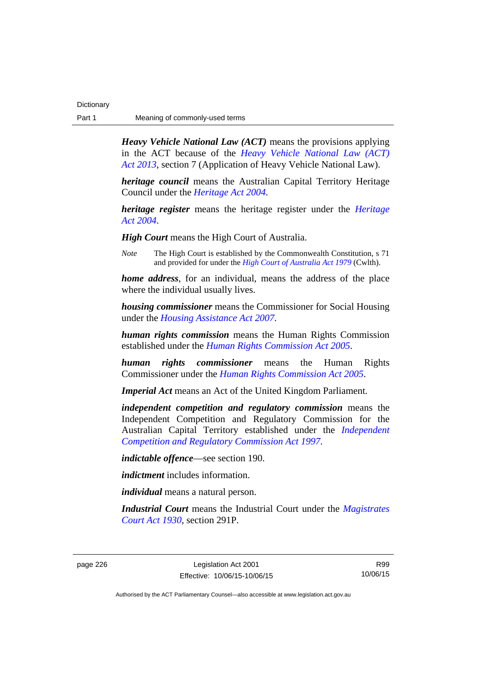| Dictionary |                                |
|------------|--------------------------------|
| Part 1     | Meaning of commonly-used terms |

*Heavy Vehicle National Law (ACT)* means the provisions applying in the ACT because of the *[Heavy Vehicle National Law \(ACT\)](http://www.legislation.act.gov.au/a/2013-51/default.asp)  [Act 2013](http://www.legislation.act.gov.au/a/2013-51/default.asp)*, section 7 (Application of Heavy Vehicle National Law).

*heritage council* means the Australian Capital Territory Heritage Council under the *[Heritage Act 2004](http://www.legislation.act.gov.au/a/2004-57)*.

*heritage register* means the heritage register under the *[Heritage](http://www.legislation.act.gov.au/a/2004-57)  [Act 2004](http://www.legislation.act.gov.au/a/2004-57)*.

*High Court* means the High Court of Australia.

*Note* The High Court is established by the Commonwealth Constitution, s 71 and provided for under the *[High Court of Australia Act 1979](http://www.comlaw.gov.au/Series/C2004A02147)* (Cwlth).

*home address*, for an individual, means the address of the place where the individual usually lives.

*housing commissioner* means the Commissioner for Social Housing under the *[Housing Assistance Act 2007](http://www.legislation.act.gov.au/a/2007-8)*.

*human rights commission* means the Human Rights Commission established under the *[Human Rights Commission Act 2005](http://www.legislation.act.gov.au/a/2005-40)*.

*human rights commissioner* means the Human Rights Commissioner under the *[Human Rights Commission Act 2005](http://www.legislation.act.gov.au/a/2005-40)*.

*Imperial Act* means an Act of the United Kingdom Parliament.

*independent competition and regulatory commission* means the Independent Competition and Regulatory Commission for the Australian Capital Territory established under the *[Independent](http://www.legislation.act.gov.au/a/1997-77)  [Competition and Regulatory Commission Act 1997](http://www.legislation.act.gov.au/a/1997-77)*.

*indictable offence*—see section 190.

*indictment* includes information.

*individual* means a natural person.

*Industrial Court* means the Industrial Court under the *[Magistrates](http://www.legislation.act.gov.au/a/1930-21)  [Court Act 1930](http://www.legislation.act.gov.au/a/1930-21)*, section 291P.

R99 10/06/15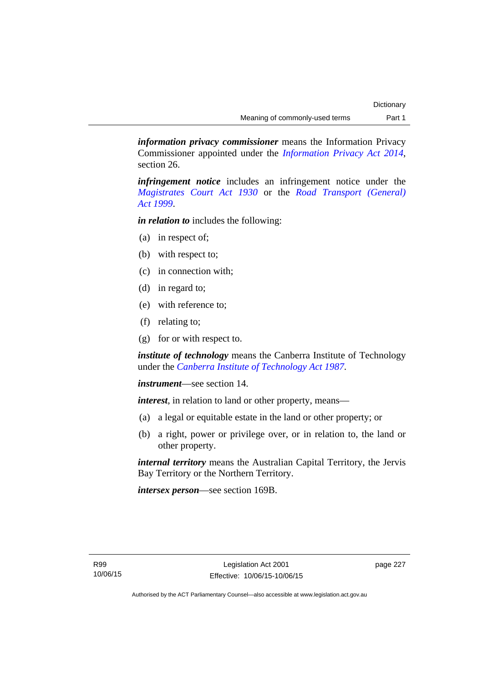*information privacy commissioner* means the Information Privacy Commissioner appointed under the *[Information Privacy Act 2014](http://www.legislation.act.gov.au/a/2014-24/default.asp)*, section 26.

*infringement notice* includes an infringement notice under the *[Magistrates Court Act 1930](http://www.legislation.act.gov.au/a/1930-21)* or the *[Road Transport \(General\)](http://www.legislation.act.gov.au/a/1999-77)  [Act 1999](http://www.legislation.act.gov.au/a/1999-77)*.

*in relation to* includes the following:

- (a) in respect of;
- (b) with respect to;
- (c) in connection with;
- (d) in regard to;
- (e) with reference to;
- (f) relating to;
- (g) for or with respect to.

*institute of technology* means the Canberra Institute of Technology under the *[Canberra Institute of Technology Act 1987](http://www.legislation.act.gov.au/a/1987-71)*.

*instrument*—see section 14.

*interest*, in relation to land or other property, means—

- (a) a legal or equitable estate in the land or other property; or
- (b) a right, power or privilege over, or in relation to, the land or other property.

*internal territory* means the Australian Capital Territory, the Jervis Bay Territory or the Northern Territory.

*intersex person*—see section 169B.

page 227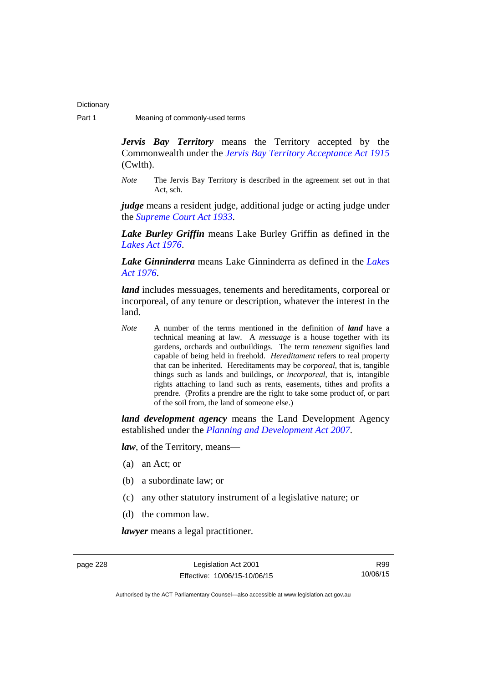*Jervis Bay Territory* means the Territory accepted by the Commonwealth under the *[Jervis Bay Territory Acceptance Act 1915](http://www.comlaw.gov.au/Series/C2004A07489)* (Cwlth).

*Note* The Jervis Bay Territory is described in the agreement set out in that Act, sch.

*judge* means a resident judge, additional judge or acting judge under the *[Supreme Court Act 1933](http://www.legislation.act.gov.au/a/1933-34)*.

*Lake Burley Griffin* means Lake Burley Griffin as defined in the *[Lakes Act 1976](http://www.legislation.act.gov.au/a/1976-65)*.

*Lake Ginninderra* means Lake Ginninderra as defined in the *[Lakes](http://www.legislation.act.gov.au/a/1976-65)  [Act 1976](http://www.legislation.act.gov.au/a/1976-65)*.

*land* includes messuages, tenements and hereditaments, corporeal or incorporeal, of any tenure or description, whatever the interest in the land.

*Note* A number of the terms mentioned in the definition of *land* have a technical meaning at law. A *messuage* is a house together with its gardens, orchards and outbuildings. The term *tenement* signifies land capable of being held in freehold. *Hereditament* refers to real property that can be inherited. Hereditaments may be *corporeal*, that is, tangible things such as lands and buildings, or *incorporeal*, that is, intangible rights attaching to land such as rents, easements, tithes and profits a prendre. (Profits a prendre are the right to take some product of, or part of the soil from, the land of someone else.)

*land development agency* means the Land Development Agency established under the *[Planning and Development Act 2007](http://www.legislation.act.gov.au/a/2007-24)*.

*law*, of the Territory, means—

- (a) an Act; or
- (b) a subordinate law; or
- (c) any other statutory instrument of a legislative nature; or
- (d) the common law.

*lawyer* means a legal practitioner.

page 228 Legislation Act 2001 Effective: 10/06/15-10/06/15

R99 10/06/15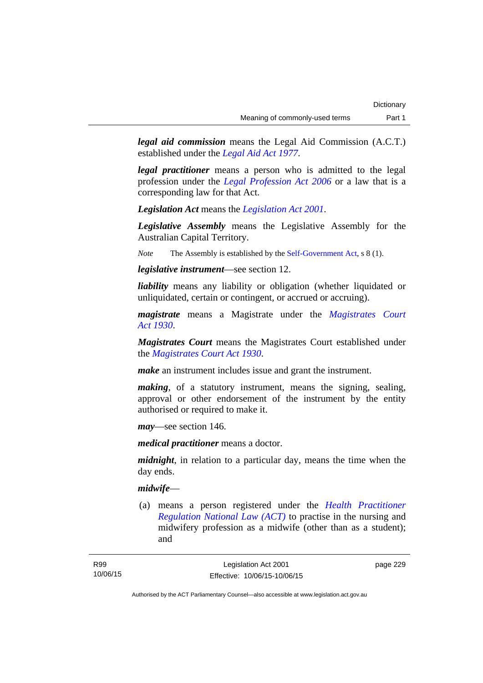*legal aid commission* means the Legal Aid Commission (A.C.T.) established under the *[Legal Aid Act 1977](http://www.legislation.act.gov.au/a/1977-31)*.

*legal practitioner* means a person who is admitted to the legal profession under the *[Legal Profession Act 2006](http://www.legislation.act.gov.au/a/2006-25)* or a law that is a corresponding law for that Act.

*Legislation Act* means the *[Legislation Act 2001](http://www.legislation.act.gov.au/a/2001-14)*.

*Legislative Assembly* means the Legislative Assembly for the Australian Capital Territory.

*Note* The Assembly is established by the [Self-Government Act](http://www.comlaw.gov.au/Series/C2004A03699), s 8 (1).

*legislative instrument*—see section 12.

*liability* means any liability or obligation (whether liquidated or unliquidated, certain or contingent, or accrued or accruing).

*magistrate* means a Magistrate under the *[Magistrates Court](http://www.legislation.act.gov.au/a/1930-21)  [Act 1930](http://www.legislation.act.gov.au/a/1930-21)*.

*Magistrates Court* means the Magistrates Court established under the *[Magistrates Court Act 1930](http://www.legislation.act.gov.au/a/1930-21)*.

*make* an instrument includes issue and grant the instrument.

*making*, of a statutory instrument, means the signing, sealing, approval or other endorsement of the instrument by the entity authorised or required to make it.

*may*—see section 146.

*medical practitioner* means a doctor.

*midnight*, in relation to a particular day, means the time when the day ends.

### *midwife*—

 (a) means a person registered under the *[Health Practitioner](http://www.legislation.act.gov.au/a/db_39269/default.asp)  [Regulation National Law \(ACT\)](http://www.legislation.act.gov.au/a/db_39269/default.asp)* to practise in the nursing and midwifery profession as a midwife (other than as a student); and

page 229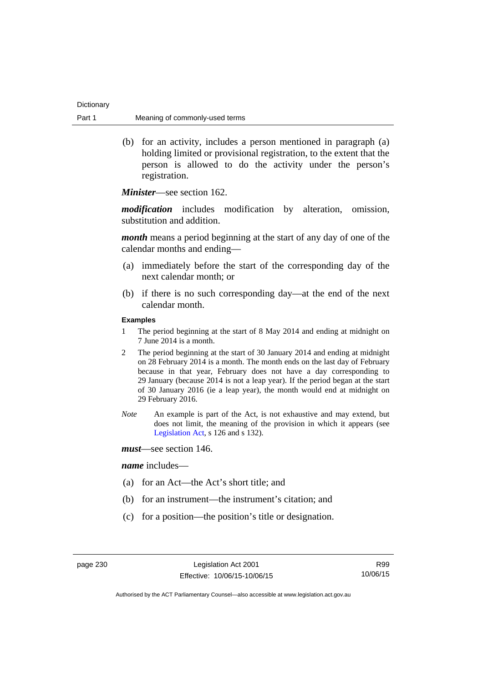| Dictionary |                                |
|------------|--------------------------------|
| Part 1     | Meaning of commonly-used terms |

 (b) for an activity, includes a person mentioned in paragraph (a) holding limited or provisional registration, to the extent that the person is allowed to do the activity under the person's registration.

*Minister*—see section 162.

*modification* includes modification by alteration, omission, substitution and addition.

*month* means a period beginning at the start of any day of one of the calendar months and ending—

- (a) immediately before the start of the corresponding day of the next calendar month; or
- (b) if there is no such corresponding day—at the end of the next calendar month.

### **Examples**

- 1 The period beginning at the start of 8 May 2014 and ending at midnight on 7 June 2014 is a month.
- 2 The period beginning at the start of 30 January 2014 and ending at midnight on 28 February 2014 is a month. The month ends on the last day of February because in that year, February does not have a day corresponding to 29 January (because 2014 is not a leap year). If the period began at the start of 30 January 2016 (ie a leap year), the month would end at midnight on 29 February 2016.
- *Note* An example is part of the Act, is not exhaustive and may extend, but does not limit, the meaning of the provision in which it appears (see [Legislation Act,](http://www.legislation.act.gov.au/a/2001-14) s 126 and s 132).
- *must*—see section 146.

#### *name* includes—

- (a) for an Act—the Act's short title; and
- (b) for an instrument—the instrument's citation; and
- (c) for a position—the position's title or designation.

R99 10/06/15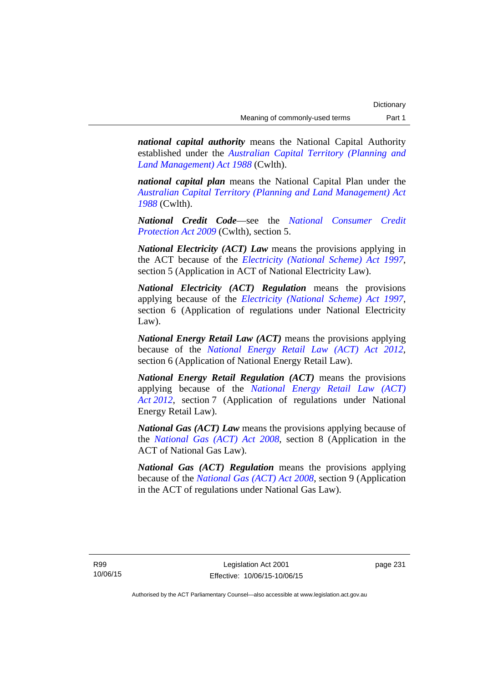*national capital authority* means the National Capital Authority established under the *[Australian Capital Territory \(Planning and](http://www.comlaw.gov.au/Series/C2004A03701)  [Land Management\) Act 1988](http://www.comlaw.gov.au/Series/C2004A03701)* (Cwlth).

*national capital plan* means the National Capital Plan under the *[Australian Capital Territory \(Planning and Land Management\) Act](http://www.comlaw.gov.au/Series/C2004A03701)  [1988](http://www.comlaw.gov.au/Series/C2004A03701)* (Cwlth).

*National Credit Code*—see the *[National Consumer Credit](http://www.comlaw.gov.au/Series/C2009A00134)  [Protection Act 2009](http://www.comlaw.gov.au/Series/C2009A00134)* (Cwlth), section 5.

*National Electricity (ACT) Law* means the provisions applying in the ACT because of the *[Electricity \(National Scheme\) Act 1997](http://www.legislation.act.gov.au/a/1997-79)*, section 5 (Application in ACT of National Electricity Law).

*National Electricity (ACT) Regulation* means the provisions applying because of the *[Electricity \(National Scheme\) Act 1997](http://www.legislation.act.gov.au/a/1997-79)*, section 6 (Application of regulations under National Electricity Law).

*National Energy Retail Law (ACT)* means the provisions applying because of the *[National Energy Retail Law \(ACT\) Act 2012](http://www.legislation.act.gov.au/a/2012-31)*, section 6 (Application of National Energy Retail Law).

*National Energy Retail Regulation (ACT)* means the provisions applying because of the *[National Energy Retail Law \(ACT\)](http://www.legislation.act.gov.au/a/2012-31)  [Act 2012](http://www.legislation.act.gov.au/a/2012-31)*, section 7 (Application of regulations under National Energy Retail Law).

*National Gas (ACT) Law* means the provisions applying because of the *[National Gas \(ACT\) Act 2008](http://www.legislation.act.gov.au/a/2008-15)*, section 8 (Application in the ACT of National Gas Law).

*National Gas (ACT) Regulation* means the provisions applying because of the *[National Gas \(ACT\) Act 2008](http://www.legislation.act.gov.au/a/2008-15)*, section 9 (Application in the ACT of regulations under National Gas Law).

page 231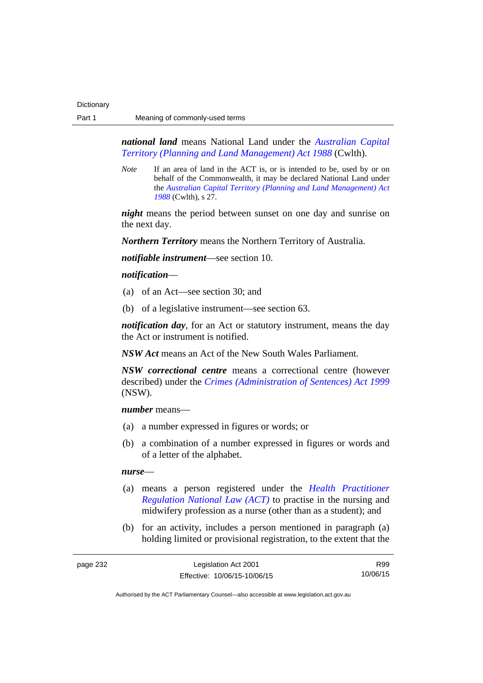*national land* means National Land under the *[Australian Capital](http://www.comlaw.gov.au/Series/C2004A03701)  [Territory \(Planning and Land Management\) Act 1988](http://www.comlaw.gov.au/Series/C2004A03701)* (Cwlth).

*Note* If an area of land in the ACT is, or is intended to be, used by or on behalf of the Commonwealth, it may be declared National Land under the *[Australian Capital Territory \(Planning and Land Management\) Act](http://www.comlaw.gov.au/Series/C2004A03701)  [1988](http://www.comlaw.gov.au/Series/C2004A03701)* (Cwlth), s 27.

*night* means the period between sunset on one day and sunrise on the next day.

*Northern Territory* means the Northern Territory of Australia.

*notifiable instrument*—see section 10.

### *notification*—

- (a) of an Act—see section 30; and
- (b) of a legislative instrument—see section 63.

*notification day*, for an Act or statutory instrument, means the day the Act or instrument is notified.

*NSW Act* means an Act of the New South Wales Parliament.

*NSW correctional centre* means a correctional centre (however described) under the *[Crimes \(Administration of Sentences\) Act 1999](http://www.legislation.nsw.gov.au/maintop/view/inforce/act+93+1999+cd+0+N)* (NSW).

*number* means—

- (a) a number expressed in figures or words; or
- (b) a combination of a number expressed in figures or words and of a letter of the alphabet.

#### *nurse*—

- (a) means a person registered under the *[Health Practitioner](http://www.legislation.act.gov.au/a/db_39269/default.asp)  [Regulation National Law \(ACT\)](http://www.legislation.act.gov.au/a/db_39269/default.asp)* to practise in the nursing and midwifery profession as a nurse (other than as a student); and
- (b) for an activity, includes a person mentioned in paragraph (a) holding limited or provisional registration, to the extent that the

R99 10/06/15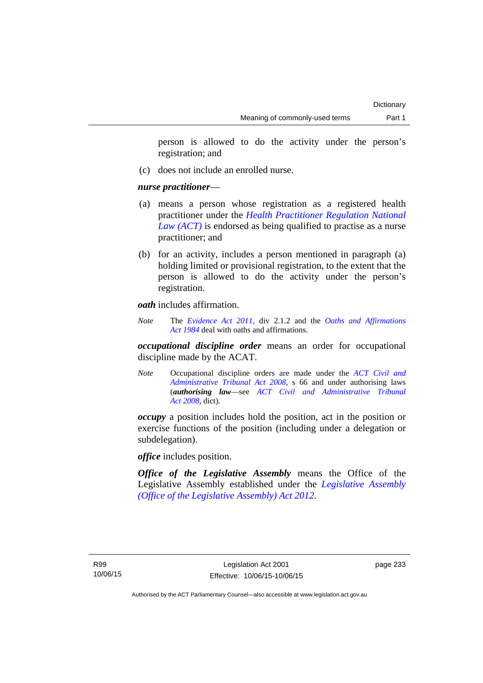person is allowed to do the activity under the person's registration; and

(c) does not include an enrolled nurse.

## *nurse practitioner*—

- (a) means a person whose registration as a registered health practitioner under the *[Health Practitioner Regulation National](http://www.legislation.act.gov.au/a/db_39269/default.asp)  [Law \(ACT\)](http://www.legislation.act.gov.au/a/db_39269/default.asp)* is endorsed as being qualified to practise as a nurse practitioner; and
- (b) for an activity, includes a person mentioned in paragraph (a) holding limited or provisional registration, to the extent that the person is allowed to do the activity under the person's registration.

*oath* includes affirmation.

*Note* The *[Evidence Act 2011](http://www.legislation.act.gov.au/a/2011-12)*, div 2.1.2 and the *[Oaths and Affirmations](http://www.legislation.act.gov.au/a/1984-79)  [Act 1984](http://www.legislation.act.gov.au/a/1984-79)* deal with oaths and affirmations.

*occupational discipline order* means an order for occupational discipline made by the ACAT.

*Note* Occupational discipline orders are made under the *[ACT Civil and](http://www.legislation.act.gov.au/a/2008-35)  [Administrative Tribunal Act 2008](http://www.legislation.act.gov.au/a/2008-35)*, s 66 and under authorising laws (*authorising law*—see *[ACT Civil and Administrative Tribunal](http://www.legislation.act.gov.au/a/2008-35)  [Act 2008](http://www.legislation.act.gov.au/a/2008-35)*, dict).

*occupy* a position includes hold the position, act in the position or exercise functions of the position (including under a delegation or subdelegation).

*office* includes position.

*Office of the Legislative Assembly* means the Office of the Legislative Assembly established under the *[Legislative Assembly](http://www.legislation.act.gov.au/a/2012-26)  [\(Office of the Legislative Assembly\) Act 2012](http://www.legislation.act.gov.au/a/2012-26)*.

page 233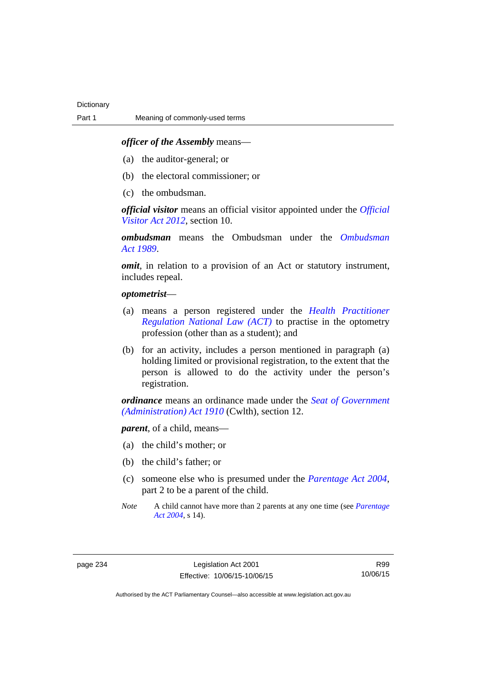### *officer of the Assembly* means—

- (a) the auditor-general; or
- (b) the electoral commissioner; or
- (c) the ombudsman.

*official visitor* means an official visitor appointed under the *[Official](http://www.legislation.act.gov.au/a/2012-33)  [Visitor Act 2012](http://www.legislation.act.gov.au/a/2012-33)*, section 10.

*ombudsman* means the Ombudsman under the *[Ombudsman](http://www.legislation.act.gov.au/a/alt_a1989-45co)  [Act 1989](http://www.legislation.act.gov.au/a/alt_a1989-45co)*.

*omit*, in relation to a provision of an Act or statutory instrument, includes repeal.

#### *optometrist*—

- (a) means a person registered under the *[Health Practitioner](http://www.legislation.act.gov.au/a/db_39269/default.asp)  [Regulation National Law \(ACT\)](http://www.legislation.act.gov.au/a/db_39269/default.asp)* to practise in the optometry profession (other than as a student); and
- (b) for an activity, includes a person mentioned in paragraph (a) holding limited or provisional registration, to the extent that the person is allowed to do the activity under the person's registration.

*ordinance* means an ordinance made under the *[Seat of Government](http://www.comlaw.gov.au/Series/C2004A07446)  [\(Administration\) Act 1910](http://www.comlaw.gov.au/Series/C2004A07446)* (Cwlth), section 12.

*parent*, of a child, means—

- (a) the child's mother; or
- (b) the child's father; or
- (c) someone else who is presumed under the *[Parentage Act 2004](http://www.legislation.act.gov.au/a/2004-1)*, part 2 to be a parent of the child.
- *Note* A child cannot have more than 2 parents at any one time (see *[Parentage](http://www.legislation.act.gov.au/a/2004-1)  [Act 2004](http://www.legislation.act.gov.au/a/2004-1)*, s 14).

R99 10/06/15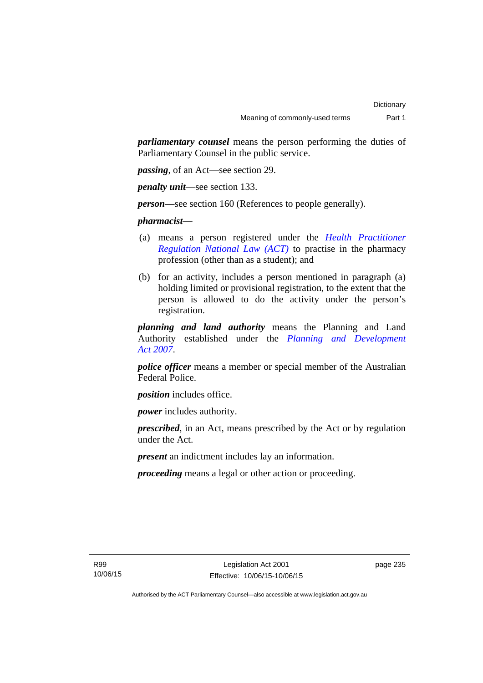*parliamentary counsel* means the person performing the duties of Parliamentary Counsel in the public service.

*passing*, of an Act—see section 29.

*penalty unit*—see section 133.

*person—*see section 160 (References to people generally).

*pharmacist***—**

- (a) means a person registered under the *[Health Practitioner](http://www.legislation.act.gov.au/a/db_39269/default.asp)  [Regulation National Law \(ACT\)](http://www.legislation.act.gov.au/a/db_39269/default.asp)* to practise in the pharmacy profession (other than as a student); and
- (b) for an activity, includes a person mentioned in paragraph (a) holding limited or provisional registration, to the extent that the person is allowed to do the activity under the person's registration.

*planning and land authority* means the Planning and Land Authority established under the *[Planning and Development](http://www.legislation.act.gov.au/a/2007-24)  [Act 2007](http://www.legislation.act.gov.au/a/2007-24)*.

*police officer* means a member or special member of the Australian Federal Police.

*position* includes office.

*power* includes authority.

*prescribed*, in an Act, means prescribed by the Act or by regulation under the Act.

*present* an indictment includes lay an information.

*proceeding* means a legal or other action or proceeding.

page 235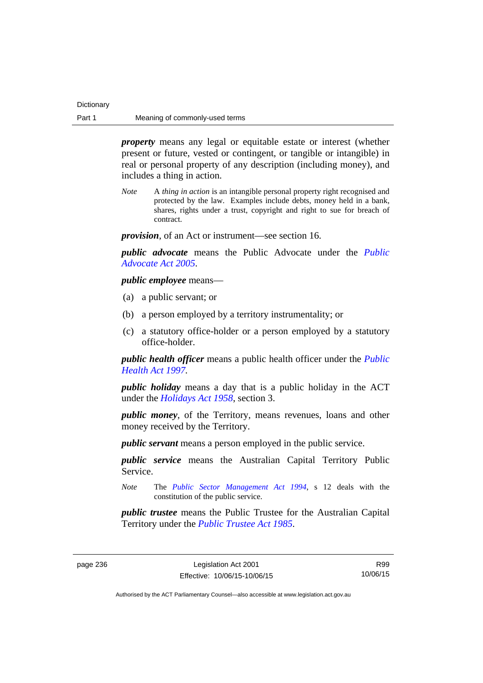| Dictionary |                                |
|------------|--------------------------------|
| Part 1     | Meaning of commonly-used terms |

*property* means any legal or equitable estate or interest (whether present or future, vested or contingent, or tangible or intangible) in real or personal property of any description (including money), and includes a thing in action.

*Note* A *thing in action* is an intangible personal property right recognised and protected by the law. Examples include debts, money held in a bank, shares, rights under a trust, copyright and right to sue for breach of contract.

*provision*, of an Act or instrument—see section 16.

*public advocate* means the Public Advocate under the *[Public](http://www.legislation.act.gov.au/a/2005-47)  [Advocate Act 2005](http://www.legislation.act.gov.au/a/2005-47)*.

*public employee* means—

- (a) a public servant; or
- (b) a person employed by a territory instrumentality; or
- (c) a statutory office-holder or a person employed by a statutory office-holder.

*public health officer* means a public health officer under the *[Public](http://www.legislation.act.gov.au/a/1997-69)  [Health Act 1997.](http://www.legislation.act.gov.au/a/1997-69)*

*public holiday* means a day that is a public holiday in the ACT under the *[Holidays Act 1958](http://www.legislation.act.gov.au/a/1958-19)*, section 3.

*public money*, of the Territory, means revenues, loans and other money received by the Territory.

*public servant* means a person employed in the public service.

*public service* means the Australian Capital Territory Public Service.

*Note* The *[Public Sector Management Act 1994](http://www.legislation.act.gov.au/a/1994-37)*, s 12 deals with the constitution of the public service.

*public trustee* means the Public Trustee for the Australian Capital Territory under the *[Public Trustee Act 1985](http://www.legislation.act.gov.au/a/1985-8)*.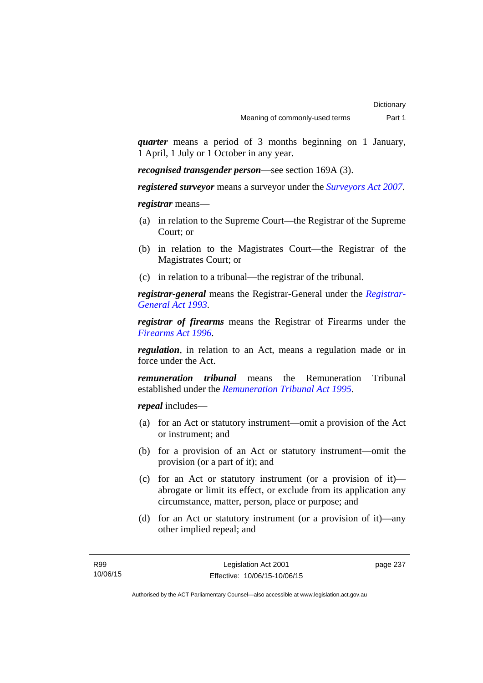*quarter* means a period of 3 months beginning on 1 January, 1 April, 1 July or 1 October in any year.

*recognised transgender person*—see section 169A (3).

*registered surveyor* means a surveyor under the *[Surveyors Act 2007](http://www.legislation.act.gov.au/a/2007-33)*.

*registrar* means—

- (a) in relation to the Supreme Court—the Registrar of the Supreme Court; or
- (b) in relation to the Magistrates Court—the Registrar of the Magistrates Court; or
- (c) in relation to a tribunal—the registrar of the tribunal.

*registrar-general* means the Registrar-General under the *[Registrar-](http://www.legislation.act.gov.au/a/1993-63)[General Act 1993](http://www.legislation.act.gov.au/a/1993-63)*.

*registrar of firearms* means the Registrar of Firearms under the *[Firearms Act 1996](http://www.legislation.act.gov.au/a/1996-74)*.

*regulation*, in relation to an Act, means a regulation made or in force under the Act.

*remuneration tribunal* means the Remuneration Tribunal established under the *[Remuneration Tribunal Act 1995](http://www.legislation.act.gov.au/a/1995-55)*.

*repeal* includes—

- (a) for an Act or statutory instrument—omit a provision of the Act or instrument; and
- (b) for a provision of an Act or statutory instrument—omit the provision (or a part of it); and
- (c) for an Act or statutory instrument (or a provision of it) abrogate or limit its effect, or exclude from its application any circumstance, matter, person, place or purpose; and
- (d) for an Act or statutory instrument (or a provision of it)—any other implied repeal; and

page 237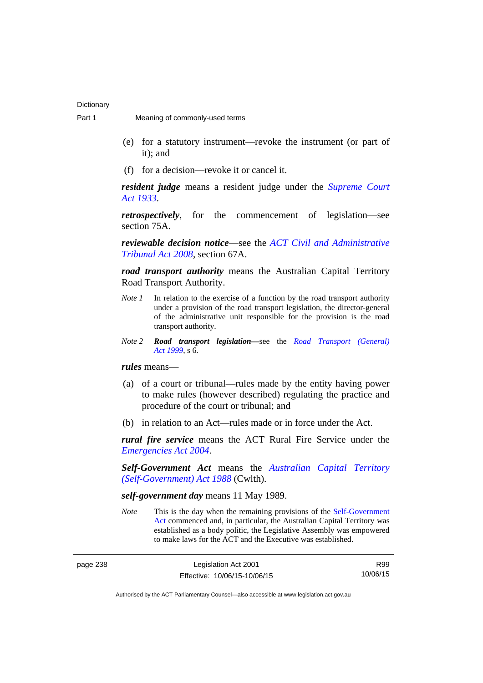- (e) for a statutory instrument—revoke the instrument (or part of it); and
- (f) for a decision—revoke it or cancel it.

*resident judge* means a resident judge under the *[Supreme Court](http://www.legislation.act.gov.au/a/1933-34)  [Act 1933](http://www.legislation.act.gov.au/a/1933-34)*.

*retrospectively*, for the commencement of legislation—see section 75A.

*reviewable decision notice*—see the *[ACT Civil and Administrative](http://www.legislation.act.gov.au/a/2008-35)  [Tribunal Act 2008](http://www.legislation.act.gov.au/a/2008-35)*, section 67A.

*road transport authority* means the Australian Capital Territory Road Transport Authority.

- *Note 1* In relation to the exercise of a function by the road transport authority under a provision of the road transport legislation, the director-general of the administrative unit responsible for the provision is the road transport authority.
- *Note 2 Road transport legislation––*see the *[Road Transport \(General\)](http://www.legislation.act.gov.au/a/1999-77)  [Act 1999](http://www.legislation.act.gov.au/a/1999-77)*, s 6.

*rules* means—

- (a) of a court or tribunal—rules made by the entity having power to make rules (however described) regulating the practice and procedure of the court or tribunal; and
- (b) in relation to an Act—rules made or in force under the Act.

*rural fire service* means the ACT Rural Fire Service under the *[Emergencies Act 2004](http://www.legislation.act.gov.au/a/2004-28)*.

*Self-Government Act* means the *[Australian Capital Territory](http://www.comlaw.gov.au/Series/C2004A03699)  [\(Self-Government\) Act 1988](http://www.comlaw.gov.au/Series/C2004A03699)* (Cwlth).

## *self-government day* means 11 May 1989.

*Note* This is the day when the remaining provisions of the Self-Government [Act](http://www.comlaw.gov.au/Series/C2004A03699) commenced and, in particular, the Australian Capital Territory was established as a body politic, the Legislative Assembly was empowered to make laws for the ACT and the Executive was established.

R99 10/06/15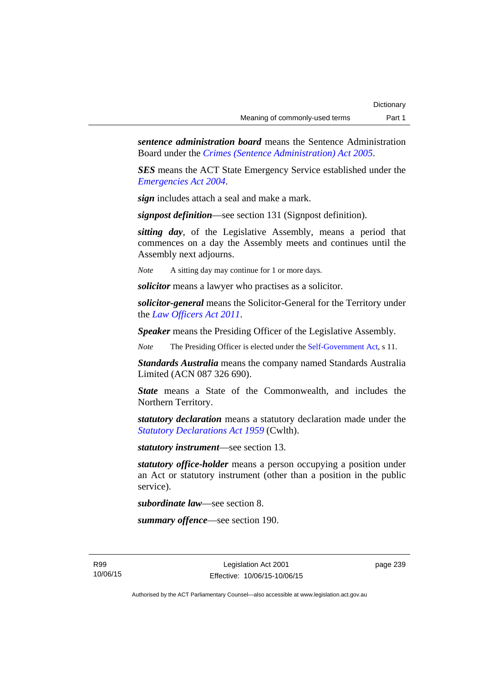*sentence administration board* means the Sentence Administration Board under the *[Crimes \(Sentence Administration\) Act 2005](http://www.legislation.act.gov.au/a/2005-59)*.

*SES* means the ACT State Emergency Service established under the *[Emergencies Act 2004](http://www.legislation.act.gov.au/a/2004-28)*.

*sign* includes attach a seal and make a mark.

*signpost definition*—see section 131 (Signpost definition).

*sitting day*, of the Legislative Assembly, means a period that commences on a day the Assembly meets and continues until the Assembly next adjourns.

*Note* A sitting day may continue for 1 or more days.

*solicitor* means a lawyer who practises as a solicitor.

*solicitor-general* means the Solicitor-General for the Territory under the *[Law Officers Act 2011](http://www.legislation.act.gov.au/a/2011-30)*.

*Speaker* means the Presiding Officer of the Legislative Assembly.

*Note* The Presiding Officer is elected under the [Self-Government Act](http://www.comlaw.gov.au/Series/C2004A03699), s 11.

*Standards Australia* means the company named Standards Australia Limited (ACN 087 326 690).

*State* means a State of the Commonwealth, and includes the Northern Territory.

*statutory declaration* means a statutory declaration made under the *[Statutory Declarations Act 1959](http://www.comlaw.gov.au/Series/C2004A07365)* (Cwlth).

*statutory instrument*—see section 13.

*statutory office-holder* means a person occupying a position under an Act or statutory instrument (other than a position in the public service).

*subordinate law*—see section 8.

*summary offence*—see section 190.

R99 10/06/15 page 239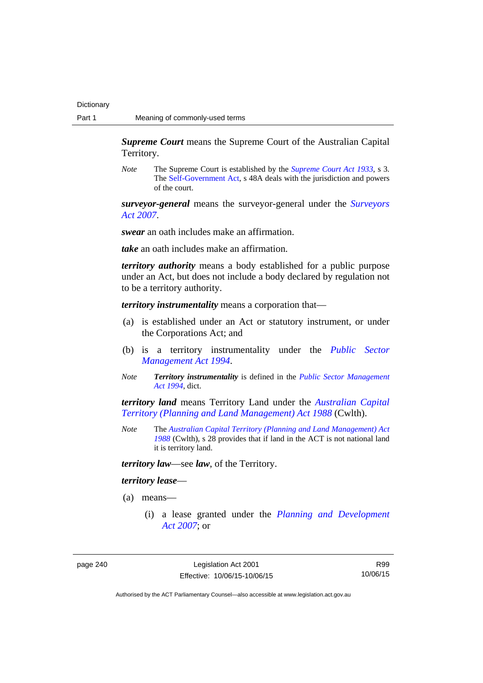*Supreme Court* means the Supreme Court of the Australian Capital Territory.

*Note* The Supreme Court is established by the *[Supreme Court Act 1933](http://www.legislation.act.gov.au/a/1933-34)*, s 3. The [Self-Government Act](http://www.comlaw.gov.au/Series/C2004A03699), s 48A deals with the jurisdiction and powers of the court.

*surveyor-general* means the surveyor-general under the *[Surveyors](http://www.legislation.act.gov.au/a/2007-33)  [Act 2007](http://www.legislation.act.gov.au/a/2007-33)*.

*swear* an oath includes make an affirmation.

*take* an oath includes make an affirmation.

*territory authority* means a body established for a public purpose under an Act, but does not include a body declared by regulation not to be a territory authority.

*territory instrumentality* means a corporation that—

- (a) is established under an Act or statutory instrument, or under the Corporations Act; and
- (b) is a territory instrumentality under the *[Public Sector](http://www.legislation.act.gov.au/a/1994-37)  [Management Act 1994](http://www.legislation.act.gov.au/a/1994-37)*.
- *Note Territory instrumentality* is defined in the *[Public Sector Management](http://www.legislation.act.gov.au/a/1994-37)  [Act 1994](http://www.legislation.act.gov.au/a/1994-37)*, dict.

*territory land* means Territory Land under the *[Australian Capital](http://www.comlaw.gov.au/Series/C2004A03701)  [Territory \(Planning and Land Management\) Act 1988](http://www.comlaw.gov.au/Series/C2004A03701)* (Cwlth).

*Note* The *[Australian Capital Territory \(Planning and Land Management\) Act](http://www.comlaw.gov.au/Series/C2004A03701)  [1988](http://www.comlaw.gov.au/Series/C2004A03701)* (Cwlth), s 28 provides that if land in the ACT is not national land it is territory land.

*territory law*—see *law*, of the Territory.

#### *territory lease*—

- (a) means—
	- (i) a lease granted under the *[Planning and Development](http://www.legislation.act.gov.au/a/2007-24)  [Act 2007](http://www.legislation.act.gov.au/a/2007-24)*; or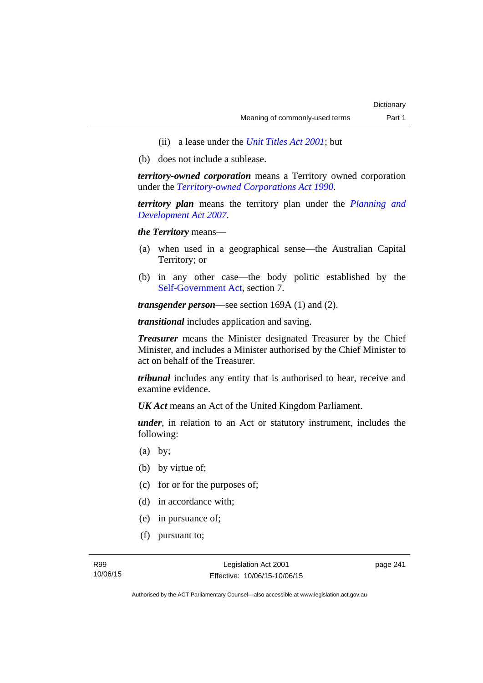- (ii) a lease under the *[Unit Titles Act 2001](http://www.legislation.act.gov.au/a/2001-16)*; but
- (b) does not include a sublease.

*territory-owned corporation* means a Territory owned corporation under the *[Territory-owned Corporations Act 1990](http://www.legislation.act.gov.au/a/1990-53)*.

*territory plan* means the territory plan under the *[Planning and](http://www.legislation.act.gov.au/a/2007-24)  [Development Act 2007](http://www.legislation.act.gov.au/a/2007-24)*.

*the Territory* means—

- (a) when used in a geographical sense—the Australian Capital Territory; or
- (b) in any other case—the body politic established by the [Self-Government Act,](http://www.comlaw.gov.au/Series/C2004A03699) section 7.

*transgender person*—see section 169A (1) and (2).

*transitional* includes application and saving.

*Treasurer* means the Minister designated Treasurer by the Chief Minister, and includes a Minister authorised by the Chief Minister to act on behalf of the Treasurer.

*tribunal* includes any entity that is authorised to hear, receive and examine evidence.

*UK Act* means an Act of the United Kingdom Parliament.

*under*, in relation to an Act or statutory instrument, includes the following:

- (a) by;
- (b) by virtue of;
- (c) for or for the purposes of;
- (d) in accordance with;
- (e) in pursuance of;
- (f) pursuant to;

page 241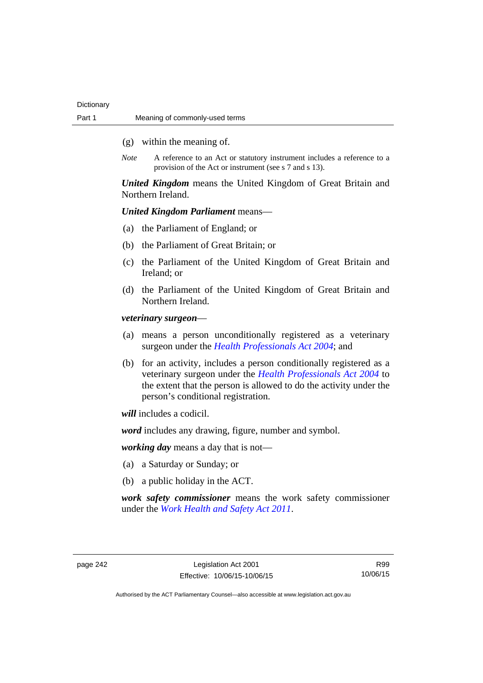- (g) within the meaning of.
- *Note* A reference to an Act or statutory instrument includes a reference to a provision of the Act or instrument (see s 7 and s 13).

*United Kingdom* means the United Kingdom of Great Britain and Northern Ireland.

# *United Kingdom Parliament* means—

- (a) the Parliament of England; or
- (b) the Parliament of Great Britain; or
- (c) the Parliament of the United Kingdom of Great Britain and Ireland; or
- (d) the Parliament of the United Kingdom of Great Britain and Northern Ireland.

*veterinary surgeon*—

- (a) means a person unconditionally registered as a veterinary surgeon under the *[Health Professionals Act 2004](http://www.legislation.act.gov.au/a/2004-38)*; and
- (b) for an activity, includes a person conditionally registered as a veterinary surgeon under the *[Health Professionals Act 2004](http://www.legislation.act.gov.au/a/2004-38)* to the extent that the person is allowed to do the activity under the person's conditional registration.

*will* includes a codicil.

*word* includes any drawing, figure, number and symbol.

*working day* means a day that is not—

- (a) a Saturday or Sunday; or
- (b) a public holiday in the ACT.

*work safety commissioner* means the work safety commissioner under the *[Work Health and Safety Act 2011](http://www.legislation.act.gov.au/a/2011-35)*.

R99 10/06/15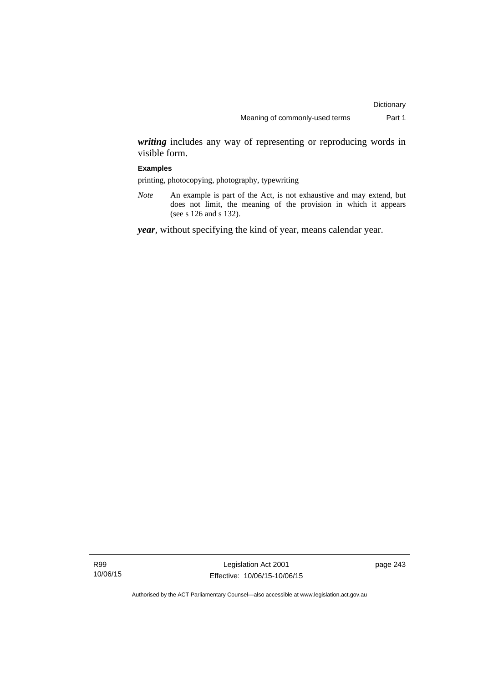*writing* includes any way of representing or reproducing words in visible form.

#### **Examples**

printing, photocopying, photography, typewriting

*Note* An example is part of the Act, is not exhaustive and may extend, but does not limit, the meaning of the provision in which it appears (see s 126 and s 132).

*year*, without specifying the kind of year, means calendar year.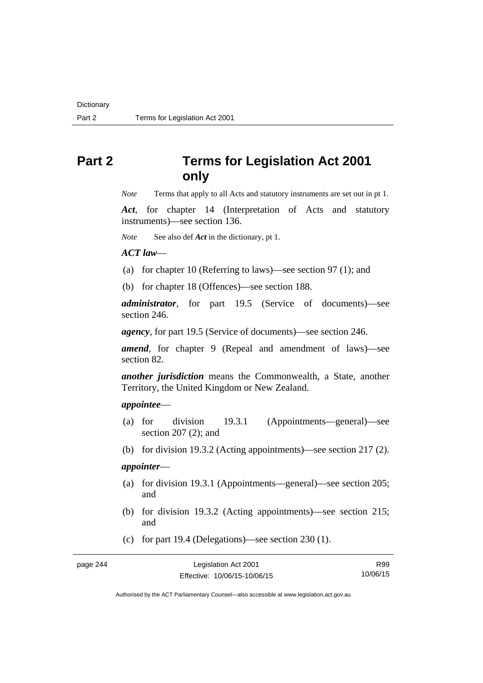# **Part 2 Terms for Legislation Act 2001 only**

*Note* Terms that apply to all Acts and statutory instruments are set out in pt 1.

*Act*, for chapter 14 (Interpretation of Acts and statutory instruments)—see section 136.

*Note* See also def *Act* in the dictionary, pt 1.

*ACT law*—

(a) for chapter 10 (Referring to laws)—see section 97 (1); and

(b) for chapter 18 (Offences)—see section 188.

*administrator*, for part 19.5 (Service of documents)—see section 246.

*agency*, for part 19.5 (Service of documents)—see section 246.

*amend*, for chapter 9 (Repeal and amendment of laws)—see section 82.

*another jurisdiction* means the Commonwealth, a State, another Territory, the United Kingdom or New Zealand.

# *appointee*—

- (a) for division 19.3.1 (Appointments—general)—see section 207 (2); and
- (b) for division 19.3.2 (Acting appointments)—see section 217 (2).

# *appointer*—

- (a) for division 19.3.1 (Appointments—general)—see section 205; and
- (b) for division 19.3.2 (Acting appointments)—see section 215; and
- (c) for part 19.4 (Delegations)—see section 230 (1).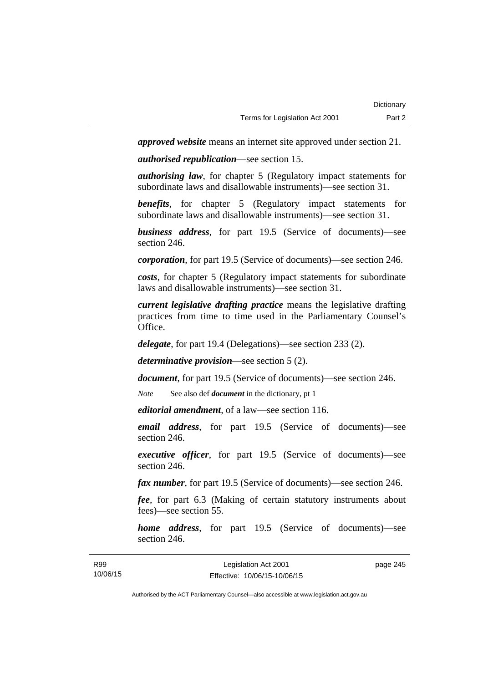*approved website* means an internet site approved under section 21.

*authorised republication*—see section 15.

*authorising law*, for chapter 5 (Regulatory impact statements for subordinate laws and disallowable instruments)—see section 31.

*benefits*, for chapter 5 (Regulatory impact statements for subordinate laws and disallowable instruments)—see section 31.

*business address*, for part 19.5 (Service of documents)—see section 246.

*corporation*, for part 19.5 (Service of documents)—see section 246.

*costs*, for chapter 5 (Regulatory impact statements for subordinate laws and disallowable instruments)—see section 31.

*current legislative drafting practice* means the legislative drafting practices from time to time used in the Parliamentary Counsel's Office.

*delegate*, for part 19.4 (Delegations)—see section 233 (2).

*determinative provision*—see section 5 (2).

*document*, for part 19.5 (Service of documents)—see section 246.

*Note* See also def *document* in the dictionary, pt 1

*editorial amendment*, of a law—see section 116.

*email address*, for part 19.5 (Service of documents)—see section 246.

*executive officer*, for part 19.5 (Service of documents)—see section 246.

*fax number*, for part 19.5 (Service of documents)—see section 246.

*fee*, for part 6.3 (Making of certain statutory instruments about fees)—see section 55.

*home address*, for part 19.5 (Service of documents)—see section 246.

page 245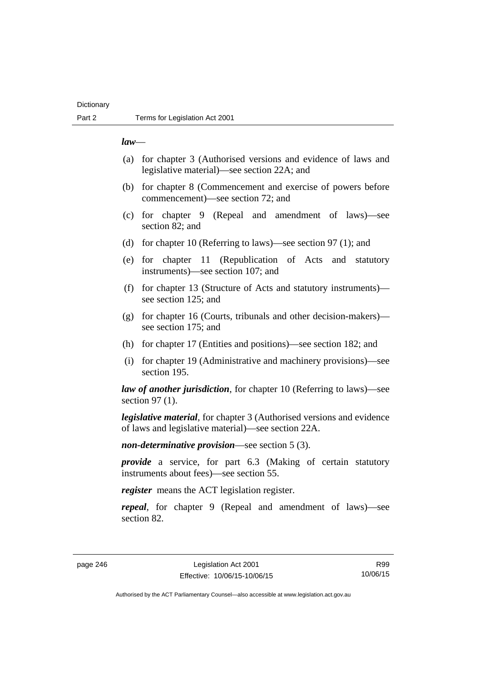# **Dictionary**

## *law*—

- (a) for chapter 3 (Authorised versions and evidence of laws and legislative material)—see section 22A; and
- (b) for chapter 8 (Commencement and exercise of powers before commencement)—see section 72; and
- (c) for chapter 9 (Repeal and amendment of laws)—see section 82; and
- (d) for chapter 10 (Referring to laws)—see section 97 (1); and
- (e) for chapter 11 (Republication of Acts and statutory instruments)—see section 107; and
- (f) for chapter 13 (Structure of Acts and statutory instruments) see section 125; and
- (g) for chapter 16 (Courts, tribunals and other decision-makers) see section 175; and
- (h) for chapter 17 (Entities and positions)—see section 182; and
- (i) for chapter 19 (Administrative and machinery provisions)—see section 195.

*law of another jurisdiction*, for chapter 10 (Referring to laws)—see section 97 (1).

*legislative material*, for chapter 3 (Authorised versions and evidence of laws and legislative material)—see section 22A.

*non-determinative provision*—see section 5 (3).

*provide* a service, for part 6.3 (Making of certain statutory instruments about fees)—see section 55.

*register* means the ACT legislation register.

*repeal*, for chapter 9 (Repeal and amendment of laws)—see section 82.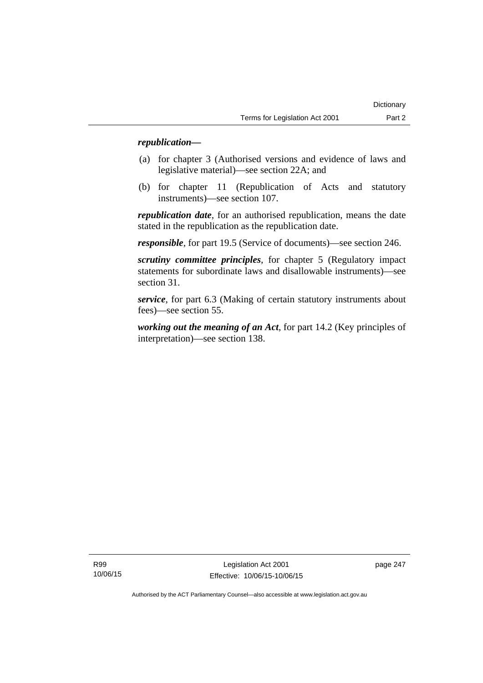# *republication—*

- (a) for chapter 3 (Authorised versions and evidence of laws and legislative material)—see section 22A; and
- (b) for chapter 11 (Republication of Acts and statutory instruments)—see section 107.

*republication date*, for an authorised republication, means the date stated in the republication as the republication date.

*responsible*, for part 19.5 (Service of documents)—see section 246.

*scrutiny committee principles*, for chapter 5 (Regulatory impact statements for subordinate laws and disallowable instruments)—see section 31.

*service*, for part 6.3 (Making of certain statutory instruments about fees)—see section 55.

*working out the meaning of an Act*, for part 14.2 (Key principles of interpretation)—see section 138.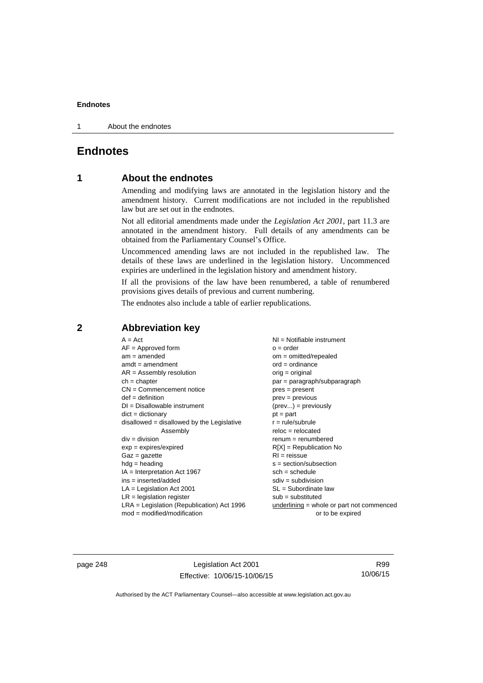1 About the endnotes

# **Endnotes**

# **1 About the endnotes**

Amending and modifying laws are annotated in the legislation history and the amendment history. Current modifications are not included in the republished law but are set out in the endnotes.

Not all editorial amendments made under the *Legislation Act 2001*, part 11.3 are annotated in the amendment history. Full details of any amendments can be obtained from the Parliamentary Counsel's Office.

Uncommenced amending laws are not included in the republished law. The details of these laws are underlined in the legislation history. Uncommenced expiries are underlined in the legislation history and amendment history.

If all the provisions of the law have been renumbered, a table of renumbered provisions gives details of previous and current numbering.

The endnotes also include a table of earlier republications.

# **2 Abbreviation key**

page 248 Legislation Act 2001 Effective: 10/06/15-10/06/15

R99 10/06/15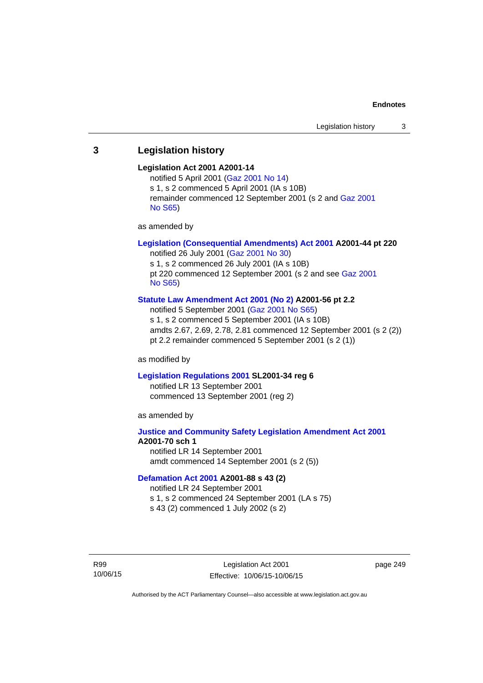# **3 Legislation history**

#### **Legislation Act 2001 A2001-14**

notified 5 April 2001 ([Gaz 2001 No 14](http://www.legislation.act.gov.au/gaz/2001-14/default.asp)) s 1, s 2 commenced 5 April 2001 (IA s 10B) remainder commenced 12 September 2001 (s 2 and [Gaz 2001](http://www.legislation.act.gov.au/gaz/2001-S65/default.asp)  [No S65](http://www.legislation.act.gov.au/gaz/2001-S65/default.asp))

as amended by

# **[Legislation \(Consequential Amendments\) Act 2001](http://www.legislation.act.gov.au/a/2001-44) A2001-44 pt 220**

notified 26 July 2001 ([Gaz 2001 No 30\)](http://www.legislation.act.gov.au/gaz/2001-30/default.asp) s 1, s 2 commenced 26 July 2001 (IA s 10B) pt 220 commenced 12 September 2001 (s 2 and see [Gaz 2001](http://www.legislation.act.gov.au/gaz/2001-S65/default.asp)  [No S65](http://www.legislation.act.gov.au/gaz/2001-S65/default.asp))

#### **[Statute Law Amendment Act 2001 \(No 2\)](http://www.legislation.act.gov.au/a/2001-56) A2001-56 pt 2.2**

notified 5 September 2001 [\(Gaz 2001 No S65\)](http://www.legislation.act.gov.au/gaz/2001-S65/default.asp) s 1, s 2 commenced 5 September 2001 (IA s 10B) amdts 2.67, 2.69, 2.78, 2.81 commenced 12 September 2001 (s 2 (2)) pt 2.2 remainder commenced 5 September 2001 (s 2 (1))

as modified by

#### **[Legislation Regulations 2001](http://www.legislation.act.gov.au/sl/2001-34) SL2001-34 reg 6**

notified LR 13 September 2001 commenced 13 September 2001 (reg 2)

as amended by

# **[Justice and Community Safety Legislation Amendment Act 2001](http://www.legislation.act.gov.au/a/2001-70) A2001-70 sch 1**  notified LR 14 September 2001

amdt commenced 14 September 2001 (s 2 (5))

### **[Defamation Act 2001](http://www.legislation.act.gov.au/a/2001-88) A2001-88 s 43 (2)**

notified LR 24 September 2001

s 1, s 2 commenced 24 September 2001 (LA s 75)

s 43 (2) commenced 1 July 2002 (s 2)

R99 10/06/15

Legislation Act 2001 Effective: 10/06/15-10/06/15 page 249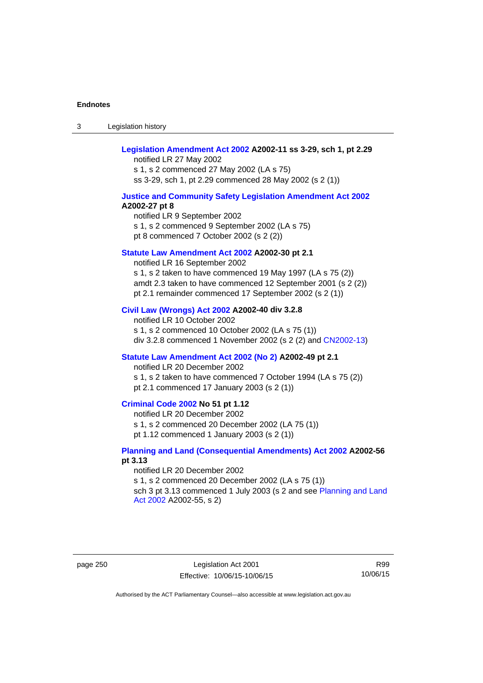3 Legislation history

# **[Legislation Amendment Act 2002](http://www.legislation.act.gov.au/a/2002-11) A2002-11 ss 3-29, sch 1, pt 2.29**

notified LR 27 May 2002 s 1, s 2 commenced 27 May 2002 (LA s 75) ss 3-29, sch 1, pt 2.29 commenced 28 May 2002 (s 2 (1))

### **[Justice and Community Safety Legislation Amendment Act 2002](http://www.legislation.act.gov.au/a/2002-27) A2002-27 pt 8**

notified LR 9 September 2002 s 1, s 2 commenced 9 September 2002 (LA s 75) pt 8 commenced 7 October 2002 (s 2 (2))

#### **[Statute Law Amendment Act 2002](http://www.legislation.act.gov.au/a/2002-30) A2002-30 pt 2.1**

notified LR 16 September 2002 s 1, s 2 taken to have commenced 19 May 1997 (LA s 75 (2)) amdt 2.3 taken to have commenced 12 September 2001 (s 2 (2)) pt 2.1 remainder commenced 17 September 2002 (s 2 (1))

#### **[Civil Law \(Wrongs\) Act 2002](http://www.legislation.act.gov.au/a/2002-40) A2002-40 div 3.2.8**

notified LR 10 October 2002 s 1, s 2 commenced 10 October 2002 (LA s 75 (1)) div 3.2.8 commenced 1 November 2002 (s 2 (2) and [CN2002-13](http://www.legislation.act.gov.au/cn/2002-13/default.asp))

## **[Statute Law Amendment Act 2002 \(No 2\)](http://www.legislation.act.gov.au/a/2002-49) A2002-49 pt 2.1**

notified LR 20 December 2002 s 1, s 2 taken to have commenced 7 October 1994 (LA s 75 (2)) pt 2.1 commenced 17 January 2003 (s 2 (1))

#### **[Criminal Code 2002](http://www.legislation.act.gov.au/a/2002-51) No 51 pt 1.12**

notified LR 20 December 2002 s 1, s 2 commenced 20 December 2002 (LA 75 (1)) pt 1.12 commenced 1 January 2003 (s 2 (1))

## **[Planning and Land \(Consequential Amendments\) Act 2002](http://www.legislation.act.gov.au/a/2002-56) A2002-56 pt 3.13**

notified LR 20 December 2002 s 1, s 2 commenced 20 December 2002 (LA s 75 (1)) sch 3 pt 3.13 commenced 1 July 2003 (s 2 and see Planning and Land [Act 2002](http://www.legislation.act.gov.au/a/2002-55) A2002-55, s 2)

page 250 Legislation Act 2001 Effective: 10/06/15-10/06/15

R99 10/06/15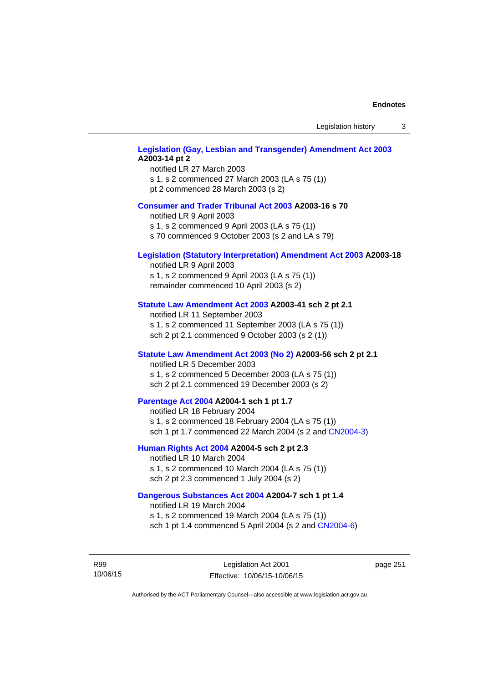Legislation history 3

# **[Legislation \(Gay, Lesbian and Transgender\) Amendment Act 2003](http://www.legislation.act.gov.au/a/2003-14) A2003-14 pt 2**

notified LR 27 March 2003 s 1, s 2 commenced 27 March 2003 (LA s 75 (1)) pt 2 commenced 28 March 2003 (s 2)

#### **[Consumer and Trader Tribunal Act 2003](http://www.legislation.act.gov.au/a/2003-16) A2003-16 s 70**

notified LR 9 April 2003

s 1, s 2 commenced 9 April 2003 (LA s 75 (1))

s 70 commenced 9 October 2003 (s 2 and LA s 79)

## **[Legislation \(Statutory Interpretation\) Amendment Act 2003](http://www.legislation.act.gov.au/a/2003-18) A2003-18**

notified LR 9 April 2003 s 1, s 2 commenced 9 April 2003 (LA s 75 (1)) remainder commenced 10 April 2003 (s 2)

#### **[Statute Law Amendment Act 2003](http://www.legislation.act.gov.au/a/2003-41) A2003-41 sch 2 pt 2.1**

notified LR 11 September 2003 s 1, s 2 commenced 11 September 2003 (LA s 75 (1)) sch 2 pt 2.1 commenced 9 October 2003 (s 2 (1))

## **[Statute Law Amendment Act 2003 \(No 2\)](http://www.legislation.act.gov.au/a/2003-56) A2003-56 sch 2 pt 2.1**

notified LR 5 December 2003 s 1, s 2 commenced 5 December 2003 (LA s 75 (1)) sch 2 pt 2.1 commenced 19 December 2003 (s 2)

# **[Parentage Act 2004](http://www.legislation.act.gov.au/a/2004-1) A2004-1 sch 1 pt 1.7**

notified LR 18 February 2004 s 1, s 2 commenced 18 February 2004 (LA s 75 (1)) sch 1 pt 1.7 commenced 22 March 2004 (s 2 and [CN2004-3\)](http://www.legislation.act.gov.au/cn/2004-3/default.asp)

## **[Human Rights Act 2004](http://www.legislation.act.gov.au/a/2004-5) A2004-5 sch 2 pt 2.3**

notified LR 10 March 2004 s 1, s 2 commenced 10 March 2004 (LA s 75 (1)) sch 2 pt 2.3 commenced 1 July 2004 (s 2)

### **[Dangerous Substances Act 2004](http://www.legislation.act.gov.au/a/2004-7) A2004-7 sch 1 pt 1.4**

notified LR 19 March 2004 s 1, s 2 commenced 19 March 2004 (LA s 75 (1)) sch 1 pt 1.4 commenced 5 April 2004 (s 2 and [CN2004-6](http://www.legislation.act.gov.au/cn/2004-6/default.asp))

R99 10/06/15 page 251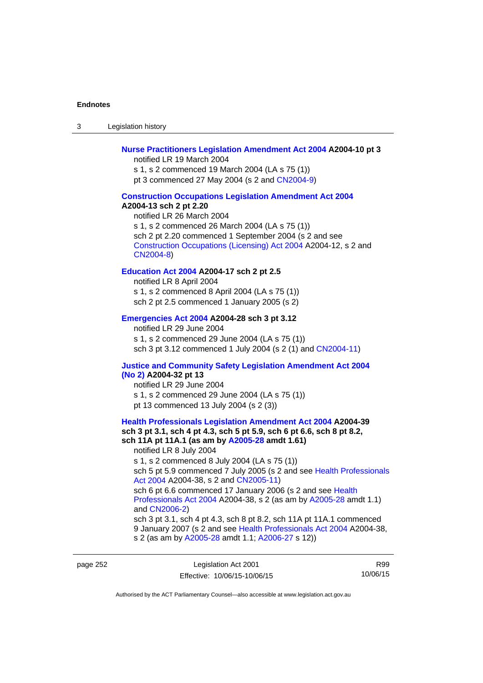3 Legislation history

## **[Nurse Practitioners Legislation Amendment Act 2004](http://www.legislation.act.gov.au/a/2004-10) A2004-10 pt 3**

notified LR 19 March 2004 s 1, s 2 commenced 19 March 2004 (LA s 75 (1)) pt 3 commenced 27 May 2004 (s 2 and [CN2004-9\)](http://www.legislation.act.gov.au/cn/2004-9/default.asp)

#### **[Construction Occupations Legislation Amendment Act 2004](http://www.legislation.act.gov.au/a/2004-13)**

#### **A2004-13 sch 2 pt 2.20**

notified LR 26 March 2004 s 1, s 2 commenced 26 March 2004 (LA s 75 (1)) sch 2 pt 2.20 commenced 1 September 2004 (s 2 and see [Construction Occupations \(Licensing\) Act 2004](http://www.legislation.act.gov.au/a/2004-12) A2004-12, s 2 and [CN2004-8\)](http://www.legislation.act.gov.au/cn/2004-8/default.asp)

# **[Education Act 2004](http://www.legislation.act.gov.au/a/2004-17) A2004-17 sch 2 pt 2.5**

notified LR 8 April 2004 s 1, s 2 commenced 8 April 2004 (LA s 75 (1)) sch 2 pt 2.5 commenced 1 January 2005 (s 2)

#### **[Emergencies Act 2004](http://www.legislation.act.gov.au/a/2004-28) A2004-28 sch 3 pt 3.12**

notified LR 29 June 2004 s 1, s 2 commenced 29 June 2004 (LA s 75 (1)) sch 3 pt 3.12 commenced 1 July 2004 (s 2 (1) and [CN2004-11](http://www.legislation.act.gov.au/cn/2004-11/default.asp))

# **[Justice and Community Safety Legislation Amendment Act 2004](http://www.legislation.act.gov.au/a/2004-32)**

# **[\(No 2\)](http://www.legislation.act.gov.au/a/2004-32) A2004-32 pt 13**

notified LR 29 June 2004 s 1, s 2 commenced 29 June 2004 (LA s 75 (1)) pt 13 commenced 13 July 2004 (s 2 (3))

# **[Health Professionals Legislation Amendment Act 2004](http://www.legislation.act.gov.au/a/2004-39) A2004-39 sch 3 pt 3.1, sch 4 pt 4.3, sch 5 pt 5.9, sch 6 pt 6.6, sch 8 pt 8.2, sch 11A pt 11A.1 (as am by [A2005-28](http://www.legislation.act.gov.au/a/2005-28) amdt 1.61)**  notified LR 8 July 2004 s 1, s 2 commenced 8 July 2004 (LA s 75 (1))

sch 5 pt 5.9 commenced 7 July 2005 (s 2 and see Health Professionals [Act 2004](http://www.legislation.act.gov.au/a/2004-38) A2004-38, s 2 and [CN2005-11\)](http://www.legislation.act.gov.au/cn/2005-11/default.asp)

sch 6 pt 6.6 commenced 17 January 2006 (s 2 and see Health [Professionals Act 2004](http://www.legislation.act.gov.au/a/2004-38) A2004-38, s 2 (as am by [A2005-28](http://www.legislation.act.gov.au/a/2005-28) amdt 1.1) and [CN2006-2](http://www.legislation.act.gov.au/cn/2006-2/default.asp))

sch 3 pt 3.1, sch 4 pt 4.3, sch 8 pt 8.2, sch 11A pt 11A.1 commenced 9 January 2007 (s 2 and see [Health Professionals Act 2004](http://www.legislation.act.gov.au/a/2004-38) A2004-38, s 2 (as am by [A2005-28](http://www.legislation.act.gov.au/a/2005-28) amdt 1.1; [A2006-27](http://www.legislation.act.gov.au/a/2006-27) s 12))

page 252 Legislation Act 2001 Effective: 10/06/15-10/06/15

R99 10/06/15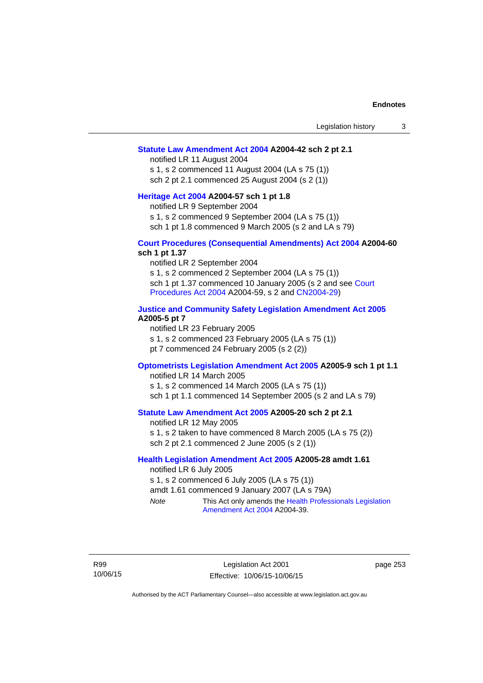#### **[Statute Law Amendment Act 2004](http://www.legislation.act.gov.au/a/2004-42) A2004-42 sch 2 pt 2.1**

notified LR 11 August 2004 s 1, s 2 commenced 11 August 2004 (LA s 75 (1)) sch 2 pt 2.1 commenced 25 August 2004 (s 2 (1))

#### **[Heritage Act 2004](http://www.legislation.act.gov.au/a/2004-57) A2004-57 sch 1 pt 1.8**

notified LR 9 September 2004

s 1, s 2 commenced 9 September 2004 (LA s 75 (1))

sch 1 pt 1.8 commenced 9 March 2005 (s 2 and LA s 79)

### **[Court Procedures \(Consequential Amendments\) Act 2004](http://www.legislation.act.gov.au/a/2004-60) A2004-60 sch 1 pt 1.37**

notified LR 2 September 2004 s 1, s 2 commenced 2 September 2004 (LA s 75 (1)) sch 1 pt 1.37 commenced 10 January 2005 (s 2 and see [Court](http://www.legislation.act.gov.au/a/2004-59)  [Procedures Act 2004](http://www.legislation.act.gov.au/a/2004-59) A2004-59, s 2 and [CN2004-29\)](http://www.legislation.act.gov.au/cn/2004-29/default.asp)

## **[Justice and Community Safety Legislation Amendment Act 2005](http://www.legislation.act.gov.au/a/2005-5) A2005-5 pt 7**

notified LR 23 February 2005 s 1, s 2 commenced 23 February 2005 (LA s 75 (1)) pt 7 commenced 24 February 2005 (s 2 (2))

#### **[Optometrists Legislation Amendment Act 2005](http://www.legislation.act.gov.au/a/2005-9) A2005-9 sch 1 pt 1.1**

notified LR 14 March 2005 s 1, s 2 commenced 14 March 2005 (LA s 75 (1)) sch 1 pt 1.1 commenced 14 September 2005 (s 2 and LA s 79)

## **[Statute Law Amendment Act 2005](http://www.legislation.act.gov.au/a/2005-20) A2005-20 sch 2 pt 2.1**

notified LR 12 May 2005 s 1, s 2 taken to have commenced 8 March 2005 (LA s 75 (2)) sch 2 pt 2.1 commenced 2 June 2005 (s 2 (1))

## **[Health Legislation Amendment Act 2005](http://www.legislation.act.gov.au/a/2005-28) A2005-28 amdt 1.61**

notified LR 6 July 2005 s 1, s 2 commenced 6 July 2005 (LA s 75 (1)) amdt 1.61 commenced 9 January 2007 (LA s 79A) *Note* This Act only amends the [Health Professionals Legislation](http://www.legislation.act.gov.au/a/2004-39)  [Amendment Act 2004](http://www.legislation.act.gov.au/a/2004-39) A2004-39.

R99 10/06/15 page 253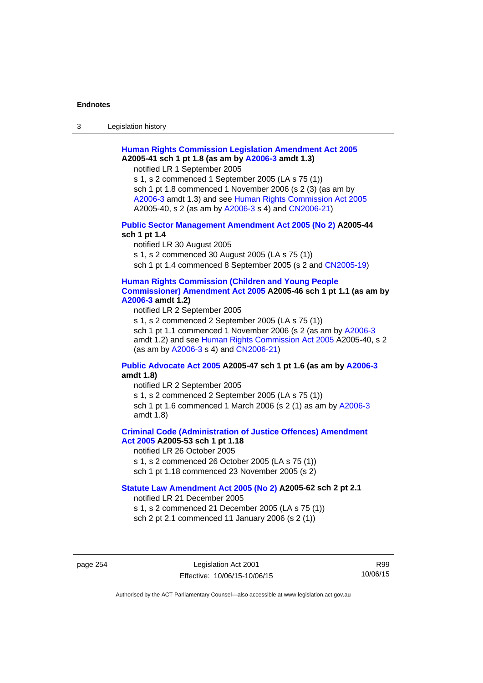3 Legislation history

# **[Human Rights Commission Legislation Amendment Act 2005](http://www.legislation.act.gov.au/a/2005-41) A2005-41 sch 1 pt 1.8 (as am by [A2006-3](http://www.legislation.act.gov.au/a/2006-3) amdt 1.3)**

notified LR 1 September 2005

s 1, s 2 commenced 1 September 2005 (LA s 75 (1)) sch 1 pt 1.8 commenced 1 November 2006 (s 2 (3) (as am by [A2006-3](http://www.legislation.act.gov.au/a/2006-3) amdt 1.3) and see [Human Rights Commission Act 2005](http://www.legislation.act.gov.au/a/2005-40) A2005-40, s 2 (as am by [A2006-3](http://www.legislation.act.gov.au/a/2006-3) s 4) and [CN2006-21](http://www.legislation.act.gov.au/cn/2006-21/default.asp))

## **[Public Sector Management Amendment Act 2005 \(No 2\)](http://www.legislation.act.gov.au/a/2005-44) A2005-44 sch 1 pt 1.4**

notified LR 30 August 2005 s 1, s 2 commenced 30 August 2005 (LA s 75 (1)) sch 1 pt 1.4 commenced 8 September 2005 (s 2 and [CN2005-19\)](http://www.legislation.act.gov.au/cn/2005-19/default.asp)

## **[Human Rights Commission \(Children and Young People](http://www.legislation.act.gov.au/a/2005-46)  [Commissioner\) Amendment Act 2005](http://www.legislation.act.gov.au/a/2005-46) A2005-46 sch 1 pt 1.1 (as am by [A2006-3](http://www.legislation.act.gov.au/a/2006-3) amdt 1.2)**

notified LR 2 September 2005

s 1, s 2 commenced 2 September 2005 (LA s 75 (1)) sch 1 pt 1.1 commenced 1 November 2006 (s 2 (as am by [A2006-3](http://www.legislation.act.gov.au/a/2006-3) amdt 1.2) and see [Human Rights Commission Act 2005](http://www.legislation.act.gov.au/a/2005-40) A2005-40, s 2 (as am by [A2006-3](http://www.legislation.act.gov.au/a/2006-3) s 4) and [CN2006-21](http://www.legislation.act.gov.au/cn/2006-21/default.asp))

## **[Public Advocate Act 2005](http://www.legislation.act.gov.au/a/2005-47) A2005-47 sch 1 pt 1.6 (as am by [A2006-3](http://www.legislation.act.gov.au/a/2006-3) amdt 1.8)**

notified LR 2 September 2005

s 1, s 2 commenced 2 September 2005 (LA s 75 (1)) sch 1 pt 1.6 commenced 1 March 2006 (s 2 (1) as am by [A2006-3](http://www.legislation.act.gov.au/a/2006-3) amdt 1.8)

## **[Criminal Code \(Administration of Justice Offences\) Amendment](http://www.legislation.act.gov.au/a/2005-53)**

**[Act 2005](http://www.legislation.act.gov.au/a/2005-53) A2005-53 sch 1 pt 1.18** 

notified LR 26 October 2005

s 1, s 2 commenced 26 October 2005 (LA s 75 (1))

sch 1 pt 1.18 commenced 23 November 2005 (s 2)

# **[Statute Law Amendment Act 2005 \(No 2\)](http://www.legislation.act.gov.au/a/2005-62) A2005-62 sch 2 pt 2.1**

notified LR 21 December 2005

s 1, s 2 commenced 21 December 2005 (LA s 75 (1)) sch 2 pt 2.1 commenced 11 January 2006 (s 2 (1))

page 254 Legislation Act 2001 Effective: 10/06/15-10/06/15

R99 10/06/15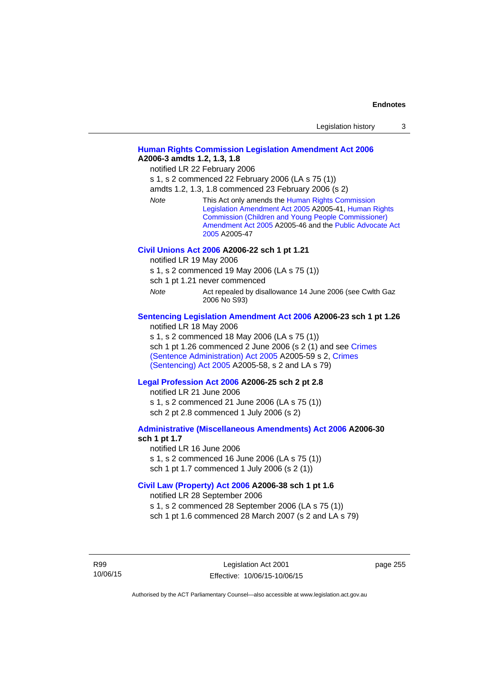| Legislation history |  |
|---------------------|--|
|---------------------|--|

## **[Human Rights Commission Legislation Amendment Act 2006](http://www.legislation.act.gov.au/a/2006-3) A2006-3 amdts 1.2, 1.3, 1.8**

notified LR 22 February 2006

s 1, s 2 commenced 22 February 2006 (LA s 75 (1))

amdts 1.2, 1.3, 1.8 commenced 23 February 2006 (s 2)

*Note* This Act only amends the [Human Rights Commission](http://www.legislation.act.gov.au/a/2005-41)  [Legislation Amendment Act 2005](http://www.legislation.act.gov.au/a/2005-41) A2005-41, [Human Rights](http://www.legislation.act.gov.au/a/2005-46)  [Commission \(Children and Young People Commissioner\)](http://www.legislation.act.gov.au/a/2005-46)  [Amendment Act 2005](http://www.legislation.act.gov.au/a/2005-46) A2005-46 and the [Public Advocate Act](http://www.legislation.act.gov.au/a/2005-47)  [2005](http://www.legislation.act.gov.au/a/2005-47) A2005-47

#### **[Civil Unions Act 2006](http://www.legislation.act.gov.au/a/2006-22) A2006-22 sch 1 pt 1.21**

notified LR 19 May 2006

s 1, s 2 commenced 19 May 2006 (LA s 75 (1))

sch 1 pt 1.21 never commenced

*Note* **Act repealed by disallowance 14 June 2006 (see Cwlth Gaz** 2006 No S93)

## **[Sentencing Legislation Amendment Act 2006](http://www.legislation.act.gov.au/a/2006-23) A2006-23 sch 1 pt 1.26**

notified LR 18 May 2006

s 1, s 2 commenced 18 May 2006 (LA s 75 (1)) sch 1 pt 1.26 commenced 2 June 2006 (s 2 (1) and see [Crimes](http://www.legislation.act.gov.au/a/2005-59)  [\(Sentence Administration\) Act 2005](http://www.legislation.act.gov.au/a/2005-59) A2005-59 s 2, [Crimes](http://www.legislation.act.gov.au/a/2005-58)  [\(Sentencing\) Act 2005](http://www.legislation.act.gov.au/a/2005-58) A2005-58, s 2 and LA s 79)

#### **[Legal Profession Act 2006](http://www.legislation.act.gov.au/a/2006-25) A2006-25 sch 2 pt 2.8**

notified LR 21 June 2006 s 1, s 2 commenced 21 June 2006 (LA s 75 (1)) sch 2 pt 2.8 commenced 1 July 2006 (s 2)

#### **[Administrative \(Miscellaneous Amendments\) Act 2006](http://www.legislation.act.gov.au/a/2006-30) A2006-30 sch 1 pt 1.7**

notified LR 16 June 2006 s 1, s 2 commenced 16 June 2006 (LA s 75 (1)) sch 1 pt 1.7 commenced 1 July 2006 (s 2 (1))

## **[Civil Law \(Property\) Act 2006](http://www.legislation.act.gov.au/a/2006-38) A2006-38 sch 1 pt 1.6**

notified LR 28 September 2006

s 1, s 2 commenced 28 September 2006 (LA s 75 (1))

sch 1 pt 1.6 commenced 28 March 2007 (s 2 and LA s 79)

R99 10/06/15 page 255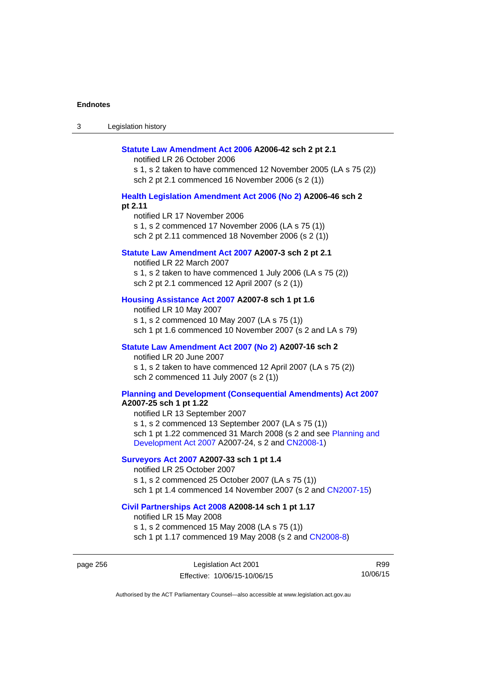| Legislation history<br>ు |
|--------------------------|
|--------------------------|

#### **[Statute Law Amendment Act 2006](http://www.legislation.act.gov.au/a/2006-42) A2006-42 sch 2 pt 2.1**

notified LR 26 October 2006

s 1, s 2 taken to have commenced 12 November 2005 (LA s 75 (2)) sch 2 pt 2.1 commenced 16 November 2006 (s 2 (1))

## **[Health Legislation Amendment Act 2006 \(No 2\)](http://www.legislation.act.gov.au/a/2006-46) A2006-46 sch 2 pt 2.11**

notified LR 17 November 2006 s 1, s 2 commenced 17 November 2006 (LA s 75 (1)) sch 2 pt 2.11 commenced 18 November 2006 (s 2 (1))

#### **[Statute Law Amendment Act 2007](http://www.legislation.act.gov.au/a/2007-3) A2007-3 sch 2 pt 2.1**

notified LR 22 March 2007 s 1, s 2 taken to have commenced 1 July 2006 (LA s 75 (2)) sch 2 pt 2.1 commenced 12 April 2007 (s 2 (1))

## **[Housing Assistance Act 2007](http://www.legislation.act.gov.au/a/2007-8) A2007-8 sch 1 pt 1.6**

notified LR 10 May 2007 s 1, s 2 commenced 10 May 2007 (LA s 75 (1)) sch 1 pt 1.6 commenced 10 November 2007 (s 2 and LA s 79)

### **[Statute Law Amendment Act 2007 \(No 2\)](http://www.legislation.act.gov.au/a/2007-16) A2007-16 sch 2**

notified LR 20 June 2007 s 1, s 2 taken to have commenced 12 April 2007 (LA s 75 (2)) sch 2 commenced 11 July 2007 (s 2 (1))

# **[Planning and Development \(Consequential Amendments\) Act 2007](http://www.legislation.act.gov.au/a/2007-25)**

**A2007-25 sch 1 pt 1.22** 

notified LR 13 September 2007 s 1, s 2 commenced 13 September 2007 (LA s 75 (1)) sch 1 pt 1.22 commenced 31 March 2008 (s 2 and see [Planning and](http://www.legislation.act.gov.au/a/2007-24)  [Development Act 2007](http://www.legislation.act.gov.au/a/2007-24) A2007-24, s 2 and [CN2008-1](http://www.legislation.act.gov.au/cn/2008-1/default.asp))

## **[Surveyors Act 2007](http://www.legislation.act.gov.au/a/2007-33) A2007-33 sch 1 pt 1.4**

notified LR 25 October 2007 s 1, s 2 commenced 25 October 2007 (LA s 75 (1)) sch 1 pt 1.4 commenced 14 November 2007 (s 2 and [CN2007-15\)](http://www.legislation.act.gov.au/cn/2007-15/default.asp)

#### **[Civil Partnerships Act 2008](http://www.legislation.act.gov.au/a/2008-14) A2008-14 sch 1 pt 1.17**

notified LR 15 May 2008

s 1, s 2 commenced 15 May 2008 (LA s 75 (1)) sch 1 pt 1.17 commenced 19 May 2008 (s 2 and [CN2008-8](http://www.legislation.act.gov.au/cn/2008-8/default.asp))

page 256 Legislation Act 2001 Effective: 10/06/15-10/06/15

R99 10/06/15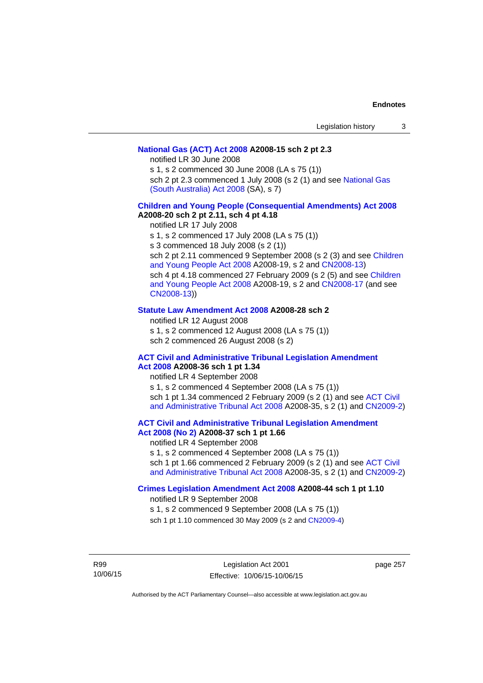## **[National Gas \(ACT\) Act 2008](http://www.legislation.act.gov.au/a/2008-15) A2008-15 sch 2 pt 2.3**

notified LR 30 June 2008

s 1, s 2 commenced 30 June 2008 (LA s 75 (1))

sch 2 pt 2.3 commenced 1 July 2008 (s 2 (1) and see [National Gas](http://www.legislation.sa.gov.au/LZ/C/A/NATIONAL GAS (SOUTH AUSTRALIA) ACT 2008.aspx)  [\(South Australia\) Act 2008](http://www.legislation.sa.gov.au/LZ/C/A/NATIONAL GAS (SOUTH AUSTRALIA) ACT 2008.aspx) (SA), s 7)

## **[Children and Young People \(Consequential Amendments\) Act 2008](http://www.legislation.act.gov.au/a/2008-20) A2008-20 sch 2 pt 2.11, sch 4 pt 4.18**

notified LR 17 July 2008

s 1, s 2 commenced 17 July 2008 (LA s 75 (1))

s 3 commenced 18 July 2008 (s 2 (1))

sch 2 pt 2.11 commenced 9 September 2008 (s 2 (3) and see [Children](http://www.legislation.act.gov.au/a/2008-19)  [and Young People Act 2008](http://www.legislation.act.gov.au/a/2008-19) A2008-19, s 2 and [CN2008-13](http://www.legislation.act.gov.au/cn/2008-13/default.asp)) sch 4 pt 4.18 commenced 27 February 2009 (s 2 (5) and see [Children](http://www.legislation.act.gov.au/a/2008-19)  [and Young People Act 2008](http://www.legislation.act.gov.au/a/2008-19) A2008-19, s 2 and [CN2008-17 \(](http://www.legislation.act.gov.au/cn/2008-17/default.asp)and see [CN2008-13](http://www.legislation.act.gov.au/cn/2008-13/default.asp)))

### **[Statute Law Amendment Act 2008](http://www.legislation.act.gov.au/a/2008-28) A2008-28 sch 2**

notified LR 12 August 2008 s 1, s 2 commenced 12 August 2008 (LA s 75 (1)) sch 2 commenced 26 August 2008 (s 2)

## **[ACT Civil and Administrative Tribunal Legislation Amendment](http://www.legislation.act.gov.au/a/2008-36)**

**[Act 2008](http://www.legislation.act.gov.au/a/2008-36) A2008-36 sch 1 pt 1.34**  notified LR 4 September 2008 s 1, s 2 commenced 4 September 2008 (LA s 75 (1)) sch 1 pt 1.34 commenced 2 February 2009 (s 2 (1) and see [ACT Civil](http://www.legislation.act.gov.au/a/2008-35)  [and Administrative Tribunal Act 2008](http://www.legislation.act.gov.au/a/2008-35) A2008-35, s 2 (1) and [CN2009-2](http://www.legislation.act.gov.au/cn/2009-2/default.asp))

# **[ACT Civil and Administrative Tribunal Legislation Amendment](http://www.legislation.act.gov.au/a/2008-37)**

**[Act 2008 \(No 2\)](http://www.legislation.act.gov.au/a/2008-37) A2008-37 sch 1 pt 1.66**  notified LR 4 September 2008

s 1, s 2 commenced 4 September 2008 (LA s 75 (1))

sch 1 pt 1.66 commenced 2 February 2009 (s 2 (1) and see [ACT Civil](http://www.legislation.act.gov.au/a/2008-35)  [and Administrative Tribunal Act 2008](http://www.legislation.act.gov.au/a/2008-35) A2008-35, s 2 (1) and [CN2009-2](http://www.legislation.act.gov.au/cn/2009-2/default.asp))

**[Crimes Legislation Amendment Act 2008](http://www.legislation.act.gov.au/a/2008-44) A2008-44 sch 1 pt 1.10** 

notified LR 9 September 2008

s 1, s 2 commenced 9 September 2008 (LA s 75 (1))

sch 1 pt 1.10 commenced 30 May 2009 (s 2 and [CN2009-4](http://www.legislation.act.gov.au/cn/2009-4/default.asp))

R99 10/06/15

Legislation Act 2001 Effective: 10/06/15-10/06/15 page 257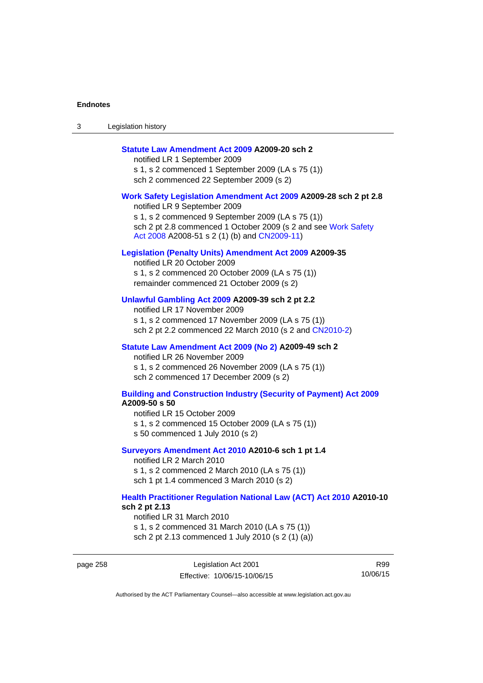| Legislation history<br>ు |
|--------------------------|
|--------------------------|

## **[Statute Law Amendment Act 2009](http://www.legislation.act.gov.au/a/2009-20) A2009-20 sch 2**

notified LR 1 September 2009 s 1, s 2 commenced 1 September 2009 (LA s 75 (1)) sch 2 commenced 22 September 2009 (s 2)

#### **[Work Safety Legislation Amendment Act 2009](http://www.legislation.act.gov.au/a/2009-28) A2009-28 sch 2 pt 2.8**

notified LR 9 September 2009 s 1, s 2 commenced 9 September 2009 (LA s 75 (1)) sch 2 pt 2.8 commenced 1 October 2009 (s 2 and see Work Safety [Act 2008](http://www.legislation.act.gov.au/a/2008-51) A2008-51 s 2 (1) (b) and [CN2009-11](http://www.legislation.act.gov.au/cn/2009-11/default.asp))

### **[Legislation \(Penalty Units\) Amendment Act 2009](http://www.legislation.act.gov.au/a/2009-35) A2009-35**

notified LR 20 October 2009 s 1, s 2 commenced 20 October 2009 (LA s 75 (1)) remainder commenced 21 October 2009 (s 2)

## **[Unlawful Gambling Act 2009](http://www.legislation.act.gov.au/a/2009-39) A2009-39 sch 2 pt 2.2**

notified LR 17 November 2009 s 1, s 2 commenced 17 November 2009 (LA s 75 (1)) sch 2 pt 2.2 commenced 22 March 2010 (s 2 and [CN2010-2\)](http://www.legislation.act.gov.au/cn/2010-2/default.asp)

#### **[Statute Law Amendment Act 2009 \(No 2\)](http://www.legislation.act.gov.au/a/2009-49) A2009-49 sch 2**

notified LR 26 November 2009 s 1, s 2 commenced 26 November 2009 (LA s 75 (1)) sch 2 commenced 17 December 2009 (s 2)

#### **[Building and Construction Industry \(Security of Payment\) Act 2009](http://www.legislation.act.gov.au/a/2009-50) A2009-50 s 50**

notified LR 15 October 2009 s 1, s 2 commenced 15 October 2009 (LA s 75 (1)) s 50 commenced 1 July 2010 (s 2)

#### **[Surveyors Amendment Act 2010](http://www.legislation.act.gov.au/a/2010-6) A2010-6 sch 1 pt 1.4**

notified LR 2 March 2010 s 1, s 2 commenced 2 March 2010 (LA s 75 (1)) sch 1 pt 1.4 commenced 3 March 2010 (s 2)

#### **[Health Practitioner Regulation National Law \(ACT\) Act 2010](http://www.legislation.act.gov.au/a/2010-10) A2010-10 sch 2 pt 2.13**

notified LR 31 March 2010 s 1, s 2 commenced 31 March 2010 (LA s 75 (1)) sch 2 pt 2.13 commenced 1 July 2010 (s 2 (1) (a))

page 258 Legislation Act 2001 Effective: 10/06/15-10/06/15

R99 10/06/15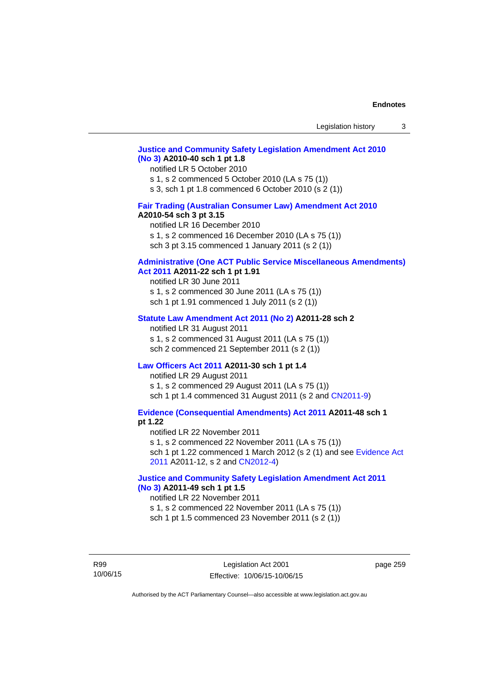## **[Justice and Community Safety Legislation Amendment Act 2010](http://www.legislation.act.gov.au/a/2010-40)  [\(No 3\)](http://www.legislation.act.gov.au/a/2010-40) A2010-40 sch 1 pt 1.8**

#### notified LR 5 October 2010

s 1, s 2 commenced 5 October 2010 (LA s 75 (1))

s 3, sch 1 pt 1.8 commenced 6 October 2010 (s 2 (1))

# **[Fair Trading \(Australian Consumer Law\) Amendment Act 2010](http://www.legislation.act.gov.au/a/2010-54)**

## **A2010-54 sch 3 pt 3.15**

notified LR 16 December 2010 s 1, s 2 commenced 16 December 2010 (LA s 75 (1)) sch 3 pt 3.15 commenced 1 January 2011 (s 2 (1))

# **[Administrative \(One ACT Public Service Miscellaneous Amendments\)](http://www.legislation.act.gov.au/a/2011-22)**

**[Act 2011](http://www.legislation.act.gov.au/a/2011-22) A2011-22 sch 1 pt 1.91**  notified LR 30 June 2011 s 1, s 2 commenced 30 June 2011 (LA s 75 (1))

sch 1 pt 1.91 commenced 1 July 2011 (s 2 (1))

#### **[Statute Law Amendment Act 2011 \(No 2\)](http://www.legislation.act.gov.au/a/2011-28) A2011-28 sch 2**

notified LR 31 August 2011 s 1, s 2 commenced 31 August 2011 (LA s 75 (1)) sch 2 commenced 21 September 2011 (s 2 (1))

## **[Law Officers Act 2011](http://www.legislation.act.gov.au/a/2011-30) A2011-30 sch 1 pt 1.4**

notified LR 29 August 2011 s 1, s 2 commenced 29 August 2011 (LA s 75 (1)) sch 1 pt 1.4 commenced 31 August 2011 (s 2 and [CN2011-9](http://www.legislation.act.gov.au/cn/2011-9/default.asp))

**[Evidence \(Consequential Amendments\) Act 2011](http://www.legislation.act.gov.au/a/2011-48) A2011-48 sch 1 pt 1.22** 

notified LR 22 November 2011 s 1, s 2 commenced 22 November 2011 (LA s 75 (1)) sch 1 pt 1.22 commenced 1 March 2012 (s 2 (1) and see [Evidence Act](http://www.legislation.act.gov.au/a/2011-12)  [2011](http://www.legislation.act.gov.au/a/2011-12) A2011-12, s 2 and [CN2012-4](http://www.legislation.act.gov.au/cn/2012-4/default.asp))

## **[Justice and Community Safety Legislation Amendment Act 2011](http://www.legislation.act.gov.au/a/2011-49)  [\(No 3\)](http://www.legislation.act.gov.au/a/2011-49) A2011-49 sch 1 pt 1.5**

#### notified LR 22 November 2011

s 1, s 2 commenced 22 November 2011 (LA s 75 (1)) sch 1 pt 1.5 commenced 23 November 2011 (s 2 (1))

R99 10/06/15 page 259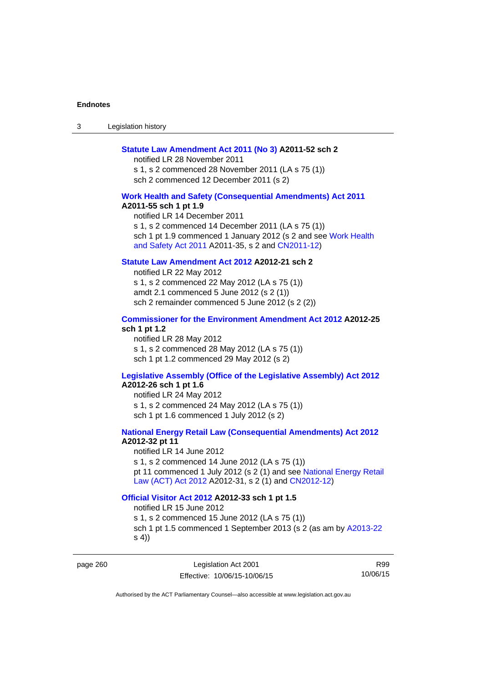3 Legislation history

#### **[Statute Law Amendment Act 2011 \(No 3\)](http://www.legislation.act.gov.au/a/2011-52) A2011-52 sch 2**

notified LR 28 November 2011 s 1, s 2 commenced 28 November 2011 (LA s 75 (1)) sch 2 commenced 12 December 2011 (s 2)

#### **[Work Health and Safety \(Consequential Amendments\) Act 2011](http://www.legislation.act.gov.au/a/2011-55)**

**A2011-55 sch 1 pt 1.9** 

notified LR 14 December 2011 s 1, s 2 commenced 14 December 2011 (LA s 75 (1)) sch 1 pt 1.9 commenced 1 January 2012 (s 2 and see Work Health [and Safety Act 2011](http://www.legislation.act.gov.au/a/2011-35) A2011-35, s 2 and [CN2011-12](http://www.legislation.act.gov.au/cn/2011-12/default.asp))

# **[Statute Law Amendment Act 2012](http://www.legislation.act.gov.au/a/2012-21) A2012-21 sch 2**

notified LR 22 May 2012 s 1, s 2 commenced 22 May 2012 (LA s 75 (1)) amdt 2.1 commenced 5 June 2012 (s 2 (1)) sch 2 remainder commenced 5 June 2012 (s 2 (2))

# **[Commissioner for the Environment Amendment Act 2012](http://www.legislation.act.gov.au/a/2012-25) A2012-25 sch 1 pt 1.2**

notified LR 28 May 2012 s 1, s 2 commenced 28 May 2012 (LA s 75 (1)) sch 1 pt 1.2 commenced 29 May 2012 (s 2)

# **[Legislative Assembly \(Office of the Legislative Assembly\) Act 2012](http://www.legislation.act.gov.au/a/2012-26)**

# **A2012-26 sch 1 pt 1.6**

notified LR 24 May 2012 s 1, s 2 commenced 24 May 2012 (LA s 75 (1)) sch 1 pt 1.6 commenced 1 July 2012 (s 2)

## **[National Energy Retail Law \(Consequential Amendments\) Act 2012](http://www.legislation.act.gov.au/a/2012-32) A2012-32 pt 11**

notified LR 14 June 2012 s 1, s 2 commenced 14 June 2012 (LA s 75 (1)) pt 11 commenced 1 July 2012 (s 2 (1) and see [National Energy Retail](http://www.legislation.act.gov.au/a/2012-31)  [Law \(ACT\) Act 2012](http://www.legislation.act.gov.au/a/2012-31) A2012-31, s 2 (1) and [CN2012-12](http://www.legislation.act.gov.au/cn/2012-12/default.asp))

### **[Official Visitor Act 2012](http://www.legislation.act.gov.au/a/2012-33) A2012-33 sch 1 pt 1.5**

notified LR 15 June 2012 s 1, s 2 commenced 15 June 2012 (LA s 75 (1)) sch 1 pt 1.5 commenced 1 September 2013 (s 2 (as am by [A2013-22](http://www.legislation.act.gov.au/a/2013-22) s 4))

page 260 Legislation Act 2001 Effective: 10/06/15-10/06/15

R99 10/06/15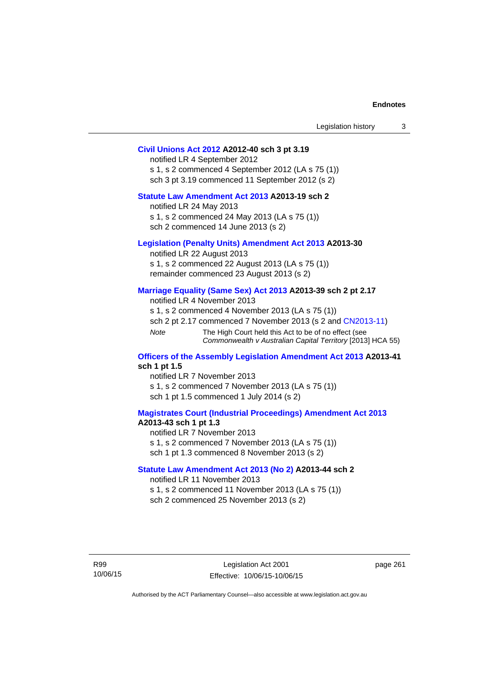| Legislation history |  |  |
|---------------------|--|--|
|---------------------|--|--|

# **[Civil Unions Act 2012](http://www.legislation.act.gov.au/a/2012-40) A2012-40 sch 3 pt 3.19**

notified LR 4 September 2012 s 1, s 2 commenced 4 September 2012 (LA s 75 (1)) sch 3 pt 3.19 commenced 11 September 2012 (s 2)

# **[Statute Law Amendment Act 2013](http://www.legislation.act.gov.au/a/2013-19) A2013-19 sch 2**

notified LR 24 May 2013 s 1, s 2 commenced 24 May 2013 (LA s 75 (1)) sch 2 commenced 14 June 2013 (s 2)

#### **[Legislation \(Penalty Units\) Amendment Act 2013](http://www.legislation.act.gov.au/a/2013-30) A2013-30**

notified LR 22 August 2013 s 1, s 2 commenced 22 August 2013 (LA s 75 (1)) remainder commenced 23 August 2013 (s 2)

#### **[Marriage Equality \(Same Sex\) Act 2013](http://www.legislation.act.gov.au/a/2013-39) A2013-39 sch 2 pt 2.17**

notified LR 4 November 2013 s 1, s 2 commenced 4 November 2013 (LA s 75 (1)) sch 2 pt 2.17 commenced 7 November 2013 (s 2 and [CN2013-11\)](http://www.legislation.act.gov.au/cn/2013-11) *Note* The High Court held this Act to be of no effect (see *Commonwealth v Australian Capital Territory* [2013] HCA 55)

#### **[Officers of the Assembly Legislation Amendment Act 2013](http://www.legislation.act.gov.au/a/2013-41) A2013-41 sch 1 pt 1.5**

notified LR 7 November 2013 s 1, s 2 commenced 7 November 2013 (LA s 75 (1)) sch 1 pt 1.5 commenced 1 July 2014 (s 2)

## **[Magistrates Court \(Industrial Proceedings\) Amendment Act 2013](http://www.legislation.act.gov.au/a/2013-43) A2013-43 sch 1 pt 1.3**

notified LR 7 November 2013 s 1, s 2 commenced 7 November 2013 (LA s 75 (1)) sch 1 pt 1.3 commenced 8 November 2013 (s 2)

#### **[Statute Law Amendment Act 2013 \(No 2\)](http://www.legislation.act.gov.au/a/2013-44) A2013-44 sch 2**  notified LR 11 November 2013

s 1, s 2 commenced 11 November 2013 (LA s 75 (1))

sch 2 commenced 25 November 2013 (s 2)

R99 10/06/15 page 261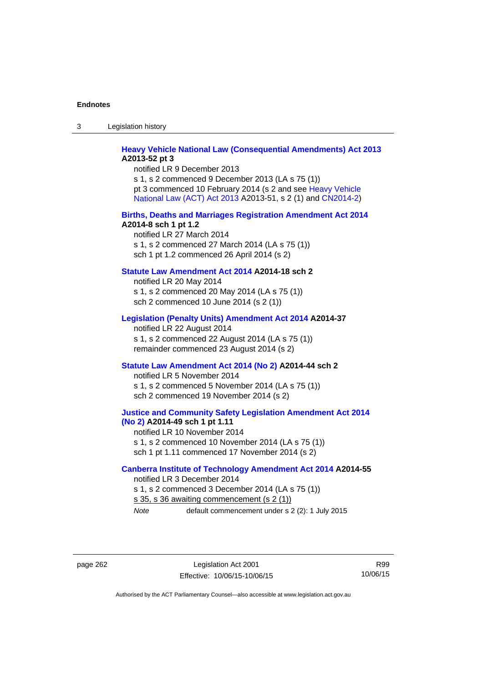3 Legislation history

# **[Heavy Vehicle National Law \(Consequential Amendments\) Act 2013](http://www.legislation.act.gov.au/a/2013-52) A2013-52 pt 3**

notified LR 9 December 2013 s 1, s 2 commenced 9 December 2013 (LA s 75 (1)) pt 3 commenced 10 February 2014 (s 2 and see [Heavy Vehicle](http://www.legislation.act.gov.au/a/2013-51/default.asp)  [National Law \(ACT\) Act 2013](http://www.legislation.act.gov.au/a/2013-51/default.asp) A2013-51, s 2 (1) and [CN2014-2](http://www.legislation.act.gov.au/cn/2014-2/default.asp))

#### **[Births, Deaths and Marriages Registration Amendment Act 2014](http://www.legislation.act.gov.au/a/2014-8) A2014-8 sch 1 pt 1.2**

notified LR 27 March 2014 s 1, s 2 commenced 27 March 2014 (LA s 75 (1)) sch 1 pt 1.2 commenced 26 April 2014 (s 2)

## **[Statute Law Amendment Act 2014](http://www.legislation.act.gov.au/a/2014-18) A2014-18 sch 2**

notified LR 20 May 2014 s 1, s 2 commenced 20 May 2014 (LA s 75 (1)) sch 2 commenced 10 June 2014 (s 2 (1))

## **[Legislation \(Penalty Units\) Amendment Act 2014](http://www.legislation.act.gov.au/a/2014-37) A2014-37**

notified LR 22 August 2014 s 1, s 2 commenced 22 August 2014 (LA s 75 (1)) remainder commenced 23 August 2014 (s 2)

#### **[Statute Law Amendment Act 2014 \(No 2\)](http://www.legislation.act.gov.au/a/2014-44) A2014-44 sch 2**

notified LR 5 November 2014 s 1, s 2 commenced 5 November 2014 (LA s 75 (1)) sch 2 commenced 19 November 2014 (s 2)

#### **[Justice and Community Safety Legislation Amendment Act 2014](http://www.legislation.act.gov.au/a/2014-49)  [\(No 2\)](http://www.legislation.act.gov.au/a/2014-49) A2014-49 sch 1 pt 1.11**

notified LR 10 November 2014 s 1, s 2 commenced 10 November 2014 (LA s 75 (1)) sch 1 pt 1.11 commenced 17 November 2014 (s 2)

#### **[Canberra Institute of Technology Amendment Act 2014](http://www.legislation.act.gov.au/a/2014-55/default.asp) A2014-55**  notified LR 3 December 2014

s 1, s 2 commenced 3 December 2014 (LA s 75 (1)) s 35, s 36 awaiting commencement (s 2 (1)) *Note* default commencement under s 2 (2): 1 July 2015

page 262 Legislation Act 2001 Effective: 10/06/15-10/06/15

R99 10/06/15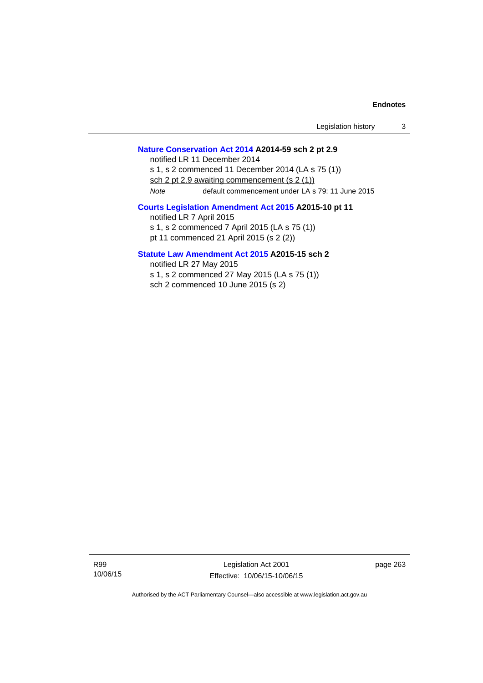## **[Nature Conservation Act 2014](http://www.legislation.act.gov.au/a/2014-59/default.asp) A2014-59 sch 2 pt 2.9**

notified LR 11 December 2014 s 1, s 2 commenced 11 December 2014 (LA s 75 (1)) sch 2 pt 2.9 awaiting commencement (s 2 (1)) *Note* default commencement under LA s 79: 11 June 2015

# **[Courts Legislation Amendment Act 2015](http://www.legislation.act.gov.au/a/2015-10) A2015-10 pt 11**

notified LR 7 April 2015 s 1, s 2 commenced 7 April 2015 (LA s 75 (1)) pt 11 commenced 21 April 2015 (s 2 (2))

# **[Statute Law Amendment Act 2015](http://www.legislation.act.gov.au/a/2015-15) A2015-15 sch 2**

notified LR 27 May 2015

s 1, s 2 commenced 27 May 2015 (LA s 75 (1)) sch 2 commenced 10 June 2015 (s 2)

R99 10/06/15

Legislation Act 2001 Effective: 10/06/15-10/06/15 page 263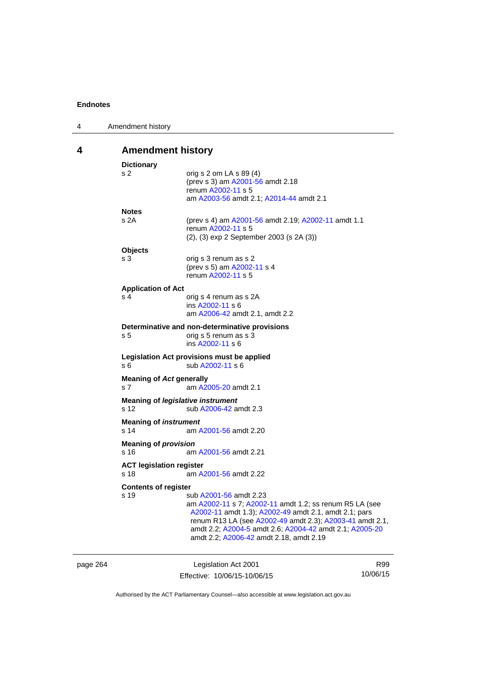| 4 | Amendment history                                |                                                                                                                                                                                                                                                                                                              |
|---|--------------------------------------------------|--------------------------------------------------------------------------------------------------------------------------------------------------------------------------------------------------------------------------------------------------------------------------------------------------------------|
| 4 | <b>Amendment history</b>                         |                                                                                                                                                                                                                                                                                                              |
|   | <b>Dictionary</b><br>s 2                         | orig s 2 om LA s 89 (4)<br>(prev s 3) am A2001-56 amdt 2.18<br>renum A2002-11 s 5<br>am A2003-56 amdt 2.1; A2014-44 amdt 2.1                                                                                                                                                                                 |
|   | <b>Notes</b><br>s 2A                             | (prev s 4) am A2001-56 amdt 2.19; A2002-11 amdt 1.1<br>renum A2002-11 s 5<br>$(2)$ , $(3)$ exp 2 September 2003 (s 2A $(3)$ )                                                                                                                                                                                |
|   | <b>Objects</b><br>s 3                            | orig s 3 renum as s 2<br>(prev s 5) am A2002-11 s 4<br>renum A2002-11 s 5                                                                                                                                                                                                                                    |
|   | <b>Application of Act</b><br>s 4                 | orig s 4 renum as s 2A<br>ins A2002-11 s 6<br>am A2006-42 amdt 2.1, amdt 2.2                                                                                                                                                                                                                                 |
|   | s 5                                              | Determinative and non-determinative provisions<br>orig s 5 renum as s 3<br>ins A2002-11 s 6                                                                                                                                                                                                                  |
|   | s 6                                              | Legislation Act provisions must be applied<br>sub A2002-11 s 6                                                                                                                                                                                                                                               |
|   | <b>Meaning of Act generally</b><br>s 7           | am A2005-20 amdt 2.1                                                                                                                                                                                                                                                                                         |
|   | <b>Meaning of legislative instrument</b><br>s 12 | sub A2006-42 amdt 2.3                                                                                                                                                                                                                                                                                        |
|   | <b>Meaning of instrument</b><br>s 14             | am A2001-56 amdt 2.20                                                                                                                                                                                                                                                                                        |
|   | <b>Meaning of provision</b><br>s 16              | am A2001-56 amdt 2.21                                                                                                                                                                                                                                                                                        |
|   | <b>ACT legislation register</b><br>s 18          | am A2001-56 amdt 2.22                                                                                                                                                                                                                                                                                        |
|   | <b>Contents of register</b><br>s 19              | sub A2001-56 amdt 2.23<br>am A2002-11 s 7; A2002-11 amdt 1.2; ss renum R5 LA (see<br>A2002-11 amdt 1.3); A2002-49 amdt 2.1, amdt 2.1; pars<br>renum R13 LA (see A2002-49 amdt 2.3); A2003-41 amdt 2.1,<br>amdt 2.2; A2004-5 amdt 2.6; A2004-42 amdt 2.1; A2005-20<br>amdt 2.2; A2006-42 amdt 2.18, amdt 2.19 |

page 264 Legislation Act 2001 Effective: 10/06/15-10/06/15 R99 10/06/15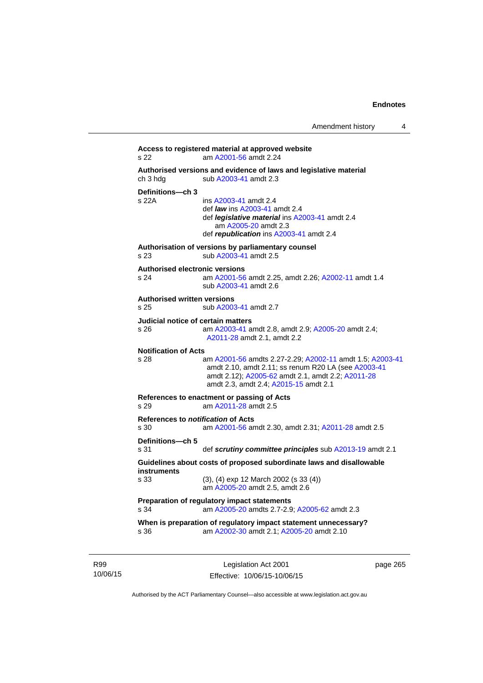```
Access to registered material at approved website 
s 22 am A2001-56 amdt 2.24
Authorised versions and evidence of laws and legislative material 
A2003-41 amdt 2.3
Definitions—ch 3 
                 A2003-41 amdt 2.4
                  def law ins A2003-41 amdt 2.4 
                  def legislative material ins A2003-41 amdt 2.4 
                     am A2005-20 amdt 2.3
                  def republication ins A2003-41 amdt 2.4
Authorisation of versions by parliamentary counsel 
s 23 sub A2003-41 amdt 2.5 
Authorised electronic versions 
s 24 am A2001-56 amdt 2.25, amdt 2.26; A2002-11 amdt 1.4
                  sub A2003-41 amdt 2.6 
Authorised written versions 
s 25 sub A2003-41 amdt 2.7 
Judicial notice of certain matters 
s 26 am A2003-41 amdt 2.8, amdt 2.9; A2005-20 amdt 2.4; 
                 A2011-28 amdt 2.1, amdt 2.2 
Notification of Acts 
s 28 am A2001-56 amdts 2.27-2.29; A2002-11 amdt 1.5; A2003-41
                 amdt 2.10, amdt 2.11; ss renum R20 LA (see A2003-41
                 amdt 2.12); A2005-62 amdt 2.1, amdt 2.2; A2011-28
                 amdt 2.3, amdt 2.4; A2015-15 amdt 2.1 
References to enactment or passing of Acts 
s 29 am A2011-28 amdt 2.5
References to notification of Acts 
s 30 am A2001-56 amdt 2.30, amdt 2.31; A2011-28 amdt 2.5
Definitions—ch 5 
s 31 def scrutiny committee principles sub A2013-19 amdt 2.1
Guidelines about costs of proposed subordinate laws and disallowable 
instruments 
s 33 (3), (4) exp 12 March 2002 (s 33 (4)) 
                  am A2005-20 amdt 2.5, amdt 2.6 
Preparation of regulatory impact statements 
s 34 am A2005-20 amdts 2.7-2.9; A2005-62 amdt 2.3 
When is preparation of regulatory impact statement unnecessary? 
s 36 am A2002-30 amdt 2.1; A2005-20 amdt 2.10
```
R99 10/06/15

Legislation Act 2001 Effective: 10/06/15-10/06/15 page 265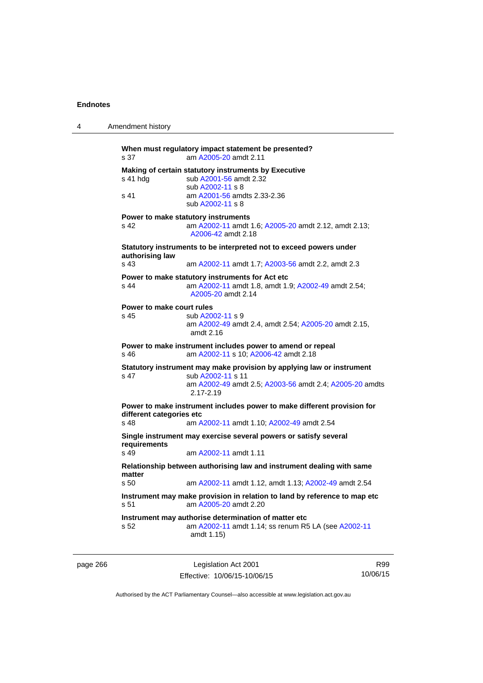| 4        | Amendment history                 |                                                                                                                                                                        |     |
|----------|-----------------------------------|------------------------------------------------------------------------------------------------------------------------------------------------------------------------|-----|
|          | s 37                              | When must regulatory impact statement be presented?<br>am A2005-20 amdt 2.11                                                                                           |     |
|          | s 41 hdg                          | Making of certain statutory instruments by Executive<br>sub A2001-56 amdt 2.32<br>sub A2002-11 s 8                                                                     |     |
|          | s 41                              | am A2001-56 amdts 2.33-2.36<br>sub A2002-11 s 8                                                                                                                        |     |
|          | s 42                              | Power to make statutory instruments<br>am A2002-11 amdt 1.6; A2005-20 amdt 2.12, amdt 2.13;<br>A2006-42 amdt 2.18                                                      |     |
|          | authorising law                   | Statutory instruments to be interpreted not to exceed powers under                                                                                                     |     |
|          | s 43                              | am A2002-11 amdt 1.7; A2003-56 amdt 2.2, amdt 2.3                                                                                                                      |     |
|          | s 44                              | Power to make statutory instruments for Act etc<br>am A2002-11 amdt 1.8, amdt 1.9; A2002-49 amdt 2.54;<br>A2005-20 amdt 2.14                                           |     |
|          | Power to make court rules<br>s 45 | sub A2002-11 s 9<br>am A2002-49 amdt 2.4, amdt 2.54; A2005-20 amdt 2.15,<br>amdt $2.16$                                                                                |     |
|          | s 46                              | Power to make instrument includes power to amend or repeal<br>am A2002-11 s 10; A2006-42 amdt 2.18                                                                     |     |
|          | s 47                              | Statutory instrument may make provision by applying law or instrument<br>sub A2002-11 s 11<br>am A2002-49 amdt 2.5; A2003-56 amdt 2.4; A2005-20 amdts<br>$2.17 - 2.19$ |     |
|          | different categories etc<br>s 48  | Power to make instrument includes power to make different provision for<br>am A2002-11 amdt 1.10; A2002-49 amdt 2.54                                                   |     |
|          | requirements                      | Single instrument may exercise several powers or satisfy several                                                                                                       |     |
|          | s 49                              | am A2002-11 amdt 1.11                                                                                                                                                  |     |
|          | matter                            | Relationship between authorising law and instrument dealing with same                                                                                                  |     |
|          | s 50                              | am A2002-11 amdt 1.12, amdt 1.13; A2002-49 amdt 2.54                                                                                                                   |     |
|          | s 51                              | Instrument may make provision in relation to land by reference to map etc<br>am A2005-20 amdt 2.20                                                                     |     |
|          | s 52                              | Instrument may authorise determination of matter etc<br>am A2002-11 amdt 1.14; ss renum R5 LA (see A2002-11<br>amdt 1.15)                                              |     |
| page 266 |                                   | Legislation Act 2001                                                                                                                                                   | R99 |

Authorised by the ACT Parliamentary Counsel—also accessible at www.legislation.act.gov.au

10/06/15

Effective: 10/06/15-10/06/15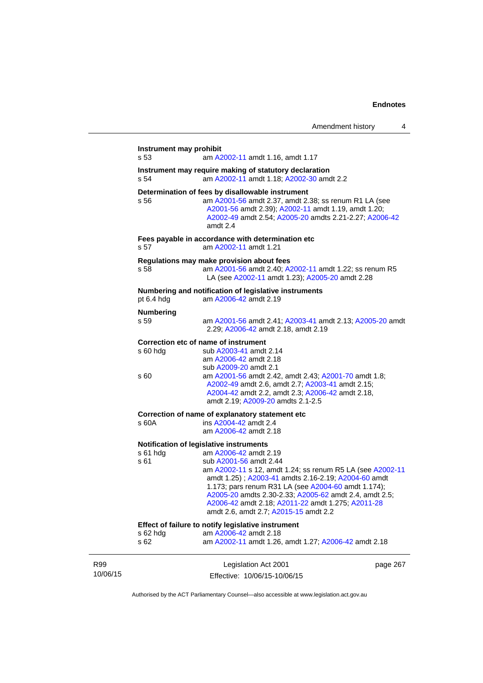|                 | Instrument may prohibit<br>s 53 | am A2002-11 amdt 1.16, amdt 1.17                                                                                                                                                                                                                                                                                                                                                                                              |          |
|-----------------|---------------------------------|-------------------------------------------------------------------------------------------------------------------------------------------------------------------------------------------------------------------------------------------------------------------------------------------------------------------------------------------------------------------------------------------------------------------------------|----------|
|                 | s 54                            | Instrument may require making of statutory declaration<br>am A2002-11 amdt 1.18; A2002-30 amdt 2.2                                                                                                                                                                                                                                                                                                                            |          |
|                 | s 56                            | Determination of fees by disallowable instrument<br>am A2001-56 amdt 2.37, amdt 2.38; ss renum R1 LA (see<br>A2001-56 amdt 2.39); A2002-11 amdt 1.19, amdt 1.20;<br>A2002-49 amdt 2.54; A2005-20 amdts 2.21-2.27; A2006-42<br>amdt 2.4                                                                                                                                                                                        |          |
|                 | s 57                            | Fees payable in accordance with determination etc<br>am A2002-11 amdt 1.21                                                                                                                                                                                                                                                                                                                                                    |          |
|                 | s 58                            | Regulations may make provision about fees<br>am A2001-56 amdt 2.40; A2002-11 amdt 1.22; ss renum R5<br>LA (see A2002-11 amdt 1.23); A2005-20 amdt 2.28                                                                                                                                                                                                                                                                        |          |
|                 | pt 6.4 hdg                      | Numbering and notification of legislative instruments<br>am A2006-42 amdt 2.19                                                                                                                                                                                                                                                                                                                                                |          |
|                 | <b>Numbering</b><br>s 59        | am A2001-56 amdt 2.41; A2003-41 amdt 2.13; A2005-20 amdt<br>2.29; A2006-42 amdt 2.18, amdt 2.19                                                                                                                                                                                                                                                                                                                               |          |
|                 | $s60h$ dg<br>s 60               | Correction etc of name of instrument<br>sub A2003-41 amdt 2.14<br>am A2006-42 amdt 2.18<br>sub A2009-20 amdt 2.1<br>am A2001-56 amdt 2.42, amdt 2.43; A2001-70 amdt 1.8;<br>A2002-49 amdt 2.6, amdt 2.7; A2003-41 amdt 2.15;<br>A2004-42 amdt 2.2, amdt 2.3; A2006-42 amdt 2.18,<br>amdt 2.19; A2009-20 amdts 2.1-2.5                                                                                                         |          |
|                 | s 60A                           | Correction of name of explanatory statement etc<br>ins A2004-42 amdt 2.4<br>am A2006-42 amdt 2.18                                                                                                                                                                                                                                                                                                                             |          |
|                 | s 61 hdg<br>s 61                | Notification of legislative instruments<br>am A2006-42 amdt 2.19<br>sub A2001-56 amdt 2.44<br>am A2002-11 s 12, amdt 1.24; ss renum R5 LA (see A2002-11<br>amdt 1.25); A2003-41 amdts 2.16-2.19; A2004-60 amdt<br>1.173; pars renum R31 LA (see A2004-60 amdt 1.174);<br>A2005-20 amdts 2.30-2.33; A2005-62 amdt 2.4, amdt 2.5;<br>A2006-42 amdt 2.18; A2011-22 amdt 1.275; A2011-28<br>amdt 2.6, amdt 2.7; A2015-15 amdt 2.2 |          |
|                 | s 62 hdg<br>s 62                | Effect of failure to notify legislative instrument<br>am A2006-42 amdt 2.18<br>am A2002-11 amdt 1.26, amdt 1.27; A2006-42 amdt 2.18                                                                                                                                                                                                                                                                                           |          |
| R99<br>10/06/15 |                                 | Legislation Act 2001<br>Effective: 10/06/15-10/06/15                                                                                                                                                                                                                                                                                                                                                                          | page 267 |

Authorised by the ACT Parliamentary Counsel—also accessible at www.legislation.act.gov.au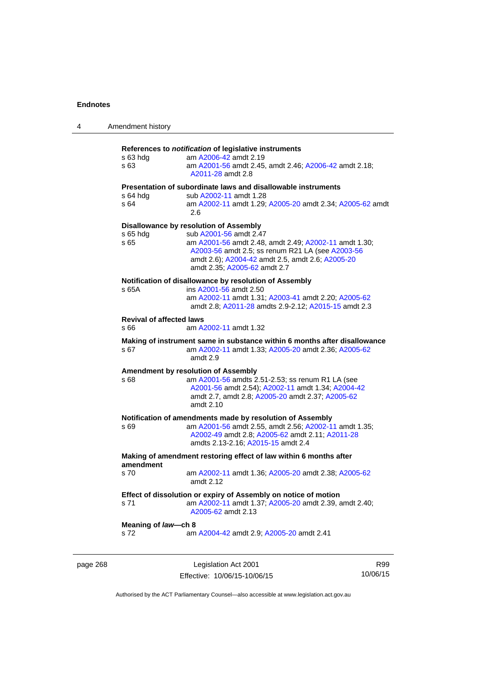| 4        | Amendment history                                                              |                                                                                                                                                                                                                                                                   |     |  |
|----------|--------------------------------------------------------------------------------|-------------------------------------------------------------------------------------------------------------------------------------------------------------------------------------------------------------------------------------------------------------------|-----|--|
|          | s 63 hdg<br>s 63                                                               | References to notification of legislative instruments<br>am A2006-42 amdt 2.19<br>am A2001-56 amdt 2.45, amdt 2.46; A2006-42 amdt 2.18;<br>A2011-28 amdt 2.8                                                                                                      |     |  |
|          | s 64 hdg<br>s 64                                                               | Presentation of subordinate laws and disallowable instruments<br>sub A2002-11 amdt 1.28<br>am A2002-11 amdt 1.29; A2005-20 amdt 2.34; A2005-62 amdt<br>2.6                                                                                                        |     |  |
|          | s 65 hdg<br>s 65                                                               | Disallowance by resolution of Assembly<br>sub A2001-56 amdt 2.47<br>am A2001-56 amdt 2.48, amdt 2.49; A2002-11 amdt 1.30;<br>A2003-56 amdt 2.5; ss renum R21 LA (see A2003-56<br>amdt 2.6), A2004-42 amdt 2.5, amdt 2.6; A2005-20<br>amdt 2.35; A2005-62 amdt 2.7 |     |  |
|          | s 65A                                                                          | Notification of disallowance by resolution of Assembly<br>ins A2001-56 amdt 2.50<br>am A2002-11 amdt 1.31; A2003-41 amdt 2.20; A2005-62<br>amdt 2.8; A2011-28 amdts 2.9-2.12; A2015-15 amdt 2.3                                                                   |     |  |
|          | <b>Revival of affected laws</b><br>s 66                                        | am A2002-11 amdt 1.32                                                                                                                                                                                                                                             |     |  |
|          | s 67                                                                           | Making of instrument same in substance within 6 months after disallowance<br>am A2002-11 amdt 1.33; A2005-20 amdt 2.36; A2005-62<br>amdt 2.9                                                                                                                      |     |  |
|          | s 68                                                                           | <b>Amendment by resolution of Assembly</b><br>am A2001-56 amdts 2.51-2.53; ss renum R1 LA (see<br>A2001-56 amdt 2.54); A2002-11 amdt 1.34; A2004-42<br>amdt 2.7, amdt 2.8; A2005-20 amdt 2.37; A2005-62<br>amdt 2.10                                              |     |  |
|          | s 69                                                                           | Notification of amendments made by resolution of Assembly<br>am A2001-56 amdt 2.55, amdt 2.56; A2002-11 amdt 1.35;<br>A2002-49 amdt 2.8; A2005-62 amdt 2.11; A2011-28<br>amdts 2.13-2.16; A2015-15 amdt 2.4                                                       |     |  |
|          | Making of amendment restoring effect of law within 6 months after<br>amendment |                                                                                                                                                                                                                                                                   |     |  |
|          | s 70                                                                           | am A2002-11 amdt 1.36; A2005-20 amdt 2.38; A2005-62<br>amdt 2.12                                                                                                                                                                                                  |     |  |
|          | s 71                                                                           | Effect of dissolution or expiry of Assembly on notice of motion<br>am A2002-11 amdt 1.37; A2005-20 amdt 2.39, amdt 2.40;<br>A2005-62 amdt 2.13                                                                                                                    |     |  |
|          | Meaning of law-ch 8<br>s 72                                                    | am A2004-42 amdt 2.9; A2005-20 amdt 2.41                                                                                                                                                                                                                          |     |  |
| page 268 |                                                                                | Legislation Act 2001                                                                                                                                                                                                                                              | R99 |  |

Authorised by the ACT Parliamentary Counsel—also accessible at www.legislation.act.gov.au

10/06/15

Effective: 10/06/15-10/06/15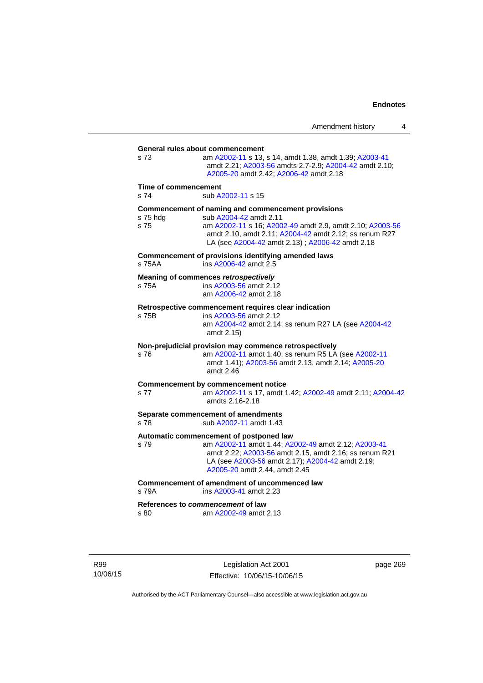**General rules about commencement**  s 73 am [A2002-11](http://www.legislation.act.gov.au/a/2002-11) s 13, s 14, amdt 1.38, amdt 1.39; [A2003-41](http://www.legislation.act.gov.au/a/2003-41) amdt 2.21; [A2003-56](http://www.legislation.act.gov.au/a/2003-56) amdts 2.7-2.9; [A2004-42](http://www.legislation.act.gov.au/a/2004-42) amdt 2.10; [A2005-20](http://www.legislation.act.gov.au/a/2005-20) amdt 2.42; [A2006-42](http://www.legislation.act.gov.au/a/2006-42) amdt 2.18 **Time of commencement**  s 74 sub [A2002-11](http://www.legislation.act.gov.au/a/2002-11) s 15 **Commencement of naming and commencement provisions**  s 75 hdg sub [A2004-42](http://www.legislation.act.gov.au/a/2004-42) amdt 2.11<br>s 75 straam A2002-11 s 16: A200 s 75 am [A2002-11](http://www.legislation.act.gov.au/a/2002-11) s 16; [A2002-49](http://www.legislation.act.gov.au/a/2002-49) amdt 2.9, amdt 2.10; [A2003-56](http://www.legislation.act.gov.au/a/2003-56) amdt 2.10, amdt 2.11; [A2004-42](http://www.legislation.act.gov.au/a/2004-42) amdt 2.12; ss renum R27 LA (see [A2004-42](http://www.legislation.act.gov.au/a/2004-42) amdt 2.13) ; [A2006-42](http://www.legislation.act.gov.au/a/2006-42) amdt 2.18 **Commencement of provisions identifying amended laws**  s 75AA ins [A2006-42](http://www.legislation.act.gov.au/a/2006-42) amdt 2.5 **Meaning of commences** *retrospectively*  s 75A ins [A2003-56](http://www.legislation.act.gov.au/a/2003-56) amdt 2.12 am [A2006-42](http://www.legislation.act.gov.au/a/2006-42) amdt 2.18 **Retrospective commencement requires clear indication**  s 75B ins [A2003-56](http://www.legislation.act.gov.au/a/2003-56) amdt 2.12 am [A2004-42](http://www.legislation.act.gov.au/a/2004-42) amdt 2.14; ss renum R27 LA (see [A2004-42](http://www.legislation.act.gov.au/a/2004-42) amdt 2.15) **Non-prejudicial provision may commence retrospectively**  s 76 am [A2002-11](http://www.legislation.act.gov.au/a/2002-11) amdt 1.40; ss renum R5 LA (see [A2002-11](http://www.legislation.act.gov.au/a/2002-11) amdt 1.41); [A2003-56](http://www.legislation.act.gov.au/a/2003-56) amdt 2.13, amdt 2.14; [A2005-20](http://www.legislation.act.gov.au/a/2005-20) amdt 2.46 **Commencement by commencement notice**  s 77 am [A2002-11](http://www.legislation.act.gov.au/a/2002-11) s 17, amdt 1.42; [A2002-49](http://www.legislation.act.gov.au/a/2002-49) amdt 2.11; [A2004-42](http://www.legislation.act.gov.au/a/2004-42) amdts 2.16-2.18 **Separate commencement of amendments**  s 78 sub [A2002-11](http://www.legislation.act.gov.au/a/2002-11) amdt 1.43 **Automatic commencement of postponed law**  s 79 am [A2002-11](http://www.legislation.act.gov.au/a/2002-11) amdt 1.44; [A2002-49](http://www.legislation.act.gov.au/a/2002-49) amdt 2.12; [A2003-41](http://www.legislation.act.gov.au/a/2003-41) amdt 2.22; [A2003-56](http://www.legislation.act.gov.au/a/2003-56) amdt 2.15, amdt 2.16; ss renum R21 LA (see [A2003-56](http://www.legislation.act.gov.au/a/2003-56) amdt 2.17); [A2004-42](http://www.legislation.act.gov.au/a/2004-42) amdt 2.19; [A2005-20](http://www.legislation.act.gov.au/a/2005-20) amdt 2.44, amdt 2.45 **Commencement of amendment of uncommenced law**  s 79A ins [A2003-41](http://www.legislation.act.gov.au/a/2003-41) amdt 2.23 **References to** *commencement* **of law**  s 80 am [A2002-49](http://www.legislation.act.gov.au/a/2002-49) amdt 2.13

R99 10/06/15

Legislation Act 2001 Effective: 10/06/15-10/06/15 page 269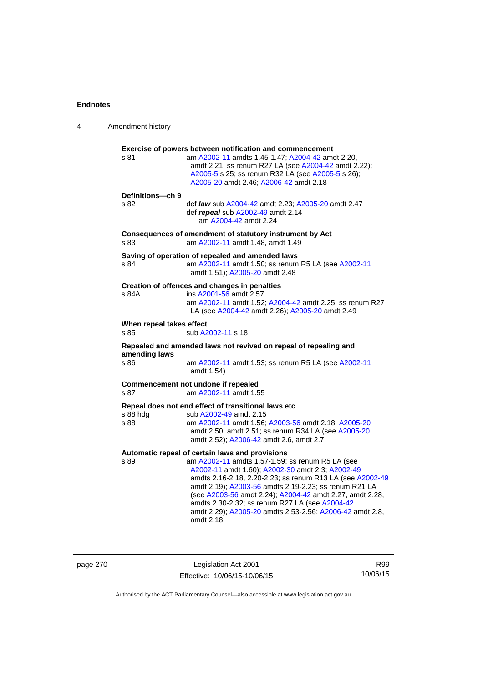| 4 | Amendment history                |                                                                                                                                                                                                                                                                                                                                                                                                                                                                      |
|---|----------------------------------|----------------------------------------------------------------------------------------------------------------------------------------------------------------------------------------------------------------------------------------------------------------------------------------------------------------------------------------------------------------------------------------------------------------------------------------------------------------------|
|   | s 81                             | <b>Exercise of powers between notification and commencement</b><br>am A2002-11 amdts 1.45-1.47; A2004-42 amdt 2.20,<br>amdt 2.21; ss renum R27 LA (see A2004-42 amdt 2.22);<br>A2005-5 s 25; ss renum R32 LA (see A2005-5 s 26);<br>A2005-20 amdt 2.46; A2006-42 amdt 2.18                                                                                                                                                                                           |
|   | Definitions-ch 9<br>s 82         | def law sub A2004-42 amdt 2.23; A2005-20 amdt 2.47<br>def repeal sub A2002-49 amdt 2.14<br>am A2004-42 amdt 2.24                                                                                                                                                                                                                                                                                                                                                     |
|   | s 83                             | Consequences of amendment of statutory instrument by Act<br>am A2002-11 amdt 1.48, amdt 1.49                                                                                                                                                                                                                                                                                                                                                                         |
|   | s 84                             | Saving of operation of repealed and amended laws<br>am A2002-11 amdt 1.50; ss renum R5 LA (see A2002-11<br>amdt 1.51); A2005-20 amdt 2.48                                                                                                                                                                                                                                                                                                                            |
|   | s 84A                            | Creation of offences and changes in penalties<br>ins A2001-56 amdt 2.57<br>am A2002-11 amdt 1.52; A2004-42 amdt 2.25; ss renum R27<br>LA (see A2004-42 amdt 2.26); A2005-20 amdt 2.49                                                                                                                                                                                                                                                                                |
|   | When repeal takes effect<br>s 85 | sub A2002-11 s 18                                                                                                                                                                                                                                                                                                                                                                                                                                                    |
|   |                                  | Repealed and amended laws not revived on repeal of repealing and                                                                                                                                                                                                                                                                                                                                                                                                     |
|   | amending laws<br>s 86            | am A2002-11 amdt 1.53; ss renum R5 LA (see A2002-11<br>amdt 1.54)                                                                                                                                                                                                                                                                                                                                                                                                    |
|   | s 87                             | Commencement not undone if repealed<br>am A2002-11 amdt 1.55                                                                                                                                                                                                                                                                                                                                                                                                         |
|   | s 88 hdg<br>s 88                 | Repeal does not end effect of transitional laws etc<br>sub A2002-49 amdt 2.15<br>am A2002-11 amdt 1.56; A2003-56 amdt 2.18; A2005-20<br>amdt 2.50, amdt 2.51; ss renum R34 LA (see A2005-20<br>amdt 2.52); A2006-42 amdt 2.6, amdt 2.7                                                                                                                                                                                                                               |
|   | s 89                             | Automatic repeal of certain laws and provisions<br>am A2002-11 amdts 1.57-1.59; ss renum R5 LA (see<br>A2002-11 amdt 1.60); A2002-30 amdt 2.3; A2002-49<br>amdts 2.16-2.18, 2.20-2.23; ss renum R13 LA (see A2002-49<br>amdt 2.19); A2003-56 amdts 2.19-2.23; ss renum R21 LA<br>(see A2003-56 amdt 2.24); A2004-42 amdt 2.27, amdt 2.28,<br>amdts 2.30-2.32; ss renum R27 LA (see A2004-42<br>amdt 2.29); A2005-20 amdts 2.53-2.56; A2006-42 amdt 2.8,<br>amdt 2.18 |

|  | page 270 |  |  |
|--|----------|--|--|
|--|----------|--|--|

page 270 Legislation Act 2001 Effective: 10/06/15-10/06/15

R99 10/06/15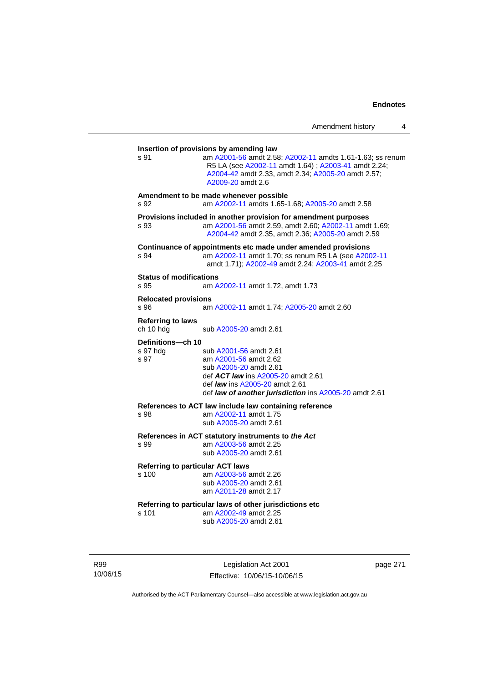| s 91                                   | am A2001-56 amdt 2.58; A2002-11 amdts 1.61-1.63; ss renum<br>R5 LA (see A2002-11 amdt 1.64); A2003-41 amdt 2.24;<br>A2004-42 amdt 2.33, amdt 2.34; A2005-20 amdt 2.57;<br>A2009-20 amdt 2.6                               |
|----------------------------------------|---------------------------------------------------------------------------------------------------------------------------------------------------------------------------------------------------------------------------|
| s 92                                   | Amendment to be made whenever possible<br>am A2002-11 amdts 1.65-1.68; A2005-20 amdt 2.58                                                                                                                                 |
| s 93                                   | Provisions included in another provision for amendment purposes<br>am A2001-56 amdt 2.59, amdt 2.60; A2002-11 amdt 1.69;<br>A2004-42 amdt 2.35, amdt 2.36; A2005-20 amdt 2.59                                             |
| s 94                                   | Continuance of appointments etc made under amended provisions<br>am A2002-11 amdt 1.70; ss renum R5 LA (see A2002-11<br>amdt 1.71); A2002-49 amdt 2.24; A2003-41 amdt 2.25                                                |
| <b>Status of modifications</b><br>s 95 | am A2002-11 amdt 1.72, amdt 1.73                                                                                                                                                                                          |
| <b>Relocated provisions</b><br>s 96    | am A2002-11 amdt 1.74; A2005-20 amdt 2.60                                                                                                                                                                                 |
| <b>Referring to laws</b><br>ch 10 hdg  | sub A2005-20 amdt 2.61                                                                                                                                                                                                    |
| Definitions-ch 10<br>s 97 hdg<br>s 97  | sub A2001-56 amdt 2.61<br>am A2001-56 amdt 2.62<br>sub A2005-20 amdt 2.61<br>def <b>ACT law</b> ins A2005-20 amdt 2.61<br>def <i>law</i> ins A2005-20 amdt 2.61<br>def law of another jurisdiction ins A2005-20 amdt 2.61 |
| s 98                                   | References to ACT law include law containing reference<br>am A2002-11 amdt 1.75<br>sub A2005-20 amdt 2.61                                                                                                                 |
| s 99                                   | References in ACT statutory instruments to the Act<br>am A2003-56 amdt 2.25<br>sub A2005-20 amdt 2.61                                                                                                                     |
| s 100                                  | <b>Referring to particular ACT laws</b><br>am A2003-56 amdt 2.26<br>sub A2005-20 amdt 2.61<br>am A2011-28 amdt 2.17                                                                                                       |
| s 101                                  | Referring to particular laws of other jurisdictions etc<br>am A2002-49 amdt 2.25<br>sub A2005-20 amdt 2.61                                                                                                                |

R99 10/06/15

Legislation Act 2001 Effective: 10/06/15-10/06/15 page 271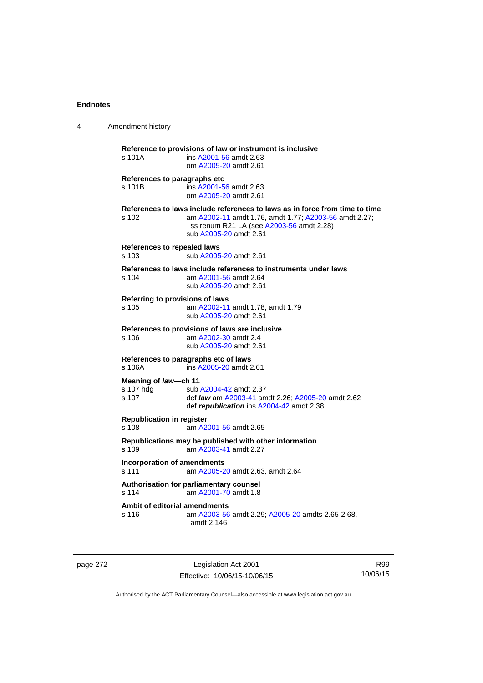| 4 | Amendment history                                                                                                                                                                                                   |
|---|---------------------------------------------------------------------------------------------------------------------------------------------------------------------------------------------------------------------|
|   | Reference to provisions of law or instrument is inclusive<br>s 101A<br>ins A2001-56 amdt 2.63<br>om A2005-20 amdt 2.61                                                                                              |
|   | References to paragraphs etc<br>s 101B<br>ins A2001-56 amdt 2.63<br>om A2005-20 amdt 2.61                                                                                                                           |
|   | References to laws include references to laws as in force from time to time<br>am A2002-11 amdt 1.76, amdt 1.77; A2003-56 amdt 2.27;<br>s 102<br>ss renum R21 LA (see A2003-56 amdt 2.28)<br>sub A2005-20 amdt 2.61 |
|   | References to repealed laws<br>sub A2005-20 amdt 2.61<br>$s$ 103                                                                                                                                                    |
|   | References to laws include references to instruments under laws<br>s 104<br>am A2001-56 amdt 2.64<br>sub A2005-20 amdt 2.61                                                                                         |
|   | Referring to provisions of laws<br>am A2002-11 amdt 1.78, amdt 1.79<br>s 105<br>sub A2005-20 amdt 2.61                                                                                                              |
|   | References to provisions of laws are inclusive<br>s 106<br>am A2002-30 amdt 2.4<br>sub A2005-20 amdt 2.61                                                                                                           |
|   | References to paragraphs etc of laws<br>ins A2005-20 amdt 2.61<br>s 106A                                                                                                                                            |
|   | Meaning of law-ch 11<br>s 107 hdg<br>sub A2004-42 amdt 2.37<br>s 107<br>def law am A2003-41 amdt 2.26; A2005-20 amdt 2.62<br>def republication ins A2004-42 amdt 2.38                                               |
|   | <b>Republication in register</b><br>s 108<br>am A2001-56 amdt 2.65                                                                                                                                                  |
|   | Republications may be published with other information<br>am A2003-41 amdt 2.27<br>s 109                                                                                                                            |
|   | <b>Incorporation of amendments</b><br>s 111<br>am A2005-20 amdt 2.63, amdt 2.64                                                                                                                                     |
|   | Authorisation for parliamentary counsel<br>am A2001-70 amdt 1.8<br>s 114                                                                                                                                            |
|   | <b>Ambit of editorial amendments</b><br>s 116<br>am A2003-56 amdt 2.29; A2005-20 amdts 2.65-2.68,<br>amdt 2.146                                                                                                     |

page 272 Legislation Act 2001 Effective: 10/06/15-10/06/15

R99 10/06/15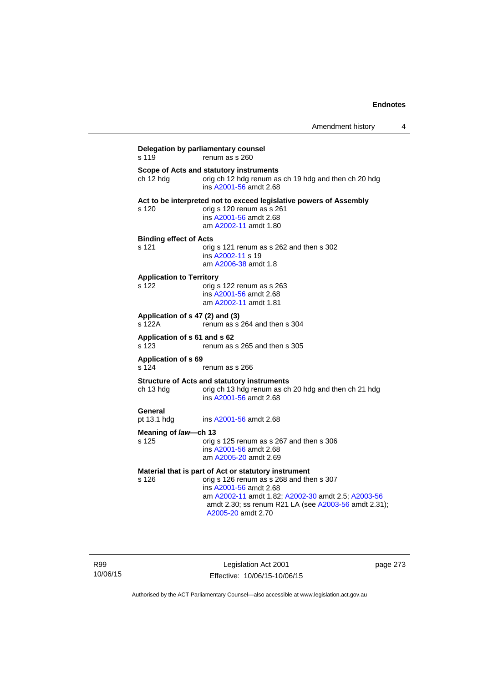| s 119                                     | renum as s 260                                                                                                                                                                                         |
|-------------------------------------------|--------------------------------------------------------------------------------------------------------------------------------------------------------------------------------------------------------|
| ch 12 hdg                                 | Scope of Acts and statutory instruments<br>orig ch 12 hdg renum as ch 19 hdg and then ch 20 hdg<br>ins A2001-56 amdt 2.68                                                                              |
| s 120                                     | Act to be interpreted not to exceed legislative powers of Assembly<br>orig s 120 renum as s 261<br>ins A2001-56 amdt 2.68<br>am A2002-11 amdt 1.80                                                     |
| <b>Binding effect of Acts</b><br>s 121    | orig s 121 renum as s 262 and then s 302<br>ins A2002-11 s 19<br>am A2006-38 amdt 1.8                                                                                                                  |
| <b>Application to Territory</b><br>s 122  | orig s 122 renum as s 263<br>ins A2001-56 amdt 2.68<br>am A2002-11 amdt 1.81                                                                                                                           |
| Application of s 47 (2) and (3)<br>s 122A | renum as s 264 and then s 304                                                                                                                                                                          |
| Application of s 61 and s 62<br>s 123     | renum as s 265 and then s 305                                                                                                                                                                          |
| Application of s 69<br>s 124              | renum as s 266                                                                                                                                                                                         |
| ch 13 hdg                                 | <b>Structure of Acts and statutory instruments</b><br>orig ch 13 hdg renum as ch 20 hdg and then ch 21 hdg<br>ins A2001-56 amdt 2.68                                                                   |
| General<br>pt 13.1 hdg                    | ins A2001-56 amdt 2.68                                                                                                                                                                                 |
| Meaning of law-ch 13                      |                                                                                                                                                                                                        |
| s 125                                     | orig s 125 renum as s 267 and then s 306<br>ins A2001-56 amdt 2.68<br>am A2005-20 amdt 2.69                                                                                                            |
|                                           | Material that is part of Act or statutory instrument                                                                                                                                                   |
| s 126                                     | orig s 126 renum as s 268 and then s 307<br>ins A2001-56 amdt 2.68<br>am A2002-11 amdt 1.82; A2002-30 amdt 2.5; A2003-56<br>amdt 2.30; ss renum R21 LA (see A2003-56 amdt 2.31);<br>A2005-20 amdt 2.70 |

Legislation Act 2001 Effective: 10/06/15-10/06/15 page 273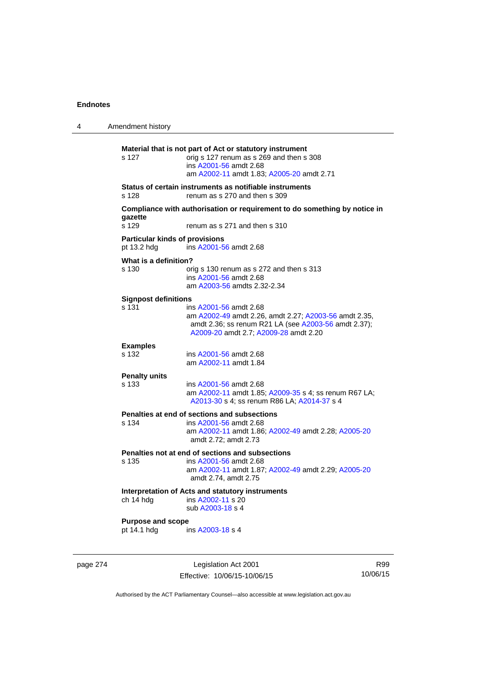| 4 | Amendment history                                    |                                                                                                                                                                                  |
|---|------------------------------------------------------|----------------------------------------------------------------------------------------------------------------------------------------------------------------------------------|
|   | s 127                                                | Material that is not part of Act or statutory instrument<br>orig s 127 renum as s 269 and then s 308<br>ins A2001-56 amdt 2.68<br>am A2002-11 amdt 1.83; A2005-20 amdt 2.71      |
|   | s 128                                                | Status of certain instruments as notifiable instruments<br>renum as s 270 and then s 309                                                                                         |
|   | gazette<br>s 129                                     | Compliance with authorisation or requirement to do something by notice in<br>renum as s 271 and then s 310                                                                       |
|   | <b>Particular kinds of provisions</b><br>pt 13.2 hdg | ins A2001-56 amdt 2.68                                                                                                                                                           |
|   | What is a definition?<br>s 130                       | orig s 130 renum as s 272 and then s 313<br>ins A2001-56 amdt 2.68<br>am A2003-56 amdts 2.32-2.34                                                                                |
|   | <b>Signpost definitions</b><br>s 131                 | ins A2001-56 amdt 2.68<br>am A2002-49 amdt 2.26, amdt 2.27; A2003-56 amdt 2.35,<br>amdt 2.36; ss renum R21 LA (see A2003-56 amdt 2.37);<br>A2009-20 amdt 2.7; A2009-28 amdt 2.20 |
|   | <b>Examples</b><br>s 132                             | ins A2001-56 amdt 2.68<br>am A2002-11 amdt 1.84                                                                                                                                  |
|   | <b>Penalty units</b><br>s 133                        | ins A2001-56 amdt 2.68<br>am A2002-11 amdt 1.85; A2009-35 s 4; ss renum R67 LA;<br>A2013-30 s 4; ss renum R86 LA; A2014-37 s 4                                                   |
|   | s 134                                                | Penalties at end of sections and subsections<br>ins A2001-56 amdt 2.68<br>am A2002-11 amdt 1.86; A2002-49 amdt 2.28; A2005-20<br>amdt 2.72; amdt 2.73                            |
|   | s 135                                                | Penalties not at end of sections and subsections<br>ins A2001-56 amdt 2.68<br>am A2002-11 amdt 1.87; A2002-49 amdt 2.29; A2005-20<br>amdt 2.74, amdt 2.75                        |
|   | ch 14 hdg                                            | Interpretation of Acts and statutory instruments<br>ins A2002-11 s 20<br>sub A2003-18 s 4                                                                                        |
|   | <b>Purpose and scope</b><br>pt 14.1 hdg              | ins A2003-18 s 4                                                                                                                                                                 |

page 274 Legislation Act 2001 Effective: 10/06/15-10/06/15

R99 10/06/15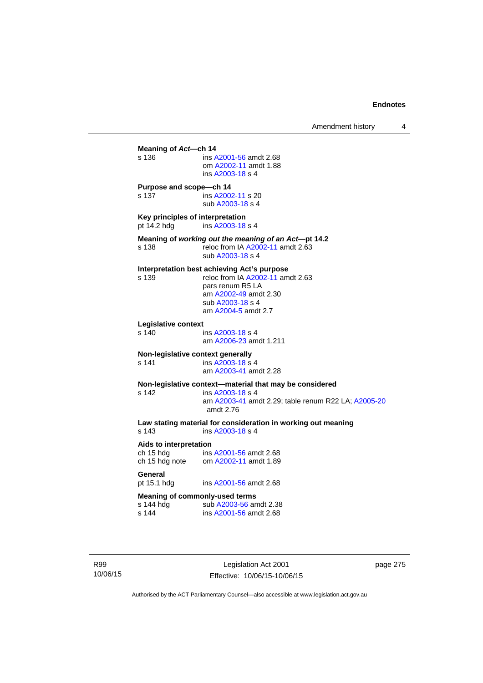**Meaning of** *Act***—ch 14**  s 136 ins [A2001-56](http://www.legislation.act.gov.au/a/2001-56) amdt 2.68 om [A2002-11](http://www.legislation.act.gov.au/a/2002-11) amdt 1.88 ins [A2003-18](http://www.legislation.act.gov.au/a/2003-18) s 4 **Purpose and scope—ch 14**  s 137 ins [A2002-11](http://www.legislation.act.gov.au/a/2002-11) s 20 sub [A2003-18](http://www.legislation.act.gov.au/a/2003-18) s 4 **Key principles of interpretation**<br>pt 14.2 hdg ins A2003-18 ins [A2003-18](http://www.legislation.act.gov.au/a/2003-18) s 4 **Meaning of** *working out the meaning of an Act***—pt 14.2**  s 138 reloc from IA [A2002-11](http://www.legislation.act.gov.au/a/2002-11) amdt 2.63 sub [A2003-18](http://www.legislation.act.gov.au/a/2003-18) s 4 **Interpretation best achieving Act's purpose**  s 139 reloc from IA [A2002-11](http://www.legislation.act.gov.au/a/2002-11) amdt 2.63 pars renum R5 LA am [A2002-49](http://www.legislation.act.gov.au/a/2002-49) amdt 2.30 sub [A2003-18](http://www.legislation.act.gov.au/a/2003-18) s 4 am [A2004-5](http://www.legislation.act.gov.au/a/2004-5) amdt 2.7 **Legislative context**  ins [A2003-18](http://www.legislation.act.gov.au/a/2003-18) s 4 am [A2006-23](http://www.legislation.act.gov.au/a/2006-23) amdt 1.211 **Non-legislative context generally**<br>s 141 **ins A2003-18 s** s 141 **ins [A2003-18](http://www.legislation.act.gov.au/a/2003-18) s** 4 am [A2003-41](http://www.legislation.act.gov.au/a/2003-41) amdt 2.28 **Non-legislative context—material that may be considered**  s 142 ins [A2003-18](http://www.legislation.act.gov.au/a/2003-18) s 4 am [A2003-41](http://www.legislation.act.gov.au/a/2003-41) amdt 2.29; table renum R22 LA; [A2005-20](http://www.legislation.act.gov.au/a/2005-20) amdt 2.76 **Law stating material for consideration in working out meaning**  ins [A2003-18](http://www.legislation.act.gov.au/a/2003-18) s 4 **Aids to interpretation**  ch 15 hdg ins [A2001-56](http://www.legislation.act.gov.au/a/2001-56) amdt 2.68 ch 15 hdg note om [A2002-11](http://www.legislation.act.gov.au/a/2002-11) amdt 1.89 General<br>pt 15.1 hdg ins [A2001-56](http://www.legislation.act.gov.au/a/2001-56) amdt 2.68 **Meaning of commonly-used terms**  s 144 hdg sub [A2003-56](http://www.legislation.act.gov.au/a/2003-56) amdt 2.38<br>s 144 ins A2001-56 amdt 2.68 ins [A2001-56](http://www.legislation.act.gov.au/a/2001-56) amdt 2.68

R99 10/06/15

Legislation Act 2001 Effective: 10/06/15-10/06/15 page 275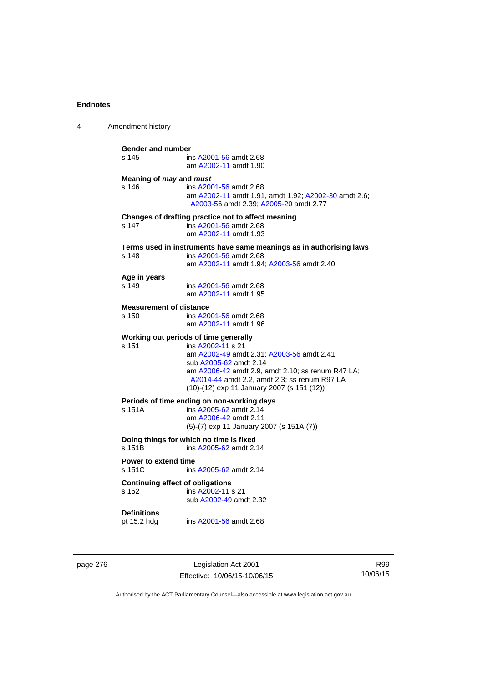| 4 | Amendment history                                                                                                                                                                                                                                                                             |
|---|-----------------------------------------------------------------------------------------------------------------------------------------------------------------------------------------------------------------------------------------------------------------------------------------------|
|   | Gender and number<br>s 145<br>ins A2001-56 amdt 2.68<br>am A2002-11 amdt 1.90                                                                                                                                                                                                                 |
|   | Meaning of <i>may</i> and <i>must</i><br>s 146<br>ins A2001-56 amdt 2.68<br>am A2002-11 amdt 1.91, amdt 1.92; A2002-30 amdt 2.6;<br>A2003-56 amdt 2.39; A2005-20 amdt 2.77                                                                                                                    |
|   | Changes of drafting practice not to affect meaning<br>s 147<br>ins A2001-56 amdt 2.68<br>am A2002-11 amdt 1.93                                                                                                                                                                                |
|   | Terms used in instruments have same meanings as in authorising laws<br>s 148<br>ins A2001-56 amdt 2.68<br>am A2002-11 amdt 1.94; A2003-56 amdt 2.40                                                                                                                                           |
|   | Age in years<br>s 149<br>ins A2001-56 amdt 2.68<br>am A2002-11 amdt 1.95                                                                                                                                                                                                                      |
|   | <b>Measurement of distance</b><br>s 150<br>ins A2001-56 amdt 2.68<br>am A2002-11 amdt 1.96                                                                                                                                                                                                    |
|   | Working out periods of time generally<br>s 151<br>ins A2002-11 s 21<br>am A2002-49 amdt 2.31; A2003-56 amdt 2.41<br>sub A2005-62 amdt 2.14<br>am A2006-42 amdt 2.9, amdt 2.10; ss renum R47 LA;<br>A2014-44 amdt 2.2, amdt 2.3; ss renum R97 LA<br>(10)-(12) exp 11 January 2007 (s 151 (12)) |
|   | Periods of time ending on non-working days<br>s 151A<br>ins A2005-62 amdt 2.14<br>am A2006-42 amdt 2.11<br>$(5)-(7)$ exp 11 January 2007 (s 151A $(7)$ )                                                                                                                                      |
|   | Doing things for which no time is fixed<br>s 151B<br>ins A2005-62 amdt 2.14                                                                                                                                                                                                                   |
|   | <b>Power to extend time</b><br>s 151C<br>ins A2005-62 amdt 2.14                                                                                                                                                                                                                               |
|   | <b>Continuing effect of obligations</b><br>s 152<br>ins A2002-11 s 21<br>sub A2002-49 amdt 2.32                                                                                                                                                                                               |
|   | <b>Definitions</b><br>pt 15.2 hdg<br>ins A2001-56 amdt 2.68                                                                                                                                                                                                                                   |
|   |                                                                                                                                                                                                                                                                                               |

page 276 **Legislation Act 2001** Effective: 10/06/15-10/06/15

R99 10/06/15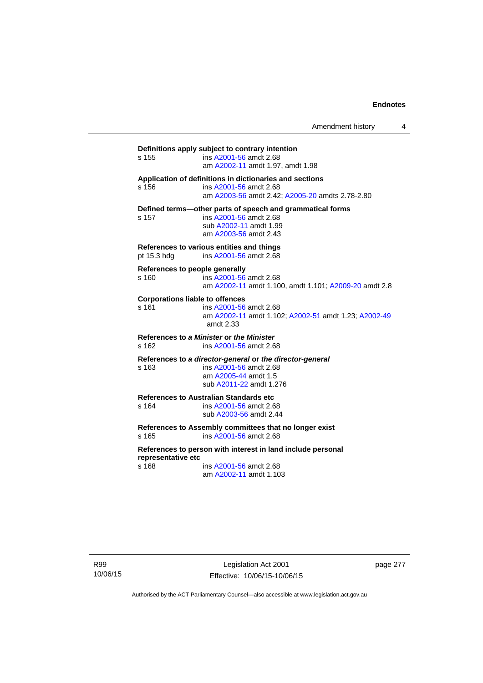Amendment history 4

**Definitions apply subject to contrary intention**  s 155 ins [A2001-56](http://www.legislation.act.gov.au/a/2001-56) amdt 2.68 am [A2002-11](http://www.legislation.act.gov.au/a/2002-11) amdt 1.97, amdt 1.98 **Application of definitions in dictionaries and sections**  s 156 ins [A2001-56](http://www.legislation.act.gov.au/a/2001-56) amdt 2.68 am [A2003-56](http://www.legislation.act.gov.au/a/2003-56) amdt 2.42; [A2005-20](http://www.legislation.act.gov.au/a/2005-20) amdts 2.78-2.80 **Defined terms—other parts of speech and grammatical forms**  s 157 ins [A2001-56](http://www.legislation.act.gov.au/a/2001-56) amdt 2.68 sub [A2002-11](http://www.legislation.act.gov.au/a/2002-11) amdt 1.99 am [A2003-56](http://www.legislation.act.gov.au/a/2003-56) amdt 2.43 **References to various entities and things**  pt 15.3 hdg ins [A2001-56](http://www.legislation.act.gov.au/a/2001-56) amdt 2.68 **References to people generally**  s 160 ins [A2001-56](http://www.legislation.act.gov.au/a/2001-56) amdt 2.68 am [A2002-11](http://www.legislation.act.gov.au/a/2002-11) amdt 1.100, amdt 1.101; [A2009-20](http://www.legislation.act.gov.au/a/2009-20) amdt 2.8 **Corporations liable to offences**  s 161 ins [A2001-56](http://www.legislation.act.gov.au/a/2001-56) amdt 2.68 am [A2002-11](http://www.legislation.act.gov.au/a/2002-11) amdt 1.102; [A2002-51](http://www.legislation.act.gov.au/a/2002-51) amdt 1.23; [A2002-49](http://www.legislation.act.gov.au/a/2002-49) amdt 2.33 **References to** *a Minister* **or** *the Minister* s 162 ins [A2001-56](http://www.legislation.act.gov.au/a/2001-56) amdt 2.68 **References to** *a director-general* **or** *the director-general* s 163 ins [A2001-56](http://www.legislation.act.gov.au/a/2001-56) amdt 2.68 am [A2005-44](http://www.legislation.act.gov.au/a/2005-44) amdt 1.5 sub [A2011-22](http://www.legislation.act.gov.au/a/2011-22) amdt 1.276 **References to Australian Standards etc**  ins [A2001-56](http://www.legislation.act.gov.au/a/2001-56) amdt 2.68 sub [A2003-56](http://www.legislation.act.gov.au/a/2003-56) amdt 2.44 **References to Assembly committees that no longer exist**  s 165 ins [A2001-56](http://www.legislation.act.gov.au/a/2001-56) amdt 2.68 **References to person with interest in land include personal representative etc**  s 168 ins [A2001-56](http://www.legislation.act.gov.au/a/2001-56) amdt 2.68 am [A2002-11](http://www.legislation.act.gov.au/a/2002-11) amdt 1.103

R99 10/06/15

Legislation Act 2001 Effective: 10/06/15-10/06/15 page 277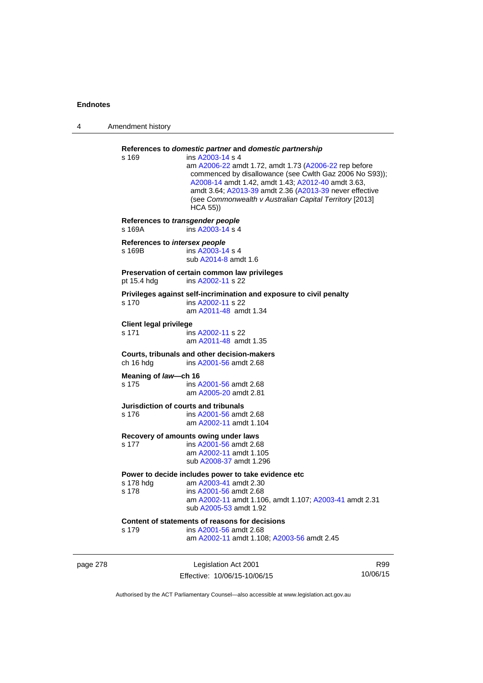| Amendment history                          |                                                                                                                                                                                                                                                                                                                                                                                        |
|--------------------------------------------|----------------------------------------------------------------------------------------------------------------------------------------------------------------------------------------------------------------------------------------------------------------------------------------------------------------------------------------------------------------------------------------|
| s 169                                      | References to domestic partner and domestic partnership<br>ins A2003-14 s 4<br>am A2006-22 amdt 1.72, amdt 1.73 (A2006-22 rep before<br>commenced by disallowance (see Cwlth Gaz 2006 No S93));<br>A2008-14 amdt 1.42, amdt 1.43; A2012-40 amdt 3.63,<br>amdt 3.64; A2013-39 amdt 2.36 (A2013-39 never effective<br>(see Commonwealth v Australian Capital Territory [2013]<br>HCA 55) |
| References to transgender people<br>s 169A | ins A2003-14 s 4                                                                                                                                                                                                                                                                                                                                                                       |
| References to intersex people<br>s 169B    | ins A2003-14 s 4<br>sub A2014-8 amdt 1.6                                                                                                                                                                                                                                                                                                                                               |
| pt 15.4 hdg                                | Preservation of certain common law privileges<br>ins A2002-11 s 22                                                                                                                                                                                                                                                                                                                     |
| s 170                                      | Privileges against self-incrimination and exposure to civil penalty<br>ins A2002-11 s 22<br>am A2011-48 amdt 1.34                                                                                                                                                                                                                                                                      |
| <b>Client legal privilege</b><br>s 171     | ins A2002-11 s 22<br>am A2011-48 amdt 1.35                                                                                                                                                                                                                                                                                                                                             |
| ch 16 hdg                                  | Courts, tribunals and other decision-makers<br>ins A2001-56 amdt 2.68                                                                                                                                                                                                                                                                                                                  |
| Meaning of law-ch 16<br>s 175              | ins A2001-56 amdt 2.68<br>am A2005-20 amdt 2.81                                                                                                                                                                                                                                                                                                                                        |
| s 176                                      | Jurisdiction of courts and tribunals<br>ins A2001-56 amdt 2.68<br>am A2002-11 amdt 1.104                                                                                                                                                                                                                                                                                               |
| s 177                                      | Recovery of amounts owing under laws<br>ins A2001-56 amdt 2.68<br>am A2002-11 amdt 1.105<br>sub A2008-37 amdt 1.296                                                                                                                                                                                                                                                                    |
| s 178 hdg<br>s 178                         | Power to decide includes power to take evidence etc<br>am A2003-41 amdt 2.30<br>ins A2001-56 amdt 2.68<br>am A2002-11 amdt 1.106, amdt 1.107; A2003-41 amdt 2.31<br>sub A2005-53 amdt 1.92                                                                                                                                                                                             |
| s 179                                      | Content of statements of reasons for decisions<br>ins A2001-56 amdt 2.68<br>am A2002-11 amdt 1.108; A2003-56 amdt 2.45                                                                                                                                                                                                                                                                 |
|                                            |                                                                                                                                                                                                                                                                                                                                                                                        |

page 278 Legislation Act 2001 Effective: 10/06/15-10/06/15

R99 10/06/15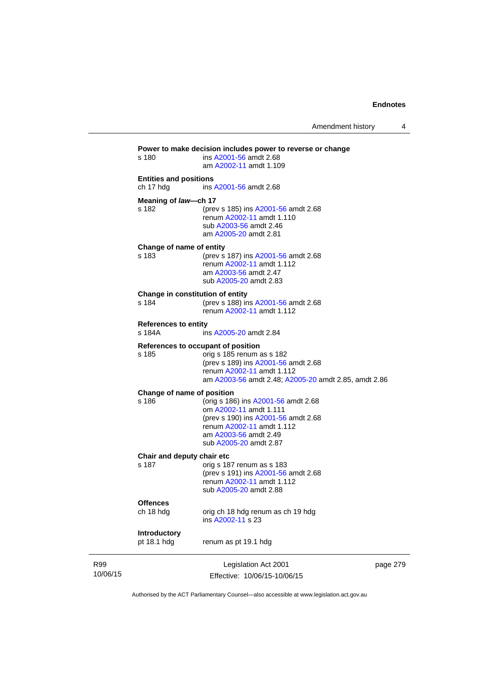Amendment history 4

|                 | s 180                                      | Power to make decision includes power to reverse or change<br>ins A2001-56 amdt 2.68<br>am A2002-11 amdt 1.109                                                                              |          |
|-----------------|--------------------------------------------|---------------------------------------------------------------------------------------------------------------------------------------------------------------------------------------------|----------|
|                 | <b>Entities and positions</b><br>ch 17 hdg | ins A2001-56 amdt 2.68                                                                                                                                                                      |          |
|                 | Meaning of law-ch 17<br>s 182              | (prev s 185) ins A2001-56 amdt 2.68<br>renum A2002-11 amdt 1.110<br>sub A2003-56 amdt 2.46<br>am A2005-20 amdt 2.81                                                                         |          |
|                 | Change of name of entity<br>s 183          | (prev s 187) ins A2001-56 amdt 2.68<br>renum A2002-11 amdt 1.112<br>am A2003-56 amdt 2.47<br>sub A2005-20 amdt 2.83                                                                         |          |
|                 | Change in constitution of entity<br>s 184  | (prev s 188) ins A2001-56 amdt 2.68<br>renum A2002-11 amdt 1.112                                                                                                                            |          |
|                 | <b>References to entity</b><br>s 184A      | ins A2005-20 amdt 2.84                                                                                                                                                                      |          |
|                 | s 185                                      | References to occupant of position<br>orig s 185 renum as s 182<br>(prev s 189) ins A2001-56 amdt 2.68<br>renum A2002-11 amdt 1.112<br>am A2003-56 amdt 2.48; A2005-20 amdt 2.85, amdt 2.86 |          |
|                 | Change of name of position<br>s 186        | (orig s 186) ins A2001-56 amdt 2.68<br>om A2002-11 amdt 1.111<br>(prev s 190) ins A2001-56 amdt 2.68<br>renum A2002-11 amdt 1.112<br>am A2003-56 amdt 2.49<br>sub A2005-20 amdt 2.87        |          |
|                 | Chair and deputy chair etc<br>s 187        | orig s 187 renum as s 183<br>(prev s 191) ins A2001-56 amdt 2.68<br>renum A2002-11 amdt 1.112<br>sub A2005-20 amdt 2.88                                                                     |          |
|                 | <b>Offences</b><br>ch 18 hdg               | orig ch 18 hdg renum as ch 19 hdg<br>ins A2002-11 s 23                                                                                                                                      |          |
|                 | Introductory<br>pt 18.1 hdg                | renum as pt 19.1 hdg                                                                                                                                                                        |          |
| R99<br>10/06/15 |                                            | Legislation Act 2001<br>Effective: 10/06/15-10/06/15                                                                                                                                        | page 279 |

Authorised by the ACT Parliamentary Counsel—also accessible at www.legislation.act.gov.au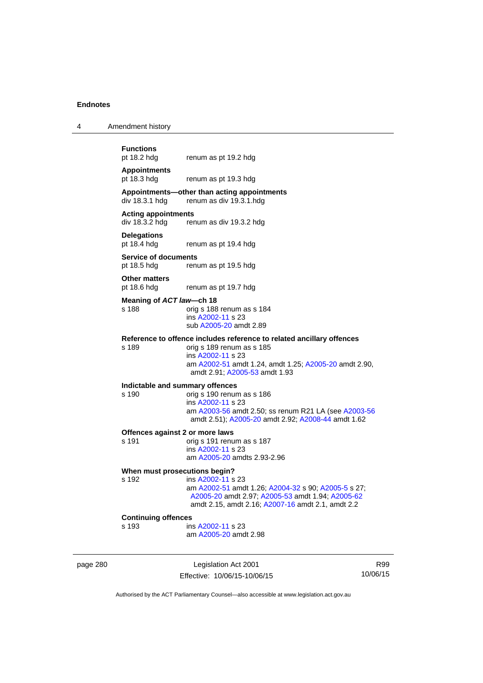| <b>Functions</b> |  |
|------------------|--|
| ______           |  |

4 Amendment history

pt 18.2 hdg renum as pt 19.2 hdg

### **Appointments**  pt 18.3 hdg renum as pt 19.3 hdg

### **Appointments—other than acting appointments**  renum as div 19.3.1 hdg

### **Acting appointments**

div 18.3.2 hdg renum as div 19.3.2 hdg

# **Delegations**

renum as pt 19.4 hdg

### **Service of documents**  pt 18.5 hdg renum as pt 19.5 hdg

**Other matters** 

pt 18.6 hdg renum as pt 19.7 hdg

### **Meaning of** *ACT law***—ch 18**

s 188 orig s 188 renum as s 184 ins [A2002-11](http://www.legislation.act.gov.au/a/2002-11) s 23 sub [A2005-20](http://www.legislation.act.gov.au/a/2005-20) amdt 2.89

### **Reference to offence includes reference to related ancillary offences**

s 189 orig s 189 renum as s 185 ins [A2002-11](http://www.legislation.act.gov.au/a/2002-11) s 23 am [A2002-51](http://www.legislation.act.gov.au/a/2002-51) amdt 1.24, amdt 1.25; [A2005-20](http://www.legislation.act.gov.au/a/2005-20) amdt 2.90, amdt 2.91; [A2005-53](http://www.legislation.act.gov.au/a/2005-53) amdt 1.93

# **Indictable and summary offences**

### orig s 190 renum as s 186 ins [A2002-11](http://www.legislation.act.gov.au/a/2002-11) s 23 am [A2003-56](http://www.legislation.act.gov.au/a/2003-56) amdt 2.50; ss renum R21 LA (see [A2003-56](http://www.legislation.act.gov.au/a/2003-56) amdt 2.51); [A2005-20](http://www.legislation.act.gov.au/a/2005-20) amdt 2.92; [A2008-44](http://www.legislation.act.gov.au/a/2008-44) amdt 1.62

### **Offences against 2 or more laws**

s 191 orig s 191 renum as s 187 ins [A2002-11](http://www.legislation.act.gov.au/a/2002-11) s 23 am [A2005-20](http://www.legislation.act.gov.au/a/2005-20) amdts 2.93-2.96

### **When must prosecutions begin?**

s 192 ins [A2002-11](http://www.legislation.act.gov.au/a/2002-11) s 23 am [A2002-51](http://www.legislation.act.gov.au/a/2002-51) amdt 1.26; [A2004-32](http://www.legislation.act.gov.au/a/2004-32) s 90; [A2005-5](http://www.legislation.act.gov.au/a/2005-5) s 27; [A2005-20](http://www.legislation.act.gov.au/a/2005-20) amdt 2.97; [A2005-53](http://www.legislation.act.gov.au/a/2005-53) amdt 1.94; [A2005-62](http://www.legislation.act.gov.au/a/2005-62) amdt 2.15, amdt 2.16; [A2007-16](http://www.legislation.act.gov.au/a/2007-16) amdt 2.1, amdt 2.2

### **Continuing offences**

s 193 ins [A2002-11](http://www.legislation.act.gov.au/a/2002-11) s 23 am [A2005-20](http://www.legislation.act.gov.au/a/2005-20) amdt 2.98

page 280 Legislation Act 2001 Effective: 10/06/15-10/06/15

R99 10/06/15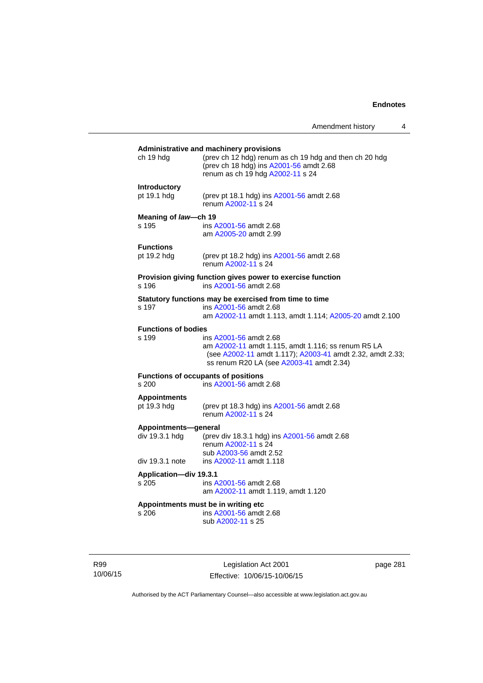# **Administrative and machinery provisions**  ch 19 hdg (prev ch 12 hdg) renum as ch 19 hdg and then ch 20 hdg (prev ch 18 hdg) ins [A2001-56](http://www.legislation.act.gov.au/a/2001-56) amdt 2.68 renum as ch 19 hdg [A2002-11](http://www.legislation.act.gov.au/a/2002-11) s 24 **Introductory**  pt 19.1 hdg (prev pt 18.1 hdg) ins [A2001-56](http://www.legislation.act.gov.au/a/2001-56) amdt 2.68 renum [A2002-11](http://www.legislation.act.gov.au/a/2002-11) s 24 **Meaning of** *law***—ch 19**  s 195 ins [A2001-56](http://www.legislation.act.gov.au/a/2001-56) amdt 2.68 am [A2005-20](http://www.legislation.act.gov.au/a/2005-20) amdt 2.99 **Functions**<br>pt 19.2 hdg (prev pt 18.2 hdg) ins  $A2001 - 56$  amdt 2.68 renum [A2002-11](http://www.legislation.act.gov.au/a/2002-11) s 24 **Provision giving function gives power to exercise function**  s 196 ins [A2001-56](http://www.legislation.act.gov.au/a/2001-56) amdt 2.68 **Statutory functions may be exercised from time to time**<br>s 197 ins A2001-56 amdt 2.68 ins [A2001-56](http://www.legislation.act.gov.au/a/2001-56) amdt 2.68 am [A2002-11](http://www.legislation.act.gov.au/a/2002-11) amdt 1.113, amdt 1.114; [A2005-20](http://www.legislation.act.gov.au/a/2005-20) amdt 2.100 **Functions of bodies**  s 199 ins [A2001-56](http://www.legislation.act.gov.au/a/2001-56) amdt 2.68 am [A2002-11](http://www.legislation.act.gov.au/a/2002-11) amdt 1.115, amdt 1.116; ss renum R5 LA (see [A2002-11](http://www.legislation.act.gov.au/a/2002-11) amdt 1.117); [A2003-41](http://www.legislation.act.gov.au/a/2003-41) amdt 2.32, amdt 2.33; ss renum R20 LA (see [A2003-41](http://www.legislation.act.gov.au/a/2003-41) amdt 2.34) **Functions of occupants of positions**  s 200 ins [A2001-56](http://www.legislation.act.gov.au/a/2001-56) amdt 2.68 **Appointments**  (prev pt 18.3 hdg) ins [A2001-56](http://www.legislation.act.gov.au/a/2001-56) amdt 2.68 renum [A2002-11](http://www.legislation.act.gov.au/a/2002-11) s 24 **Appointments—general**  div 19.3.1 hdg (prev div 18.3.1 hdg) ins [A2001-56](http://www.legislation.act.gov.au/a/2001-56) amdt 2.68 renum [A2002-11](http://www.legislation.act.gov.au/a/2002-11) s 24 sub [A2003-56](http://www.legislation.act.gov.au/a/2003-56) amdt 2.52 div 19.3.1 note ins [A2002-11](http://www.legislation.act.gov.au/a/2002-11) amdt 1.118 **Application—div 19.3.1**  s 205 ins [A2001-56](http://www.legislation.act.gov.au/a/2001-56) amdt 2.68 am [A2002-11](http://www.legislation.act.gov.au/a/2002-11) amdt 1.119, amdt 1.120 **Appointments must be in writing etc**  s 206 ins [A2001-56](http://www.legislation.act.gov.au/a/2001-56) amdt 2.68 sub [A2002-11](http://www.legislation.act.gov.au/a/2002-11) s 25

R99 10/06/15

Legislation Act 2001 Effective: 10/06/15-10/06/15 page 281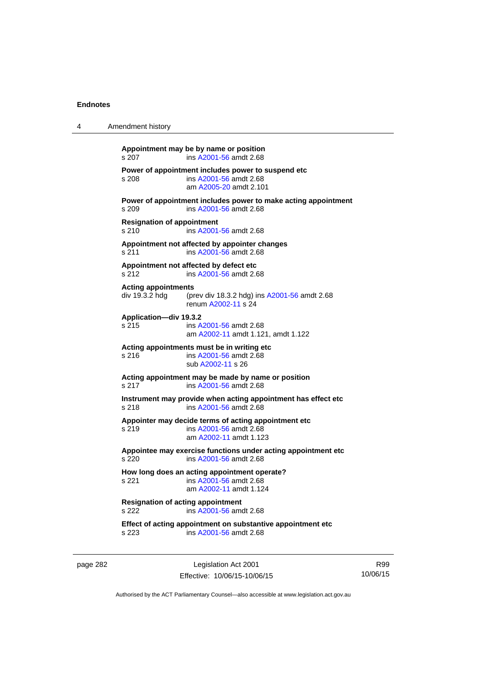| 4 | Amendment history                                                                                                   |  |
|---|---------------------------------------------------------------------------------------------------------------------|--|
|   | Appointment may be by name or position<br>ins A2001-56 amdt 2.68<br>s 207                                           |  |
|   | Power of appointment includes power to suspend etc<br>s 208<br>ins A2001-56 amdt 2.68<br>am A2005-20 amdt 2.101     |  |
|   | Power of appointment includes power to make acting appointment<br>s 209<br>ins A2001-56 amdt 2.68                   |  |
|   | <b>Resignation of appointment</b><br>ins A2001-56 amdt 2.68<br>s <sub>210</sub>                                     |  |
|   | Appointment not affected by appointer changes<br>s 211<br>ins A2001-56 amdt 2.68                                    |  |
|   | Appointment not affected by defect etc<br>ins A2001-56 amdt 2.68<br>s 212                                           |  |
|   | <b>Acting appointments</b><br>div 19.3.2 hdg<br>(prev div 18.3.2 hdg) ins A2001-56 amdt 2.68<br>renum A2002-11 s 24 |  |
|   | Application-div 19.3.2<br>s 215<br>ins A2001-56 amdt 2.68<br>am A2002-11 amdt 1.121, amdt 1.122                     |  |
|   | Acting appointments must be in writing etc<br>ins A2001-56 amdt 2.68<br>s 216<br>sub A2002-11 s 26                  |  |
|   | Acting appointment may be made by name or position<br>s 217<br>ins A2001-56 amdt 2.68                               |  |
|   | Instrument may provide when acting appointment has effect etc<br>s 218<br>ins A2001-56 amdt 2.68                    |  |
|   | Appointer may decide terms of acting appointment etc<br>s 219<br>ins A2001-56 amdt 2.68<br>am A2002-11 amdt 1.123   |  |
|   | Appointee may exercise functions under acting appointment etc<br>s 220<br>ins A2001-56 amdt 2.68                    |  |
|   | How long does an acting appointment operate?<br>s 221<br>ins A2001-56 amdt 2.68<br>am A2002-11 amdt 1.124           |  |
|   | <b>Resignation of acting appointment</b><br>s 222<br>ins A2001-56 amdt 2.68                                         |  |
|   | Effect of acting appointment on substantive appointment etc<br>ins A2001-56 amdt 2.68<br>s 223                      |  |
|   |                                                                                                                     |  |

page 282 Legislation Act 2001 Effective: 10/06/15-10/06/15

R99 10/06/15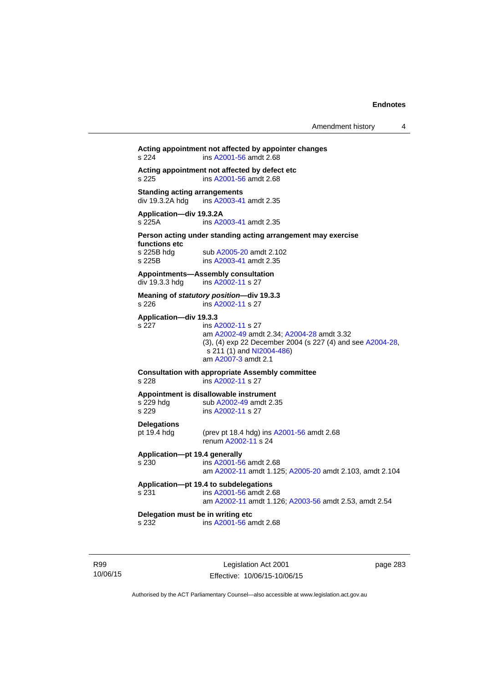# **Acting appointment not affected by appointer changes**  s 224 ins [A2001-56](http://www.legislation.act.gov.au/a/2001-56) amdt 2.68 **Acting appointment not affected by defect etc**  s 225 ins [A2001-56](http://www.legislation.act.gov.au/a/2001-56) amdt 2.68 **Standing acting arrangements**<br>div 19.3.2A hdg ins A2003-41 ins [A2003-41](http://www.legislation.act.gov.au/a/2003-41) amdt 2.35 **Application—div 19.3.2A**  s 225A ins [A2003-41](http://www.legislation.act.gov.au/a/2003-41) amdt 2.35 **Person acting under standing acting arrangement may exercise functions etc**  s 225B hdg sub [A2005-20](http://www.legislation.act.gov.au/a/2005-20) amdt 2.102<br>s 225B ins A2003-41 amdt 2.35 ins [A2003-41](http://www.legislation.act.gov.au/a/2003-41) amdt 2.35 **Appointments—Assembly consultation**  div 19.3.3 hdg ins [A2002-11](http://www.legislation.act.gov.au/a/2002-11) s 27 **Meaning of** *statutory position***—div 19.3.3**  s 226 ins [A2002-11](http://www.legislation.act.gov.au/a/2002-11) s 27 **Application—div 19.3.3**  s 227 ins [A2002-11](http://www.legislation.act.gov.au/a/2002-11) s 27 am [A2002-49](http://www.legislation.act.gov.au/a/2002-49) amdt 2.34; [A2004-28](http://www.legislation.act.gov.au/a/2004-28) amdt 3.32 (3), (4) exp 22 December 2004 (s 227 (4) and see [A2004-28](http://www.legislation.act.gov.au/a/2004-28),  $s$  211 (1) and [NI2004-486\)](http://www.legislation.act.gov.au/ni/2004-486/default.asp) am [A2007-3](http://www.legislation.act.gov.au/a/2007-3) amdt 2.1 **Consultation with appropriate Assembly committee**  s 228 ins [A2002-11](http://www.legislation.act.gov.au/a/2002-11) s 27 **Appointment is disallowable instrument**  s 229 hdg sub [A2002-49](http://www.legislation.act.gov.au/a/2002-49) amdt 2.35 s 229 ins [A2002-11](http://www.legislation.act.gov.au/a/2002-11) s 27 **Delegations**  pt 19.4 hdg (prev pt 18.4 hdg) ins [A2001-56](http://www.legislation.act.gov.au/a/2001-56) amdt 2.68 renum [A2002-11](http://www.legislation.act.gov.au/a/2002-11) s 24 **Application—pt 19.4 generally**  s 230 ins [A2001-56](http://www.legislation.act.gov.au/a/2001-56) amdt 2.68 am [A2002-11](http://www.legislation.act.gov.au/a/2002-11) amdt 1.125; [A2005-20](http://www.legislation.act.gov.au/a/2005-20) amdt 2.103, amdt 2.104 **Application—pt 19.4 to subdelegations**  s 231 ins [A2001-56](http://www.legislation.act.gov.au/a/2001-56) amdt 2.68 am [A2002-11](http://www.legislation.act.gov.au/a/2002-11) amdt 1.126; [A2003-56](http://www.legislation.act.gov.au/a/2003-56) amdt 2.53, amdt 2.54 **Delegation must be in writing etc**  s 232 ins [A2001-56](http://www.legislation.act.gov.au/a/2001-56) amdt 2.68

R99 10/06/15

Legislation Act 2001 Effective: 10/06/15-10/06/15 page 283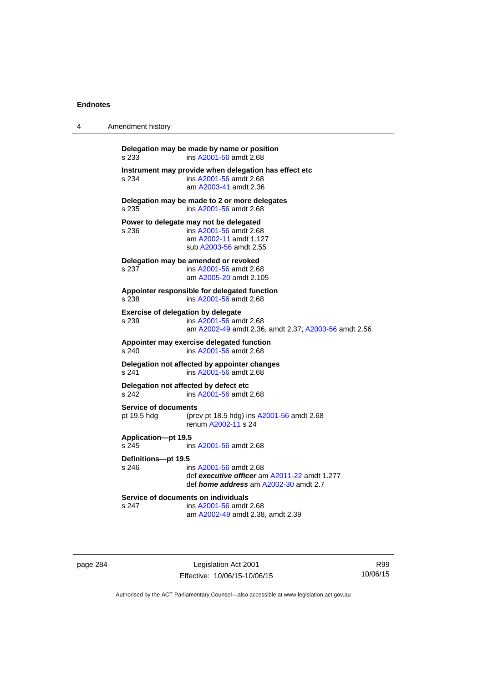| 4 | Amendment history                               |                                                                                                                        |
|---|-------------------------------------------------|------------------------------------------------------------------------------------------------------------------------|
|   | s 233                                           | Delegation may be made by name or position<br>ins A2001-56 amdt 2.68                                                   |
|   | s 234                                           | Instrument may provide when delegation has effect etc<br>ins A2001-56 amdt 2.68<br>am A2003-41 amdt 2.36               |
|   | s 235                                           | Delegation may be made to 2 or more delegates<br>ins A2001-56 amdt 2.68                                                |
|   | Power to delegate may not be delegated<br>s 236 | ins A2001-56 amdt 2.68<br>am A2002-11 amdt 1.127<br>sub A2003-56 amdt 2.55                                             |
|   | Delegation may be amended or revoked<br>s 237   | ins A2001-56 amdt 2.68<br>am A2005-20 amdt 2.105                                                                       |
|   | s 238                                           | Appointer responsible for delegated function<br>ins A2001-56 amdt 2.68                                                 |
|   | Exercise of delegation by delegate<br>s 239     | ins A2001-56 amdt 2.68<br>am A2002-49 amdt 2.36, amdt 2.37; A2003-56 amdt 2.56                                         |
|   | s 240                                           | Appointer may exercise delegated function<br>ins A2001-56 amdt 2.68                                                    |
|   | s 241                                           | Delegation not affected by appointer changes<br>ins A2001-56 amdt 2.68                                                 |
|   | Delegation not affected by defect etc<br>s 242  | ins A2001-56 amdt 2.68                                                                                                 |
|   | <b>Service of documents</b><br>pt 19.5 hdg      | (prev pt 18.5 hdg) ins A2001-56 amdt 2.68<br>renum A2002-11 s 24                                                       |
|   | <b>Application-pt 19.5</b><br>s 245             | ins A2001-56 amdt 2.68                                                                                                 |
|   | Definitions-pt 19.5<br>s 246                    | ins A2001-56 amdt 2.68<br>def executive officer am A2011-22 amdt 1.277<br>def <i>home address</i> am A2002-30 amdt 2.7 |
|   | Service of documents on individuals<br>s 247    | ins A2001-56 amdt 2.68<br>am A2002-49 amdt 2.38, amdt 2.39                                                             |

page 284 Legislation Act 2001 Effective: 10/06/15-10/06/15

R99 10/06/15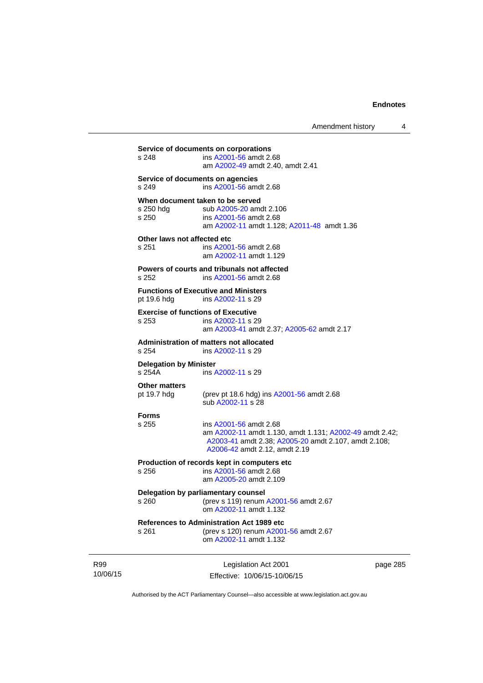| s 248                                   | ins A2001-56 amdt 2.68<br>am A2002-49 amdt 2.40, amdt 2.41                                                                                                                 |         |
|-----------------------------------------|----------------------------------------------------------------------------------------------------------------------------------------------------------------------------|---------|
| s 249                                   | Service of documents on agencies<br>ins A2001-56 amdt 2.68                                                                                                                 |         |
| s 250 hdg<br>s 250                      | When document taken to be served<br>sub A2005-20 amdt 2.106<br>ins A2001-56 amdt 2.68<br>am A2002-11 amdt 1.128; A2011-48 amdt 1.36                                        |         |
| Other laws not affected etc<br>s 251    | ins A2001-56 amdt 2.68<br>am A2002-11 amdt 1.129                                                                                                                           |         |
| s 252                                   | Powers of courts and tribunals not affected<br>ins A2001-56 amdt 2.68                                                                                                      |         |
| pt 19.6 hdg                             | <b>Functions of Executive and Ministers</b><br>ins A2002-11 s 29                                                                                                           |         |
| s 253                                   | <b>Exercise of functions of Executive</b><br>ins A2002-11 s 29<br>am A2003-41 amdt 2.37; A2005-62 amdt 2.17                                                                |         |
| s 254                                   | Administration of matters not allocated<br>ins A2002-11 s 29                                                                                                               |         |
| <b>Delegation by Minister</b><br>s 254A | ins A2002-11 s 29                                                                                                                                                          |         |
| <b>Other matters</b><br>pt 19.7 hdg     | (prev pt 18.6 hdg) ins A2001-56 amdt 2.68<br>sub A2002-11 s 28                                                                                                             |         |
| <b>Forms</b><br>s 255                   | ins A2001-56 amdt 2.68<br>am A2002-11 amdt 1.130, amdt 1.131; A2002-49 amdt 2.42;<br>A2003-41 amdt 2.38; A2005-20 amdt 2.107, amdt 2.108;<br>A2006-42 amdt 2.12, amdt 2.19 |         |
| s 256                                   | Production of records kept in computers etc<br>ins A2001-56 amdt 2.68<br>am A2005-20 amdt 2.109                                                                            |         |
| s 260                                   | Delegation by parliamentary counsel<br>(prev s 119) renum A2001-56 amdt 2.67<br>om A2002-11 amdt 1.132                                                                     |         |
| s 261                                   | <b>References to Administration Act 1989 etc</b><br>(prev s 120) renum A2001-56 amdt 2.67<br>om A2002-11 amdt 1.132                                                        |         |
|                                         | Legislation Act 2001                                                                                                                                                       | nage 28 |

R99 10/06/15

Legislation Act 2001 Effective: 10/06/15-10/06/15 page 285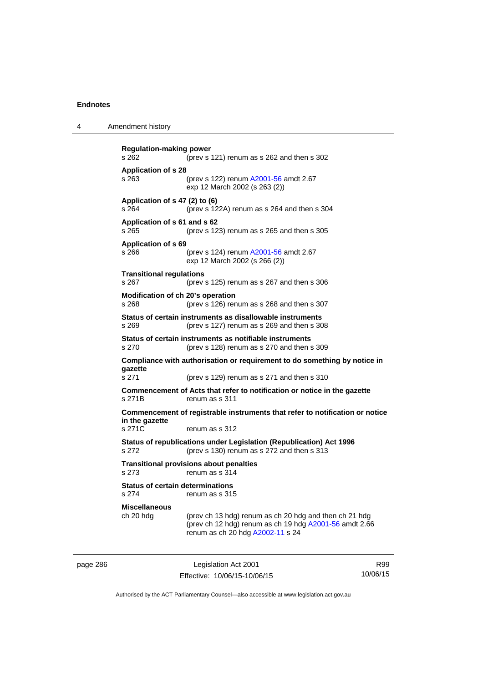4 Amendment history

**Regulation-making power**  s 262 (prev s 121) renum as s 262 and then s 302 **Application of s 28**  s 263 (prev s 122) renum [A2001-56](http://www.legislation.act.gov.au/a/2001-56) amdt 2.67 exp 12 March 2002 (s 263 (2)) **Application of s 47 (2) to (6)**  s 264 (prev s 122A) renum as s 264 and then s 304 **Application of s 61 and s 62**  s 265 (prev s 123) renum as s 265 and then s 305 **Application of s 69**  s 266 (prev s 124) renum [A2001-56](http://www.legislation.act.gov.au/a/2001-56) amdt 2.67 exp 12 March 2002 (s 266 (2)) **Transitional regulations**  s 267 (prev s 125) renum as s 267 and then s 306 **Modification of ch 20's operation**  s 268 (prev s 126) renum as s 268 and then s 307 **Status of certain instruments as disallowable instruments**  s 269 (prev s 127) renum as s 269 and then s 308 **Status of certain instruments as notifiable instruments**  s 270 (prev s 128) renum as s 270 and then s 309 **Compliance with authorisation or requirement to do something by notice in gazette**  s 271 (prev s 129) renum as s 271 and then s 310 **Commencement of Acts that refer to notification or notice in the gazette**  s 271B renum as s 311 **Commencement of registrable instruments that refer to notification or notice in the gazette**  s 271C renum as s 312 **Status of republications under Legislation (Republication) Act 1996**  s 272 (prev s 130) renum as s 272 and then s 313 **Transitional provisions about penalties** s 273 renum as s 314 **Status of certain determinations**  s 274 renum as s 315 **Miscellaneous**  ch 20 hdg (prev ch 13 hdg) renum as ch 20 hdg and then ch 21 hdg (prev ch 12 hdg) renum as ch 19 hdg [A2001-56](http://www.legislation.act.gov.au/a/2001-56) amdt 2.66 renum as ch 20 hdg [A2002-11](http://www.legislation.act.gov.au/a/2002-11) s 24

page 286 Legislation Act 2001 Effective: 10/06/15-10/06/15

R99 10/06/15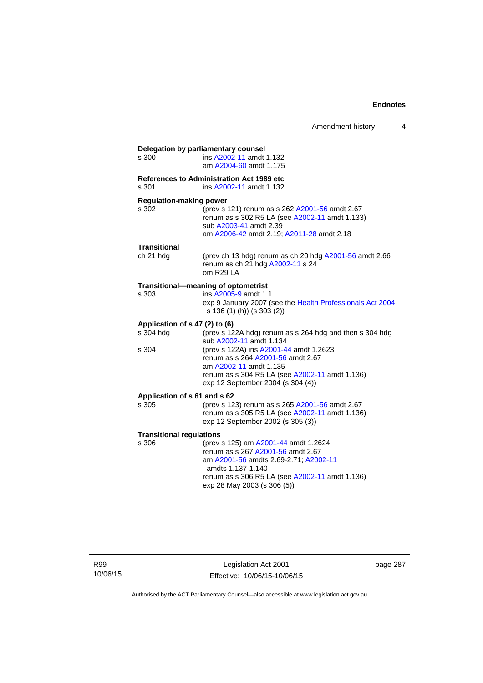| s 300                           | ins A2002-11 amdt 1.132                                                                                 |
|---------------------------------|---------------------------------------------------------------------------------------------------------|
|                                 | am A2004-60 amdt 1.175                                                                                  |
|                                 | <b>References to Administration Act 1989 etc</b>                                                        |
| s 301                           | ins A2002-11 amdt 1.132                                                                                 |
| <b>Regulation-making power</b>  |                                                                                                         |
| s 302                           | (prev s 121) renum as s 262 A2001-56 amdt 2.67<br>renum as s 302 R5 LA (see A2002-11 amdt 1.133)        |
|                                 | sub A2003-41 amdt 2.39                                                                                  |
|                                 | am A2006-42 amdt 2.19; A2011-28 amdt 2.18                                                               |
| Transitional                    |                                                                                                         |
| ch 21 hdg                       | (prev ch 13 hdg) renum as ch 20 hdg A2001-56 amdt 2.66<br>renum as ch 21 hdg A2002-11 s 24<br>om R29 LA |
|                                 | Transitional-meaning of optometrist                                                                     |
| s 303                           | ins A2005-9 amdt 1.1                                                                                    |
|                                 | exp 9 January 2007 (see the Health Professionals Act 2004<br>s 136 (1) (h)) (s 303 (2))                 |
| Application of s 47 (2) to (6)  |                                                                                                         |
| s 304 hdg                       | (prev s 122A hdg) renum as s 264 hdg and then s 304 hdg<br>sub A2002-11 amdt 1.134                      |
| s 304                           | (prev s 122A) ins A2001-44 amdt 1.2623                                                                  |
|                                 | renum as s 264 A2001-56 amdt 2.67                                                                       |
|                                 | am A2002-11 amdt 1.135                                                                                  |
|                                 | renum as s 304 R5 LA (see A2002-11 amdt 1.136)<br>exp 12 September 2004 (s 304 (4))                     |
| Application of s 61 and s 62    |                                                                                                         |
| s 305                           | (prev s 123) renum as s 265 A2001-56 amdt 2.67                                                          |
|                                 | renum as s 305 R5 LA (see A2002-11 amdt 1.136)<br>exp 12 September 2002 (s 305 (3))                     |
| <b>Transitional regulations</b> |                                                                                                         |
| s 306                           | (prev s 125) am A2001-44 amdt 1.2624                                                                    |
|                                 | renum as s 267 A2001-56 amdt 2.67                                                                       |
|                                 | am A2001-56 amdts 2.69-2.71; A2002-11<br>amdts 1.137-1.140                                              |
|                                 | renum as s 306 R5 LA (see A2002-11 amdt 1.136)                                                          |
|                                 |                                                                                                         |

R99 10/06/15

Legislation Act 2001 Effective: 10/06/15-10/06/15 page 287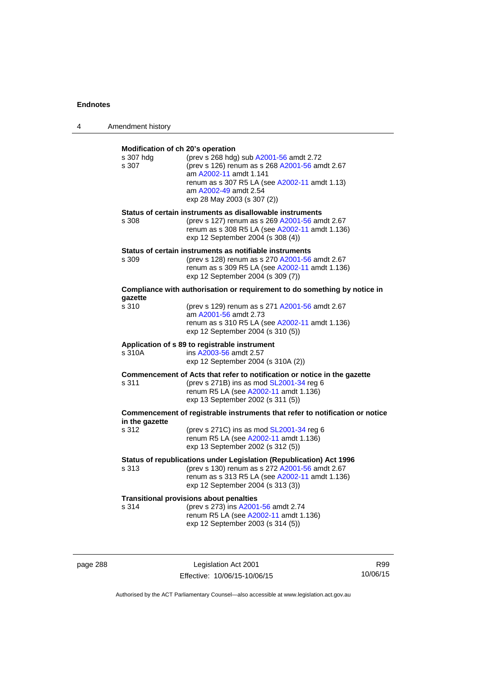| 4 | Amendment history                                       |                                                                                                                                                                                                                              |
|---|---------------------------------------------------------|------------------------------------------------------------------------------------------------------------------------------------------------------------------------------------------------------------------------------|
|   | Modification of ch 20's operation<br>s 307 hdg<br>s 307 | (prev s 268 hdg) sub A2001-56 amdt 2.72<br>(prev s 126) renum as s 268 A2001-56 amdt 2.67<br>am A2002-11 amdt 1.141<br>renum as s 307 R5 LA (see A2002-11 amdt 1.13)<br>am A2002-49 amdt 2.54<br>exp 28 May 2003 (s 307 (2)) |
|   | s 308                                                   | Status of certain instruments as disallowable instruments<br>(prev s 127) renum as s 269 A2001-56 amdt 2.67<br>renum as s 308 R5 LA (see A2002-11 amdt 1.136)<br>exp 12 September 2004 (s 308 (4))                           |
|   | s 309                                                   | Status of certain instruments as notifiable instruments<br>(prev s 128) renum as s 270 A2001-56 amdt 2.67<br>renum as s 309 R5 LA (see A2002-11 amdt 1.136)<br>exp 12 September 2004 (s 309 (7))                             |
|   |                                                         | Compliance with authorisation or requirement to do something by notice in                                                                                                                                                    |
|   | qazette<br>s 310                                        | (prev s 129) renum as s 271 A2001-56 amdt 2.67<br>am A2001-56 amdt 2.73<br>renum as s 310 R5 LA (see A2002-11 amdt 1.136)<br>exp 12 September 2004 (s 310 (5))                                                               |
|   | s 310A                                                  | Application of s 89 to registrable instrument<br>ins A2003-56 amdt 2.57<br>exp 12 September 2004 (s 310A (2))                                                                                                                |
|   | s 311                                                   | Commencement of Acts that refer to notification or notice in the gazette<br>(prev s 271B) ins as mod SL2001-34 reg 6<br>renum R5 LA (see A2002-11 amdt 1.136)<br>exp 13 September 2002 (s 311 (5))                           |
|   | in the gazette                                          | Commencement of registrable instruments that refer to notification or notice                                                                                                                                                 |
|   | s 312                                                   | (prev s 271C) ins as mod $SL2001-34$ reg 6<br>renum R5 LA (see A2002-11 amdt 1.136)<br>exp 13 September 2002 (s 312 (5))                                                                                                     |
|   | s 313                                                   | Status of republications under Legislation (Republication) Act 1996<br>(prev s 130) renum as s 272 A2001-56 amdt 2.67<br>renum as s 313 R5 LA (see A2002-11 amdt 1.136)<br>exp 12 September 2004 (s 313 (3))                 |
|   | s 314                                                   | <b>Transitional provisions about penalties</b><br>(prev s 273) ins A2001-56 amdt 2.74<br>renum R5 LA (see A2002-11 amdt 1.136)<br>exp 12 September 2003 (s 314 (5))                                                          |

page 288 **Legislation Act 2001** Effective: 10/06/15-10/06/15

R99 10/06/15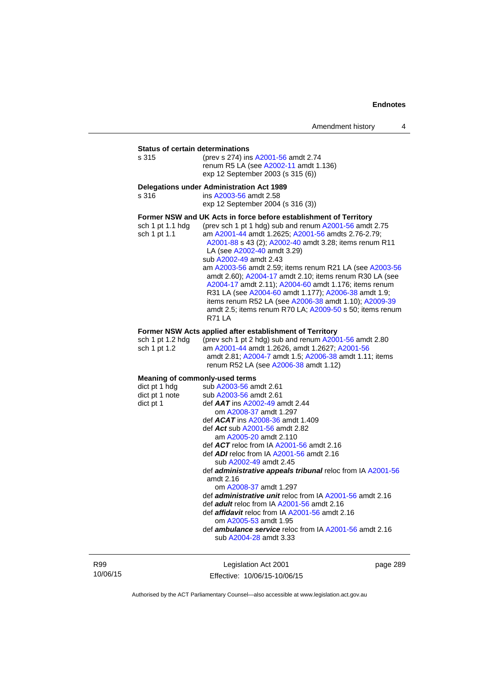**Status of certain determinations**<br>s 315 (prev s 274) ins (prev s 274) ins [A2001-56](http://www.legislation.act.gov.au/a/2001-56) amdt 2.74 renum R5 LA (see [A2002-11](http://www.legislation.act.gov.au/a/2002-11) amdt 1.136) exp 12 September 2003 (s 315 (6))

### **Delegations under Administration Act 1989**

s 316 ins [A2003-56](http://www.legislation.act.gov.au/a/2003-56) amdt 2.58 exp 12 September 2004 (s 316 (3))

### **Former NSW and UK Acts in force before establishment of Territory**

| sch 1 pt 1.1 hdg | (prev sch 1 pt 1 hdg) sub and renum A2001-56 amdt 2.75   |
|------------------|----------------------------------------------------------|
| sch 1 pt 1.1     | am A2001-44 amdt 1.2625; A2001-56 amdts 2.76-2.79;       |
|                  | A2001-88 s 43 (2); A2002-40 amdt 3.28; items renum R11   |
|                  | LA (see A2002-40 amdt 3.29)                              |
|                  | sub A2002-49 amdt 2.43                                   |
|                  | am A2003-56 amdt 2.59; items renum R21 LA (see A2003-56  |
|                  | amdt 2.60); A2004-17 amdt 2.10; items renum R30 LA (see  |
|                  | A2004-17 amdt 2.11); A2004-60 amdt 1.176; items renum    |
|                  | R31 LA (see A2004-60 amdt 1.177); A2006-38 amdt 1.9;     |
|                  | items renum R52 LA (see A2006-38 amdt 1.10); A2009-39    |
|                  | amdt 2.5; items renum R70 LA; A2009-50 s 50; items renum |
|                  | <b>R71 LA</b>                                            |
|                  |                                                          |

### **Former NSW Acts applied after establishment of Territory**

| sch 1 pt 1.2 hda | (prev sch 1 pt 2 hdg) sub and renum $A2001-56$ amdt 2.80 |
|------------------|----------------------------------------------------------|
| sch 1 pt 1.2     | am A2001-44 amdt 1.2626. amdt 1.2627: A2001-56           |
|                  | amdt 2.81; A2004-7 amdt 1.5; A2006-38 amdt 1.11; items   |
|                  | renum R52 LA (see A2006-38 amdt 1.12)                    |

## **Meaning of commonly-used terms**

| dict pt 1 hdg  | sub A2003-56 amdt 2.61                                                                  |  |  |
|----------------|-----------------------------------------------------------------------------------------|--|--|
| dict pt 1 note | sub A2003-56 amdt 2.61                                                                  |  |  |
| dict pt 1      | def $AAT$ ins $A2002-49$ amdt 2.44                                                      |  |  |
|                | om A2008-37 amdt 1.297                                                                  |  |  |
|                | def $ACAT$ ins $A2008-36$ amdt 1.409                                                    |  |  |
|                | def Act sub A2001-56 amdt 2.82                                                          |  |  |
|                | am A2005-20 amdt 2.110                                                                  |  |  |
|                | def $ACT$ reloc from IA $A2001-56$ amdt 2.16                                            |  |  |
|                | def ADI reloc from IA A2001-56 amdt 2.16                                                |  |  |
|                | sub A2002-49 amdt 2.45                                                                  |  |  |
|                | def <b>administrative appeals tribunal</b> reloc from IA A2001-56                       |  |  |
|                | amdt $2.16$                                                                             |  |  |
|                | om A2008-37 amdt 1.297                                                                  |  |  |
|                | def <b>administrative unit</b> reloc from IA A2001-56 amdt 2.16                         |  |  |
|                | def <b>adult</b> reloc from IA A2001-56 amdt 2.16                                       |  |  |
|                | def <i>affidavit</i> reloc from IA A2001-56 amdt 2.16                                   |  |  |
|                | om A2005-53 amdt 1.95                                                                   |  |  |
|                | def <b>ambulance service</b> reloc from IA A2001-56 amdt 2.16<br>sub A2004-28 amdt 3.33 |  |  |
|                |                                                                                         |  |  |

R99 10/06/15

Legislation Act 2001 Effective: 10/06/15-10/06/15 page 289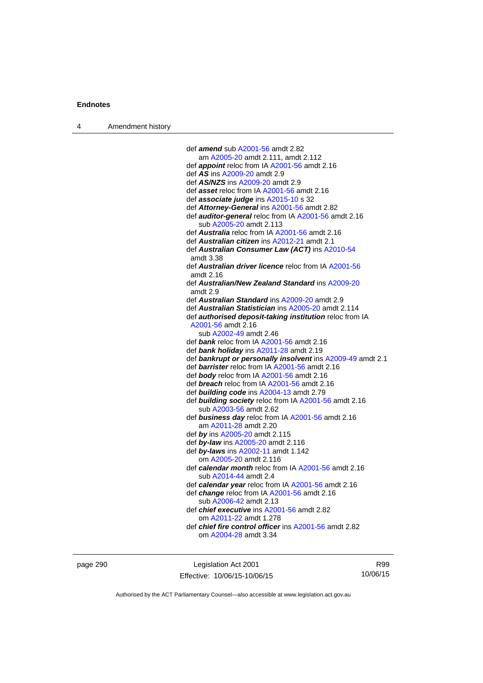| Amendment history<br>$\overline{4}$ |  |
|-------------------------------------|--|
|-------------------------------------|--|

| def <i>amend</i> sub A2001-56 amdt 2.82                        |
|----------------------------------------------------------------|
| am A2005-20 amdt 2.111, amdt 2.112                             |
| def appoint reloc from IA A2001-56 amdt 2.16                   |
| def AS ins A2009-20 amdt 2.9                                   |
| def AS/NZS ins A2009-20 amdt 2.9                               |
| def asset reloc from IA A2001-56 amdt 2.16                     |
| def <b>associate judge</b> ins A2015-10 s 32                   |
| def Attorney-General ins A2001-56 amdt 2.82                    |
| def <b>auditor-general</b> reloc from IA A2001-56 amdt 2.16    |
| sub A2005-20 amdt 2.113                                        |
| def <b>Australia</b> reloc from IA A2001-56 amdt 2.16          |
| def Australian citizen ins A2012-21 amdt 2.1                   |
| def Australian Consumer Law (ACT) ins A2010-54                 |
| amdt 3.38                                                      |
| def <b>Australian driver licence</b> reloc from IA A2001-56    |
| amdt $2.16$                                                    |
| def Australian/New Zealand Standard ins A2009-20               |
| amdt 2.9                                                       |
| def Australian Standard ins A2009-20 amdt 2.9                  |
| def Australian Statistician ins A2005-20 amdt 2.114            |
| def <b>authorised deposit-taking institution</b> reloc from IA |
| A2001-56 amdt 2.16                                             |
| sub A2002-49 amdt 2.46                                         |
| def bank reloc from IA A2001-56 amdt 2.16                      |
| def <i>bank holiday</i> ins A2011-28 amdt 2.19                 |
| def bankrupt or personally insolvent ins A2009-49 amdt 2.1     |
| def barrister reloc from IA A2001-56 amdt 2.16                 |
| def body reloc from IA A2001-56 amdt 2.16                      |
| def <b>breach</b> reloc from IA A2001-56 amdt 2.16             |
| def building code ins A2004-13 amdt 2.79                       |
| def building society reloc from IA A2001-56 amdt 2.16          |
| sub A2003-56 amdt 2.62                                         |
| def business day reloc from IA A2001-56 amdt 2.16              |
| am A2011-28 amdt 2.20                                          |
| def by ins A2005-20 amdt 2.115                                 |
| def by-law ins A2005-20 amdt 2.116                             |
| def by-laws ins A2002-11 amdt 1.142                            |
| om A2005-20 amdt 2.116                                         |
| def calendar month reloc from IA A2001-56 amdt 2.16            |
| sub A2014-44 amdt 2.4                                          |
| def calendar year reloc from IA A2001-56 amdt 2.16             |
| def change reloc from IA A2001-56 amdt 2.16                    |
| sub A2006-42 amdt 2.13                                         |
| def <i>chief executive</i> ins A2001-56 amdt 2.82              |
| om A2011-22 amdt 1.278                                         |
| def <i>chief fire control officer</i> ins A2001-56 amdt 2.82   |
| om A2004-28 amdt 3.34                                          |
|                                                                |

page 290 **Legislation Act 2001** Effective: 10/06/15-10/06/15

R99 10/06/15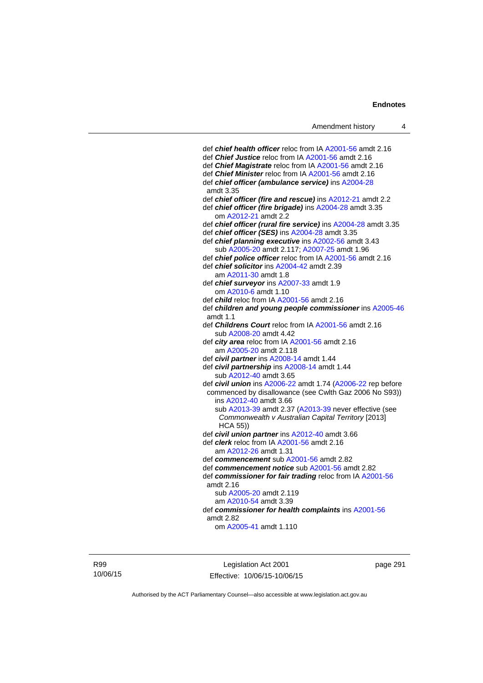def *chief health officer* reloc from IA [A2001-56](http://www.legislation.act.gov.au/a/2001-56) amdt 2.16 def *Chief Justice* reloc from IA [A2001-56](http://www.legislation.act.gov.au/a/2001-56) amdt 2.16 def *Chief Magistrate* reloc from IA [A2001-56](http://www.legislation.act.gov.au/a/2001-56) amdt 2.16 def *Chief Minister* reloc from IA [A2001-56](http://www.legislation.act.gov.au/a/2001-56) amdt 2.16 def *chief officer (ambulance service)* ins [A2004-28](http://www.legislation.act.gov.au/a/2004-28) amdt 3.35 def *chief officer (fire and rescue)* ins [A2012-21](http://www.legislation.act.gov.au/a/2012-21) amdt 2.2 def *chief officer (fire brigade)* ins [A2004-28](http://www.legislation.act.gov.au/a/2004-28) amdt 3.35 om [A2012-21](http://www.legislation.act.gov.au/a/2012-21) amdt 2.2 def *chief officer (rural fire service)* ins [A2004-28](http://www.legislation.act.gov.au/a/2004-28) amdt 3.35 def *chief officer (SES)* ins [A2004-28](http://www.legislation.act.gov.au/a/2004-28) amdt 3.35 def *chief planning executive* ins [A2002-56](http://www.legislation.act.gov.au/a/2002-56) amdt 3.43 sub [A2005-20](http://www.legislation.act.gov.au/a/2005-20) amdt 2.117; [A2007-25](http://www.legislation.act.gov.au/a/2007-25) amdt 1.96 def *chief police officer* reloc from IA [A2001-56](http://www.legislation.act.gov.au/a/2001-56) amdt 2.16 def *chief solicitor* ins [A2004-42](http://www.legislation.act.gov.au/a/2004-42) amdt 2.39 am [A2011-30](http://www.legislation.act.gov.au/a/2011-30) amdt 1.8 def *chief surveyor* ins [A2007-33](http://www.legislation.act.gov.au/a/2007-33) amdt 1.9 om [A2010-6](http://www.legislation.act.gov.au/a/2010-6) amdt 1.10 def *child* reloc from IA [A2001-56](http://www.legislation.act.gov.au/a/2001-56) amdt 2.16 def *children and young people commissioner* ins [A2005-46](http://www.legislation.act.gov.au/a/2005-46) amdt 1.1 def *Childrens Court* reloc from IA [A2001-56](http://www.legislation.act.gov.au/a/2001-56) amdt 2.16 sub [A2008-20](http://www.legislation.act.gov.au/a/2008-20) amdt 4.42 def *city area* reloc from IA [A2001-56](http://www.legislation.act.gov.au/a/2001-56) amdt 2.16 am [A2005-20](http://www.legislation.act.gov.au/a/2005-20) amdt 2.118 def *civil partner* ins [A2008-14](http://www.legislation.act.gov.au/a/2008-14) amdt 1.44 def *civil partnership* ins [A2008-14](http://www.legislation.act.gov.au/a/2008-14) amdt 1.44 sub [A2012-40](http://www.legislation.act.gov.au/a/2012-40) amdt 3.65 def *civil union* ins [A2006-22](http://www.legislation.act.gov.au/a/2006-22) amdt 1.74 [\(A2006-22](http://www.legislation.act.gov.au/a/2006-22) rep before commenced by disallowance (see Cwlth Gaz 2006 No S93)) ins [A2012-40](http://www.legislation.act.gov.au/a/2012-40) amdt 3.66 sub [A2013-39](http://www.legislation.act.gov.au/a/2013-39) amdt 2.37 [\(A2013-39](http://www.legislation.act.gov.au/a/2013-39) never effective (see *Commonwealth v Australian Capital Territory* [2013] HCA 55)) def *civil union partner* ins [A2012-40](http://www.legislation.act.gov.au/a/2012-40) amdt 3.66 def *clerk* reloc from IA [A2001-56](http://www.legislation.act.gov.au/a/2001-56) amdt 2.16 am [A2012-26](http://www.legislation.act.gov.au/a/2012-26) amdt 1.31 def *commencement* sub [A2001-56](http://www.legislation.act.gov.au/a/2001-56) amdt 2.82 def *commencement notice* sub [A2001-56](http://www.legislation.act.gov.au/a/2001-56) amdt 2.82 def *commissioner for fair trading* reloc from IA [A2001-56](http://www.legislation.act.gov.au/a/2001-56) amdt 2.16 sub [A2005-20](http://www.legislation.act.gov.au/a/2005-20) amdt 2.119 am [A2010-54](http://www.legislation.act.gov.au/a/2010-54) amdt 3.39 def *commissioner for health complaints* ins [A2001-56](http://www.legislation.act.gov.au/a/2001-56) amdt 2.82 om [A2005-41](http://www.legislation.act.gov.au/a/2005-41) amdt 1.110

R99 10/06/15

Legislation Act 2001 Effective: 10/06/15-10/06/15 page 291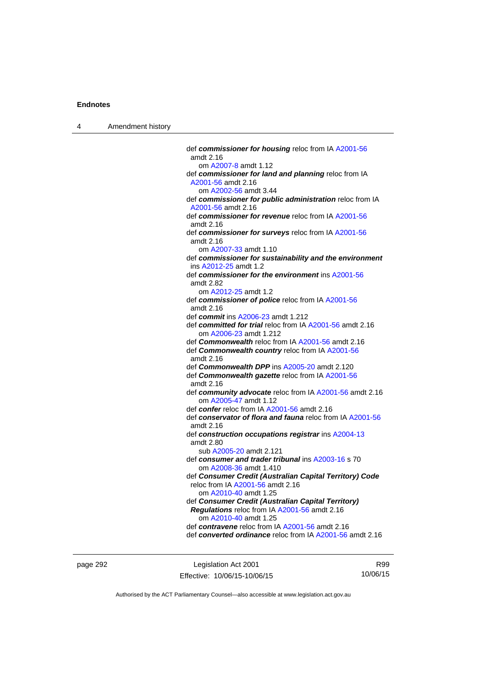| Amendment history |
|-------------------|
|                   |

| def commissioner for housing reloc from IA A2001-56<br>amdt 2.16 |
|------------------------------------------------------------------|
| om A2007-8 amdt 1.12                                             |
| def commissioner for land and planning reloc from IA             |
| A2001-56 amdt 2.16                                               |
| om A2002-56 amdt 3.44                                            |
| def commissioner for public administration reloc from IA         |
| A2001-56 amdt 2.16                                               |
| def commissioner for revenue reloc from IA A2001-56              |
| amdt 2.16                                                        |
|                                                                  |
| def commissioner for surveys reloc from IA A2001-56              |
| amdt 2.16                                                        |
| om A2007-33 amdt 1.10                                            |
| def commissioner for sustainability and the environment          |
| ins A2012-25 amdt 1.2                                            |
| def commissioner for the environment ins A2001-56                |
| amdt 2.82                                                        |
| om A2012-25 amdt 1.2                                             |
| def commissioner of police reloc from IA A2001-56                |
| amdt 2.16                                                        |
| def commit ins A2006-23 amdt 1.212                               |
| def committed for trial reloc from IA A2001-56 amdt 2.16         |
| om A2006-23 amdt 1.212                                           |
| def <b>Commonwealth</b> reloc from IA A2001-56 amdt 2.16         |
| def Commonwealth country reloc from IA A2001-56                  |
| amdt 2.16                                                        |
| def Commonwealth DPP ins A2005-20 amdt 2.120                     |
| def Commonwealth gazette reloc from IA A2001-56                  |
| amdt 2.16                                                        |
| def community advocate reloc from IA A2001-56 amdt 2.16          |
| om A2005-47 amdt 1.12                                            |
| def confer reloc from IA A2001-56 amdt 2.16                      |
| def conservator of flora and fauna reloc from IA A2001-56        |
| amdt 2.16                                                        |
| def construction occupations registrar ins A2004-13              |
| amdt 2.80                                                        |
| sub A2005-20 amdt 2.121                                          |
| def consumer and trader tribunal ins A2003-16 s 70               |
| om A2008-36 amdt 1.410                                           |
| def Consumer Credit (Australian Capital Territory) Code          |
| reloc from IA A2001-56 amdt 2.16                                 |
| om A2010-40 amdt 1.25                                            |
| def Consumer Credit (Australian Capital Territory)               |
| Regulations reloc from IA A2001-56 amdt 2.16                     |
| om A2010-40 amdt 1.25                                            |
| def contravene reloc from IA A2001-56 amdt 2.16                  |
| def converted ordinance reloc from IA A2001-56 amdt 2.16         |
|                                                                  |

page 292 **Legislation Act 2001** Effective: 10/06/15-10/06/15

R99 10/06/15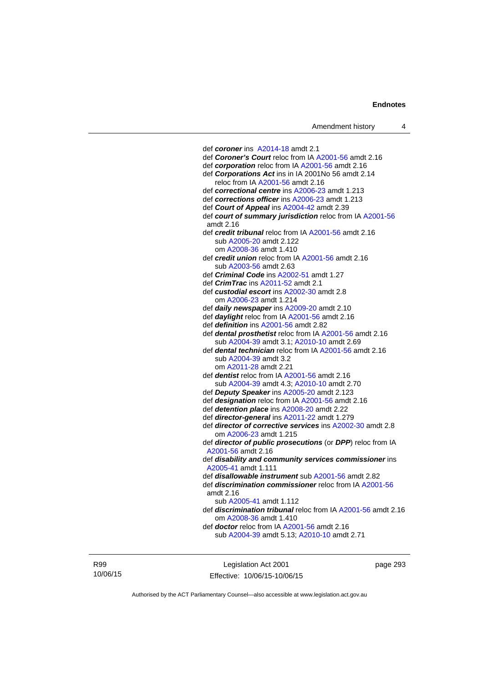def *coroner* ins [A2014-18](http://www.legislation.act.gov.au/a/2014-18) amdt 2.1 def *Coroner's Court* reloc from IA [A2001-56](http://www.legislation.act.gov.au/a/2001-56) amdt 2.16 def *corporation* reloc from IA [A2001-56](http://www.legislation.act.gov.au/a/2001-56) amdt 2.16 def *Corporations Act* ins in IA 2001No 56 amdt 2.14 reloc from IA [A2001-56](http://www.legislation.act.gov.au/a/2001-56) amdt 2.16 def *correctional centre* ins [A2006-23](http://www.legislation.act.gov.au/a/2006-23) amdt 1.213 def *corrections officer* ins [A2006-23](http://www.legislation.act.gov.au/a/2006-23) amdt 1.213 def *Court of Appeal* ins [A2004-42](http://www.legislation.act.gov.au/a/2004-42) amdt 2.39 def *court of summary jurisdiction* reloc from IA [A2001-56](http://www.legislation.act.gov.au/a/2001-56) amdt 2.16 def *credit tribunal* reloc from IA [A2001-56](http://www.legislation.act.gov.au/a/2001-56) amdt 2.16 sub [A2005-20](http://www.legislation.act.gov.au/a/2005-20) amdt 2.122 om [A2008-36](http://www.legislation.act.gov.au/a/2008-36) amdt 1.410 def *credit union* reloc from IA [A2001-56](http://www.legislation.act.gov.au/a/2001-56) amdt 2.16 sub [A2003-56](http://www.legislation.act.gov.au/a/2003-56) amdt 2.63 def *Criminal Code* ins [A2002-51](http://www.legislation.act.gov.au/a/2002-51) amdt 1.27 def *CrimTrac* ins [A2011-52](http://www.legislation.act.gov.au/a/2011-52) amdt 2.1 def *custodial escort* ins [A2002-30](http://www.legislation.act.gov.au/a/2002-30) amdt 2.8 om [A2006-23](http://www.legislation.act.gov.au/a/2006-23) amdt 1.214 def *daily newspaper* ins [A2009-20](http://www.legislation.act.gov.au/a/2009-20) amdt 2.10 def *daylight* reloc from IA [A2001-56](http://www.legislation.act.gov.au/a/2001-56) amdt 2.16 def *definition* ins [A2001-56](http://www.legislation.act.gov.au/a/2001-56) amdt 2.82 def *dental prosthetist* reloc from IA [A2001-56](http://www.legislation.act.gov.au/a/2001-56) amdt 2.16 sub [A2004-39](http://www.legislation.act.gov.au/a/2004-39) amdt 3.1; [A2010-10](http://www.legislation.act.gov.au/a/2010-10) amdt 2.69 def *dental technician* reloc from IA [A2001-56](http://www.legislation.act.gov.au/a/2001-56) amdt 2.16 sub [A2004-39](http://www.legislation.act.gov.au/a/2004-39) amdt 3.2 om [A2011-28](http://www.legislation.act.gov.au/a/2011-28) amdt 2.21 def *dentist* reloc from IA [A2001-56](http://www.legislation.act.gov.au/a/2001-56) amdt 2.16 sub [A2004-39](http://www.legislation.act.gov.au/a/2004-39) amdt 4.3; [A2010-10](http://www.legislation.act.gov.au/a/2010-10) amdt 2.70 def *Deputy Speaker* ins [A2005-20](http://www.legislation.act.gov.au/a/2005-20) amdt 2.123 def *designation* reloc from IA [A2001-56](http://www.legislation.act.gov.au/a/2001-56) amdt 2.16 def *detention place* ins [A2008-20](http://www.legislation.act.gov.au/a/2008-20) amdt 2.22 def *director-general* ins [A2011-22](http://www.legislation.act.gov.au/a/2011-22) amdt 1.279 def *director of corrective services* ins [A2002-30](http://www.legislation.act.gov.au/a/2002-30) amdt 2.8 om [A2006-23](http://www.legislation.act.gov.au/a/2006-23) amdt 1.215 def *director of public prosecutions* (or *DPP*) reloc from IA [A2001-56](http://www.legislation.act.gov.au/a/2001-56) amdt 2.16 def *disability and community services commissioner* ins [A2005-41](http://www.legislation.act.gov.au/a/2005-41) amdt 1.111 def *disallowable instrument* sub [A2001-56](http://www.legislation.act.gov.au/a/2001-56) amdt 2.82 def *discrimination commissioner* reloc from IA [A2001-56](http://www.legislation.act.gov.au/a/2001-56) amdt 2.16 sub [A2005-41](http://www.legislation.act.gov.au/a/2005-41) amdt 1.112 def *discrimination tribunal* reloc from IA [A2001-56](http://www.legislation.act.gov.au/a/2001-56) amdt 2.16 om [A2008-36](http://www.legislation.act.gov.au/a/2008-36) amdt 1.410 def *doctor* reloc from IA [A2001-56](http://www.legislation.act.gov.au/a/2001-56) amdt 2.16 sub [A2004-39](http://www.legislation.act.gov.au/a/2004-39) amdt 5.13; [A2010-10](http://www.legislation.act.gov.au/a/2010-10) amdt 2.71

R99 10/06/15

Legislation Act 2001 Effective: 10/06/15-10/06/15 page 293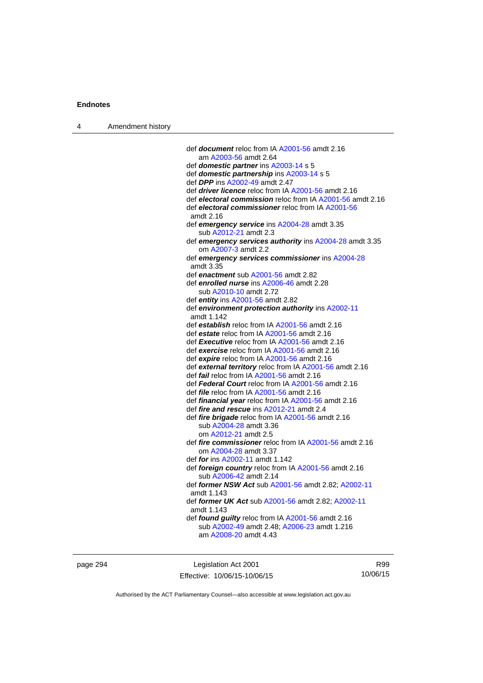| 4 | Amendment history |                                                                                                                             |
|---|-------------------|-----------------------------------------------------------------------------------------------------------------------------|
|   |                   |                                                                                                                             |
|   |                   | def <b>document</b> reloc from IA A2001-56 amdt 2.16                                                                        |
|   |                   | am A2003-56 amdt 2.64                                                                                                       |
|   |                   | def <b>domestic partner</b> ins A2003-14 s 5                                                                                |
|   |                   | def domestic partnership ins A2003-14 s 5                                                                                   |
|   |                   | def <b>DPP</b> ins A2002-49 amdt 2.47                                                                                       |
|   |                   | def <i>driver licence</i> reloc from IA A2001-56 amdt 2.16                                                                  |
|   |                   | def electoral commission reloc from IA A2001-56 amdt 2.16<br>def electoral commissioner reloc from IA A2001-56<br>amdt 2.16 |
|   |                   | def emergency service ins A2004-28 amdt 3.35                                                                                |
|   |                   | sub A2012-21 amdt 2.3                                                                                                       |
|   |                   | def emergency services authority ins A2004-28 amdt 3.35<br>om A2007-3 amdt 2.2                                              |
|   |                   | def emergency services commissioner ins A2004-28                                                                            |
|   |                   | amdt 3.35                                                                                                                   |
|   |                   | def enactment sub A2001-56 amdt 2.82                                                                                        |
|   |                   | def enrolled nurse ins A2006-46 amdt 2.28                                                                                   |
|   |                   | sub A2010-10 amdt 2.72                                                                                                      |
|   |                   | def entity ins $A2001-56$ amdt 2.82                                                                                         |
|   |                   | def environment protection authority ins A2002-11<br>amdt 1.142                                                             |
|   |                   | def establish reloc from IA A2001-56 amdt 2.16                                                                              |
|   |                   | def estate reloc from IA A2001-56 amdt 2.16                                                                                 |
|   |                   | def Executive reloc from IA A2001-56 amdt 2.16                                                                              |
|   |                   | def exercise reloc from IA A2001-56 amdt 2.16                                                                               |
|   |                   | def expire reloc from IA A2001-56 amdt 2.16<br>def external territory reloc from IA A2001-56 amdt 2.16                      |
|   |                   | def fail reloc from IA A2001-56 amdt 2.16                                                                                   |
|   |                   | def Federal Court reloc from IA A2001-56 amdt 2.16                                                                          |
|   |                   | def <i>file</i> reloc from IA A2001-56 amdt 2.16                                                                            |
|   |                   | def <i>financial year</i> reloc from IA A2001-56 amdt 2.16                                                                  |
|   |                   | def fire and rescue ins A2012-21 amdt 2.4                                                                                   |
|   |                   | def <i>fire brigade</i> reloc from IA A2001-56 amdt 2.16                                                                    |
|   |                   | sub A2004-28 amdt 3.36                                                                                                      |
|   |                   | om A2012-21 amdt 2.5                                                                                                        |
|   |                   | def fire commissioner reloc from IA A2001-56 amdt 2.16<br>om A2004-28 amdt 3.37                                             |
|   |                   | def <i>for</i> ins A2002-11 amdt 1.142                                                                                      |
|   |                   | def foreign country reloc from IA A2001-56 amdt 2.16<br>sub A2006-42 amdt 2.14                                              |
|   |                   | def former NSW Act sub A2001-56 amdt 2.82; A2002-11<br>amdt 1.143                                                           |
|   |                   | def former UK Act sub A2001-56 amdt 2.82; A2002-11<br>amdt 1.143                                                            |
|   |                   | def found guilty reloc from IA A2001-56 amdt 2.16<br>sub A2002-49 amdt 2.48; A2006-23 amdt 1.216<br>am A2008-20 amdt 4.43   |
|   |                   |                                                                                                                             |

page 294 **Legislation Act 2001** Effective: 10/06/15-10/06/15

R99 10/06/15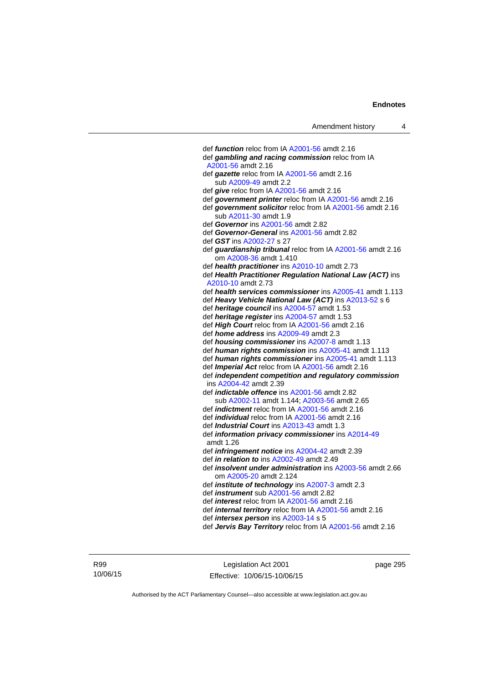def *function* reloc from IA [A2001-56](http://www.legislation.act.gov.au/a/2001-56) amdt 2.16 def *gambling and racing commission* reloc from IA [A2001-56](http://www.legislation.act.gov.au/a/2001-56) amdt 2.16 def *gazette* reloc from IA [A2001-56](http://www.legislation.act.gov.au/a/2001-56) amdt 2.16 sub [A2009-49](http://www.legislation.act.gov.au/a/2009-49) amdt 2.2 def *give* reloc from IA [A2001-56](http://www.legislation.act.gov.au/a/2001-56) amdt 2.16 def *government printer* reloc from IA [A2001-56](http://www.legislation.act.gov.au/a/2001-56) amdt 2.16 def *government solicitor* reloc from IA [A2001-56](http://www.legislation.act.gov.au/a/2001-56) amdt 2.16 sub [A2011-30](http://www.legislation.act.gov.au/a/2011-30) amdt 1.9 def *Governor* ins [A2001-56](http://www.legislation.act.gov.au/a/2001-56) amdt 2.82 def *Governor-General* ins [A2001-56](http://www.legislation.act.gov.au/a/2001-56) amdt 2.82 def *GST* ins [A2002-27](http://www.legislation.act.gov.au/a/2002-27) s 27 def *guardianship tribunal* reloc from IA [A2001-56](http://www.legislation.act.gov.au/a/2001-56) amdt 2.16 om [A2008-36](http://www.legislation.act.gov.au/a/2008-36) amdt 1.410 def *health practitioner* ins [A2010-10](http://www.legislation.act.gov.au/a/2010-10) amdt 2.73 def *Health Practitioner Regulation National Law (ACT)* ins [A2010-10](http://www.legislation.act.gov.au/a/2010-10) amdt 2.73 def *health services commissioner* ins [A2005-41](http://www.legislation.act.gov.au/a/2005-41) amdt 1.113 def *Heavy Vehicle National Law (ACT)* ins [A2013-52](http://www.legislation.act.gov.au/a/2013-52) s 6 def *heritage council* ins [A2004-57](http://www.legislation.act.gov.au/a/2004-57) amdt 1.53 def *heritage register* ins [A2004-57](http://www.legislation.act.gov.au/a/2004-57) amdt 1.53 def *High Court* reloc from IA [A2001-56](http://www.legislation.act.gov.au/a/2001-56) amdt 2.16 def *home address* ins [A2009-49](http://www.legislation.act.gov.au/a/2009-49) amdt 2.3 def *housing commissioner* ins [A2007-8](http://www.legislation.act.gov.au/a/2007-8) amdt 1.13 def *human rights commission* ins [A2005-41](http://www.legislation.act.gov.au/a/2005-41) amdt 1.113 def *human rights commissioner* ins [A2005-41](http://www.legislation.act.gov.au/a/2005-41) amdt 1.113 def *Imperial Act* reloc from IA [A2001-56](http://www.legislation.act.gov.au/a/2001-56) amdt 2.16 def *independent competition and regulatory commission* ins [A2004-42](http://www.legislation.act.gov.au/a/2004-42) amdt 2.39 def *indictable offence* ins [A2001-56](http://www.legislation.act.gov.au/a/2001-56) amdt 2.82 sub [A2002-11](http://www.legislation.act.gov.au/a/2002-11) amdt 1.144; [A2003-56](http://www.legislation.act.gov.au/a/2003-56) amdt 2.65 def *indictment* reloc from IA [A2001-56](http://www.legislation.act.gov.au/a/2001-56) amdt 2.16 def *individual* reloc from IA [A2001-56](http://www.legislation.act.gov.au/a/2001-56) amdt 2.16 def *Industrial Court* ins [A2013-43](http://www.legislation.act.gov.au/a/2013-43) amdt 1.3 def *information privacy commissioner* ins [A2014-49](http://www.legislation.act.gov.au/a/2014-49) amdt 1.26 def *infringement notice* ins [A2004-42](http://www.legislation.act.gov.au/a/2004-42) amdt 2.39 def *in relation to* ins [A2002-49](http://www.legislation.act.gov.au/a/2002-49) amdt 2.49 def *insolvent under administration* ins [A2003-56](http://www.legislation.act.gov.au/a/2003-56) amdt 2.66 om [A2005-20](http://www.legislation.act.gov.au/a/2005-20) amdt 2.124 def *institute of technology* ins [A2007-3](http://www.legislation.act.gov.au/a/2007-3) amdt 2.3 def *instrument* sub [A2001-56](http://www.legislation.act.gov.au/a/2001-56) amdt 2.82 def *interest* reloc from IA [A2001-56](http://www.legislation.act.gov.au/a/2001-56) amdt 2.16 def *internal territory* reloc from IA [A2001-56](http://www.legislation.act.gov.au/a/2001-56) amdt 2.16 def *intersex person* ins [A2003-14](http://www.legislation.act.gov.au/a/2003-14) s 5 def *Jervis Bay Territory* reloc from IA [A2001-56](http://www.legislation.act.gov.au/a/2001-56) amdt 2.16

R99 10/06/15

Legislation Act 2001 Effective: 10/06/15-10/06/15 page 295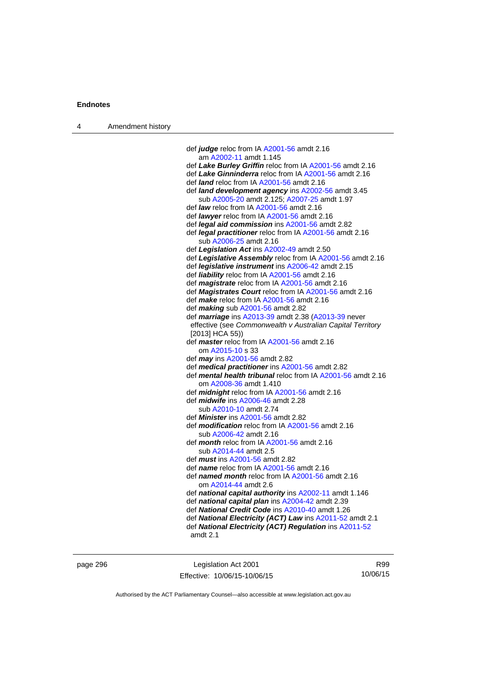4 Amendment history

| def judge reloc from IA A2001-56 amdt 2.16                     |
|----------------------------------------------------------------|
| am A2002-11 amdt 1.145                                         |
| def Lake Burley Griffin reloc from IA A2001-56 amdt 2.16       |
| def Lake Ginninderra reloc from IA A2001-56 amdt 2.16          |
| def <i>land</i> reloc from IA A2001-56 amdt 2.16               |
| def <i>land development agency</i> ins A2002-56 amdt 3.45      |
| sub A2005-20 amdt 2.125: A2007-25 amdt 1.97                    |
| def <i>law</i> reloc from IA $A2001-56$ amdt 2.16              |
| def <i>lawyer</i> reloc from IA A2001-56 amdt 2.16             |
| def <i>legal aid commission</i> ins A2001-56 amdt 2.82         |
| def <i>legal practitioner</i> reloc from IA A2001-56 amdt 2.16 |
| sub A2006-25 amdt 2.16                                         |
| def Legislation Act ins A2002-49 amdt 2.50                     |
|                                                                |

- def *Legislative Assembly* reloc from IA [A2001-56](http://www.legislation.act.gov.au/a/2001-56) amdt 2.16
- def *legislative instrument* ins [A2006-42](http://www.legislation.act.gov.au/a/2006-42) amdt 2.15
- def *liability* reloc from IA [A2001-56](http://www.legislation.act.gov.au/a/2001-56) amdt 2.16
- def *magistrate* reloc from IA [A2001-56](http://www.legislation.act.gov.au/a/2001-56) amdt 2.16
- def *Magistrates Court* reloc from IA [A2001-56](http://www.legislation.act.gov.au/a/2001-56) amdt 2.16
- def *make* reloc from IA [A2001-56](http://www.legislation.act.gov.au/a/2001-56) amdt 2.16
- def *making* sub [A2001-56](http://www.legislation.act.gov.au/a/2001-56) amdt 2.82
- def *marriage* ins [A2013-39](http://www.legislation.act.gov.au/a/2013-39) amdt 2.38 ([A2013-39](http://www.legislation.act.gov.au/a/2013-39) never effective (see *Commonwealth v Australian Capital Territory*
- [2013] HCA 55))
- def *master* reloc from IA [A2001-56](http://www.legislation.act.gov.au/a/2001-56) amdt 2.16 om [A2015-10](http://www.legislation.act.gov.au/a/2015-10) s 33
- def *may* ins [A2001-56](http://www.legislation.act.gov.au/a/2001-56) amdt 2.82
- def *medical practitioner* ins [A2001-56](http://www.legislation.act.gov.au/a/2001-56) amdt 2.82
- def *mental health tribunal* reloc from IA [A2001-56](http://www.legislation.act.gov.au/a/2001-56) amdt 2.16 om [A2008-36](http://www.legislation.act.gov.au/a/2008-36) amdt 1.410
- def *midnight* reloc from IA [A2001-56](http://www.legislation.act.gov.au/a/2001-56) amdt 2.16 def *midwife* ins [A2006-46](http://www.legislation.act.gov.au/a/2006-46) amdt 2.28
- sub [A2010-10](http://www.legislation.act.gov.au/a/2010-10) amdt 2.74
- def *Minister* ins [A2001-56](http://www.legislation.act.gov.au/a/2001-56) amdt 2.82
- def *modification* reloc from IA [A2001-56](http://www.legislation.act.gov.au/a/2001-56) amdt 2.16 sub [A2006-42](http://www.legislation.act.gov.au/a/2006-42) amdt 2.16
- def *month* reloc from IA [A2001-56](http://www.legislation.act.gov.au/a/2001-56) amdt 2.16 sub [A2014-44](http://www.legislation.act.gov.au/a/2014-44) amdt 2.5
- def *must* ins [A2001-56](http://www.legislation.act.gov.au/a/2001-56) amdt 2.82
- def *name* reloc from IA [A2001-56](http://www.legislation.act.gov.au/a/2001-56) amdt 2.16
- def *named month* reloc from IA [A2001-56](http://www.legislation.act.gov.au/a/2001-56) amdt 2.16 om [A2014-44](http://www.legislation.act.gov.au/a/2014-44) amdt 2.6
- def *national capital authority* ins [A2002-11](http://www.legislation.act.gov.au/a/2002-11) amdt 1.146
- def *national capital plan* ins [A2004-42](http://www.legislation.act.gov.au/a/2004-42) amdt 2.39
- def *National Credit Code* ins [A2010-40](http://www.legislation.act.gov.au/a/2010-40) amdt 1.26
- def *National Electricity (ACT) Law* ins [A2011-52](http://www.legislation.act.gov.au/a/2011-52) amdt 2.1
- def *National Electricity (ACT) Regulation* ins [A2011-52](http://www.legislation.act.gov.au/a/2011-52)
- amdt 2.1

page 296 Legislation Act 2001 Effective: 10/06/15-10/06/15

R99 10/06/15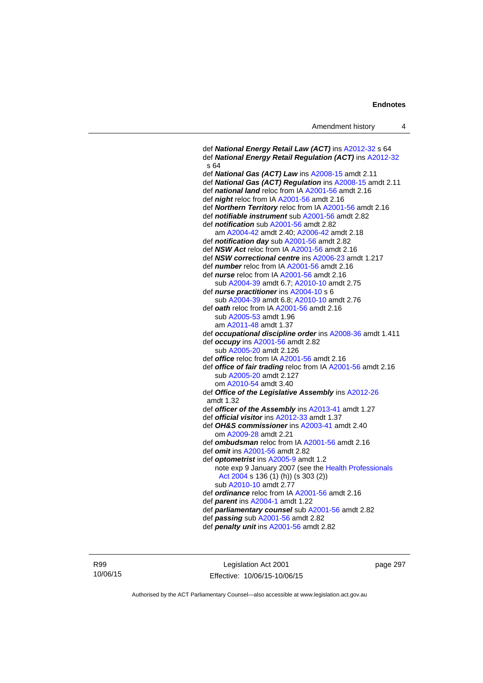```
 def National Energy Retail Law (ACT) ins A2012-32 s 64 
 def National Energy Retail Regulation (ACT) ins A2012-32
 s 64 
 def National Gas (ACT) Law ins A2008-15 amdt 2.11 
 def National Gas (ACT) Regulation ins A2008-15 amdt 2.11 
 def national land reloc from IA A2001-56 amdt 2.16 
 def night reloc from IA A2001-56 amdt 2.16 
 def Northern Territory reloc from IA A2001-56 amdt 2.16 
 def notifiable instrument sub A2001-56 amdt 2.82 
 def notification sub A2001-56 amdt 2.82
    am A2004-42 amdt 2.40; A2006-42 amdt 2.18 
 def notification day sub A2001-56 amdt 2.82 
 def NSW Act reloc from IA A2001-56 amdt 2.16
 def NSW correctional centre ins A2006-23 amdt 1.217 
 def number reloc from IA A2001-56 amdt 2.16
 def nurse reloc from IA A2001-56 amdt 2.16 
    sub A2004-39 amdt 6.7; A2010-10 amdt 2.75 
 def nurse practitioner ins A2004-10 s 6 
    sub A2004-39 amdt 6.8; A2010-10 amdt 2.76 
 def oath reloc from IA A2001-56 amdt 2.16 
    sub A2005-53 amdt 1.96 
    am A2011-48 amdt 1.37
 def occupational discipline order ins A2008-36 amdt 1.411 
 def occupy ins A2001-56 amdt 2.82 
    sub A2005-20 amdt 2.126 
 def office reloc from IA A2001-56 amdt 2.16
 def office of fair trading reloc from IA A2001-56 amdt 2.16 
    sub A2005-20 amdt 2.127 
    om A2010-54 amdt 3.40
 def Office of the Legislative Assembly ins A2012-26
 amdt 1.32
 def officer of the Assembly ins A2013-41 amdt 1.27 
def official visitorA2012-33 amdt 1.37
 def OH&S commissioner ins A2003-41 amdt 2.40 
    om A2009-28 amdt 2.21
 def ombudsman reloc from IA A2001-56 amdt 2.16 
 def omit ins A2001-56 amdt 2.82 
 def optometrist ins A2005-9 amdt 1.2
   note exp 9 January 2007 (see the Health Professionals 
    Act 2004 s 136 (1) (h)) (s 303 (2)) 
    sub A2010-10 amdt 2.77 
 def ordinance reloc from IA A2001-56 amdt 2.16 
 def parent ins A2004-1 amdt 1.22 
 def parliamentary counsel sub A2001-56 amdt 2.82 
 def passing sub A2001-56 amdt 2.82 
 def penalty unit ins A2001-56 amdt 2.82
```
R99 10/06/15

Legislation Act 2001 Effective: 10/06/15-10/06/15 page 297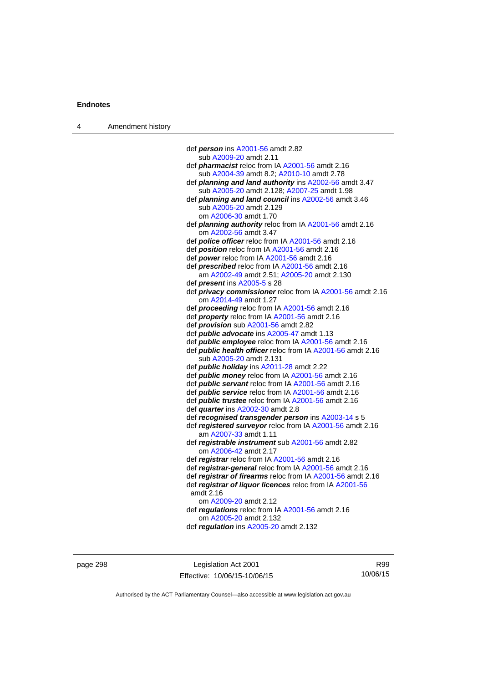| 4 | Amendment history |                                                                   |
|---|-------------------|-------------------------------------------------------------------|
|   |                   |                                                                   |
|   |                   | def <i>person</i> ins A2001-56 amdt 2.82                          |
|   |                   | sub A2009-20 amdt 2.11                                            |
|   |                   | def <i>pharmacist</i> reloc from IA A2001-56 amdt 2.16            |
|   |                   | sub A2004-39 amdt 8.2; A2010-10 amdt 2.78                         |
|   |                   | def planning and land authority ins A2002-56 amdt 3.47            |
|   |                   | sub A2005-20 amdt 2.128; A2007-25 amdt 1.98                       |
|   |                   | def planning and land council ins A2002-56 amdt 3.46              |
|   |                   | sub A2005-20 amdt 2.129                                           |
|   |                   | om A2006-30 amdt 1.70                                             |
|   |                   | def <i>planning authority</i> reloc from IA A2001-56 amdt 2.16    |
|   |                   | om A2002-56 amdt 3.47                                             |
|   |                   | def police officer reloc from IA A2001-56 amdt 2.16               |
|   |                   | def position reloc from IA A2001-56 amdt 2.16                     |
|   |                   | def power reloc from IA A2001-56 amdt 2.16                        |
|   |                   | def prescribed reloc from IA A2001-56 amdt 2.16                   |
|   |                   | am A2002-49 amdt 2.51; A2005-20 amdt 2.130                        |
|   |                   | def <i>present</i> ins A2005-5 s 28                               |
|   |                   | def <i>privacy commissioner</i> reloc from IA A2001-56 amdt 2.16  |
|   |                   | om A2014-49 amdt 1.27                                             |
|   |                   | def <b>proceeding</b> reloc from IA A2001-56 amdt 2.16            |
|   |                   | def property reloc from IA A2001-56 amdt 2.16                     |
|   |                   | def <i>provision</i> sub A2001-56 amdt 2.82                       |
|   |                   | def <i>public advocate</i> ins A2005-47 amdt 1.13                 |
|   |                   | def <i>public</i> employee reloc from IA A2001-56 amdt 2.16       |
|   |                   | def <b>public health officer</b> reloc from IA A2001-56 amdt 2.16 |
|   |                   | sub A2005-20 amdt 2.131                                           |
|   |                   | def <i>public holiday</i> ins A2011-28 amdt 2.22                  |
|   |                   | def <i>public money</i> reloc from IA A2001-56 amdt 2.16          |
|   |                   | def <i>public</i> servant reloc from IA A2001-56 amdt 2.16        |
|   |                   | def <i>public</i> service reloc from IA A2001-56 amdt 2.16        |
|   |                   | def <i>public trustee</i> reloc from IA A2001-56 amdt 2.16        |
|   |                   | def quarter ins A2002-30 amdt 2.8                                 |
|   |                   | def recognised transgender person ins A2003-14 s 5                |
|   |                   | def registered surveyor reloc from IA A2001-56 amdt 2.16          |
|   |                   | am A2007-33 amdt 1.11                                             |
|   |                   | def registrable instrument sub A2001-56 amdt 2.82                 |
|   |                   | om A2006-42 amdt 2.17                                             |
|   |                   | def registrar reloc from IA A2001-56 amdt 2.16                    |
|   |                   | def registrar-general reloc from IA A2001-56 amdt 2.16            |
|   |                   | def registrar of firearms reloc from IA A2001-56 amdt 2.16        |
|   |                   | def registrar of liquor licences reloc from IA A2001-56           |
|   |                   | amdt 2.16                                                         |
|   |                   | om A2009-20 amdt 2.12                                             |
|   |                   | def regulations reloc from IA A2001-56 amdt 2.16                  |
|   |                   | om A2005-20 amdt 2.132                                            |
|   |                   | def regulation ins A2005-20 amdt 2.132                            |
|   |                   |                                                                   |

page 298 Legislation Act 2001 Effective: 10/06/15-10/06/15

R99 10/06/15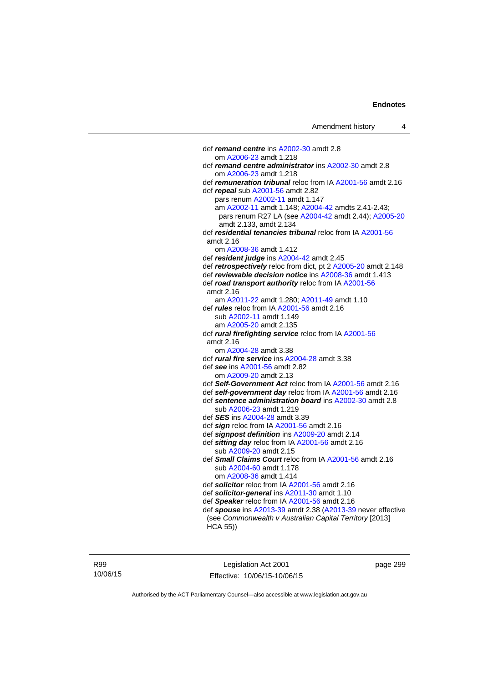def *remand centre* ins [A2002-30](http://www.legislation.act.gov.au/a/2002-30) amdt 2.8 om [A2006-23](http://www.legislation.act.gov.au/a/2006-23) amdt 1.218 def *remand centre administrator* ins [A2002-30](http://www.legislation.act.gov.au/a/2002-30) amdt 2.8 om [A2006-23](http://www.legislation.act.gov.au/a/2006-23) amdt 1.218 def *remuneration tribunal* reloc from IA [A2001-56](http://www.legislation.act.gov.au/a/2001-56) amdt 2.16 def *repeal* sub [A2001-56](http://www.legislation.act.gov.au/a/2001-56) amdt 2.82 pars renum [A2002-11](http://www.legislation.act.gov.au/a/2002-11) amdt 1.147 am [A2002-11](http://www.legislation.act.gov.au/a/2002-11) amdt 1.148; [A2004-42](http://www.legislation.act.gov.au/a/2004-42) amdts 2.41-2.43; pars renum R27 LA (see [A2004-42](http://www.legislation.act.gov.au/a/2004-42) amdt 2.44); [A2005-20](http://www.legislation.act.gov.au/a/2005-20) amdt 2.133, amdt 2.134 def *residential tenancies tribunal* reloc from IA [A2001-56](http://www.legislation.act.gov.au/a/2001-56) amdt 2.16 om [A2008-36](http://www.legislation.act.gov.au/a/2008-36) amdt 1.412 def *resident judge* ins [A2004-42](http://www.legislation.act.gov.au/a/2004-42) amdt 2.45 def *retrospectively* reloc from dict, pt 2 [A2005-20](http://www.legislation.act.gov.au/a/2005-20) amdt 2.148 def *reviewable decision notice* ins [A2008-36](http://www.legislation.act.gov.au/a/2008-36) amdt 1.413 def *road transport authority* reloc from IA [A2001-56](http://www.legislation.act.gov.au/a/2001-56) amdt 2.16 am [A2011-22](http://www.legislation.act.gov.au/a/2011-22) amdt 1.280; [A2011-49](http://www.legislation.act.gov.au/a/2011-49) amdt 1.10 def *rules* reloc from IA [A2001-56](http://www.legislation.act.gov.au/a/2001-56) amdt 2.16 sub [A2002-11](http://www.legislation.act.gov.au/a/2002-11) amdt 1.149 am [A2005-20](http://www.legislation.act.gov.au/a/2005-20) amdt 2.135 def *rural firefighting service* reloc from IA [A2001-56](http://www.legislation.act.gov.au/a/2001-56) amdt 2.16 om [A2004-28](http://www.legislation.act.gov.au/a/2004-28) amdt 3.38 def *rural fire service* ins [A2004-28](http://www.legislation.act.gov.au/a/2004-28) amdt 3.38 def *see* ins [A2001-56](http://www.legislation.act.gov.au/a/2001-56) amdt 2.82 om [A2009-20](http://www.legislation.act.gov.au/a/2009-20) amdt 2.13 def *Self-Government Act* reloc from IA [A2001-56](http://www.legislation.act.gov.au/a/2001-56) amdt 2.16 def *self-government day* reloc from IA [A2001-56](http://www.legislation.act.gov.au/a/2001-56) amdt 2.16 def *sentence administration board* ins [A2002-30](http://www.legislation.act.gov.au/a/2002-30) amdt 2.8 sub [A2006-23](http://www.legislation.act.gov.au/a/2006-23) amdt 1.219 def *SES* ins [A2004-28](http://www.legislation.act.gov.au/a/2004-28) amdt 3.39 def *sign* reloc from IA [A2001-56](http://www.legislation.act.gov.au/a/2001-56) amdt 2.16 def *signpost definition* ins [A2009-20](http://www.legislation.act.gov.au/a/2009-20) amdt 2.14 def *sitting day* reloc from IA [A2001-56](http://www.legislation.act.gov.au/a/2001-56) amdt 2.16 sub [A2009-20](http://www.legislation.act.gov.au/a/2009-20) amdt 2.15 def *Small Claims Court* reloc from IA [A2001-56](http://www.legislation.act.gov.au/a/2001-56) amdt 2.16 sub [A2004-60](http://www.legislation.act.gov.au/a/2004-60) amdt 1.178 om [A2008-36](http://www.legislation.act.gov.au/a/2008-36) amdt 1.414 def *solicitor* reloc from IA [A2001-56](http://www.legislation.act.gov.au/a/2001-56) amdt 2.16 def *solicitor-general* ins [A2011-30](http://www.legislation.act.gov.au/a/2011-30) amdt 1.10 def *Speaker* reloc from IA [A2001-56](http://www.legislation.act.gov.au/a/2001-56) amdt 2.16 def *spouse* ins [A2013-39](http://www.legislation.act.gov.au/a/2013-39) amdt 2.38 [\(A2013-39](http://www.legislation.act.gov.au/a/2013-39) never effective (see *Commonwealth v Australian Capital Territory* [2013] HCA 55))

R99 10/06/15

Legislation Act 2001 Effective: 10/06/15-10/06/15 page 299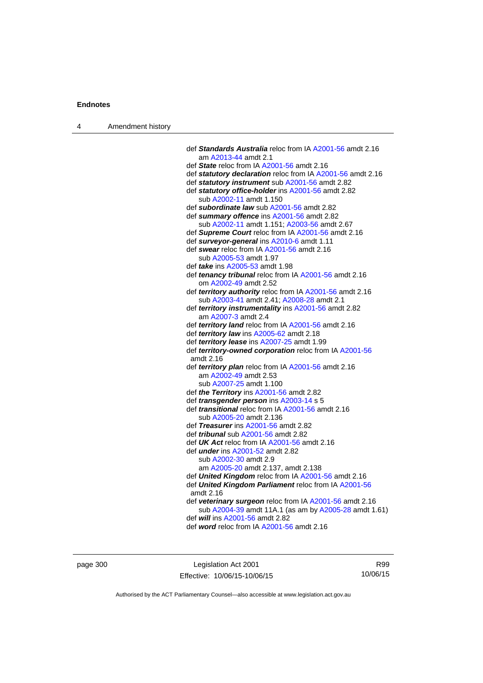| 4 | Amendment history |                                                                                                            |
|---|-------------------|------------------------------------------------------------------------------------------------------------|
|   |                   |                                                                                                            |
|   |                   | def Standards Australia reloc from IA A2001-56 amdt 2.16                                                   |
|   |                   | am A2013-44 amdt 2.1                                                                                       |
|   |                   | def State reloc from IA A2001-56 amdt 2.16                                                                 |
|   |                   | def statutory declaration reloc from IA A2001-56 amdt 2.16                                                 |
|   |                   | def statutory instrument sub A2001-56 amdt 2.82                                                            |
|   |                   | def statutory office-holder ins A2001-56 amdt 2.82<br>sub A2002-11 amdt 1.150                              |
|   |                   | def subordinate law sub A2001-56 amdt 2.82                                                                 |
|   |                   | def summary offence ins A2001-56 amdt 2.82                                                                 |
|   |                   | sub A2002-11 amdt 1.151; A2003-56 amdt 2.67                                                                |
|   |                   | def Supreme Court reloc from IA A2001-56 amdt 2.16                                                         |
|   |                   | def surveyor-general ins A2010-6 amdt 1.11                                                                 |
|   |                   | def swear reloc from IA A2001-56 amdt 2.16                                                                 |
|   |                   | sub A2005-53 amdt 1.97                                                                                     |
|   |                   | def <i>take</i> ins A2005-53 amdt 1.98                                                                     |
|   |                   | def tenancy tribunal reloc from IA A2001-56 amdt 2.16                                                      |
|   |                   | om A2002-49 amdt 2.52                                                                                      |
|   |                   | def territory authority reloc from IA A2001-56 amdt 2.16                                                   |
|   |                   | sub A2003-41 amdt 2.41; A2008-28 amdt 2.1                                                                  |
|   |                   | def territory instrumentality ins A2001-56 amdt 2.82<br>am A2007-3 amdt 2.4                                |
|   |                   | def territory land reloc from IA A2001-56 amdt 2.16                                                        |
|   |                   | def territory law ins A2005-62 amdt 2.18                                                                   |
|   |                   | def territory lease ins A2007-25 amdt 1.99                                                                 |
|   |                   | def territory-owned corporation reloc from IA A2001-56                                                     |
|   |                   | amdt 2.16                                                                                                  |
|   |                   | def territory plan reloc from IA A2001-56 amdt 2.16                                                        |
|   |                   | am A2002-49 amdt 2.53                                                                                      |
|   |                   | sub A2007-25 amdt 1.100                                                                                    |
|   |                   | def the Territory ins A2001-56 amdt 2.82                                                                   |
|   |                   | def <i>transgender person</i> ins A2003-14 s 5<br>def <i>transitional</i> reloc from IA A2001-56 amdt 2.16 |
|   |                   | sub A2005-20 amdt 2.136                                                                                    |
|   |                   | def Treasurer ins A2001-56 amdt 2.82                                                                       |
|   |                   | def <i>tribunal</i> sub A2001-56 amdt 2.82                                                                 |
|   |                   | def $UK$ Act reloc from IA A2001-56 amdt 2.16                                                              |
|   |                   | def <i>under</i> ins A2001-52 amdt 2.82                                                                    |
|   |                   | sub A2002-30 amdt 2.9                                                                                      |
|   |                   | am A2005-20 amdt 2.137, amdt 2.138                                                                         |
|   |                   | def <b>United Kingdom</b> reloc from IA A2001-56 amdt 2.16                                                 |
|   |                   | def United Kingdom Parliament reloc from IA A2001-56<br>amdt 2.16                                          |
|   |                   | def veterinary surgeon reloc from IA A2001-56 amdt 2.16                                                    |
|   |                   | sub A2004-39 amdt 11A.1 (as am by A2005-28 amdt 1.61)                                                      |
|   |                   | def will ins A2001-56 amdt 2.82                                                                            |
|   |                   | def word reloc from IA A2001-56 amdt 2.16                                                                  |

page 300 Legislation Act 2001 Effective: 10/06/15-10/06/15

R99 10/06/15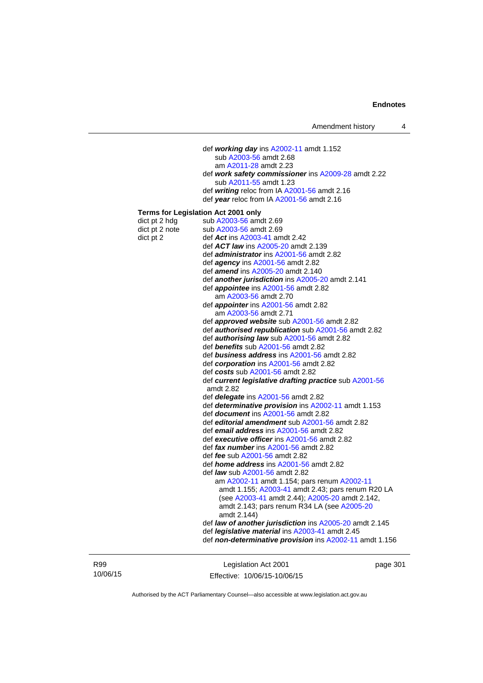def *working day* ins [A2002-11](http://www.legislation.act.gov.au/a/2002-11) amdt 1.152 sub [A2003-56](http://www.legislation.act.gov.au/a/2003-56) amdt 2.68 am [A2011-28](http://www.legislation.act.gov.au/a/2011-28) amdt 2.23 def *work safety commissioner* ins [A2009-28](http://www.legislation.act.gov.au/a/2009-28) amdt 2.22 sub [A2011-55](http://www.legislation.act.gov.au/a/2011-55) amdt 1.23 def *writing* reloc from IA [A2001-56](http://www.legislation.act.gov.au/a/2001-56) amdt 2.16 def *year* reloc from IA [A2001-56](http://www.legislation.act.gov.au/a/2001-56) amdt 2.16 **Terms for Legislation Act 2001 only**  dict pt 2 hdg sub  $A2003-56$  amdt 2.69 dict pt 2 note sub [A2003-56](http://www.legislation.act.gov.au/a/2003-56) amdt 2.69 dict pt 2 def *Act* ins [A2003-41](http://www.legislation.act.gov.au/a/2003-41) amdt 2.42 def *ACT law* ins [A2005-20](http://www.legislation.act.gov.au/a/2005-20) amdt 2.139 def *administrator* ins [A2001-56](http://www.legislation.act.gov.au/a/2001-56) amdt 2.82 def *agency* ins [A2001-56](http://www.legislation.act.gov.au/a/2001-56) amdt 2.82 def *amend* ins [A2005-20](http://www.legislation.act.gov.au/a/2005-20) amdt 2.140 def *another jurisdiction* ins [A2005-20](http://www.legislation.act.gov.au/a/2005-20) amdt 2.141 def *appointee* ins [A2001-56](http://www.legislation.act.gov.au/a/2001-56) amdt 2.82 am [A2003-56](http://www.legislation.act.gov.au/a/2003-56) amdt 2.70 def *appointer* ins [A2001-56](http://www.legislation.act.gov.au/a/2001-56) amdt 2.82 am [A2003-56](http://www.legislation.act.gov.au/a/2003-56) amdt 2.71 def *approved website* sub [A2001-56](http://www.legislation.act.gov.au/a/2001-56) amdt 2.82 def *authorised republication* sub [A2001-56](http://www.legislation.act.gov.au/a/2001-56) amdt 2.82 def *authorising law* sub [A2001-56](http://www.legislation.act.gov.au/a/2001-56) amdt 2.82 def *benefits* sub [A2001-56](http://www.legislation.act.gov.au/a/2001-56) amdt 2.82 def *business address* ins [A2001-56](http://www.legislation.act.gov.au/a/2001-56) amdt 2.82 def *corporation* ins [A2001-56](http://www.legislation.act.gov.au/a/2001-56) amdt 2.82 def *costs* sub [A2001-56](http://www.legislation.act.gov.au/a/2001-56) amdt 2.82 def *current legislative drafting practice* sub [A2001-56](http://www.legislation.act.gov.au/a/2001-56) amdt 2.82 def *delegate* ins [A2001-56](http://www.legislation.act.gov.au/a/2001-56) amdt 2.82 def *determinative provision* ins [A2002-11](http://www.legislation.act.gov.au/a/2002-11) amdt 1.153 def *document* ins [A2001-56](http://www.legislation.act.gov.au/a/2001-56) amdt 2.82 def *editorial amendment* sub [A2001-56](http://www.legislation.act.gov.au/a/2001-56) amdt 2.82 def *email address* ins [A2001-56](http://www.legislation.act.gov.au/a/2001-56) amdt 2.82 def *executive officer* ins [A2001-56](http://www.legislation.act.gov.au/a/2001-56) amdt 2.82 def *fax number* ins [A2001-56](http://www.legislation.act.gov.au/a/2001-56) amdt 2.82 def *fee* sub [A2001-56](http://www.legislation.act.gov.au/a/2001-56) amdt 2.82 def *home address* ins [A2001-56](http://www.legislation.act.gov.au/a/2001-56) amdt 2.82 def *law* sub [A2001-56](http://www.legislation.act.gov.au/a/2001-56) amdt 2.82 am [A2002-11](http://www.legislation.act.gov.au/a/2002-11) amdt 1.154; pars renum [A2002-11](http://www.legislation.act.gov.au/a/2002-11) amdt 1.155; [A2003-41](http://www.legislation.act.gov.au/a/2003-41) amdt 2.43; pars renum R20 LA (see [A2003-41](http://www.legislation.act.gov.au/a/2003-41) amdt 2.44); [A2005-20](http://www.legislation.act.gov.au/a/2005-20) amdt 2.142, amdt 2.143; pars renum R34 LA (see [A2005-20](http://www.legislation.act.gov.au/a/2005-20) amdt 2.144) def *law of another jurisdiction* ins [A2005-20](http://www.legislation.act.gov.au/a/2005-20) amdt 2.145 def *legislative material* ins [A2003-41](http://www.legislation.act.gov.au/a/2003-41) amdt 2.45 def *non-determinative provision* ins [A2002-11](http://www.legislation.act.gov.au/a/2002-11) amdt 1.156

R99 10/06/15

Legislation Act 2001 Effective: 10/06/15-10/06/15 page 301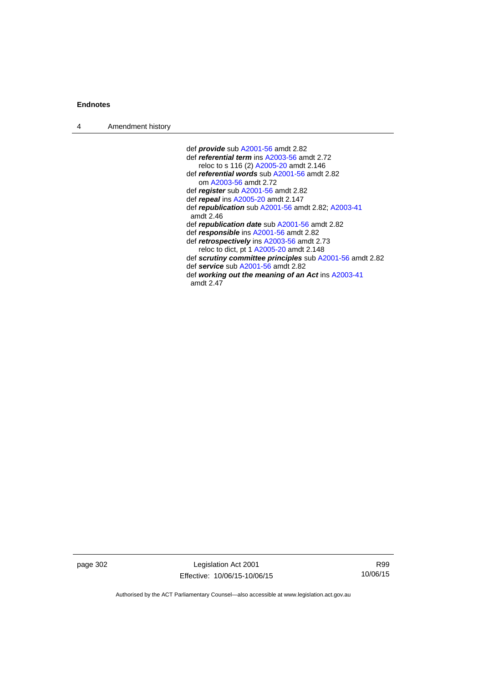| $\boldsymbol{\Lambda}$ | Amendment history |
|------------------------|-------------------|
|------------------------|-------------------|

 def *provide* sub [A2001-56](http://www.legislation.act.gov.au/a/2001-56) amdt 2.82 def *referential term* ins [A2003-56](http://www.legislation.act.gov.au/a/2003-56) amdt 2.72 reloc to s 116 (2) [A2005-20](http://www.legislation.act.gov.au/a/2005-20) amdt 2.146 def *referential words* sub [A2001-56](http://www.legislation.act.gov.au/a/2001-56) amdt 2.82 om [A2003-56](http://www.legislation.act.gov.au/a/2003-56) amdt 2.72 def *register* sub [A2001-56](http://www.legislation.act.gov.au/a/2001-56) amdt 2.82 def *repeal* ins [A2005-20](http://www.legislation.act.gov.au/a/2005-20) amdt 2.147 def *republication* sub [A2001-56](http://www.legislation.act.gov.au/a/2001-56) amdt 2.82; [A2003-41](http://www.legislation.act.gov.au/a/2003-41) amdt 2.46 def *republication date* sub [A2001-56](http://www.legislation.act.gov.au/a/2001-56) amdt 2.82 def *responsible* ins [A2001-56](http://www.legislation.act.gov.au/a/2001-56) amdt 2.82 def *retrospectively* ins [A2003-56](http://www.legislation.act.gov.au/a/2003-56) amdt 2.73 reloc to dict, pt 1 [A2005-20](http://www.legislation.act.gov.au/a/2005-20) amdt 2.148 def *scrutiny committee principles* sub [A2001-56](http://www.legislation.act.gov.au/a/2001-56) amdt 2.82 def *service* sub [A2001-56](http://www.legislation.act.gov.au/a/2001-56) amdt 2.82 def *working out the meaning of an Act* ins [A2003-41](http://www.legislation.act.gov.au/a/2003-41) amdt 2.47

page 302 Legislation Act 2001 Effective: 10/06/15-10/06/15

R99 10/06/15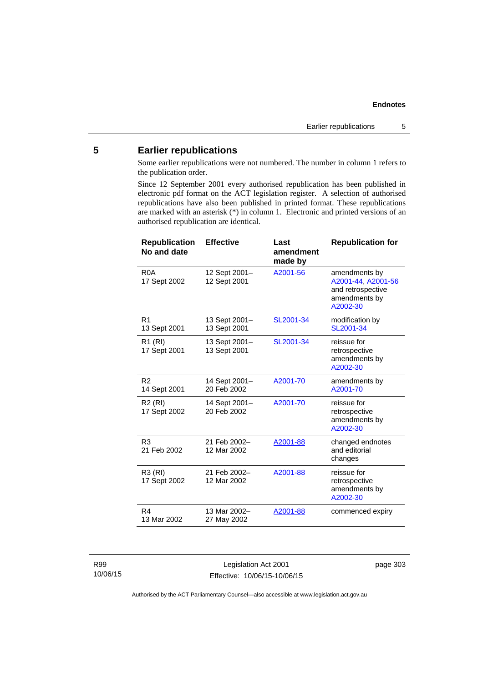# **5 Earlier republications**

Some earlier republications were not numbered. The number in column 1 refers to the publication order.

Since 12 September 2001 every authorised republication has been published in electronic pdf format on the ACT legislation register. A selection of authorised republications have also been published in printed format. These republications are marked with an asterisk (\*) in column 1. Electronic and printed versions of an authorised republication are identical.

| <b>Republication</b><br>No and date | <b>Effective</b>              | Last<br>amendment<br>made by | <b>Republication for</b>                                                              |
|-------------------------------------|-------------------------------|------------------------------|---------------------------------------------------------------------------------------|
| R <sub>0</sub> A<br>17 Sept 2002    | 12 Sept 2001-<br>12 Sept 2001 | A2001-56                     | amendments by<br>A2001-44, A2001-56<br>and retrospective<br>amendments by<br>A2002-30 |
| R <sub>1</sub><br>13 Sept 2001      | 13 Sept 2001-<br>13 Sept 2001 | SL2001-34                    | modification by<br>SL2001-34                                                          |
| R1 (RI)<br>17 Sept 2001             | 13 Sept 2001-<br>13 Sept 2001 | SL2001-34                    | reissue for<br>retrospective<br>amendments by<br>A2002-30                             |
| R <sub>2</sub><br>14 Sept 2001      | 14 Sept 2001-<br>20 Feb 2002  | A2001-70                     | amendments by<br>A2001-70                                                             |
| R <sub>2</sub> (RI)<br>17 Sept 2002 | 14 Sept 2001-<br>20 Feb 2002  | A2001-70                     | reissue for<br>retrospective<br>amendments by<br>A2002-30                             |
| R <sub>3</sub><br>21 Feb 2002       | 21 Feb 2002-<br>12 Mar 2002   | A2001-88                     | changed endnotes<br>and editorial<br>changes                                          |
| R3 (RI)<br>17 Sept 2002             | 21 Feb 2002-<br>12 Mar 2002   | A2001-88                     | reissue for<br>retrospective<br>amendments by<br>A2002-30                             |
| R <sub>4</sub><br>13 Mar 2002       | 13 Mar 2002-<br>27 May 2002   | A2001-88                     | commenced expiry                                                                      |

R99 10/06/15

Legislation Act 2001 Effective: 10/06/15-10/06/15 page 303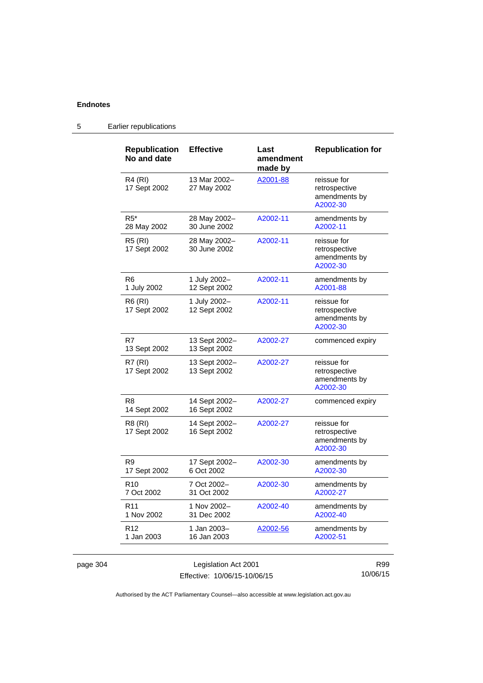| <b>Republication</b><br>No and date | <b>Effective</b>              | Last<br>amendment<br>made by | <b>Republication for</b>                                  |
|-------------------------------------|-------------------------------|------------------------------|-----------------------------------------------------------|
| R4 (RI)<br>17 Sept 2002             | 13 Mar 2002-<br>27 May 2002   | A2001-88                     | reissue for<br>retrospective<br>amendments by<br>A2002-30 |
| $R5*$<br>28 May 2002                | 28 May 2002-<br>30 June 2002  | A2002-11                     | amendments by<br>A2002-11                                 |
| <b>R5 (RI)</b><br>17 Sept 2002      | 28 May 2002-<br>30 June 2002  | A2002-11                     | reissue for<br>retrospective<br>amendments by<br>A2002-30 |
| R <sub>6</sub><br>1 July 2002       | 1 July 2002-<br>12 Sept 2002  | A2002-11                     | amendments by<br>A2001-88                                 |
| R6 (RI)<br>17 Sept 2002             | 1 July 2002-<br>12 Sept 2002  | A2002-11                     | reissue for<br>retrospective<br>amendments by<br>A2002-30 |
| R7<br>13 Sept 2002                  | 13 Sept 2002-<br>13 Sept 2002 | A2002-27                     | commenced expiry                                          |
| R7(RI)<br>17 Sept 2002              | 13 Sept 2002-<br>13 Sept 2002 | A2002-27                     | reissue for<br>retrospective<br>amendments by<br>A2002-30 |
| R <sub>8</sub><br>14 Sept 2002      | 14 Sept 2002-<br>16 Sept 2002 | A2002-27                     | commenced expiry                                          |
| R8 (RI)<br>17 Sept 2002             | 14 Sept 2002-<br>16 Sept 2002 | A2002-27                     | reissue for<br>retrospective<br>amendments by<br>A2002-30 |
| R <sub>9</sub><br>17 Sept 2002      | 17 Sept 2002-<br>6 Oct 2002   | A2002-30                     | amendments by<br>A2002-30                                 |
| R <sub>10</sub><br>7 Oct 2002       | 7 Oct 2002-<br>31 Oct 2002    | A2002-30                     | amendments by<br>A2002-27                                 |
| R <sub>11</sub><br>1 Nov 2002       | 1 Nov 2002-<br>31 Dec 2002    | A2002-40                     | amendments by<br>A2002-40                                 |
| R12<br>1 Jan 2003                   | 1 Jan 2003-<br>16 Jan 2003    | A2002-56                     | amendments by<br>A2002-51                                 |

5 Earlier republications

page 304 **Legislation Act 2001** Effective: 10/06/15-10/06/15

R99 10/06/15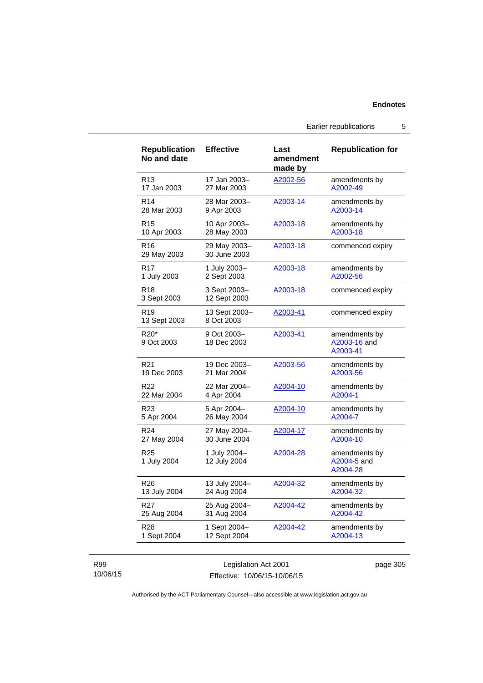Earlier republications 5

| <b>Republication</b><br>No and date        | <b>Effective</b>             | Last<br>amendment<br>made by | <b>Republication for</b>                  |
|--------------------------------------------|------------------------------|------------------------------|-------------------------------------------|
| R <sub>13</sub>                            | 17 Jan 2003-                 | A2002-56                     | amendments by                             |
| 17 Jan 2003                                | 27 Mar 2003                  |                              | A2002-49                                  |
| R <sub>14</sub>                            | 28 Mar 2003-                 | A2003-14                     | amendments by                             |
| 28 Mar 2003                                | 9 Apr 2003                   |                              | A2003-14                                  |
| R <sub>15</sub>                            | 10 Apr 2003-                 | A2003-18                     | amendments by                             |
| 10 Apr 2003                                | 28 May 2003                  |                              | A2003-18                                  |
| R16<br>29 May 2003                         | 29 May 2003-<br>30 June 2003 | A2003-18                     | commenced expiry                          |
| R17                                        | 1 July 2003-                 | A2003-18                     | amendments by                             |
| 1 July 2003                                | 2 Sept 2003                  |                              | A2002-56                                  |
| R <sub>18</sub><br>3 Sept 2003             | 3 Sept 2003-<br>12 Sept 2003 | A2003-18                     | commenced expiry                          |
| R <sub>19</sub><br>13 Sept 2003            | 13 Sept 2003-<br>8 Oct 2003  | A2003-41                     | commenced expiry                          |
| R <sub>20</sub> <sup>*</sup><br>9 Oct 2003 | 9 Oct 2003-<br>18 Dec 2003   | A2003-41                     | amendments by<br>A2003-16 and<br>A2003-41 |
| R <sub>21</sub>                            | 19 Dec 2003-                 | A2003-56                     | amendments by                             |
| 19 Dec 2003                                | 21 Mar 2004                  |                              | A2003-56                                  |
| R <sub>22</sub>                            | 22 Mar 2004-                 | A2004-10                     | amendments by                             |
| 22 Mar 2004                                | 4 Apr 2004                   |                              | A2004-1                                   |
| R <sub>23</sub>                            | 5 Apr 2004-                  | A2004-10                     | amendments by                             |
| 5 Apr 2004                                 | 26 May 2004                  |                              | A2004-7                                   |
| R <sub>24</sub>                            | 27 May 2004-                 | A2004-17                     | amendments by                             |
| 27 May 2004                                | 30 June 2004                 |                              | A2004-10                                  |
| R25<br>1 July 2004                         | 1 July 2004-<br>12 July 2004 | A2004-28                     | amendments by<br>A2004-5 and<br>A2004-28  |
| R <sub>26</sub>                            | 13 July 2004-                | A2004-32                     | amendments by                             |
| 13 July 2004                               | 24 Aug 2004                  |                              | A2004-32                                  |
| R <sub>27</sub>                            | 25 Aug 2004-                 | A2004-42                     | amendments by                             |
| 25 Aug 2004                                | 31 Aug 2004                  |                              | A2004-42                                  |
| R <sub>28</sub>                            | 1 Sept 2004-                 | A2004-42                     | amendments by                             |
| 1 Sept 2004                                | 12 Sept 2004                 |                              | A2004-13                                  |

## R99 10/06/15

Legislation Act 2001 Effective: 10/06/15-10/06/15 page 305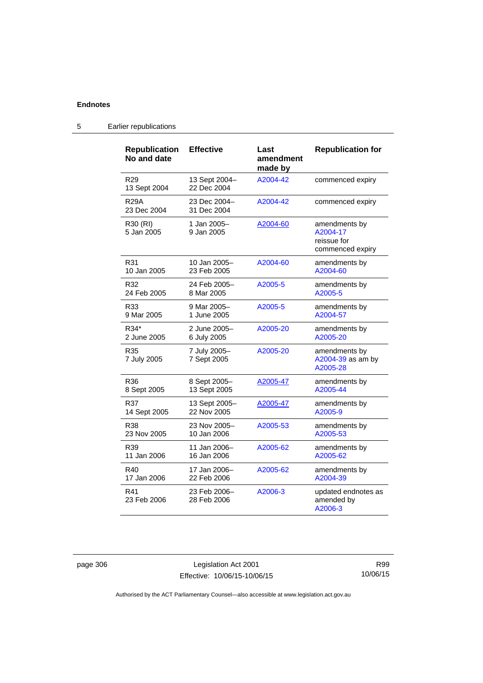| <b>Republication</b><br>No and date | <b>Effective</b>             | Last<br>amendment<br>made by | <b>Republication for</b>                                     |
|-------------------------------------|------------------------------|------------------------------|--------------------------------------------------------------|
| R <sub>29</sub><br>13 Sept 2004     | 13 Sept 2004-<br>22 Dec 2004 | A2004-42                     | commenced expiry                                             |
| <b>R29A</b><br>23 Dec 2004          | 23 Dec 2004-<br>31 Dec 2004  | A2004-42                     | commenced expiry                                             |
| R30 (RI)<br>5 Jan 2005              | 1 Jan 2005-<br>9 Jan 2005    | A2004-60                     | amendments by<br>A2004-17<br>reissue for<br>commenced expiry |
| R31                                 | 10 Jan 2005-                 | A2004-60                     | amendments by                                                |
| 10 Jan 2005                         | 23 Feb 2005                  |                              | A2004-60                                                     |
| R32                                 | 24 Feb 2005-                 | A2005-5                      | amendments by                                                |
| 24 Feb 2005                         | 8 Mar 2005                   |                              | A2005-5                                                      |
| R33                                 | 9 Mar 2005-                  | A2005-5                      | amendments by                                                |
| 9 Mar 2005                          | 1 June 2005                  |                              | A2004-57                                                     |
| R34*                                | 2 June 2005-                 | A2005-20                     | amendments by                                                |
| 2 June 2005                         | 6 July 2005                  |                              | A2005-20                                                     |
| R35<br>7 July 2005                  | 7 July 2005-<br>7 Sept 2005  | A2005-20                     | amendments by<br>A2004-39 as am by<br>A2005-28               |
| R36                                 | 8 Sept 2005-                 | A2005-47                     | amendments by                                                |
| 8 Sept 2005                         | 13 Sept 2005                 |                              | A2005-44                                                     |
| R37                                 | 13 Sept 2005-                | A2005-47                     | amendments by                                                |
| 14 Sept 2005                        | 22 Nov 2005                  |                              | A2005-9                                                      |
| R38                                 | 23 Nov 2005-                 | A2005-53                     | amendments by                                                |
| 23 Nov 2005                         | 10 Jan 2006                  |                              | A2005-53                                                     |
| R39                                 | 11 Jan 2006-                 | A2005-62                     | amendments by                                                |
| 11 Jan 2006                         | 16 Jan 2006                  |                              | A2005-62                                                     |
| R40                                 | 17 Jan 2006–                 | A2005-62                     | amendments by                                                |
| 17 Jan 2006                         | 22 Feb 2006                  |                              | A2004-39                                                     |
| R41<br>23 Feb 2006                  | 23 Feb 2006-<br>28 Feb 2006  | A2006-3                      | updated endnotes as<br>amended by<br>A2006-3                 |

5 Earlier republications

page 306 Legislation Act 2001 Effective: 10/06/15-10/06/15

R99 10/06/15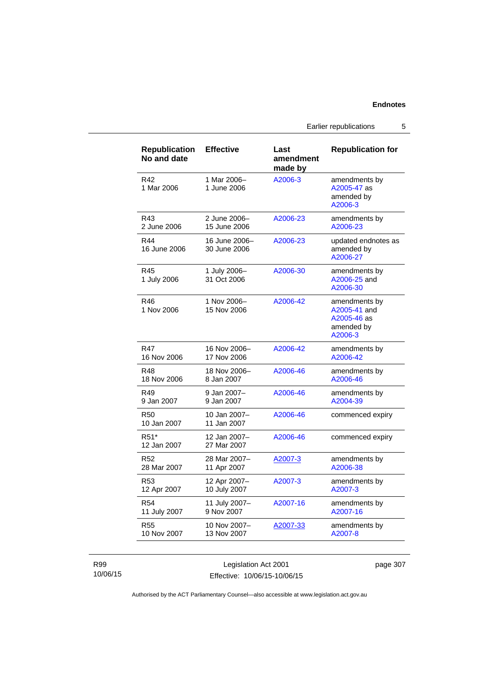Earlier republications 5

| <b>Republication</b><br>No and date | <b>Effective</b>              | Last<br>amendment<br>made by | <b>Republication for</b>                                              |
|-------------------------------------|-------------------------------|------------------------------|-----------------------------------------------------------------------|
| R42<br>1 Mar 2006                   | 1 Mar 2006-<br>1 June 2006    | A2006-3                      | amendments by<br>A2005-47 as<br>amended by<br>A2006-3                 |
| R43                                 | 2 June 2006-                  | A2006-23                     | amendments by                                                         |
| 2 June 2006                         | 15 June 2006                  |                              | A2006-23                                                              |
| R44<br>16 June 2006                 | 16 June 2006-<br>30 June 2006 | A2006-23                     | updated endnotes as<br>amended by<br>A2006-27                         |
| R45<br>1 July 2006                  | 1 July 2006-<br>31 Oct 2006   | A2006-30                     | amendments by<br>A2006-25 and<br>A2006-30                             |
| R46<br>1 Nov 2006                   | 1 Nov 2006-<br>15 Nov 2006    | A2006-42                     | amendments by<br>A2005-41 and<br>A2005-46 as<br>amended by<br>A2006-3 |
| R47                                 | 16 Nov 2006-                  | A2006-42                     | amendments by                                                         |
| 16 Nov 2006                         | 17 Nov 2006                   |                              | A2006-42                                                              |
| R48                                 | 18 Nov 2006-                  | A2006-46                     | amendments by                                                         |
| 18 Nov 2006                         | 8 Jan 2007                    |                              | A2006-46                                                              |
| R49                                 | 9 Jan 2007-                   | A2006-46                     | amendments by                                                         |
| 9 Jan 2007                          | 9 Jan 2007                    |                              | A2004-39                                                              |
| <b>R50</b><br>10 Jan 2007           | 10 Jan 2007-<br>11 Jan 2007   | A2006-46                     | commenced expiry                                                      |
| R <sub>51</sub> *<br>12 Jan 2007    | 12 Jan 2007-<br>27 Mar 2007   | A2006-46                     | commenced expiry                                                      |
| R52                                 | 28 Mar 2007-                  | A2007-3                      | amendments by                                                         |
| 28 Mar 2007                         | 11 Apr 2007                   |                              | A2006-38                                                              |
| R <sub>53</sub>                     | 12 Apr 2007-                  | A2007-3                      | amendments by                                                         |
| 12 Apr 2007                         | 10 July 2007                  |                              | A2007-3                                                               |
| R <sub>54</sub>                     | 11 July 2007-                 | A2007-16                     | amendments by                                                         |
| 11 July 2007                        | 9 Nov 2007                    |                              | A2007-16                                                              |
| R55                                 | 10 Nov 2007-                  | A2007-33                     | amendments by                                                         |
| 10 Nov 2007                         | 13 Nov 2007                   |                              | A2007-8                                                               |

R99 10/06/15

Legislation Act 2001 Effective: 10/06/15-10/06/15 page 307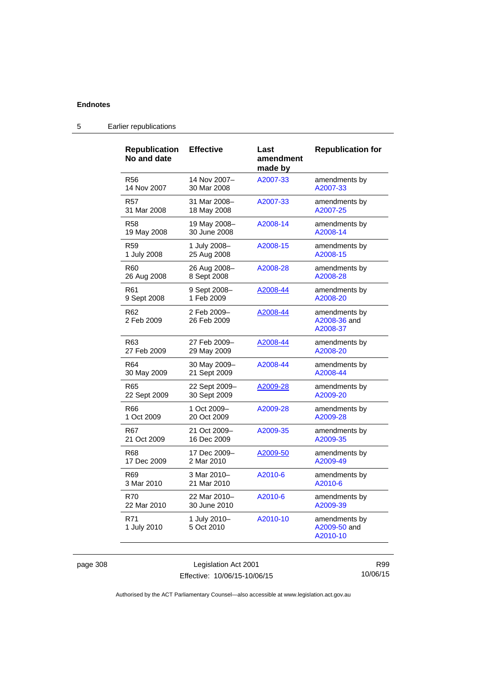| <b>Republication</b><br>No and date | <b>Effective</b>           | Last<br>amendment<br>made by | <b>Republication for</b>                  |
|-------------------------------------|----------------------------|------------------------------|-------------------------------------------|
| R56                                 | 14 Nov 2007-               | A2007-33                     | amendments by                             |
| 14 Nov 2007                         | 30 Mar 2008                |                              | A2007-33                                  |
| R57                                 | 31 Mar 2008-               | A2007-33                     | amendments by                             |
| 31 Mar 2008                         | 18 May 2008                |                              | A2007-25                                  |
| R58                                 | 19 May 2008-               | A2008-14                     | amendments by                             |
| 19 May 2008                         | 30 June 2008               |                              | A2008-14                                  |
| R59                                 | 1 July 2008-               | A2008-15                     | amendments by                             |
| 1 July 2008                         | 25 Aug 2008                |                              | A2008-15                                  |
| R60                                 | 26 Aug 2008-               | A2008-28                     | amendments by                             |
| 26 Aug 2008                         | 8 Sept 2008                |                              | A2008-28                                  |
| R61                                 | 9 Sept 2008-               | A2008-44                     | amendments by                             |
| 9 Sept 2008                         | 1 Feb 2009                 |                              | A2008-20                                  |
| R62<br>2 Feb 2009                   | 2 Feb 2009-<br>26 Feb 2009 | A2008-44                     | amendments by<br>A2008-36 and<br>A2008-37 |
| R63                                 | 27 Feb 2009-               | A2008-44                     | amendments by                             |
| 27 Feb 2009                         | 29 May 2009                |                              | A2008-20                                  |
| R64                                 | 30 May 2009-               | A2008-44                     | amendments by                             |
| 30 May 2009                         | 21 Sept 2009               |                              | A2008-44                                  |
| R65                                 | 22 Sept 2009-              | A2009-28                     | amendments by                             |
| 22 Sept 2009                        | 30 Sept 2009               |                              | A2009-20                                  |
| R66                                 | 1 Oct 2009-                | A2009-28                     | amendments by                             |
| 1 Oct 2009                          | 20 Oct 2009                |                              | A2009-28                                  |
| R67                                 | 21 Oct 2009-               | A2009-35                     | amendments by                             |
| 21 Oct 2009                         | 16 Dec 2009                |                              | A2009-35                                  |
| R68                                 | 17 Dec 2009-               | A2009-50                     | amendments by                             |
| 17 Dec 2009                         | 2 Mar 2010                 |                              | A2009-49                                  |
| R69                                 | 3 Mar 2010-                | A2010-6                      | amendments by                             |
| 3 Mar 2010                          | 21 Mar 2010                |                              | A2010-6                                   |
| R70                                 | 22 Mar 2010-               | A2010-6                      | amendments by                             |
| 22 Mar 2010                         | 30 June 2010               |                              | A2009-39                                  |
| R71<br>1 July 2010                  | 1 July 2010-<br>5 Oct 2010 | A2010-10                     | amendments by<br>A2009-50 and<br>A2010-10 |

# 5 Earlier republications

page 308 Legislation Act 2001 Effective: 10/06/15-10/06/15

R99 10/06/15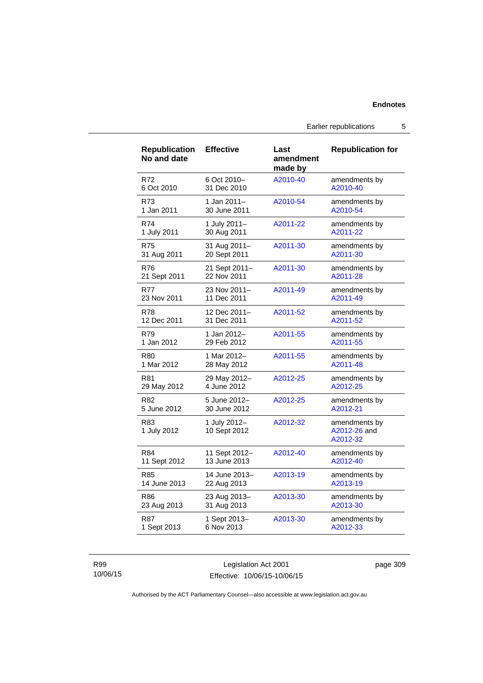### **Endnotes**

Earlier republications 5

| <b>Republication</b><br>No and date | <b>Effective</b>             | Last<br>amendment<br>made by | <b>Republication for</b>                  |
|-------------------------------------|------------------------------|------------------------------|-------------------------------------------|
| R72                                 | 6 Oct 2010-                  | A2010-40                     | amendments by                             |
| 6 Oct 2010                          | 31 Dec 2010                  |                              | A2010-40                                  |
| R73                                 | 1 Jan 2011-                  | A2010-54                     | amendments by                             |
| 1 Jan 2011                          | 30 June 2011                 |                              | A2010-54                                  |
| R74                                 | 1 July 2011-                 | A2011-22                     | amendments by                             |
| 1 July 2011                         | 30 Aug 2011                  |                              | A2011-22                                  |
| <b>R75</b>                          | 31 Aug 2011-                 | A2011-30                     | amendments by                             |
| 31 Aug 2011                         | 20 Sept 2011                 |                              | A2011-30                                  |
| <b>R76</b>                          | 21 Sept 2011-                | A2011-30                     | amendments by                             |
| 21 Sept 2011                        | 22 Nov 2011                  |                              | A2011-28                                  |
| <b>R77</b>                          | 23 Nov 2011-                 | A2011-49                     | amendments by                             |
| 23 Nov 2011                         | 11 Dec 2011                  |                              | A2011-49                                  |
| <b>R78</b>                          | 12 Dec 2011-                 | A2011-52                     | amendments by                             |
| 12 Dec 2011                         | 31 Dec 2011                  |                              | A2011-52                                  |
| R79                                 | 1 Jan 2012-                  | A2011-55                     | amendments by                             |
| 1 Jan 2012                          | 29 Feb 2012                  |                              | A2011-55                                  |
| <b>R80</b>                          | 1 Mar 2012-                  | A2011-55                     | amendments by                             |
| 1 Mar 2012                          | 28 May 2012                  |                              | A2011-48                                  |
| R81                                 | 29 May 2012-                 | A2012-25                     | amendments by                             |
| 29 May 2012                         | 4 June 2012                  |                              | A2012-25                                  |
| R82                                 | 5 June 2012-                 | A2012-25                     | amendments by                             |
| 5 June 2012                         | 30 June 2012                 |                              | A2012-21                                  |
| R83<br>1 July 2012                  | 1 July 2012-<br>10 Sept 2012 | A2012-32                     | amendments by<br>A2012-26 and<br>A2012-32 |
| R84                                 | 11 Sept 2012-                | A2012-40                     | amendments by                             |
| 11 Sept 2012                        | 13 June 2013                 |                              | A2012-40                                  |
| R85                                 | 14 June 2013-                | A2013-19                     | amendments by                             |
| 14 June 2013                        | 22 Aug 2013                  |                              | A2013-19                                  |
| R86                                 | 23 Aug 2013-                 | A2013-30                     | amendments by                             |
| 23 Aug 2013                         | 31 Aug 2013                  |                              | A2013-30                                  |
| <b>R87</b>                          | 1 Sept 2013-                 | A2013-30                     | amendments by                             |
| 1 Sept 2013                         | 6 Nov 2013                   |                              | A2012-33                                  |

### R99 10/06/15

Legislation Act 2001 Effective: 10/06/15-10/06/15 page 309

Authorised by the ACT Parliamentary Counsel—also accessible at www.legislation.act.gov.au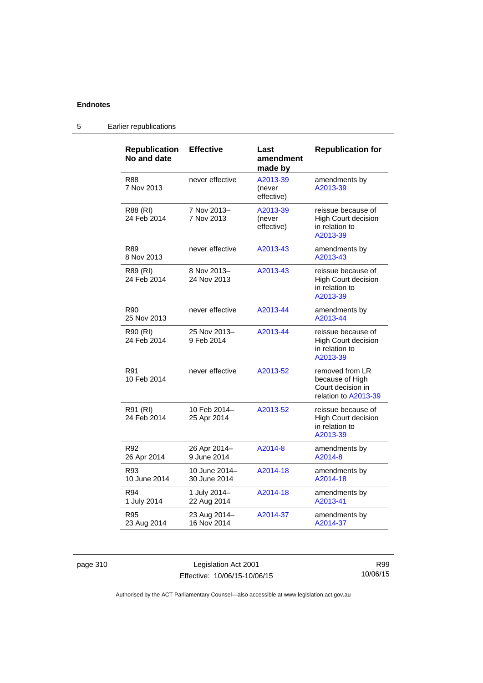## **Endnotes**

| <b>Republication</b><br>No and date | <b>Effective</b>              | Last<br>amendment<br>made by     | <b>Republication for</b>                                                        |
|-------------------------------------|-------------------------------|----------------------------------|---------------------------------------------------------------------------------|
| R88<br>7 Nov 2013                   | never effective               | A2013-39<br>(never<br>effective) | amendments by<br>A2013-39                                                       |
| R88 (RI)<br>24 Feb 2014             | 7 Nov 2013-<br>7 Nov 2013     | A2013-39<br>(never<br>effective) | reissue because of<br><b>High Court decision</b><br>in relation to<br>A2013-39  |
| R89<br>8 Nov 2013                   | never effective               | A2013-43                         | amendments by<br>A2013-43                                                       |
| R89 (RI)<br>24 Feb 2014             | 8 Nov 2013-<br>24 Nov 2013    | A2013-43                         | reissue because of<br><b>High Court decision</b><br>in relation to<br>A2013-39  |
| R90<br>25 Nov 2013                  | never effective               | A2013-44                         | amendments by<br>A2013-44                                                       |
| R90 (RI)<br>24 Feb 2014             | 25 Nov 2013-<br>9 Feb 2014    | A2013-44                         | reissue because of<br><b>High Court decision</b><br>in relation to<br>A2013-39  |
| R91<br>10 Feb 2014                  | never effective               | A2013-52                         | removed from LR<br>because of High<br>Court decision in<br>relation to A2013-39 |
| R91 (RI)<br>24 Feb 2014             | 10 Feb 2014-<br>25 Apr 2014   | A2013-52                         | reissue because of<br>High Court decision<br>in relation to<br>A2013-39         |
| R92<br>26 Apr 2014                  | 26 Apr 2014-<br>9 June 2014   | A2014-8                          | amendments by<br>A2014-8                                                        |
| R93<br>10 June 2014                 | 10 June 2014-<br>30 June 2014 | A2014-18                         | amendments by<br>A2014-18                                                       |
| R94<br>1 July 2014                  | 1 July 2014-<br>22 Aug 2014   | A2014-18                         | amendments by<br>A2013-41                                                       |
| R95<br>23 Aug 2014                  | 23 Aug 2014-<br>16 Nov 2014   | A2014-37                         | amendments by<br>A2014-37                                                       |

# 5 Earlier republications

page 310 Legislation Act 2001 Effective: 10/06/15-10/06/15

R99 10/06/15

Authorised by the ACT Parliamentary Counsel—also accessible at www.legislation.act.gov.au